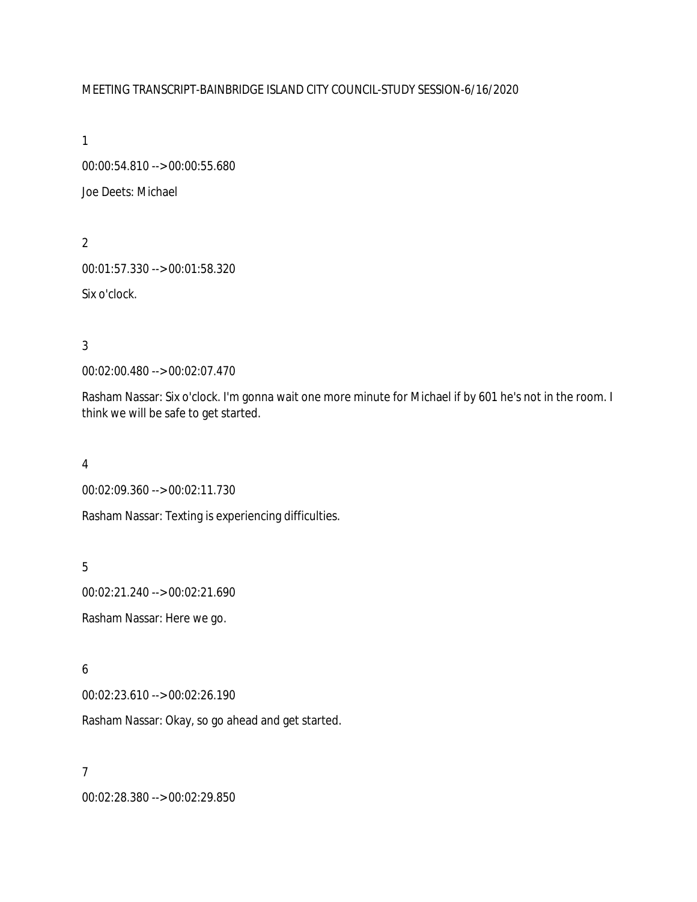# MEETING TRANSCRIPT-BAINBRIDGE ISLAND CITY COUNCIL-STUDY SESSION-6/16/2020

1

00:00:54.810 --> 00:00:55.680 Joe Deets: Michael

2 00:01:57.330 --> 00:01:58.320 Six o'clock.

3

00:02:00.480 --> 00:02:07.470

Rasham Nassar: Six o'clock. I'm gonna wait one more minute for Michael if by 601 he's not in the room. I think we will be safe to get started.

4

00:02:09.360 --> 00:02:11.730

Rasham Nassar: Texting is experiencing difficulties.

5

00:02:21.240 --> 00:02:21.690

Rasham Nassar: Here we go.

6

00:02:23.610 --> 00:02:26.190

Rasham Nassar: Okay, so go ahead and get started.

7

00:02:28.380 --> 00:02:29.850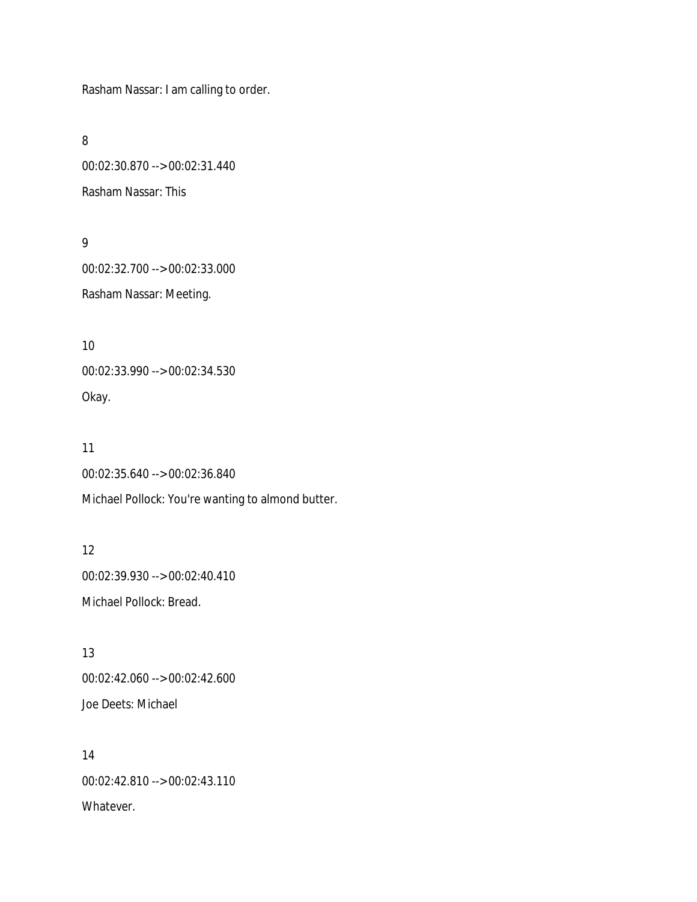Rasham Nassar: I am calling to order.

8

00:02:30.870 --> 00:02:31.440 Rasham Nassar: This

9

00:02:32.700 --> 00:02:33.000 Rasham Nassar: Meeting.

10 00:02:33.990 --> 00:02:34.530 Okay.

11 00:02:35.640 --> 00:02:36.840 Michael Pollock: You're wanting to almond butter.

12 00:02:39.930 --> 00:02:40.410 Michael Pollock: Bread.

13 00:02:42.060 --> 00:02:42.600 Joe Deets: Michael

14 00:02:42.810 --> 00:02:43.110 Whatever.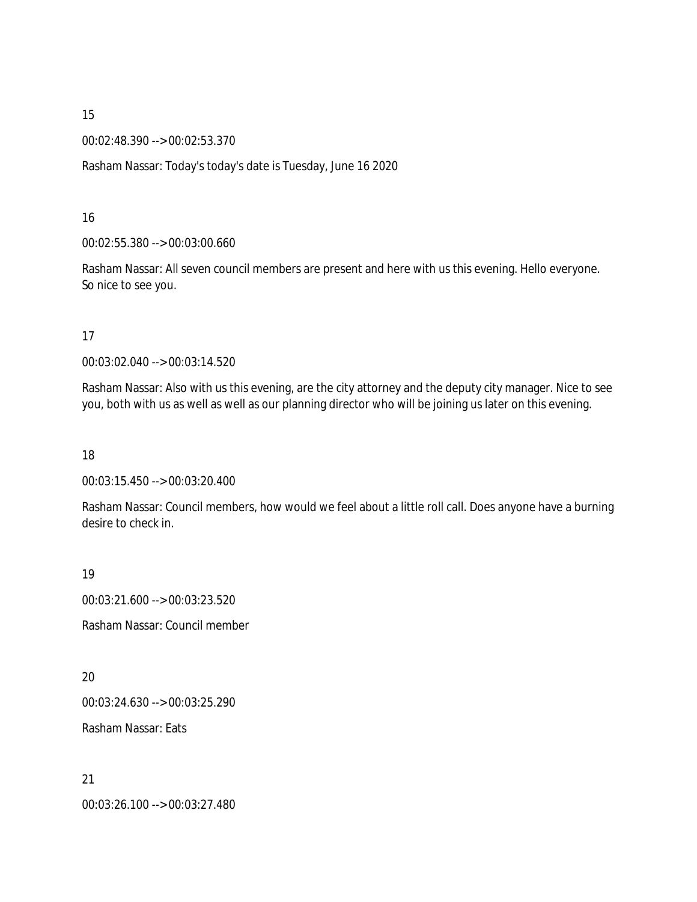00:02:48.390 --> 00:02:53.370

Rasham Nassar: Today's today's date is Tuesday, June 16 2020

16

00:02:55.380 --> 00:03:00.660

Rasham Nassar: All seven council members are present and here with us this evening. Hello everyone. So nice to see you.

17

00:03:02.040 --> 00:03:14.520

Rasham Nassar: Also with us this evening, are the city attorney and the deputy city manager. Nice to see you, both with us as well as well as our planning director who will be joining us later on this evening.

18

00:03:15.450 --> 00:03:20.400

Rasham Nassar: Council members, how would we feel about a little roll call. Does anyone have a burning desire to check in.

19

00:03:21.600 --> 00:03:23.520

Rasham Nassar: Council member

20

00:03:24.630 --> 00:03:25.290

Rasham Nassar: Eats

21 00:03:26.100 --> 00:03:27.480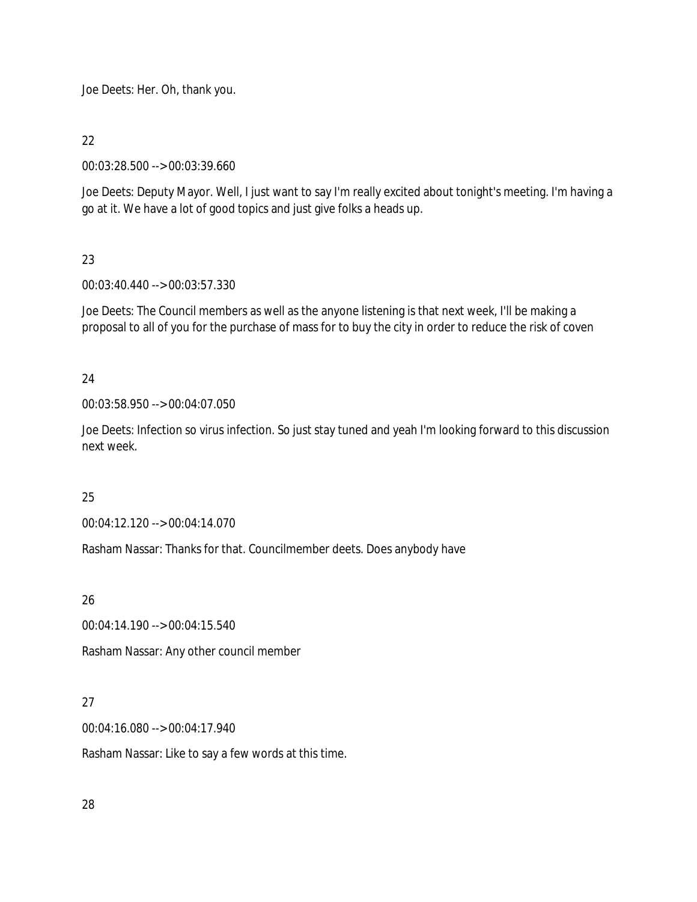Joe Deets: Her. Oh, thank you.

# 22

00:03:28.500 --> 00:03:39.660

Joe Deets: Deputy Mayor. Well, I just want to say I'm really excited about tonight's meeting. I'm having a go at it. We have a lot of good topics and just give folks a heads up.

# 23

00:03:40.440 --> 00:03:57.330

Joe Deets: The Council members as well as the anyone listening is that next week, I'll be making a proposal to all of you for the purchase of mass for to buy the city in order to reduce the risk of coven

# 24

00:03:58.950 --> 00:04:07.050

Joe Deets: Infection so virus infection. So just stay tuned and yeah I'm looking forward to this discussion next week.

# 25

00:04:12.120 --> 00:04:14.070

Rasham Nassar: Thanks for that. Councilmember deets. Does anybody have

# 26

00:04:14.190 --> 00:04:15.540

Rasham Nassar: Any other council member

# 27

00:04:16.080 --> 00:04:17.940

Rasham Nassar: Like to say a few words at this time.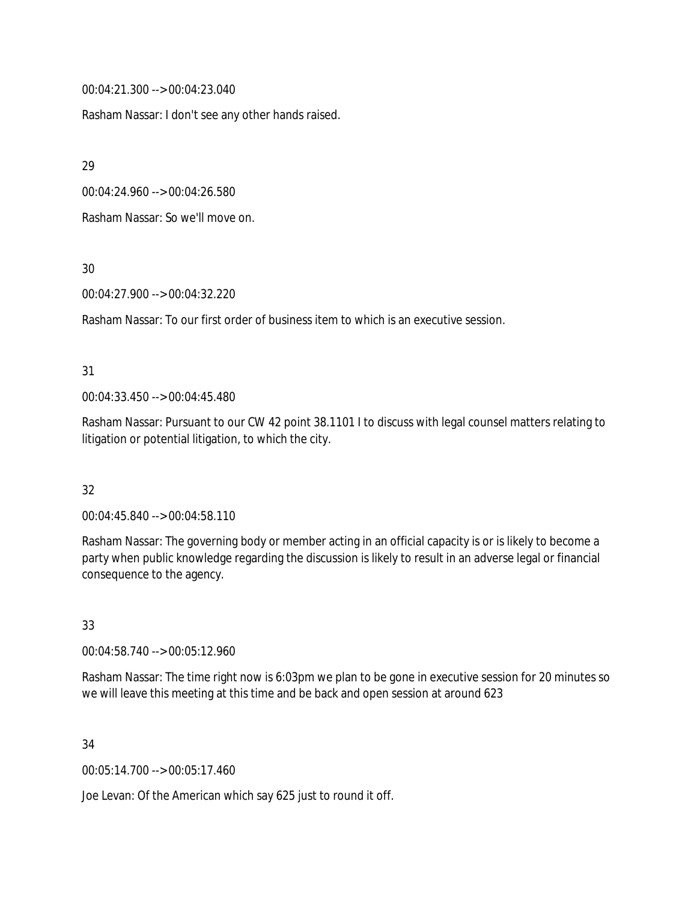00:04:21.300 --> 00:04:23.040

Rasham Nassar: I don't see any other hands raised.

29

00:04:24.960 --> 00:04:26.580

Rasham Nassar: So we'll move on.

30

00:04:27.900 --> 00:04:32.220

Rasham Nassar: To our first order of business item to which is an executive session.

### 31

00:04:33.450 --> 00:04:45.480

Rasham Nassar: Pursuant to our CW 42 point 38.1101 I to discuss with legal counsel matters relating to litigation or potential litigation, to which the city.

# 32

00:04:45.840 --> 00:04:58.110

Rasham Nassar: The governing body or member acting in an official capacity is or is likely to become a party when public knowledge regarding the discussion is likely to result in an adverse legal or financial consequence to the agency.

# 33

00:04:58.740 --> 00:05:12.960

Rasham Nassar: The time right now is 6:03pm we plan to be gone in executive session for 20 minutes so we will leave this meeting at this time and be back and open session at around 623

### 34

00:05:14.700 --> 00:05:17.460

Joe Levan: Of the American which say 625 just to round it off.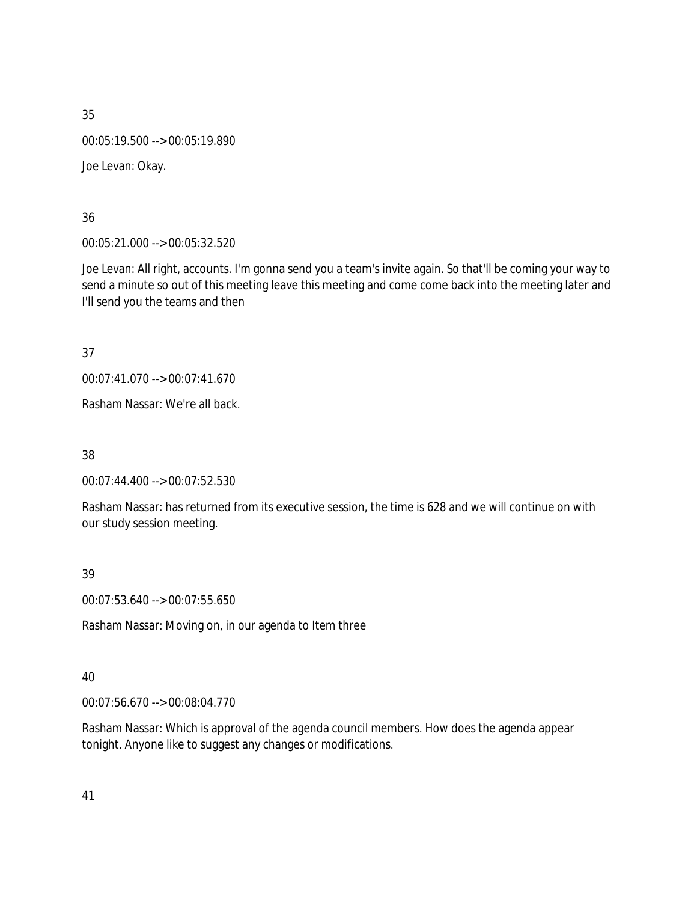00:05:19.500 --> 00:05:19.890

Joe Levan: Okay.

36

00:05:21.000 --> 00:05:32.520

Joe Levan: All right, accounts. I'm gonna send you a team's invite again. So that'll be coming your way to send a minute so out of this meeting leave this meeting and come come back into the meeting later and I'll send you the teams and then

37

00:07:41.070 --> 00:07:41.670

Rasham Nassar: We're all back.

38

00:07:44.400 --> 00:07:52.530

Rasham Nassar: has returned from its executive session, the time is 628 and we will continue on with our study session meeting.

39

00:07:53.640 --> 00:07:55.650

Rasham Nassar: Moving on, in our agenda to Item three

# 40

00:07:56.670 --> 00:08:04.770

Rasham Nassar: Which is approval of the agenda council members. How does the agenda appear tonight. Anyone like to suggest any changes or modifications.

41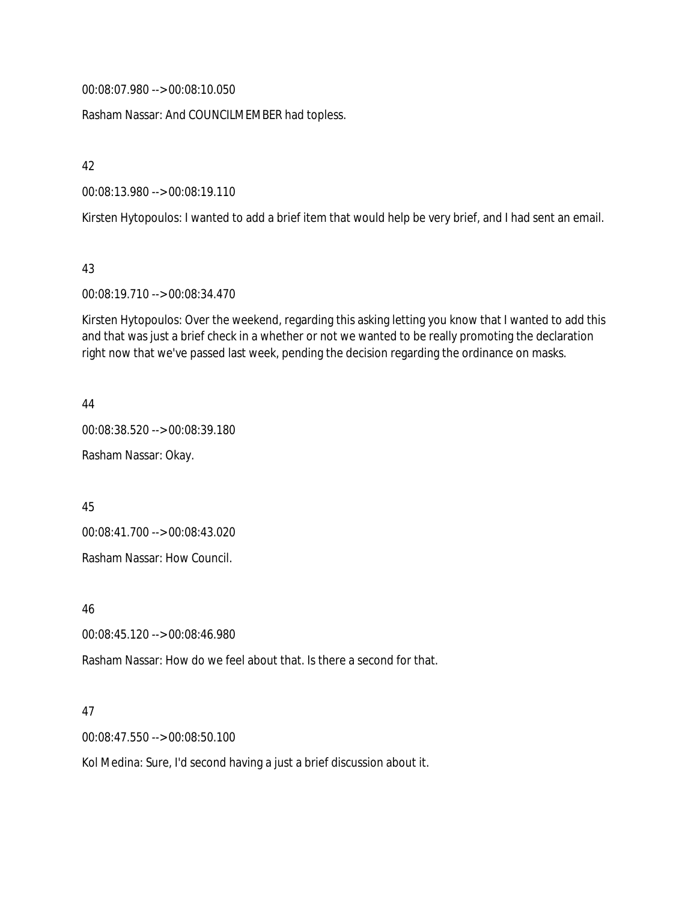00:08:07.980 --> 00:08:10.050

Rasham Nassar: And COUNCILMEMBER had topless.

42

00:08:13.980 --> 00:08:19.110

Kirsten Hytopoulos: I wanted to add a brief item that would help be very brief, and I had sent an email.

43

00:08:19.710 --> 00:08:34.470

Kirsten Hytopoulos: Over the weekend, regarding this asking letting you know that I wanted to add this and that was just a brief check in a whether or not we wanted to be really promoting the declaration right now that we've passed last week, pending the decision regarding the ordinance on masks.

44

00:08:38.520 --> 00:08:39.180

Rasham Nassar: Okay.

45

00:08:41.700 --> 00:08:43.020

Rasham Nassar: How Council.

46

00:08:45.120 --> 00:08:46.980

Rasham Nassar: How do we feel about that. Is there a second for that.

47

00:08:47.550 --> 00:08:50.100

Kol Medina: Sure, I'd second having a just a brief discussion about it.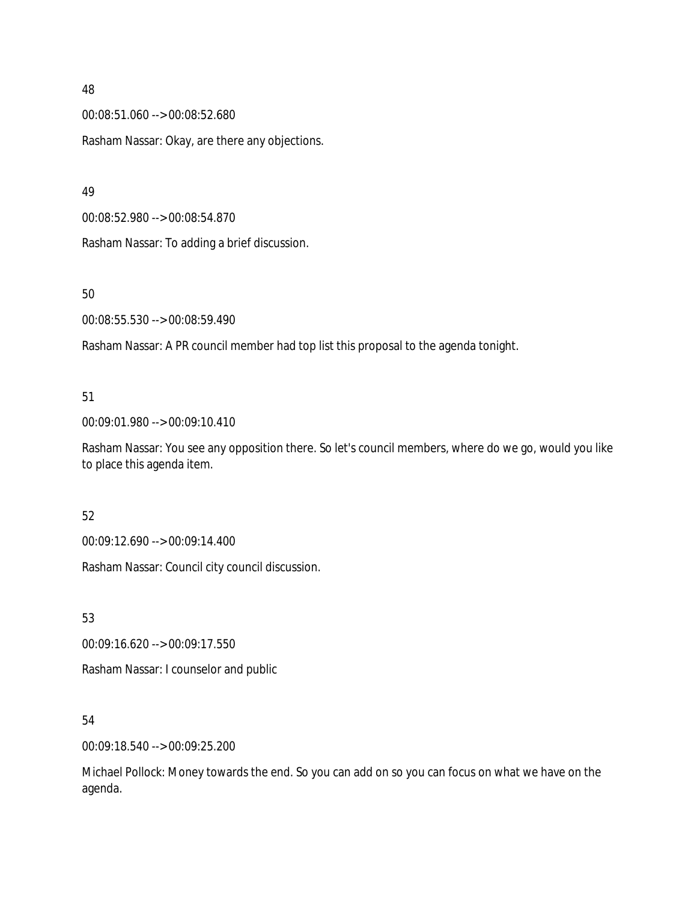00:08:51.060 --> 00:08:52.680 Rasham Nassar: Okay, are there any objections.

49

00:08:52.980 --> 00:08:54.870

Rasham Nassar: To adding a brief discussion.

## 50

00:08:55.530 --> 00:08:59.490

Rasham Nassar: A PR council member had top list this proposal to the agenda tonight.

# 51

00:09:01.980 --> 00:09:10.410

Rasham Nassar: You see any opposition there. So let's council members, where do we go, would you like to place this agenda item.

# 52

00:09:12.690 --> 00:09:14.400

Rasham Nassar: Council city council discussion.

53

00:09:16.620 --> 00:09:17.550

Rasham Nassar: I counselor and public

# 54

00:09:18.540 --> 00:09:25.200

Michael Pollock: Money towards the end. So you can add on so you can focus on what we have on the agenda.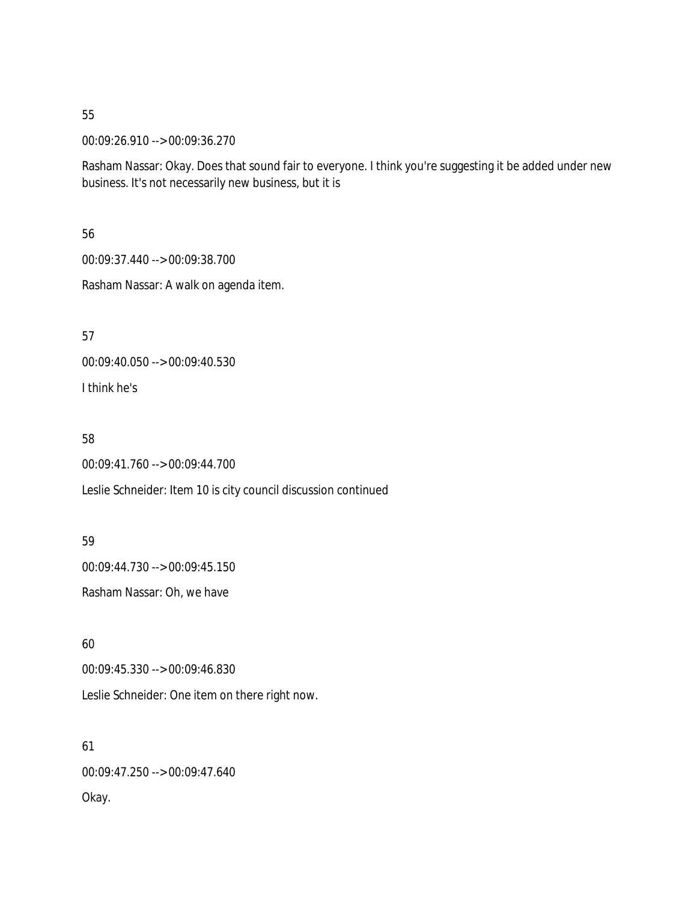00:09:26.910 --> 00:09:36.270

Rasham Nassar: Okay. Does that sound fair to everyone. I think you're suggesting it be added under new business. It's not necessarily new business, but it is

56

00:09:37.440 --> 00:09:38.700

Rasham Nassar: A walk on agenda item.

57

00:09:40.050 --> 00:09:40.530

I think he's

58

00:09:41.760 --> 00:09:44.700

Leslie Schneider: Item 10 is city council discussion continued

59

00:09:44.730 --> 00:09:45.150

Rasham Nassar: Oh, we have

60

00:09:45.330 --> 00:09:46.830

Leslie Schneider: One item on there right now.

61 00:09:47.250 --> 00:09:47.640 Okay.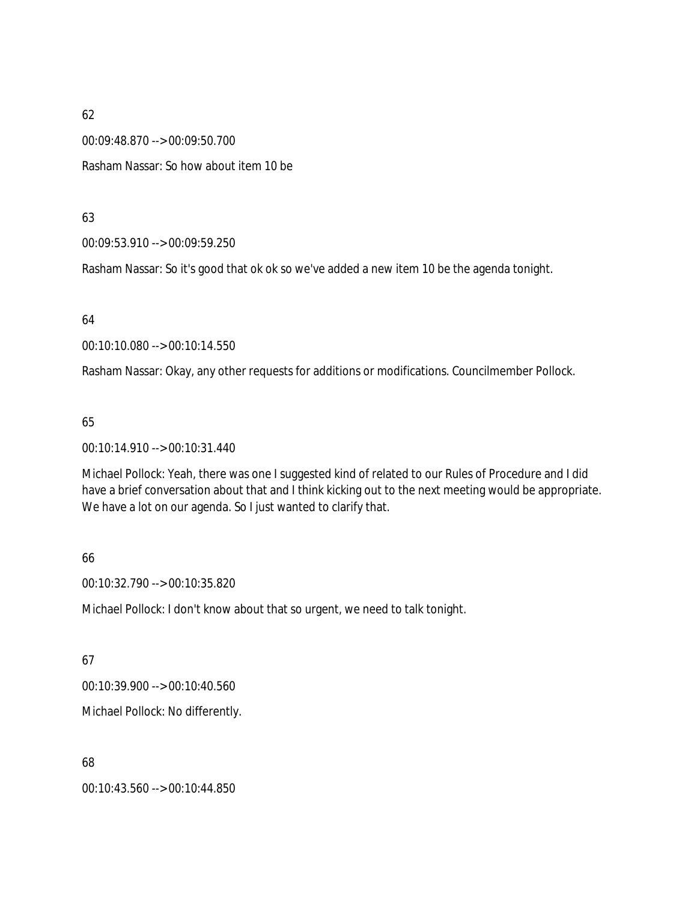00:09:48.870 --> 00:09:50.700

Rasham Nassar: So how about item 10 be

63

00:09:53.910 --> 00:09:59.250

Rasham Nassar: So it's good that ok ok so we've added a new item 10 be the agenda tonight.

64

00:10:10.080 --> 00:10:14.550

Rasham Nassar: Okay, any other requests for additions or modifications. Councilmember Pollock.

65

00:10:14.910 --> 00:10:31.440

Michael Pollock: Yeah, there was one I suggested kind of related to our Rules of Procedure and I did have a brief conversation about that and I think kicking out to the next meeting would be appropriate. We have a lot on our agenda. So I just wanted to clarify that.

66

00:10:32.790 --> 00:10:35.820

Michael Pollock: I don't know about that so urgent, we need to talk tonight.

67

00:10:39.900 --> 00:10:40.560

Michael Pollock: No differently.

68

00:10:43.560 --> 00:10:44.850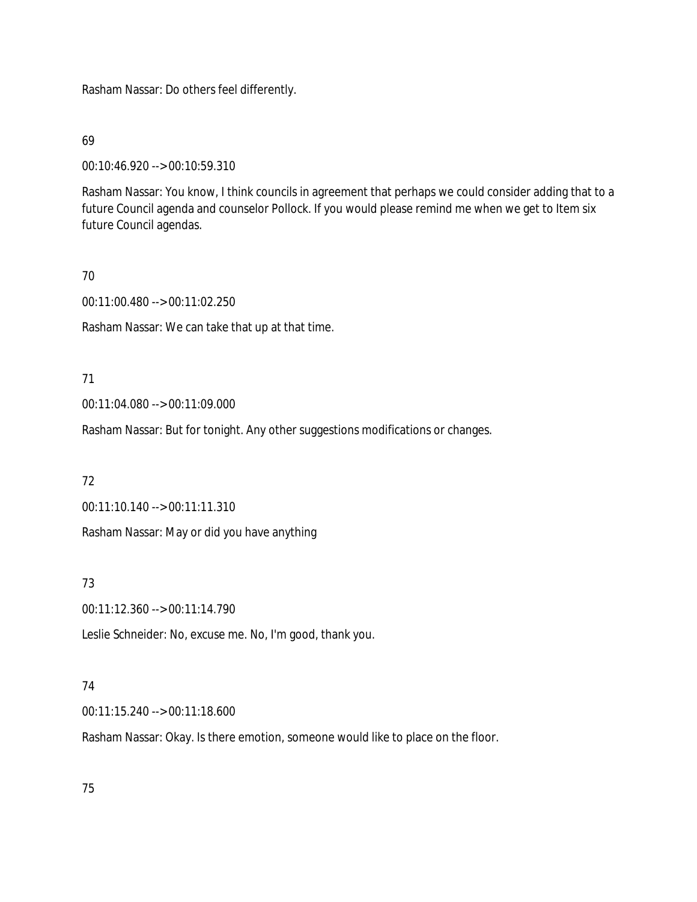Rasham Nassar: Do others feel differently.

69

00:10:46.920 --> 00:10:59.310

Rasham Nassar: You know, I think councils in agreement that perhaps we could consider adding that to a future Council agenda and counselor Pollock. If you would please remind me when we get to Item six future Council agendas.

## 70

00:11:00.480 --> 00:11:02.250

Rasham Nassar: We can take that up at that time.

# 71

00:11:04.080 --> 00:11:09.000

Rasham Nassar: But for tonight. Any other suggestions modifications or changes.

# 72

00:11:10.140 --> 00:11:11.310

Rasham Nassar: May or did you have anything

# 73

00:11:12.360 --> 00:11:14.790

Leslie Schneider: No, excuse me. No, I'm good, thank you.

# 74

00:11:15.240 --> 00:11:18.600

Rasham Nassar: Okay. Is there emotion, someone would like to place on the floor.

# 75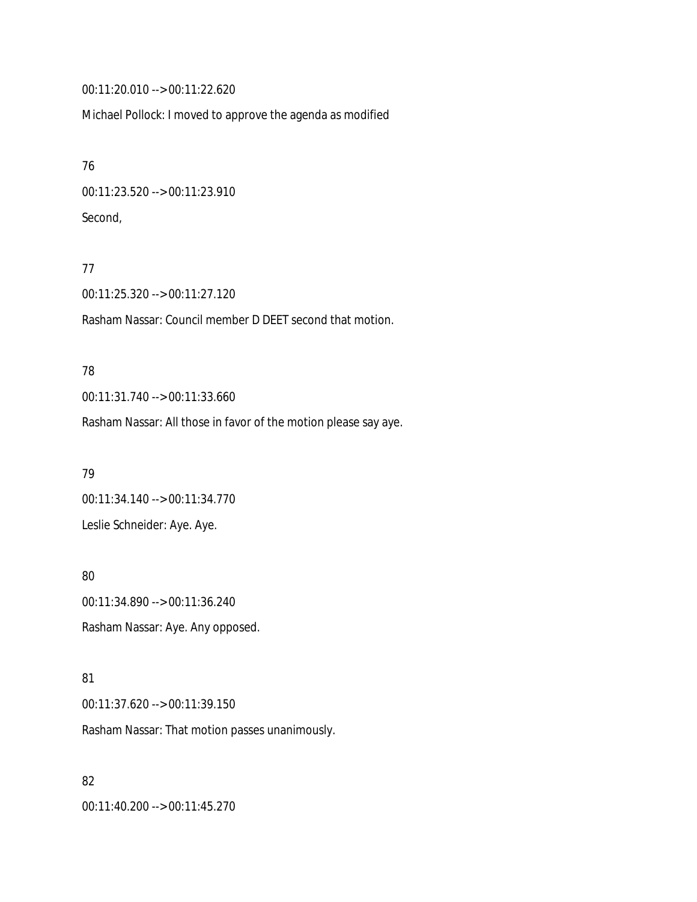00:11:20.010 --> 00:11:22.620

Michael Pollock: I moved to approve the agenda as modified

76 00:11:23.520 --> 00:11:23.910 Second,

#### 77

00:11:25.320 --> 00:11:27.120

Rasham Nassar: Council member D DEET second that motion.

#### 78

00:11:31.740 --> 00:11:33.660

Rasham Nassar: All those in favor of the motion please say aye.

79 00:11:34.140 --> 00:11:34.770 Leslie Schneider: Aye. Aye.

80 00:11:34.890 --> 00:11:36.240 Rasham Nassar: Aye. Any opposed.

#### 81

00:11:37.620 --> 00:11:39.150

Rasham Nassar: That motion passes unanimously.

### 82

00:11:40.200 --> 00:11:45.270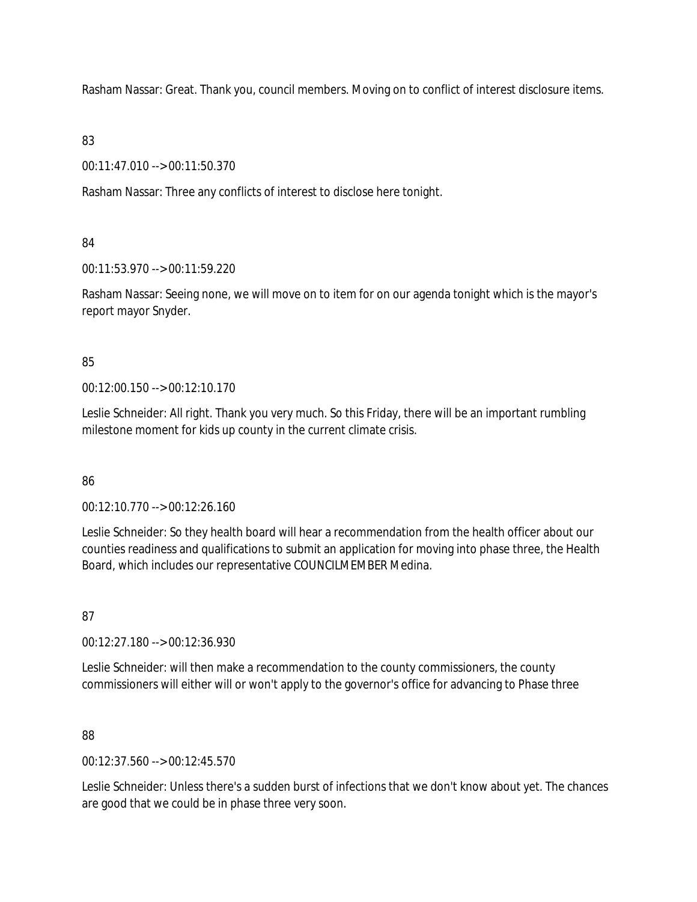Rasham Nassar: Great. Thank you, council members. Moving on to conflict of interest disclosure items.

# 83

00:11:47.010 --> 00:11:50.370

Rasham Nassar: Three any conflicts of interest to disclose here tonight.

# 84

00:11:53.970 --> 00:11:59.220

Rasham Nassar: Seeing none, we will move on to item for on our agenda tonight which is the mayor's report mayor Snyder.

# 85

00:12:00.150 --> 00:12:10.170

Leslie Schneider: All right. Thank you very much. So this Friday, there will be an important rumbling milestone moment for kids up county in the current climate crisis.

# 86

00:12:10.770 --> 00:12:26.160

Leslie Schneider: So they health board will hear a recommendation from the health officer about our counties readiness and qualifications to submit an application for moving into phase three, the Health Board, which includes our representative COUNCILMEMBER Medina.

# 87

00:12:27.180 --> 00:12:36.930

Leslie Schneider: will then make a recommendation to the county commissioners, the county commissioners will either will or won't apply to the governor's office for advancing to Phase three

# 88

00:12:37.560 --> 00:12:45.570

Leslie Schneider: Unless there's a sudden burst of infections that we don't know about yet. The chances are good that we could be in phase three very soon.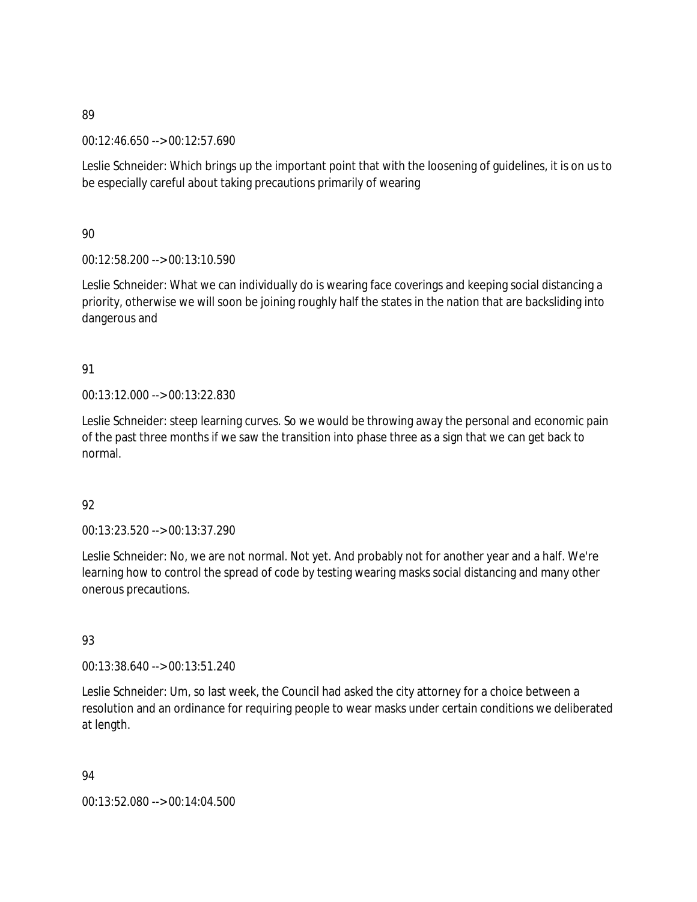00:12:46.650 --> 00:12:57.690

Leslie Schneider: Which brings up the important point that with the loosening of guidelines, it is on us to be especially careful about taking precautions primarily of wearing

90

00:12:58.200 --> 00:13:10.590

Leslie Schneider: What we can individually do is wearing face coverings and keeping social distancing a priority, otherwise we will soon be joining roughly half the states in the nation that are backsliding into dangerous and

# 91

00:13:12.000 --> 00:13:22.830

Leslie Schneider: steep learning curves. So we would be throwing away the personal and economic pain of the past three months if we saw the transition into phase three as a sign that we can get back to normal.

# 92

00:13:23.520 --> 00:13:37.290

Leslie Schneider: No, we are not normal. Not yet. And probably not for another year and a half. We're learning how to control the spread of code by testing wearing masks social distancing and many other onerous precautions.

# 93

00:13:38.640 --> 00:13:51.240

Leslie Schneider: Um, so last week, the Council had asked the city attorney for a choice between a resolution and an ordinance for requiring people to wear masks under certain conditions we deliberated at length.

94

00:13:52.080 --> 00:14:04.500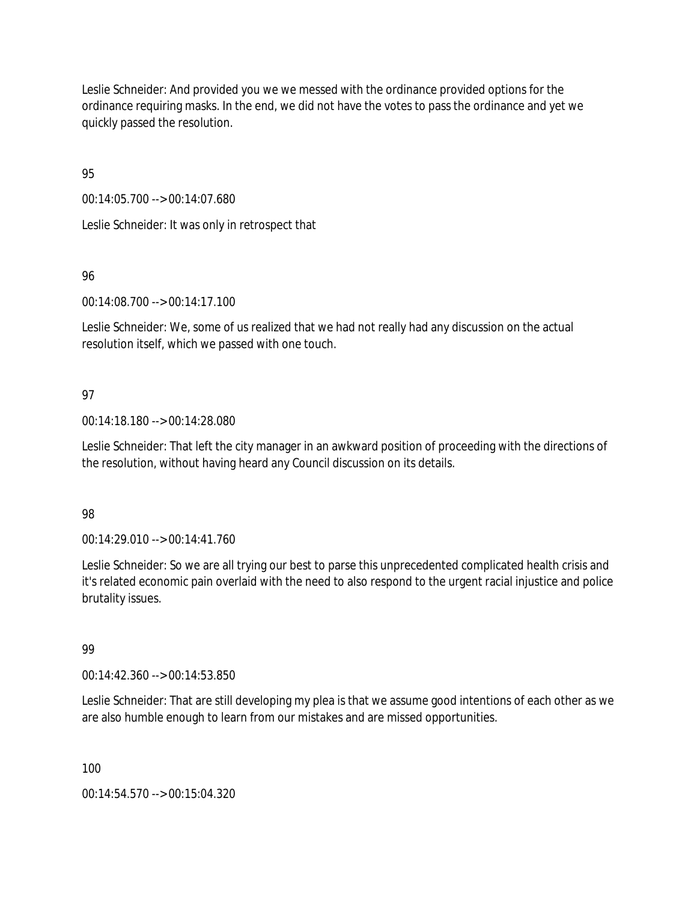Leslie Schneider: And provided you we we messed with the ordinance provided options for the ordinance requiring masks. In the end, we did not have the votes to pass the ordinance and yet we quickly passed the resolution.

95

00:14:05.700 --> 00:14:07.680

Leslie Schneider: It was only in retrospect that

96

00:14:08.700 --> 00:14:17.100

Leslie Schneider: We, some of us realized that we had not really had any discussion on the actual resolution itself, which we passed with one touch.

# 97

00:14:18.180 --> 00:14:28.080

Leslie Schneider: That left the city manager in an awkward position of proceeding with the directions of the resolution, without having heard any Council discussion on its details.

# 98

00:14:29.010 --> 00:14:41.760

Leslie Schneider: So we are all trying our best to parse this unprecedented complicated health crisis and it's related economic pain overlaid with the need to also respond to the urgent racial injustice and police brutality issues.

# 99

00:14:42.360 --> 00:14:53.850

Leslie Schneider: That are still developing my plea is that we assume good intentions of each other as we are also humble enough to learn from our mistakes and are missed opportunities.

100

00:14:54.570 --> 00:15:04.320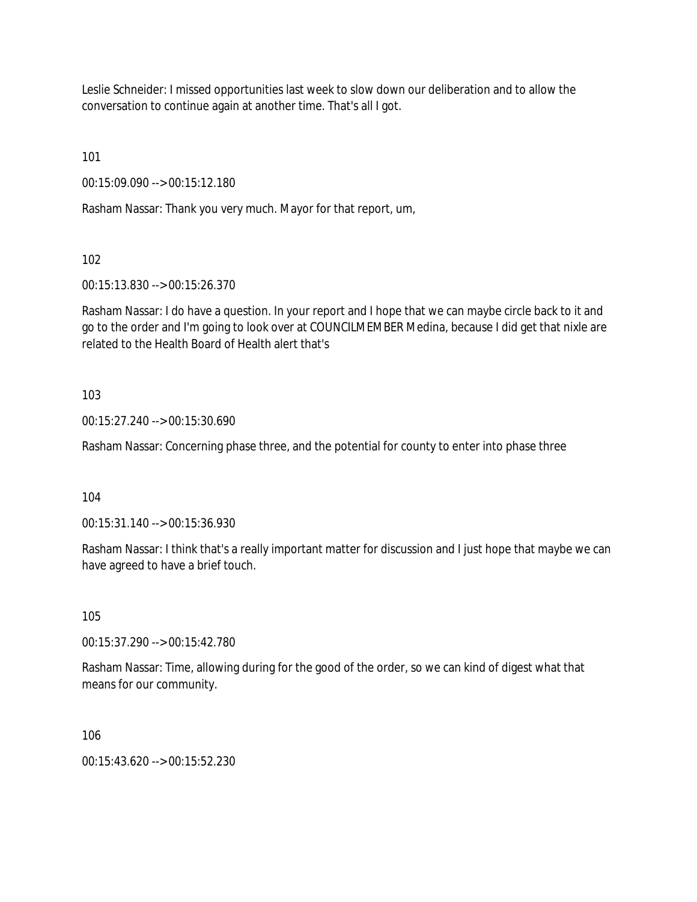Leslie Schneider: I missed opportunities last week to slow down our deliberation and to allow the conversation to continue again at another time. That's all I got.

101

00:15:09.090 --> 00:15:12.180

Rasham Nassar: Thank you very much. Mayor for that report, um,

102

00:15:13.830 --> 00:15:26.370

Rasham Nassar: I do have a question. In your report and I hope that we can maybe circle back to it and go to the order and I'm going to look over at COUNCILMEMBER Medina, because I did get that nixle are related to the Health Board of Health alert that's

# 103

00:15:27.240 --> 00:15:30.690

Rasham Nassar: Concerning phase three, and the potential for county to enter into phase three

104

00:15:31.140 --> 00:15:36.930

Rasham Nassar: I think that's a really important matter for discussion and I just hope that maybe we can have agreed to have a brief touch.

105

00:15:37.290 --> 00:15:42.780

Rasham Nassar: Time, allowing during for the good of the order, so we can kind of digest what that means for our community.

106

00:15:43.620 --> 00:15:52.230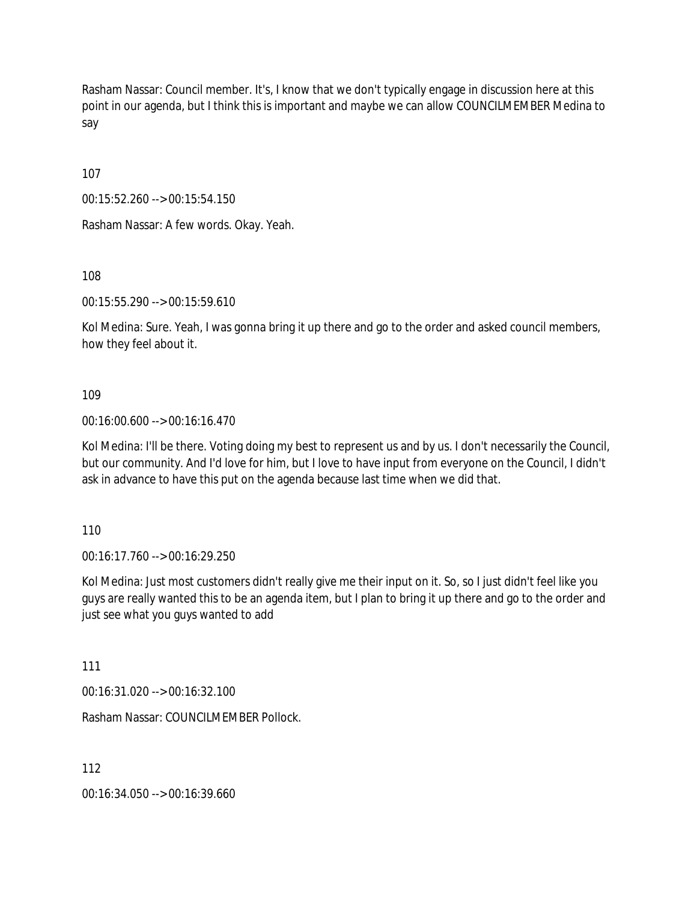Rasham Nassar: Council member. It's, I know that we don't typically engage in discussion here at this point in our agenda, but I think this is important and maybe we can allow COUNCILMEMBER Medina to say

107

00:15:52.260 --> 00:15:54.150

Rasham Nassar: A few words. Okay. Yeah.

108

00:15:55.290 --> 00:15:59.610

Kol Medina: Sure. Yeah, I was gonna bring it up there and go to the order and asked council members, how they feel about it.

109

00:16:00.600 --> 00:16:16.470

Kol Medina: I'll be there. Voting doing my best to represent us and by us. I don't necessarily the Council, but our community. And I'd love for him, but I love to have input from everyone on the Council, I didn't ask in advance to have this put on the agenda because last time when we did that.

110

00:16:17.760 --> 00:16:29.250

Kol Medina: Just most customers didn't really give me their input on it. So, so I just didn't feel like you guys are really wanted this to be an agenda item, but I plan to bring it up there and go to the order and just see what you guys wanted to add

111

00:16:31.020 --> 00:16:32.100

Rasham Nassar: COUNCILMEMBER Pollock.

112

00:16:34.050 --> 00:16:39.660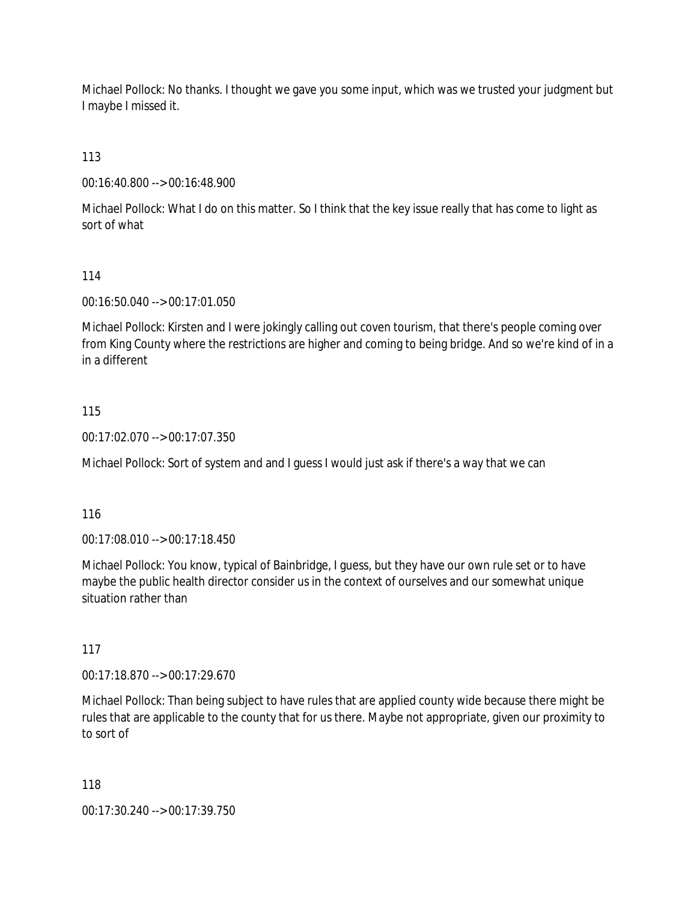Michael Pollock: No thanks. I thought we gave you some input, which was we trusted your judgment but I maybe I missed it.

113

00:16:40.800 --> 00:16:48.900

Michael Pollock: What I do on this matter. So I think that the key issue really that has come to light as sort of what

## 114

00:16:50.040 --> 00:17:01.050

Michael Pollock: Kirsten and I were jokingly calling out coven tourism, that there's people coming over from King County where the restrictions are higher and coming to being bridge. And so we're kind of in a in a different

## 115

00:17:02.070 --> 00:17:07.350

Michael Pollock: Sort of system and and I guess I would just ask if there's a way that we can

### 116

00:17:08.010 --> 00:17:18.450

Michael Pollock: You know, typical of Bainbridge, I guess, but they have our own rule set or to have maybe the public health director consider us in the context of ourselves and our somewhat unique situation rather than

### 117

00:17:18.870 --> 00:17:29.670

Michael Pollock: Than being subject to have rules that are applied county wide because there might be rules that are applicable to the county that for us there. Maybe not appropriate, given our proximity to to sort of

118

00:17:30.240 --> 00:17:39.750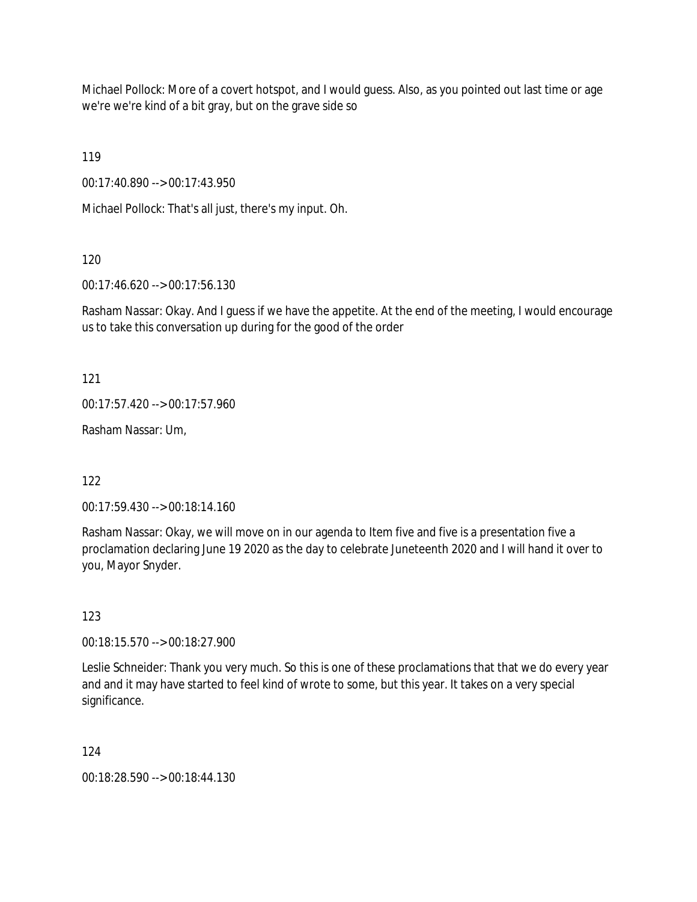Michael Pollock: More of a covert hotspot, and I would guess. Also, as you pointed out last time or age we're we're kind of a bit gray, but on the grave side so

119

00:17:40.890 --> 00:17:43.950

Michael Pollock: That's all just, there's my input. Oh.

120

00:17:46.620 --> 00:17:56.130

Rasham Nassar: Okay. And I guess if we have the appetite. At the end of the meeting, I would encourage us to take this conversation up during for the good of the order

121

 $00:17:57.420 \rightarrow 00:17:57.960$ 

Rasham Nassar: Um,

122

00:17:59.430 --> 00:18:14.160

Rasham Nassar: Okay, we will move on in our agenda to Item five and five is a presentation five a proclamation declaring June 19 2020 as the day to celebrate Juneteenth 2020 and I will hand it over to you, Mayor Snyder.

123

00:18:15.570 --> 00:18:27.900

Leslie Schneider: Thank you very much. So this is one of these proclamations that that we do every year and and it may have started to feel kind of wrote to some, but this year. It takes on a very special significance.

124

00:18:28.590 --> 00:18:44.130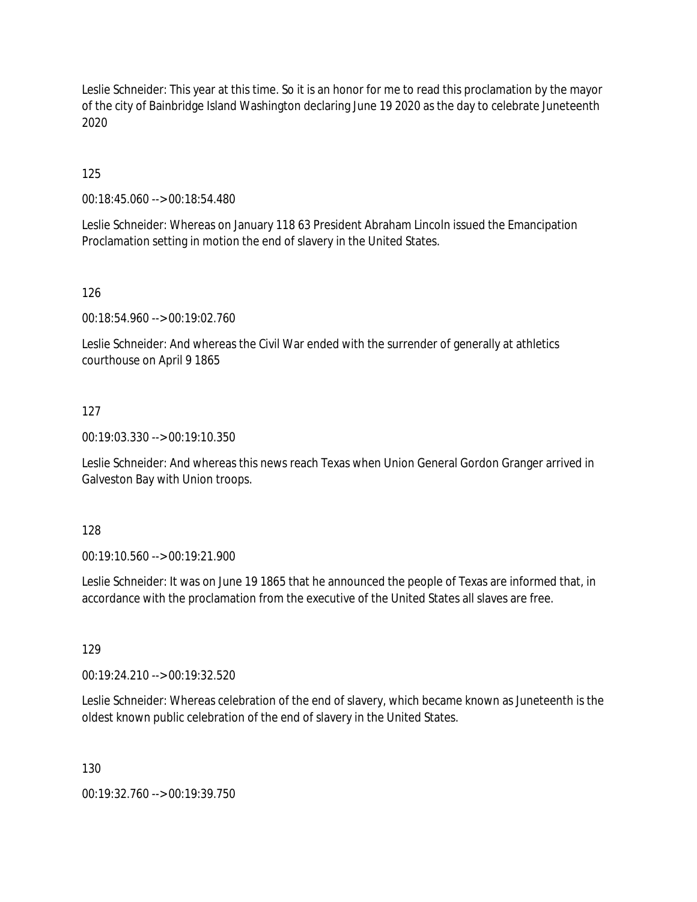Leslie Schneider: This year at this time. So it is an honor for me to read this proclamation by the mayor of the city of Bainbridge Island Washington declaring June 19 2020 as the day to celebrate Juneteenth 2020

125

00:18:45.060 --> 00:18:54.480

Leslie Schneider: Whereas on January 118 63 President Abraham Lincoln issued the Emancipation Proclamation setting in motion the end of slavery in the United States.

126

00:18:54.960 --> 00:19:02.760

Leslie Schneider: And whereas the Civil War ended with the surrender of generally at athletics courthouse on April 9 1865

#### 127

00:19:03.330 --> 00:19:10.350

Leslie Schneider: And whereas this news reach Texas when Union General Gordon Granger arrived in Galveston Bay with Union troops.

128

00:19:10.560 --> 00:19:21.900

Leslie Schneider: It was on June 19 1865 that he announced the people of Texas are informed that, in accordance with the proclamation from the executive of the United States all slaves are free.

129

00:19:24.210 --> 00:19:32.520

Leslie Schneider: Whereas celebration of the end of slavery, which became known as Juneteenth is the oldest known public celebration of the end of slavery in the United States.

130

00:19:32.760 --> 00:19:39.750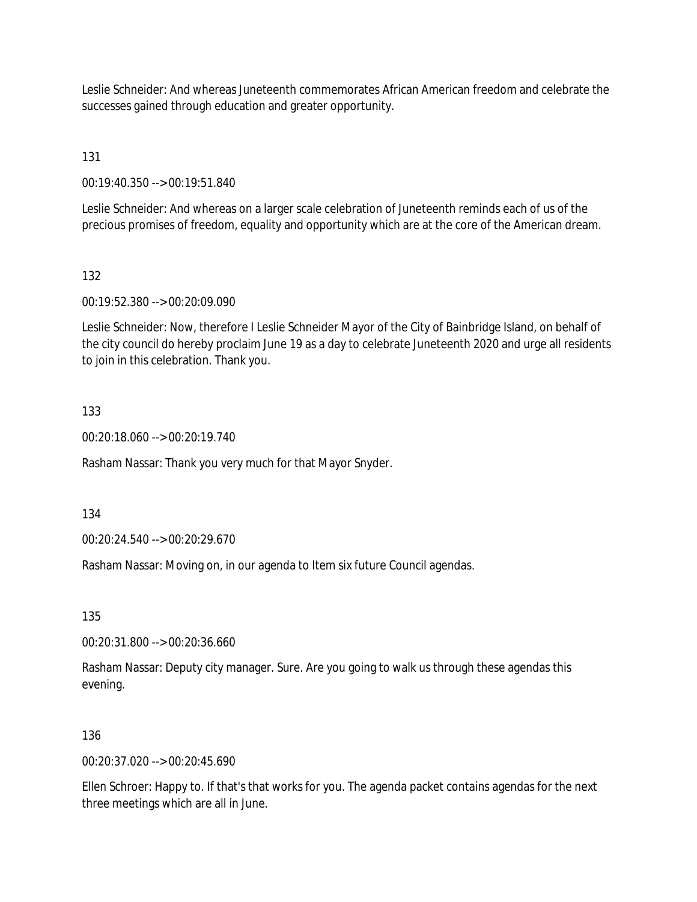Leslie Schneider: And whereas Juneteenth commemorates African American freedom and celebrate the successes gained through education and greater opportunity.

131

00:19:40.350 --> 00:19:51.840

Leslie Schneider: And whereas on a larger scale celebration of Juneteenth reminds each of us of the precious promises of freedom, equality and opportunity which are at the core of the American dream.

132

00:19:52.380 --> 00:20:09.090

Leslie Schneider: Now, therefore I Leslie Schneider Mayor of the City of Bainbridge Island, on behalf of the city council do hereby proclaim June 19 as a day to celebrate Juneteenth 2020 and urge all residents to join in this celebration. Thank you.

### 133

00:20:18.060 --> 00:20:19.740

Rasham Nassar: Thank you very much for that Mayor Snyder.

134

00:20:24.540 --> 00:20:29.670

Rasham Nassar: Moving on, in our agenda to Item six future Council agendas.

135

00:20:31.800 --> 00:20:36.660

Rasham Nassar: Deputy city manager. Sure. Are you going to walk us through these agendas this evening.

### 136

00:20:37.020 --> 00:20:45.690

Ellen Schroer: Happy to. If that's that works for you. The agenda packet contains agendas for the next three meetings which are all in June.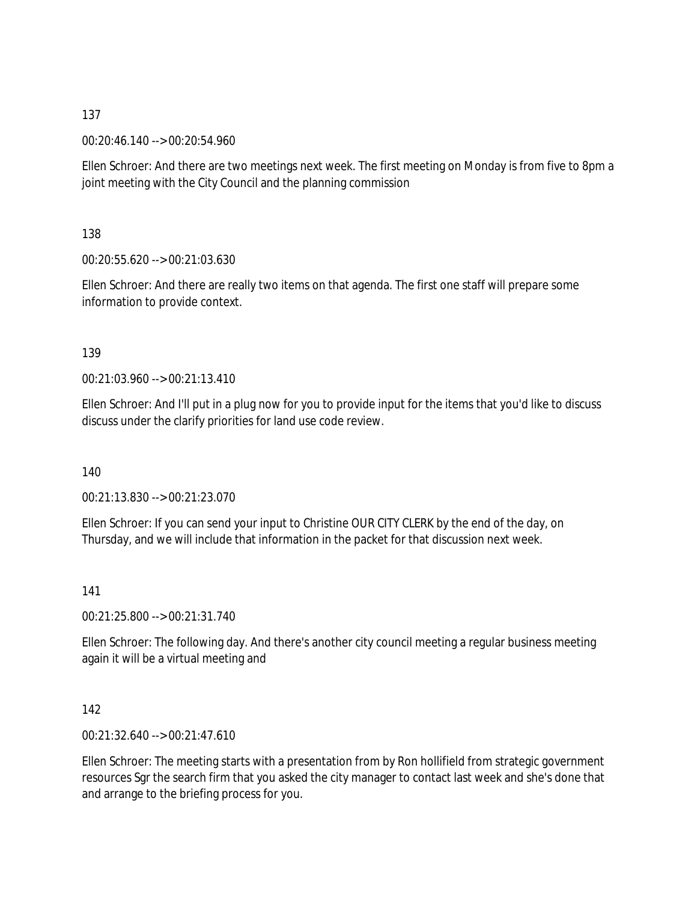00:20:46.140 --> 00:20:54.960

Ellen Schroer: And there are two meetings next week. The first meeting on Monday is from five to 8pm a joint meeting with the City Council and the planning commission

138

00:20:55.620 --> 00:21:03.630

Ellen Schroer: And there are really two items on that agenda. The first one staff will prepare some information to provide context.

139

00:21:03.960 --> 00:21:13.410

Ellen Schroer: And I'll put in a plug now for you to provide input for the items that you'd like to discuss discuss under the clarify priorities for land use code review.

140

00:21:13.830 --> 00:21:23.070

Ellen Schroer: If you can send your input to Christine OUR CITY CLERK by the end of the day, on Thursday, and we will include that information in the packet for that discussion next week.

141

00:21:25.800 --> 00:21:31.740

Ellen Schroer: The following day. And there's another city council meeting a regular business meeting again it will be a virtual meeting and

142

00:21:32.640 --> 00:21:47.610

Ellen Schroer: The meeting starts with a presentation from by Ron hollifield from strategic government resources Sgr the search firm that you asked the city manager to contact last week and she's done that and arrange to the briefing process for you.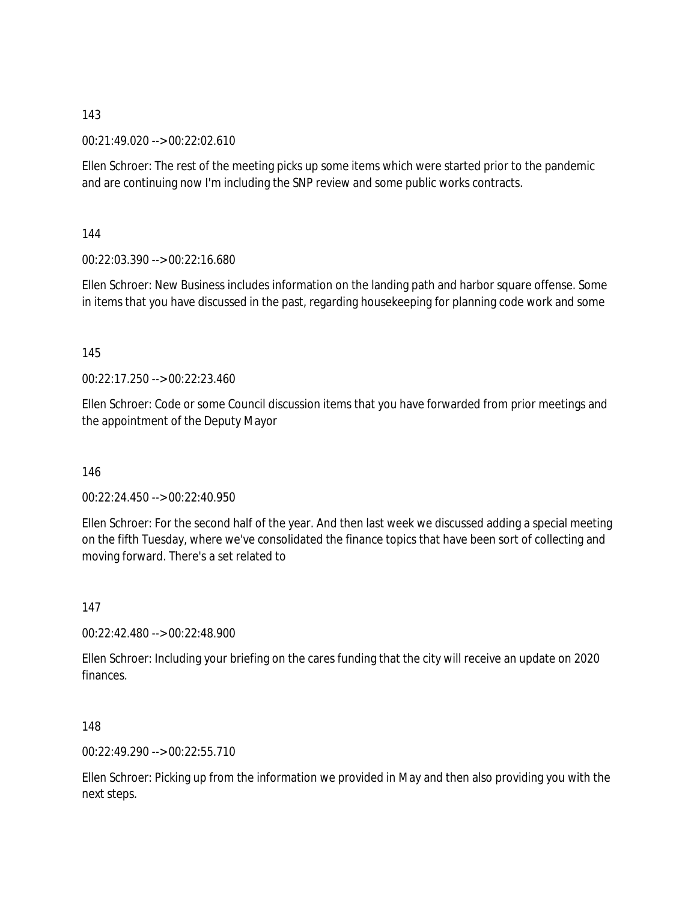00:21:49.020 --> 00:22:02.610

Ellen Schroer: The rest of the meeting picks up some items which were started prior to the pandemic and are continuing now I'm including the SNP review and some public works contracts.

144

00:22:03.390 --> 00:22:16.680

Ellen Schroer: New Business includes information on the landing path and harbor square offense. Some in items that you have discussed in the past, regarding housekeeping for planning code work and some

145

 $00.22.17.250 -500.22.23.460$ 

Ellen Schroer: Code or some Council discussion items that you have forwarded from prior meetings and the appointment of the Deputy Mayor

146

00:22:24.450 --> 00:22:40.950

Ellen Schroer: For the second half of the year. And then last week we discussed adding a special meeting on the fifth Tuesday, where we've consolidated the finance topics that have been sort of collecting and moving forward. There's a set related to

147

00:22:42.480 --> 00:22:48.900

Ellen Schroer: Including your briefing on the cares funding that the city will receive an update on 2020 finances.

148

00:22:49.290 --> 00:22:55.710

Ellen Schroer: Picking up from the information we provided in May and then also providing you with the next steps.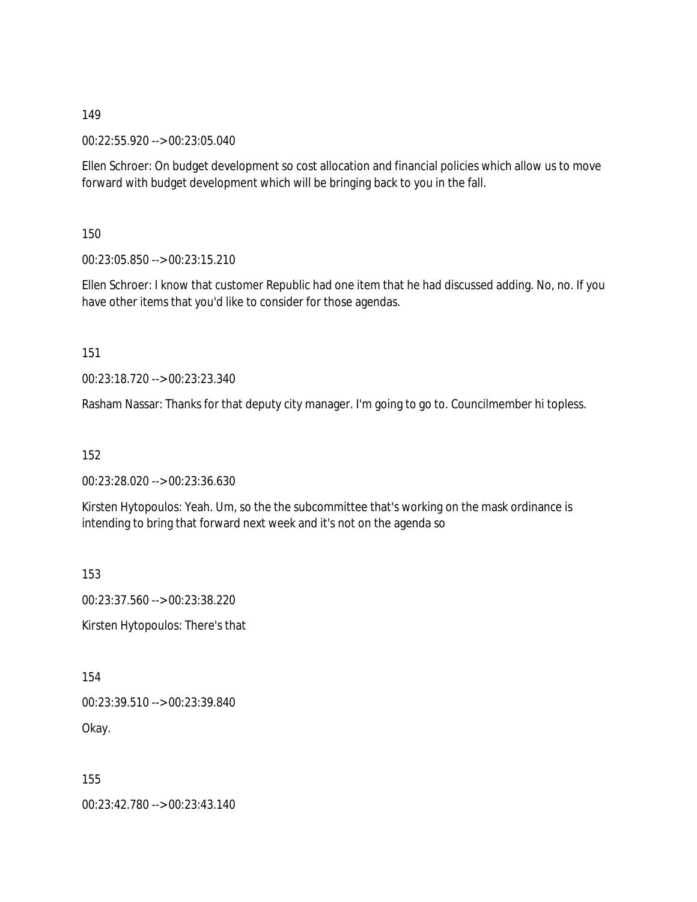00:22:55.920 --> 00:23:05.040

Ellen Schroer: On budget development so cost allocation and financial policies which allow us to move forward with budget development which will be bringing back to you in the fall.

150

00:23:05.850 --> 00:23:15.210

Ellen Schroer: I know that customer Republic had one item that he had discussed adding. No, no. If you have other items that you'd like to consider for those agendas.

151

00:23:18.720 --> 00:23:23.340

Rasham Nassar: Thanks for that deputy city manager. I'm going to go to. Councilmember hi topless.

152

00:23:28.020 --> 00:23:36.630

Kirsten Hytopoulos: Yeah. Um, so the the subcommittee that's working on the mask ordinance is intending to bring that forward next week and it's not on the agenda so

153

00:23:37.560 --> 00:23:38.220 Kirsten Hytopoulos: There's that

154 00:23:39.510 --> 00:23:39.840 Okay.

155

00:23:42.780 --> 00:23:43.140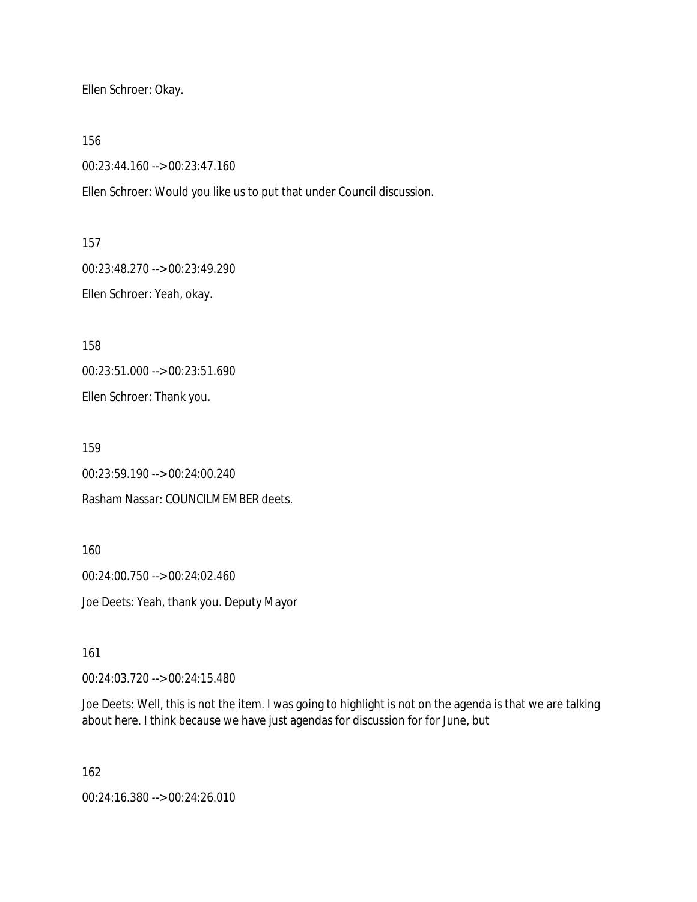Ellen Schroer: Okay.

156

00:23:44.160 --> 00:23:47.160

Ellen Schroer: Would you like us to put that under Council discussion.

157

00:23:48.270 --> 00:23:49.290

Ellen Schroer: Yeah, okay.

158

00:23:51.000 --> 00:23:51.690

Ellen Schroer: Thank you.

159

00:23:59.190 --> 00:24:00.240

Rasham Nassar: COUNCILMEMBER deets.

160

00:24:00.750 --> 00:24:02.460 Joe Deets: Yeah, thank you. Deputy Mayor

161

00:24:03.720 --> 00:24:15.480

Joe Deets: Well, this is not the item. I was going to highlight is not on the agenda is that we are talking about here. I think because we have just agendas for discussion for for June, but

162

00:24:16.380 --> 00:24:26.010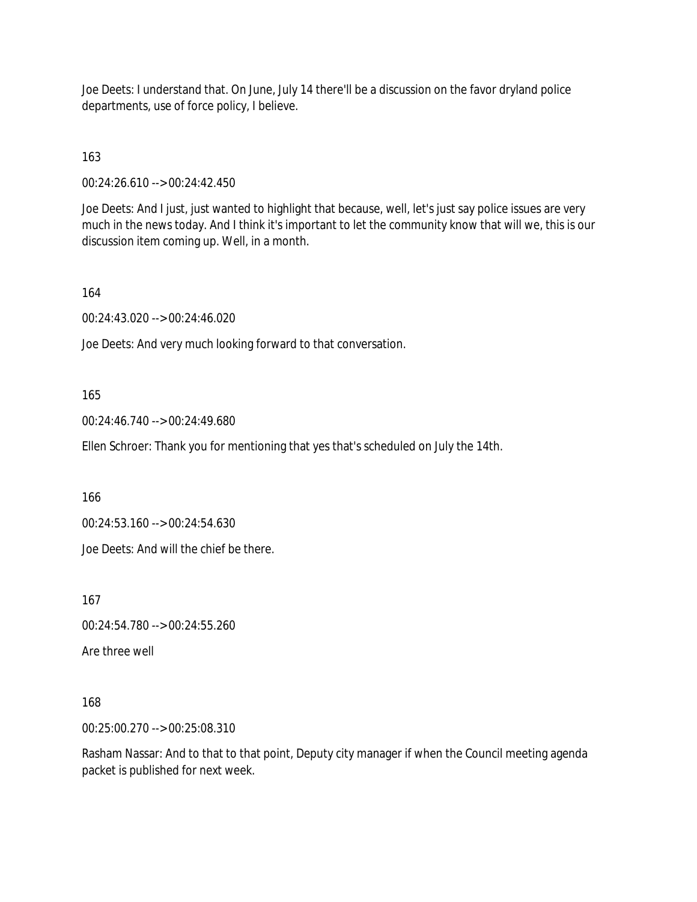Joe Deets: I understand that. On June, July 14 there'll be a discussion on the favor dryland police departments, use of force policy, I believe.

# 163

00:24:26.610 --> 00:24:42.450

Joe Deets: And I just, just wanted to highlight that because, well, let's just say police issues are very much in the news today. And I think it's important to let the community know that will we, this is our discussion item coming up. Well, in a month.

## 164

00:24:43.020 --> 00:24:46.020

Joe Deets: And very much looking forward to that conversation.

## 165

00:24:46.740 --> 00:24:49.680

Ellen Schroer: Thank you for mentioning that yes that's scheduled on July the 14th.

166

00:24:53.160 --> 00:24:54.630

Joe Deets: And will the chief be there.

167

00:24:54.780 --> 00:24:55.260

Are three well

# 168

00:25:00.270 --> 00:25:08.310

Rasham Nassar: And to that to that point, Deputy city manager if when the Council meeting agenda packet is published for next week.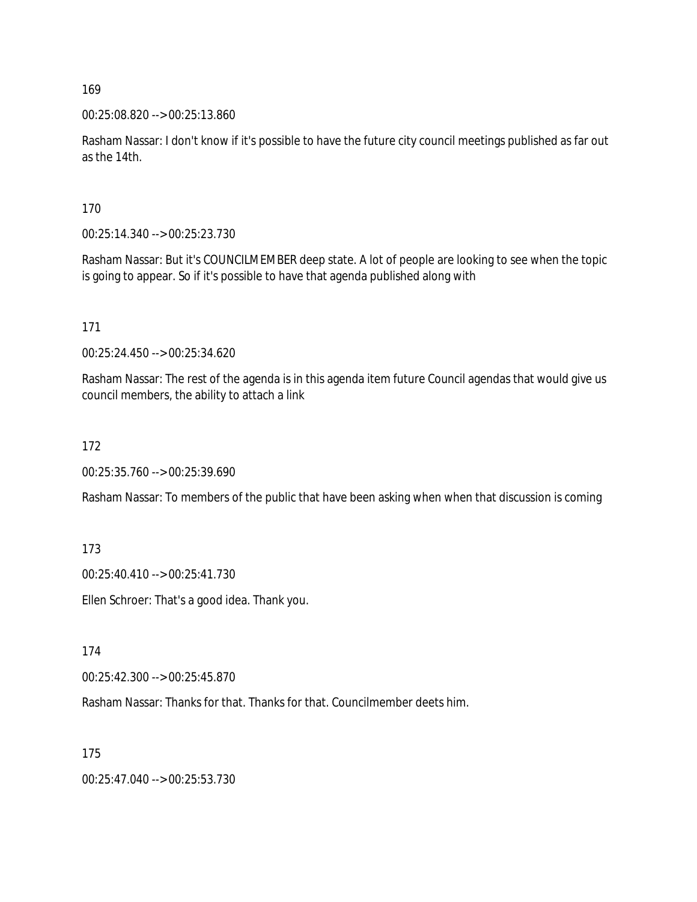00:25:08.820 --> 00:25:13.860

Rasham Nassar: I don't know if it's possible to have the future city council meetings published as far out as the 14th.

170

00:25:14.340 --> 00:25:23.730

Rasham Nassar: But it's COUNCILMEMBER deep state. A lot of people are looking to see when the topic is going to appear. So if it's possible to have that agenda published along with

171

00:25:24.450 --> 00:25:34.620

Rasham Nassar: The rest of the agenda is in this agenda item future Council agendas that would give us council members, the ability to attach a link

172

00:25:35.760 --> 00:25:39.690

Rasham Nassar: To members of the public that have been asking when when that discussion is coming

173

00:25:40.410 --> 00:25:41.730

Ellen Schroer: That's a good idea. Thank you.

174

00:25:42.300 --> 00:25:45.870

Rasham Nassar: Thanks for that. Thanks for that. Councilmember deets him.

175

00:25:47.040 --> 00:25:53.730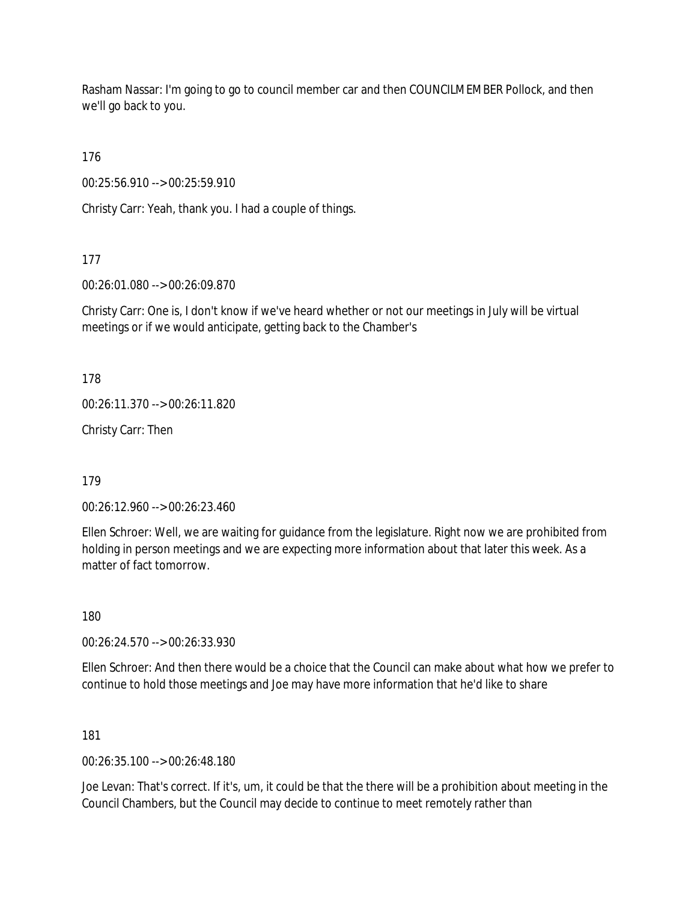Rasham Nassar: I'm going to go to council member car and then COUNCILMEMBER Pollock, and then we'll go back to you.

176

00:25:56.910 --> 00:25:59.910

Christy Carr: Yeah, thank you. I had a couple of things.

177

00:26:01.080 --> 00:26:09.870

Christy Carr: One is, I don't know if we've heard whether or not our meetings in July will be virtual meetings or if we would anticipate, getting back to the Chamber's

178

00:26:11.370 --> 00:26:11.820

Christy Carr: Then

179

00:26:12.960 --> 00:26:23.460

Ellen Schroer: Well, we are waiting for guidance from the legislature. Right now we are prohibited from holding in person meetings and we are expecting more information about that later this week. As a matter of fact tomorrow.

180

00:26:24.570 --> 00:26:33.930

Ellen Schroer: And then there would be a choice that the Council can make about what how we prefer to continue to hold those meetings and Joe may have more information that he'd like to share

181

00:26:35.100 --> 00:26:48.180

Joe Levan: That's correct. If it's, um, it could be that the there will be a prohibition about meeting in the Council Chambers, but the Council may decide to continue to meet remotely rather than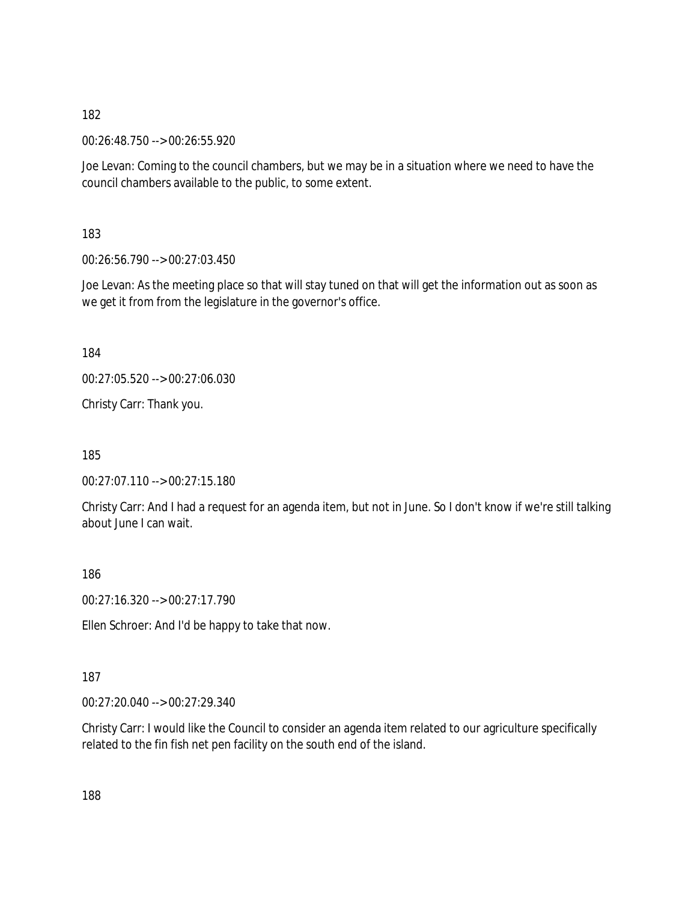00:26:48.750 --> 00:26:55.920

Joe Levan: Coming to the council chambers, but we may be in a situation where we need to have the council chambers available to the public, to some extent.

183

00:26:56.790 --> 00:27:03.450

Joe Levan: As the meeting place so that will stay tuned on that will get the information out as soon as we get it from from the legislature in the governor's office.

184

00:27:05.520 --> 00:27:06.030

Christy Carr: Thank you.

185

00:27:07.110 --> 00:27:15.180

Christy Carr: And I had a request for an agenda item, but not in June. So I don't know if we're still talking about June I can wait.

186

00:27:16.320 --> 00:27:17.790

Ellen Schroer: And I'd be happy to take that now.

187

00:27:20.040 --> 00:27:29.340

Christy Carr: I would like the Council to consider an agenda item related to our agriculture specifically related to the fin fish net pen facility on the south end of the island.

188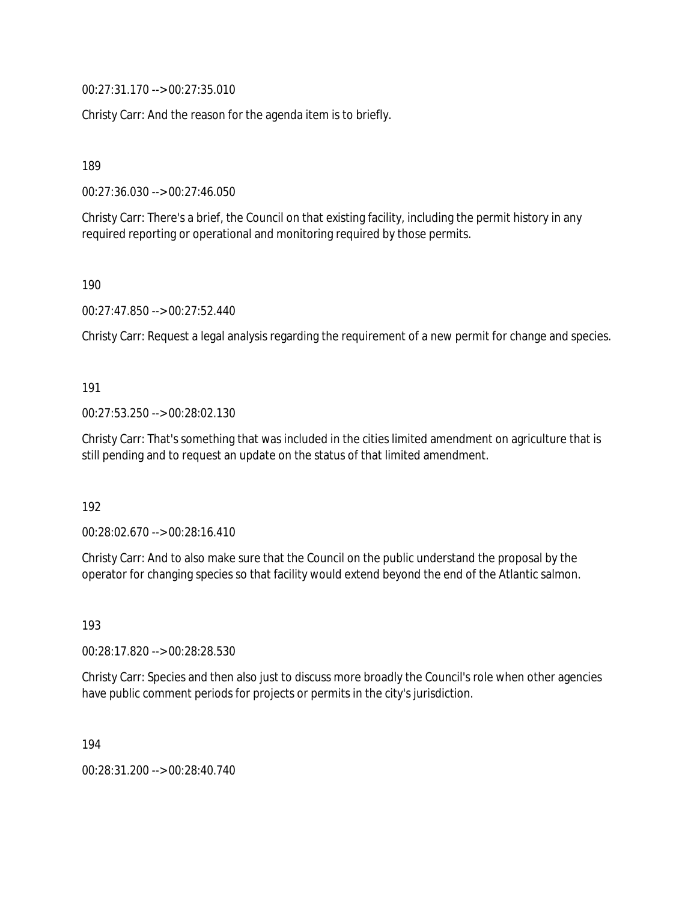00:27:31.170 --> 00:27:35.010

Christy Carr: And the reason for the agenda item is to briefly.

189

00:27:36.030 --> 00:27:46.050

Christy Carr: There's a brief, the Council on that existing facility, including the permit history in any required reporting or operational and monitoring required by those permits.

190

00:27:47.850 --> 00:27:52.440

Christy Carr: Request a legal analysis regarding the requirement of a new permit for change and species.

191

00:27:53.250 --> 00:28:02.130

Christy Carr: That's something that was included in the cities limited amendment on agriculture that is still pending and to request an update on the status of that limited amendment.

192

00:28:02.670 --> 00:28:16.410

Christy Carr: And to also make sure that the Council on the public understand the proposal by the operator for changing species so that facility would extend beyond the end of the Atlantic salmon.

193

00:28:17.820 --> 00:28:28.530

Christy Carr: Species and then also just to discuss more broadly the Council's role when other agencies have public comment periods for projects or permits in the city's jurisdiction.

194

00:28:31.200 --> 00:28:40.740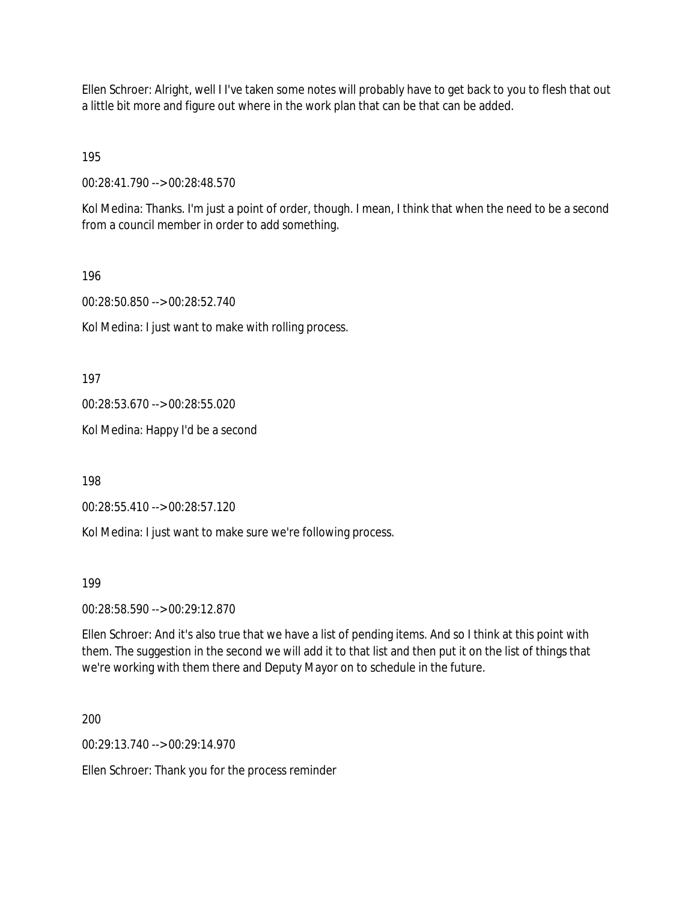Ellen Schroer: Alright, well I I've taken some notes will probably have to get back to you to flesh that out a little bit more and figure out where in the work plan that can be that can be added.

195

00:28:41.790 --> 00:28:48.570

Kol Medina: Thanks. I'm just a point of order, though. I mean, I think that when the need to be a second from a council member in order to add something.

196

00:28:50.850 --> 00:28:52.740

Kol Medina: I just want to make with rolling process.

197

00:28:53.670 --> 00:28:55.020

Kol Medina: Happy I'd be a second

198

00:28:55.410 --> 00:28:57.120

Kol Medina: I just want to make sure we're following process.

199

00:28:58.590 --> 00:29:12.870

Ellen Schroer: And it's also true that we have a list of pending items. And so I think at this point with them. The suggestion in the second we will add it to that list and then put it on the list of things that we're working with them there and Deputy Mayor on to schedule in the future.

200

00:29:13.740 --> 00:29:14.970

Ellen Schroer: Thank you for the process reminder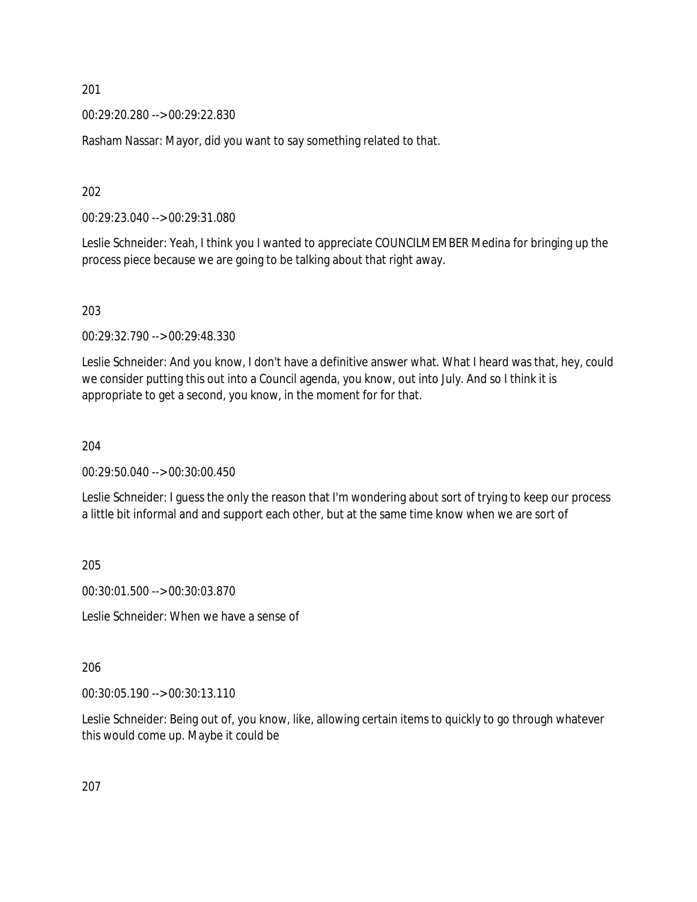00:29:20.280 --> 00:29:22.830

Rasham Nassar: Mayor, did you want to say something related to that.

202

00:29:23.040 --> 00:29:31.080

Leslie Schneider: Yeah, I think you I wanted to appreciate COUNCILMEMBER Medina for bringing up the process piece because we are going to be talking about that right away.

203

00:29:32.790 --> 00:29:48.330

Leslie Schneider: And you know, I don't have a definitive answer what. What I heard was that, hey, could we consider putting this out into a Council agenda, you know, out into July. And so I think it is appropriate to get a second, you know, in the moment for for that.

204

00:29:50.040 --> 00:30:00.450

Leslie Schneider: I guess the only the reason that I'm wondering about sort of trying to keep our process a little bit informal and and support each other, but at the same time know when we are sort of

205

00:30:01.500 --> 00:30:03.870

Leslie Schneider: When we have a sense of

206

00:30:05.190 --> 00:30:13.110

Leslie Schneider: Being out of, you know, like, allowing certain items to quickly to go through whatever this would come up. Maybe it could be

207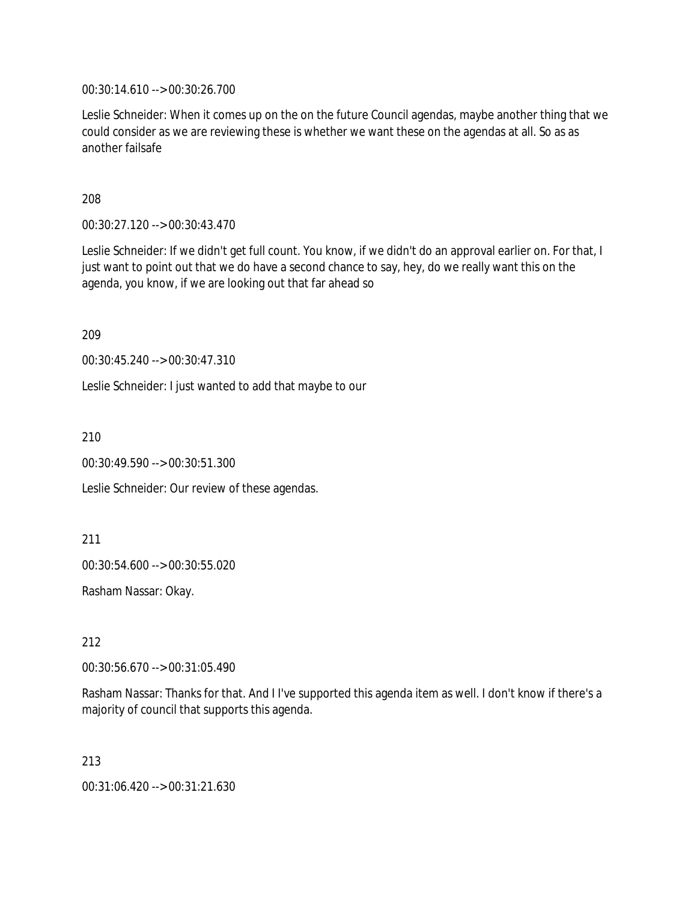00:30:14.610 --> 00:30:26.700

Leslie Schneider: When it comes up on the on the future Council agendas, maybe another thing that we could consider as we are reviewing these is whether we want these on the agendas at all. So as as another failsafe

208

00:30:27.120 --> 00:30:43.470

Leslie Schneider: If we didn't get full count. You know, if we didn't do an approval earlier on. For that, I just want to point out that we do have a second chance to say, hey, do we really want this on the agenda, you know, if we are looking out that far ahead so

209

00:30:45.240 --> 00:30:47.310

Leslie Schneider: I just wanted to add that maybe to our

210

00:30:49.590 --> 00:30:51.300

Leslie Schneider: Our review of these agendas.

211

00:30:54.600 --> 00:30:55.020

Rasham Nassar: Okay.

212

00:30:56.670 --> 00:31:05.490

Rasham Nassar: Thanks for that. And I I've supported this agenda item as well. I don't know if there's a majority of council that supports this agenda.

213

00:31:06.420 --> 00:31:21.630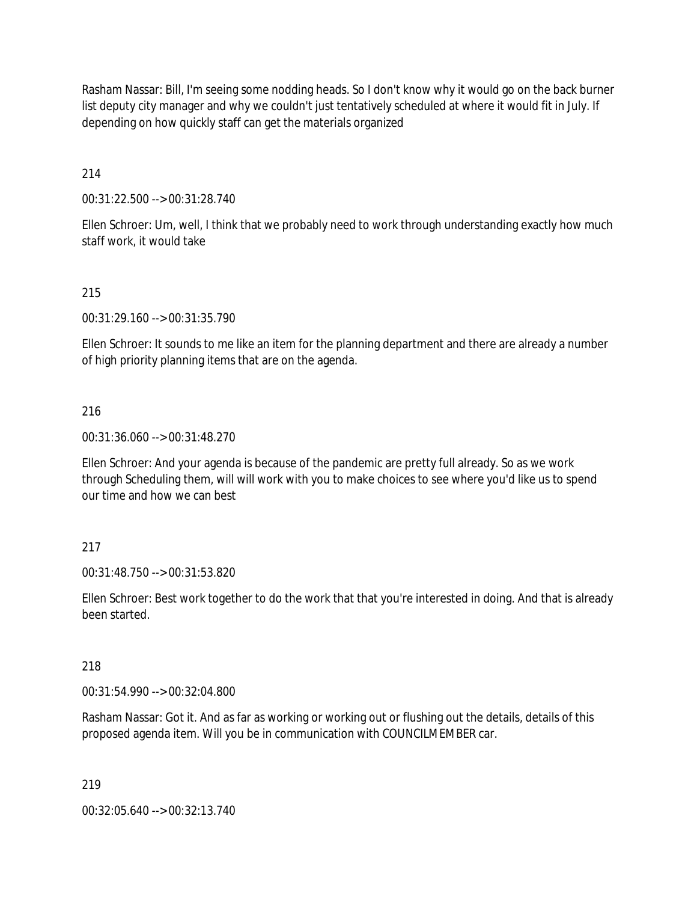Rasham Nassar: Bill, I'm seeing some nodding heads. So I don't know why it would go on the back burner list deputy city manager and why we couldn't just tentatively scheduled at where it would fit in July. If depending on how quickly staff can get the materials organized

214

00:31:22.500 --> 00:31:28.740

Ellen Schroer: Um, well, I think that we probably need to work through understanding exactly how much staff work, it would take

## 215

00:31:29.160 --> 00:31:35.790

Ellen Schroer: It sounds to me like an item for the planning department and there are already a number of high priority planning items that are on the agenda.

### 216

00:31:36.060 --> 00:31:48.270

Ellen Schroer: And your agenda is because of the pandemic are pretty full already. So as we work through Scheduling them, will will work with you to make choices to see where you'd like us to spend our time and how we can best

### 217

00:31:48.750 --> 00:31:53.820

Ellen Schroer: Best work together to do the work that that you're interested in doing. And that is already been started.

### 218

00:31:54.990 --> 00:32:04.800

Rasham Nassar: Got it. And as far as working or working out or flushing out the details, details of this proposed agenda item. Will you be in communication with COUNCILMEMBER car.

### 219

00:32:05.640 --> 00:32:13.740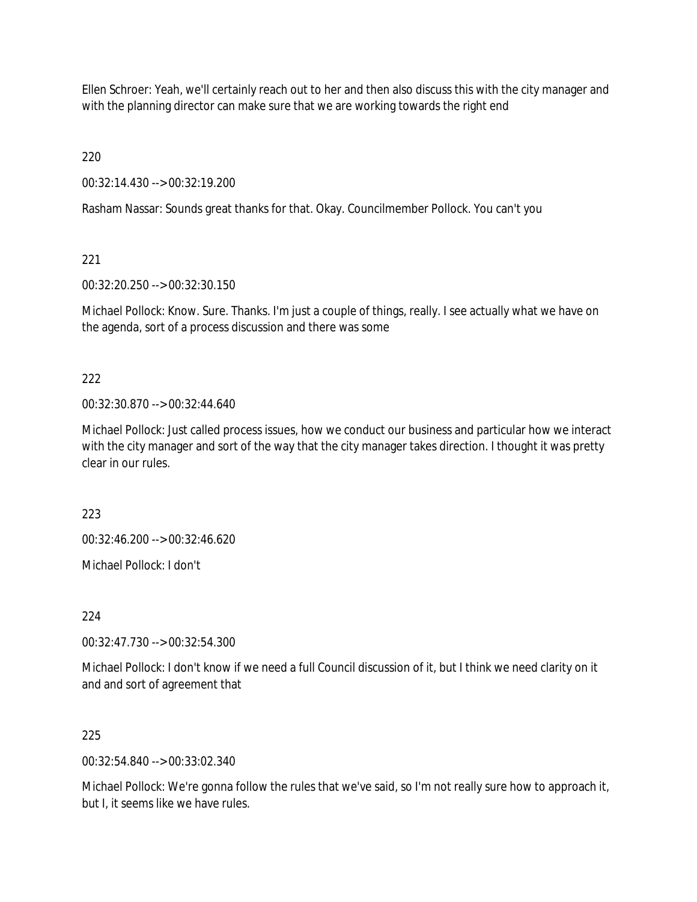Ellen Schroer: Yeah, we'll certainly reach out to her and then also discuss this with the city manager and with the planning director can make sure that we are working towards the right end

220

00:32:14.430 --> 00:32:19.200

Rasham Nassar: Sounds great thanks for that. Okay. Councilmember Pollock. You can't you

221

00:32:20.250 --> 00:32:30.150

Michael Pollock: Know. Sure. Thanks. I'm just a couple of things, really. I see actually what we have on the agenda, sort of a process discussion and there was some

222

00:32:30.870 --> 00:32:44.640

Michael Pollock: Just called process issues, how we conduct our business and particular how we interact with the city manager and sort of the way that the city manager takes direction. I thought it was pretty clear in our rules.

223

00:32:46.200 --> 00:32:46.620

Michael Pollock: I don't

224

00:32:47.730 --> 00:32:54.300

Michael Pollock: I don't know if we need a full Council discussion of it, but I think we need clarity on it and and sort of agreement that

225

00:32:54.840 --> 00:33:02.340

Michael Pollock: We're gonna follow the rules that we've said, so I'm not really sure how to approach it, but I, it seems like we have rules.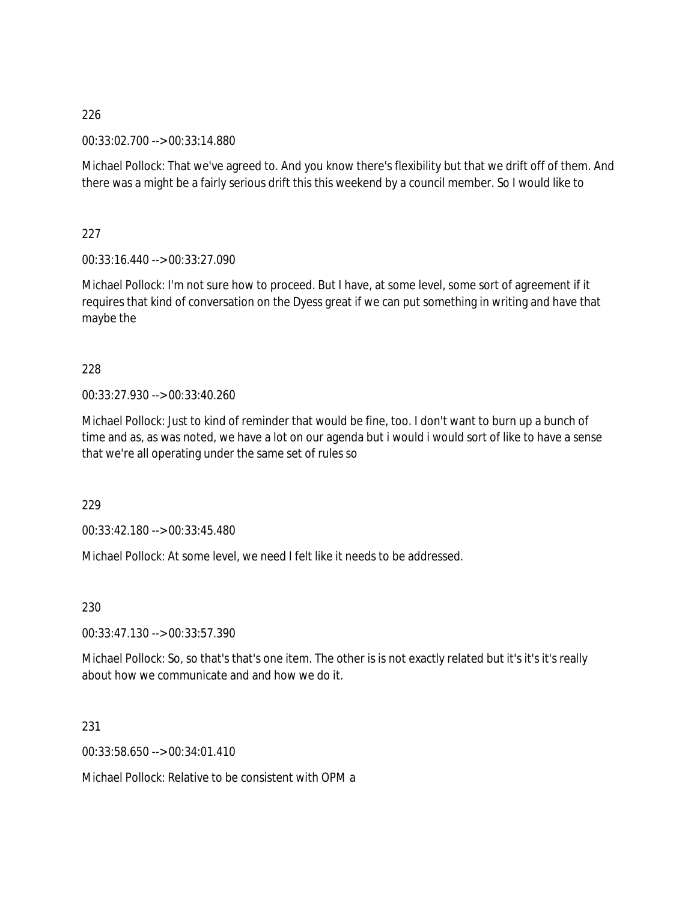00:33:02.700 --> 00:33:14.880

Michael Pollock: That we've agreed to. And you know there's flexibility but that we drift off of them. And there was a might be a fairly serious drift this this weekend by a council member. So I would like to

227

00:33:16.440 --> 00:33:27.090

Michael Pollock: I'm not sure how to proceed. But I have, at some level, some sort of agreement if it requires that kind of conversation on the Dyess great if we can put something in writing and have that maybe the

228

00:33:27.930 --> 00:33:40.260

Michael Pollock: Just to kind of reminder that would be fine, too. I don't want to burn up a bunch of time and as, as was noted, we have a lot on our agenda but i would i would sort of like to have a sense that we're all operating under the same set of rules so

229

00:33:42.180 --> 00:33:45.480

Michael Pollock: At some level, we need I felt like it needs to be addressed.

230

00:33:47.130 --> 00:33:57.390

Michael Pollock: So, so that's that's one item. The other is is not exactly related but it's it's it's really about how we communicate and and how we do it.

231

00:33:58.650 --> 00:34:01.410

Michael Pollock: Relative to be consistent with OPM a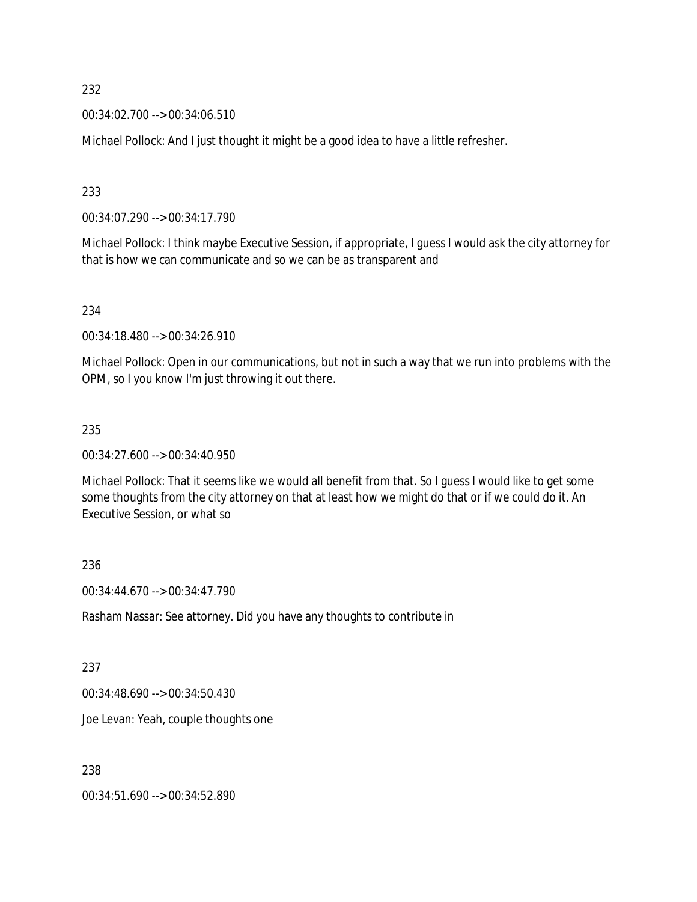00:34:02.700 --> 00:34:06.510

Michael Pollock: And I just thought it might be a good idea to have a little refresher.

233

00:34:07.290 --> 00:34:17.790

Michael Pollock: I think maybe Executive Session, if appropriate, I guess I would ask the city attorney for that is how we can communicate and so we can be as transparent and

234

00:34:18.480 --> 00:34:26.910

Michael Pollock: Open in our communications, but not in such a way that we run into problems with the OPM, so I you know I'm just throwing it out there.

### 235

00:34:27.600 --> 00:34:40.950

Michael Pollock: That it seems like we would all benefit from that. So I guess I would like to get some some thoughts from the city attorney on that at least how we might do that or if we could do it. An Executive Session, or what so

### 236

00:34:44.670 --> 00:34:47.790

Rasham Nassar: See attorney. Did you have any thoughts to contribute in

### 237

00:34:48.690 --> 00:34:50.430

Joe Levan: Yeah, couple thoughts one

238

00:34:51.690 --> 00:34:52.890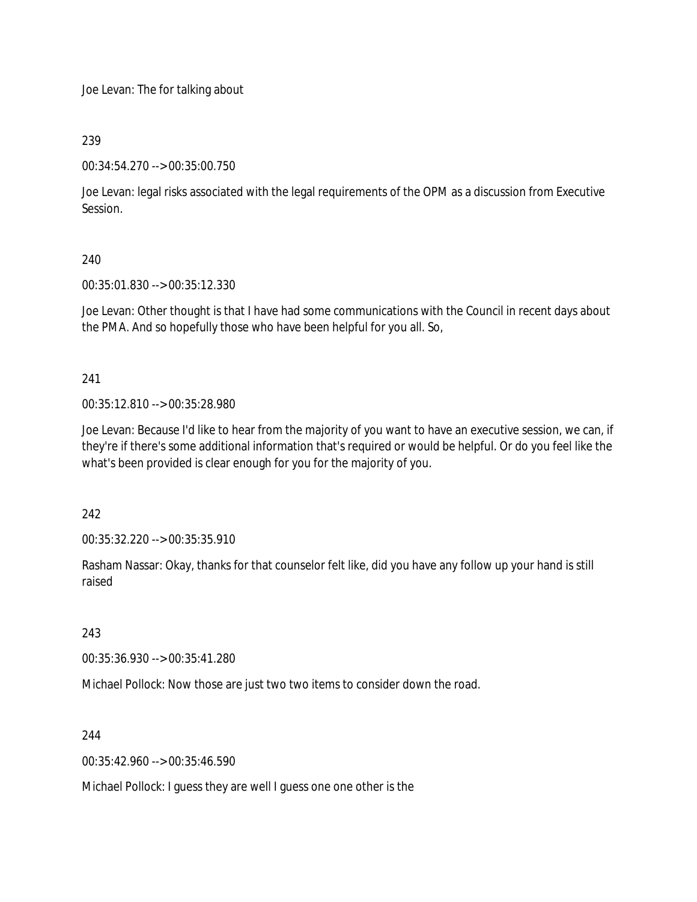Joe Levan: The for talking about

# 239

00:34:54.270 --> 00:35:00.750

Joe Levan: legal risks associated with the legal requirements of the OPM as a discussion from Executive Session.

# 240

00:35:01.830 --> 00:35:12.330

Joe Levan: Other thought is that I have had some communications with the Council in recent days about the PMA. And so hopefully those who have been helpful for you all. So,

# 241

00:35:12.810 --> 00:35:28.980

Joe Levan: Because I'd like to hear from the majority of you want to have an executive session, we can, if they're if there's some additional information that's required or would be helpful. Or do you feel like the what's been provided is clear enough for you for the majority of you.

242

00:35:32.220 --> 00:35:35.910

Rasham Nassar: Okay, thanks for that counselor felt like, did you have any follow up your hand is still raised

243

00:35:36.930 --> 00:35:41.280

Michael Pollock: Now those are just two two items to consider down the road.

244

00:35:42.960 --> 00:35:46.590

Michael Pollock: I guess they are well I guess one one other is the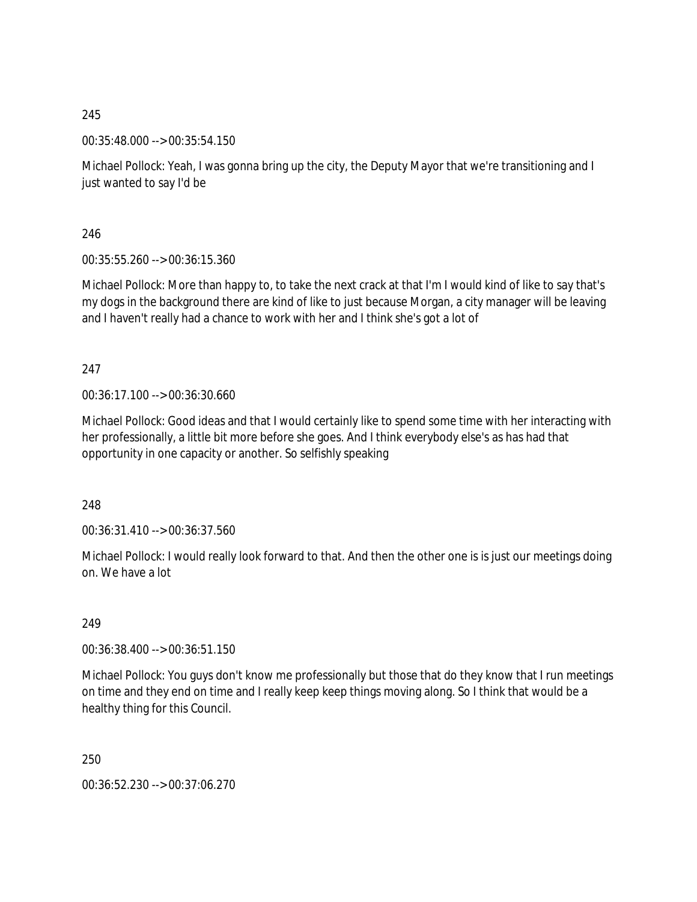00:35:48.000 --> 00:35:54.150

Michael Pollock: Yeah, I was gonna bring up the city, the Deputy Mayor that we're transitioning and I just wanted to say I'd be

246

00:35:55.260 --> 00:36:15.360

Michael Pollock: More than happy to, to take the next crack at that I'm I would kind of like to say that's my dogs in the background there are kind of like to just because Morgan, a city manager will be leaving and I haven't really had a chance to work with her and I think she's got a lot of

247

00:36:17.100 --> 00:36:30.660

Michael Pollock: Good ideas and that I would certainly like to spend some time with her interacting with her professionally, a little bit more before she goes. And I think everybody else's as has had that opportunity in one capacity or another. So selfishly speaking

248

00:36:31.410 --> 00:36:37.560

Michael Pollock: I would really look forward to that. And then the other one is is just our meetings doing on. We have a lot

249

00:36:38.400 --> 00:36:51.150

Michael Pollock: You guys don't know me professionally but those that do they know that I run meetings on time and they end on time and I really keep keep things moving along. So I think that would be a healthy thing for this Council.

250

00:36:52.230 --> 00:37:06.270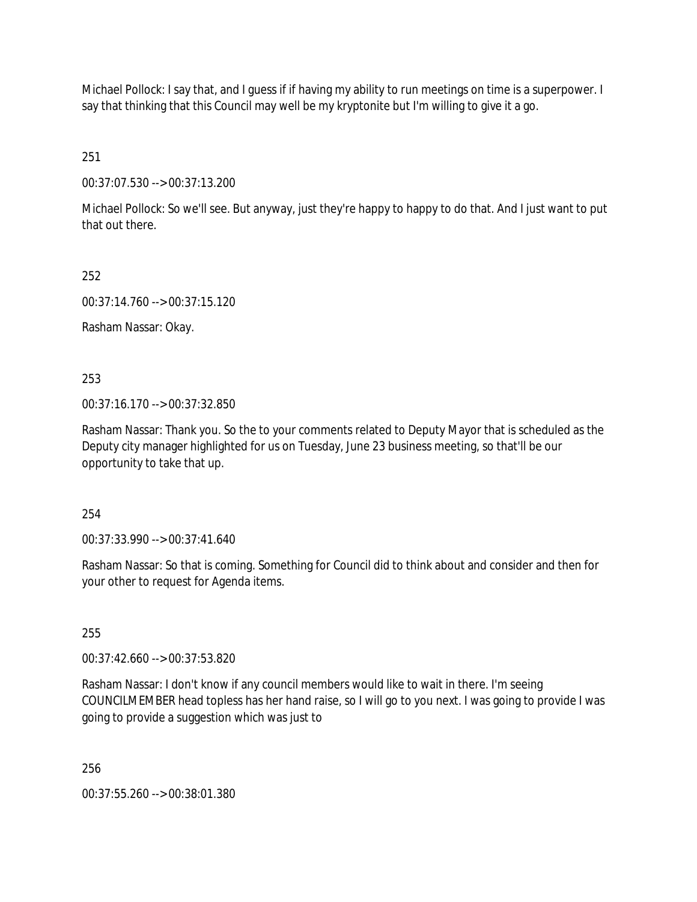Michael Pollock: I say that, and I guess if if having my ability to run meetings on time is a superpower. I say that thinking that this Council may well be my kryptonite but I'm willing to give it a go.

251

00:37:07.530 --> 00:37:13.200

Michael Pollock: So we'll see. But anyway, just they're happy to happy to do that. And I just want to put that out there.

252

00:37:14.760 --> 00:37:15.120

Rasham Nassar: Okay.

253

00:37:16.170 --> 00:37:32.850

Rasham Nassar: Thank you. So the to your comments related to Deputy Mayor that is scheduled as the Deputy city manager highlighted for us on Tuesday, June 23 business meeting, so that'll be our opportunity to take that up.

254

00:37:33.990 --> 00:37:41.640

Rasham Nassar: So that is coming. Something for Council did to think about and consider and then for your other to request for Agenda items.

255

00:37:42.660 --> 00:37:53.820

Rasham Nassar: I don't know if any council members would like to wait in there. I'm seeing COUNCILMEMBER head topless has her hand raise, so I will go to you next. I was going to provide I was going to provide a suggestion which was just to

256

00:37:55.260 --> 00:38:01.380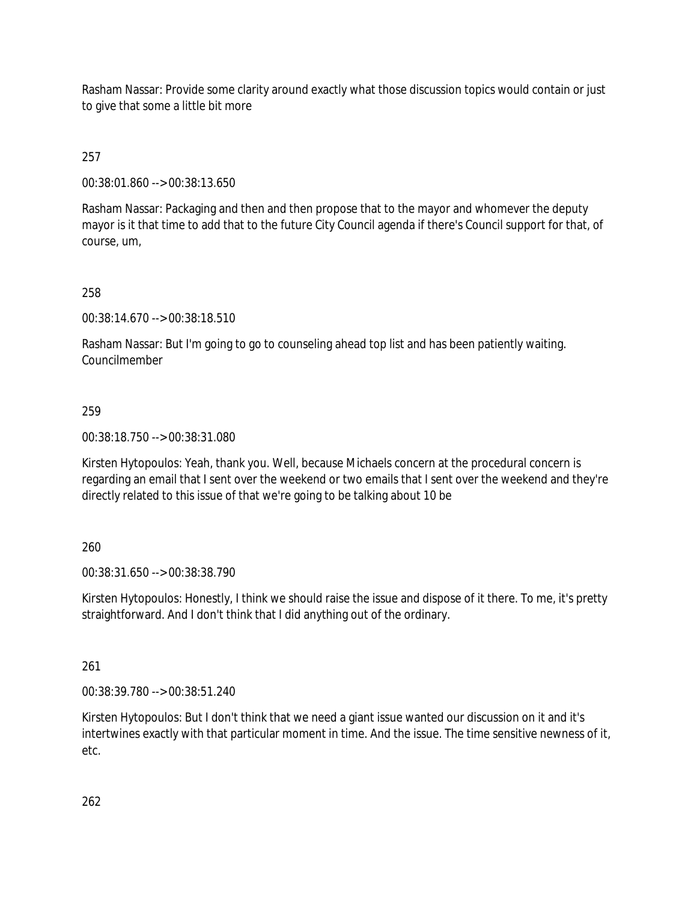Rasham Nassar: Provide some clarity around exactly what those discussion topics would contain or just to give that some a little bit more

# 257

00:38:01.860 --> 00:38:13.650

Rasham Nassar: Packaging and then and then propose that to the mayor and whomever the deputy mayor is it that time to add that to the future City Council agenda if there's Council support for that, of course, um,

# 258

00:38:14.670 --> 00:38:18.510

Rasham Nassar: But I'm going to go to counseling ahead top list and has been patiently waiting. Councilmember

# 259

00:38:18.750 --> 00:38:31.080

Kirsten Hytopoulos: Yeah, thank you. Well, because Michaels concern at the procedural concern is regarding an email that I sent over the weekend or two emails that I sent over the weekend and they're directly related to this issue of that we're going to be talking about 10 be

### 260

00:38:31.650 --> 00:38:38.790

Kirsten Hytopoulos: Honestly, I think we should raise the issue and dispose of it there. To me, it's pretty straightforward. And I don't think that I did anything out of the ordinary.

# 261

00:38:39.780 --> 00:38:51.240

Kirsten Hytopoulos: But I don't think that we need a giant issue wanted our discussion on it and it's intertwines exactly with that particular moment in time. And the issue. The time sensitive newness of it, etc.

262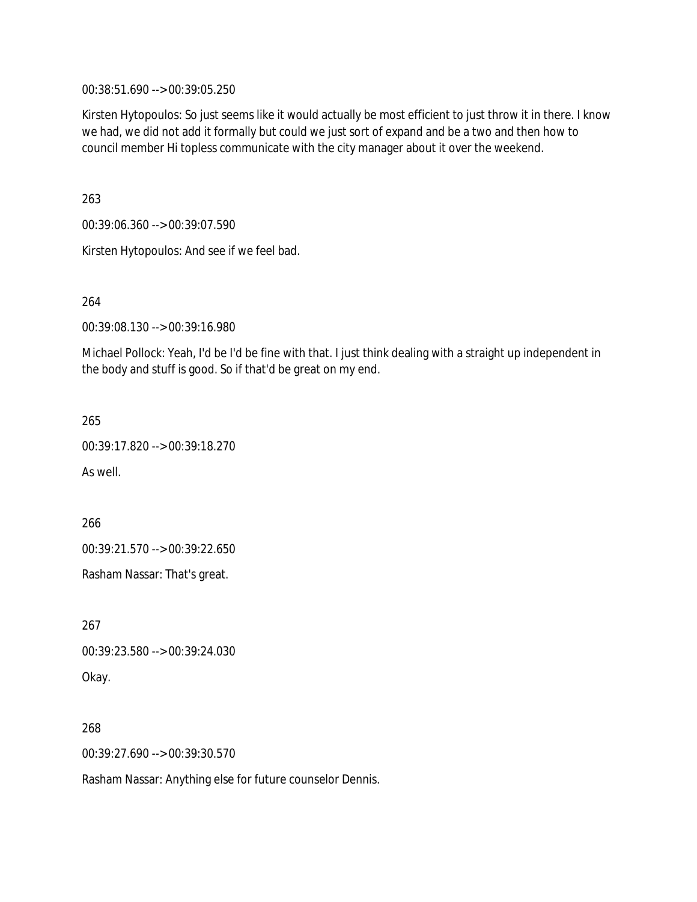00:38:51.690 --> 00:39:05.250

Kirsten Hytopoulos: So just seems like it would actually be most efficient to just throw it in there. I know we had, we did not add it formally but could we just sort of expand and be a two and then how to council member Hi topless communicate with the city manager about it over the weekend.

263

00:39:06.360 --> 00:39:07.590

Kirsten Hytopoulos: And see if we feel bad.

264

00:39:08.130 --> 00:39:16.980

Michael Pollock: Yeah, I'd be I'd be fine with that. I just think dealing with a straight up independent in the body and stuff is good. So if that'd be great on my end.

265

00:39:17.820 --> 00:39:18.270

As well.

266

00:39:21.570 --> 00:39:22.650

Rasham Nassar: That's great.

267 00:39:23.580 --> 00:39:24.030 Okay.

268 00:39:27.690 --> 00:39:30.570

Rasham Nassar: Anything else for future counselor Dennis.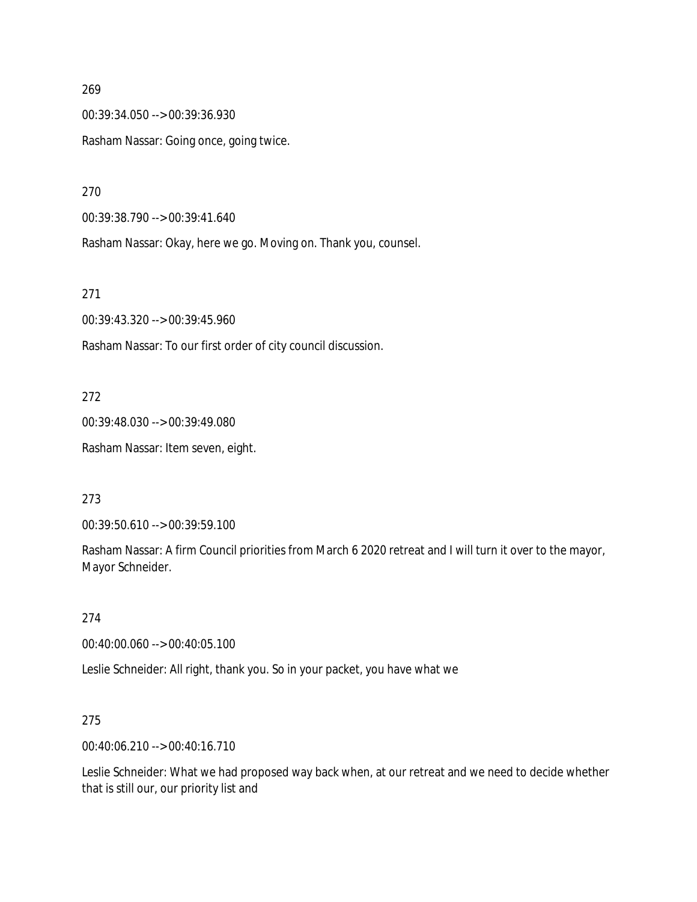00:39:34.050 --> 00:39:36.930 Rasham Nassar: Going once, going twice.

270

00:39:38.790 --> 00:39:41.640

Rasham Nassar: Okay, here we go. Moving on. Thank you, counsel.

271

00:39:43.320 --> 00:39:45.960

Rasham Nassar: To our first order of city council discussion.

272

00:39:48.030 --> 00:39:49.080 Rasham Nassar: Item seven, eight.

273

00:39:50.610 --> 00:39:59.100

Rasham Nassar: A firm Council priorities from March 6 2020 retreat and I will turn it over to the mayor, Mayor Schneider.

274

00:40:00.060 --> 00:40:05.100

Leslie Schneider: All right, thank you. So in your packet, you have what we

275

00:40:06.210 --> 00:40:16.710

Leslie Schneider: What we had proposed way back when, at our retreat and we need to decide whether that is still our, our priority list and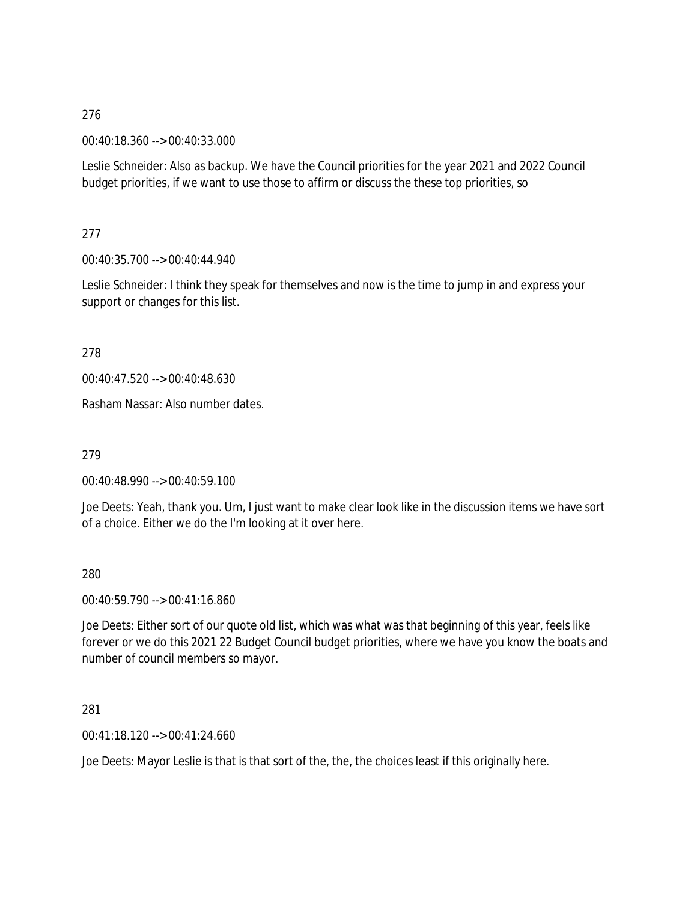00:40:18.360 --> 00:40:33.000

Leslie Schneider: Also as backup. We have the Council priorities for the year 2021 and 2022 Council budget priorities, if we want to use those to affirm or discuss the these top priorities, so

277

00:40:35.700 --> 00:40:44.940

Leslie Schneider: I think they speak for themselves and now is the time to jump in and express your support or changes for this list.

278

00:40:47.520 --> 00:40:48.630

Rasham Nassar: Also number dates.

279

00:40:48.990 --> 00:40:59.100

Joe Deets: Yeah, thank you. Um, I just want to make clear look like in the discussion items we have sort of a choice. Either we do the I'm looking at it over here.

280

00:40:59.790 --> 00:41:16.860

Joe Deets: Either sort of our quote old list, which was what was that beginning of this year, feels like forever or we do this 2021 22 Budget Council budget priorities, where we have you know the boats and number of council members so mayor.

281

00:41:18.120 --> 00:41:24.660

Joe Deets: Mayor Leslie is that is that sort of the, the, the choices least if this originally here.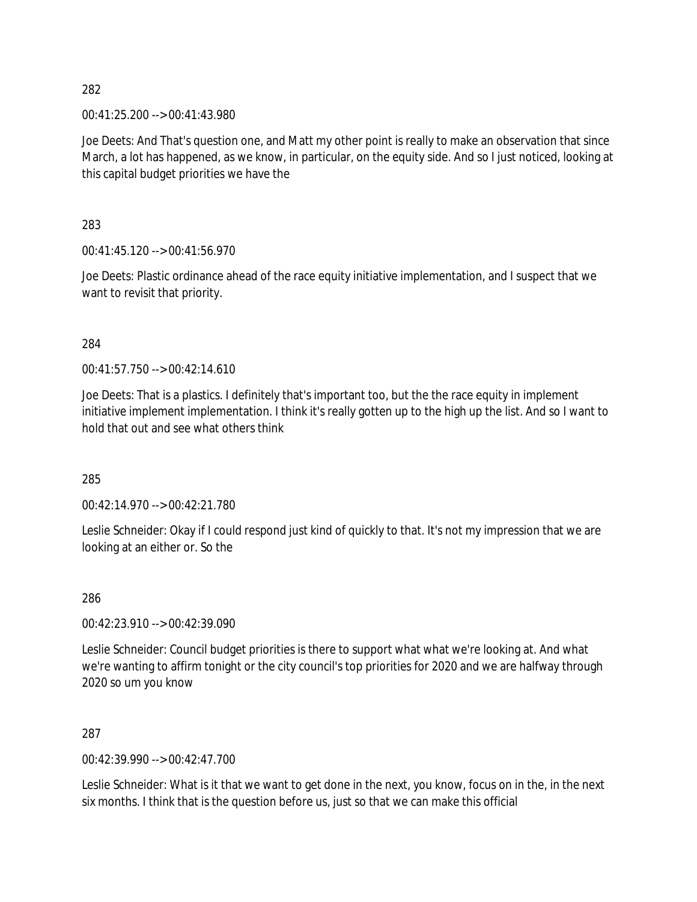00:41:25.200 --> 00:41:43.980

Joe Deets: And That's question one, and Matt my other point is really to make an observation that since March, a lot has happened, as we know, in particular, on the equity side. And so I just noticed, looking at this capital budget priorities we have the

283

00:41:45.120 --> 00:41:56.970

Joe Deets: Plastic ordinance ahead of the race equity initiative implementation, and I suspect that we want to revisit that priority.

### 284

00:41:57.750 --> 00:42:14.610

Joe Deets: That is a plastics. I definitely that's important too, but the the race equity in implement initiative implement implementation. I think it's really gotten up to the high up the list. And so I want to hold that out and see what others think

285

 $0.42:14.970 \rightarrow 0.01:42:21.780$ 

Leslie Schneider: Okay if I could respond just kind of quickly to that. It's not my impression that we are looking at an either or. So the

286

00:42:23.910 --> 00:42:39.090

Leslie Schneider: Council budget priorities is there to support what what we're looking at. And what we're wanting to affirm tonight or the city council's top priorities for 2020 and we are halfway through 2020 so um you know

287

00:42:39.990 --> 00:42:47.700

Leslie Schneider: What is it that we want to get done in the next, you know, focus on in the, in the next six months. I think that is the question before us, just so that we can make this official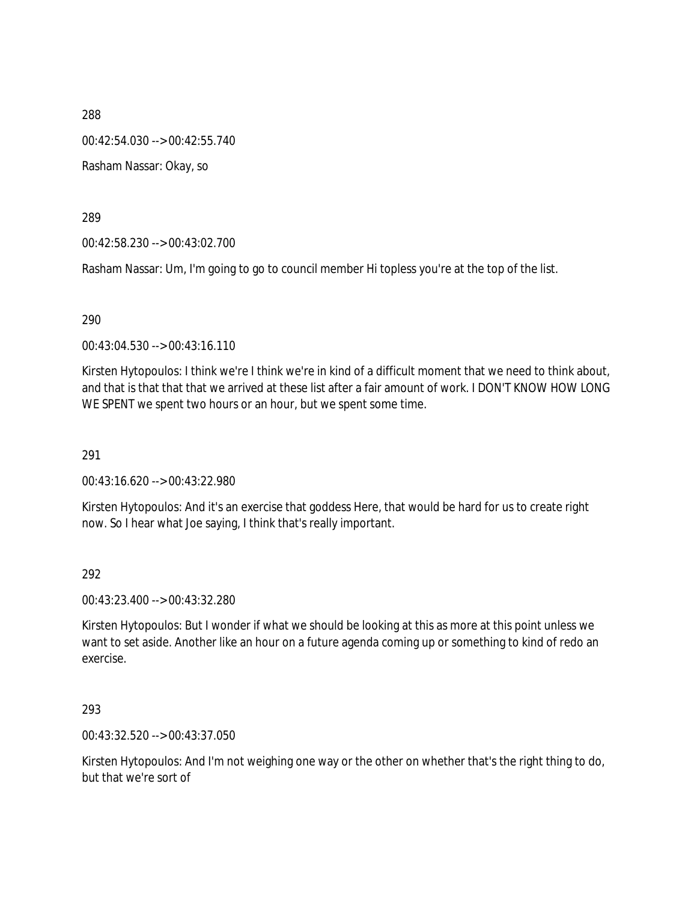00:42:54.030 --> 00:42:55.740

Rasham Nassar: Okay, so

289

00:42:58.230 --> 00:43:02.700

Rasham Nassar: Um, I'm going to go to council member Hi topless you're at the top of the list.

### 290

00:43:04.530 --> 00:43:16.110

Kirsten Hytopoulos: I think we're I think we're in kind of a difficult moment that we need to think about, and that is that that that we arrived at these list after a fair amount of work. I DON'T KNOW HOW LONG WE SPENT we spent two hours or an hour, but we spent some time.

291

00:43:16.620 --> 00:43:22.980

Kirsten Hytopoulos: And it's an exercise that goddess Here, that would be hard for us to create right now. So I hear what Joe saying, I think that's really important.

292

00:43:23.400 --> 00:43:32.280

Kirsten Hytopoulos: But I wonder if what we should be looking at this as more at this point unless we want to set aside. Another like an hour on a future agenda coming up or something to kind of redo an exercise.

### 293

00:43:32.520 --> 00:43:37.050

Kirsten Hytopoulos: And I'm not weighing one way or the other on whether that's the right thing to do, but that we're sort of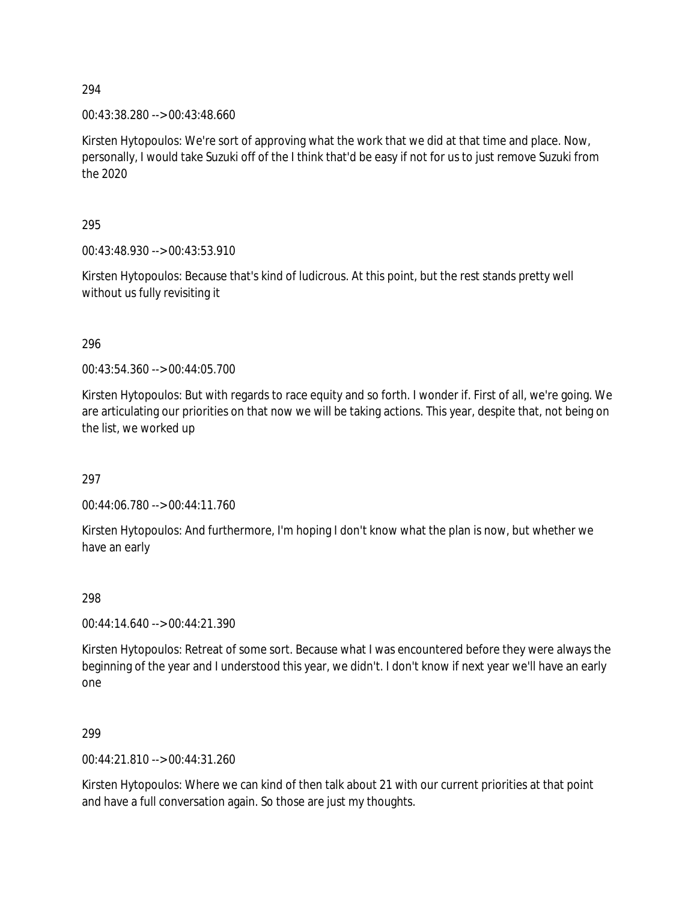00:43:38.280 --> 00:43:48.660

Kirsten Hytopoulos: We're sort of approving what the work that we did at that time and place. Now, personally, I would take Suzuki off of the I think that'd be easy if not for us to just remove Suzuki from the 2020

295

00:43:48.930 --> 00:43:53.910

Kirsten Hytopoulos: Because that's kind of ludicrous. At this point, but the rest stands pretty well without us fully revisiting it

296

00:43:54.360 --> 00:44:05.700

Kirsten Hytopoulos: But with regards to race equity and so forth. I wonder if. First of all, we're going. We are articulating our priorities on that now we will be taking actions. This year, despite that, not being on the list, we worked up

297

00:44:06.780 --> 00:44:11.760

Kirsten Hytopoulos: And furthermore, I'm hoping I don't know what the plan is now, but whether we have an early

298

00:44:14.640 --> 00:44:21.390

Kirsten Hytopoulos: Retreat of some sort. Because what I was encountered before they were always the beginning of the year and I understood this year, we didn't. I don't know if next year we'll have an early one

299

00:44:21.810 --> 00:44:31.260

Kirsten Hytopoulos: Where we can kind of then talk about 21 with our current priorities at that point and have a full conversation again. So those are just my thoughts.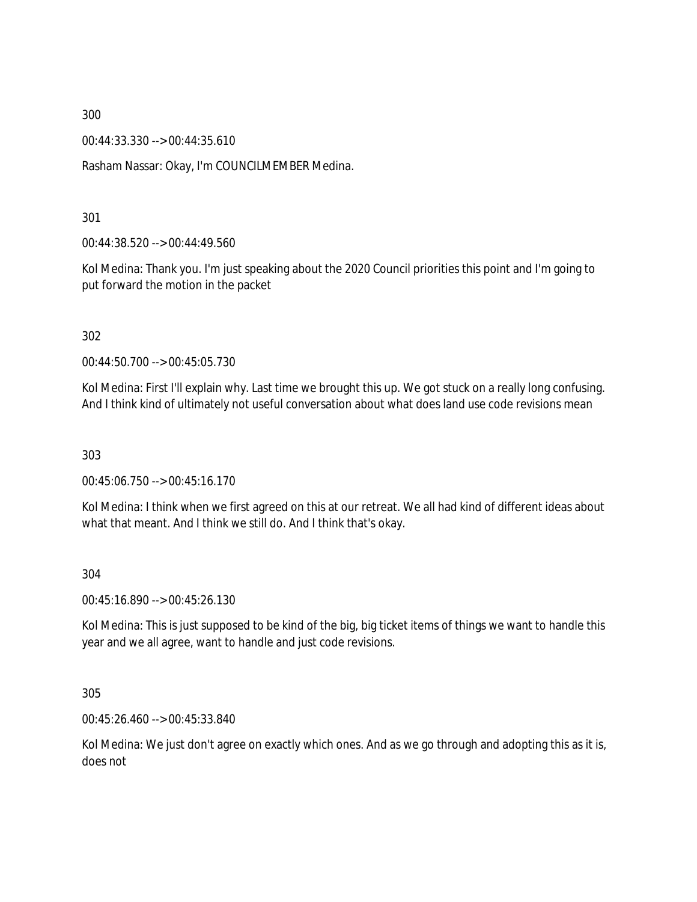00:44:33.330 --> 00:44:35.610

Rasham Nassar: Okay, I'm COUNCILMEMBER Medina.

301

00:44:38.520 --> 00:44:49.560

Kol Medina: Thank you. I'm just speaking about the 2020 Council priorities this point and I'm going to put forward the motion in the packet

302

00:44:50.700 --> 00:45:05.730

Kol Medina: First I'll explain why. Last time we brought this up. We got stuck on a really long confusing. And I think kind of ultimately not useful conversation about what does land use code revisions mean

303

00:45:06.750 --> 00:45:16.170

Kol Medina: I think when we first agreed on this at our retreat. We all had kind of different ideas about what that meant. And I think we still do. And I think that's okay.

304

00:45:16.890 --> 00:45:26.130

Kol Medina: This is just supposed to be kind of the big, big ticket items of things we want to handle this year and we all agree, want to handle and just code revisions.

305

00:45:26.460 --> 00:45:33.840

Kol Medina: We just don't agree on exactly which ones. And as we go through and adopting this as it is, does not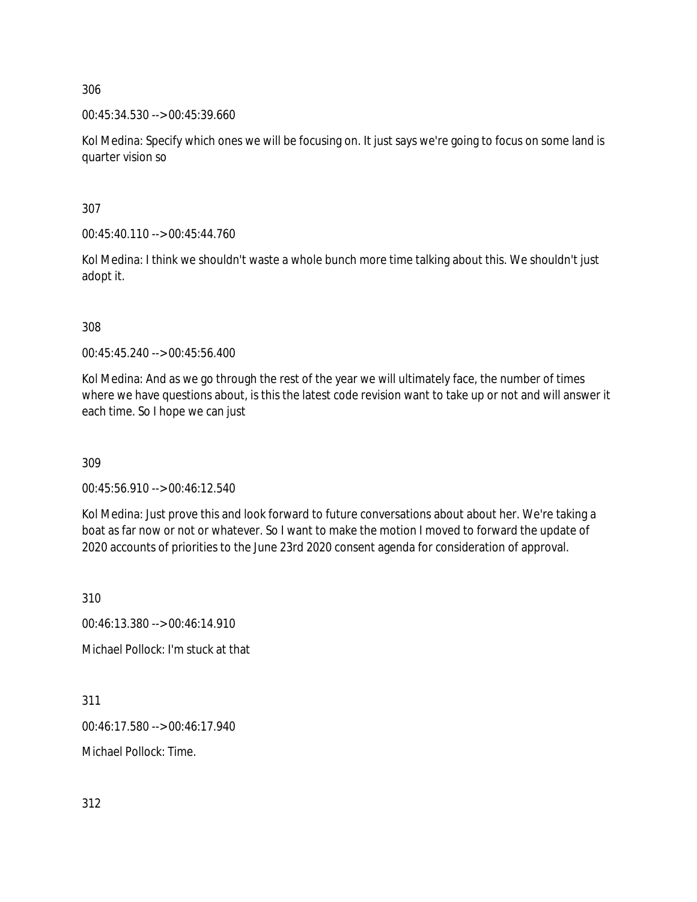00:45:34.530 --> 00:45:39.660

Kol Medina: Specify which ones we will be focusing on. It just says we're going to focus on some land is quarter vision so

307

00:45:40.110 --> 00:45:44.760

Kol Medina: I think we shouldn't waste a whole bunch more time talking about this. We shouldn't just adopt it.

308

00:45:45.240 --> 00:45:56.400

Kol Medina: And as we go through the rest of the year we will ultimately face, the number of times where we have questions about, is this the latest code revision want to take up or not and will answer it each time. So I hope we can just

309

00:45:56.910 --> 00:46:12.540

Kol Medina: Just prove this and look forward to future conversations about about her. We're taking a boat as far now or not or whatever. So I want to make the motion I moved to forward the update of 2020 accounts of priorities to the June 23rd 2020 consent agenda for consideration of approval.

310

00:46:13.380 --> 00:46:14.910

Michael Pollock: I'm stuck at that

311

00:46:17.580 --> 00:46:17.940

Michael Pollock: Time.

312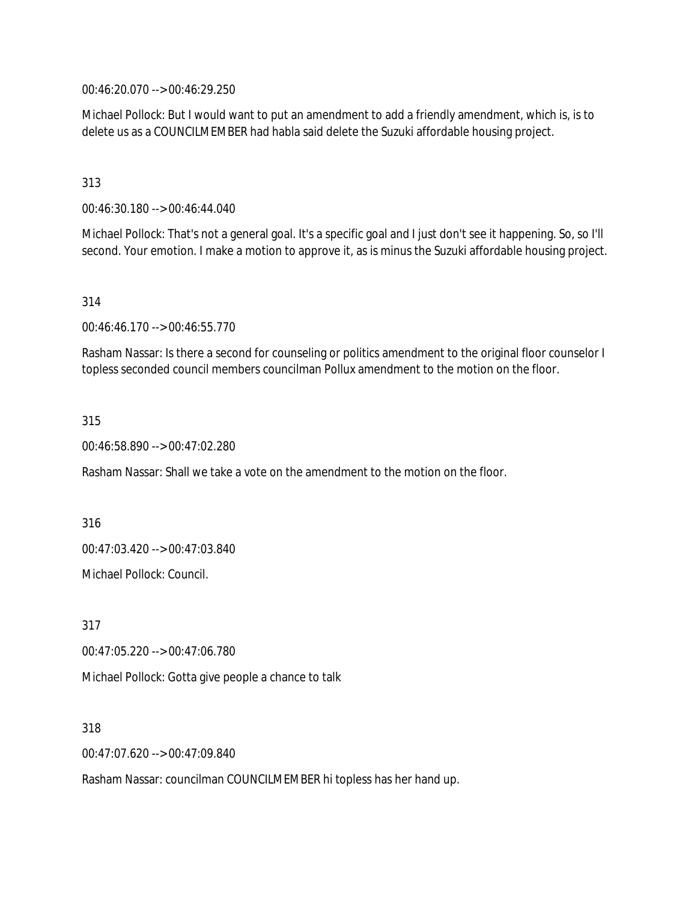00:46:20.070 --> 00:46:29.250

Michael Pollock: But I would want to put an amendment to add a friendly amendment, which is, is to delete us as a COUNCILMEMBER had habla said delete the Suzuki affordable housing project.

313

00:46:30.180 --> 00:46:44.040

Michael Pollock: That's not a general goal. It's a specific goal and I just don't see it happening. So, so I'll second. Your emotion. I make a motion to approve it, as is minus the Suzuki affordable housing project.

314

00:46:46.170 --> 00:46:55.770

Rasham Nassar: Is there a second for counseling or politics amendment to the original floor counselor I topless seconded council members councilman Pollux amendment to the motion on the floor.

315

00:46:58.890 --> 00:47:02.280

Rasham Nassar: Shall we take a vote on the amendment to the motion on the floor.

316 00:47:03.420 --> 00:47:03.840 Michael Pollock: Council.

317 00:47:05.220 --> 00:47:06.780 Michael Pollock: Gotta give people a chance to talk

318

00:47:07.620 --> 00:47:09.840

Rasham Nassar: councilman COUNCILMEMBER hi topless has her hand up.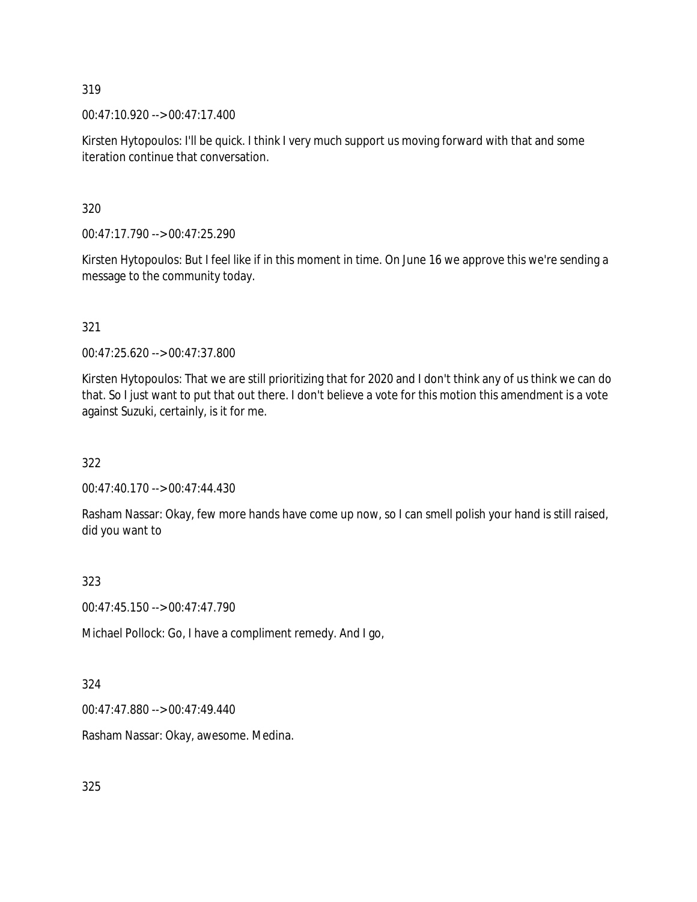00:47:10.920 --> 00:47:17.400

Kirsten Hytopoulos: I'll be quick. I think I very much support us moving forward with that and some iteration continue that conversation.

320

00:47:17.790 --> 00:47:25.290

Kirsten Hytopoulos: But I feel like if in this moment in time. On June 16 we approve this we're sending a message to the community today.

# 321

00:47:25.620 --> 00:47:37.800

Kirsten Hytopoulos: That we are still prioritizing that for 2020 and I don't think any of us think we can do that. So I just want to put that out there. I don't believe a vote for this motion this amendment is a vote against Suzuki, certainly, is it for me.

322

00:47:40.170 --> 00:47:44.430

Rasham Nassar: Okay, few more hands have come up now, so I can smell polish your hand is still raised, did you want to

323

00:47:45.150 --> 00:47:47.790

Michael Pollock: Go, I have a compliment remedy. And I go,

324

00:47:47.880 --> 00:47:49.440

Rasham Nassar: Okay, awesome. Medina.

325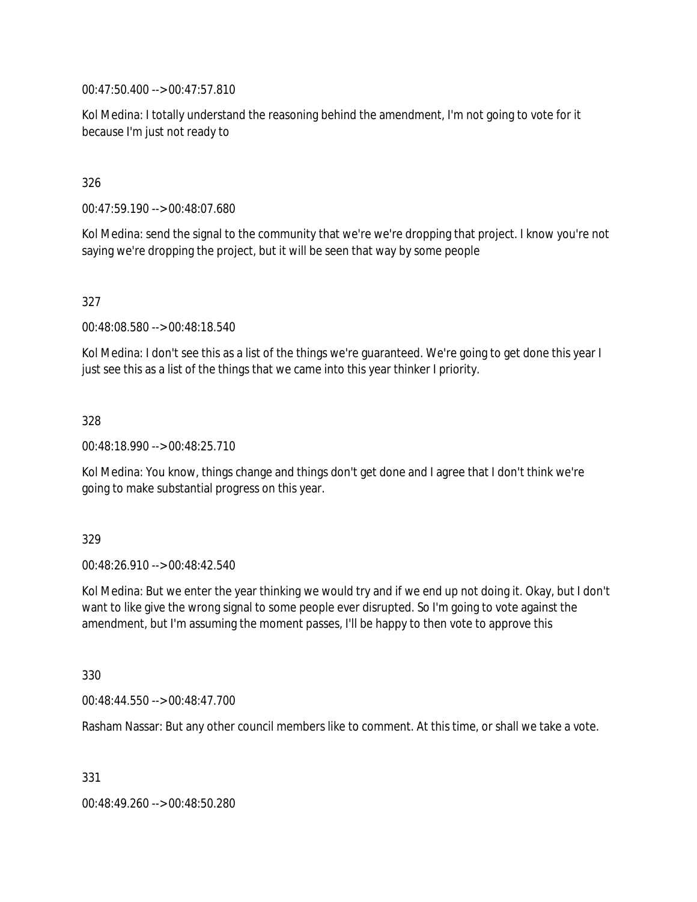00:47:50.400 --> 00:47:57.810

Kol Medina: I totally understand the reasoning behind the amendment, I'm not going to vote for it because I'm just not ready to

# 326

00:47:59.190 --> 00:48:07.680

Kol Medina: send the signal to the community that we're we're dropping that project. I know you're not saying we're dropping the project, but it will be seen that way by some people

# 327

00:48:08.580 --> 00:48:18.540

Kol Medina: I don't see this as a list of the things we're guaranteed. We're going to get done this year I just see this as a list of the things that we came into this year thinker I priority.

### 328

00:48:18.990 --> 00:48:25.710

Kol Medina: You know, things change and things don't get done and I agree that I don't think we're going to make substantial progress on this year.

### 329

00:48:26.910 --> 00:48:42.540

Kol Medina: But we enter the year thinking we would try and if we end up not doing it. Okay, but I don't want to like give the wrong signal to some people ever disrupted. So I'm going to vote against the amendment, but I'm assuming the moment passes, I'll be happy to then vote to approve this

### 330

00:48:44.550 --> 00:48:47.700

Rasham Nassar: But any other council members like to comment. At this time, or shall we take a vote.

331

00:48:49.260 --> 00:48:50.280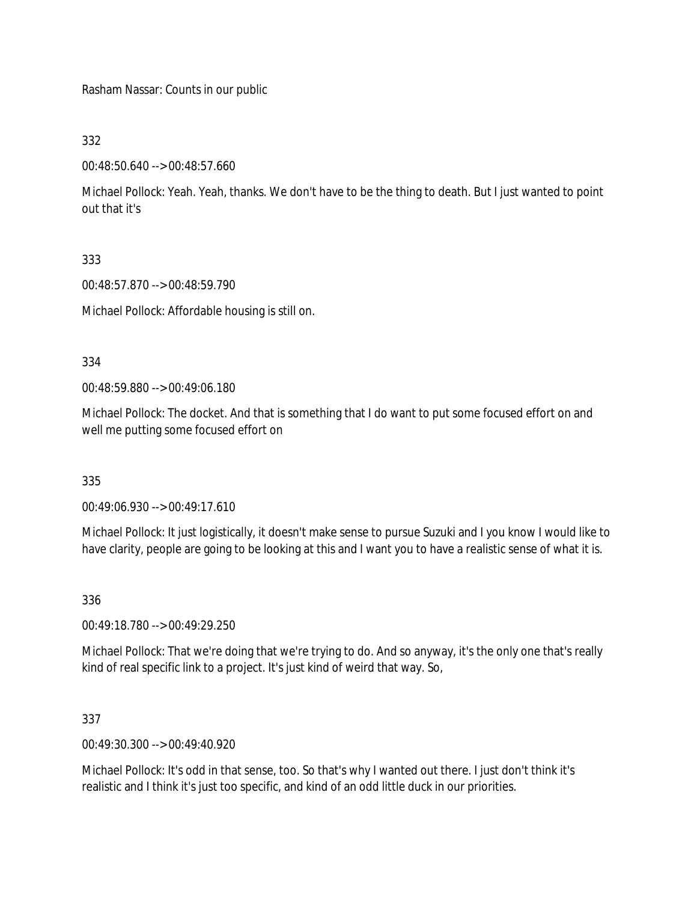Rasham Nassar: Counts in our public

332

00:48:50.640 --> 00:48:57.660

Michael Pollock: Yeah. Yeah, thanks. We don't have to be the thing to death. But I just wanted to point out that it's

333

00:48:57.870 --> 00:48:59.790

Michael Pollock: Affordable housing is still on.

334

00:48:59.880 --> 00:49:06.180

Michael Pollock: The docket. And that is something that I do want to put some focused effort on and well me putting some focused effort on

335

00:49:06.930 --> 00:49:17.610

Michael Pollock: It just logistically, it doesn't make sense to pursue Suzuki and I you know I would like to have clarity, people are going to be looking at this and I want you to have a realistic sense of what it is.

336

00:49:18.780 --> 00:49:29.250

Michael Pollock: That we're doing that we're trying to do. And so anyway, it's the only one that's really kind of real specific link to a project. It's just kind of weird that way. So,

337

00:49:30.300 --> 00:49:40.920

Michael Pollock: It's odd in that sense, too. So that's why I wanted out there. I just don't think it's realistic and I think it's just too specific, and kind of an odd little duck in our priorities.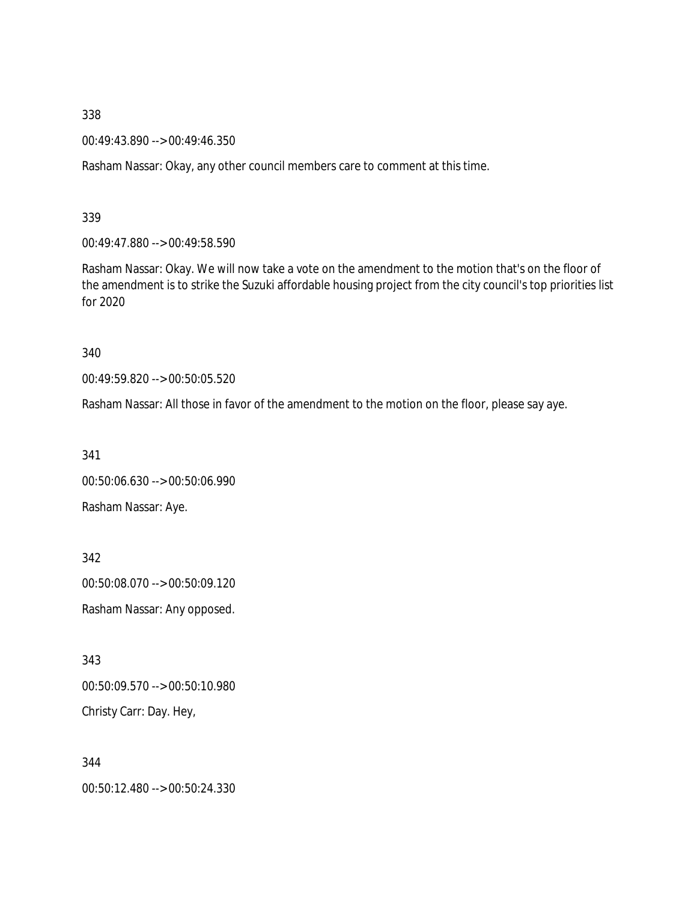00:49:43.890 --> 00:49:46.350

Rasham Nassar: Okay, any other council members care to comment at this time.

339

00:49:47.880 --> 00:49:58.590

Rasham Nassar: Okay. We will now take a vote on the amendment to the motion that's on the floor of the amendment is to strike the Suzuki affordable housing project from the city council's top priorities list for 2020

340

00:49:59.820 --> 00:50:05.520

Rasham Nassar: All those in favor of the amendment to the motion on the floor, please say aye.

341 00:50:06.630 --> 00:50:06.990

Rasham Nassar: Aye.

342 00:50:08.070 --> 00:50:09.120 Rasham Nassar: Any opposed.

343

00:50:09.570 --> 00:50:10.980 Christy Carr: Day. Hey,

344 00:50:12.480 --> 00:50:24.330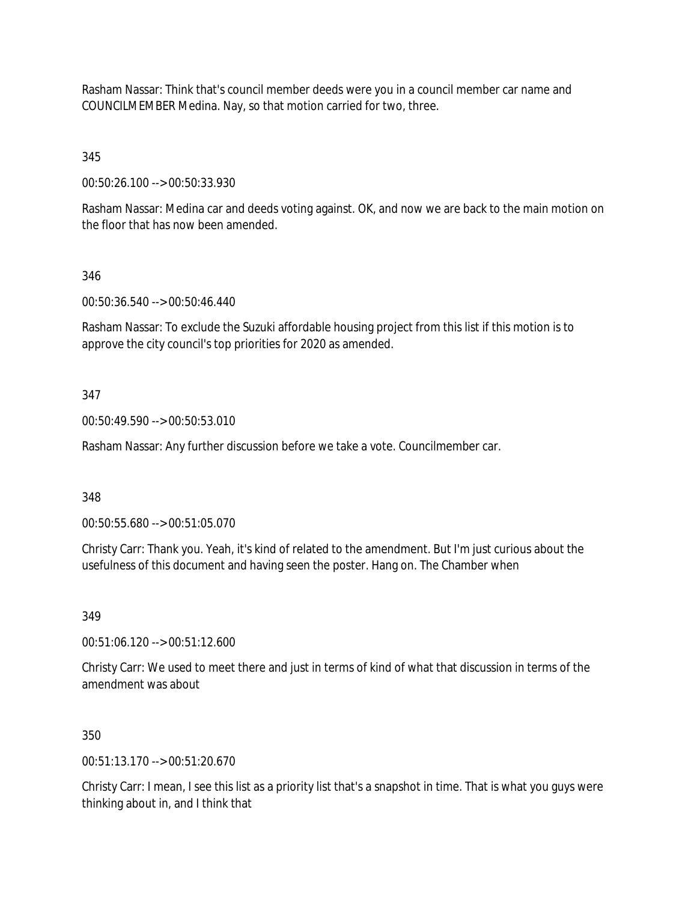Rasham Nassar: Think that's council member deeds were you in a council member car name and COUNCILMEMBER Medina. Nay, so that motion carried for two, three.

345

00:50:26.100 --> 00:50:33.930

Rasham Nassar: Medina car and deeds voting against. OK, and now we are back to the main motion on the floor that has now been amended.

# 346

00:50:36.540 --> 00:50:46.440

Rasham Nassar: To exclude the Suzuki affordable housing project from this list if this motion is to approve the city council's top priorities for 2020 as amended.

# 347

00:50:49.590 --> 00:50:53.010

Rasham Nassar: Any further discussion before we take a vote. Councilmember car.

348

00:50:55.680 --> 00:51:05.070

Christy Carr: Thank you. Yeah, it's kind of related to the amendment. But I'm just curious about the usefulness of this document and having seen the poster. Hang on. The Chamber when

349

00:51:06.120 --> 00:51:12.600

Christy Carr: We used to meet there and just in terms of kind of what that discussion in terms of the amendment was about

### 350

00:51:13.170 --> 00:51:20.670

Christy Carr: I mean, I see this list as a priority list that's a snapshot in time. That is what you guys were thinking about in, and I think that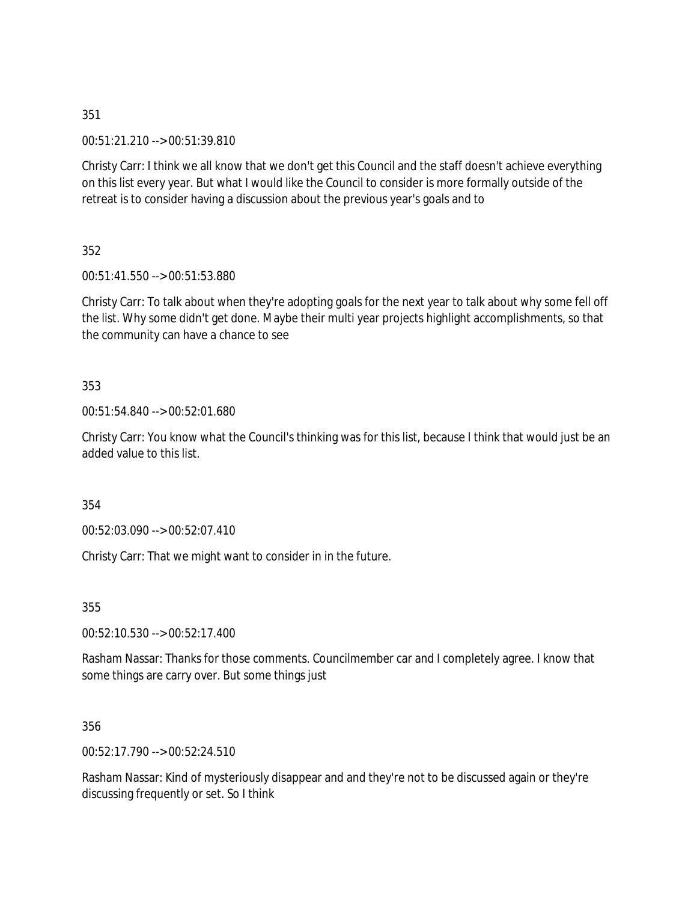00:51:21.210 --> 00:51:39.810

Christy Carr: I think we all know that we don't get this Council and the staff doesn't achieve everything on this list every year. But what I would like the Council to consider is more formally outside of the retreat is to consider having a discussion about the previous year's goals and to

352

00:51:41.550 --> 00:51:53.880

Christy Carr: To talk about when they're adopting goals for the next year to talk about why some fell off the list. Why some didn't get done. Maybe their multi year projects highlight accomplishments, so that the community can have a chance to see

353

00:51:54.840 --> 00:52:01.680

Christy Carr: You know what the Council's thinking was for this list, because I think that would just be an added value to this list.

354

00:52:03.090 --> 00:52:07.410

Christy Carr: That we might want to consider in in the future.

355

00:52:10.530 --> 00:52:17.400

Rasham Nassar: Thanks for those comments. Councilmember car and I completely agree. I know that some things are carry over. But some things just

356

00:52:17.790 --> 00:52:24.510

Rasham Nassar: Kind of mysteriously disappear and and they're not to be discussed again or they're discussing frequently or set. So I think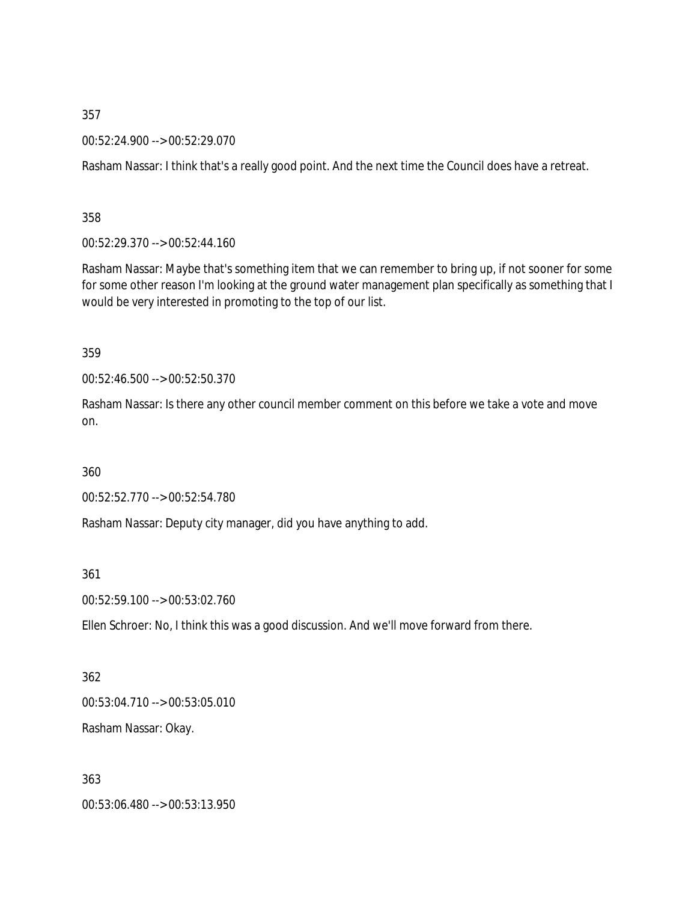00:52:24.900 --> 00:52:29.070

Rasham Nassar: I think that's a really good point. And the next time the Council does have a retreat.

358

00:52:29.370 --> 00:52:44.160

Rasham Nassar: Maybe that's something item that we can remember to bring up, if not sooner for some for some other reason I'm looking at the ground water management plan specifically as something that I would be very interested in promoting to the top of our list.

359

00:52:46.500 --> 00:52:50.370

Rasham Nassar: Is there any other council member comment on this before we take a vote and move on.

360

00:52:52.770 --> 00:52:54.780

Rasham Nassar: Deputy city manager, did you have anything to add.

361

00:52:59.100 --> 00:53:02.760

Ellen Schroer: No, I think this was a good discussion. And we'll move forward from there.

362 00:53:04.710 --> 00:53:05.010 Rasham Nassar: Okay.

363 00:53:06.480 --> 00:53:13.950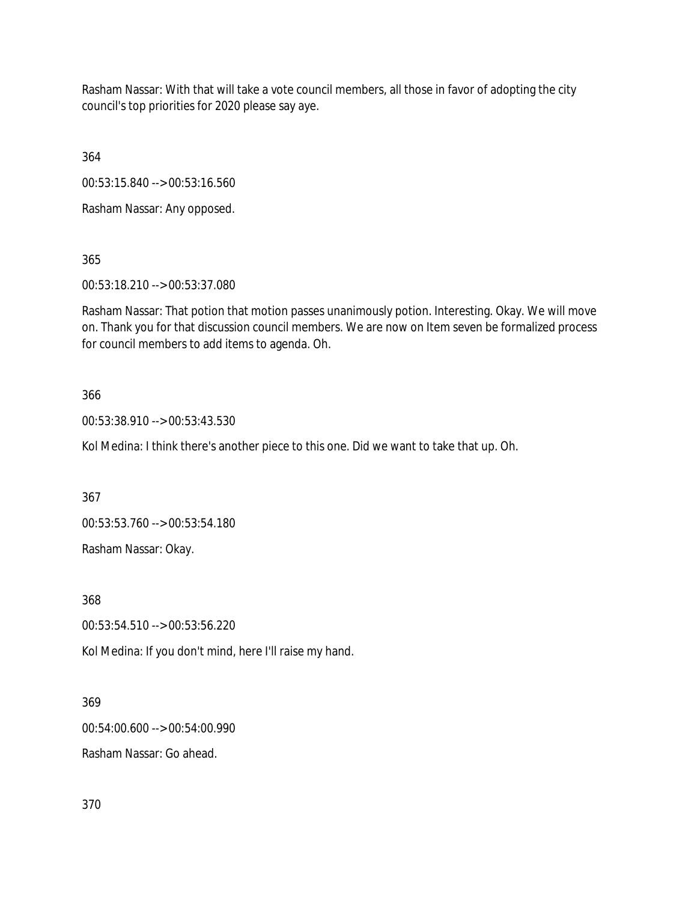Rasham Nassar: With that will take a vote council members, all those in favor of adopting the city council's top priorities for 2020 please say aye.

364

00:53:15.840 --> 00:53:16.560

Rasham Nassar: Any opposed.

365

00:53:18.210 --> 00:53:37.080

Rasham Nassar: That potion that motion passes unanimously potion. Interesting. Okay. We will move on. Thank you for that discussion council members. We are now on Item seven be formalized process for council members to add items to agenda. Oh.

### 366

00:53:38.910 --> 00:53:43.530

Kol Medina: I think there's another piece to this one. Did we want to take that up. Oh.

367

00:53:53.760 --> 00:53:54.180

Rasham Nassar: Okay.

368

00:53:54.510 --> 00:53:56.220

Kol Medina: If you don't mind, here I'll raise my hand.

### 369

00:54:00.600 --> 00:54:00.990

Rasham Nassar: Go ahead.

370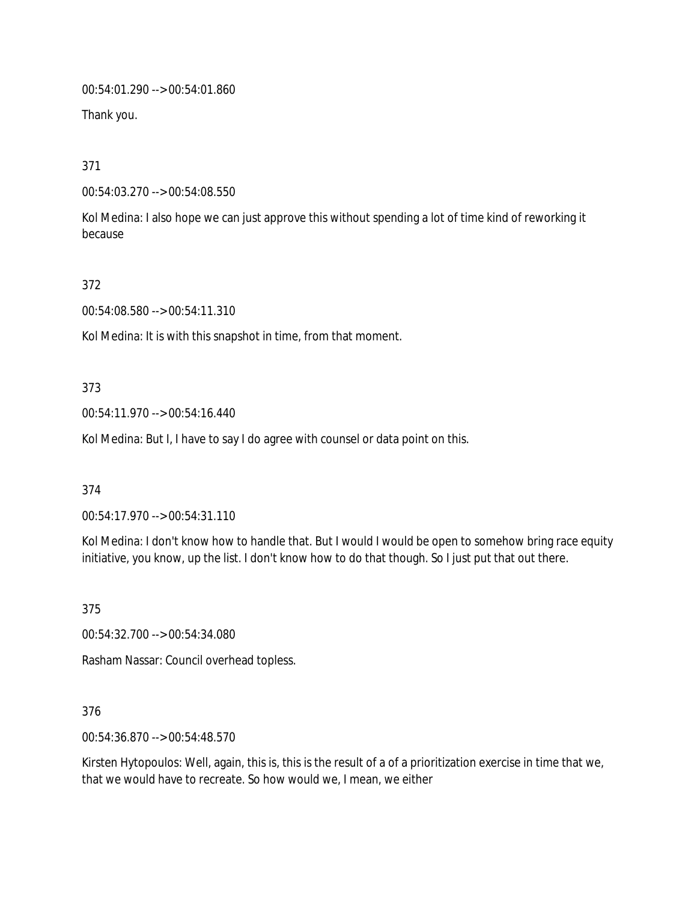00:54:01.290 --> 00:54:01.860

Thank you.

371

00:54:03.270 --> 00:54:08.550

Kol Medina: I also hope we can just approve this without spending a lot of time kind of reworking it because

372

00:54:08.580 --> 00:54:11.310

Kol Medina: It is with this snapshot in time, from that moment.

373

00:54:11.970 --> 00:54:16.440

Kol Medina: But I, I have to say I do agree with counsel or data point on this.

374

00:54:17.970 --> 00:54:31.110

Kol Medina: I don't know how to handle that. But I would I would be open to somehow bring race equity initiative, you know, up the list. I don't know how to do that though. So I just put that out there.

375

00:54:32.700 --> 00:54:34.080

Rasham Nassar: Council overhead topless.

376

00:54:36.870 --> 00:54:48.570

Kirsten Hytopoulos: Well, again, this is, this is the result of a of a prioritization exercise in time that we, that we would have to recreate. So how would we, I mean, we either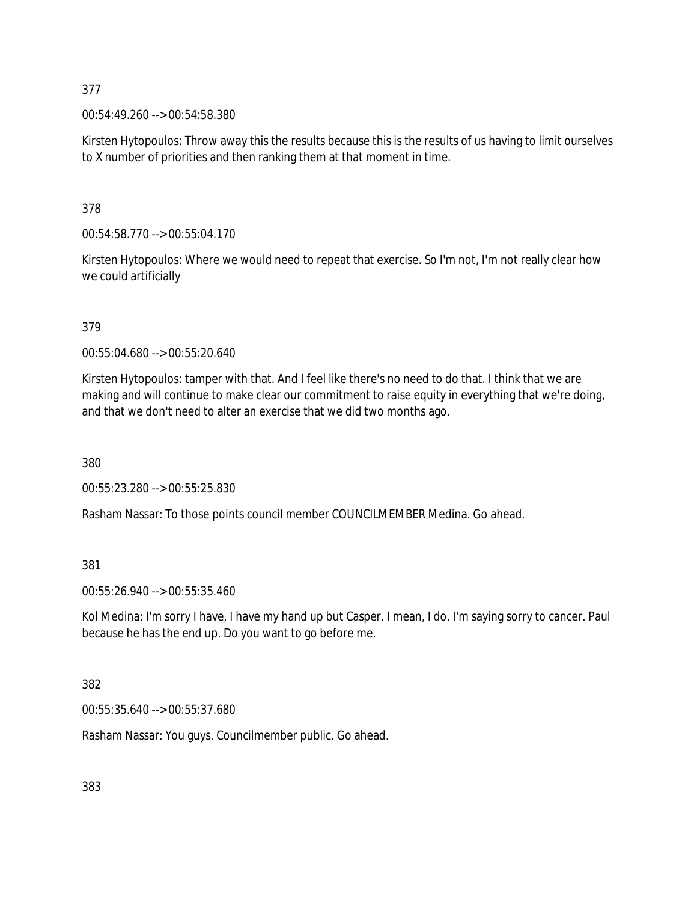00:54:49.260 --> 00:54:58.380

Kirsten Hytopoulos: Throw away this the results because this is the results of us having to limit ourselves to X number of priorities and then ranking them at that moment in time.

378

00:54:58.770 --> 00:55:04.170

Kirsten Hytopoulos: Where we would need to repeat that exercise. So I'm not, I'm not really clear how we could artificially

379

00:55:04.680 --> 00:55:20.640

Kirsten Hytopoulos: tamper with that. And I feel like there's no need to do that. I think that we are making and will continue to make clear our commitment to raise equity in everything that we're doing, and that we don't need to alter an exercise that we did two months ago.

380

00:55:23.280 --> 00:55:25.830

Rasham Nassar: To those points council member COUNCILMEMBER Medina. Go ahead.

381

00:55:26.940 --> 00:55:35.460

Kol Medina: I'm sorry I have, I have my hand up but Casper. I mean, I do. I'm saying sorry to cancer. Paul because he has the end up. Do you want to go before me.

382

00:55:35.640 --> 00:55:37.680

Rasham Nassar: You guys. Councilmember public. Go ahead.

383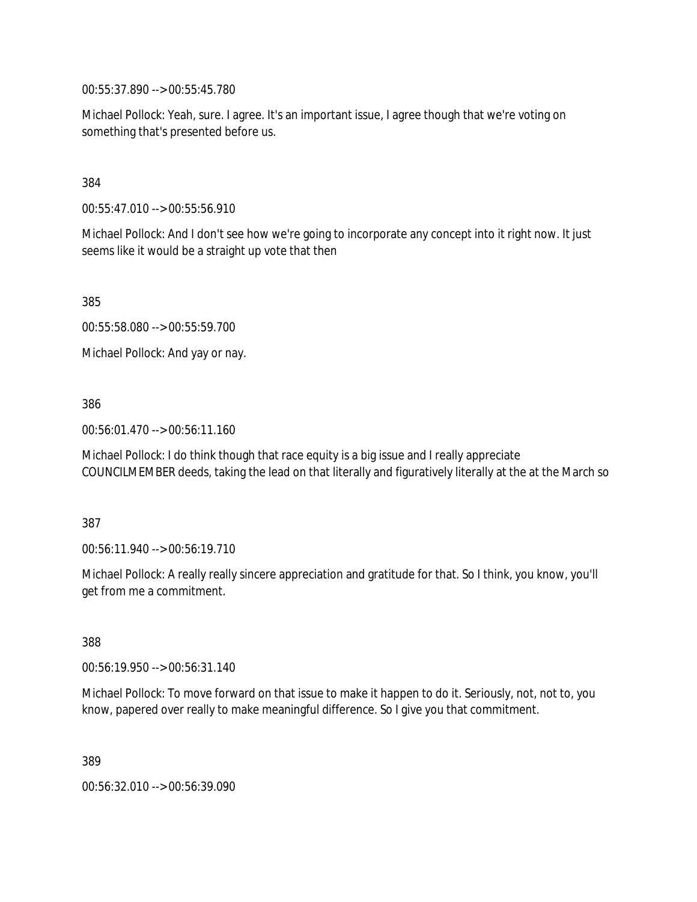00:55:37.890 --> 00:55:45.780

Michael Pollock: Yeah, sure. I agree. It's an important issue, I agree though that we're voting on something that's presented before us.

### 384

00:55:47.010 --> 00:55:56.910

Michael Pollock: And I don't see how we're going to incorporate any concept into it right now. It just seems like it would be a straight up vote that then

385

00:55:58.080 --> 00:55:59.700

Michael Pollock: And yay or nay.

### 386

00:56:01.470 --> 00:56:11.160

Michael Pollock: I do think though that race equity is a big issue and I really appreciate COUNCILMEMBER deeds, taking the lead on that literally and figuratively literally at the at the March so

#### 387

00:56:11.940 --> 00:56:19.710

Michael Pollock: A really really sincere appreciation and gratitude for that. So I think, you know, you'll get from me a commitment.

388

00:56:19.950 --> 00:56:31.140

Michael Pollock: To move forward on that issue to make it happen to do it. Seriously, not, not to, you know, papered over really to make meaningful difference. So I give you that commitment.

389

00:56:32.010 --> 00:56:39.090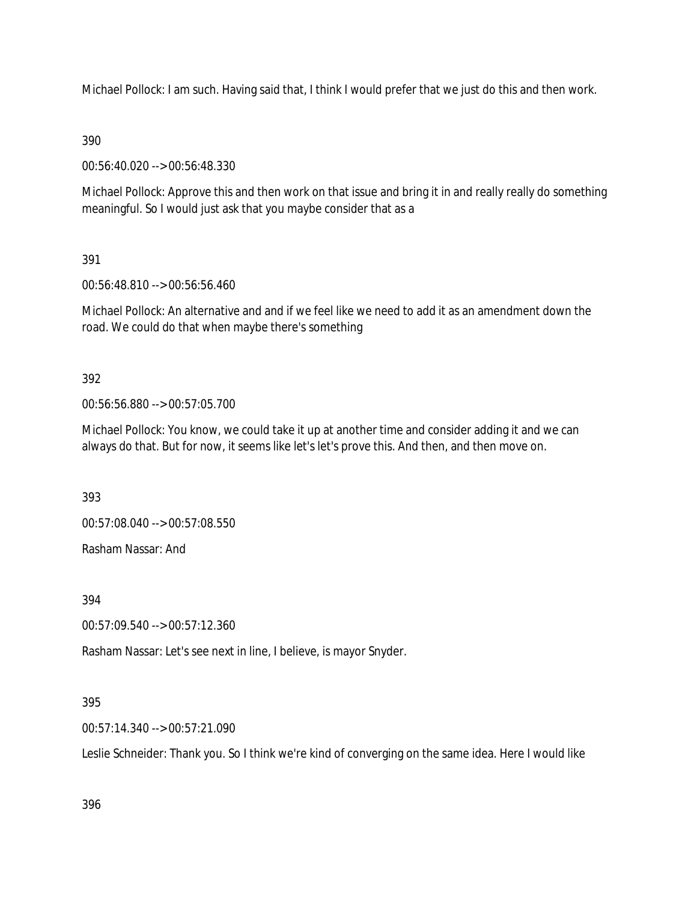Michael Pollock: I am such. Having said that, I think I would prefer that we just do this and then work.

# 390

00:56:40.020 --> 00:56:48.330

Michael Pollock: Approve this and then work on that issue and bring it in and really really do something meaningful. So I would just ask that you maybe consider that as a

# 391

00:56:48.810 --> 00:56:56.460

Michael Pollock: An alternative and and if we feel like we need to add it as an amendment down the road. We could do that when maybe there's something

# 392

00:56:56.880 --> 00:57:05.700

Michael Pollock: You know, we could take it up at another time and consider adding it and we can always do that. But for now, it seems like let's let's prove this. And then, and then move on.

393

00:57:08.040 --> 00:57:08.550

Rasham Nassar: And

394

00:57:09.540 --> 00:57:12.360

Rasham Nassar: Let's see next in line, I believe, is mayor Snyder.

# 395

00:57:14.340 --> 00:57:21.090

Leslie Schneider: Thank you. So I think we're kind of converging on the same idea. Here I would like

396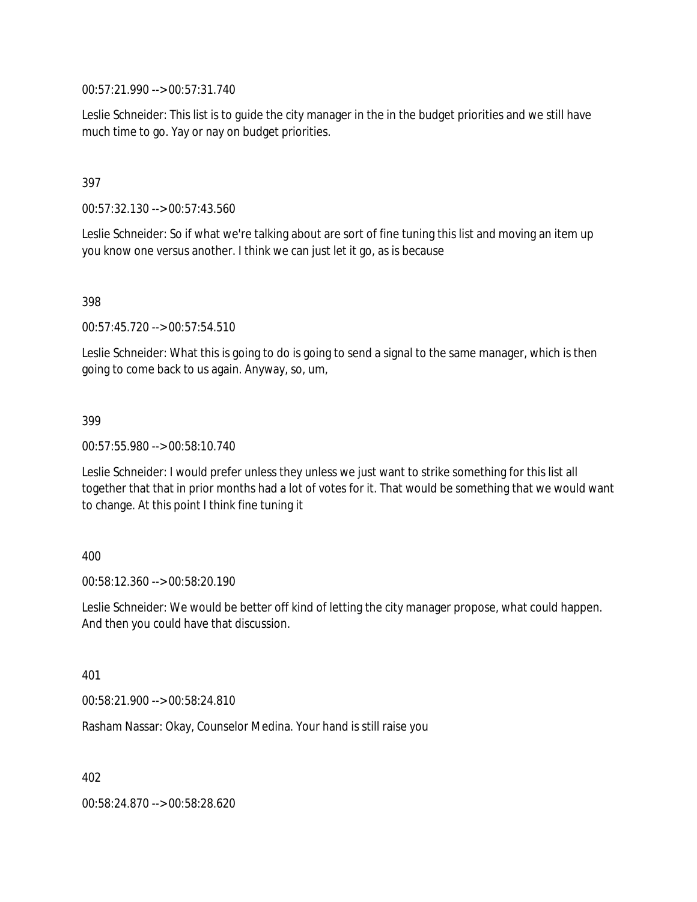00:57:21.990 --> 00:57:31.740

Leslie Schneider: This list is to guide the city manager in the in the budget priorities and we still have much time to go. Yay or nay on budget priorities.

### 397

00:57:32.130 --> 00:57:43.560

Leslie Schneider: So if what we're talking about are sort of fine tuning this list and moving an item up you know one versus another. I think we can just let it go, as is because

398

00:57:45.720 --> 00:57:54.510

Leslie Schneider: What this is going to do is going to send a signal to the same manager, which is then going to come back to us again. Anyway, so, um,

#### 399

00:57:55.980 --> 00:58:10.740

Leslie Schneider: I would prefer unless they unless we just want to strike something for this list all together that that in prior months had a lot of votes for it. That would be something that we would want to change. At this point I think fine tuning it

#### 400

00:58:12.360 --> 00:58:20.190

Leslie Schneider: We would be better off kind of letting the city manager propose, what could happen. And then you could have that discussion.

401

00:58:21.900 --> 00:58:24.810

Rasham Nassar: Okay, Counselor Medina. Your hand is still raise you

402

00:58:24.870 --> 00:58:28.620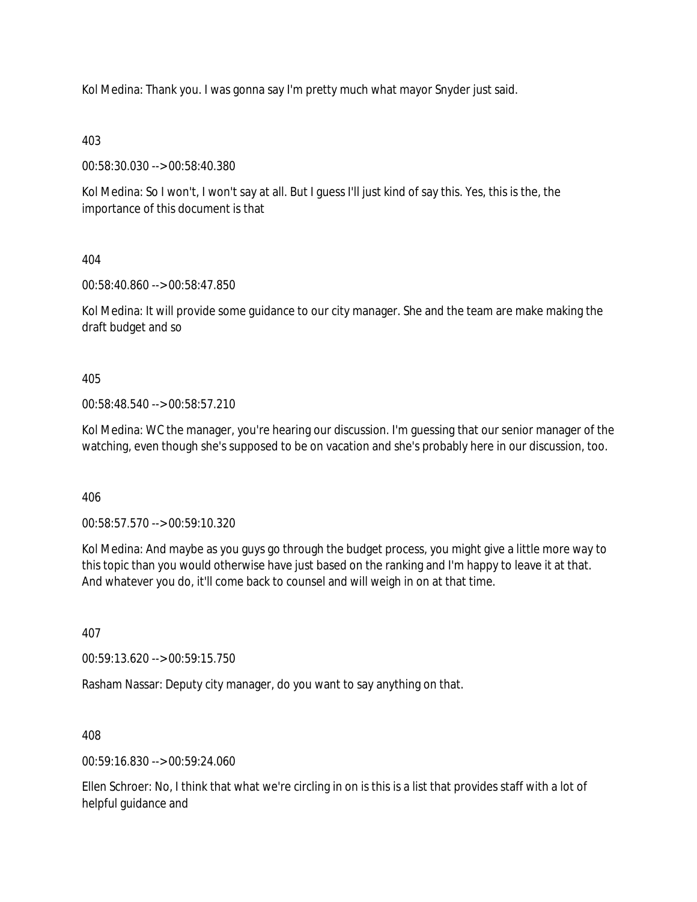Kol Medina: Thank you. I was gonna say I'm pretty much what mayor Snyder just said.

403

00:58:30.030 --> 00:58:40.380

Kol Medina: So I won't, I won't say at all. But I guess I'll just kind of say this. Yes, this is the, the importance of this document is that

404

00:58:40.860 --> 00:58:47.850

Kol Medina: It will provide some guidance to our city manager. She and the team are make making the draft budget and so

405

00:58:48.540 --> 00:58:57.210

Kol Medina: WC the manager, you're hearing our discussion. I'm guessing that our senior manager of the watching, even though she's supposed to be on vacation and she's probably here in our discussion, too.

406

00:58:57.570 --> 00:59:10.320

Kol Medina: And maybe as you guys go through the budget process, you might give a little more way to this topic than you would otherwise have just based on the ranking and I'm happy to leave it at that. And whatever you do, it'll come back to counsel and will weigh in on at that time.

407

00:59:13.620 --> 00:59:15.750

Rasham Nassar: Deputy city manager, do you want to say anything on that.

408

00:59:16.830 --> 00:59:24.060

Ellen Schroer: No, I think that what we're circling in on is this is a list that provides staff with a lot of helpful guidance and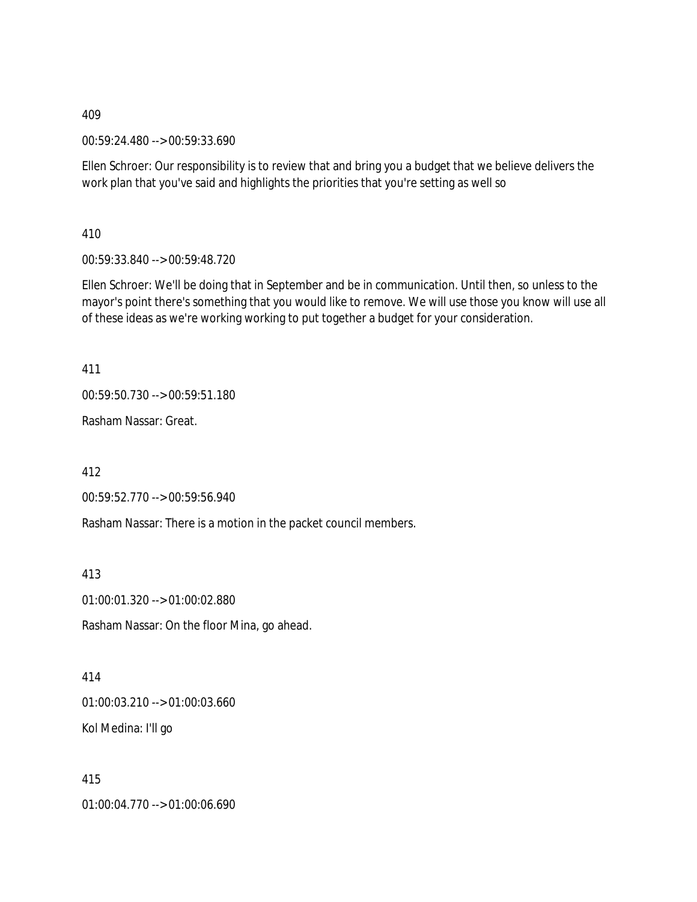00:59:24.480 --> 00:59:33.690

Ellen Schroer: Our responsibility is to review that and bring you a budget that we believe delivers the work plan that you've said and highlights the priorities that you're setting as well so

410

00:59:33.840 --> 00:59:48.720

Ellen Schroer: We'll be doing that in September and be in communication. Until then, so unless to the mayor's point there's something that you would like to remove. We will use those you know will use all of these ideas as we're working working to put together a budget for your consideration.

411

00:59:50.730 --> 00:59:51.180

Rasham Nassar: Great.

412

00:59:52.770 --> 00:59:56.940

Rasham Nassar: There is a motion in the packet council members.

413

01:00:01.320 --> 01:00:02.880

Rasham Nassar: On the floor Mina, go ahead.

414 01:00:03.210 --> 01:00:03.660 Kol Medina: I'll go

415 01:00:04.770 --> 01:00:06.690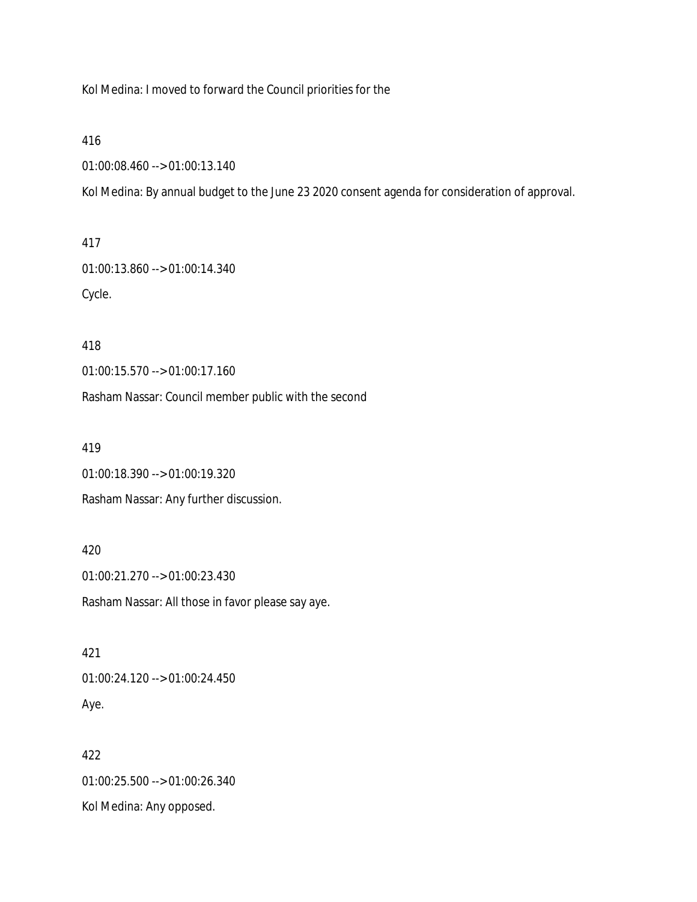Kol Medina: I moved to forward the Council priorities for the

416

01:00:08.460 --> 01:00:13.140

Kol Medina: By annual budget to the June 23 2020 consent agenda for consideration of approval.

417

01:00:13.860 --> 01:00:14.340 Cycle.

418

01:00:15.570 --> 01:00:17.160

Rasham Nassar: Council member public with the second

419

01:00:18.390 --> 01:00:19.320

Rasham Nassar: Any further discussion.

420

01:00:21.270 --> 01:00:23.430 Rasham Nassar: All those in favor please say aye.

421 01:00:24.120 --> 01:00:24.450 Aye.

422 01:00:25.500 --> 01:00:26.340 Kol Medina: Any opposed.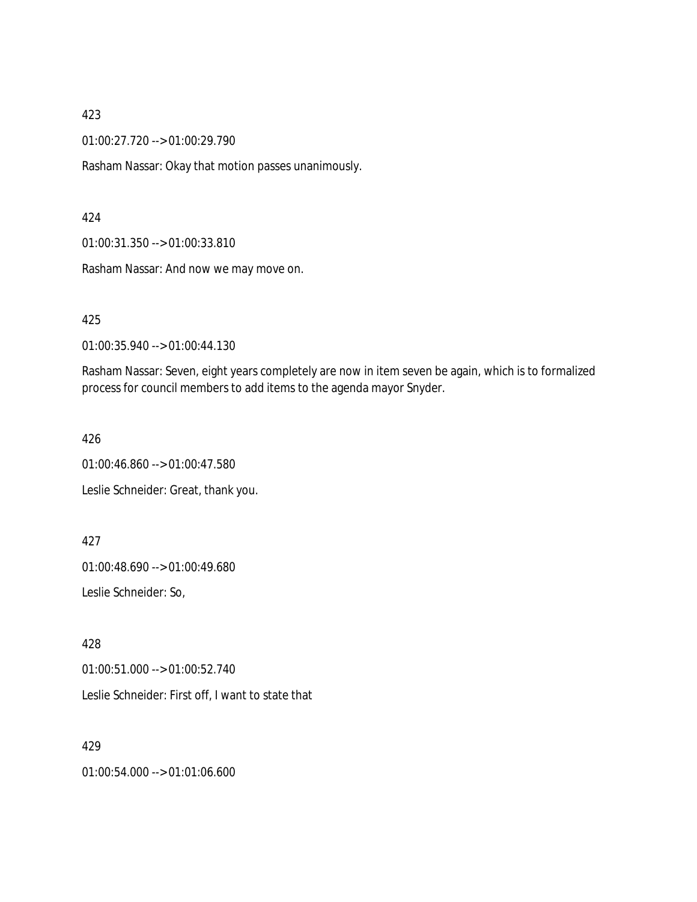01:00:27.720 --> 01:00:29.790

Rasham Nassar: Okay that motion passes unanimously.

#### 424

01:00:31.350 --> 01:00:33.810

Rasham Nassar: And now we may move on.

425

01:00:35.940 --> 01:00:44.130

Rasham Nassar: Seven, eight years completely are now in item seven be again, which is to formalized process for council members to add items to the agenda mayor Snyder.

426

01:00:46.860 --> 01:00:47.580 Leslie Schneider: Great, thank you.

427

01:00:48.690 --> 01:00:49.680

Leslie Schneider: So,

428

01:00:51.000 --> 01:00:52.740

Leslie Schneider: First off, I want to state that

429

01:00:54.000 --> 01:01:06.600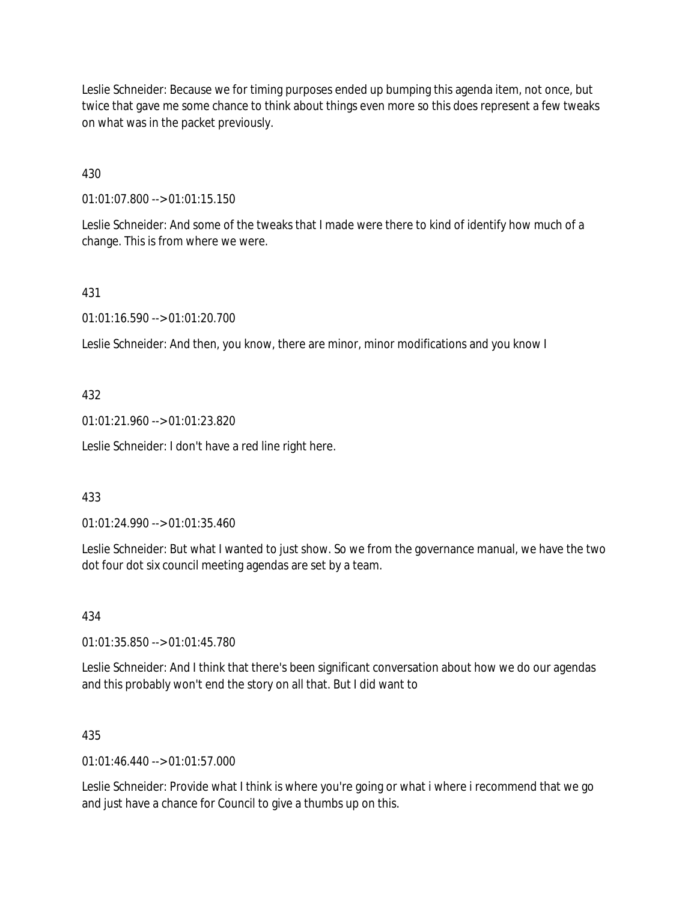Leslie Schneider: Because we for timing purposes ended up bumping this agenda item, not once, but twice that gave me some chance to think about things even more so this does represent a few tweaks on what was in the packet previously.

430

01:01:07.800 --> 01:01:15.150

Leslie Schneider: And some of the tweaks that I made were there to kind of identify how much of a change. This is from where we were.

431

01:01:16.590 --> 01:01:20.700

Leslie Schneider: And then, you know, there are minor, minor modifications and you know I

### 432

01:01:21.960 --> 01:01:23.820

Leslie Schneider: I don't have a red line right here.

### 433

01:01:24.990 --> 01:01:35.460

Leslie Schneider: But what I wanted to just show. So we from the governance manual, we have the two dot four dot six council meeting agendas are set by a team.

434

01:01:35.850 --> 01:01:45.780

Leslie Schneider: And I think that there's been significant conversation about how we do our agendas and this probably won't end the story on all that. But I did want to

### 435

01:01:46.440 --> 01:01:57.000

Leslie Schneider: Provide what I think is where you're going or what i where i recommend that we go and just have a chance for Council to give a thumbs up on this.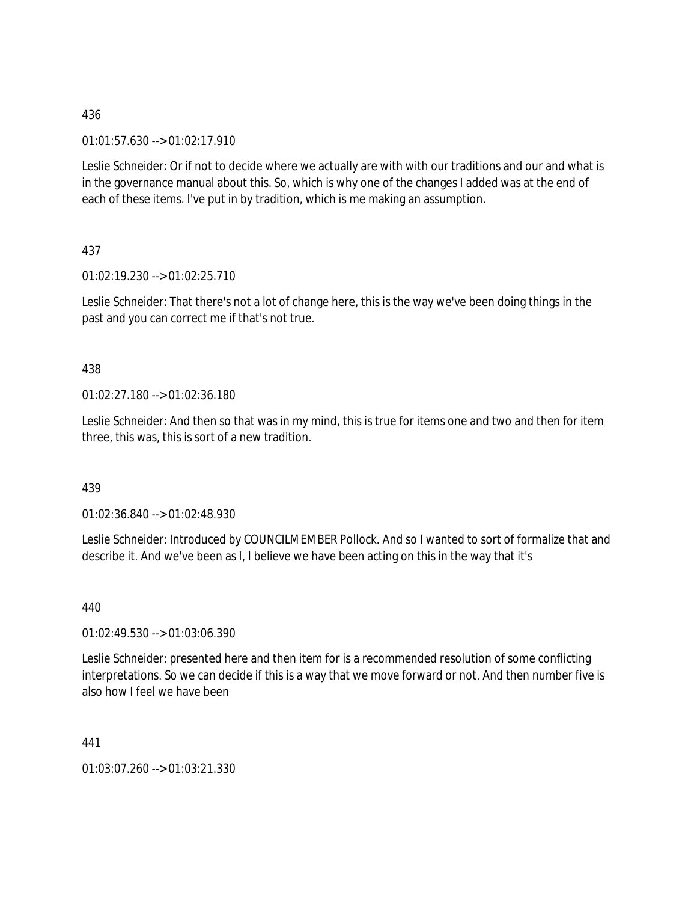01:01:57.630 --> 01:02:17.910

Leslie Schneider: Or if not to decide where we actually are with with our traditions and our and what is in the governance manual about this. So, which is why one of the changes I added was at the end of each of these items. I've put in by tradition, which is me making an assumption.

437

01:02:19.230 --> 01:02:25.710

Leslie Schneider: That there's not a lot of change here, this is the way we've been doing things in the past and you can correct me if that's not true.

### 438

01:02:27.180 --> 01:02:36.180

Leslie Schneider: And then so that was in my mind, this is true for items one and two and then for item three, this was, this is sort of a new tradition.

### 439

01:02:36.840 --> 01:02:48.930

Leslie Schneider: Introduced by COUNCILMEMBER Pollock. And so I wanted to sort of formalize that and describe it. And we've been as I, I believe we have been acting on this in the way that it's

440

01:02:49.530 --> 01:03:06.390

Leslie Schneider: presented here and then item for is a recommended resolution of some conflicting interpretations. So we can decide if this is a way that we move forward or not. And then number five is also how I feel we have been

441

01:03:07.260 --> 01:03:21.330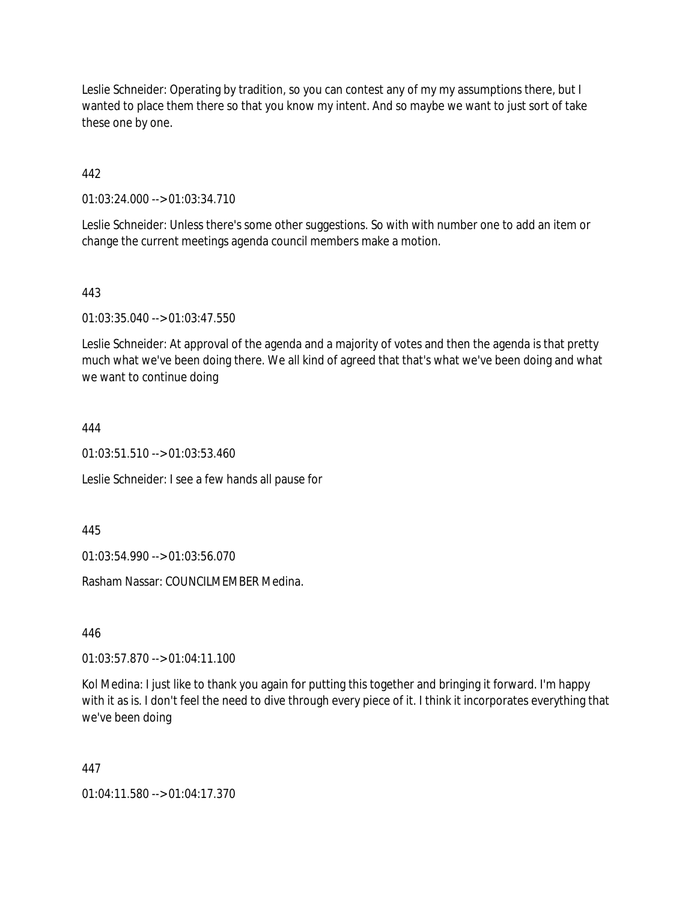Leslie Schneider: Operating by tradition, so you can contest any of my my assumptions there, but I wanted to place them there so that you know my intent. And so maybe we want to just sort of take these one by one.

# 442

01:03:24.000 --> 01:03:34.710

Leslie Schneider: Unless there's some other suggestions. So with with number one to add an item or change the current meetings agenda council members make a motion.

### 443

01:03:35.040 --> 01:03:47.550

Leslie Schneider: At approval of the agenda and a majority of votes and then the agenda is that pretty much what we've been doing there. We all kind of agreed that that's what we've been doing and what we want to continue doing

#### 444

01:03:51.510 --> 01:03:53.460

Leslie Schneider: I see a few hands all pause for

445

01:03:54.990 --> 01:03:56.070

Rasham Nassar: COUNCILMEMBER Medina.

446

01:03:57.870 --> 01:04:11.100

Kol Medina: I just like to thank you again for putting this together and bringing it forward. I'm happy with it as is. I don't feel the need to dive through every piece of it. I think it incorporates everything that we've been doing

#### 447

01:04:11.580 --> 01:04:17.370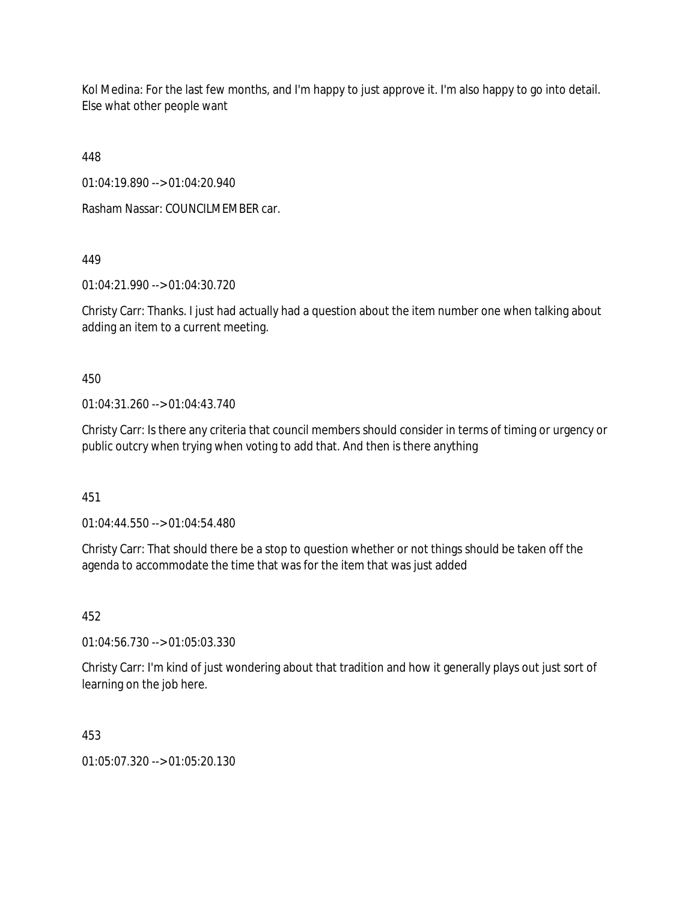Kol Medina: For the last few months, and I'm happy to just approve it. I'm also happy to go into detail. Else what other people want

448

01:04:19.890 --> 01:04:20.940

Rasham Nassar: COUNCILMEMBER car.

449

01:04:21.990 --> 01:04:30.720

Christy Carr: Thanks. I just had actually had a question about the item number one when talking about adding an item to a current meeting.

450

01:04:31.260 --> 01:04:43.740

Christy Carr: Is there any criteria that council members should consider in terms of timing or urgency or public outcry when trying when voting to add that. And then is there anything

451

01:04:44.550 --> 01:04:54.480

Christy Carr: That should there be a stop to question whether or not things should be taken off the agenda to accommodate the time that was for the item that was just added

452

01:04:56.730 --> 01:05:03.330

Christy Carr: I'm kind of just wondering about that tradition and how it generally plays out just sort of learning on the job here.

453

01:05:07.320 --> 01:05:20.130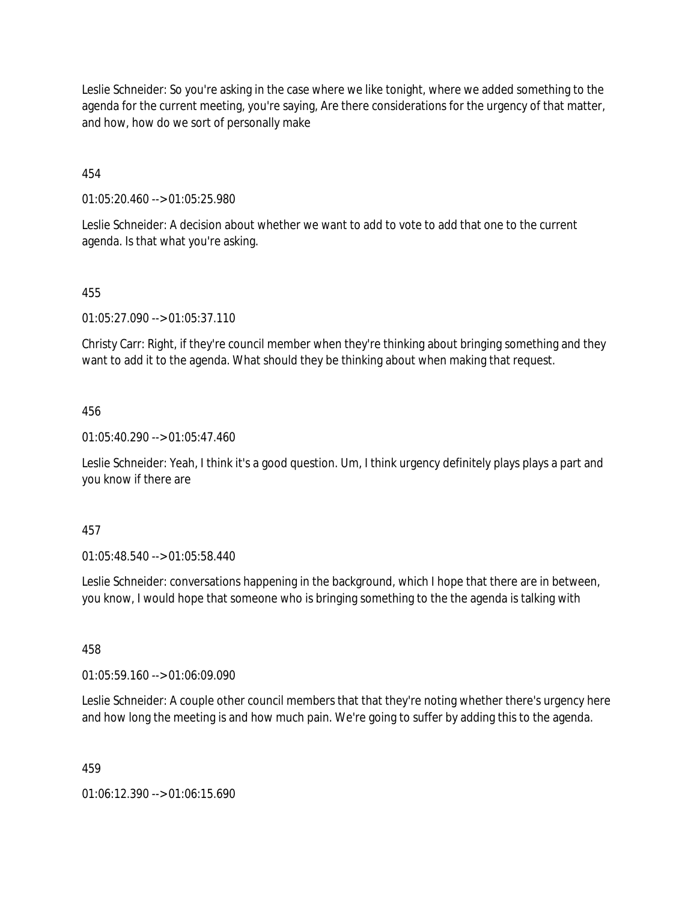Leslie Schneider: So you're asking in the case where we like tonight, where we added something to the agenda for the current meeting, you're saying, Are there considerations for the urgency of that matter, and how, how do we sort of personally make

454

01:05:20.460 --> 01:05:25.980

Leslie Schneider: A decision about whether we want to add to vote to add that one to the current agenda. Is that what you're asking.

# 455

01:05:27.090 --> 01:05:37.110

Christy Carr: Right, if they're council member when they're thinking about bringing something and they want to add it to the agenda. What should they be thinking about when making that request.

### 456

01:05:40.290 --> 01:05:47.460

Leslie Schneider: Yeah, I think it's a good question. Um, I think urgency definitely plays plays a part and you know if there are

### 457

01:05:48.540 --> 01:05:58.440

Leslie Schneider: conversations happening in the background, which I hope that there are in between, you know, I would hope that someone who is bringing something to the the agenda is talking with

458

01:05:59.160 --> 01:06:09.090

Leslie Schneider: A couple other council members that that they're noting whether there's urgency here and how long the meeting is and how much pain. We're going to suffer by adding this to the agenda.

459

01:06:12.390 --> 01:06:15.690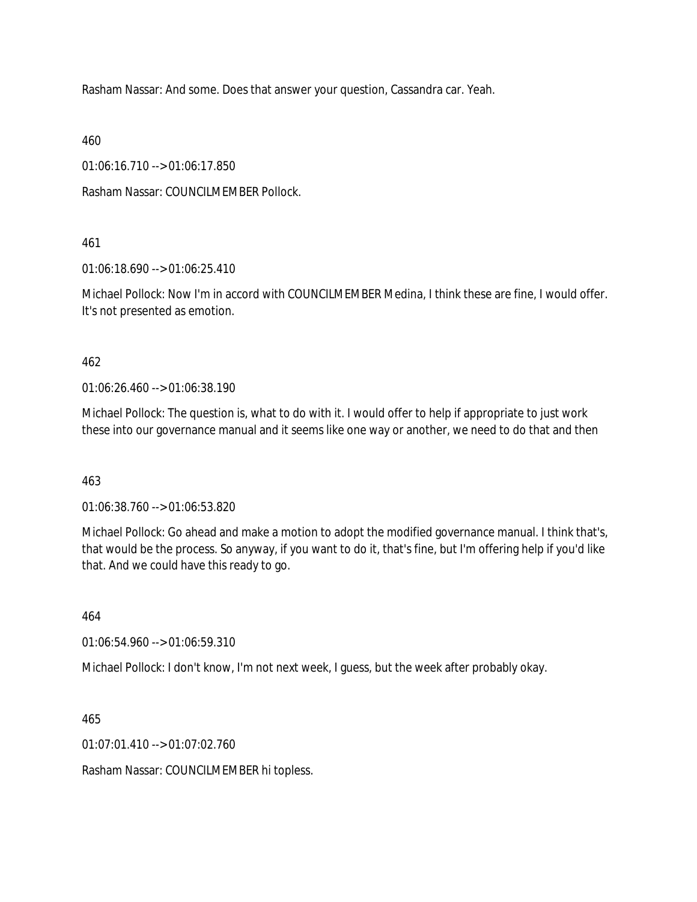Rasham Nassar: And some. Does that answer your question, Cassandra car. Yeah.

460

01:06:16.710 --> 01:06:17.850

Rasham Nassar: COUNCILMEMBER Pollock.

461

01:06:18.690 --> 01:06:25.410

Michael Pollock: Now I'm in accord with COUNCILMEMBER Medina, I think these are fine, I would offer. It's not presented as emotion.

### 462

01:06:26.460 --> 01:06:38.190

Michael Pollock: The question is, what to do with it. I would offer to help if appropriate to just work these into our governance manual and it seems like one way or another, we need to do that and then

### 463

01:06:38.760 --> 01:06:53.820

Michael Pollock: Go ahead and make a motion to adopt the modified governance manual. I think that's, that would be the process. So anyway, if you want to do it, that's fine, but I'm offering help if you'd like that. And we could have this ready to go.

464

01:06:54.960 --> 01:06:59.310

Michael Pollock: I don't know, I'm not next week, I guess, but the week after probably okay.

465

01:07:01.410 --> 01:07:02.760

Rasham Nassar: COUNCILMEMBER hi topless.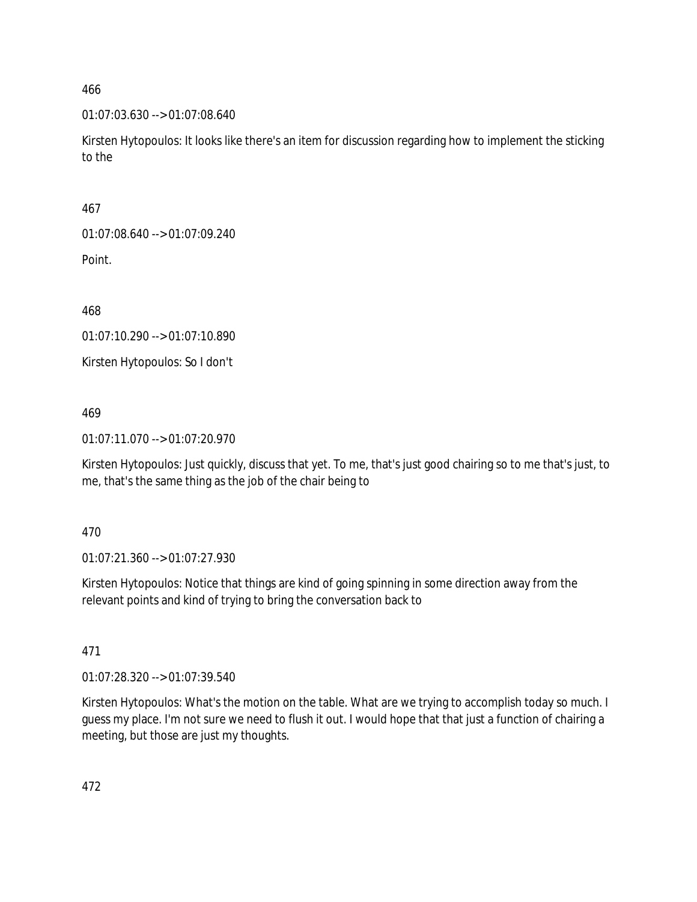01:07:03.630 --> 01:07:08.640

Kirsten Hytopoulos: It looks like there's an item for discussion regarding how to implement the sticking to the

467

01:07:08.640 --> 01:07:09.240

Point.

468

01:07:10.290 --> 01:07:10.890

Kirsten Hytopoulos: So I don't

469

01:07:11.070 --> 01:07:20.970

Kirsten Hytopoulos: Just quickly, discuss that yet. To me, that's just good chairing so to me that's just, to me, that's the same thing as the job of the chair being to

470

01:07:21.360 --> 01:07:27.930

Kirsten Hytopoulos: Notice that things are kind of going spinning in some direction away from the relevant points and kind of trying to bring the conversation back to

471

01:07:28.320 --> 01:07:39.540

Kirsten Hytopoulos: What's the motion on the table. What are we trying to accomplish today so much. I guess my place. I'm not sure we need to flush it out. I would hope that that just a function of chairing a meeting, but those are just my thoughts.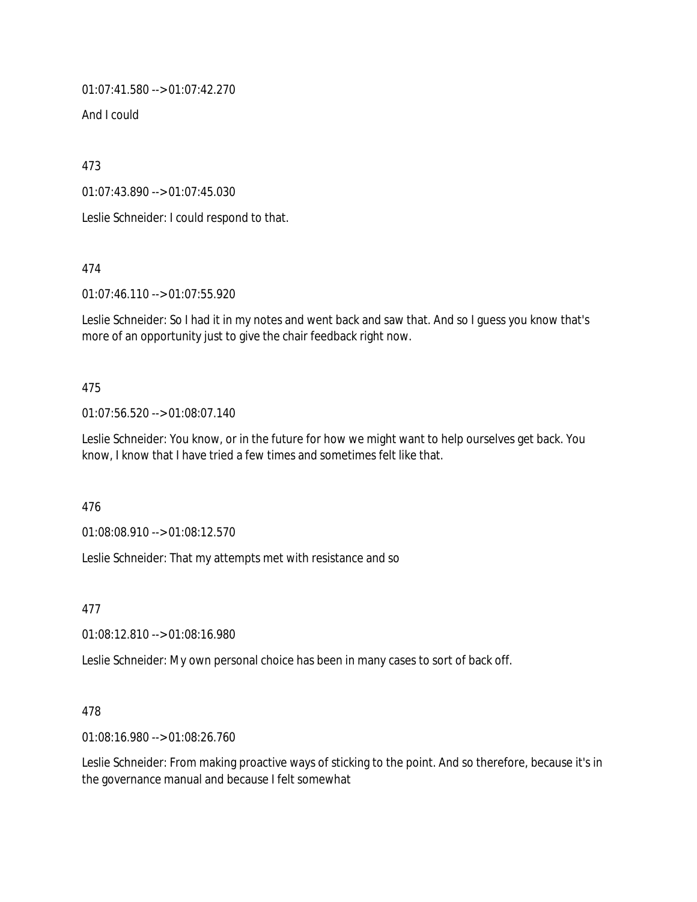01:07:41.580 --> 01:07:42.270

And I could

473

01:07:43.890 --> 01:07:45.030

Leslie Schneider: I could respond to that.

474

01:07:46.110 --> 01:07:55.920

Leslie Schneider: So I had it in my notes and went back and saw that. And so I guess you know that's more of an opportunity just to give the chair feedback right now.

### 475

01:07:56.520 --> 01:08:07.140

Leslie Schneider: You know, or in the future for how we might want to help ourselves get back. You know, I know that I have tried a few times and sometimes felt like that.

476

01:08:08.910 --> 01:08:12.570

Leslie Schneider: That my attempts met with resistance and so

477

01:08:12.810 --> 01:08:16.980

Leslie Schneider: My own personal choice has been in many cases to sort of back off.

### 478

01:08:16.980 --> 01:08:26.760

Leslie Schneider: From making proactive ways of sticking to the point. And so therefore, because it's in the governance manual and because I felt somewhat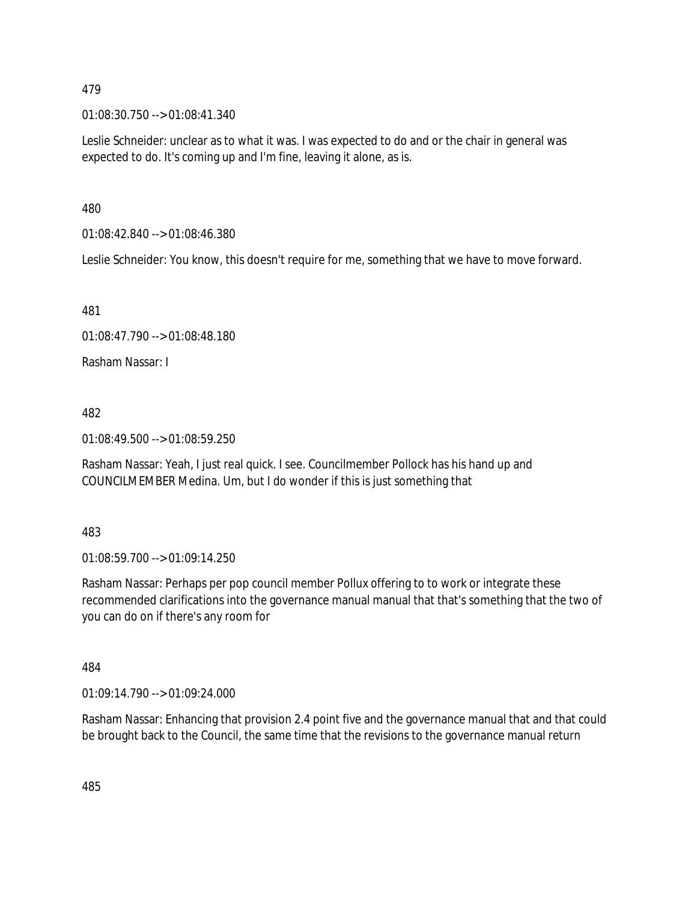01:08:30.750 --> 01:08:41.340

Leslie Schneider: unclear as to what it was. I was expected to do and or the chair in general was expected to do. It's coming up and I'm fine, leaving it alone, as is.

480

01:08:42.840 --> 01:08:46.380

Leslie Schneider: You know, this doesn't require for me, something that we have to move forward.

481

01:08:47.790 --> 01:08:48.180

Rasham Nassar: I

482

01:08:49.500 --> 01:08:59.250

Rasham Nassar: Yeah, I just real quick. I see. Councilmember Pollock has his hand up and COUNCILMEMBER Medina. Um, but I do wonder if this is just something that

483

01:08:59.700 --> 01:09:14.250

Rasham Nassar: Perhaps per pop council member Pollux offering to to work or integrate these recommended clarifications into the governance manual manual that that's something that the two of you can do on if there's any room for

484

01:09:14.790 --> 01:09:24.000

Rasham Nassar: Enhancing that provision 2.4 point five and the governance manual that and that could be brought back to the Council, the same time that the revisions to the governance manual return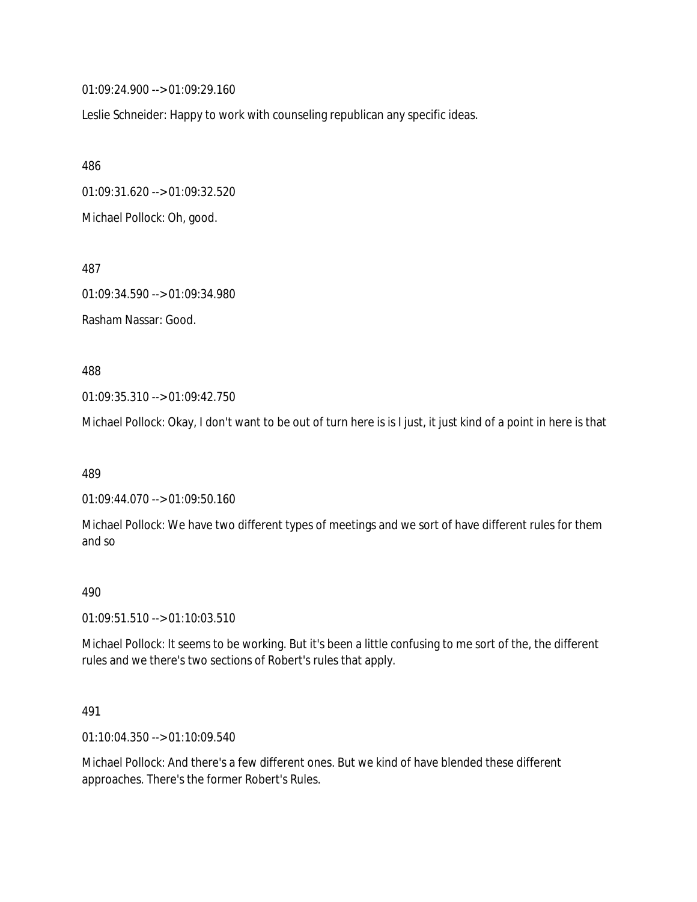01:09:24.900 --> 01:09:29.160

Leslie Schneider: Happy to work with counseling republican any specific ideas.

486 01:09:31.620 --> 01:09:32.520 Michael Pollock: Oh, good.

01:09:34.590 --> 01:09:34.980 Rasham Nassar: Good.

#### 488

487

01:09:35.310 --> 01:09:42.750

Michael Pollock: Okay, I don't want to be out of turn here is is I just, it just kind of a point in here is that

489

01:09:44.070 --> 01:09:50.160

Michael Pollock: We have two different types of meetings and we sort of have different rules for them and so

#### 490

01:09:51.510 --> 01:10:03.510

Michael Pollock: It seems to be working. But it's been a little confusing to me sort of the, the different rules and we there's two sections of Robert's rules that apply.

#### 491

01:10:04.350 --> 01:10:09.540

Michael Pollock: And there's a few different ones. But we kind of have blended these different approaches. There's the former Robert's Rules.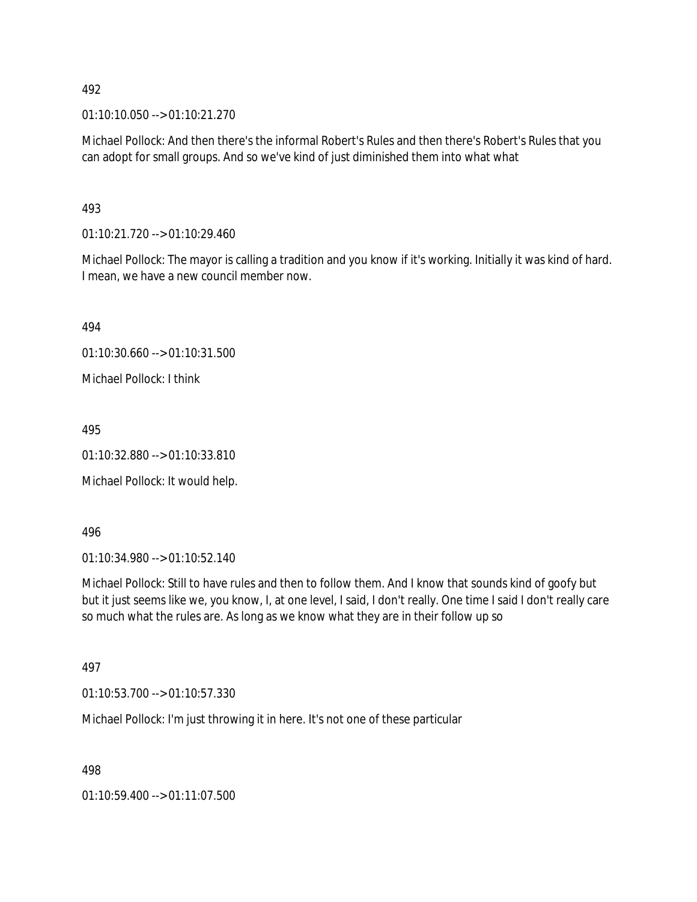01:10:10.050 --> 01:10:21.270

Michael Pollock: And then there's the informal Robert's Rules and then there's Robert's Rules that you can adopt for small groups. And so we've kind of just diminished them into what what

### 493

01:10:21.720 --> 01:10:29.460

Michael Pollock: The mayor is calling a tradition and you know if it's working. Initially it was kind of hard. I mean, we have a new council member now.

494

01:10:30.660 --> 01:10:31.500

Michael Pollock: I think

495

01:10:32.880 --> 01:10:33.810

Michael Pollock: It would help.

496

01:10:34.980 --> 01:10:52.140

Michael Pollock: Still to have rules and then to follow them. And I know that sounds kind of goofy but but it just seems like we, you know, I, at one level, I said, I don't really. One time I said I don't really care so much what the rules are. As long as we know what they are in their follow up so

### 497

01:10:53.700 --> 01:10:57.330

Michael Pollock: I'm just throwing it in here. It's not one of these particular

498

01:10:59.400 --> 01:11:07.500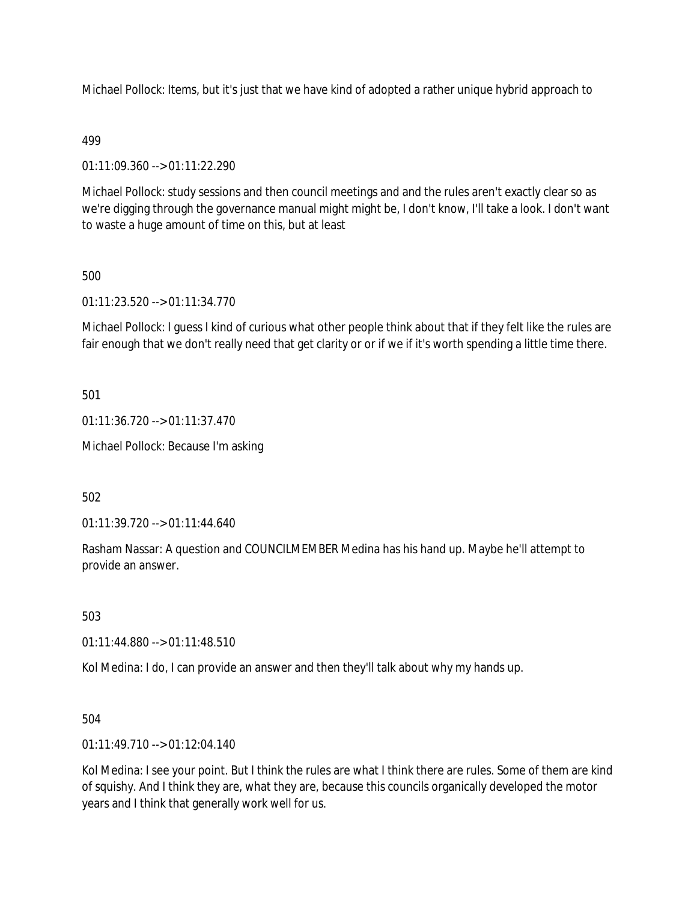Michael Pollock: Items, but it's just that we have kind of adopted a rather unique hybrid approach to

### 499

01:11:09.360 --> 01:11:22.290

Michael Pollock: study sessions and then council meetings and and the rules aren't exactly clear so as we're digging through the governance manual might might be, I don't know, I'll take a look. I don't want to waste a huge amount of time on this, but at least

### 500

01:11:23.520 --> 01:11:34.770

Michael Pollock: I guess I kind of curious what other people think about that if they felt like the rules are fair enough that we don't really need that get clarity or or if we if it's worth spending a little time there.

501

01:11:36.720 --> 01:11:37.470

Michael Pollock: Because I'm asking

502

01:11:39.720 --> 01:11:44.640

Rasham Nassar: A question and COUNCILMEMBER Medina has his hand up. Maybe he'll attempt to provide an answer.

503

01:11:44.880 --> 01:11:48.510

Kol Medina: I do, I can provide an answer and then they'll talk about why my hands up.

504

01:11:49.710 --> 01:12:04.140

Kol Medina: I see your point. But I think the rules are what I think there are rules. Some of them are kind of squishy. And I think they are, what they are, because this councils organically developed the motor years and I think that generally work well for us.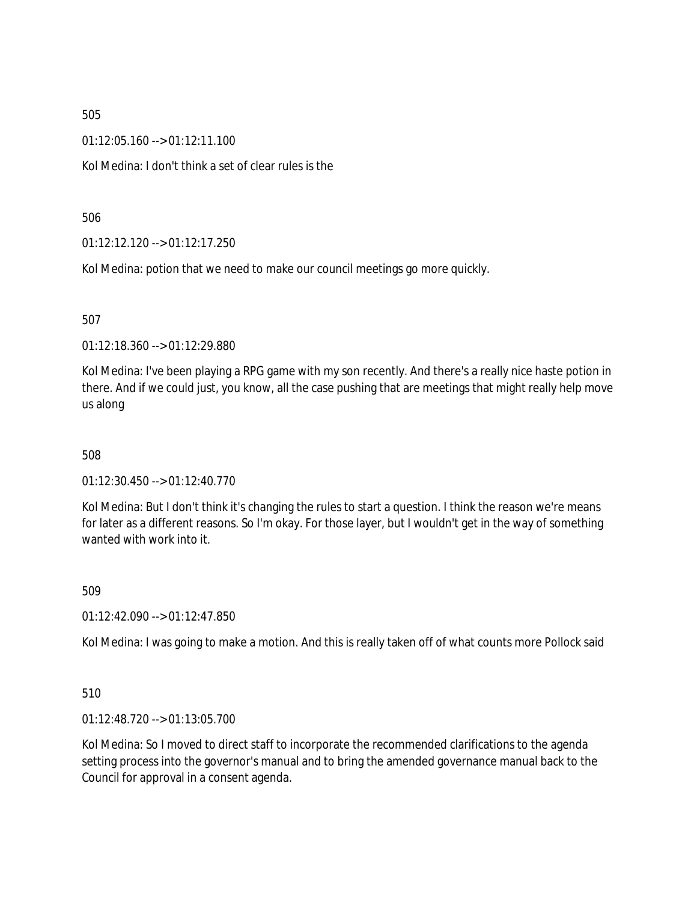01:12:05.160 --> 01:12:11.100

Kol Medina: I don't think a set of clear rules is the

506

01:12:12.120 --> 01:12:17.250

Kol Medina: potion that we need to make our council meetings go more quickly.

507

01:12:18.360 --> 01:12:29.880

Kol Medina: I've been playing a RPG game with my son recently. And there's a really nice haste potion in there. And if we could just, you know, all the case pushing that are meetings that might really help move us along

508

01:12:30.450 --> 01:12:40.770

Kol Medina: But I don't think it's changing the rules to start a question. I think the reason we're means for later as a different reasons. So I'm okay. For those layer, but I wouldn't get in the way of something wanted with work into it.

509

01:12:42.090 --> 01:12:47.850

Kol Medina: I was going to make a motion. And this is really taken off of what counts more Pollock said

510

01:12:48.720 --> 01:13:05.700

Kol Medina: So I moved to direct staff to incorporate the recommended clarifications to the agenda setting process into the governor's manual and to bring the amended governance manual back to the Council for approval in a consent agenda.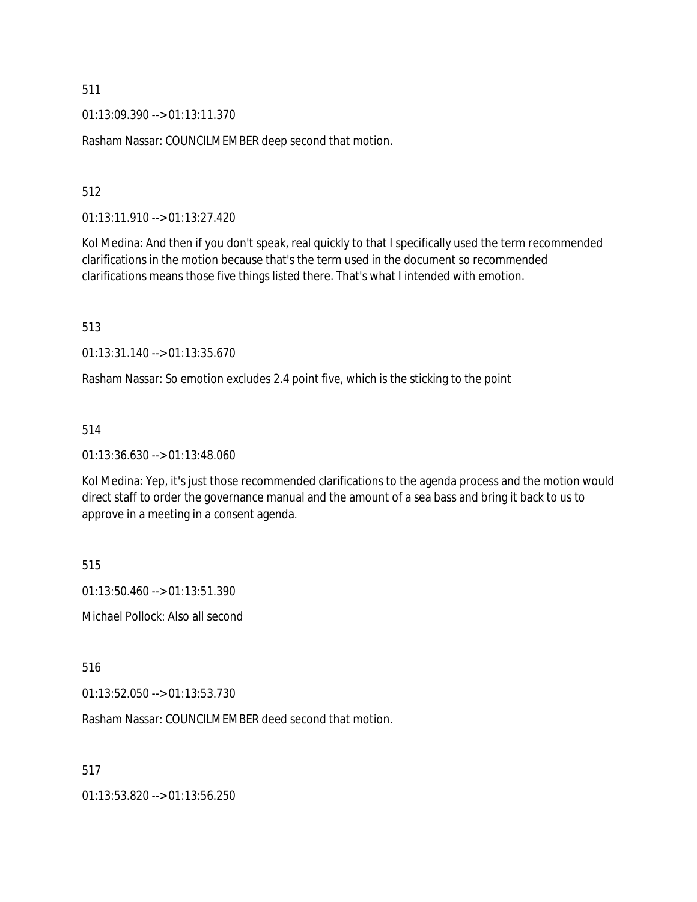01:13:09.390 --> 01:13:11.370

Rasham Nassar: COUNCILMEMBER deep second that motion.

#### 512

01:13:11.910 --> 01:13:27.420

Kol Medina: And then if you don't speak, real quickly to that I specifically used the term recommended clarifications in the motion because that's the term used in the document so recommended clarifications means those five things listed there. That's what I intended with emotion.

513

01:13:31.140 --> 01:13:35.670

Rasham Nassar: So emotion excludes 2.4 point five, which is the sticking to the point

#### 514

01:13:36.630 --> 01:13:48.060

Kol Medina: Yep, it's just those recommended clarifications to the agenda process and the motion would direct staff to order the governance manual and the amount of a sea bass and bring it back to us to approve in a meeting in a consent agenda.

515

01:13:50.460 --> 01:13:51.390

Michael Pollock: Also all second

516

01:13:52.050 --> 01:13:53.730

Rasham Nassar: COUNCILMEMBER deed second that motion.

517

01:13:53.820 --> 01:13:56.250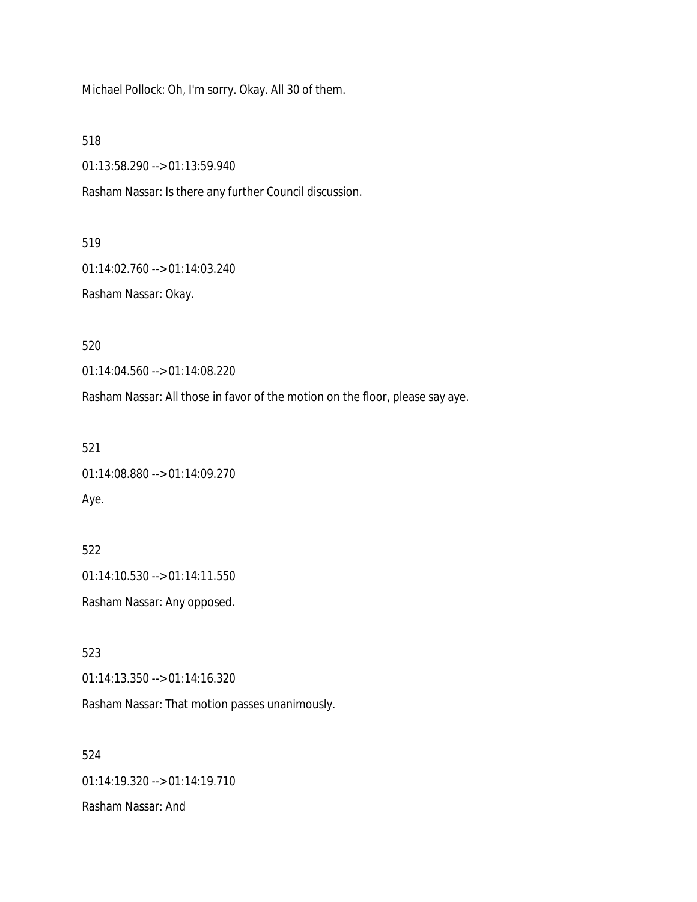Michael Pollock: Oh, I'm sorry. Okay. All 30 of them.

518

01:13:58.290 --> 01:13:59.940

Rasham Nassar: Is there any further Council discussion.

519

01:14:02.760 --> 01:14:03.240

Rasham Nassar: Okay.

520

01:14:04.560 --> 01:14:08.220

Rasham Nassar: All those in favor of the motion on the floor, please say aye.

521

01:14:08.880 --> 01:14:09.270 Aye.

522 01:14:10.530 --> 01:14:11.550 Rasham Nassar: Any opposed.

523 01:14:13.350 --> 01:14:16.320

Rasham Nassar: That motion passes unanimously.

524 01:14:19.320 --> 01:14:19.710 Rasham Nassar: And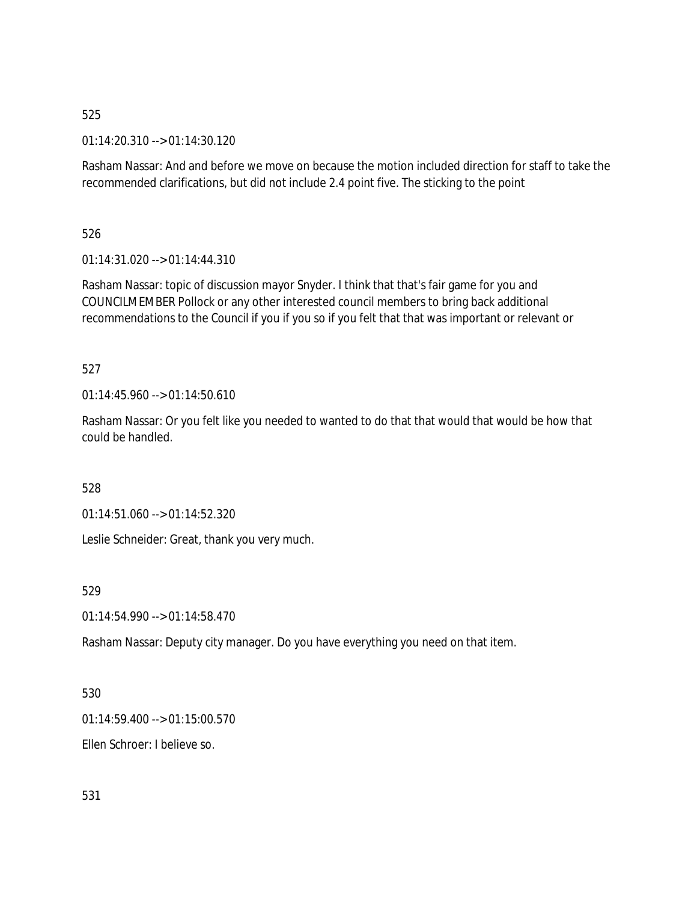01:14:20.310 --> 01:14:30.120

Rasham Nassar: And and before we move on because the motion included direction for staff to take the recommended clarifications, but did not include 2.4 point five. The sticking to the point

526

01:14:31.020 --> 01:14:44.310

Rasham Nassar: topic of discussion mayor Snyder. I think that that's fair game for you and COUNCILMEMBER Pollock or any other interested council members to bring back additional recommendations to the Council if you if you so if you felt that that was important or relevant or

527

01:14:45.960 --> 01:14:50.610

Rasham Nassar: Or you felt like you needed to wanted to do that that would that would be how that could be handled.

528

01:14:51.060 --> 01:14:52.320

Leslie Schneider: Great, thank you very much.

529

01:14:54.990 --> 01:14:58.470

Rasham Nassar: Deputy city manager. Do you have everything you need on that item.

530

01:14:59.400 --> 01:15:00.570

Ellen Schroer: I believe so.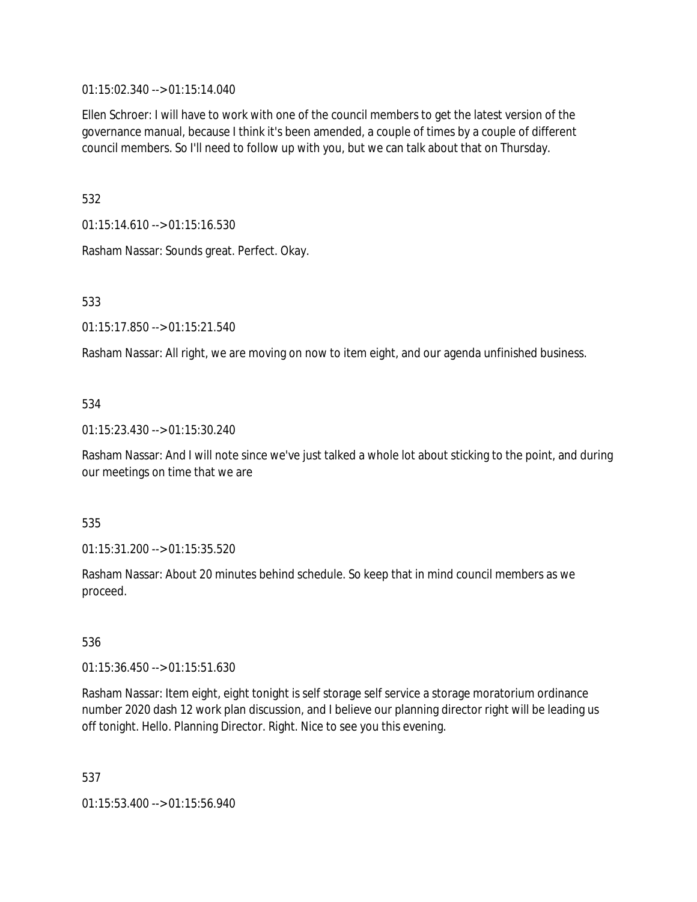01:15:02.340 --> 01:15:14.040

Ellen Schroer: I will have to work with one of the council members to get the latest version of the governance manual, because I think it's been amended, a couple of times by a couple of different council members. So I'll need to follow up with you, but we can talk about that on Thursday.

532

01:15:14.610 --> 01:15:16.530

Rasham Nassar: Sounds great. Perfect. Okay.

533

01:15:17.850 --> 01:15:21.540

Rasham Nassar: All right, we are moving on now to item eight, and our agenda unfinished business.

### 534

01:15:23.430 --> 01:15:30.240

Rasham Nassar: And I will note since we've just talked a whole lot about sticking to the point, and during our meetings on time that we are

### 535

01:15:31.200 --> 01:15:35.520

Rasham Nassar: About 20 minutes behind schedule. So keep that in mind council members as we proceed.

### 536

01:15:36.450 --> 01:15:51.630

Rasham Nassar: Item eight, eight tonight is self storage self service a storage moratorium ordinance number 2020 dash 12 work plan discussion, and I believe our planning director right will be leading us off tonight. Hello. Planning Director. Right. Nice to see you this evening.

537

01:15:53.400 --> 01:15:56.940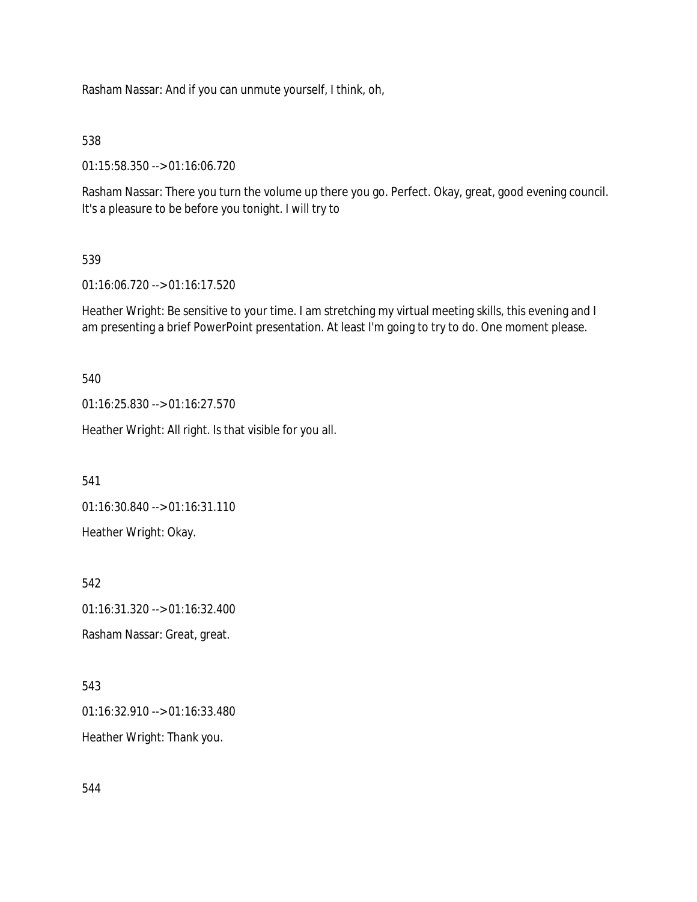Rasham Nassar: And if you can unmute yourself, I think, oh,

538

01:15:58.350 --> 01:16:06.720

Rasham Nassar: There you turn the volume up there you go. Perfect. Okay, great, good evening council. It's a pleasure to be before you tonight. I will try to

### 539

01:16:06.720 --> 01:16:17.520

Heather Wright: Be sensitive to your time. I am stretching my virtual meeting skills, this evening and I am presenting a brief PowerPoint presentation. At least I'm going to try to do. One moment please.

540

01:16:25.830 --> 01:16:27.570

Heather Wright: All right. Is that visible for you all.

541

01:16:30.840 --> 01:16:31.110

Heather Wright: Okay.

542 01:16:31.320 --> 01:16:32.400

Rasham Nassar: Great, great.

543

01:16:32.910 --> 01:16:33.480 Heather Wright: Thank you.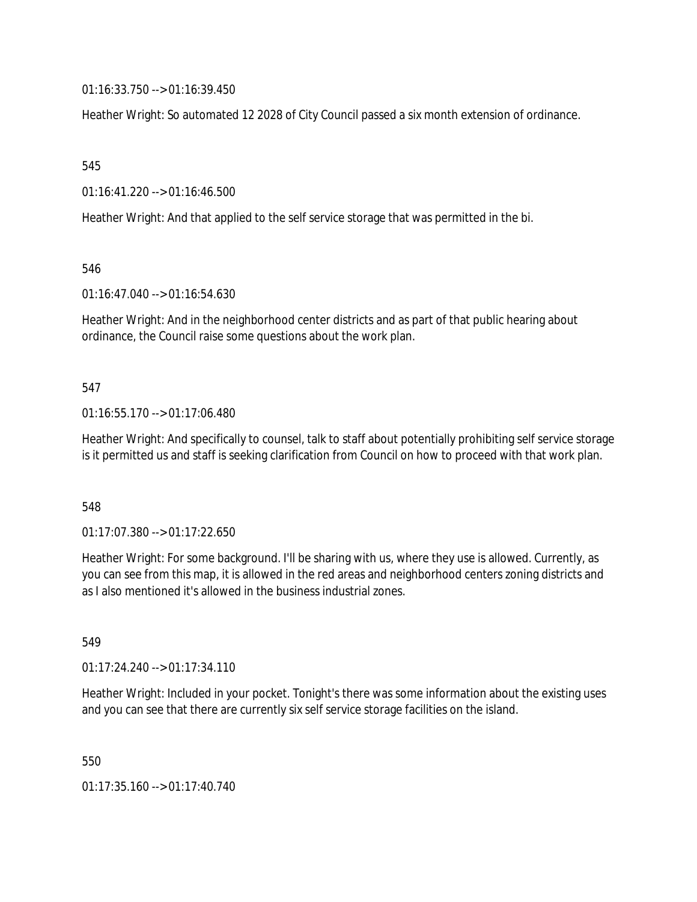01:16:33.750 --> 01:16:39.450

Heather Wright: So automated 12 2028 of City Council passed a six month extension of ordinance.

545

01:16:41.220 --> 01:16:46.500

Heather Wright: And that applied to the self service storage that was permitted in the bi.

546

01:16:47.040 --> 01:16:54.630

Heather Wright: And in the neighborhood center districts and as part of that public hearing about ordinance, the Council raise some questions about the work plan.

### 547

### 01:16:55.170 --> 01:17:06.480

Heather Wright: And specifically to counsel, talk to staff about potentially prohibiting self service storage is it permitted us and staff is seeking clarification from Council on how to proceed with that work plan.

### 548

01:17:07.380 --> 01:17:22.650

Heather Wright: For some background. I'll be sharing with us, where they use is allowed. Currently, as you can see from this map, it is allowed in the red areas and neighborhood centers zoning districts and as I also mentioned it's allowed in the business industrial zones.

549

01:17:24.240 --> 01:17:34.110

Heather Wright: Included in your pocket. Tonight's there was some information about the existing uses and you can see that there are currently six self service storage facilities on the island.

550

01:17:35.160 --> 01:17:40.740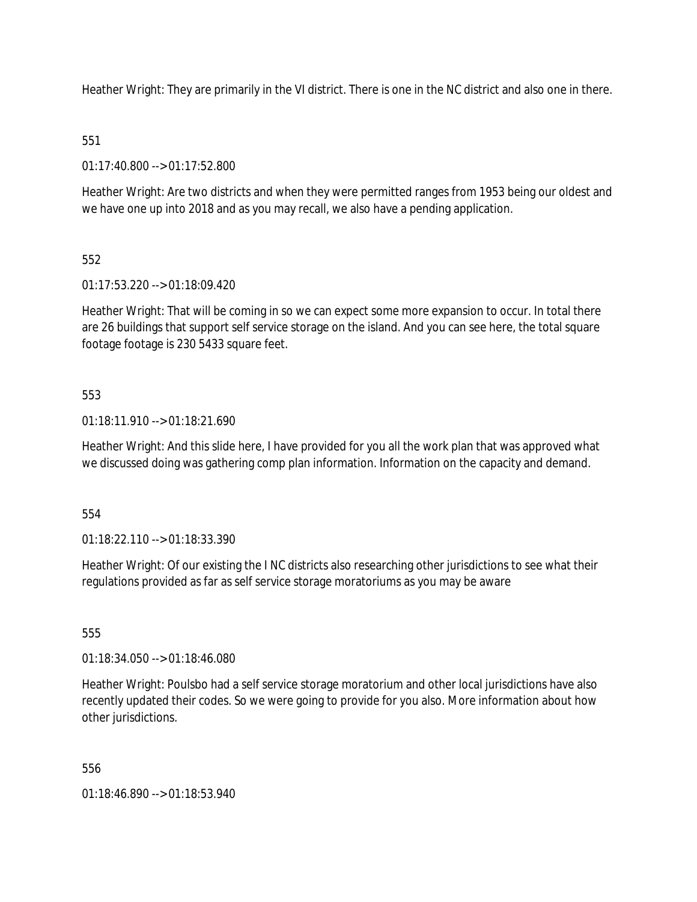Heather Wright: They are primarily in the VI district. There is one in the NC district and also one in there.

# 551

01:17:40.800 --> 01:17:52.800

Heather Wright: Are two districts and when they were permitted ranges from 1953 being our oldest and we have one up into 2018 and as you may recall, we also have a pending application.

# 552

01:17:53.220 --> 01:18:09.420

Heather Wright: That will be coming in so we can expect some more expansion to occur. In total there are 26 buildings that support self service storage on the island. And you can see here, the total square footage footage is 230 5433 square feet.

## 553

01:18:11.910 --> 01:18:21.690

Heather Wright: And this slide here, I have provided for you all the work plan that was approved what we discussed doing was gathering comp plan information. Information on the capacity and demand.

554

01:18:22.110 --> 01:18:33.390

Heather Wright: Of our existing the I NC districts also researching other jurisdictions to see what their regulations provided as far as self service storage moratoriums as you may be aware

555

01:18:34.050 --> 01:18:46.080

Heather Wright: Poulsbo had a self service storage moratorium and other local jurisdictions have also recently updated their codes. So we were going to provide for you also. More information about how other jurisdictions.

556

01:18:46.890 --> 01:18:53.940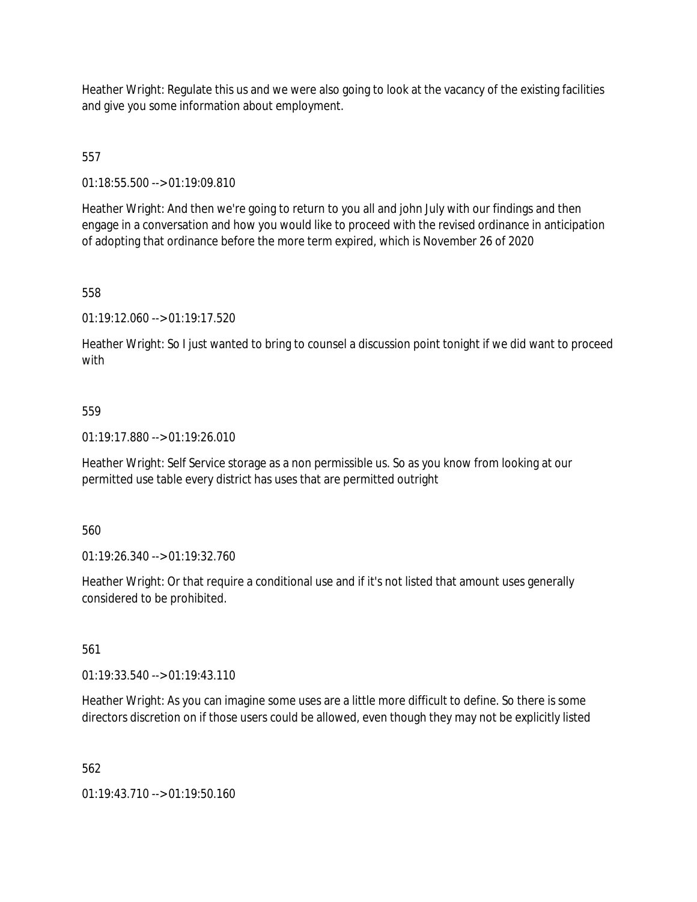Heather Wright: Regulate this us and we were also going to look at the vacancy of the existing facilities and give you some information about employment.

557

01:18:55.500 --> 01:19:09.810

Heather Wright: And then we're going to return to you all and john July with our findings and then engage in a conversation and how you would like to proceed with the revised ordinance in anticipation of adopting that ordinance before the more term expired, which is November 26 of 2020

558

01:19:12.060 --> 01:19:17.520

Heather Wright: So I just wanted to bring to counsel a discussion point tonight if we did want to proceed with

### 559

01:19:17.880 --> 01:19:26.010

Heather Wright: Self Service storage as a non permissible us. So as you know from looking at our permitted use table every district has uses that are permitted outright

560

01:19:26.340 --> 01:19:32.760

Heather Wright: Or that require a conditional use and if it's not listed that amount uses generally considered to be prohibited.

561

01:19:33.540 --> 01:19:43.110

Heather Wright: As you can imagine some uses are a little more difficult to define. So there is some directors discretion on if those users could be allowed, even though they may not be explicitly listed

562

01:19:43.710 --> 01:19:50.160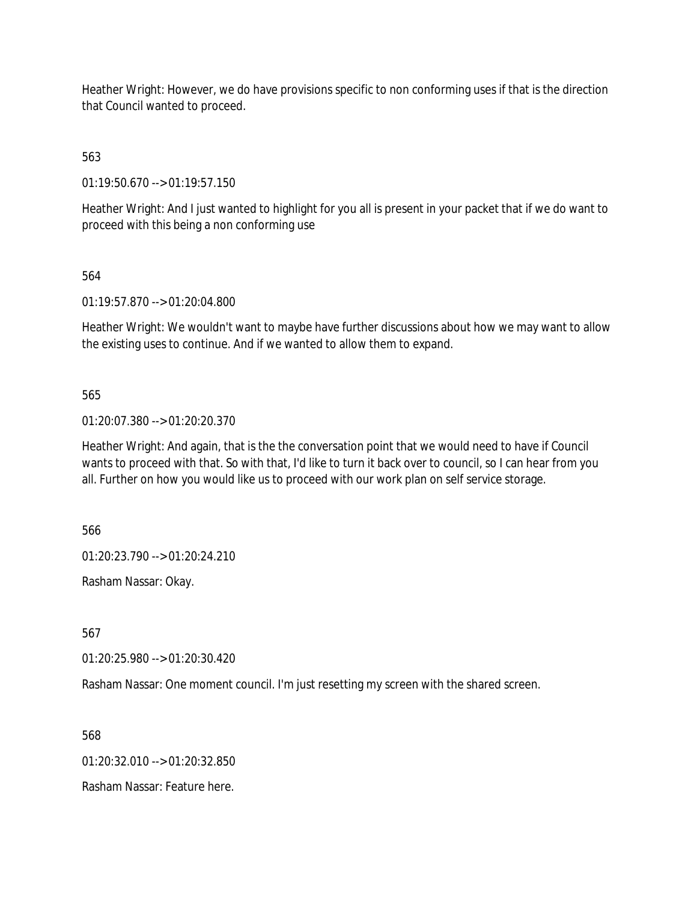Heather Wright: However, we do have provisions specific to non conforming uses if that is the direction that Council wanted to proceed.

563

01:19:50.670 --> 01:19:57.150

Heather Wright: And I just wanted to highlight for you all is present in your packet that if we do want to proceed with this being a non conforming use

564

01:19:57.870 --> 01:20:04.800

Heather Wright: We wouldn't want to maybe have further discussions about how we may want to allow the existing uses to continue. And if we wanted to allow them to expand.

565

01:20:07.380 --> 01:20:20.370

Heather Wright: And again, that is the the conversation point that we would need to have if Council wants to proceed with that. So with that, I'd like to turn it back over to council, so I can hear from you all. Further on how you would like us to proceed with our work plan on self service storage.

566

01:20:23.790 --> 01:20:24.210

Rasham Nassar: Okay.

567

01:20:25.980 --> 01:20:30.420

Rasham Nassar: One moment council. I'm just resetting my screen with the shared screen.

568

 $01:20:32.010 \rightarrow 01:20:32.850$ 

Rasham Nassar: Feature here.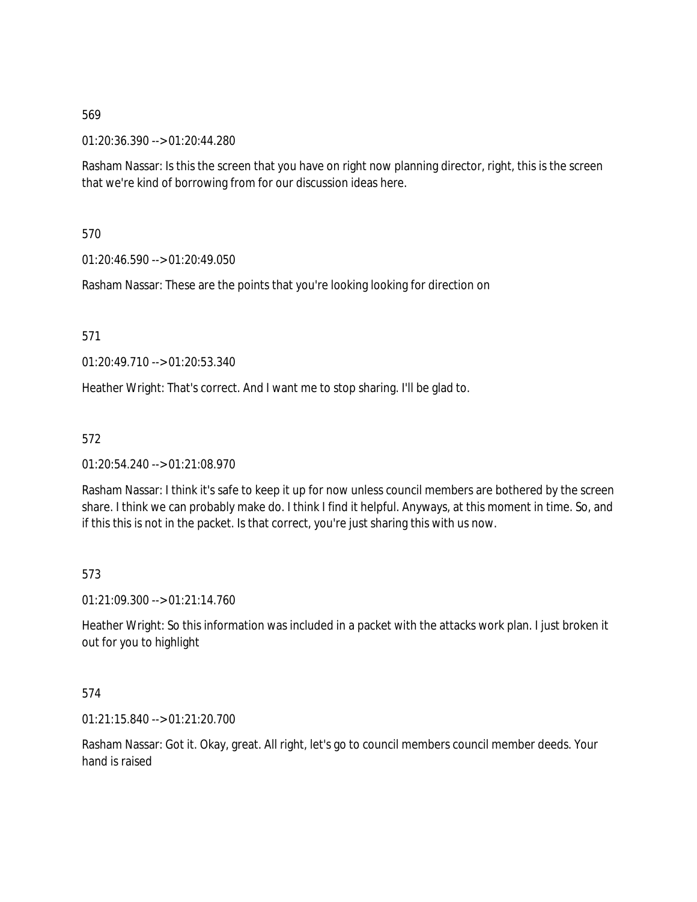01:20:36.390 --> 01:20:44.280

Rasham Nassar: Is this the screen that you have on right now planning director, right, this is the screen that we're kind of borrowing from for our discussion ideas here.

570

01:20:46.590 --> 01:20:49.050

Rasham Nassar: These are the points that you're looking looking for direction on

571

01:20:49.710 --> 01:20:53.340

Heather Wright: That's correct. And I want me to stop sharing. I'll be glad to.

572

01:20:54.240 --> 01:21:08.970

Rasham Nassar: I think it's safe to keep it up for now unless council members are bothered by the screen share. I think we can probably make do. I think I find it helpful. Anyways, at this moment in time. So, and if this this is not in the packet. Is that correct, you're just sharing this with us now.

573

01:21:09.300 --> 01:21:14.760

Heather Wright: So this information was included in a packet with the attacks work plan. I just broken it out for you to highlight

574

01:21:15.840 --> 01:21:20.700

Rasham Nassar: Got it. Okay, great. All right, let's go to council members council member deeds. Your hand is raised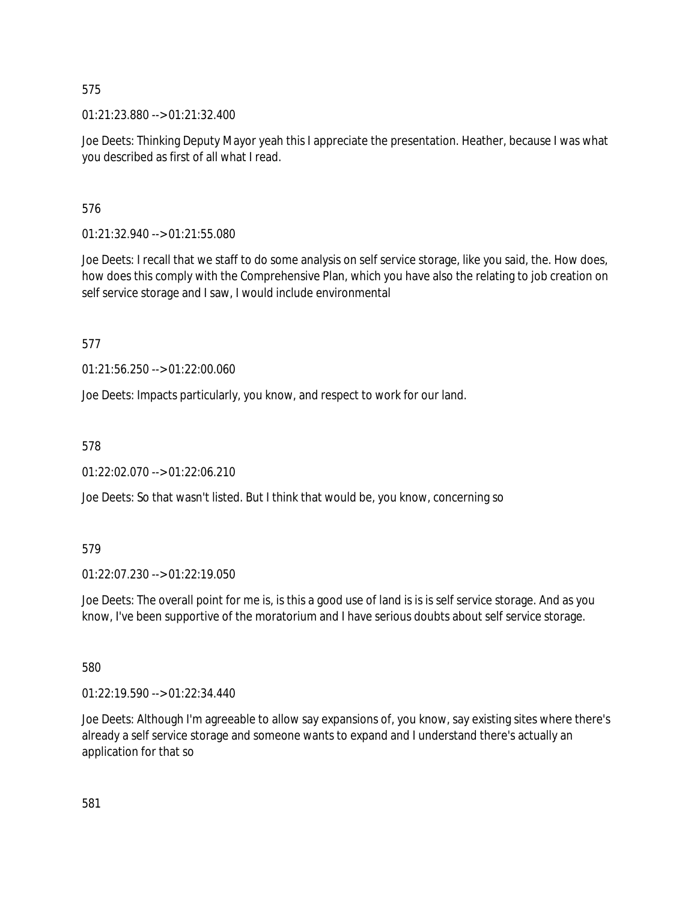01:21:23.880 --> 01:21:32.400

Joe Deets: Thinking Deputy Mayor yeah this I appreciate the presentation. Heather, because I was what you described as first of all what I read.

576

01:21:32.940 --> 01:21:55.080

Joe Deets: I recall that we staff to do some analysis on self service storage, like you said, the. How does, how does this comply with the Comprehensive Plan, which you have also the relating to job creation on self service storage and I saw, I would include environmental

577

01:21:56.250 --> 01:22:00.060

Joe Deets: Impacts particularly, you know, and respect to work for our land.

578

01:22:02.070 --> 01:22:06.210

Joe Deets: So that wasn't listed. But I think that would be, you know, concerning so

579

01:22:07.230 --> 01:22:19.050

Joe Deets: The overall point for me is, is this a good use of land is is is self service storage. And as you know, I've been supportive of the moratorium and I have serious doubts about self service storage.

580

01:22:19.590 --> 01:22:34.440

Joe Deets: Although I'm agreeable to allow say expansions of, you know, say existing sites where there's already a self service storage and someone wants to expand and I understand there's actually an application for that so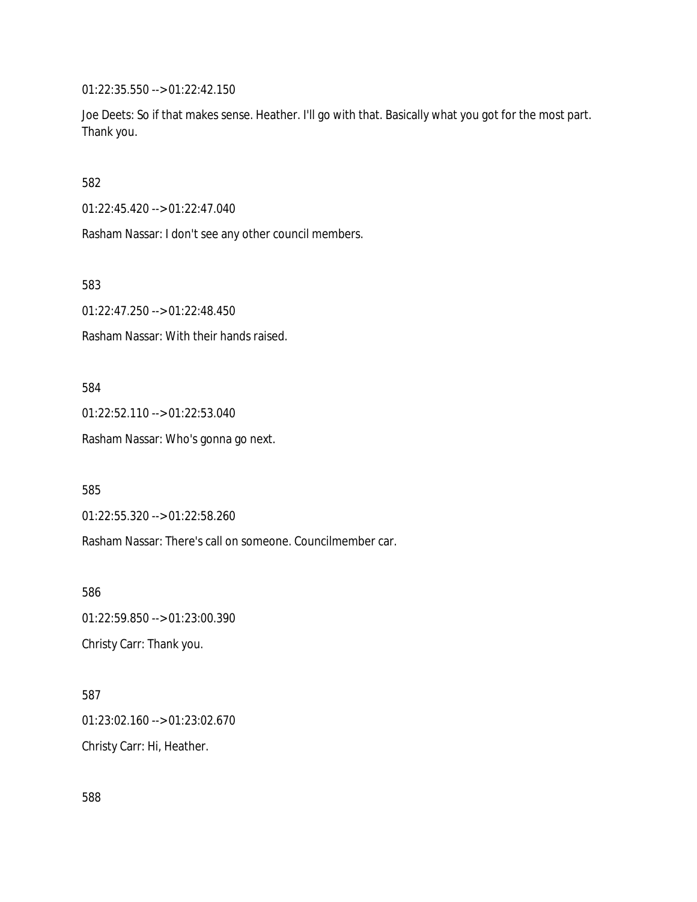01:22:35.550 --> 01:22:42.150

Joe Deets: So if that makes sense. Heather. I'll go with that. Basically what you got for the most part. Thank you.

582

01:22:45.420 --> 01:22:47.040

Rasham Nassar: I don't see any other council members.

583

01:22:47.250 --> 01:22:48.450

Rasham Nassar: With their hands raised.

584

01:22:52.110 --> 01:22:53.040

Rasham Nassar: Who's gonna go next.

585

01:22:55.320 --> 01:22:58.260

Rasham Nassar: There's call on someone. Councilmember car.

586 01:22:59.850 --> 01:23:00.390 Christy Carr: Thank you.

587 01:23:02.160 --> 01:23:02.670 Christy Carr: Hi, Heather.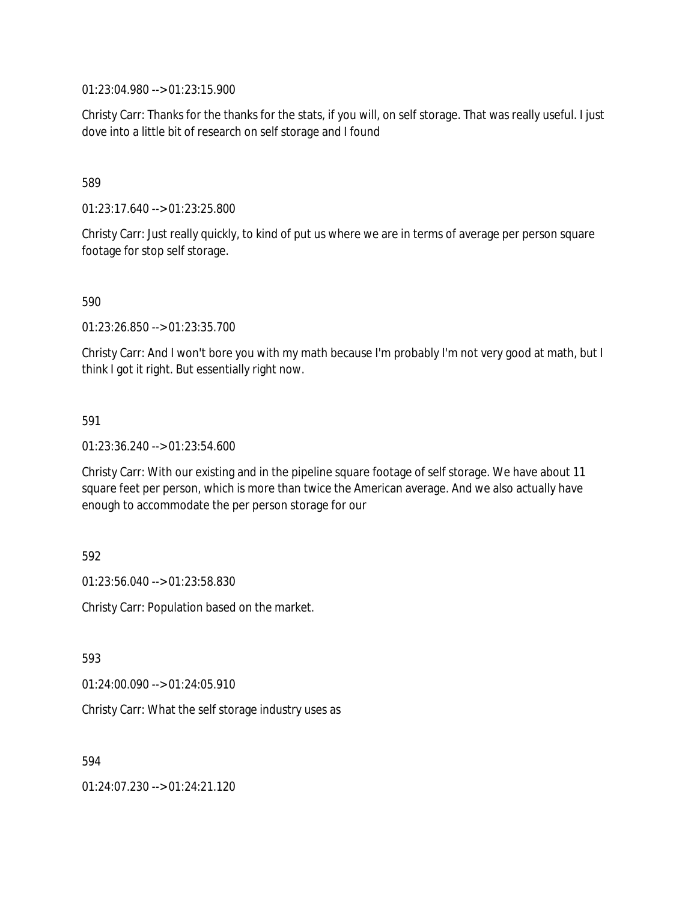01:23:04.980 --> 01:23:15.900

Christy Carr: Thanks for the thanks for the stats, if you will, on self storage. That was really useful. I just dove into a little bit of research on self storage and I found

589

01:23:17.640 --> 01:23:25.800

Christy Carr: Just really quickly, to kind of put us where we are in terms of average per person square footage for stop self storage.

590

01:23:26.850 --> 01:23:35.700

Christy Carr: And I won't bore you with my math because I'm probably I'm not very good at math, but I think I got it right. But essentially right now.

591

01:23:36.240 --> 01:23:54.600

Christy Carr: With our existing and in the pipeline square footage of self storage. We have about 11 square feet per person, which is more than twice the American average. And we also actually have enough to accommodate the per person storage for our

592

01:23:56.040 --> 01:23:58.830

Christy Carr: Population based on the market.

593

01:24:00.090 --> 01:24:05.910

Christy Carr: What the self storage industry uses as

594

01:24:07.230 --> 01:24:21.120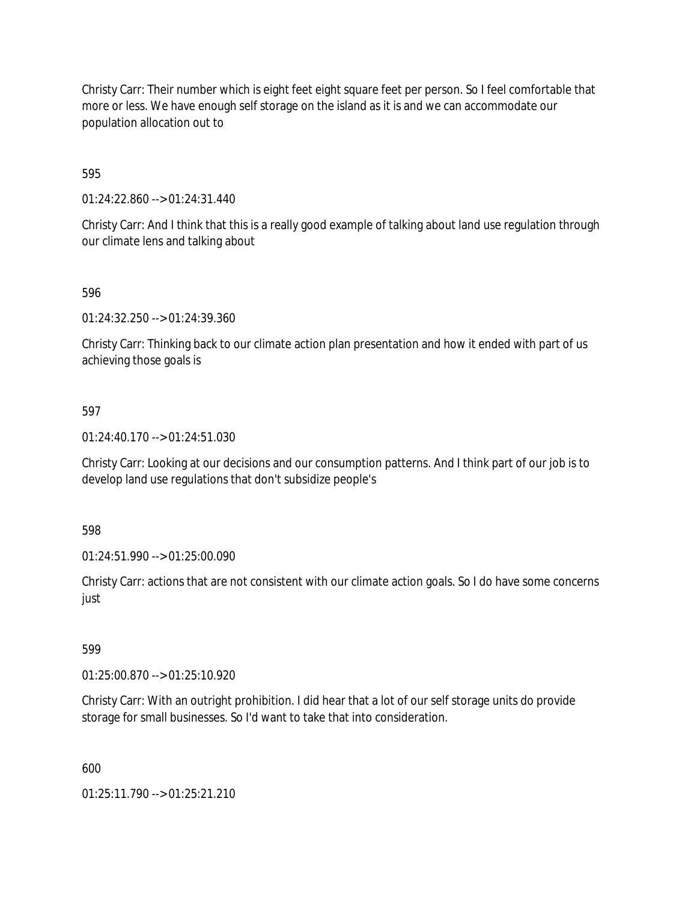Christy Carr: Their number which is eight feet eight square feet per person. So I feel comfortable that more or less. We have enough self storage on the island as it is and we can accommodate our population allocation out to

595

01:24:22.860 --> 01:24:31.440

Christy Carr: And I think that this is a really good example of talking about land use regulation through our climate lens and talking about

596

01:24:32.250 --> 01:24:39.360

Christy Carr: Thinking back to our climate action plan presentation and how it ended with part of us achieving those goals is

597

01:24:40.170 --> 01:24:51.030

Christy Carr: Looking at our decisions and our consumption patterns. And I think part of our job is to develop land use regulations that don't subsidize people's

598

01:24:51.990 --> 01:25:00.090

Christy Carr: actions that are not consistent with our climate action goals. So I do have some concerns just

599

01:25:00.870 --> 01:25:10.920

Christy Carr: With an outright prohibition. I did hear that a lot of our self storage units do provide storage for small businesses. So I'd want to take that into consideration.

600

01:25:11.790 --> 01:25:21.210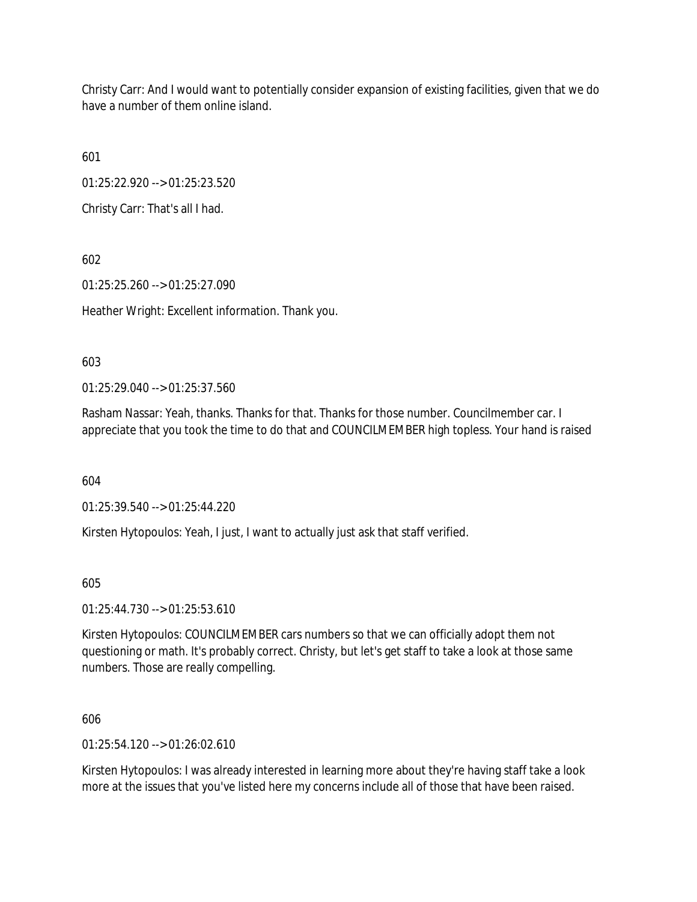Christy Carr: And I would want to potentially consider expansion of existing facilities, given that we do have a number of them online island.

601

01:25:22.920 --> 01:25:23.520

Christy Carr: That's all I had.

602

01:25:25.260 --> 01:25:27.090

Heather Wright: Excellent information. Thank you.

603

01:25:29.040 --> 01:25:37.560

Rasham Nassar: Yeah, thanks. Thanks for that. Thanks for those number. Councilmember car. I appreciate that you took the time to do that and COUNCILMEMBER high topless. Your hand is raised

604

01:25:39.540 --> 01:25:44.220

Kirsten Hytopoulos: Yeah, I just, I want to actually just ask that staff verified.

605

01:25:44.730 --> 01:25:53.610

Kirsten Hytopoulos: COUNCILMEMBER cars numbers so that we can officially adopt them not questioning or math. It's probably correct. Christy, but let's get staff to take a look at those same numbers. Those are really compelling.

606

01:25:54.120 --> 01:26:02.610

Kirsten Hytopoulos: I was already interested in learning more about they're having staff take a look more at the issues that you've listed here my concerns include all of those that have been raised.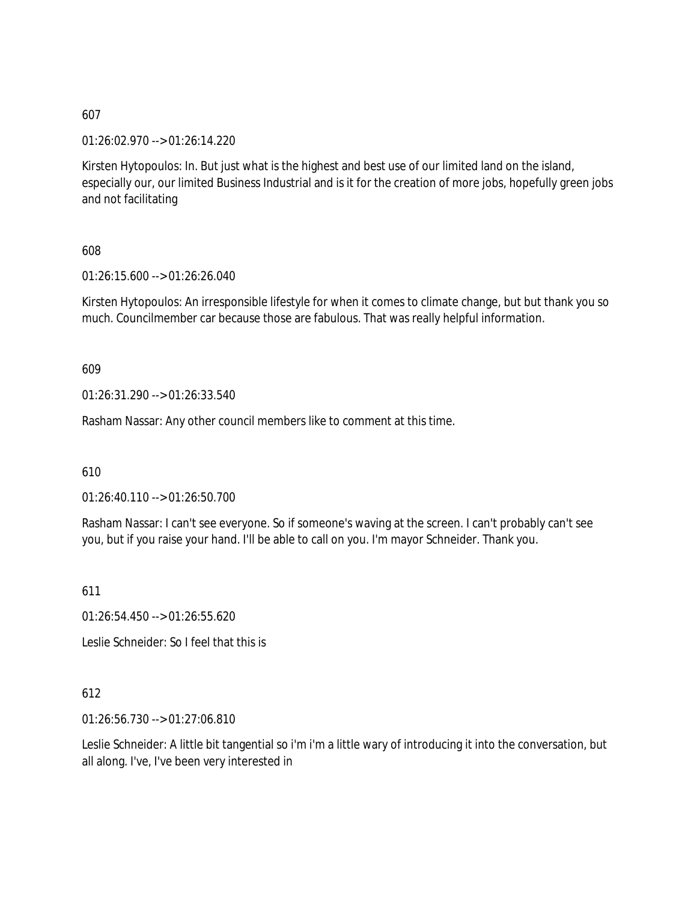01:26:02.970 --> 01:26:14.220

Kirsten Hytopoulos: In. But just what is the highest and best use of our limited land on the island, especially our, our limited Business Industrial and is it for the creation of more jobs, hopefully green jobs and not facilitating

608

01:26:15.600 --> 01:26:26.040

Kirsten Hytopoulos: An irresponsible lifestyle for when it comes to climate change, but but thank you so much. Councilmember car because those are fabulous. That was really helpful information.

609

01:26:31.290 --> 01:26:33.540

Rasham Nassar: Any other council members like to comment at this time.

610

01:26:40.110 --> 01:26:50.700

Rasham Nassar: I can't see everyone. So if someone's waving at the screen. I can't probably can't see you, but if you raise your hand. I'll be able to call on you. I'm mayor Schneider. Thank you.

611

01:26:54.450 --> 01:26:55.620

Leslie Schneider: So I feel that this is

### 612

01:26:56.730 --> 01:27:06.810

Leslie Schneider: A little bit tangential so i'm i'm a little wary of introducing it into the conversation, but all along. I've, I've been very interested in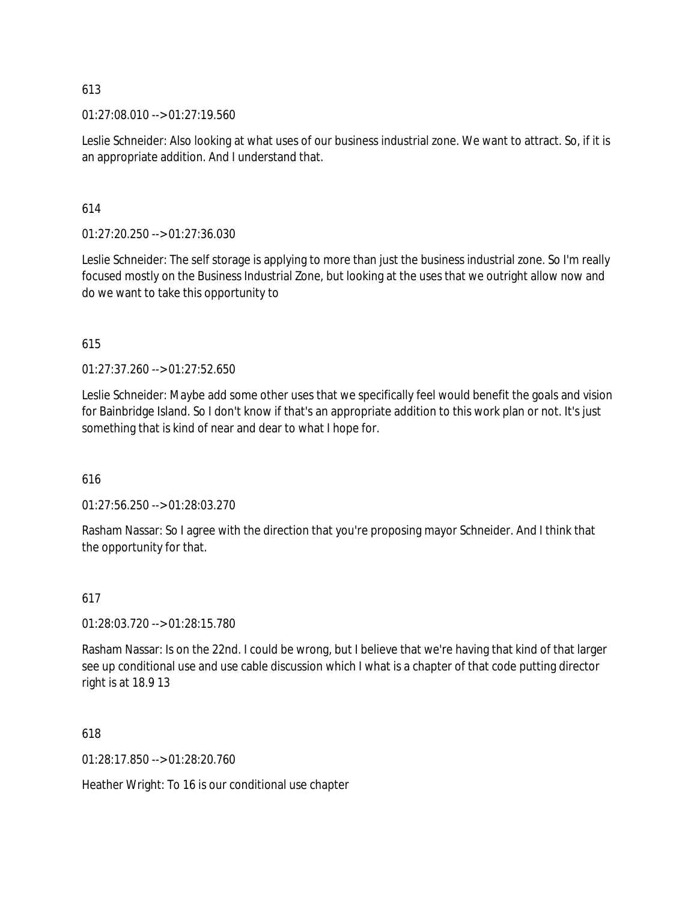$01:27:08.010 \rightarrow 01:27:19.560$ 

Leslie Schneider: Also looking at what uses of our business industrial zone. We want to attract. So, if it is an appropriate addition. And I understand that.

### 614

01:27:20.250 --> 01:27:36.030

Leslie Schneider: The self storage is applying to more than just the business industrial zone. So I'm really focused mostly on the Business Industrial Zone, but looking at the uses that we outright allow now and do we want to take this opportunity to

### 615

01:27:37.260 --> 01:27:52.650

Leslie Schneider: Maybe add some other uses that we specifically feel would benefit the goals and vision for Bainbridge Island. So I don't know if that's an appropriate addition to this work plan or not. It's just something that is kind of near and dear to what I hope for.

### 616

 $01:27:56.250 \rightarrow 01:28:03.270$ 

Rasham Nassar: So I agree with the direction that you're proposing mayor Schneider. And I think that the opportunity for that.

### 617

01:28:03.720 --> 01:28:15.780

Rasham Nassar: Is on the 22nd. I could be wrong, but I believe that we're having that kind of that larger see up conditional use and use cable discussion which I what is a chapter of that code putting director right is at 18.9 13

618

01:28:17.850 --> 01:28:20.760

Heather Wright: To 16 is our conditional use chapter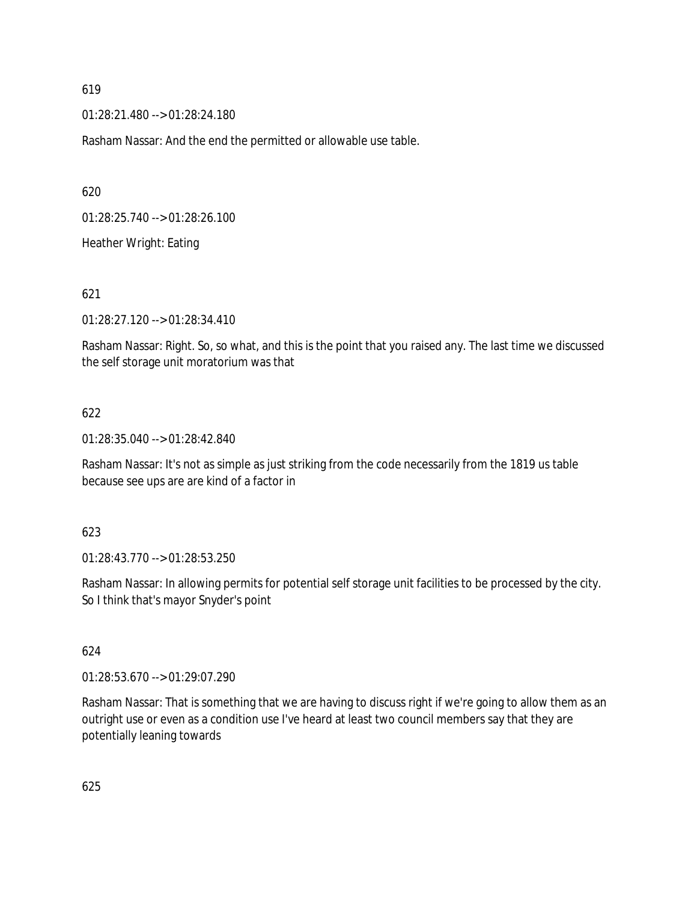01:28:21.480 --> 01:28:24.180

Rasham Nassar: And the end the permitted or allowable use table.

620

01:28:25.740 --> 01:28:26.100

Heather Wright: Eating

621

01:28:27.120 --> 01:28:34.410

Rasham Nassar: Right. So, so what, and this is the point that you raised any. The last time we discussed the self storage unit moratorium was that

### 622

01:28:35.040 --> 01:28:42.840

Rasham Nassar: It's not as simple as just striking from the code necessarily from the 1819 us table because see ups are are kind of a factor in

623

01:28:43.770 --> 01:28:53.250

Rasham Nassar: In allowing permits for potential self storage unit facilities to be processed by the city. So I think that's mayor Snyder's point

624

01:28:53.670 --> 01:29:07.290

Rasham Nassar: That is something that we are having to discuss right if we're going to allow them as an outright use or even as a condition use I've heard at least two council members say that they are potentially leaning towards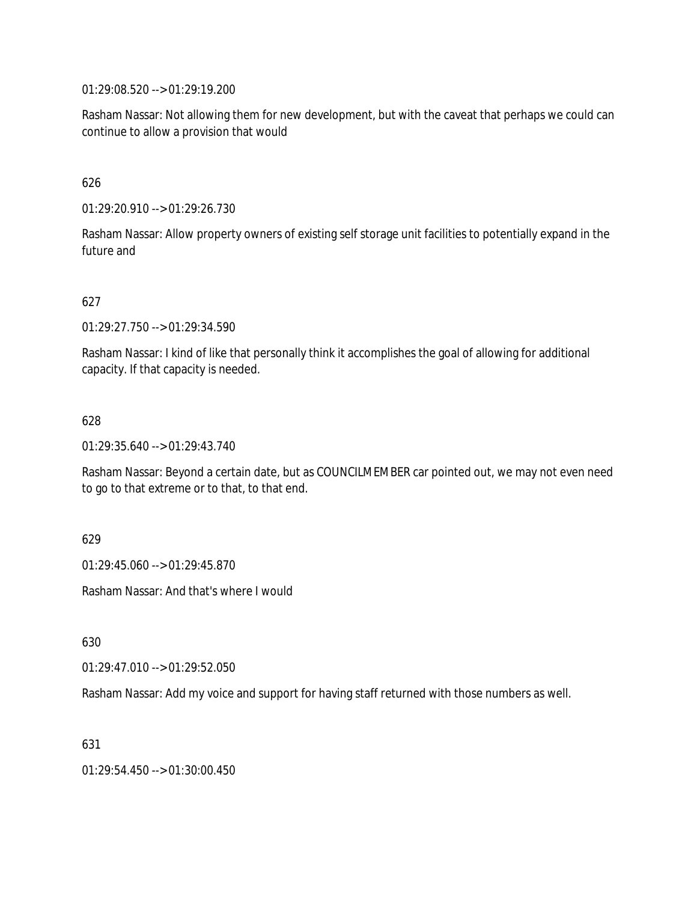01:29:08.520 --> 01:29:19.200

Rasham Nassar: Not allowing them for new development, but with the caveat that perhaps we could can continue to allow a provision that would

### 626

01:29:20.910 --> 01:29:26.730

Rasham Nassar: Allow property owners of existing self storage unit facilities to potentially expand in the future and

### 627

01:29:27.750 --> 01:29:34.590

Rasham Nassar: I kind of like that personally think it accomplishes the goal of allowing for additional capacity. If that capacity is needed.

### 628

01:29:35.640 --> 01:29:43.740

Rasham Nassar: Beyond a certain date, but as COUNCILMEMBER car pointed out, we may not even need to go to that extreme or to that, to that end.

### 629

01:29:45.060 --> 01:29:45.870

Rasham Nassar: And that's where I would

630

 $01:29:47.010 \rightarrow 01:29:52.050$ 

Rasham Nassar: Add my voice and support for having staff returned with those numbers as well.

631

01:29:54.450 --> 01:30:00.450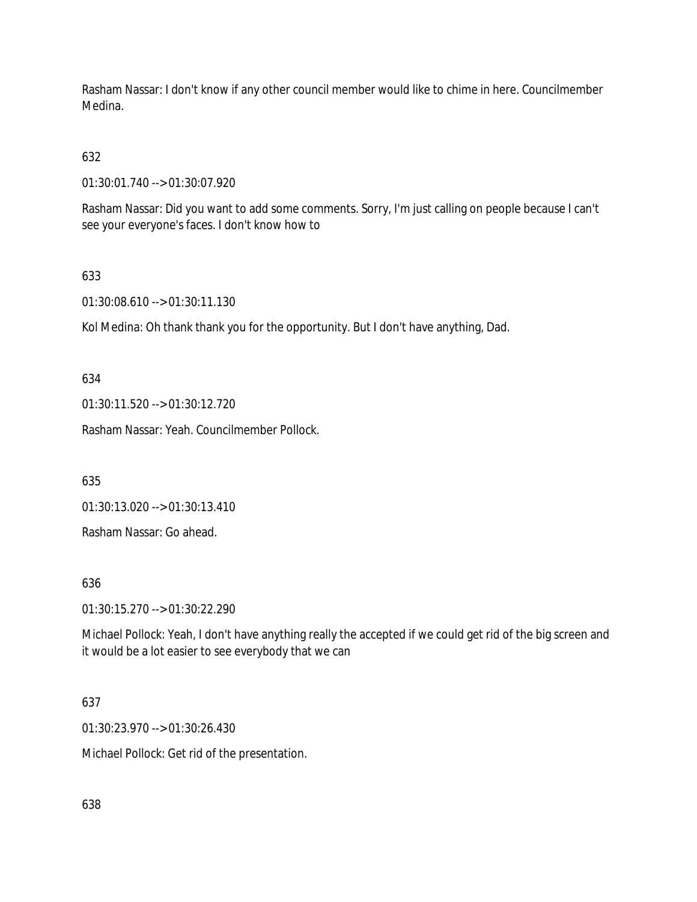Rasham Nassar: I don't know if any other council member would like to chime in here. Councilmember Medina.

# 632

01:30:01.740 --> 01:30:07.920

Rasham Nassar: Did you want to add some comments. Sorry, I'm just calling on people because I can't see your everyone's faces. I don't know how to

## 633

01:30:08.610 --> 01:30:11.130

Kol Medina: Oh thank thank you for the opportunity. But I don't have anything, Dad.

634

01:30:11.520 --> 01:30:12.720

Rasham Nassar: Yeah. Councilmember Pollock.

635

01:30:13.020 --> 01:30:13.410

Rasham Nassar: Go ahead.

### 636

01:30:15.270 --> 01:30:22.290

Michael Pollock: Yeah, I don't have anything really the accepted if we could get rid of the big screen and it would be a lot easier to see everybody that we can

### 637

01:30:23.970 --> 01:30:26.430

Michael Pollock: Get rid of the presentation.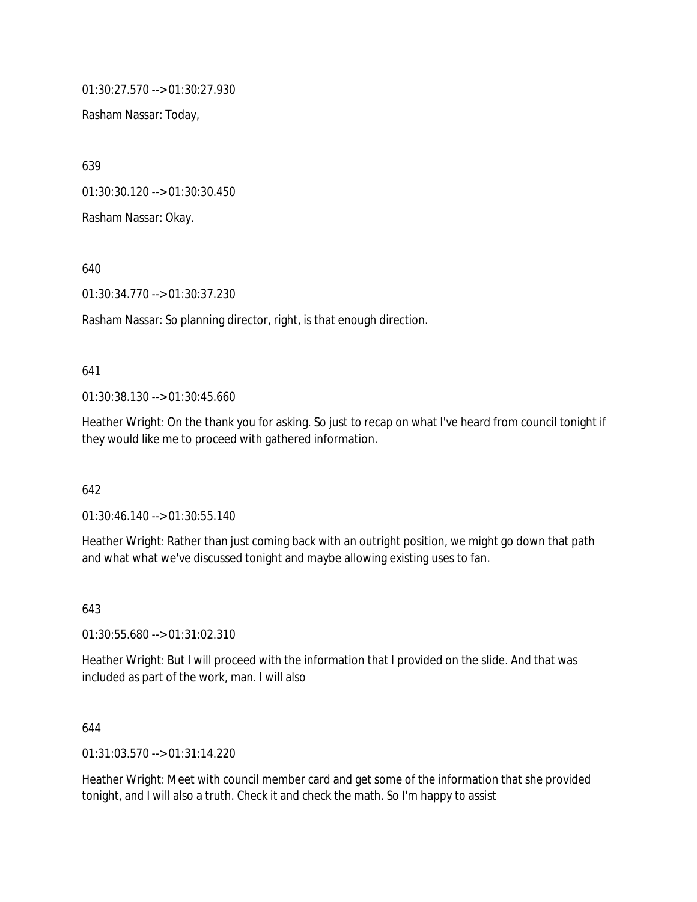01:30:27.570 --> 01:30:27.930

Rasham Nassar: Today,

639

01:30:30.120 --> 01:30:30.450

Rasham Nassar: Okay.

640

01:30:34.770 --> 01:30:37.230

Rasham Nassar: So planning director, right, is that enough direction.

### 641

01:30:38.130 --> 01:30:45.660

Heather Wright: On the thank you for asking. So just to recap on what I've heard from council tonight if they would like me to proceed with gathered information.

### 642

01:30:46.140 --> 01:30:55.140

Heather Wright: Rather than just coming back with an outright position, we might go down that path and what what we've discussed tonight and maybe allowing existing uses to fan.

643

01:30:55.680 --> 01:31:02.310

Heather Wright: But I will proceed with the information that I provided on the slide. And that was included as part of the work, man. I will also

### 644

01:31:03.570 --> 01:31:14.220

Heather Wright: Meet with council member card and get some of the information that she provided tonight, and I will also a truth. Check it and check the math. So I'm happy to assist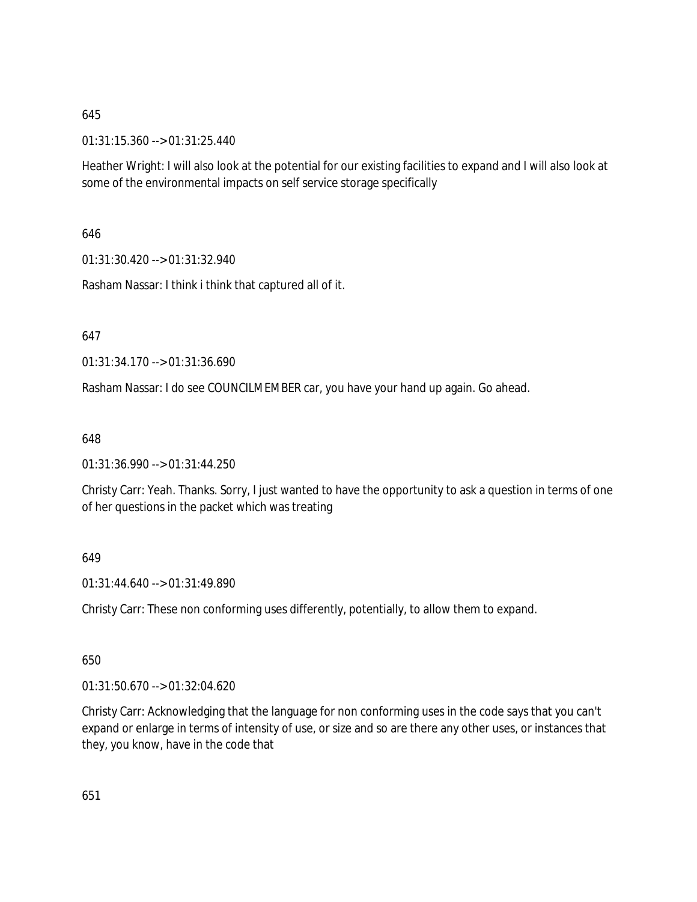01:31:15.360 --> 01:31:25.440

Heather Wright: I will also look at the potential for our existing facilities to expand and I will also look at some of the environmental impacts on self service storage specifically

646

01:31:30.420 --> 01:31:32.940

Rasham Nassar: I think i think that captured all of it.

647

01:31:34.170 --> 01:31:36.690

Rasham Nassar: I do see COUNCILMEMBER car, you have your hand up again. Go ahead.

648

01:31:36.990 --> 01:31:44.250

Christy Carr: Yeah. Thanks. Sorry, I just wanted to have the opportunity to ask a question in terms of one of her questions in the packet which was treating

### 649

01:31:44.640 --> 01:31:49.890

Christy Carr: These non conforming uses differently, potentially, to allow them to expand.

650

01:31:50.670 --> 01:32:04.620

Christy Carr: Acknowledging that the language for non conforming uses in the code says that you can't expand or enlarge in terms of intensity of use, or size and so are there any other uses, or instances that they, you know, have in the code that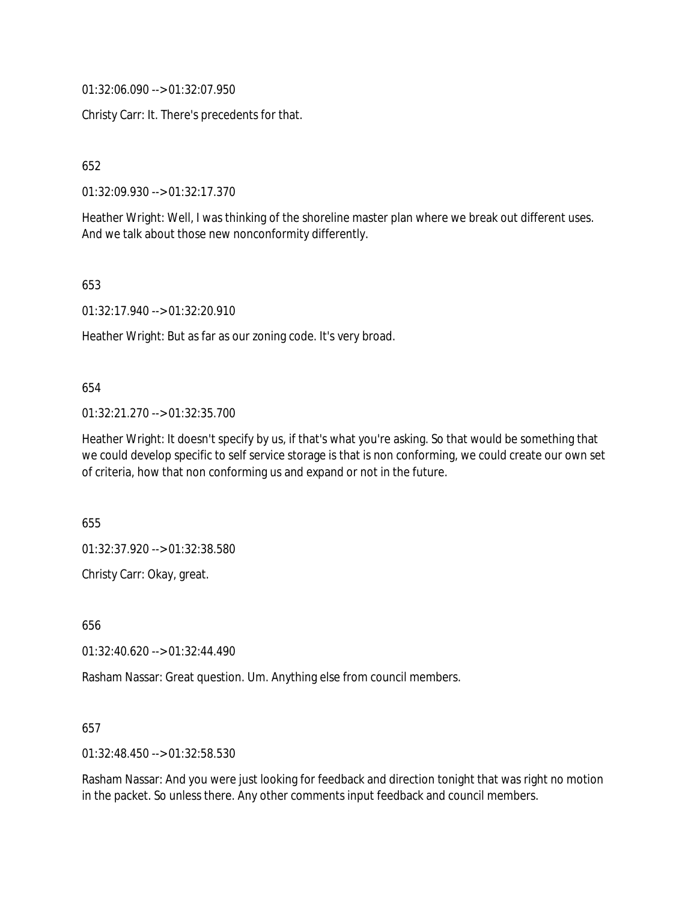01:32:06.090 --> 01:32:07.950

Christy Carr: It. There's precedents for that.

652

01:32:09.930 --> 01:32:17.370

Heather Wright: Well, I was thinking of the shoreline master plan where we break out different uses. And we talk about those new nonconformity differently.

653

01:32:17.940 --> 01:32:20.910

Heather Wright: But as far as our zoning code. It's very broad.

#### 654

01:32:21.270 --> 01:32:35.700

Heather Wright: It doesn't specify by us, if that's what you're asking. So that would be something that we could develop specific to self service storage is that is non conforming, we could create our own set of criteria, how that non conforming us and expand or not in the future.

655

01:32:37.920 --> 01:32:38.580

Christy Carr: Okay, great.

656

01:32:40.620 --> 01:32:44.490

Rasham Nassar: Great question. Um. Anything else from council members.

657

01:32:48.450 --> 01:32:58.530

Rasham Nassar: And you were just looking for feedback and direction tonight that was right no motion in the packet. So unless there. Any other comments input feedback and council members.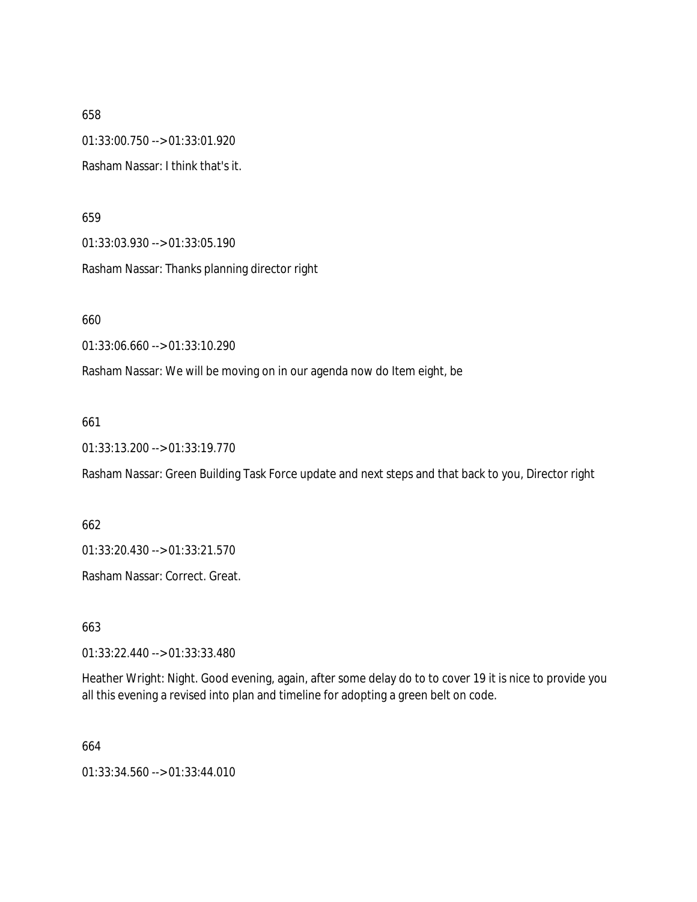658 01:33:00.750 --> 01:33:01.920 Rasham Nassar: I think that's it.

659

01:33:03.930 --> 01:33:05.190

Rasham Nassar: Thanks planning director right

660

01:33:06.660 --> 01:33:10.290

Rasham Nassar: We will be moving on in our agenda now do Item eight, be

661

01:33:13.200 --> 01:33:19.770

Rasham Nassar: Green Building Task Force update and next steps and that back to you, Director right

662

01:33:20.430 --> 01:33:21.570

Rasham Nassar: Correct. Great.

663

01:33:22.440 --> 01:33:33.480

Heather Wright: Night. Good evening, again, after some delay do to to cover 19 it is nice to provide you all this evening a revised into plan and timeline for adopting a green belt on code.

664

01:33:34.560 --> 01:33:44.010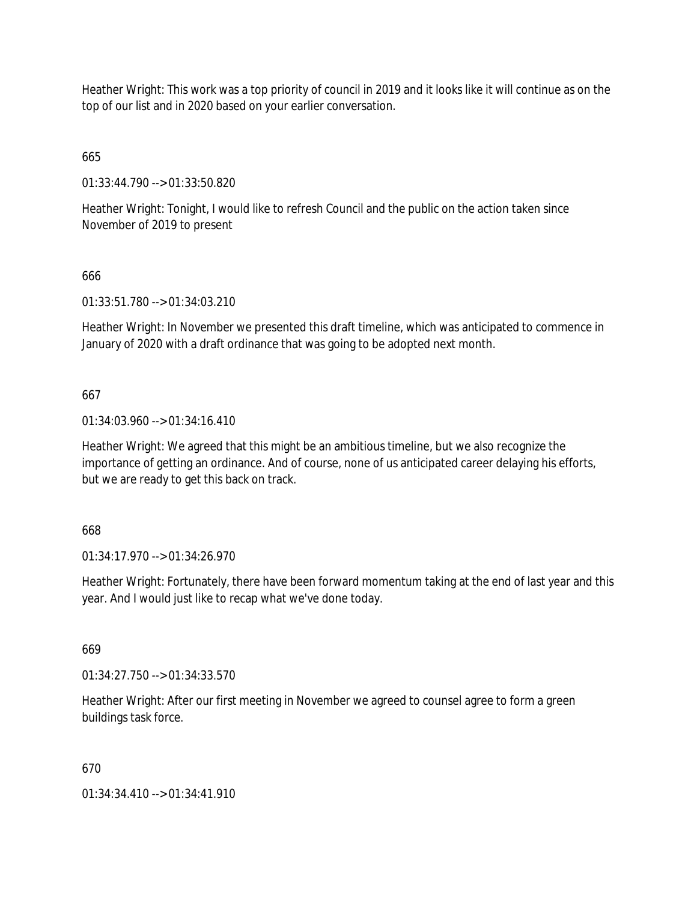Heather Wright: This work was a top priority of council in 2019 and it looks like it will continue as on the top of our list and in 2020 based on your earlier conversation.

665

01:33:44.790 --> 01:33:50.820

Heather Wright: Tonight, I would like to refresh Council and the public on the action taken since November of 2019 to present

### 666

01:33:51.780 --> 01:34:03.210

Heather Wright: In November we presented this draft timeline, which was anticipated to commence in January of 2020 with a draft ordinance that was going to be adopted next month.

### 667

01:34:03.960 --> 01:34:16.410

Heather Wright: We agreed that this might be an ambitious timeline, but we also recognize the importance of getting an ordinance. And of course, none of us anticipated career delaying his efforts, but we are ready to get this back on track.

668

01:34:17.970 --> 01:34:26.970

Heather Wright: Fortunately, there have been forward momentum taking at the end of last year and this year. And I would just like to recap what we've done today.

669

01:34:27.750 --> 01:34:33.570

Heather Wright: After our first meeting in November we agreed to counsel agree to form a green buildings task force.

### 670

01:34:34.410 --> 01:34:41.910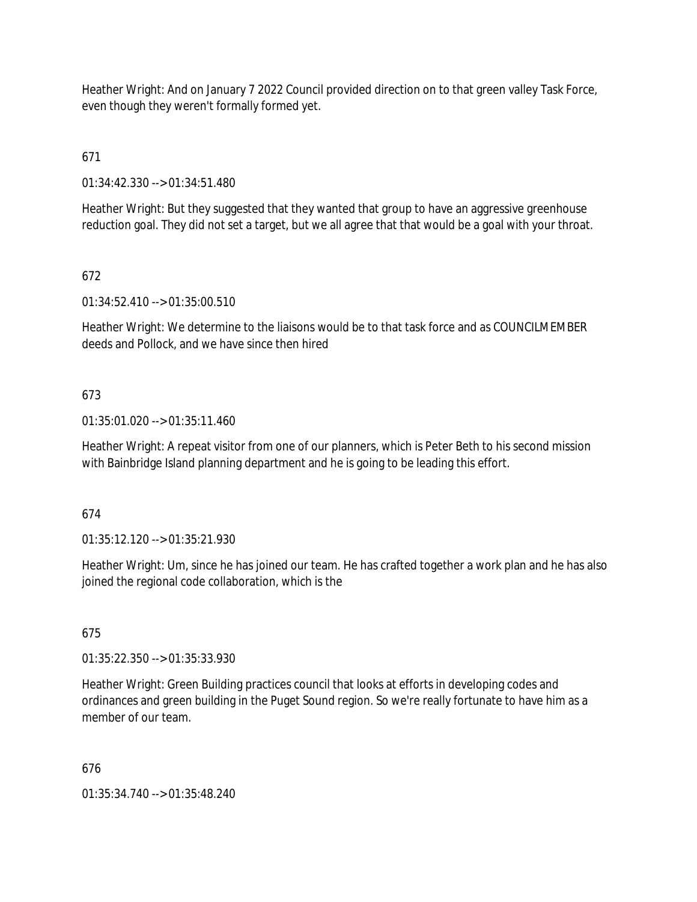Heather Wright: And on January 7 2022 Council provided direction on to that green valley Task Force, even though they weren't formally formed yet.

671

01:34:42.330 --> 01:34:51.480

Heather Wright: But they suggested that they wanted that group to have an aggressive greenhouse reduction goal. They did not set a target, but we all agree that that would be a goal with your throat.

## 672

01:34:52.410 --> 01:35:00.510

Heather Wright: We determine to the liaisons would be to that task force and as COUNCILMEMBER deeds and Pollock, and we have since then hired

## 673

01:35:01.020 --> 01:35:11.460

Heather Wright: A repeat visitor from one of our planners, which is Peter Beth to his second mission with Bainbridge Island planning department and he is going to be leading this effort.

## 674

01:35:12.120 --> 01:35:21.930

Heather Wright: Um, since he has joined our team. He has crafted together a work plan and he has also joined the regional code collaboration, which is the

## 675

01:35:22.350 --> 01:35:33.930

Heather Wright: Green Building practices council that looks at efforts in developing codes and ordinances and green building in the Puget Sound region. So we're really fortunate to have him as a member of our team.

## 676

01:35:34.740 --> 01:35:48.240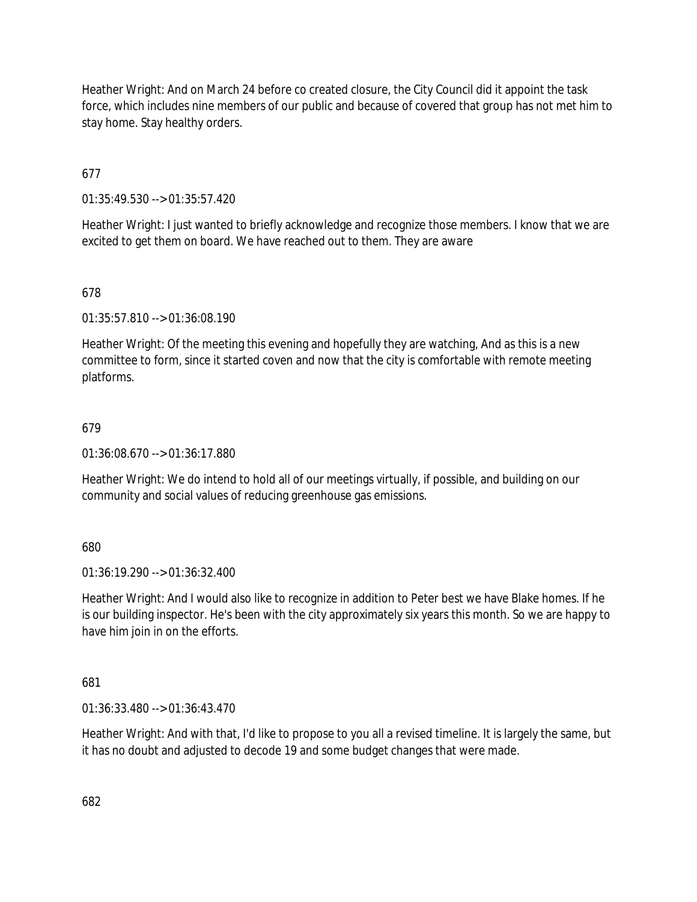Heather Wright: And on March 24 before co created closure, the City Council did it appoint the task force, which includes nine members of our public and because of covered that group has not met him to stay home. Stay healthy orders.

677

01:35:49.530 --> 01:35:57.420

Heather Wright: I just wanted to briefly acknowledge and recognize those members. I know that we are excited to get them on board. We have reached out to them. They are aware

678

01:35:57.810 --> 01:36:08.190

Heather Wright: Of the meeting this evening and hopefully they are watching, And as this is a new committee to form, since it started coven and now that the city is comfortable with remote meeting platforms.

### 679

01:36:08.670 --> 01:36:17.880

Heather Wright: We do intend to hold all of our meetings virtually, if possible, and building on our community and social values of reducing greenhouse gas emissions.

680

01:36:19.290 --> 01:36:32.400

Heather Wright: And I would also like to recognize in addition to Peter best we have Blake homes. If he is our building inspector. He's been with the city approximately six years this month. So we are happy to have him join in on the efforts.

681

01:36:33.480 --> 01:36:43.470

Heather Wright: And with that, I'd like to propose to you all a revised timeline. It is largely the same, but it has no doubt and adjusted to decode 19 and some budget changes that were made.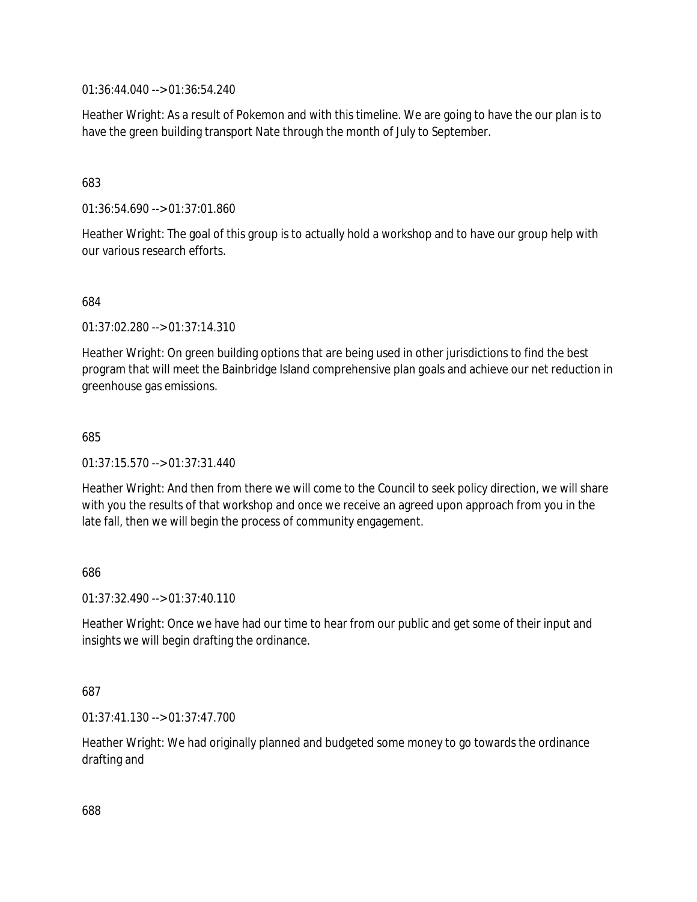01:36:44.040 --> 01:36:54.240

Heather Wright: As a result of Pokemon and with this timeline. We are going to have the our plan is to have the green building transport Nate through the month of July to September.

### 683

01:36:54.690 --> 01:37:01.860

Heather Wright: The goal of this group is to actually hold a workshop and to have our group help with our various research efforts.

### 684

01:37:02.280 --> 01:37:14.310

Heather Wright: On green building options that are being used in other jurisdictions to find the best program that will meet the Bainbridge Island comprehensive plan goals and achieve our net reduction in greenhouse gas emissions.

#### 685

01:37:15.570 --> 01:37:31.440

Heather Wright: And then from there we will come to the Council to seek policy direction, we will share with you the results of that workshop and once we receive an agreed upon approach from you in the late fall, then we will begin the process of community engagement.

### 686

01:37:32.490 --> 01:37:40.110

Heather Wright: Once we have had our time to hear from our public and get some of their input and insights we will begin drafting the ordinance.

### 687

01:37:41.130 --> 01:37:47.700

Heather Wright: We had originally planned and budgeted some money to go towards the ordinance drafting and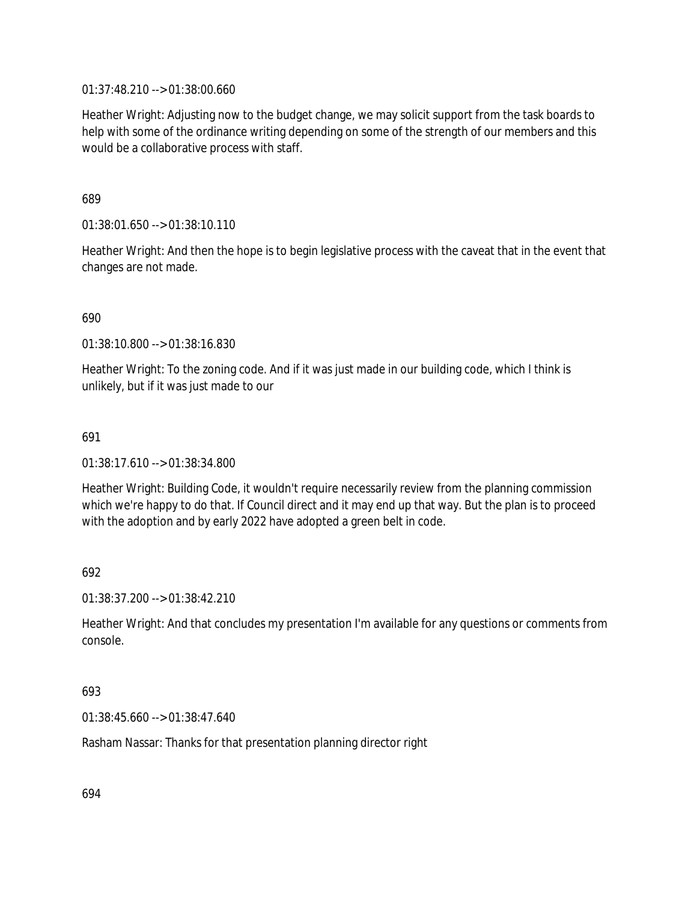01:37:48.210 --> 01:38:00.660

Heather Wright: Adjusting now to the budget change, we may solicit support from the task boards to help with some of the ordinance writing depending on some of the strength of our members and this would be a collaborative process with staff.

689

01:38:01.650 --> 01:38:10.110

Heather Wright: And then the hope is to begin legislative process with the caveat that in the event that changes are not made.

690

01:38:10.800 --> 01:38:16.830

Heather Wright: To the zoning code. And if it was just made in our building code, which I think is unlikely, but if it was just made to our

691

01:38:17.610 --> 01:38:34.800

Heather Wright: Building Code, it wouldn't require necessarily review from the planning commission which we're happy to do that. If Council direct and it may end up that way. But the plan is to proceed with the adoption and by early 2022 have adopted a green belt in code.

692

01:38:37.200 --> 01:38:42.210

Heather Wright: And that concludes my presentation I'm available for any questions or comments from console.

693

01:38:45.660 --> 01:38:47.640

Rasham Nassar: Thanks for that presentation planning director right

694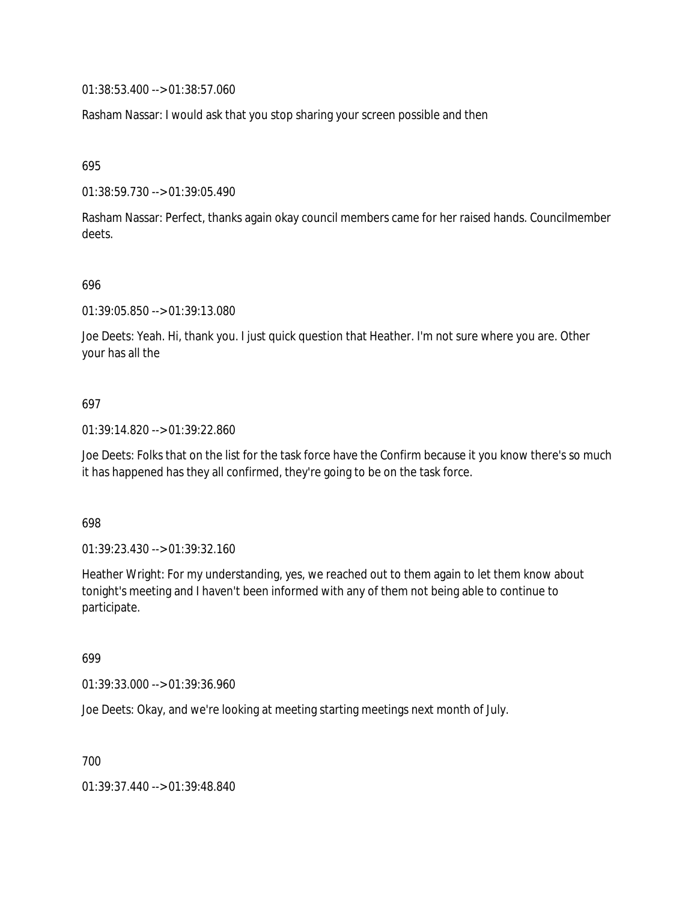01:38:53.400 --> 01:38:57.060

Rasham Nassar: I would ask that you stop sharing your screen possible and then

695

01:38:59.730 --> 01:39:05.490

Rasham Nassar: Perfect, thanks again okay council members came for her raised hands. Councilmember deets.

#### 696

01:39:05.850 --> 01:39:13.080

Joe Deets: Yeah. Hi, thank you. I just quick question that Heather. I'm not sure where you are. Other your has all the

### 697

01:39:14.820 --> 01:39:22.860

Joe Deets: Folks that on the list for the task force have the Confirm because it you know there's so much it has happened has they all confirmed, they're going to be on the task force.

#### 698

01:39:23.430 --> 01:39:32.160

Heather Wright: For my understanding, yes, we reached out to them again to let them know about tonight's meeting and I haven't been informed with any of them not being able to continue to participate.

## 699

01:39:33.000 --> 01:39:36.960

Joe Deets: Okay, and we're looking at meeting starting meetings next month of July.

700

01:39:37.440 --> 01:39:48.840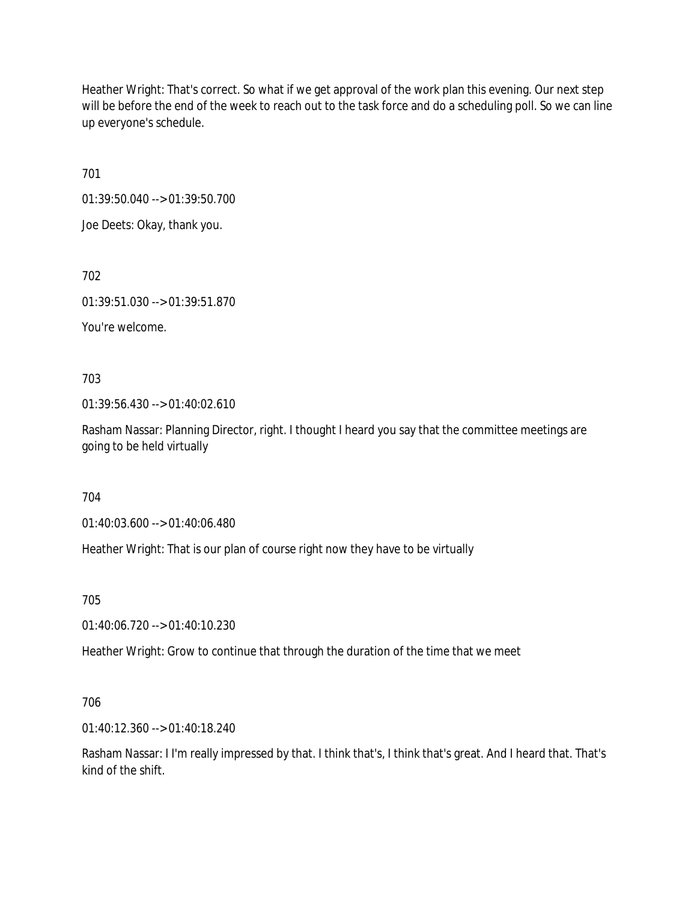Heather Wright: That's correct. So what if we get approval of the work plan this evening. Our next step will be before the end of the week to reach out to the task force and do a scheduling poll. So we can line up everyone's schedule.

701

01:39:50.040 --> 01:39:50.700

Joe Deets: Okay, thank you.

702

01:39:51.030 --> 01:39:51.870

You're welcome.

703

01:39:56.430 --> 01:40:02.610

Rasham Nassar: Planning Director, right. I thought I heard you say that the committee meetings are going to be held virtually

704

01:40:03.600 --> 01:40:06.480

Heather Wright: That is our plan of course right now they have to be virtually

705

01:40:06.720 --> 01:40:10.230

Heather Wright: Grow to continue that through the duration of the time that we meet

706

01:40:12.360 --> 01:40:18.240

Rasham Nassar: I I'm really impressed by that. I think that's, I think that's great. And I heard that. That's kind of the shift.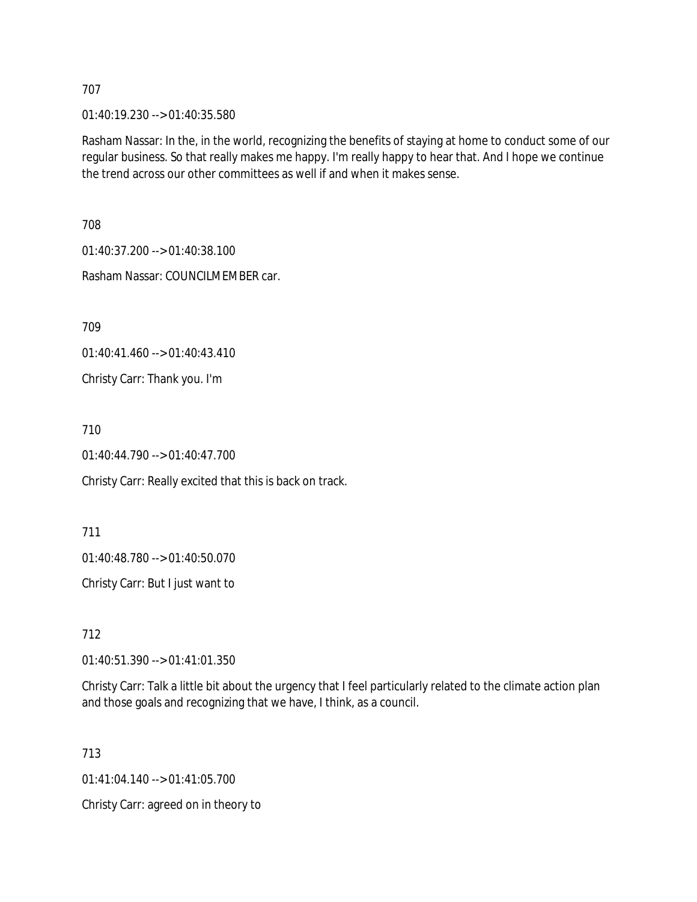01:40:19.230 --> 01:40:35.580

Rasham Nassar: In the, in the world, recognizing the benefits of staying at home to conduct some of our regular business. So that really makes me happy. I'm really happy to hear that. And I hope we continue the trend across our other committees as well if and when it makes sense.

708

01:40:37.200 --> 01:40:38.100

Rasham Nassar: COUNCILMEMBER car.

709

01:40:41.460 --> 01:40:43.410

Christy Carr: Thank you. I'm

710

01:40:44.790 --> 01:40:47.700

Christy Carr: Really excited that this is back on track.

711 01:40:48.780 --> 01:40:50.070 Christy Carr: But I just want to

712

01:40:51.390 --> 01:41:01.350

Christy Carr: Talk a little bit about the urgency that I feel particularly related to the climate action plan and those goals and recognizing that we have, I think, as a council.

713

01:41:04.140 --> 01:41:05.700

Christy Carr: agreed on in theory to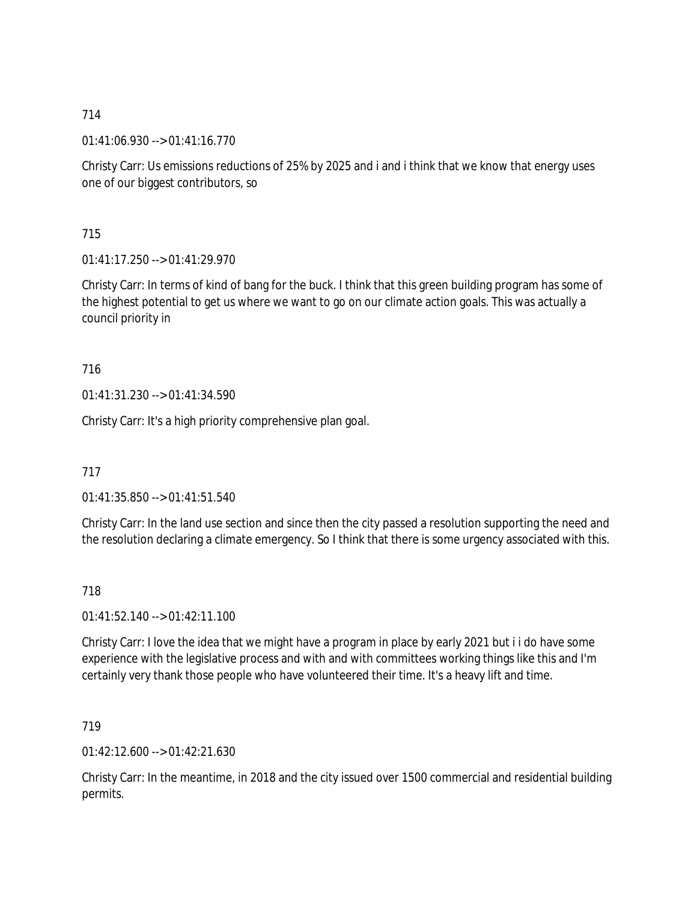01:41:06.930 --> 01:41:16.770

Christy Carr: Us emissions reductions of 25% by 2025 and i and i think that we know that energy uses one of our biggest contributors, so

715

01:41:17.250 --> 01:41:29.970

Christy Carr: In terms of kind of bang for the buck. I think that this green building program has some of the highest potential to get us where we want to go on our climate action goals. This was actually a council priority in

716

01:41:31.230 --> 01:41:34.590

Christy Carr: It's a high priority comprehensive plan goal.

717

01:41:35.850 --> 01:41:51.540

Christy Carr: In the land use section and since then the city passed a resolution supporting the need and the resolution declaring a climate emergency. So I think that there is some urgency associated with this.

718

 $01:41:52.140 \rightarrow 01:42:11.100$ 

Christy Carr: I love the idea that we might have a program in place by early 2021 but i i do have some experience with the legislative process and with and with committees working things like this and I'm certainly very thank those people who have volunteered their time. It's a heavy lift and time.

719

01:42:12.600 --> 01:42:21.630

Christy Carr: In the meantime, in 2018 and the city issued over 1500 commercial and residential building permits.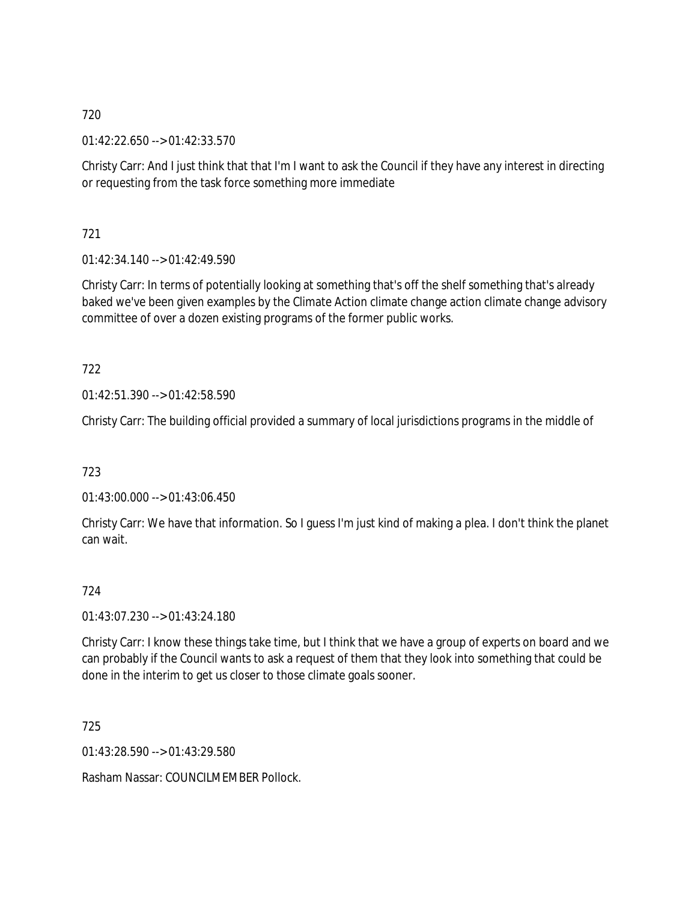01:42:22.650 --> 01:42:33.570

Christy Carr: And I just think that that I'm I want to ask the Council if they have any interest in directing or requesting from the task force something more immediate

721

01:42:34.140 --> 01:42:49.590

Christy Carr: In terms of potentially looking at something that's off the shelf something that's already baked we've been given examples by the Climate Action climate change action climate change advisory committee of over a dozen existing programs of the former public works.

722

01:42:51.390 --> 01:42:58.590

Christy Carr: The building official provided a summary of local jurisdictions programs in the middle of

723

01:43:00.000 --> 01:43:06.450

Christy Carr: We have that information. So I guess I'm just kind of making a plea. I don't think the planet can wait.

## 724

01:43:07.230 --> 01:43:24.180

Christy Carr: I know these things take time, but I think that we have a group of experts on board and we can probably if the Council wants to ask a request of them that they look into something that could be done in the interim to get us closer to those climate goals sooner.

725

01:43:28.590 --> 01:43:29.580

Rasham Nassar: COUNCILMEMBER Pollock.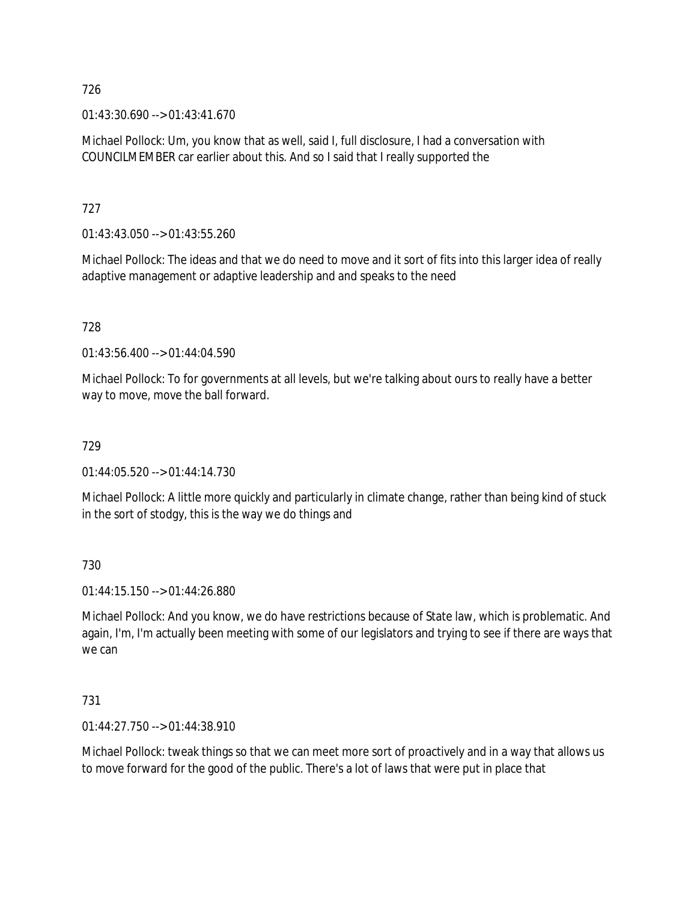$01:43:30.690 \rightarrow 01:43:41.670$ 

Michael Pollock: Um, you know that as well, said I, full disclosure, I had a conversation with COUNCILMEMBER car earlier about this. And so I said that I really supported the

727

01:43:43.050 --> 01:43:55.260

Michael Pollock: The ideas and that we do need to move and it sort of fits into this larger idea of really adaptive management or adaptive leadership and and speaks to the need

728

01:43:56.400 --> 01:44:04.590

Michael Pollock: To for governments at all levels, but we're talking about ours to really have a better way to move, move the ball forward.

729

01:44:05.520 --> 01:44:14.730

Michael Pollock: A little more quickly and particularly in climate change, rather than being kind of stuck in the sort of stodgy, this is the way we do things and

730

01:44:15.150 --> 01:44:26.880

Michael Pollock: And you know, we do have restrictions because of State law, which is problematic. And again, I'm, I'm actually been meeting with some of our legislators and trying to see if there are ways that we can

731

01:44:27.750 --> 01:44:38.910

Michael Pollock: tweak things so that we can meet more sort of proactively and in a way that allows us to move forward for the good of the public. There's a lot of laws that were put in place that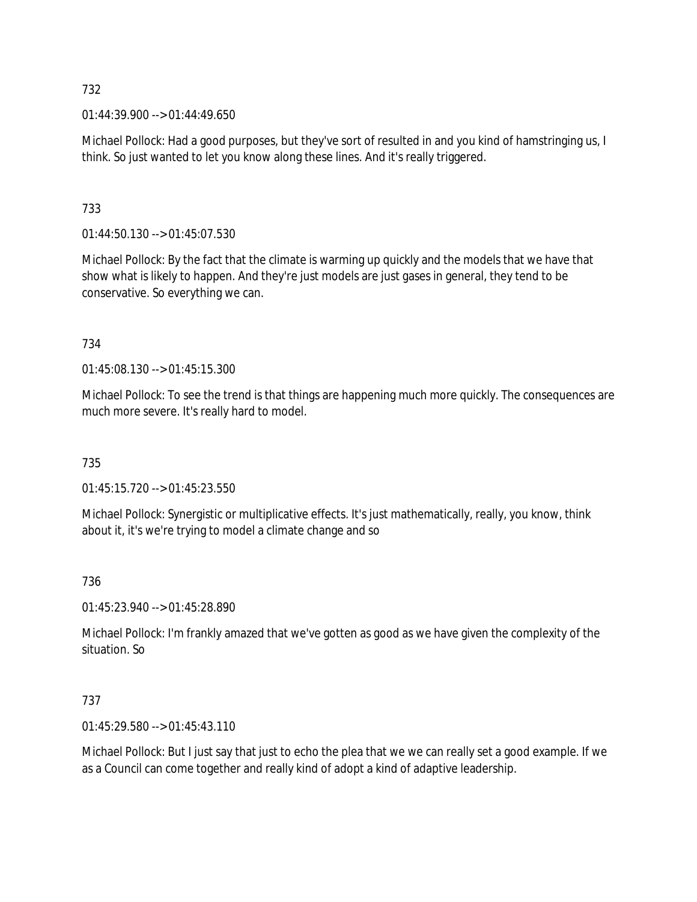$01:44:39.900 \rightarrow 01:44:49.650$ 

Michael Pollock: Had a good purposes, but they've sort of resulted in and you kind of hamstringing us, I think. So just wanted to let you know along these lines. And it's really triggered.

# 733

01:44:50.130 --> 01:45:07.530

Michael Pollock: By the fact that the climate is warming up quickly and the models that we have that show what is likely to happen. And they're just models are just gases in general, they tend to be conservative. So everything we can.

# 734

01:45:08.130 --> 01:45:15.300

Michael Pollock: To see the trend is that things are happening much more quickly. The consequences are much more severe. It's really hard to model.

## 735

01:45:15.720 --> 01:45:23.550

Michael Pollock: Synergistic or multiplicative effects. It's just mathematically, really, you know, think about it, it's we're trying to model a climate change and so

## 736

01:45:23.940 --> 01:45:28.890

Michael Pollock: I'm frankly amazed that we've gotten as good as we have given the complexity of the situation. So

## 737

01:45:29.580 --> 01:45:43.110

Michael Pollock: But I just say that just to echo the plea that we we can really set a good example. If we as a Council can come together and really kind of adopt a kind of adaptive leadership.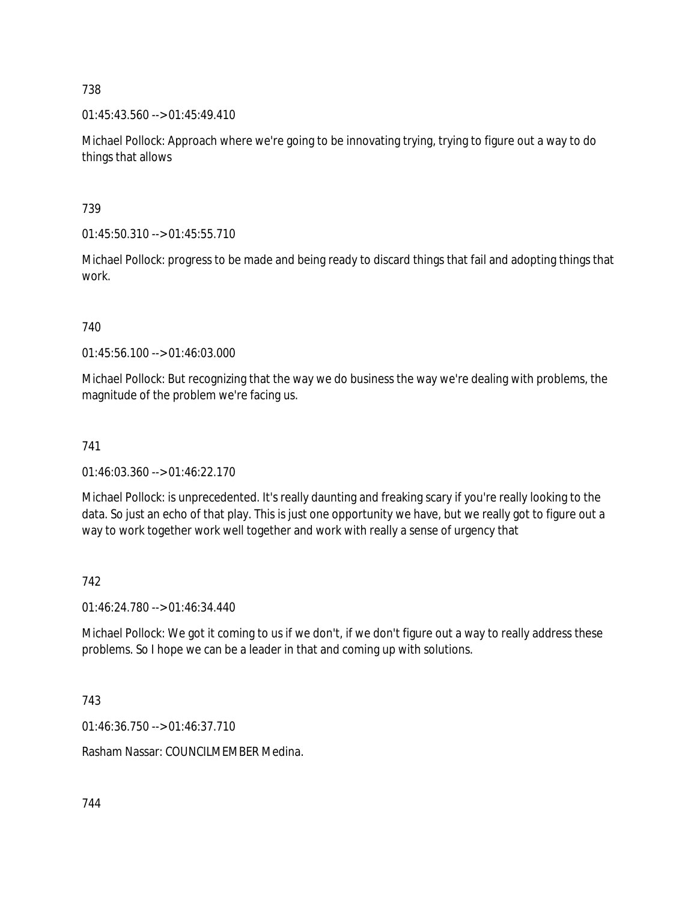01:45:43.560 --> 01:45:49.410

Michael Pollock: Approach where we're going to be innovating trying, trying to figure out a way to do things that allows

739

01:45:50.310 --> 01:45:55.710

Michael Pollock: progress to be made and being ready to discard things that fail and adopting things that work.

# 740

01:45:56.100 --> 01:46:03.000

Michael Pollock: But recognizing that the way we do business the way we're dealing with problems, the magnitude of the problem we're facing us.

# 741

01:46:03.360 --> 01:46:22.170

Michael Pollock: is unprecedented. It's really daunting and freaking scary if you're really looking to the data. So just an echo of that play. This is just one opportunity we have, but we really got to figure out a way to work together work well together and work with really a sense of urgency that

## 742

01:46:24.780 --> 01:46:34.440

Michael Pollock: We got it coming to us if we don't, if we don't figure out a way to really address these problems. So I hope we can be a leader in that and coming up with solutions.

## 743

01:46:36.750 --> 01:46:37.710

Rasham Nassar: COUNCILMEMBER Medina.

744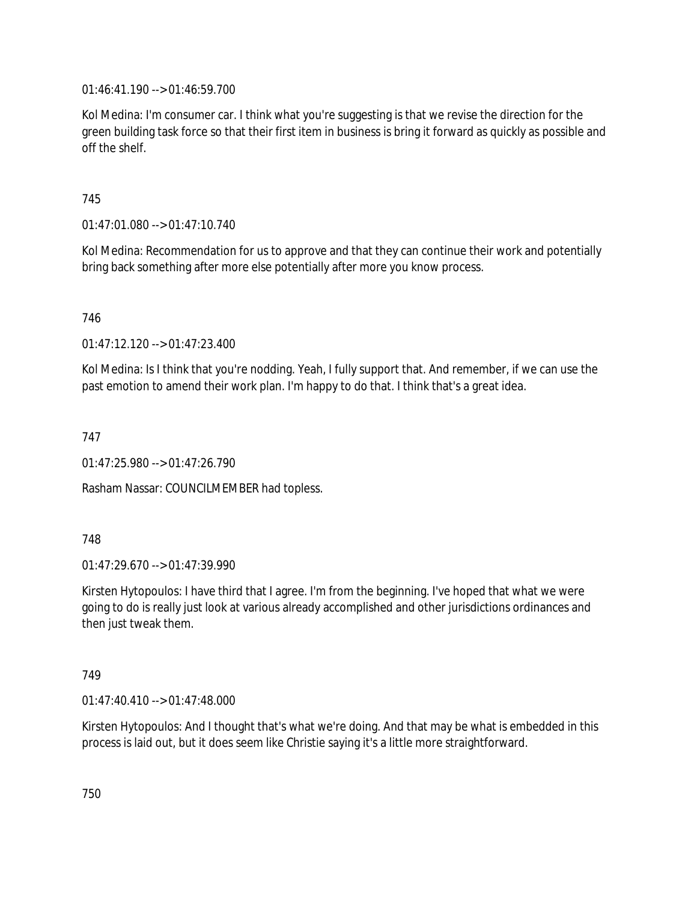01:46:41.190 --> 01:46:59.700

Kol Medina: I'm consumer car. I think what you're suggesting is that we revise the direction for the green building task force so that their first item in business is bring it forward as quickly as possible and off the shelf.

### 745

01:47:01.080 --> 01:47:10.740

Kol Medina: Recommendation for us to approve and that they can continue their work and potentially bring back something after more else potentially after more you know process.

746

01:47:12.120 --> 01:47:23.400

Kol Medina: Is I think that you're nodding. Yeah, I fully support that. And remember, if we can use the past emotion to amend their work plan. I'm happy to do that. I think that's a great idea.

747

01:47:25.980 --> 01:47:26.790

Rasham Nassar: COUNCILMEMBER had topless.

### 748

01:47:29.670 --> 01:47:39.990

Kirsten Hytopoulos: I have third that I agree. I'm from the beginning. I've hoped that what we were going to do is really just look at various already accomplished and other jurisdictions ordinances and then just tweak them.

### 749

01:47:40.410 --> 01:47:48.000

Kirsten Hytopoulos: And I thought that's what we're doing. And that may be what is embedded in this process is laid out, but it does seem like Christie saying it's a little more straightforward.

750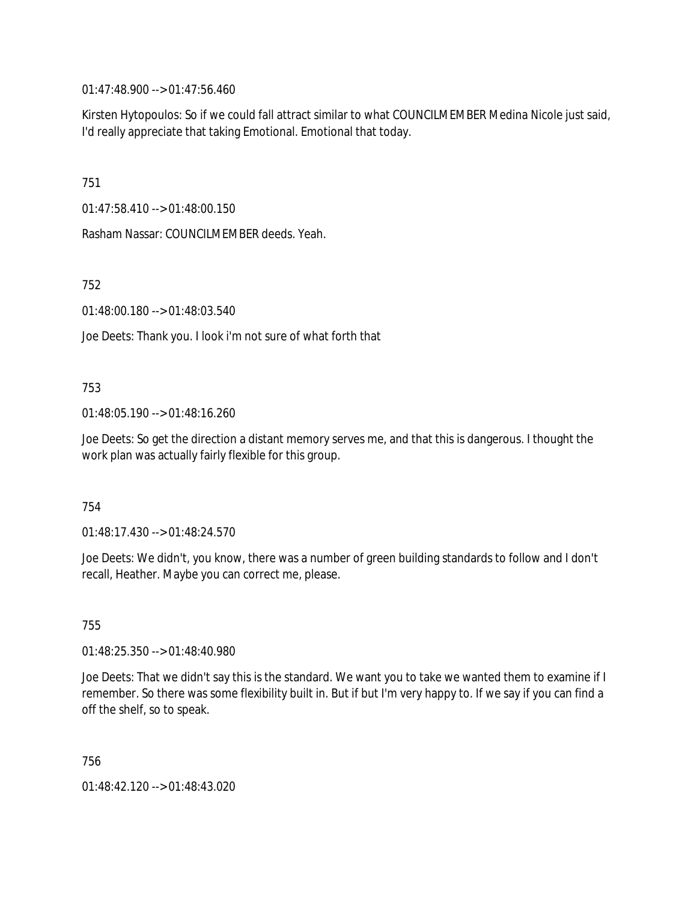01:47:48.900 --> 01:47:56.460

Kirsten Hytopoulos: So if we could fall attract similar to what COUNCILMEMBER Medina Nicole just said, I'd really appreciate that taking Emotional. Emotional that today.

751

01:47:58.410 --> 01:48:00.150

Rasham Nassar: COUNCILMEMBER deeds. Yeah.

752

01:48:00.180 --> 01:48:03.540

Joe Deets: Thank you. I look i'm not sure of what forth that

753

01:48:05.190 --> 01:48:16.260

Joe Deets: So get the direction a distant memory serves me, and that this is dangerous. I thought the work plan was actually fairly flexible for this group.

754

01:48:17.430 --> 01:48:24.570

Joe Deets: We didn't, you know, there was a number of green building standards to follow and I don't recall, Heather. Maybe you can correct me, please.

755

01:48:25.350 --> 01:48:40.980

Joe Deets: That we didn't say this is the standard. We want you to take we wanted them to examine if I remember. So there was some flexibility built in. But if but I'm very happy to. If we say if you can find a off the shelf, so to speak.

756

01:48:42.120 --> 01:48:43.020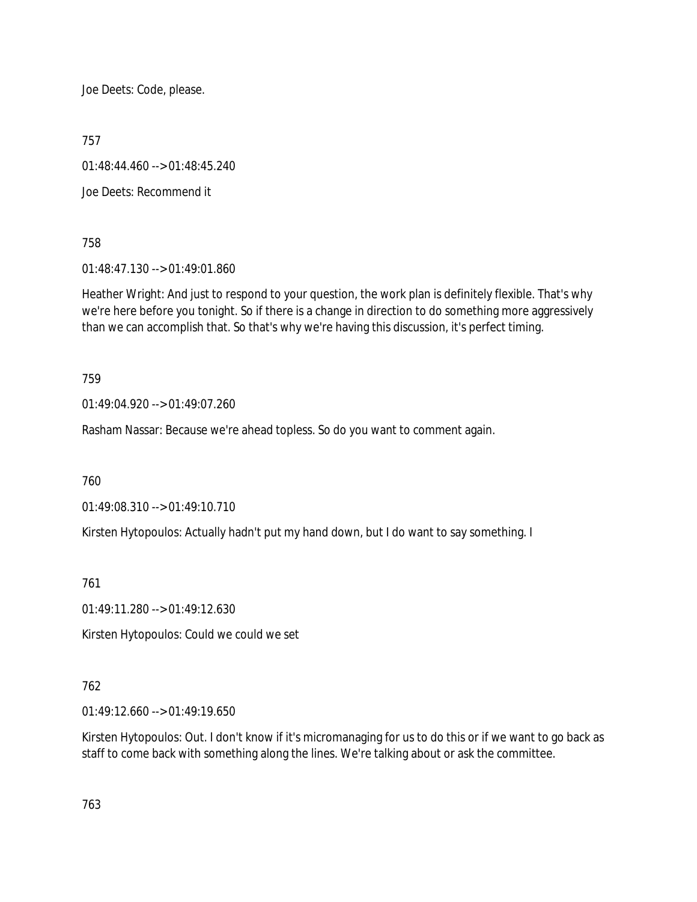Joe Deets: Code, please.

757

01:48:44.460 --> 01:48:45.240

Joe Deets: Recommend it

758

01:48:47.130 --> 01:49:01.860

Heather Wright: And just to respond to your question, the work plan is definitely flexible. That's why we're here before you tonight. So if there is a change in direction to do something more aggressively than we can accomplish that. So that's why we're having this discussion, it's perfect timing.

759

01:49:04.920 --> 01:49:07.260

Rasham Nassar: Because we're ahead topless. So do you want to comment again.

760

01:49:08.310 --> 01:49:10.710

Kirsten Hytopoulos: Actually hadn't put my hand down, but I do want to say something. I

761

01:49:11.280 --> 01:49:12.630

Kirsten Hytopoulos: Could we could we set

### 762

01:49:12.660 --> 01:49:19.650

Kirsten Hytopoulos: Out. I don't know if it's micromanaging for us to do this or if we want to go back as staff to come back with something along the lines. We're talking about or ask the committee.

763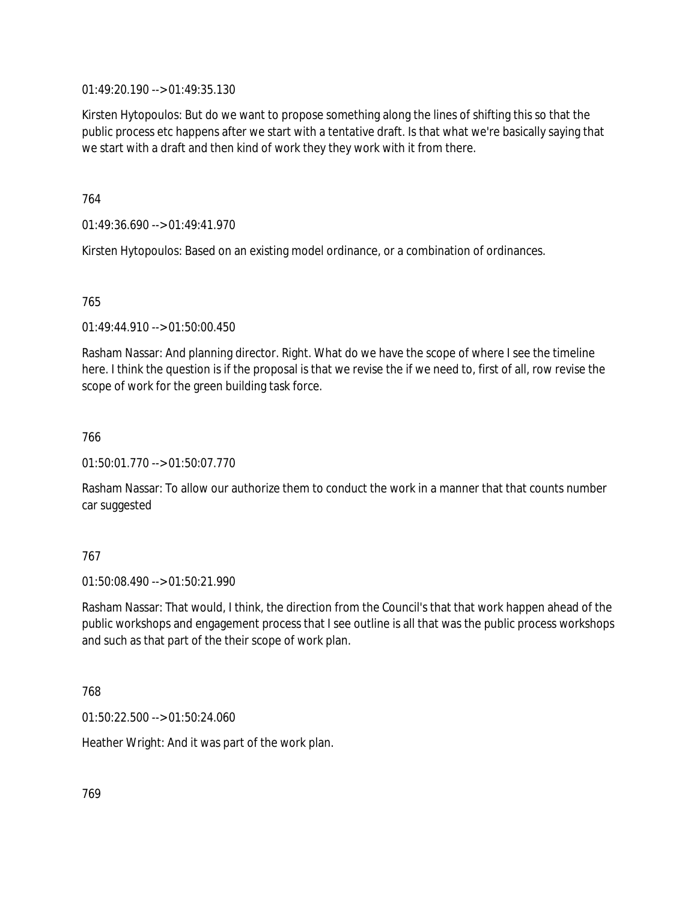01:49:20.190 --> 01:49:35.130

Kirsten Hytopoulos: But do we want to propose something along the lines of shifting this so that the public process etc happens after we start with a tentative draft. Is that what we're basically saying that we start with a draft and then kind of work they they work with it from there.

764

01:49:36.690 --> 01:49:41.970

Kirsten Hytopoulos: Based on an existing model ordinance, or a combination of ordinances.

765

01:49:44.910 --> 01:50:00.450

Rasham Nassar: And planning director. Right. What do we have the scope of where I see the timeline here. I think the question is if the proposal is that we revise the if we need to, first of all, row revise the scope of work for the green building task force.

766

01:50:01.770 --> 01:50:07.770

Rasham Nassar: To allow our authorize them to conduct the work in a manner that that counts number car suggested

### 767

 $01:50:08.490 \rightarrow 01:50:21.990$ 

Rasham Nassar: That would, I think, the direction from the Council's that that work happen ahead of the public workshops and engagement process that I see outline is all that was the public process workshops and such as that part of the their scope of work plan.

768

01:50:22.500 --> 01:50:24.060

Heather Wright: And it was part of the work plan.

769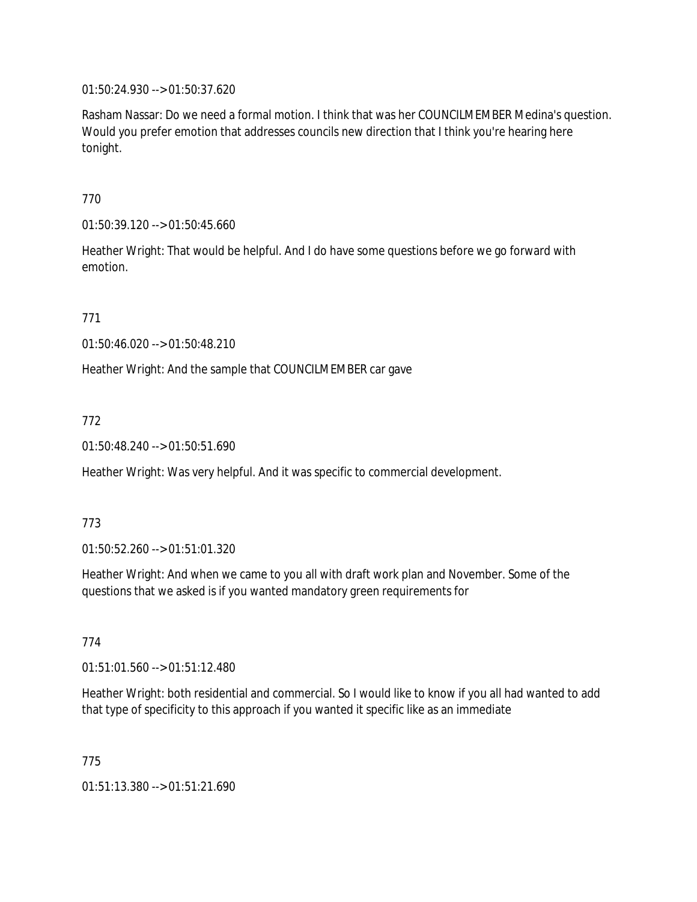01:50:24.930 --> 01:50:37.620

Rasham Nassar: Do we need a formal motion. I think that was her COUNCILMEMBER Medina's question. Would you prefer emotion that addresses councils new direction that I think you're hearing here tonight.

770

01:50:39.120 --> 01:50:45.660

Heather Wright: That would be helpful. And I do have some questions before we go forward with emotion.

771

01:50:46.020 --> 01:50:48.210

Heather Wright: And the sample that COUNCILMEMBER car gave

772

01:50:48.240 --> 01:50:51.690

Heather Wright: Was very helpful. And it was specific to commercial development.

773

01:50:52.260 --> 01:51:01.320

Heather Wright: And when we came to you all with draft work plan and November. Some of the questions that we asked is if you wanted mandatory green requirements for

774

01:51:01.560 --> 01:51:12.480

Heather Wright: both residential and commercial. So I would like to know if you all had wanted to add that type of specificity to this approach if you wanted it specific like as an immediate

775

01:51:13.380 --> 01:51:21.690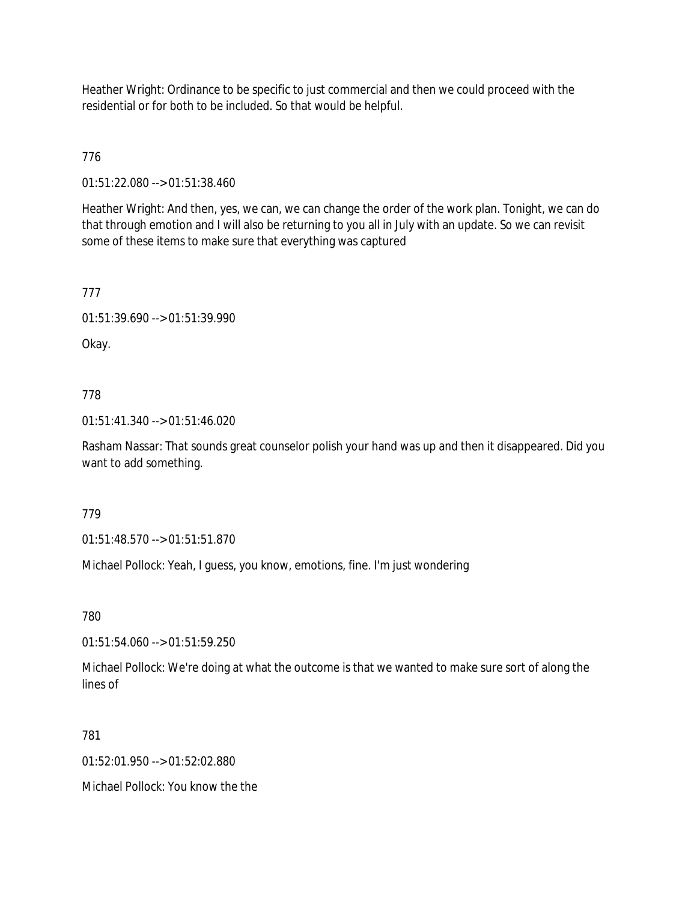Heather Wright: Ordinance to be specific to just commercial and then we could proceed with the residential or for both to be included. So that would be helpful.

776

01:51:22.080 --> 01:51:38.460

Heather Wright: And then, yes, we can, we can change the order of the work plan. Tonight, we can do that through emotion and I will also be returning to you all in July with an update. So we can revisit some of these items to make sure that everything was captured

777

01:51:39.690 --> 01:51:39.990

Okay.

778

01:51:41.340 --> 01:51:46.020

Rasham Nassar: That sounds great counselor polish your hand was up and then it disappeared. Did you want to add something.

779

01:51:48.570 --> 01:51:51.870

Michael Pollock: Yeah, I guess, you know, emotions, fine. I'm just wondering

780

01:51:54.060 --> 01:51:59.250

Michael Pollock: We're doing at what the outcome is that we wanted to make sure sort of along the lines of

781

01:52:01.950 --> 01:52:02.880

Michael Pollock: You know the the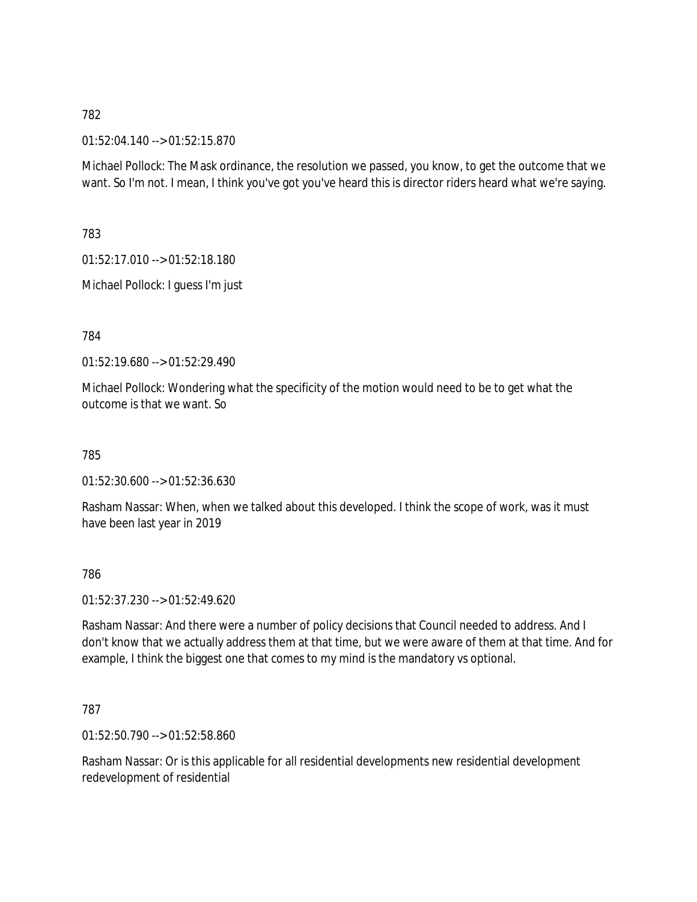01:52:04.140 --> 01:52:15.870

Michael Pollock: The Mask ordinance, the resolution we passed, you know, to get the outcome that we want. So I'm not. I mean, I think you've got you've heard this is director riders heard what we're saying.

783

01:52:17.010 --> 01:52:18.180

Michael Pollock: I guess I'm just

784

01:52:19.680 --> 01:52:29.490

Michael Pollock: Wondering what the specificity of the motion would need to be to get what the outcome is that we want. So

785

01:52:30.600 --> 01:52:36.630

Rasham Nassar: When, when we talked about this developed. I think the scope of work, was it must have been last year in 2019

786

01:52:37.230 --> 01:52:49.620

Rasham Nassar: And there were a number of policy decisions that Council needed to address. And I don't know that we actually address them at that time, but we were aware of them at that time. And for example, I think the biggest one that comes to my mind is the mandatory vs optional.

787

01:52:50.790 --> 01:52:58.860

Rasham Nassar: Or is this applicable for all residential developments new residential development redevelopment of residential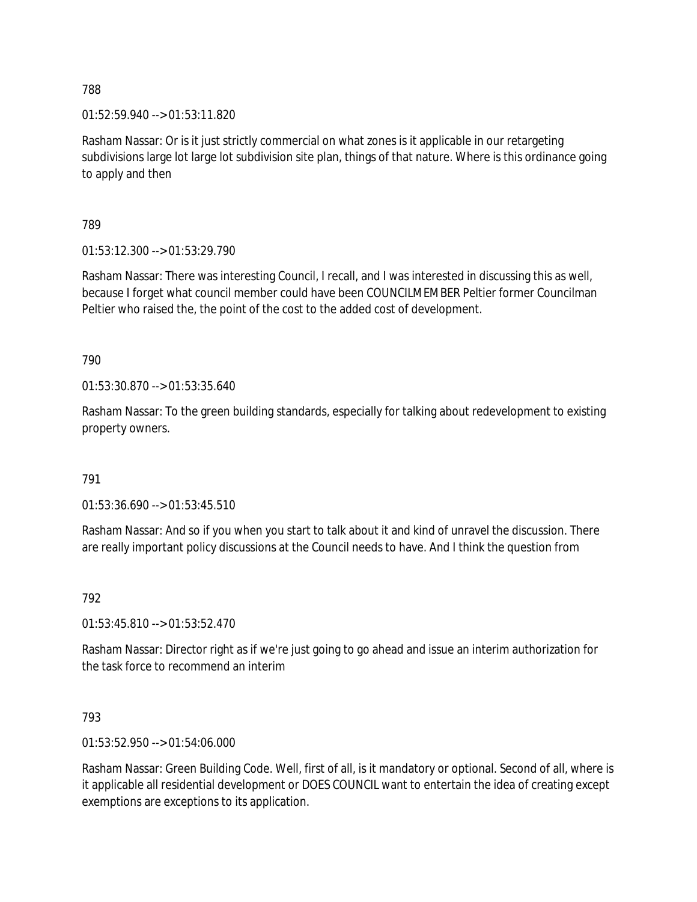01:52:59.940 --> 01:53:11.820

Rasham Nassar: Or is it just strictly commercial on what zones is it applicable in our retargeting subdivisions large lot large lot subdivision site plan, things of that nature. Where is this ordinance going to apply and then

789

01:53:12.300 --> 01:53:29.790

Rasham Nassar: There was interesting Council, I recall, and I was interested in discussing this as well, because I forget what council member could have been COUNCILMEMBER Peltier former Councilman Peltier who raised the, the point of the cost to the added cost of development.

790

01:53:30.870 --> 01:53:35.640

Rasham Nassar: To the green building standards, especially for talking about redevelopment to existing property owners.

791

01:53:36.690 --> 01:53:45.510

Rasham Nassar: And so if you when you start to talk about it and kind of unravel the discussion. There are really important policy discussions at the Council needs to have. And I think the question from

792

01:53:45.810 --> 01:53:52.470

Rasham Nassar: Director right as if we're just going to go ahead and issue an interim authorization for the task force to recommend an interim

793

01:53:52.950 --> 01:54:06.000

Rasham Nassar: Green Building Code. Well, first of all, is it mandatory or optional. Second of all, where is it applicable all residential development or DOES COUNCIL want to entertain the idea of creating except exemptions are exceptions to its application.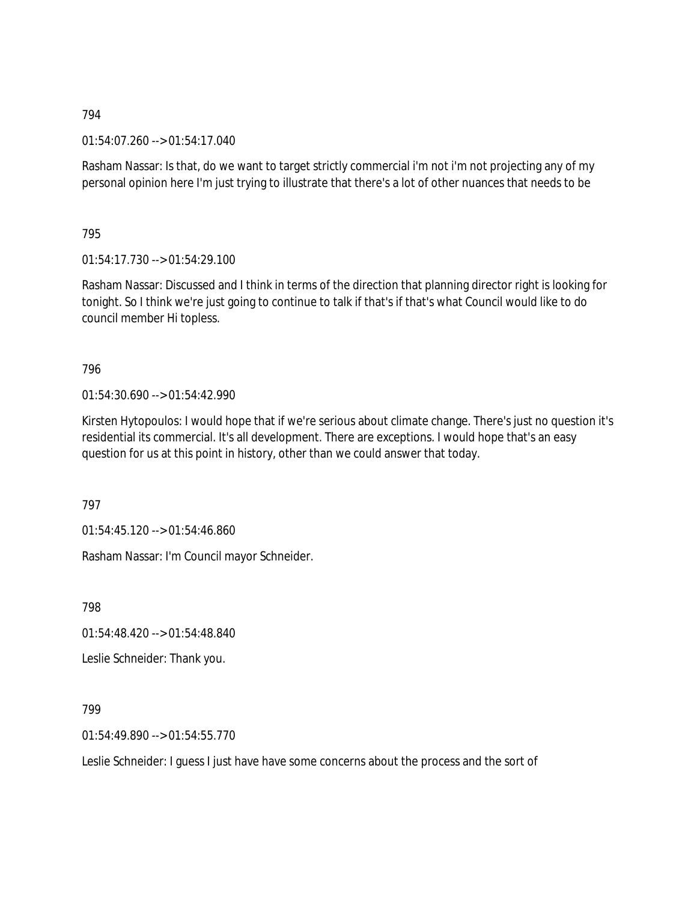01:54:07.260 --> 01:54:17.040

Rasham Nassar: Is that, do we want to target strictly commercial i'm not i'm not projecting any of my personal opinion here I'm just trying to illustrate that there's a lot of other nuances that needs to be

795

01:54:17.730 --> 01:54:29.100

Rasham Nassar: Discussed and I think in terms of the direction that planning director right is looking for tonight. So I think we're just going to continue to talk if that's if that's what Council would like to do council member Hi topless.

### 796

01:54:30.690 --> 01:54:42.990

Kirsten Hytopoulos: I would hope that if we're serious about climate change. There's just no question it's residential its commercial. It's all development. There are exceptions. I would hope that's an easy question for us at this point in history, other than we could answer that today.

797

01:54:45.120 --> 01:54:46.860

Rasham Nassar: I'm Council mayor Schneider.

798

01:54:48.420 --> 01:54:48.840

Leslie Schneider: Thank you.

799

01:54:49.890 --> 01:54:55.770

Leslie Schneider: I guess I just have have some concerns about the process and the sort of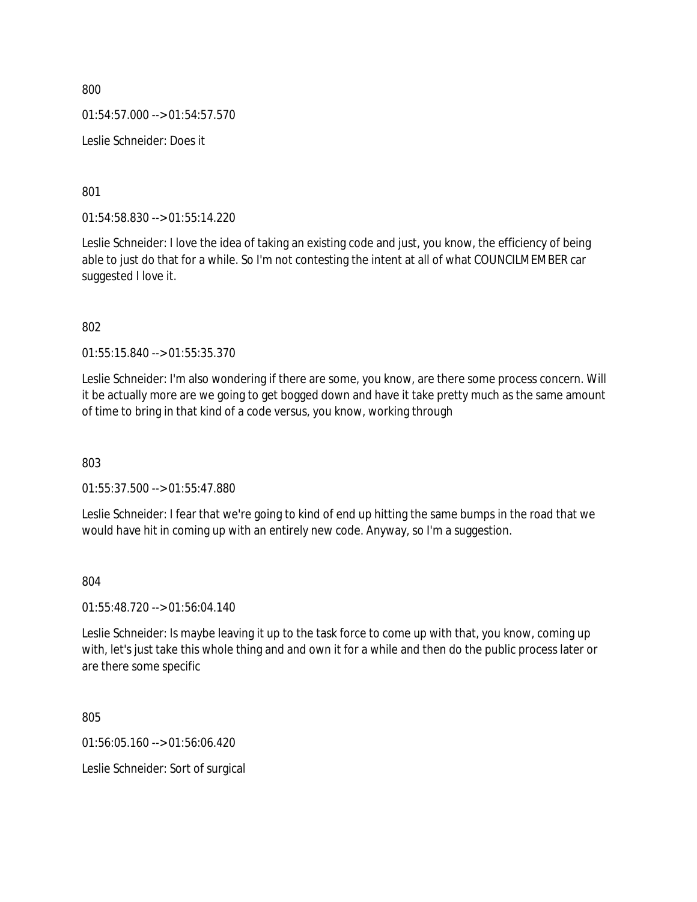$01:54:57.000 \rightarrow 01:54:57.570$ 

Leslie Schneider: Does it

801

01:54:58.830 --> 01:55:14.220

Leslie Schneider: I love the idea of taking an existing code and just, you know, the efficiency of being able to just do that for a while. So I'm not contesting the intent at all of what COUNCILMEMBER car suggested I love it.

802

01:55:15.840 --> 01:55:35.370

Leslie Schneider: I'm also wondering if there are some, you know, are there some process concern. Will it be actually more are we going to get bogged down and have it take pretty much as the same amount of time to bring in that kind of a code versus, you know, working through

803

01:55:37.500 --> 01:55:47.880

Leslie Schneider: I fear that we're going to kind of end up hitting the same bumps in the road that we would have hit in coming up with an entirely new code. Anyway, so I'm a suggestion.

#### 804

01:55:48.720 --> 01:56:04.140

Leslie Schneider: Is maybe leaving it up to the task force to come up with that, you know, coming up with, let's just take this whole thing and and own it for a while and then do the public process later or are there some specific

805

01:56:05.160 --> 01:56:06.420

Leslie Schneider: Sort of surgical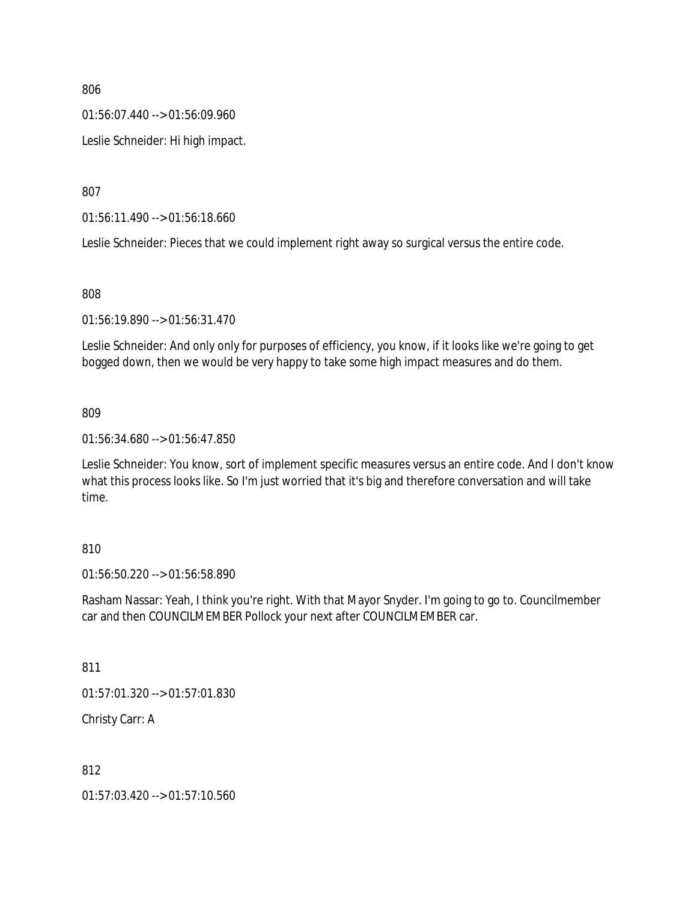01:56:07.440 --> 01:56:09.960

Leslie Schneider: Hi high impact.

807

01:56:11.490 --> 01:56:18.660

Leslie Schneider: Pieces that we could implement right away so surgical versus the entire code.

808

01:56:19.890 --> 01:56:31.470

Leslie Schneider: And only only for purposes of efficiency, you know, if it looks like we're going to get bogged down, then we would be very happy to take some high impact measures and do them.

### 809

01:56:34.680 --> 01:56:47.850

Leslie Schneider: You know, sort of implement specific measures versus an entire code. And I don't know what this process looks like. So I'm just worried that it's big and therefore conversation and will take time.

### 810

01:56:50.220 --> 01:56:58.890

Rasham Nassar: Yeah, I think you're right. With that Mayor Snyder. I'm going to go to. Councilmember car and then COUNCILMEMBER Pollock your next after COUNCILMEMBER car.

811

01:57:01.320 --> 01:57:01.830

Christy Carr: A

812

01:57:03.420 --> 01:57:10.560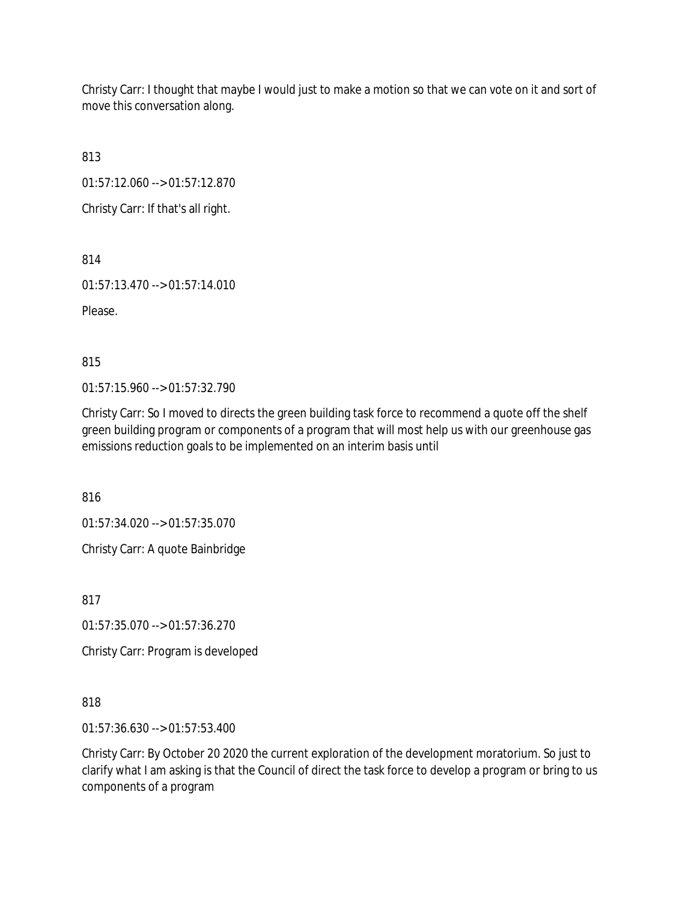Christy Carr: I thought that maybe I would just to make a motion so that we can vote on it and sort of move this conversation along.

813

01:57:12.060 --> 01:57:12.870

Christy Carr: If that's all right.

814

01:57:13.470 --> 01:57:14.010

Please.

815

01:57:15.960 --> 01:57:32.790

Christy Carr: So I moved to directs the green building task force to recommend a quote off the shelf green building program or components of a program that will most help us with our greenhouse gas emissions reduction goals to be implemented on an interim basis until

816

01:57:34.020 --> 01:57:35.070

Christy Carr: A quote Bainbridge

817

01:57:35.070 --> 01:57:36.270

Christy Carr: Program is developed

818

01:57:36.630 --> 01:57:53.400

Christy Carr: By October 20 2020 the current exploration of the development moratorium. So just to clarify what I am asking is that the Council of direct the task force to develop a program or bring to us components of a program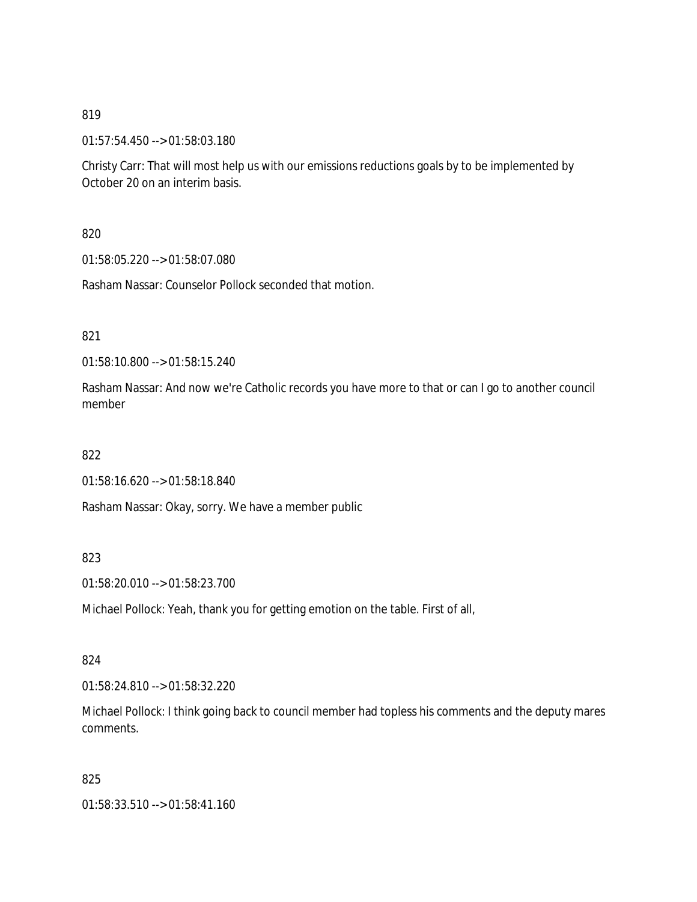01:57:54.450 --> 01:58:03.180

Christy Carr: That will most help us with our emissions reductions goals by to be implemented by October 20 on an interim basis.

820

01:58:05.220 --> 01:58:07.080

Rasham Nassar: Counselor Pollock seconded that motion.

821

01:58:10.800 --> 01:58:15.240

Rasham Nassar: And now we're Catholic records you have more to that or can I go to another council member

822

01:58:16.620 --> 01:58:18.840

Rasham Nassar: Okay, sorry. We have a member public

### 823

01:58:20.010 --> 01:58:23.700

Michael Pollock: Yeah, thank you for getting emotion on the table. First of all,

824

01:58:24.810 --> 01:58:32.220

Michael Pollock: I think going back to council member had topless his comments and the deputy mares comments.

825

01:58:33.510 --> 01:58:41.160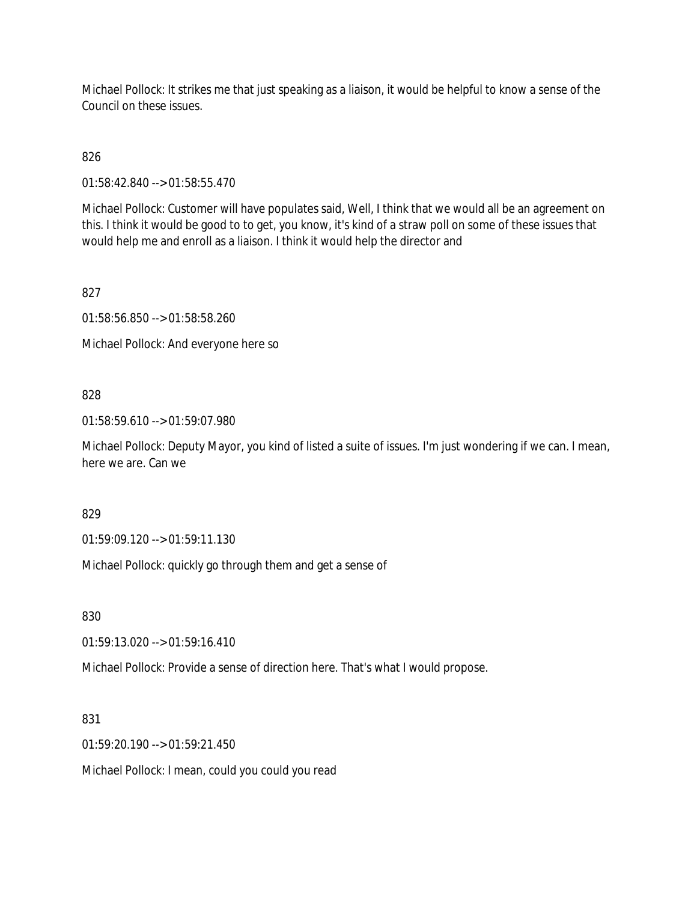Michael Pollock: It strikes me that just speaking as a liaison, it would be helpful to know a sense of the Council on these issues.

826

01:58:42.840 --> 01:58:55.470

Michael Pollock: Customer will have populates said, Well, I think that we would all be an agreement on this. I think it would be good to to get, you know, it's kind of a straw poll on some of these issues that would help me and enroll as a liaison. I think it would help the director and

827

01:58:56.850 --> 01:58:58.260

Michael Pollock: And everyone here so

### 828

01:58:59.610 --> 01:59:07.980

Michael Pollock: Deputy Mayor, you kind of listed a suite of issues. I'm just wondering if we can. I mean, here we are. Can we

829

01:59:09.120 --> 01:59:11.130

Michael Pollock: quickly go through them and get a sense of

830

01:59:13.020 --> 01:59:16.410

Michael Pollock: Provide a sense of direction here. That's what I would propose.

831

01:59:20.190 --> 01:59:21.450

Michael Pollock: I mean, could you could you read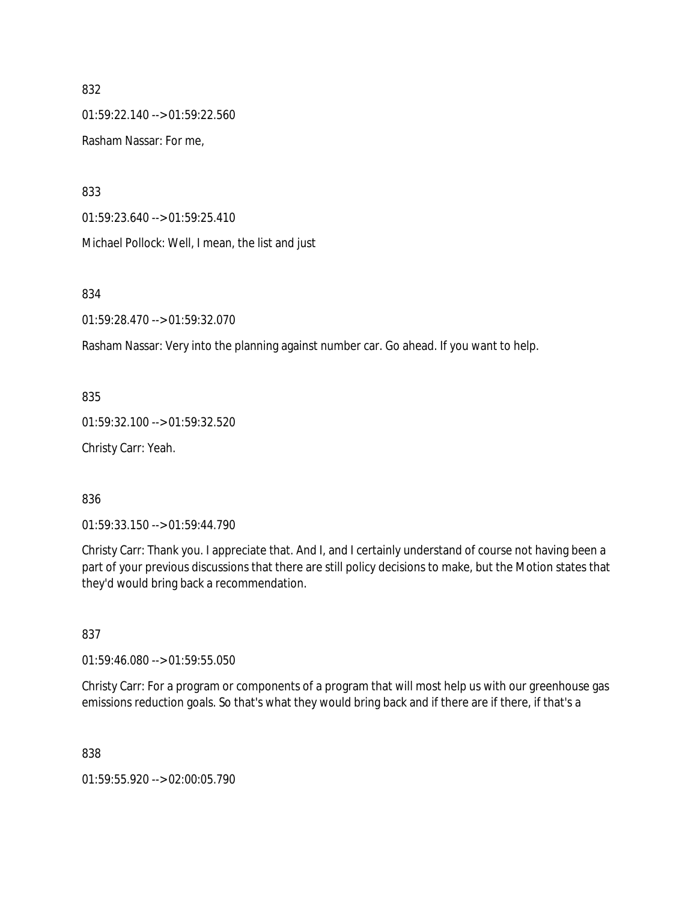01:59:22.140 --> 01:59:22.560

Rasham Nassar: For me,

833

01:59:23.640 --> 01:59:25.410

Michael Pollock: Well, I mean, the list and just

834

01:59:28.470 --> 01:59:32.070

Rasham Nassar: Very into the planning against number car. Go ahead. If you want to help.

835

01:59:32.100 --> 01:59:32.520

Christy Carr: Yeah.

836

01:59:33.150 --> 01:59:44.790

Christy Carr: Thank you. I appreciate that. And I, and I certainly understand of course not having been a part of your previous discussions that there are still policy decisions to make, but the Motion states that they'd would bring back a recommendation.

837

01:59:46.080 --> 01:59:55.050

Christy Carr: For a program or components of a program that will most help us with our greenhouse gas emissions reduction goals. So that's what they would bring back and if there are if there, if that's a

838

01:59:55.920 --> 02:00:05.790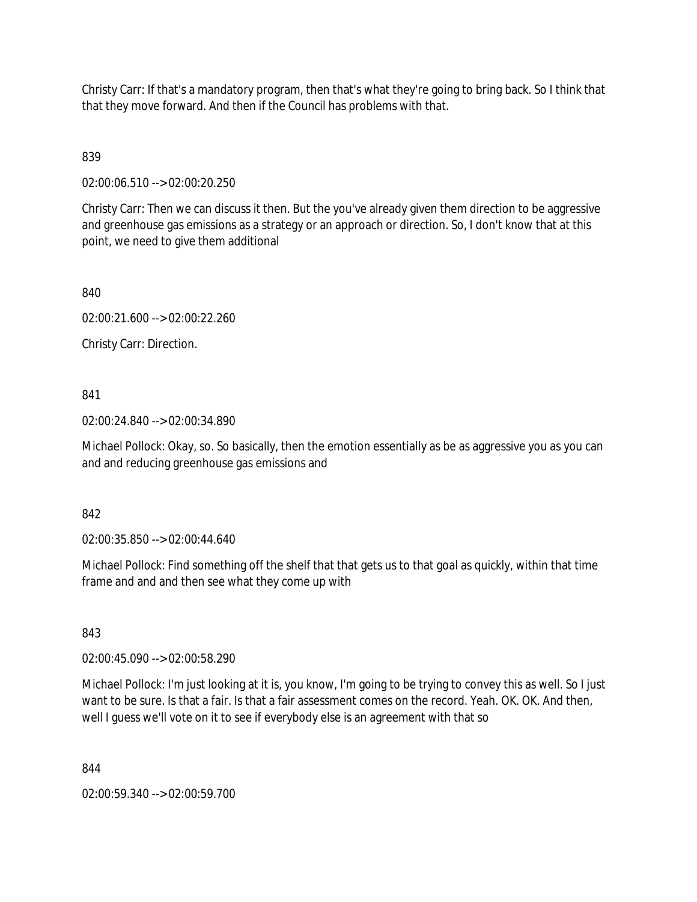Christy Carr: If that's a mandatory program, then that's what they're going to bring back. So I think that that they move forward. And then if the Council has problems with that.

839

02:00:06.510 --> 02:00:20.250

Christy Carr: Then we can discuss it then. But the you've already given them direction to be aggressive and greenhouse gas emissions as a strategy or an approach or direction. So, I don't know that at this point, we need to give them additional

840

02:00:21.600 --> 02:00:22.260

Christy Carr: Direction.

841

02:00:24.840 --> 02:00:34.890

Michael Pollock: Okay, so. So basically, then the emotion essentially as be as aggressive you as you can and and reducing greenhouse gas emissions and

842

02:00:35.850 --> 02:00:44.640

Michael Pollock: Find something off the shelf that that gets us to that goal as quickly, within that time frame and and and then see what they come up with

843

02:00:45.090 --> 02:00:58.290

Michael Pollock: I'm just looking at it is, you know, I'm going to be trying to convey this as well. So I just want to be sure. Is that a fair. Is that a fair assessment comes on the record. Yeah. OK. OK. And then, well I guess we'll vote on it to see if everybody else is an agreement with that so

844

02:00:59.340 --> 02:00:59.700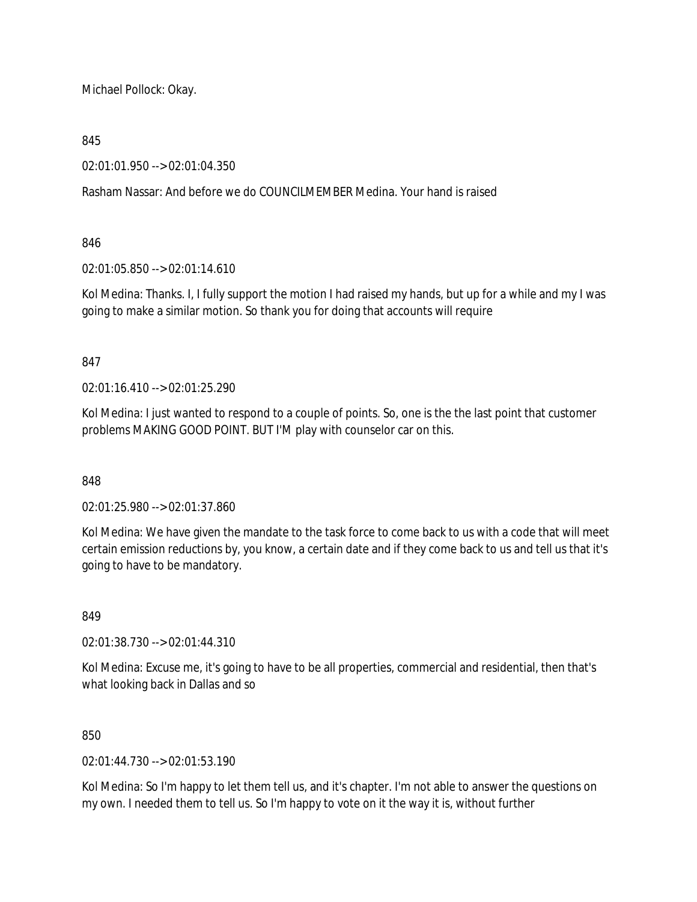Michael Pollock: Okay.

### 845

02:01:01.950 --> 02:01:04.350

Rasham Nassar: And before we do COUNCILMEMBER Medina. Your hand is raised

### 846

02:01:05.850 --> 02:01:14.610

Kol Medina: Thanks. I, I fully support the motion I had raised my hands, but up for a while and my I was going to make a similar motion. So thank you for doing that accounts will require

### 847

02:01:16.410 --> 02:01:25.290

Kol Medina: I just wanted to respond to a couple of points. So, one is the the last point that customer problems MAKING GOOD POINT. BUT I'M play with counselor car on this.

848

02:01:25.980 --> 02:01:37.860

Kol Medina: We have given the mandate to the task force to come back to us with a code that will meet certain emission reductions by, you know, a certain date and if they come back to us and tell us that it's going to have to be mandatory.

## 849

02:01:38.730 --> 02:01:44.310

Kol Medina: Excuse me, it's going to have to be all properties, commercial and residential, then that's what looking back in Dallas and so

### 850

02:01:44.730 --> 02:01:53.190

Kol Medina: So I'm happy to let them tell us, and it's chapter. I'm not able to answer the questions on my own. I needed them to tell us. So I'm happy to vote on it the way it is, without further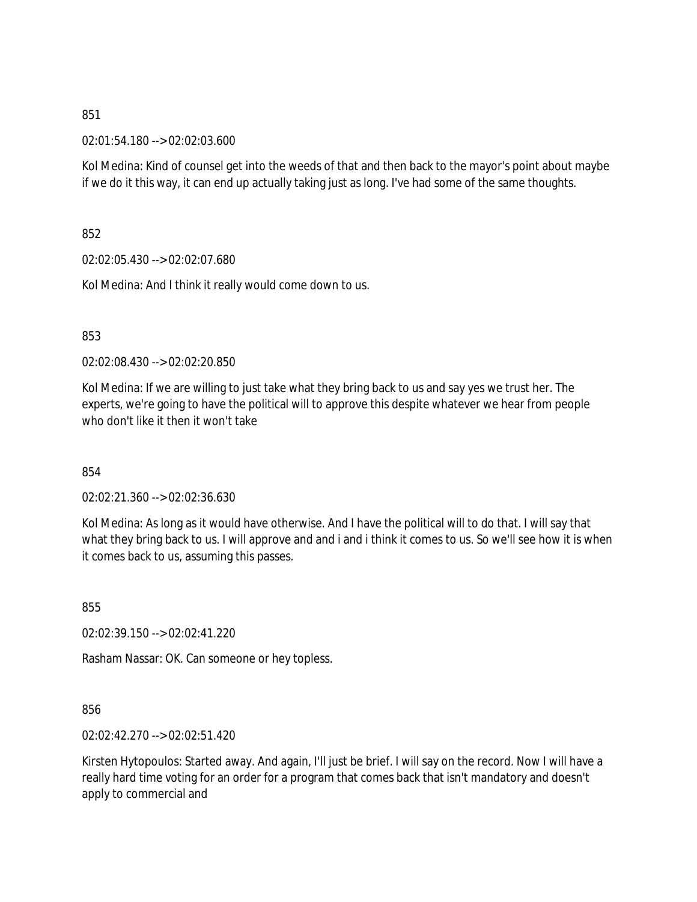02:01:54.180 --> 02:02:03.600

Kol Medina: Kind of counsel get into the weeds of that and then back to the mayor's point about maybe if we do it this way, it can end up actually taking just as long. I've had some of the same thoughts.

852

02:02:05.430 --> 02:02:07.680

Kol Medina: And I think it really would come down to us.

853

02:02:08.430 --> 02:02:20.850

Kol Medina: If we are willing to just take what they bring back to us and say yes we trust her. The experts, we're going to have the political will to approve this despite whatever we hear from people who don't like it then it won't take

854

02:02:21.360 --> 02:02:36.630

Kol Medina: As long as it would have otherwise. And I have the political will to do that. I will say that what they bring back to us. I will approve and and i and i think it comes to us. So we'll see how it is when it comes back to us, assuming this passes.

855

02:02:39.150 --> 02:02:41.220

Rasham Nassar: OK. Can someone or hey topless.

856

02:02:42.270 --> 02:02:51.420

Kirsten Hytopoulos: Started away. And again, I'll just be brief. I will say on the record. Now I will have a really hard time voting for an order for a program that comes back that isn't mandatory and doesn't apply to commercial and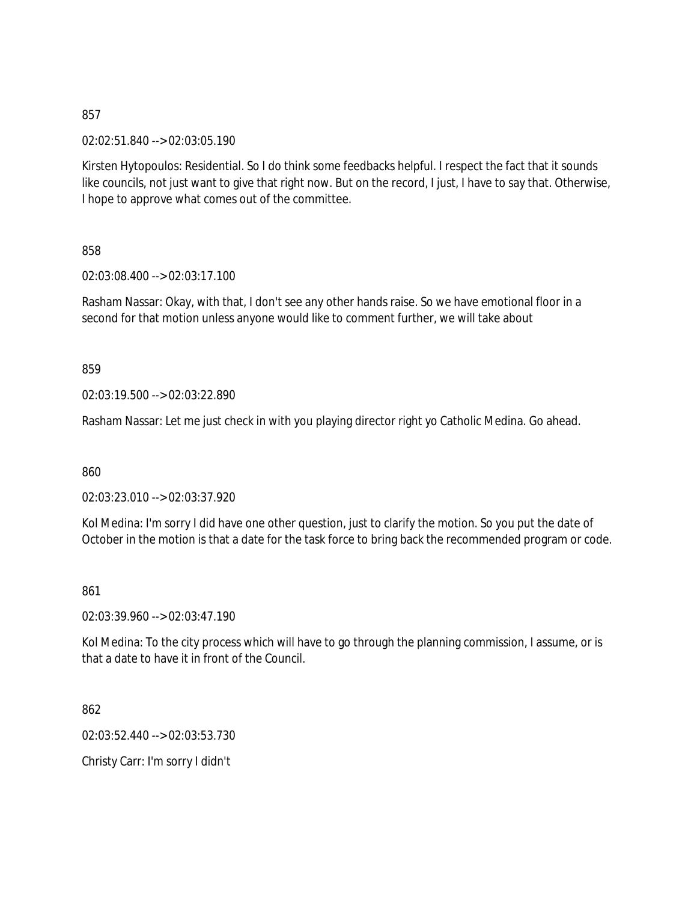02:02:51.840 --> 02:03:05.190

Kirsten Hytopoulos: Residential. So I do think some feedbacks helpful. I respect the fact that it sounds like councils, not just want to give that right now. But on the record, I just, I have to say that. Otherwise, I hope to approve what comes out of the committee.

858

02:03:08.400 --> 02:03:17.100

Rasham Nassar: Okay, with that, I don't see any other hands raise. So we have emotional floor in a second for that motion unless anyone would like to comment further, we will take about

859

02:03:19.500 --> 02:03:22.890

Rasham Nassar: Let me just check in with you playing director right yo Catholic Medina. Go ahead.

860

02:03:23.010 --> 02:03:37.920

Kol Medina: I'm sorry I did have one other question, just to clarify the motion. So you put the date of October in the motion is that a date for the task force to bring back the recommended program or code.

861

02:03:39.960 --> 02:03:47.190

Kol Medina: To the city process which will have to go through the planning commission, I assume, or is that a date to have it in front of the Council.

862

02:03:52.440 --> 02:03:53.730

Christy Carr: I'm sorry I didn't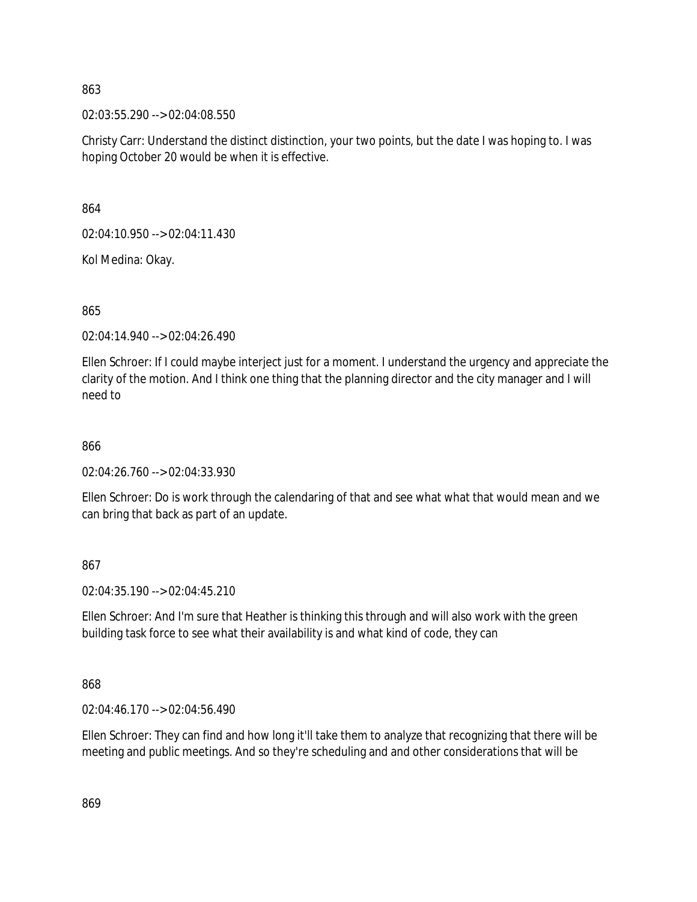02:03:55.290 --> 02:04:08.550

Christy Carr: Understand the distinct distinction, your two points, but the date I was hoping to. I was hoping October 20 would be when it is effective.

864

02:04:10.950 --> 02:04:11.430

Kol Medina: Okay.

865

02:04:14.940 --> 02:04:26.490

Ellen Schroer: If I could maybe interject just for a moment. I understand the urgency and appreciate the clarity of the motion. And I think one thing that the planning director and the city manager and I will need to

#### 866

02:04:26.760 --> 02:04:33.930

Ellen Schroer: Do is work through the calendaring of that and see what what that would mean and we can bring that back as part of an update.

867

02:04:35.190 --> 02:04:45.210

Ellen Schroer: And I'm sure that Heather is thinking this through and will also work with the green building task force to see what their availability is and what kind of code, they can

868

02:04:46.170 --> 02:04:56.490

Ellen Schroer: They can find and how long it'll take them to analyze that recognizing that there will be meeting and public meetings. And so they're scheduling and and other considerations that will be

869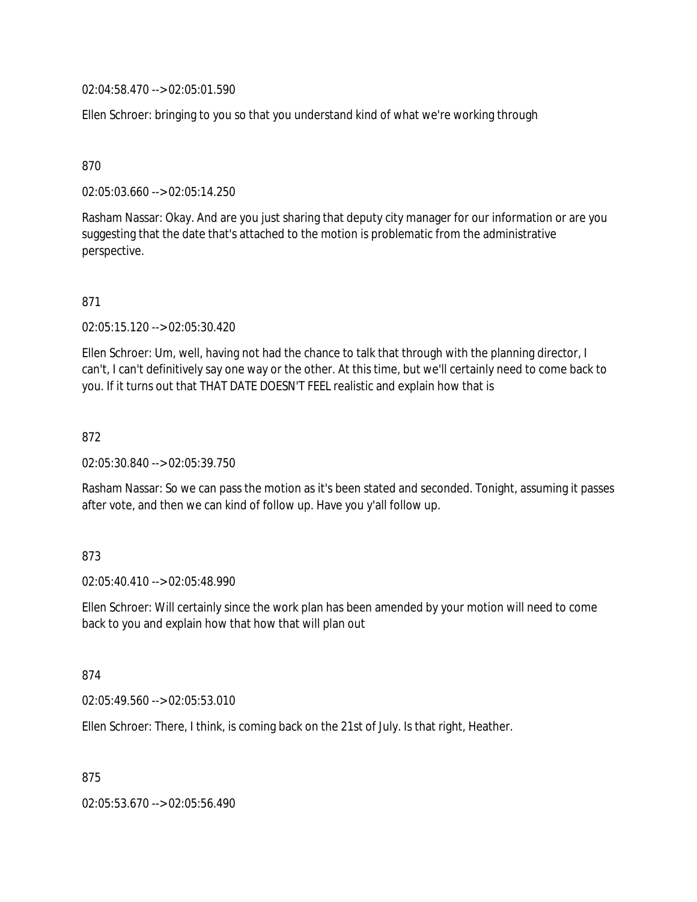02:04:58.470 --> 02:05:01.590

Ellen Schroer: bringing to you so that you understand kind of what we're working through

870

02:05:03.660 --> 02:05:14.250

Rasham Nassar: Okay. And are you just sharing that deputy city manager for our information or are you suggesting that the date that's attached to the motion is problematic from the administrative perspective.

871

02:05:15.120 --> 02:05:30.420

Ellen Schroer: Um, well, having not had the chance to talk that through with the planning director, I can't, I can't definitively say one way or the other. At this time, but we'll certainly need to come back to you. If it turns out that THAT DATE DOESN'T FEEL realistic and explain how that is

872

02:05:30.840 --> 02:05:39.750

Rasham Nassar: So we can pass the motion as it's been stated and seconded. Tonight, assuming it passes after vote, and then we can kind of follow up. Have you y'all follow up.

### 873

02:05:40.410 --> 02:05:48.990

Ellen Schroer: Will certainly since the work plan has been amended by your motion will need to come back to you and explain how that how that will plan out

874

02:05:49.560 --> 02:05:53.010

Ellen Schroer: There, I think, is coming back on the 21st of July. Is that right, Heather.

875

02:05:53.670 --> 02:05:56.490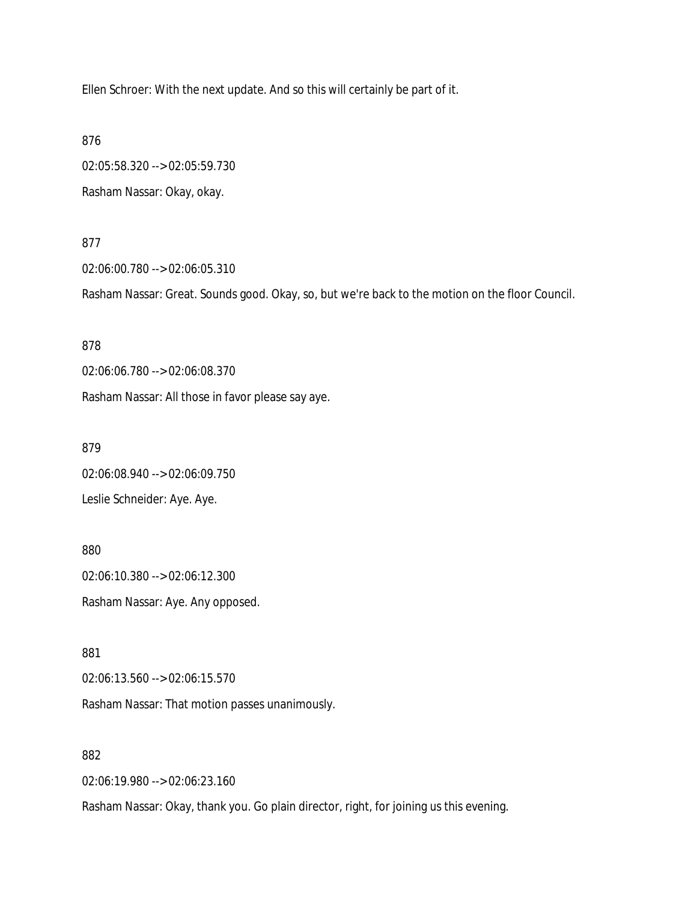Ellen Schroer: With the next update. And so this will certainly be part of it.

876

02:05:58.320 --> 02:05:59.730 Rasham Nassar: Okay, okay.

877

02:06:00.780 --> 02:06:05.310

Rasham Nassar: Great. Sounds good. Okay, so, but we're back to the motion on the floor Council.

878

02:06:06.780 --> 02:06:08.370

Rasham Nassar: All those in favor please say aye.

879

02:06:08.940 --> 02:06:09.750

Leslie Schneider: Aye. Aye.

880 02:06:10.380 --> 02:06:12.300 Rasham Nassar: Aye. Any opposed.

881

02:06:13.560 --> 02:06:15.570

Rasham Nassar: That motion passes unanimously.

882

02:06:19.980 --> 02:06:23.160

Rasham Nassar: Okay, thank you. Go plain director, right, for joining us this evening.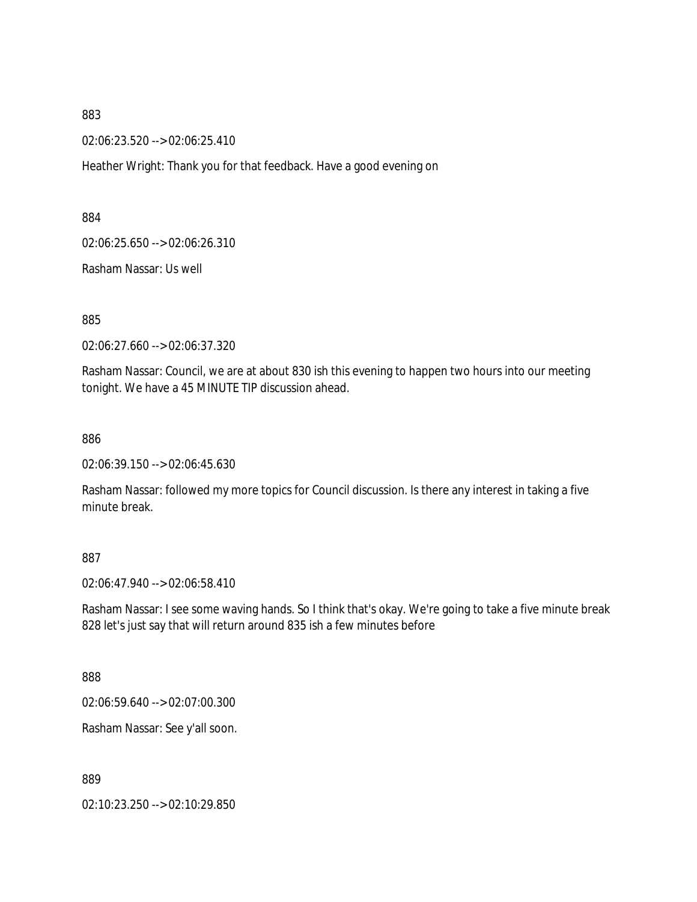02:06:23.520 --> 02:06:25.410

Heather Wright: Thank you for that feedback. Have a good evening on

884

02:06:25.650 --> 02:06:26.310

Rasham Nassar: Us well

885

02:06:27.660 --> 02:06:37.320

Rasham Nassar: Council, we are at about 830 ish this evening to happen two hours into our meeting tonight. We have a 45 MINUTE TIP discussion ahead.

886

02:06:39.150 --> 02:06:45.630

Rasham Nassar: followed my more topics for Council discussion. Is there any interest in taking a five minute break.

887

02:06:47.940 --> 02:06:58.410

Rasham Nassar: I see some waving hands. So I think that's okay. We're going to take a five minute break 828 let's just say that will return around 835 ish a few minutes before

888

02:06:59.640 --> 02:07:00.300

Rasham Nassar: See y'all soon.

889

02:10:23.250 --> 02:10:29.850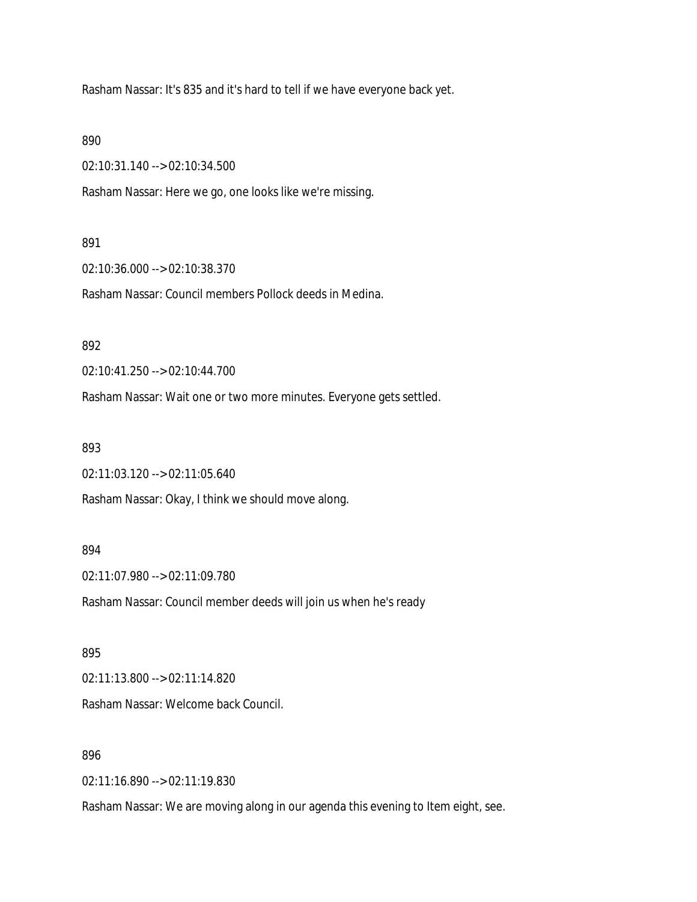Rasham Nassar: It's 835 and it's hard to tell if we have everyone back yet.

890

02:10:31.140 --> 02:10:34.500

Rasham Nassar: Here we go, one looks like we're missing.

#### 891

02:10:36.000 --> 02:10:38.370

Rasham Nassar: Council members Pollock deeds in Medina.

### 892

02:10:41.250 --> 02:10:44.700

Rasham Nassar: Wait one or two more minutes. Everyone gets settled.

#### 893

02:11:03.120 --> 02:11:05.640

Rasham Nassar: Okay, I think we should move along.

#### 894

02:11:07.980 --> 02:11:09.780

Rasham Nassar: Council member deeds will join us when he's ready

#### 895

02:11:13.800 --> 02:11:14.820

Rasham Nassar: Welcome back Council.

### 896

02:11:16.890 --> 02:11:19.830

Rasham Nassar: We are moving along in our agenda this evening to Item eight, see.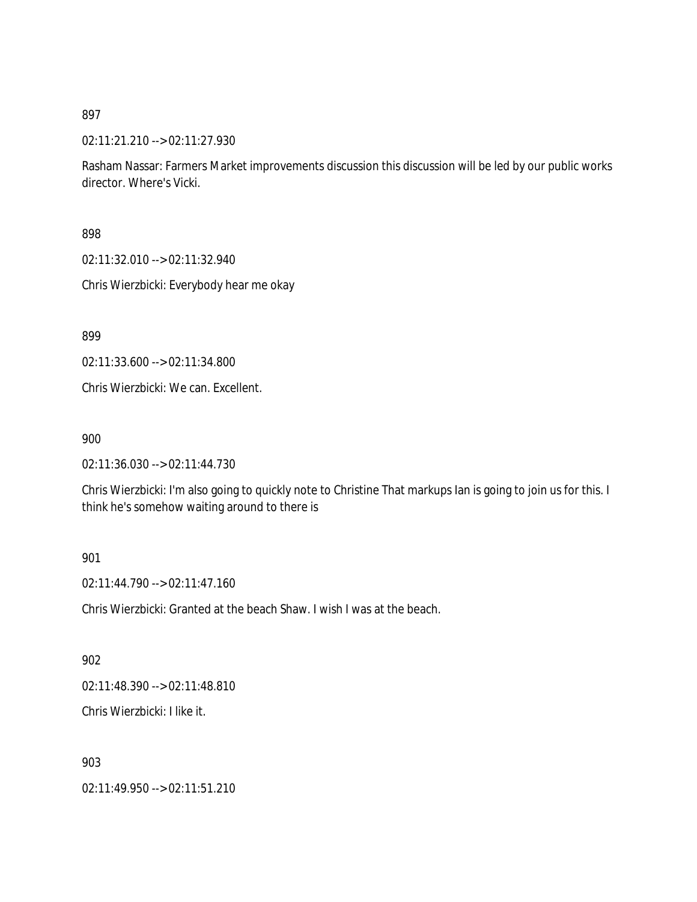02:11:21.210 --> 02:11:27.930

Rasham Nassar: Farmers Market improvements discussion this discussion will be led by our public works director. Where's Vicki.

898

02:11:32.010 --> 02:11:32.940

Chris Wierzbicki: Everybody hear me okay

899

02:11:33.600 --> 02:11:34.800

Chris Wierzbicki: We can. Excellent.

900

02:11:36.030 --> 02:11:44.730

Chris Wierzbicki: I'm also going to quickly note to Christine That markups Ian is going to join us for this. I think he's somehow waiting around to there is

#### 901

02:11:44.790 --> 02:11:47.160

Chris Wierzbicki: Granted at the beach Shaw. I wish I was at the beach.

902

02:11:48.390 --> 02:11:48.810

Chris Wierzbicki: I like it.

903

02:11:49.950 --> 02:11:51.210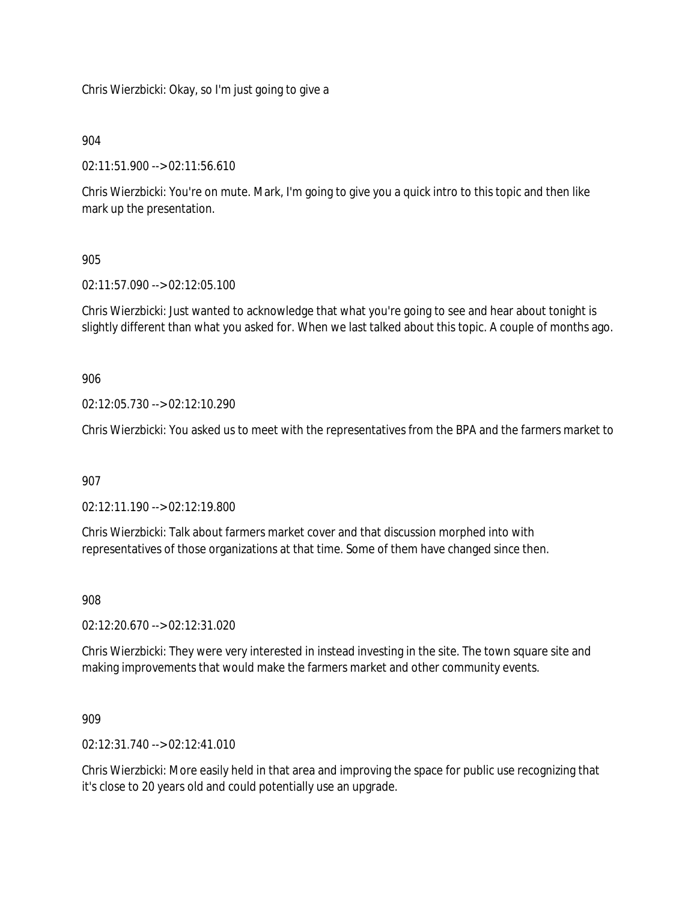Chris Wierzbicki: Okay, so I'm just going to give a

904

02:11:51.900 --> 02:11:56.610

Chris Wierzbicki: You're on mute. Mark, I'm going to give you a quick intro to this topic and then like mark up the presentation.

905

02:11:57.090 --> 02:12:05.100

Chris Wierzbicki: Just wanted to acknowledge that what you're going to see and hear about tonight is slightly different than what you asked for. When we last talked about this topic. A couple of months ago.

906

02:12:05.730 --> 02:12:10.290

Chris Wierzbicki: You asked us to meet with the representatives from the BPA and the farmers market to

907

02:12:11.190 --> 02:12:19.800

Chris Wierzbicki: Talk about farmers market cover and that discussion morphed into with representatives of those organizations at that time. Some of them have changed since then.

908

02:12:20.670 --> 02:12:31.020

Chris Wierzbicki: They were very interested in instead investing in the site. The town square site and making improvements that would make the farmers market and other community events.

909

02:12:31.740 --> 02:12:41.010

Chris Wierzbicki: More easily held in that area and improving the space for public use recognizing that it's close to 20 years old and could potentially use an upgrade.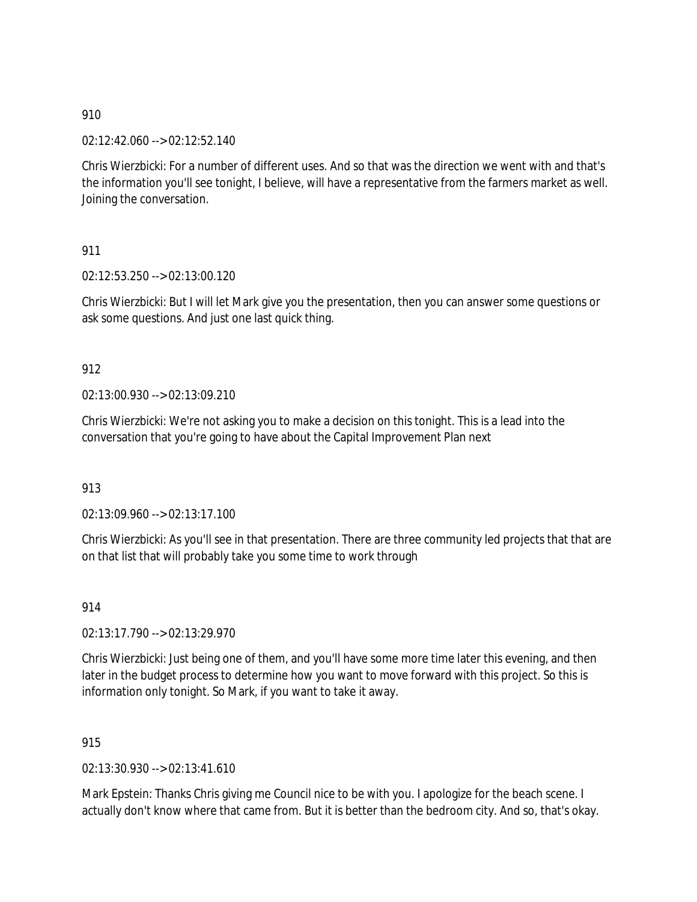02:12:42.060 --> 02:12:52.140

Chris Wierzbicki: For a number of different uses. And so that was the direction we went with and that's the information you'll see tonight, I believe, will have a representative from the farmers market as well. Joining the conversation.

911

02:12:53.250 --> 02:13:00.120

Chris Wierzbicki: But I will let Mark give you the presentation, then you can answer some questions or ask some questions. And just one last quick thing.

912

02:13:00.930 --> 02:13:09.210

Chris Wierzbicki: We're not asking you to make a decision on this tonight. This is a lead into the conversation that you're going to have about the Capital Improvement Plan next

913

02:13:09.960 --> 02:13:17.100

Chris Wierzbicki: As you'll see in that presentation. There are three community led projects that that are on that list that will probably take you some time to work through

914

02:13:17.790 --> 02:13:29.970

Chris Wierzbicki: Just being one of them, and you'll have some more time later this evening, and then later in the budget process to determine how you want to move forward with this project. So this is information only tonight. So Mark, if you want to take it away.

915

02:13:30.930 --> 02:13:41.610

Mark Epstein: Thanks Chris giving me Council nice to be with you. I apologize for the beach scene. I actually don't know where that came from. But it is better than the bedroom city. And so, that's okay.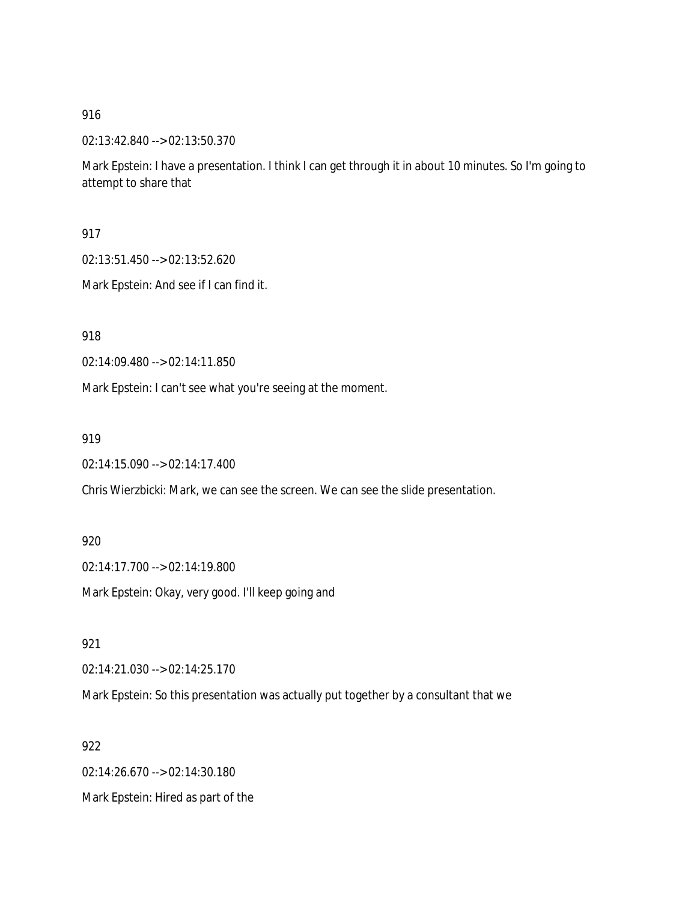02:13:42.840 --> 02:13:50.370

Mark Epstein: I have a presentation. I think I can get through it in about 10 minutes. So I'm going to attempt to share that

917

02:13:51.450 --> 02:13:52.620

Mark Epstein: And see if I can find it.

918

02:14:09.480 --> 02:14:11.850

Mark Epstein: I can't see what you're seeing at the moment.

919

02:14:15.090 --> 02:14:17.400

Chris Wierzbicki: Mark, we can see the screen. We can see the slide presentation.

920

02:14:17.700 --> 02:14:19.800

Mark Epstein: Okay, very good. I'll keep going and

921

02:14:21.030 --> 02:14:25.170

Mark Epstein: So this presentation was actually put together by a consultant that we

922

02:14:26.670 --> 02:14:30.180

Mark Epstein: Hired as part of the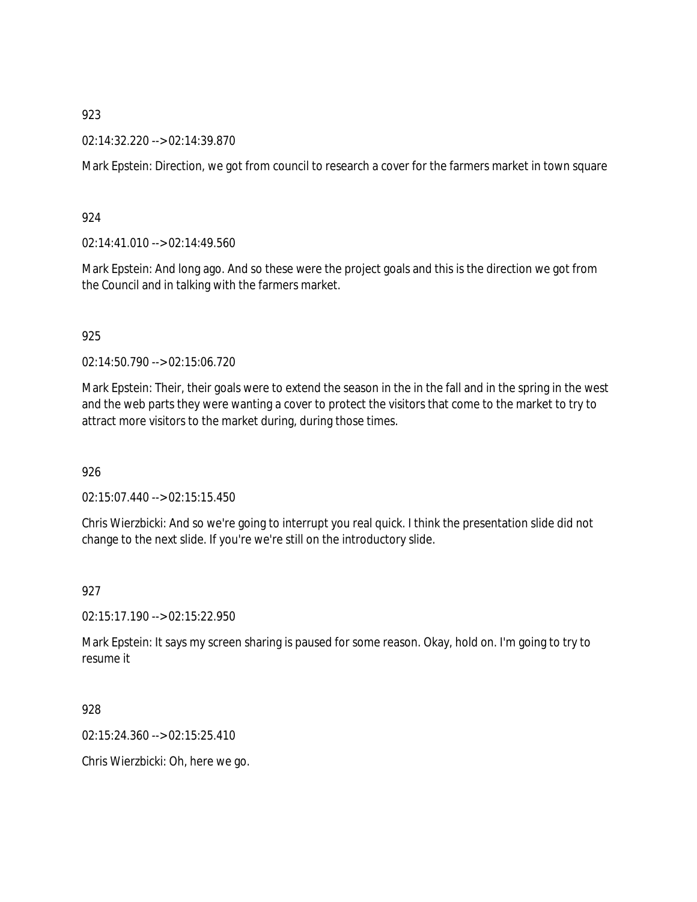### 02:14:32.220 --> 02:14:39.870

Mark Epstein: Direction, we got from council to research a cover for the farmers market in town square

### 924

02:14:41.010 --> 02:14:49.560

Mark Epstein: And long ago. And so these were the project goals and this is the direction we got from the Council and in talking with the farmers market.

### 925

02:14:50.790 --> 02:15:06.720

Mark Epstein: Their, their goals were to extend the season in the in the fall and in the spring in the west and the web parts they were wanting a cover to protect the visitors that come to the market to try to attract more visitors to the market during, during those times.

## 926

02:15:07.440 --> 02:15:15.450

Chris Wierzbicki: And so we're going to interrupt you real quick. I think the presentation slide did not change to the next slide. If you're we're still on the introductory slide.

#### 927

02:15:17.190 --> 02:15:22.950

Mark Epstein: It says my screen sharing is paused for some reason. Okay, hold on. I'm going to try to resume it

928

02:15:24.360 --> 02:15:25.410

Chris Wierzbicki: Oh, here we go.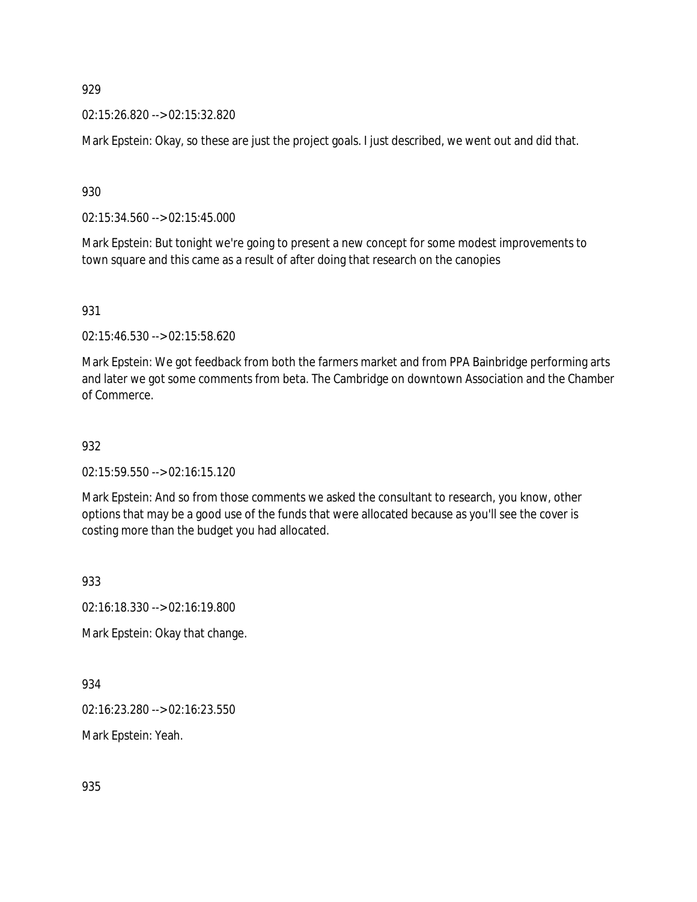02:15:26.820 --> 02:15:32.820

Mark Epstein: Okay, so these are just the project goals. I just described, we went out and did that.

930

02:15:34.560 --> 02:15:45.000

Mark Epstein: But tonight we're going to present a new concept for some modest improvements to town square and this came as a result of after doing that research on the canopies

931

02:15:46.530 --> 02:15:58.620

Mark Epstein: We got feedback from both the farmers market and from PPA Bainbridge performing arts and later we got some comments from beta. The Cambridge on downtown Association and the Chamber of Commerce.

932

02:15:59.550 --> 02:16:15.120

Mark Epstein: And so from those comments we asked the consultant to research, you know, other options that may be a good use of the funds that were allocated because as you'll see the cover is costing more than the budget you had allocated.

933

02:16:18.330 --> 02:16:19.800

Mark Epstein: Okay that change.

934

02:16:23.280 --> 02:16:23.550

Mark Epstein: Yeah.

935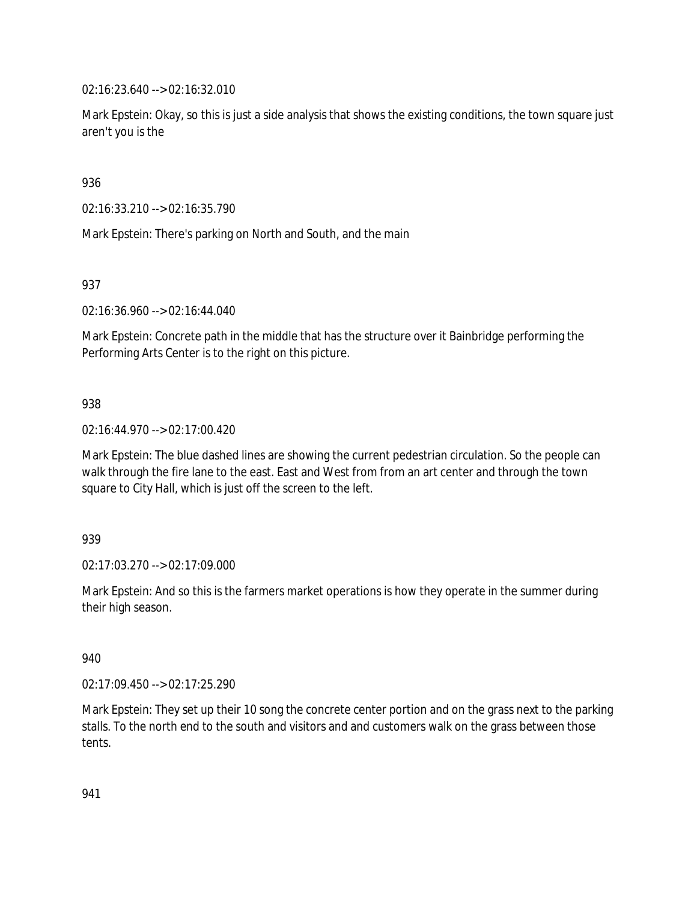02:16:23.640 --> 02:16:32.010

Mark Epstein: Okay, so this is just a side analysis that shows the existing conditions, the town square just aren't you is the

936

02:16:33.210 --> 02:16:35.790

Mark Epstein: There's parking on North and South, and the main

937

02:16:36.960 --> 02:16:44.040

Mark Epstein: Concrete path in the middle that has the structure over it Bainbridge performing the Performing Arts Center is to the right on this picture.

938

02:16:44.970 --> 02:17:00.420

Mark Epstein: The blue dashed lines are showing the current pedestrian circulation. So the people can walk through the fire lane to the east. East and West from from an art center and through the town square to City Hall, which is just off the screen to the left.

939

02:17:03.270 --> 02:17:09.000

Mark Epstein: And so this is the farmers market operations is how they operate in the summer during their high season.

940

02:17:09.450 --> 02:17:25.290

Mark Epstein: They set up their 10 song the concrete center portion and on the grass next to the parking stalls. To the north end to the south and visitors and and customers walk on the grass between those tents.

941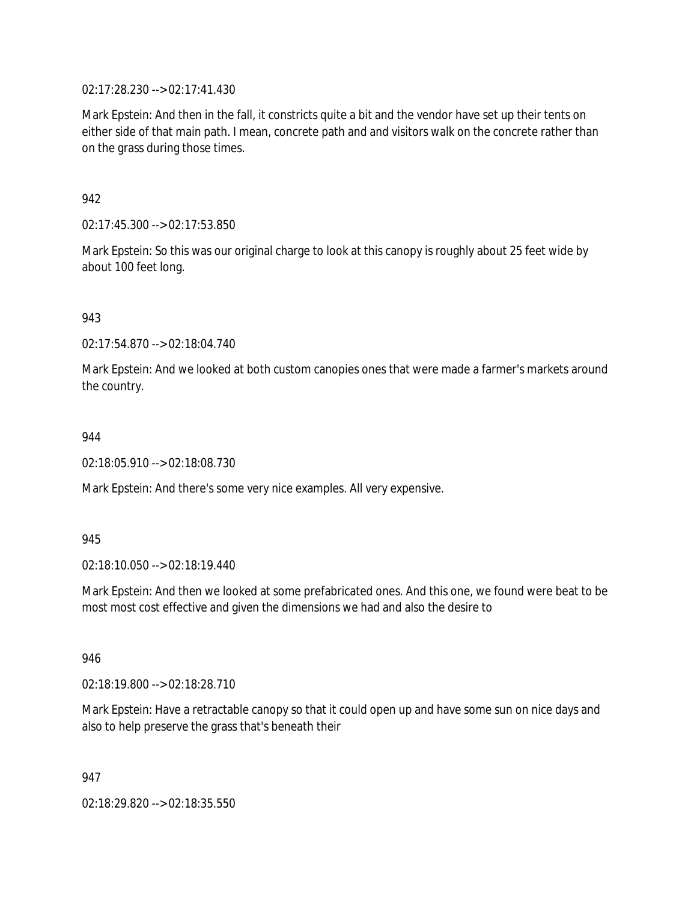02:17:28.230 --> 02:17:41.430

Mark Epstein: And then in the fall, it constricts quite a bit and the vendor have set up their tents on either side of that main path. I mean, concrete path and and visitors walk on the concrete rather than on the grass during those times.

942

02:17:45.300 --> 02:17:53.850

Mark Epstein: So this was our original charge to look at this canopy is roughly about 25 feet wide by about 100 feet long.

943

02:17:54.870 --> 02:18:04.740

Mark Epstein: And we looked at both custom canopies ones that were made a farmer's markets around the country.

944

02:18:05.910 --> 02:18:08.730

Mark Epstein: And there's some very nice examples. All very expensive.

945

02:18:10.050 --> 02:18:19.440

Mark Epstein: And then we looked at some prefabricated ones. And this one, we found were beat to be most most cost effective and given the dimensions we had and also the desire to

946

02:18:19.800 --> 02:18:28.710

Mark Epstein: Have a retractable canopy so that it could open up and have some sun on nice days and also to help preserve the grass that's beneath their

947

02:18:29.820 --> 02:18:35.550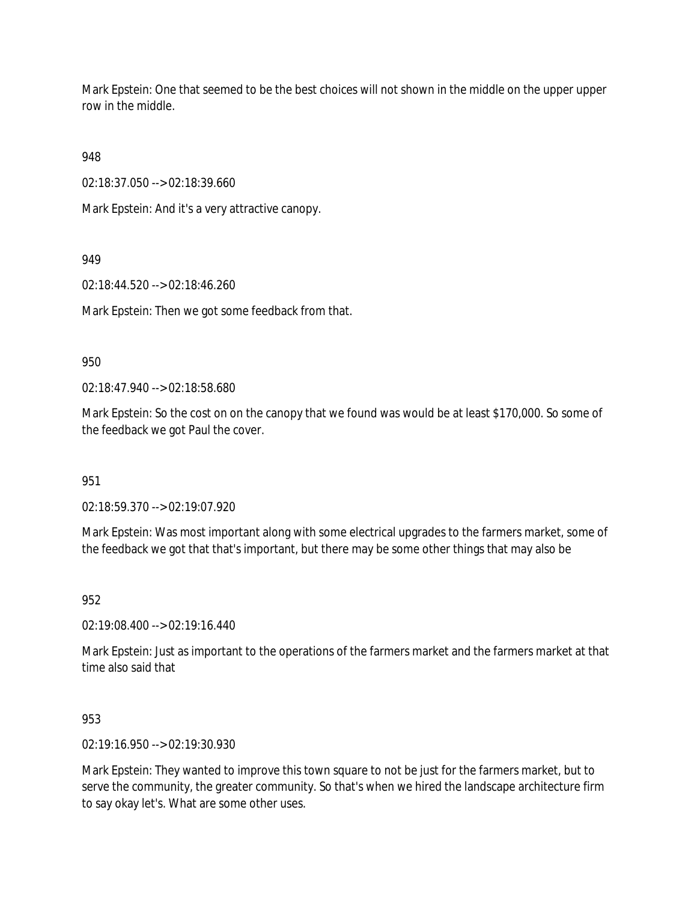Mark Epstein: One that seemed to be the best choices will not shown in the middle on the upper upper row in the middle.

948

02:18:37.050 --> 02:18:39.660

Mark Epstein: And it's a very attractive canopy.

949

02:18:44.520 --> 02:18:46.260

Mark Epstein: Then we got some feedback from that.

950

02:18:47.940 --> 02:18:58.680

Mark Epstein: So the cost on on the canopy that we found was would be at least \$170,000. So some of the feedback we got Paul the cover.

951

02:18:59.370 --> 02:19:07.920

Mark Epstein: Was most important along with some electrical upgrades to the farmers market, some of the feedback we got that that's important, but there may be some other things that may also be

952

02:19:08.400 --> 02:19:16.440

Mark Epstein: Just as important to the operations of the farmers market and the farmers market at that time also said that

953

02:19:16.950 --> 02:19:30.930

Mark Epstein: They wanted to improve this town square to not be just for the farmers market, but to serve the community, the greater community. So that's when we hired the landscape architecture firm to say okay let's. What are some other uses.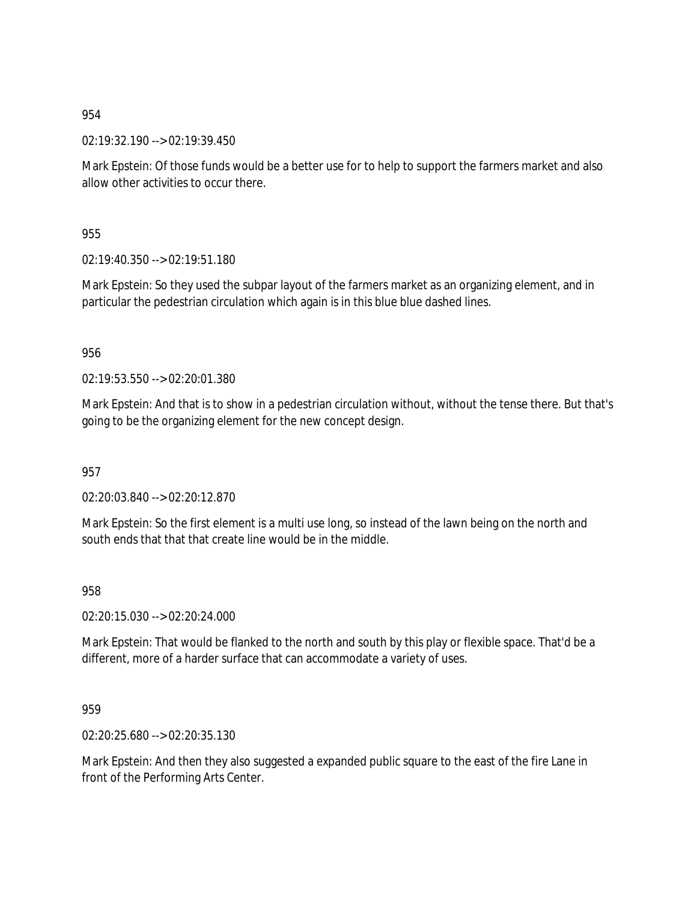02:19:32.190 --> 02:19:39.450

Mark Epstein: Of those funds would be a better use for to help to support the farmers market and also allow other activities to occur there.

955

02:19:40.350 --> 02:19:51.180

Mark Epstein: So they used the subpar layout of the farmers market as an organizing element, and in particular the pedestrian circulation which again is in this blue blue dashed lines.

956

02:19:53.550 --> 02:20:01.380

Mark Epstein: And that is to show in a pedestrian circulation without, without the tense there. But that's going to be the organizing element for the new concept design.

957

02:20:03.840 --> 02:20:12.870

Mark Epstein: So the first element is a multi use long, so instead of the lawn being on the north and south ends that that that create line would be in the middle.

958

02:20:15.030 --> 02:20:24.000

Mark Epstein: That would be flanked to the north and south by this play or flexible space. That'd be a different, more of a harder surface that can accommodate a variety of uses.

959

02:20:25.680 --> 02:20:35.130

Mark Epstein: And then they also suggested a expanded public square to the east of the fire Lane in front of the Performing Arts Center.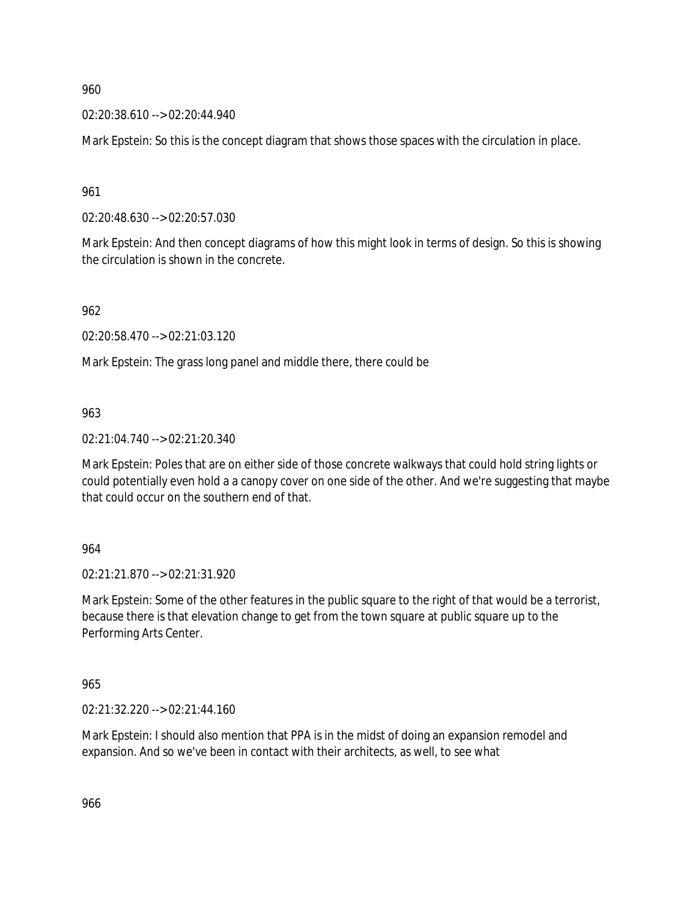02:20:38.610 --> 02:20:44.940

Mark Epstein: So this is the concept diagram that shows those spaces with the circulation in place.

961

02:20:48.630 --> 02:20:57.030

Mark Epstein: And then concept diagrams of how this might look in terms of design. So this is showing the circulation is shown in the concrete.

962

02:20:58.470 --> 02:21:03.120

Mark Epstein: The grass long panel and middle there, there could be

963

02:21:04.740 --> 02:21:20.340

Mark Epstein: Poles that are on either side of those concrete walkways that could hold string lights or could potentially even hold a a canopy cover on one side of the other. And we're suggesting that maybe that could occur on the southern end of that.

964

02:21:21.870 --> 02:21:31.920

Mark Epstein: Some of the other features in the public square to the right of that would be a terrorist, because there is that elevation change to get from the town square at public square up to the Performing Arts Center.

965

02:21:32.220 --> 02:21:44.160

Mark Epstein: I should also mention that PPA is in the midst of doing an expansion remodel and expansion. And so we've been in contact with their architects, as well, to see what

966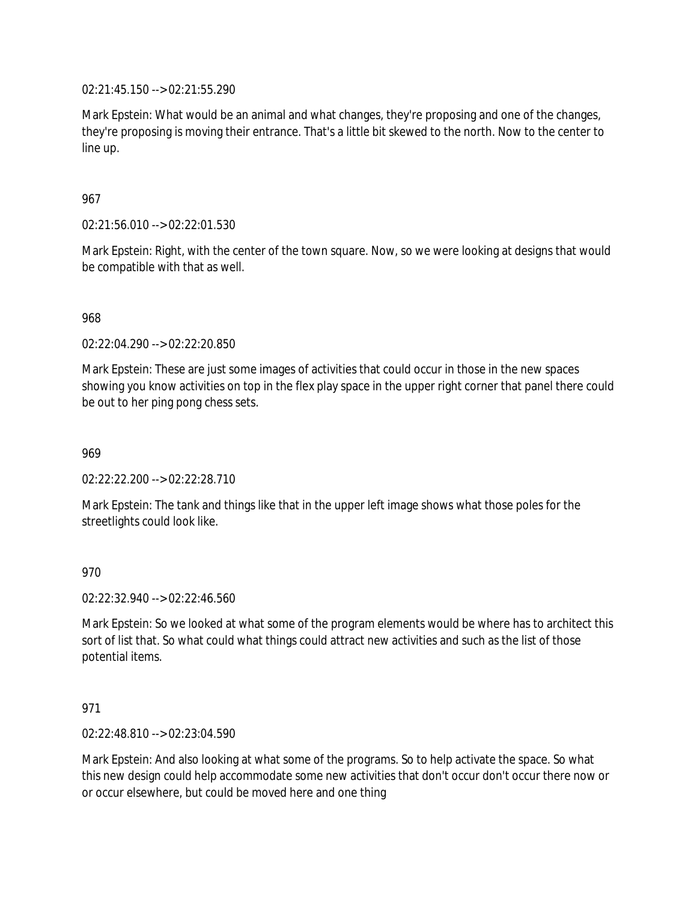02:21:45.150 --> 02:21:55.290

Mark Epstein: What would be an animal and what changes, they're proposing and one of the changes, they're proposing is moving their entrance. That's a little bit skewed to the north. Now to the center to line up.

## 967

02:21:56.010 --> 02:22:01.530

Mark Epstein: Right, with the center of the town square. Now, so we were looking at designs that would be compatible with that as well.

## 968

02:22:04.290 --> 02:22:20.850

Mark Epstein: These are just some images of activities that could occur in those in the new spaces showing you know activities on top in the flex play space in the upper right corner that panel there could be out to her ping pong chess sets.

969

 $02:22:22.200 -502:22:28.710$ 

Mark Epstein: The tank and things like that in the upper left image shows what those poles for the streetlights could look like.

## 970

02:22:32.940 --> 02:22:46.560

Mark Epstein: So we looked at what some of the program elements would be where has to architect this sort of list that. So what could what things could attract new activities and such as the list of those potential items.

## 971

02:22:48.810 --> 02:23:04.590

Mark Epstein: And also looking at what some of the programs. So to help activate the space. So what this new design could help accommodate some new activities that don't occur don't occur there now or or occur elsewhere, but could be moved here and one thing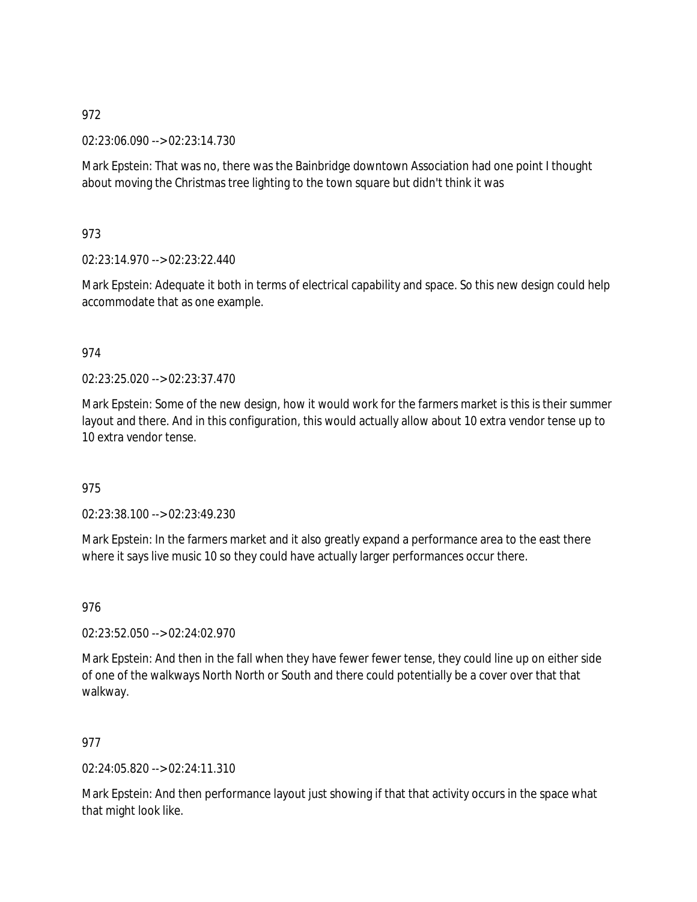02:23:06.090 --> 02:23:14.730

Mark Epstein: That was no, there was the Bainbridge downtown Association had one point I thought about moving the Christmas tree lighting to the town square but didn't think it was

973

02:23:14.970 --> 02:23:22.440

Mark Epstein: Adequate it both in terms of electrical capability and space. So this new design could help accommodate that as one example.

### 974

02:23:25.020 --> 02:23:37.470

Mark Epstein: Some of the new design, how it would work for the farmers market is this is their summer layout and there. And in this configuration, this would actually allow about 10 extra vendor tense up to 10 extra vendor tense.

## 975

02:23:38.100 --> 02:23:49.230

Mark Epstein: In the farmers market and it also greatly expand a performance area to the east there where it says live music 10 so they could have actually larger performances occur there.

976

02:23:52.050 --> 02:24:02.970

Mark Epstein: And then in the fall when they have fewer fewer tense, they could line up on either side of one of the walkways North North or South and there could potentially be a cover over that that walkway.

977

02:24:05.820 --> 02:24:11.310

Mark Epstein: And then performance layout just showing if that that activity occurs in the space what that might look like.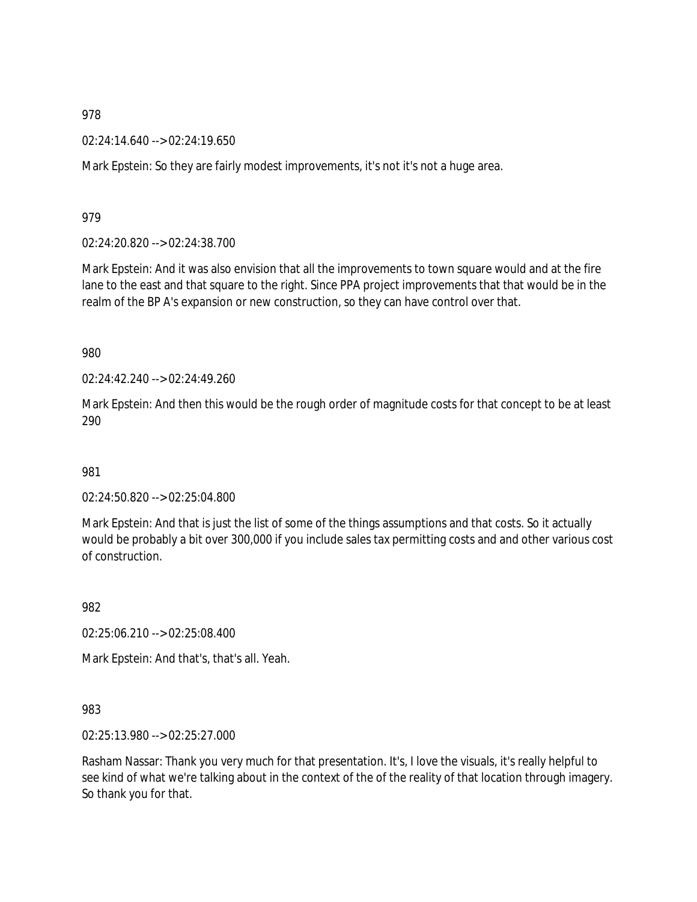02:24:14.640 --> 02:24:19.650

Mark Epstein: So they are fairly modest improvements, it's not it's not a huge area.

979

02:24:20.820 --> 02:24:38.700

Mark Epstein: And it was also envision that all the improvements to town square would and at the fire lane to the east and that square to the right. Since PPA project improvements that that would be in the realm of the BP A's expansion or new construction, so they can have control over that.

980

 $02.24.42.240 - 02.24.49.260$ 

Mark Epstein: And then this would be the rough order of magnitude costs for that concept to be at least 290

981

02:24:50.820 --> 02:25:04.800

Mark Epstein: And that is just the list of some of the things assumptions and that costs. So it actually would be probably a bit over 300,000 if you include sales tax permitting costs and and other various cost of construction.

982

02:25:06.210 --> 02:25:08.400

Mark Epstein: And that's, that's all. Yeah.

983

02:25:13.980 --> 02:25:27.000

Rasham Nassar: Thank you very much for that presentation. It's, I love the visuals, it's really helpful to see kind of what we're talking about in the context of the of the reality of that location through imagery. So thank you for that.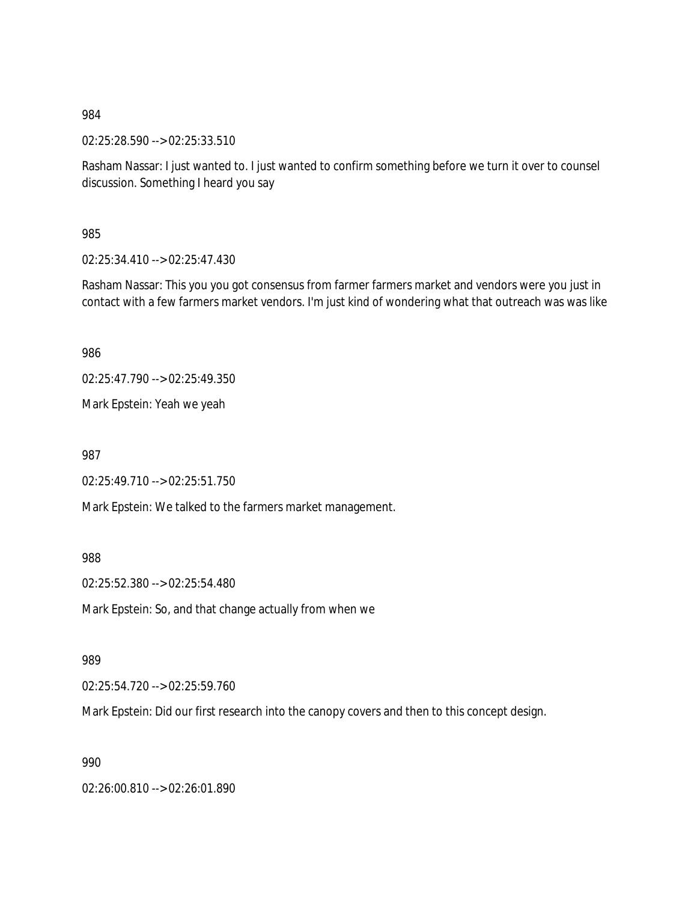02:25:28.590 --> 02:25:33.510

Rasham Nassar: I just wanted to. I just wanted to confirm something before we turn it over to counsel discussion. Something I heard you say

985

02:25:34.410 --> 02:25:47.430

Rasham Nassar: This you you got consensus from farmer farmers market and vendors were you just in contact with a few farmers market vendors. I'm just kind of wondering what that outreach was was like

986

02:25:47.790 --> 02:25:49.350

Mark Epstein: Yeah we yeah

987

02:25:49.710 --> 02:25:51.750

Mark Epstein: We talked to the farmers market management.

988

02:25:52.380 --> 02:25:54.480

Mark Epstein: So, and that change actually from when we

989

02:25:54.720 --> 02:25:59.760

Mark Epstein: Did our first research into the canopy covers and then to this concept design.

990

02:26:00.810 --> 02:26:01.890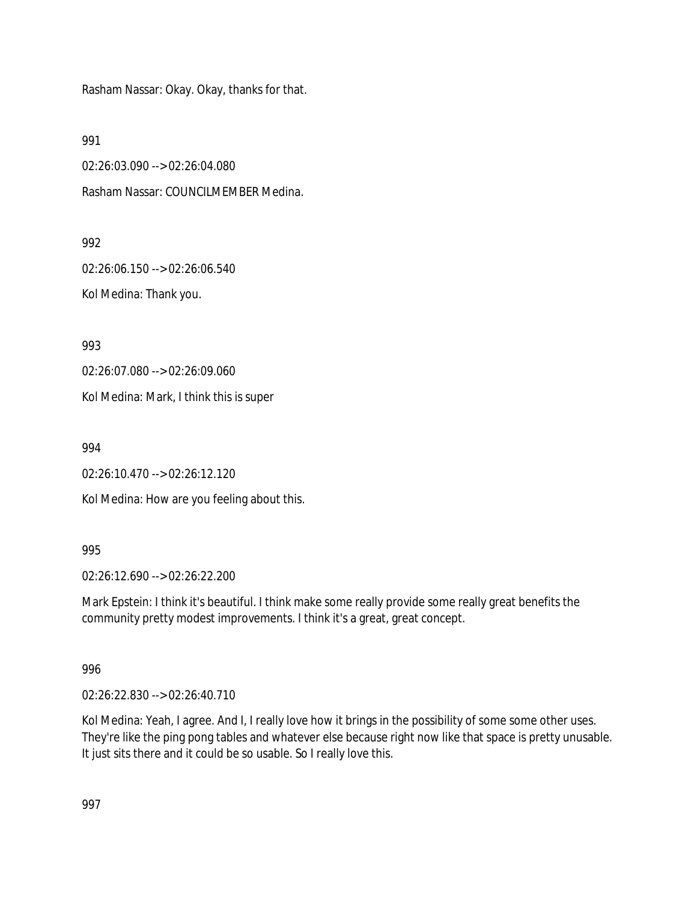Rasham Nassar: Okay. Okay, thanks for that.

991

02:26:03.090 --> 02:26:04.080

Rasham Nassar: COUNCILMEMBER Medina.

992

02:26:06.150 --> 02:26:06.540 Kol Medina: Thank you.

993

02:26:07.080 --> 02:26:09.060

Kol Medina: Mark, I think this is super

994

02:26:10.470 --> 02:26:12.120

Kol Medina: How are you feeling about this.

995

02:26:12.690 --> 02:26:22.200

Mark Epstein: I think it's beautiful. I think make some really provide some really great benefits the community pretty modest improvements. I think it's a great, great concept.

## 996

02:26:22.830 --> 02:26:40.710

Kol Medina: Yeah, I agree. And I, I really love how it brings in the possibility of some some other uses. They're like the ping pong tables and whatever else because right now like that space is pretty unusable. It just sits there and it could be so usable. So I really love this.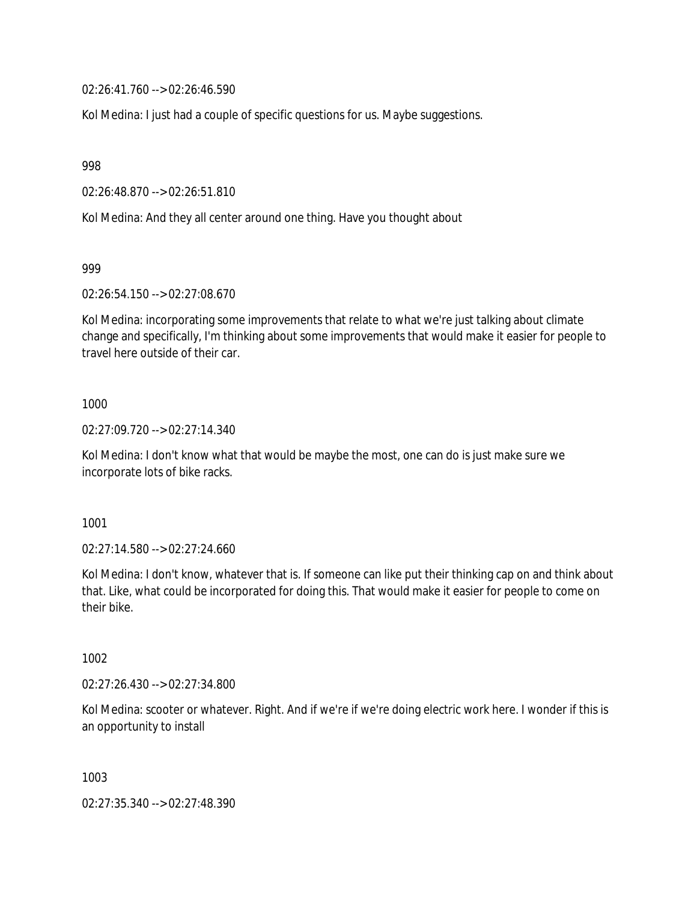02:26:41.760 --> 02:26:46.590

Kol Medina: I just had a couple of specific questions for us. Maybe suggestions.

998

02:26:48.870 --> 02:26:51.810

Kol Medina: And they all center around one thing. Have you thought about

999

02:26:54.150 --> 02:27:08.670

Kol Medina: incorporating some improvements that relate to what we're just talking about climate change and specifically, I'm thinking about some improvements that would make it easier for people to travel here outside of their car.

### 1000

02:27:09.720 --> 02:27:14.340

Kol Medina: I don't know what that would be maybe the most, one can do is just make sure we incorporate lots of bike racks.

1001

02:27:14.580 --> 02:27:24.660

Kol Medina: I don't know, whatever that is. If someone can like put their thinking cap on and think about that. Like, what could be incorporated for doing this. That would make it easier for people to come on their bike.

1002

02:27:26.430 --> 02:27:34.800

Kol Medina: scooter or whatever. Right. And if we're if we're doing electric work here. I wonder if this is an opportunity to install

1003

02:27:35.340 --> 02:27:48.390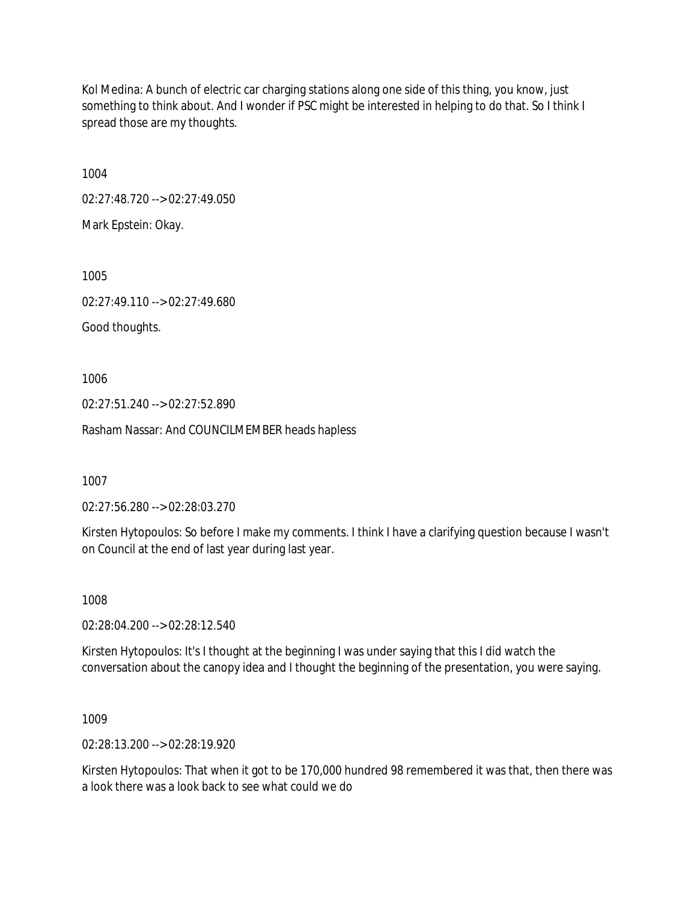Kol Medina: A bunch of electric car charging stations along one side of this thing, you know, just something to think about. And I wonder if PSC might be interested in helping to do that. So I think I spread those are my thoughts.

1004

02:27:48.720 --> 02:27:49.050

Mark Epstein: Okay.

1005

02:27:49.110 --> 02:27:49.680

Good thoughts.

1006

02:27:51.240 --> 02:27:52.890

Rasham Nassar: And COUNCILMEMBER heads hapless

1007

02:27:56.280 --> 02:28:03.270

Kirsten Hytopoulos: So before I make my comments. I think I have a clarifying question because I wasn't on Council at the end of last year during last year.

1008

02:28:04.200 --> 02:28:12.540

Kirsten Hytopoulos: It's I thought at the beginning I was under saying that this I did watch the conversation about the canopy idea and I thought the beginning of the presentation, you were saying.

1009

02:28:13.200 --> 02:28:19.920

Kirsten Hytopoulos: That when it got to be 170,000 hundred 98 remembered it was that, then there was a look there was a look back to see what could we do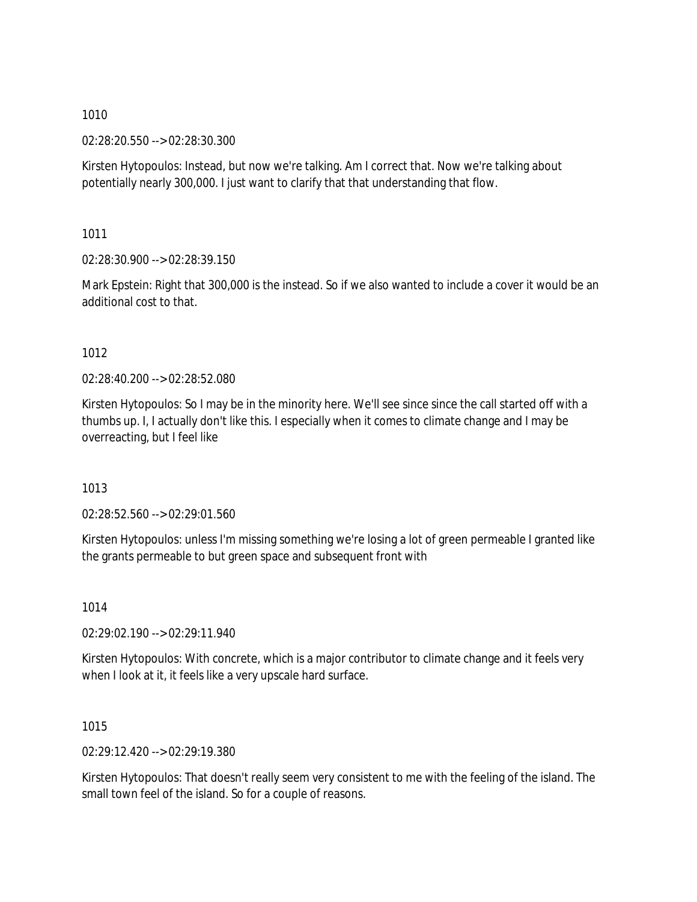02:28:20.550 --> 02:28:30.300

Kirsten Hytopoulos: Instead, but now we're talking. Am I correct that. Now we're talking about potentially nearly 300,000. I just want to clarify that that understanding that flow.

1011

02:28:30.900 --> 02:28:39.150

Mark Epstein: Right that 300,000 is the instead. So if we also wanted to include a cover it would be an additional cost to that.

## 1012

02:28:40.200 --> 02:28:52.080

Kirsten Hytopoulos: So I may be in the minority here. We'll see since since the call started off with a thumbs up. I, I actually don't like this. I especially when it comes to climate change and I may be overreacting, but I feel like

1013

02:28:52.560 --> 02:29:01.560

Kirsten Hytopoulos: unless I'm missing something we're losing a lot of green permeable I granted like the grants permeable to but green space and subsequent front with

1014

02:29:02.190 --> 02:29:11.940

Kirsten Hytopoulos: With concrete, which is a major contributor to climate change and it feels very when I look at it, it feels like a very upscale hard surface.

1015

02:29:12.420 --> 02:29:19.380

Kirsten Hytopoulos: That doesn't really seem very consistent to me with the feeling of the island. The small town feel of the island. So for a couple of reasons.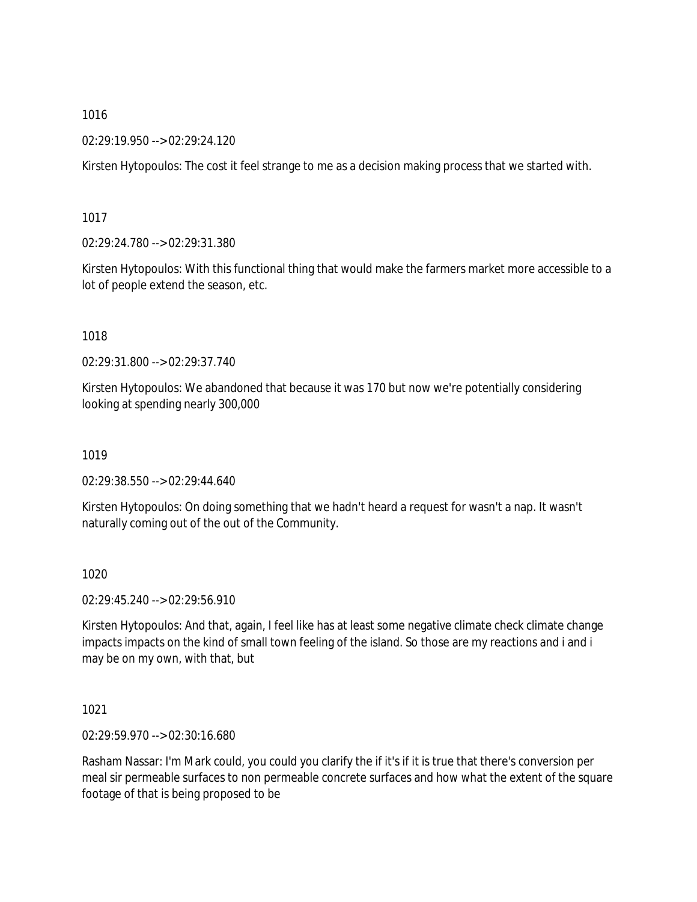02:29:19.950 --> 02:29:24.120

Kirsten Hytopoulos: The cost it feel strange to me as a decision making process that we started with.

1017

02:29:24.780 --> 02:29:31.380

Kirsten Hytopoulos: With this functional thing that would make the farmers market more accessible to a lot of people extend the season, etc.

1018

02:29:31.800 --> 02:29:37.740

Kirsten Hytopoulos: We abandoned that because it was 170 but now we're potentially considering looking at spending nearly 300,000

1019

02:29:38.550 --> 02:29:44.640

Kirsten Hytopoulos: On doing something that we hadn't heard a request for wasn't a nap. It wasn't naturally coming out of the out of the Community.

1020

02:29:45.240 --> 02:29:56.910

Kirsten Hytopoulos: And that, again, I feel like has at least some negative climate check climate change impacts impacts on the kind of small town feeling of the island. So those are my reactions and i and i may be on my own, with that, but

1021

02:29:59.970 --> 02:30:16.680

Rasham Nassar: I'm Mark could, you could you clarify the if it's if it is true that there's conversion per meal sir permeable surfaces to non permeable concrete surfaces and how what the extent of the square footage of that is being proposed to be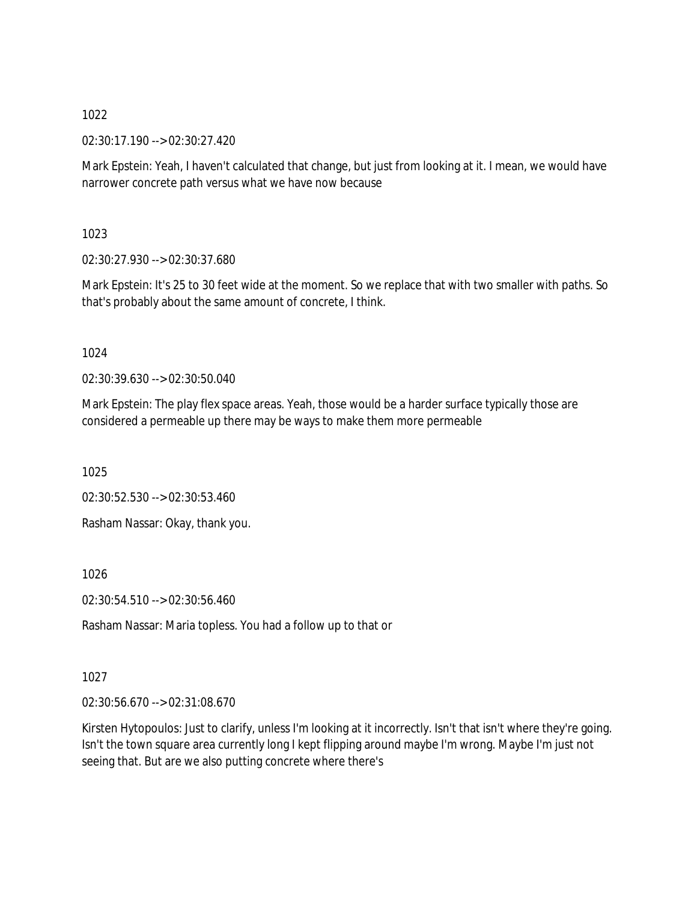02:30:17.190 --> 02:30:27.420

Mark Epstein: Yeah, I haven't calculated that change, but just from looking at it. I mean, we would have narrower concrete path versus what we have now because

1023

02:30:27.930 --> 02:30:37.680

Mark Epstein: It's 25 to 30 feet wide at the moment. So we replace that with two smaller with paths. So that's probably about the same amount of concrete, I think.

## 1024

02:30:39.630 --> 02:30:50.040

Mark Epstein: The play flex space areas. Yeah, those would be a harder surface typically those are considered a permeable up there may be ways to make them more permeable

1025

02:30:52.530 --> 02:30:53.460

Rasham Nassar: Okay, thank you.

1026

02:30:54.510 --> 02:30:56.460

Rasham Nassar: Maria topless. You had a follow up to that or

1027

02:30:56.670 --> 02:31:08.670

Kirsten Hytopoulos: Just to clarify, unless I'm looking at it incorrectly. Isn't that isn't where they're going. Isn't the town square area currently long I kept flipping around maybe I'm wrong. Maybe I'm just not seeing that. But are we also putting concrete where there's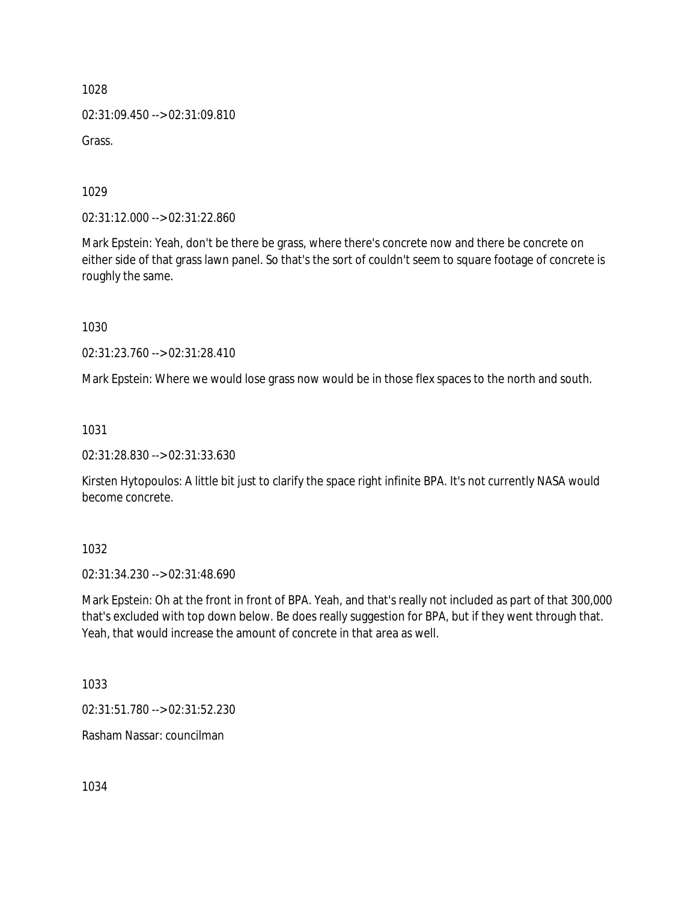02:31:09.450 --> 02:31:09.810

Grass.

1029

02:31:12.000 --> 02:31:22.860

Mark Epstein: Yeah, don't be there be grass, where there's concrete now and there be concrete on either side of that grass lawn panel. So that's the sort of couldn't seem to square footage of concrete is roughly the same.

1030

02:31:23.760 --> 02:31:28.410

Mark Epstein: Where we would lose grass now would be in those flex spaces to the north and south.

1031

02:31:28.830 --> 02:31:33.630

Kirsten Hytopoulos: A little bit just to clarify the space right infinite BPA. It's not currently NASA would become concrete.

1032

02:31:34.230 --> 02:31:48.690

Mark Epstein: Oh at the front in front of BPA. Yeah, and that's really not included as part of that 300,000 that's excluded with top down below. Be does really suggestion for BPA, but if they went through that. Yeah, that would increase the amount of concrete in that area as well.

1033

02:31:51.780 --> 02:31:52.230

Rasham Nassar: councilman

1034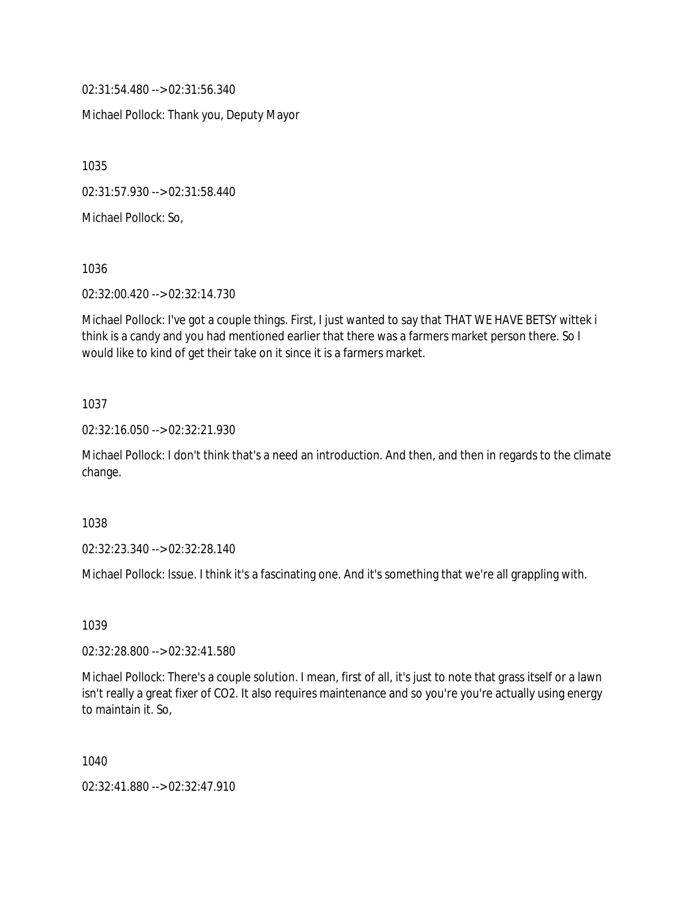02:31:54.480 --> 02:31:56.340

Michael Pollock: Thank you, Deputy Mayor

1035

02:31:57.930 --> 02:31:58.440

Michael Pollock: So,

1036

02:32:00.420 --> 02:32:14.730

Michael Pollock: I've got a couple things. First, I just wanted to say that THAT WE HAVE BETSY wittek i think is a candy and you had mentioned earlier that there was a farmers market person there. So I would like to kind of get their take on it since it is a farmers market.

### 1037

02:32:16.050 --> 02:32:21.930

Michael Pollock: I don't think that's a need an introduction. And then, and then in regards to the climate change.

1038

02:32:23.340 --> 02:32:28.140

Michael Pollock: Issue. I think it's a fascinating one. And it's something that we're all grappling with.

1039

02:32:28.800 --> 02:32:41.580

Michael Pollock: There's a couple solution. I mean, first of all, it's just to note that grass itself or a lawn isn't really a great fixer of CO2. It also requires maintenance and so you're you're actually using energy to maintain it. So,

1040

02:32:41.880 --> 02:32:47.910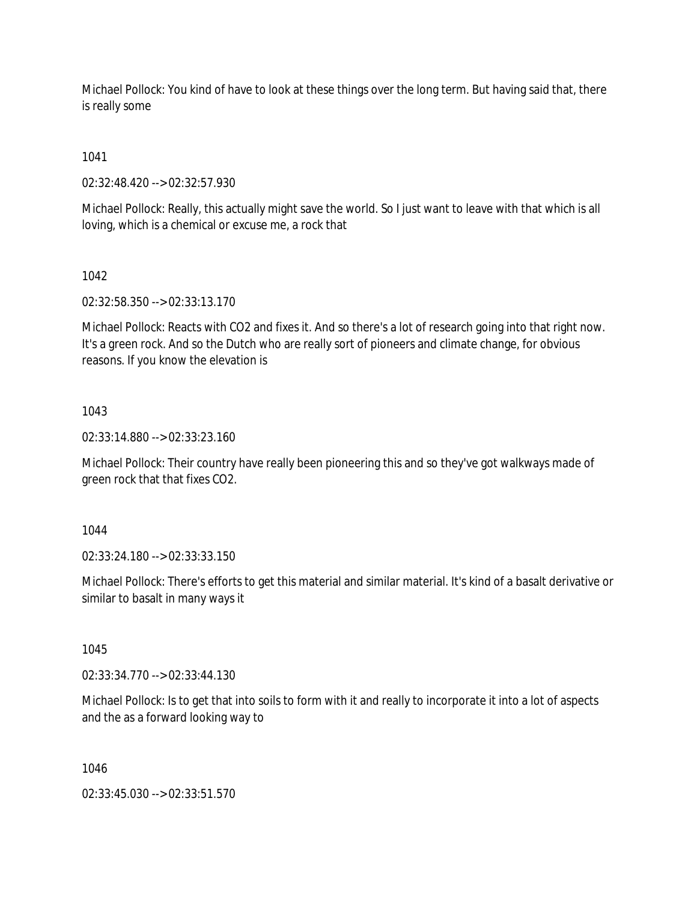Michael Pollock: You kind of have to look at these things over the long term. But having said that, there is really some

1041

02:32:48.420 --> 02:32:57.930

Michael Pollock: Really, this actually might save the world. So I just want to leave with that which is all loving, which is a chemical or excuse me, a rock that

1042

02:32:58.350 --> 02:33:13.170

Michael Pollock: Reacts with CO2 and fixes it. And so there's a lot of research going into that right now. It's a green rock. And so the Dutch who are really sort of pioneers and climate change, for obvious reasons. If you know the elevation is

### 1043

02:33:14.880 --> 02:33:23.160

Michael Pollock: Their country have really been pioneering this and so they've got walkways made of green rock that that fixes CO2.

1044

02:33:24.180 --> 02:33:33.150

Michael Pollock: There's efforts to get this material and similar material. It's kind of a basalt derivative or similar to basalt in many ways it

1045

02:33:34.770 --> 02:33:44.130

Michael Pollock: Is to get that into soils to form with it and really to incorporate it into a lot of aspects and the as a forward looking way to

1046

02:33:45.030 --> 02:33:51.570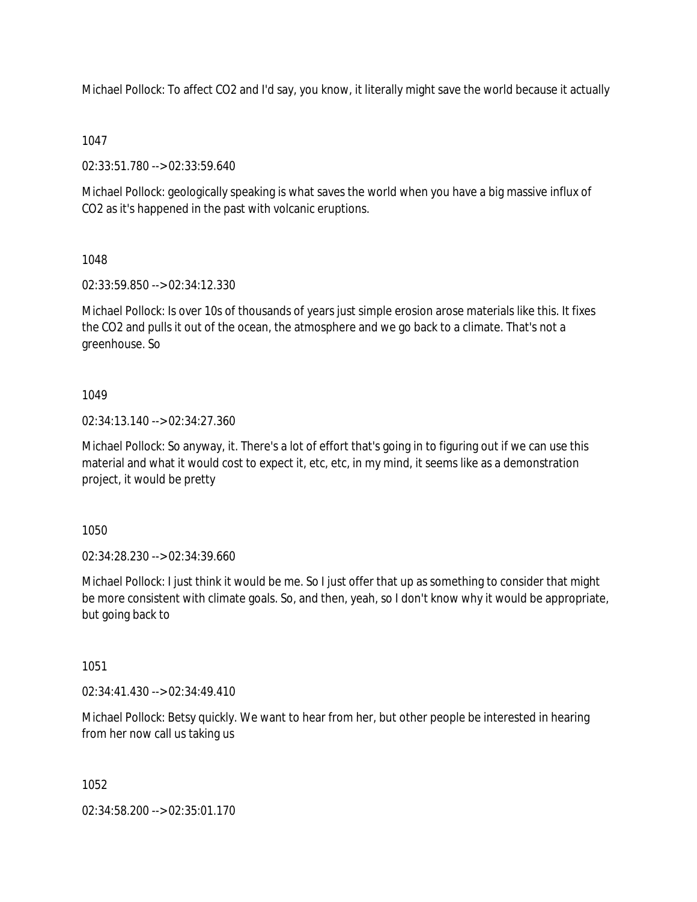Michael Pollock: To affect CO2 and I'd say, you know, it literally might save the world because it actually

## 1047

02:33:51.780 --> 02:33:59.640

Michael Pollock: geologically speaking is what saves the world when you have a big massive influx of CO2 as it's happened in the past with volcanic eruptions.

# 1048

02:33:59.850 --> 02:34:12.330

Michael Pollock: Is over 10s of thousands of years just simple erosion arose materials like this. It fixes the CO2 and pulls it out of the ocean, the atmosphere and we go back to a climate. That's not a greenhouse. So

## 1049

02:34:13.140 --> 02:34:27.360

Michael Pollock: So anyway, it. There's a lot of effort that's going in to figuring out if we can use this material and what it would cost to expect it, etc, etc, in my mind, it seems like as a demonstration project, it would be pretty

1050

02:34:28.230 --> 02:34:39.660

Michael Pollock: I just think it would be me. So I just offer that up as something to consider that might be more consistent with climate goals. So, and then, yeah, so I don't know why it would be appropriate, but going back to

# 1051

02:34:41.430 --> 02:34:49.410

Michael Pollock: Betsy quickly. We want to hear from her, but other people be interested in hearing from her now call us taking us

## 1052

02:34:58.200 --> 02:35:01.170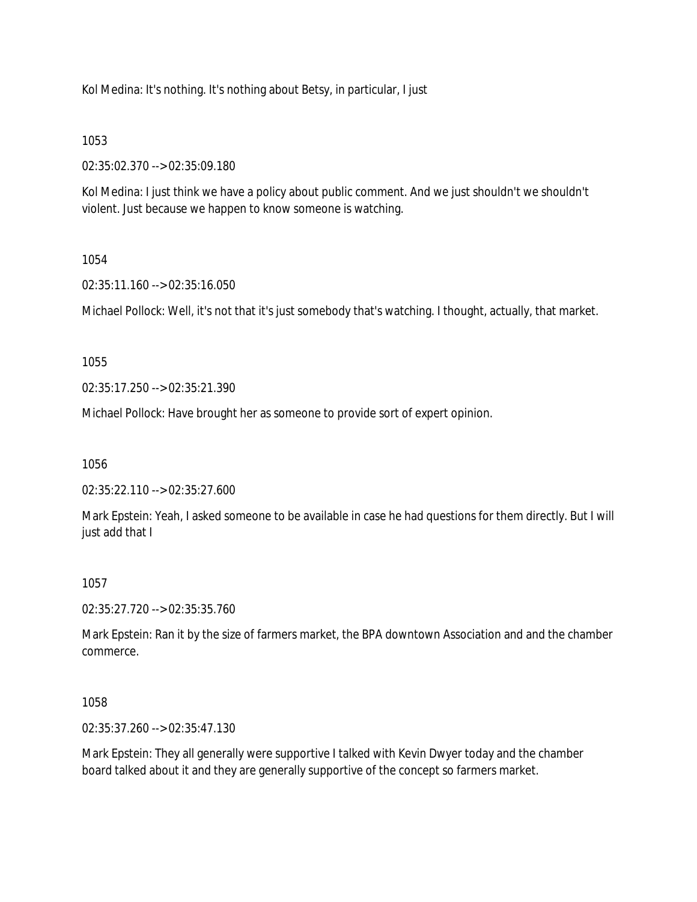Kol Medina: It's nothing. It's nothing about Betsy, in particular, I just

## 1053

02:35:02.370 --> 02:35:09.180

Kol Medina: I just think we have a policy about public comment. And we just shouldn't we shouldn't violent. Just because we happen to know someone is watching.

## 1054

02:35:11.160 --> 02:35:16.050

Michael Pollock: Well, it's not that it's just somebody that's watching. I thought, actually, that market.

## 1055

02:35:17.250 --> 02:35:21.390

Michael Pollock: Have brought her as someone to provide sort of expert opinion.

1056

02:35:22.110 --> 02:35:27.600

Mark Epstein: Yeah, I asked someone to be available in case he had questions for them directly. But I will just add that I

# 1057

02:35:27.720 --> 02:35:35.760

Mark Epstein: Ran it by the size of farmers market, the BPA downtown Association and and the chamber commerce.

# 1058

02:35:37.260 --> 02:35:47.130

Mark Epstein: They all generally were supportive I talked with Kevin Dwyer today and the chamber board talked about it and they are generally supportive of the concept so farmers market.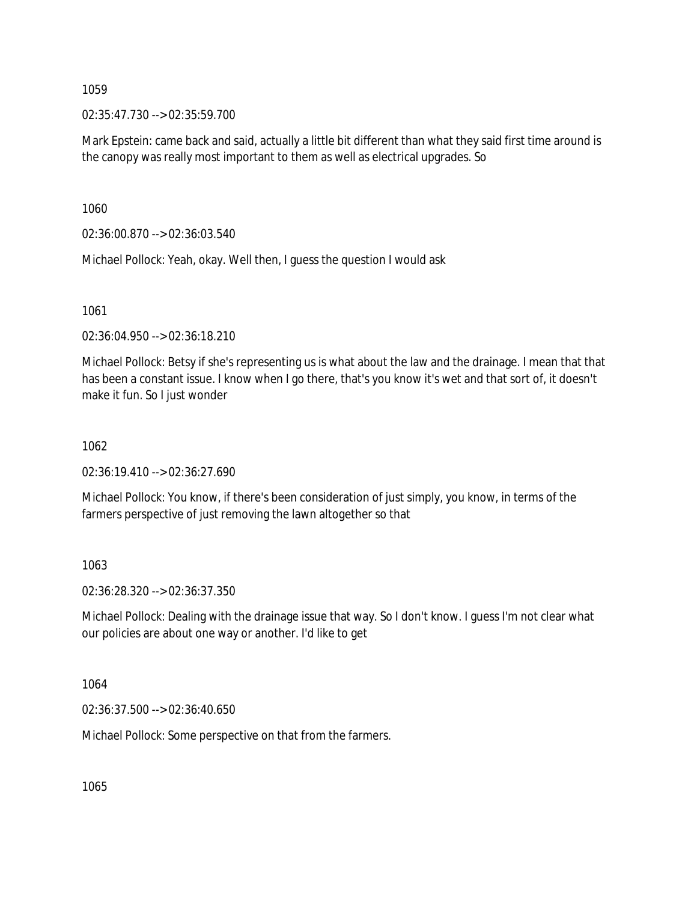02:35:47.730 --> 02:35:59.700

Mark Epstein: came back and said, actually a little bit different than what they said first time around is the canopy was really most important to them as well as electrical upgrades. So

1060

02:36:00.870 --> 02:36:03.540

Michael Pollock: Yeah, okay. Well then, I guess the question I would ask

1061

02:36:04.950 --> 02:36:18.210

Michael Pollock: Betsy if she's representing us is what about the law and the drainage. I mean that that has been a constant issue. I know when I go there, that's you know it's wet and that sort of, it doesn't make it fun. So I just wonder

1062

02:36:19.410 --> 02:36:27.690

Michael Pollock: You know, if there's been consideration of just simply, you know, in terms of the farmers perspective of just removing the lawn altogether so that

1063

02:36:28.320 --> 02:36:37.350

Michael Pollock: Dealing with the drainage issue that way. So I don't know. I guess I'm not clear what our policies are about one way or another. I'd like to get

1064

02:36:37.500 --> 02:36:40.650

Michael Pollock: Some perspective on that from the farmers.

1065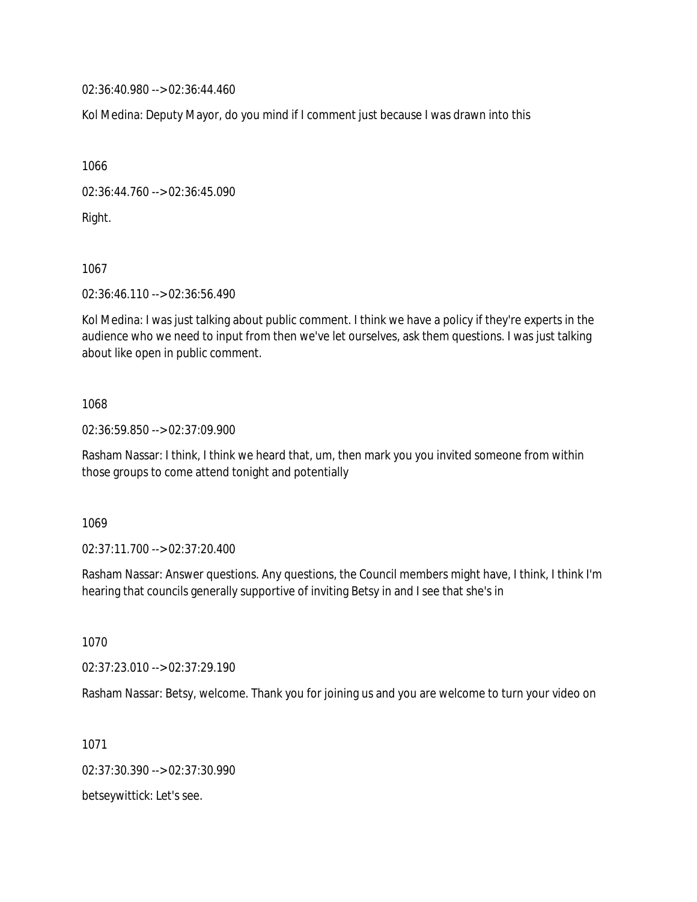02:36:40.980 --> 02:36:44.460

Kol Medina: Deputy Mayor, do you mind if I comment just because I was drawn into this

1066

02:36:44.760 --> 02:36:45.090

Right.

1067

02:36:46.110 --> 02:36:56.490

Kol Medina: I was just talking about public comment. I think we have a policy if they're experts in the audience who we need to input from then we've let ourselves, ask them questions. I was just talking about like open in public comment.

## 1068

02:36:59.850 --> 02:37:09.900

Rasham Nassar: I think, I think we heard that, um, then mark you you invited someone from within those groups to come attend tonight and potentially

1069

02:37:11.700 --> 02:37:20.400

Rasham Nassar: Answer questions. Any questions, the Council members might have, I think, I think I'm hearing that councils generally supportive of inviting Betsy in and I see that she's in

1070

02:37:23.010 --> 02:37:29.190

Rasham Nassar: Betsy, welcome. Thank you for joining us and you are welcome to turn your video on

1071

02:37:30.390 --> 02:37:30.990

betseywittick: Let's see.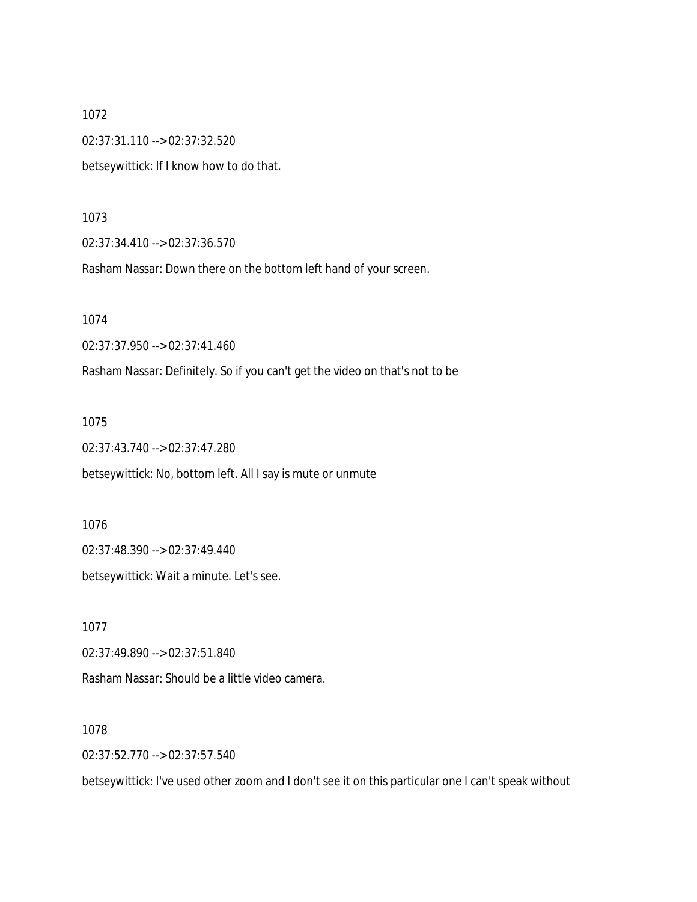1072 02:37:31.110 --> 02:37:32.520 betseywittick: If I know how to do that.

1073

02:37:34.410 --> 02:37:36.570

Rasham Nassar: Down there on the bottom left hand of your screen.

1074

02:37:37.950 --> 02:37:41.460

Rasham Nassar: Definitely. So if you can't get the video on that's not to be

1075

02:37:43.740 --> 02:37:47.280

betseywittick: No, bottom left. All I say is mute or unmute

1076 02:37:48.390 --> 02:37:49.440 betseywittick: Wait a minute. Let's see.

1077 02:37:49.890 --> 02:37:51.840

Rasham Nassar: Should be a little video camera.

1078

02:37:52.770 --> 02:37:57.540

betseywittick: I've used other zoom and I don't see it on this particular one I can't speak without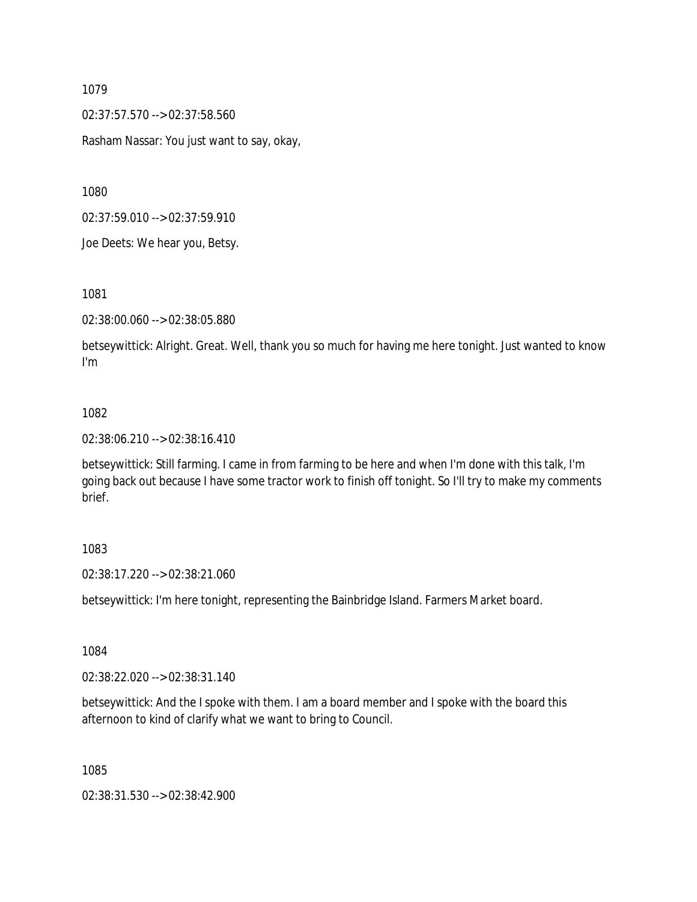02:37:57.570 --> 02:37:58.560

Rasham Nassar: You just want to say, okay,

1080

02:37:59.010 --> 02:37:59.910

Joe Deets: We hear you, Betsy.

1081

02:38:00.060 --> 02:38:05.880

betseywittick: Alright. Great. Well, thank you so much for having me here tonight. Just wanted to know I'm

#### 1082

02:38:06.210 --> 02:38:16.410

betseywittick: Still farming. I came in from farming to be here and when I'm done with this talk, I'm going back out because I have some tractor work to finish off tonight. So I'll try to make my comments brief.

#### 1083

02:38:17.220 --> 02:38:21.060

betseywittick: I'm here tonight, representing the Bainbridge Island. Farmers Market board.

1084

02:38:22.020 --> 02:38:31.140

betseywittick: And the I spoke with them. I am a board member and I spoke with the board this afternoon to kind of clarify what we want to bring to Council.

1085

02:38:31.530 --> 02:38:42.900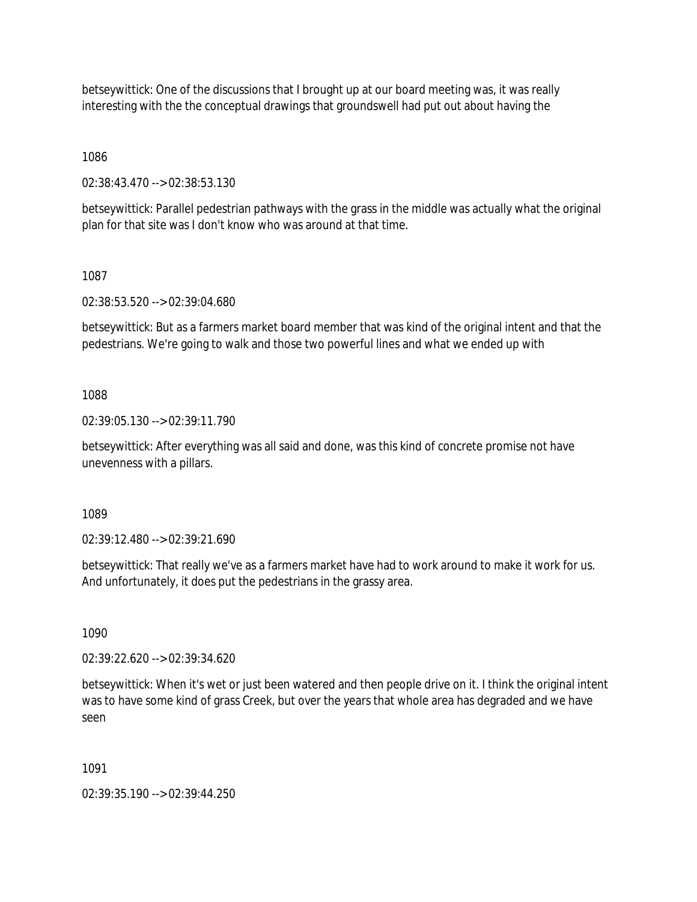betseywittick: One of the discussions that I brought up at our board meeting was, it was really interesting with the the conceptual drawings that groundswell had put out about having the

1086

02:38:43.470 --> 02:38:53.130

betseywittick: Parallel pedestrian pathways with the grass in the middle was actually what the original plan for that site was I don't know who was around at that time.

1087

02:38:53.520 --> 02:39:04.680

betseywittick: But as a farmers market board member that was kind of the original intent and that the pedestrians. We're going to walk and those two powerful lines and what we ended up with

1088

02:39:05.130 --> 02:39:11.790

betseywittick: After everything was all said and done, was this kind of concrete promise not have unevenness with a pillars.

1089

02:39:12.480 --> 02:39:21.690

betseywittick: That really we've as a farmers market have had to work around to make it work for us. And unfortunately, it does put the pedestrians in the grassy area.

1090

02:39:22.620 --> 02:39:34.620

betseywittick: When it's wet or just been watered and then people drive on it. I think the original intent was to have some kind of grass Creek, but over the years that whole area has degraded and we have seen

1091

02:39:35.190 --> 02:39:44.250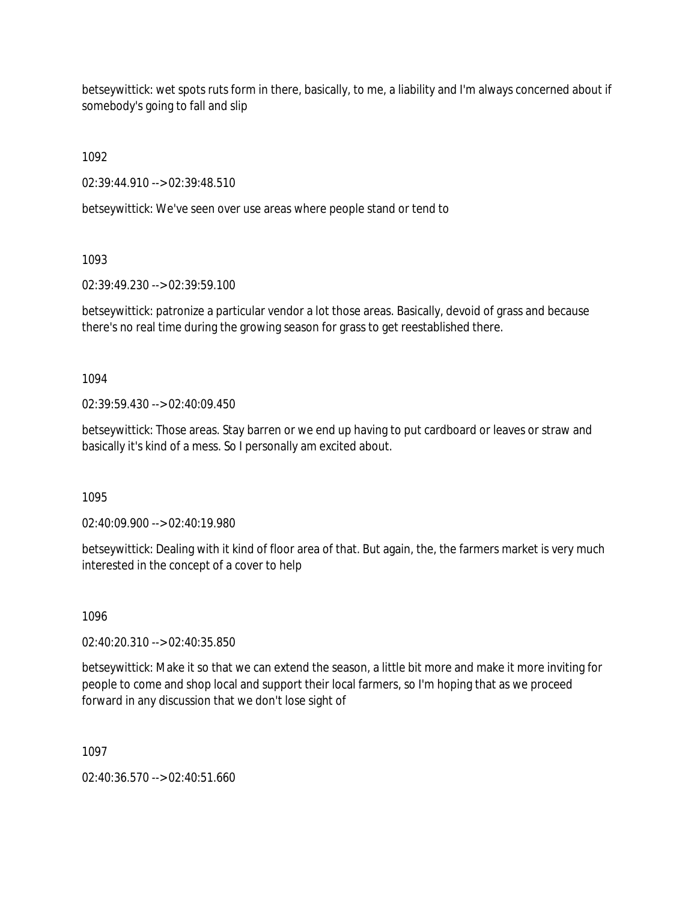betseywittick: wet spots ruts form in there, basically, to me, a liability and I'm always concerned about if somebody's going to fall and slip

1092

02:39:44.910 --> 02:39:48.510

betseywittick: We've seen over use areas where people stand or tend to

1093

02:39:49.230 --> 02:39:59.100

betseywittick: patronize a particular vendor a lot those areas. Basically, devoid of grass and because there's no real time during the growing season for grass to get reestablished there.

1094

02:39:59.430 --> 02:40:09.450

betseywittick: Those areas. Stay barren or we end up having to put cardboard or leaves or straw and basically it's kind of a mess. So I personally am excited about.

1095

02:40:09.900 --> 02:40:19.980

betseywittick: Dealing with it kind of floor area of that. But again, the, the farmers market is very much interested in the concept of a cover to help

1096

02:40:20.310 --> 02:40:35.850

betseywittick: Make it so that we can extend the season, a little bit more and make it more inviting for people to come and shop local and support their local farmers, so I'm hoping that as we proceed forward in any discussion that we don't lose sight of

1097

02:40:36.570 --> 02:40:51.660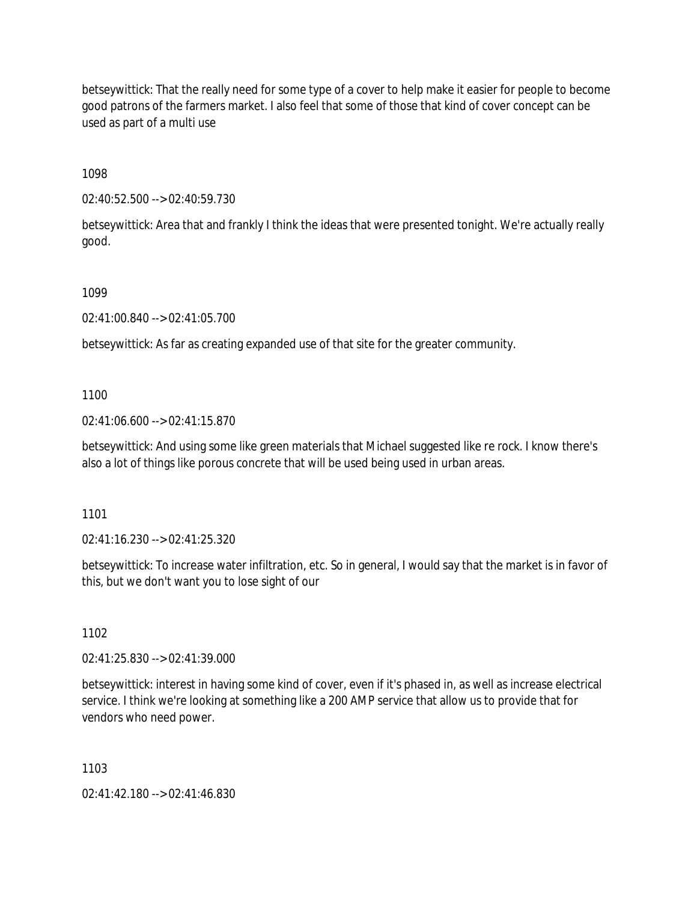betseywittick: That the really need for some type of a cover to help make it easier for people to become good patrons of the farmers market. I also feel that some of those that kind of cover concept can be used as part of a multi use

1098

02:40:52.500 --> 02:40:59.730

betseywittick: Area that and frankly I think the ideas that were presented tonight. We're actually really good.

1099

02:41:00.840 --> 02:41:05.700

betseywittick: As far as creating expanded use of that site for the greater community.

1100

02:41:06.600 --> 02:41:15.870

betseywittick: And using some like green materials that Michael suggested like re rock. I know there's also a lot of things like porous concrete that will be used being used in urban areas.

1101

02:41:16.230 --> 02:41:25.320

betseywittick: To increase water infiltration, etc. So in general, I would say that the market is in favor of this, but we don't want you to lose sight of our

1102

02:41:25.830 --> 02:41:39.000

betseywittick: interest in having some kind of cover, even if it's phased in, as well as increase electrical service. I think we're looking at something like a 200 AMP service that allow us to provide that for vendors who need power.

1103

02:41:42.180 --> 02:41:46.830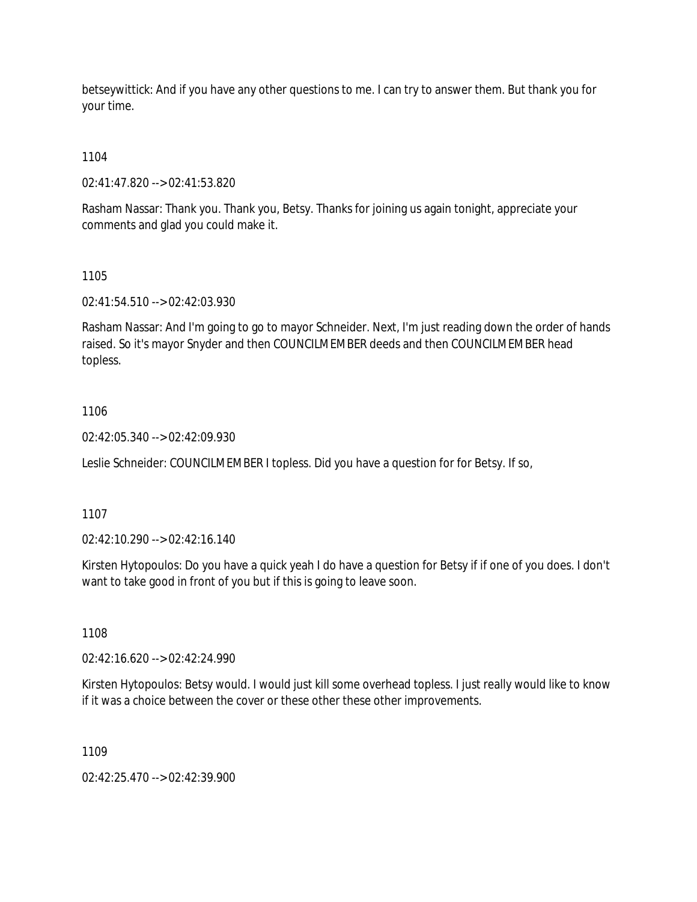betseywittick: And if you have any other questions to me. I can try to answer them. But thank you for your time.

1104

02:41:47.820 --> 02:41:53.820

Rasham Nassar: Thank you. Thank you, Betsy. Thanks for joining us again tonight, appreciate your comments and glad you could make it.

1105

02:41:54.510 --> 02:42:03.930

Rasham Nassar: And I'm going to go to mayor Schneider. Next, I'm just reading down the order of hands raised. So it's mayor Snyder and then COUNCILMEMBER deeds and then COUNCILMEMBER head topless.

1106

02:42:05.340 --> 02:42:09.930

Leslie Schneider: COUNCILMEMBER I topless. Did you have a question for for Betsy. If so,

1107

02:42:10.290 --> 02:42:16.140

Kirsten Hytopoulos: Do you have a quick yeah I do have a question for Betsy if if one of you does. I don't want to take good in front of you but if this is going to leave soon.

1108

02:42:16.620 --> 02:42:24.990

Kirsten Hytopoulos: Betsy would. I would just kill some overhead topless. I just really would like to know if it was a choice between the cover or these other these other improvements.

1109

02:42:25.470 --> 02:42:39.900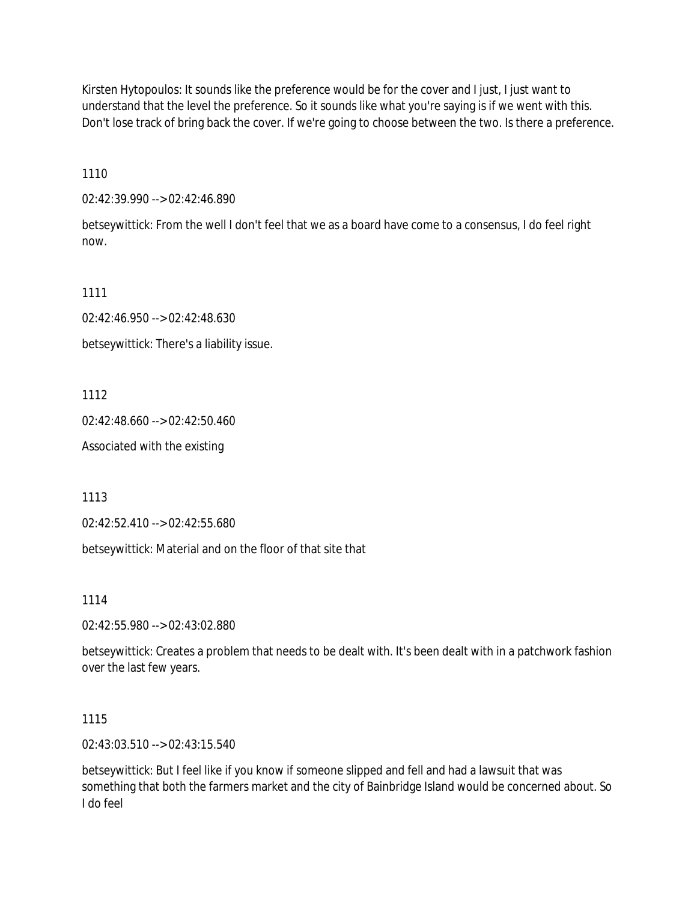Kirsten Hytopoulos: It sounds like the preference would be for the cover and I just, I just want to understand that the level the preference. So it sounds like what you're saying is if we went with this. Don't lose track of bring back the cover. If we're going to choose between the two. Is there a preference.

1110

02:42:39.990 --> 02:42:46.890

betseywittick: From the well I don't feel that we as a board have come to a consensus, I do feel right now.

1111

02:42:46.950 --> 02:42:48.630

betseywittick: There's a liability issue.

1112

02:42:48.660 --> 02:42:50.460

Associated with the existing

1113

02:42:52.410 --> 02:42:55.680

betseywittick: Material and on the floor of that site that

1114

02:42:55.980 --> 02:43:02.880

betseywittick: Creates a problem that needs to be dealt with. It's been dealt with in a patchwork fashion over the last few years.

1115

02:43:03.510 --> 02:43:15.540

betseywittick: But I feel like if you know if someone slipped and fell and had a lawsuit that was something that both the farmers market and the city of Bainbridge Island would be concerned about. So I do feel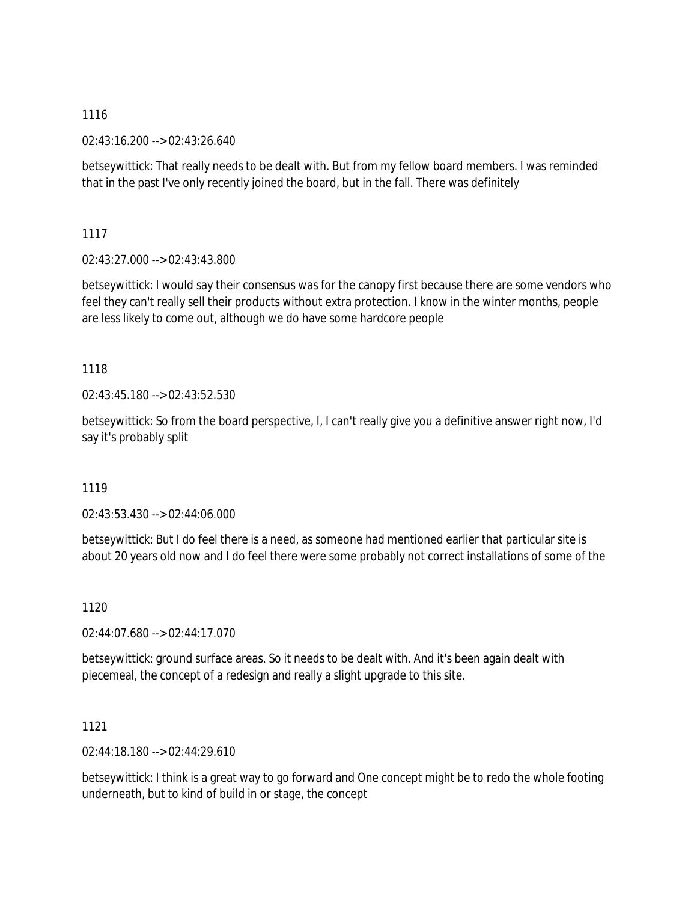02:43:16.200 --> 02:43:26.640

betseywittick: That really needs to be dealt with. But from my fellow board members. I was reminded that in the past I've only recently joined the board, but in the fall. There was definitely

1117

02:43:27.000 --> 02:43:43.800

betseywittick: I would say their consensus was for the canopy first because there are some vendors who feel they can't really sell their products without extra protection. I know in the winter months, people are less likely to come out, although we do have some hardcore people

# 1118

02:43:45.180 --> 02:43:52.530

betseywittick: So from the board perspective, I, I can't really give you a definitive answer right now, I'd say it's probably split

# 1119

02:43:53.430 --> 02:44:06.000

betseywittick: But I do feel there is a need, as someone had mentioned earlier that particular site is about 20 years old now and I do feel there were some probably not correct installations of some of the

1120

02:44:07.680 --> 02:44:17.070

betseywittick: ground surface areas. So it needs to be dealt with. And it's been again dealt with piecemeal, the concept of a redesign and really a slight upgrade to this site.

1121

02:44:18.180 --> 02:44:29.610

betseywittick: I think is a great way to go forward and One concept might be to redo the whole footing underneath, but to kind of build in or stage, the concept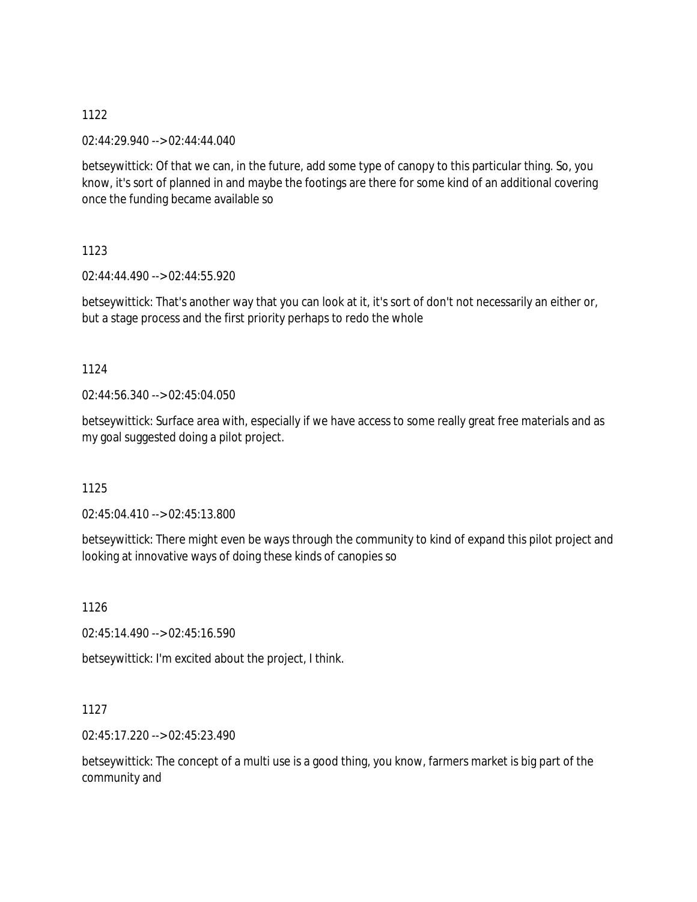02:44:29.940 --> 02:44:44.040

betseywittick: Of that we can, in the future, add some type of canopy to this particular thing. So, you know, it's sort of planned in and maybe the footings are there for some kind of an additional covering once the funding became available so

1123

02:44:44.490 --> 02:44:55.920

betseywittick: That's another way that you can look at it, it's sort of don't not necessarily an either or, but a stage process and the first priority perhaps to redo the whole

## 1124

02:44:56.340 --> 02:45:04.050

betseywittick: Surface area with, especially if we have access to some really great free materials and as my goal suggested doing a pilot project.

1125

02:45:04.410 --> 02:45:13.800

betseywittick: There might even be ways through the community to kind of expand this pilot project and looking at innovative ways of doing these kinds of canopies so

1126

02:45:14.490 --> 02:45:16.590

betseywittick: I'm excited about the project, I think.

## 1127

02:45:17.220 --> 02:45:23.490

betseywittick: The concept of a multi use is a good thing, you know, farmers market is big part of the community and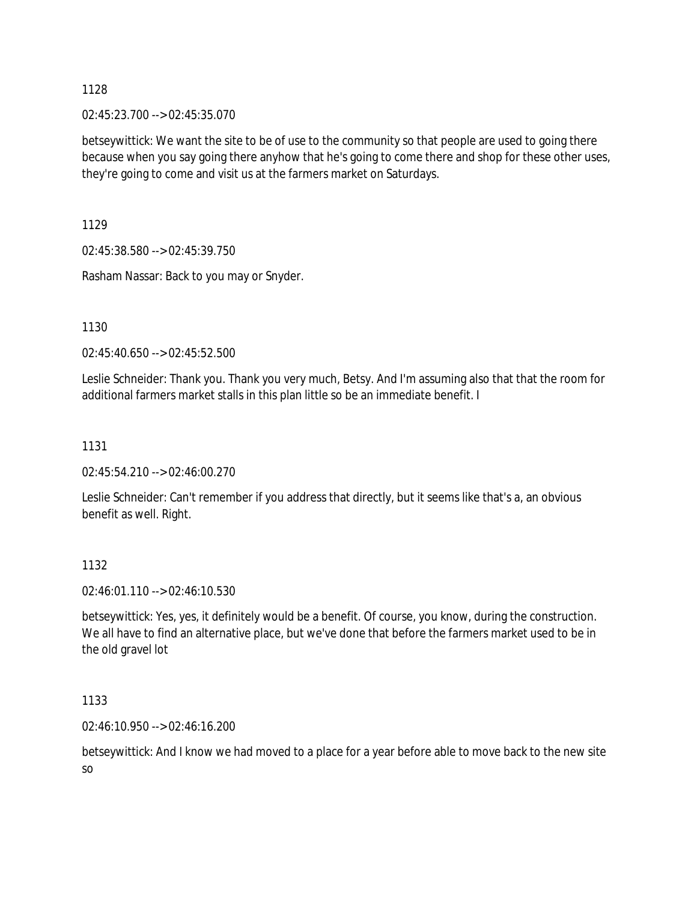02:45:23.700 --> 02:45:35.070

betseywittick: We want the site to be of use to the community so that people are used to going there because when you say going there anyhow that he's going to come there and shop for these other uses, they're going to come and visit us at the farmers market on Saturdays.

1129

02:45:38.580 --> 02:45:39.750

Rasham Nassar: Back to you may or Snyder.

1130

02:45:40.650 --> 02:45:52.500

Leslie Schneider: Thank you. Thank you very much, Betsy. And I'm assuming also that that the room for additional farmers market stalls in this plan little so be an immediate benefit. I

## 1131

02:45:54.210 --> 02:46:00.270

Leslie Schneider: Can't remember if you address that directly, but it seems like that's a, an obvious benefit as well. Right.

## 1132

02:46:01.110 --> 02:46:10.530

betseywittick: Yes, yes, it definitely would be a benefit. Of course, you know, during the construction. We all have to find an alternative place, but we've done that before the farmers market used to be in the old gravel lot

1133

02:46:10.950 --> 02:46:16.200

betseywittick: And I know we had moved to a place for a year before able to move back to the new site so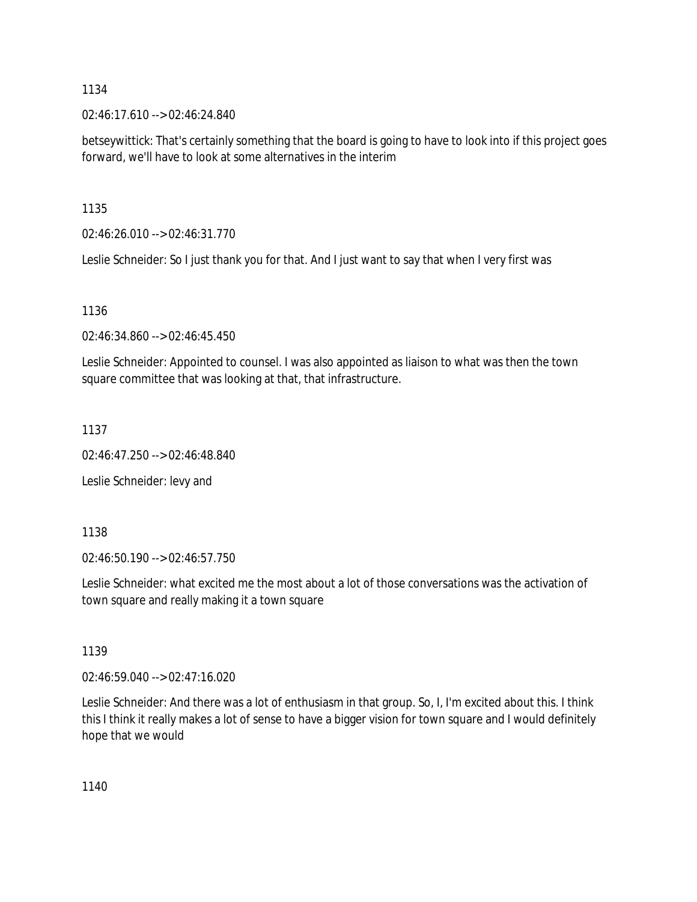02:46:17.610 --> 02:46:24.840

betseywittick: That's certainly something that the board is going to have to look into if this project goes forward, we'll have to look at some alternatives in the interim

1135

02:46:26.010 --> 02:46:31.770

Leslie Schneider: So I just thank you for that. And I just want to say that when I very first was

1136

02:46:34.860 --> 02:46:45.450

Leslie Schneider: Appointed to counsel. I was also appointed as liaison to what was then the town square committee that was looking at that, that infrastructure.

1137

02:46:47.250 --> 02:46:48.840

Leslie Schneider: levy and

1138

02:46:50.190 --> 02:46:57.750

Leslie Schneider: what excited me the most about a lot of those conversations was the activation of town square and really making it a town square

1139

02:46:59.040 --> 02:47:16.020

Leslie Schneider: And there was a lot of enthusiasm in that group. So, I, I'm excited about this. I think this I think it really makes a lot of sense to have a bigger vision for town square and I would definitely hope that we would

1140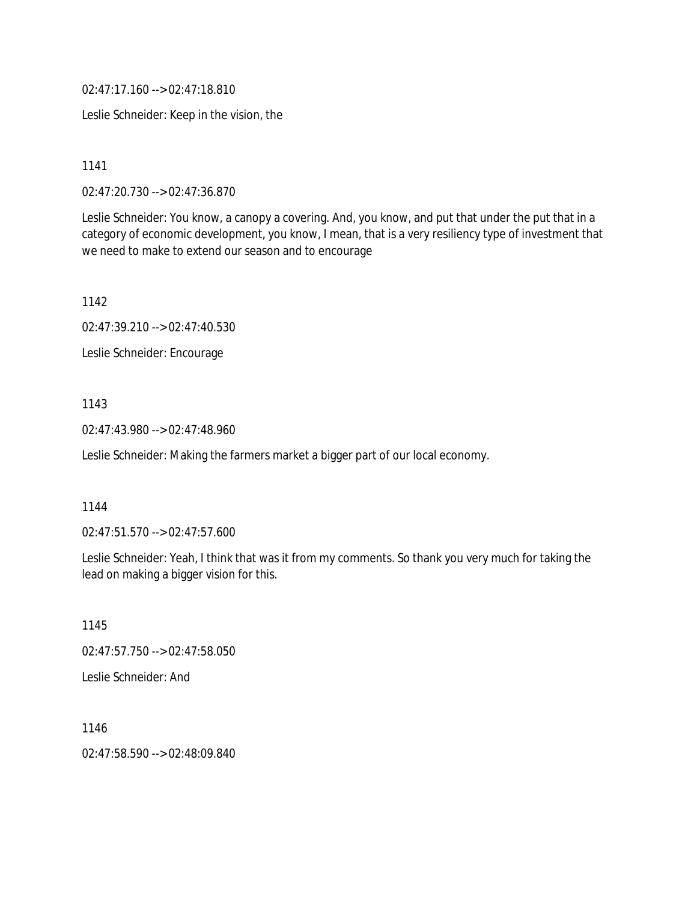02:47:17.160 --> 02:47:18.810

Leslie Schneider: Keep in the vision, the

1141

02:47:20.730 --> 02:47:36.870

Leslie Schneider: You know, a canopy a covering. And, you know, and put that under the put that in a category of economic development, you know, I mean, that is a very resiliency type of investment that we need to make to extend our season and to encourage

1142

02:47:39.210 --> 02:47:40.530

Leslie Schneider: Encourage

### 1143

02:47:43.980 --> 02:47:48.960

Leslie Schneider: Making the farmers market a bigger part of our local economy.

### 1144

02:47:51.570 --> 02:47:57.600

Leslie Schneider: Yeah, I think that was it from my comments. So thank you very much for taking the lead on making a bigger vision for this.

1145 02:47:57.750 --> 02:47:58.050 Leslie Schneider: And

1146 02:47:58.590 --> 02:48:09.840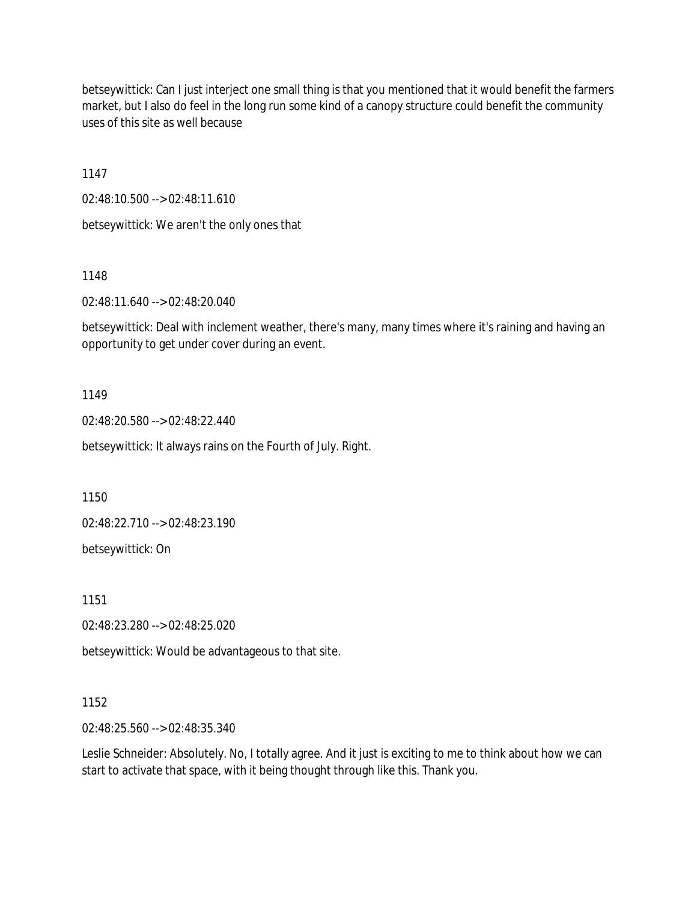betseywittick: Can I just interject one small thing is that you mentioned that it would benefit the farmers market, but I also do feel in the long run some kind of a canopy structure could benefit the community uses of this site as well because

1147

02:48:10.500 --> 02:48:11.610

betseywittick: We aren't the only ones that

1148

02:48:11.640 --> 02:48:20.040

betseywittick: Deal with inclement weather, there's many, many times where it's raining and having an opportunity to get under cover during an event.

1149

02:48:20.580 --> 02:48:22.440

betseywittick: It always rains on the Fourth of July. Right.

1150

02:48:22.710 --> 02:48:23.190

betseywittick: On

1151

02:48:23.280 --> 02:48:25.020

betseywittick: Would be advantageous to that site.

### 1152

02:48:25.560 --> 02:48:35.340

Leslie Schneider: Absolutely. No, I totally agree. And it just is exciting to me to think about how we can start to activate that space, with it being thought through like this. Thank you.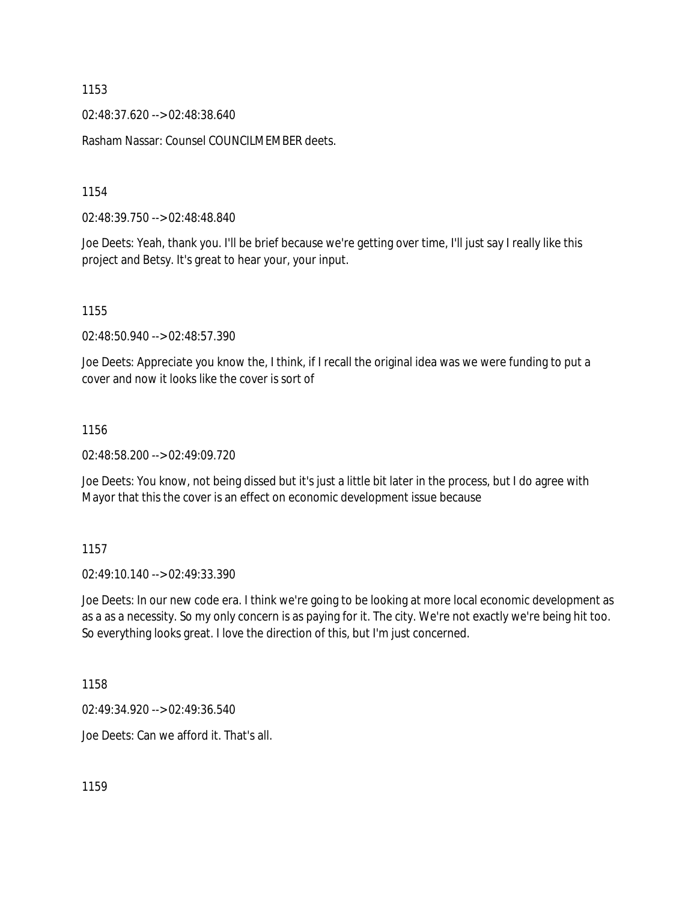02:48:37.620 --> 02:48:38.640

Rasham Nassar: Counsel COUNCILMEMBER deets.

1154

02:48:39.750 --> 02:48:48.840

Joe Deets: Yeah, thank you. I'll be brief because we're getting over time, I'll just say I really like this project and Betsy. It's great to hear your, your input.

1155

02:48:50.940 --> 02:48:57.390

Joe Deets: Appreciate you know the, I think, if I recall the original idea was we were funding to put a cover and now it looks like the cover is sort of

#### 1156

02:48:58.200 --> 02:49:09.720

Joe Deets: You know, not being dissed but it's just a little bit later in the process, but I do agree with Mayor that this the cover is an effect on economic development issue because

1157

02:49:10.140 --> 02:49:33.390

Joe Deets: In our new code era. I think we're going to be looking at more local economic development as as a as a necessity. So my only concern is as paying for it. The city. We're not exactly we're being hit too. So everything looks great. I love the direction of this, but I'm just concerned.

1158

02:49:34.920 --> 02:49:36.540

Joe Deets: Can we afford it. That's all.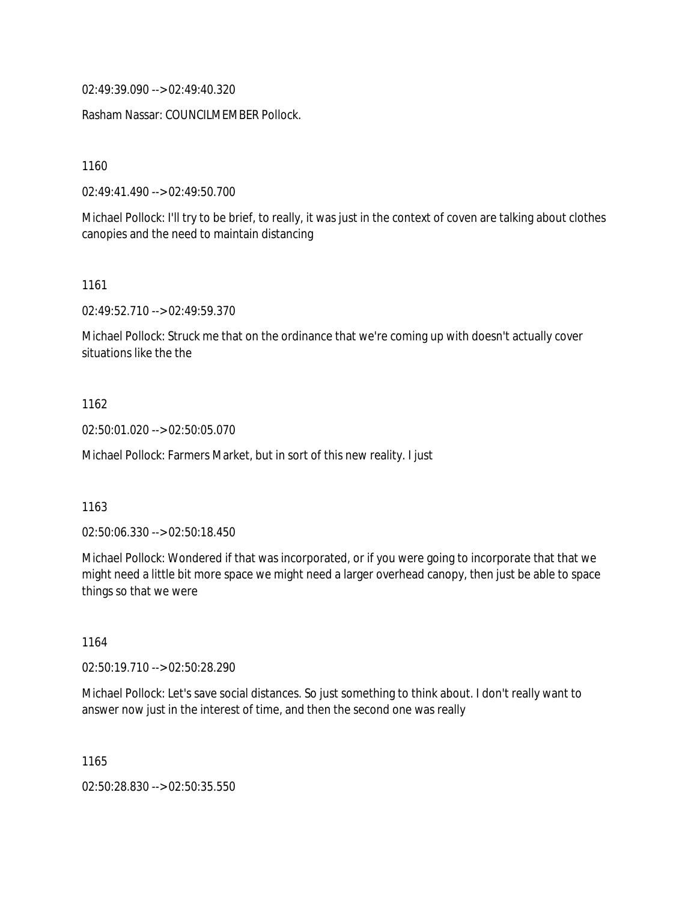02:49:39.090 --> 02:49:40.320

Rasham Nassar: COUNCILMEMBER Pollock.

1160

02:49:41.490 --> 02:49:50.700

Michael Pollock: I'll try to be brief, to really, it was just in the context of coven are talking about clothes canopies and the need to maintain distancing

1161

02:49:52.710 --> 02:49:59.370

Michael Pollock: Struck me that on the ordinance that we're coming up with doesn't actually cover situations like the the

### 1162

02:50:01.020 --> 02:50:05.070

Michael Pollock: Farmers Market, but in sort of this new reality. I just

#### 1163

02:50:06.330 --> 02:50:18.450

Michael Pollock: Wondered if that was incorporated, or if you were going to incorporate that that we might need a little bit more space we might need a larger overhead canopy, then just be able to space things so that we were

1164

02:50:19.710 --> 02:50:28.290

Michael Pollock: Let's save social distances. So just something to think about. I don't really want to answer now just in the interest of time, and then the second one was really

1165

02:50:28.830 --> 02:50:35.550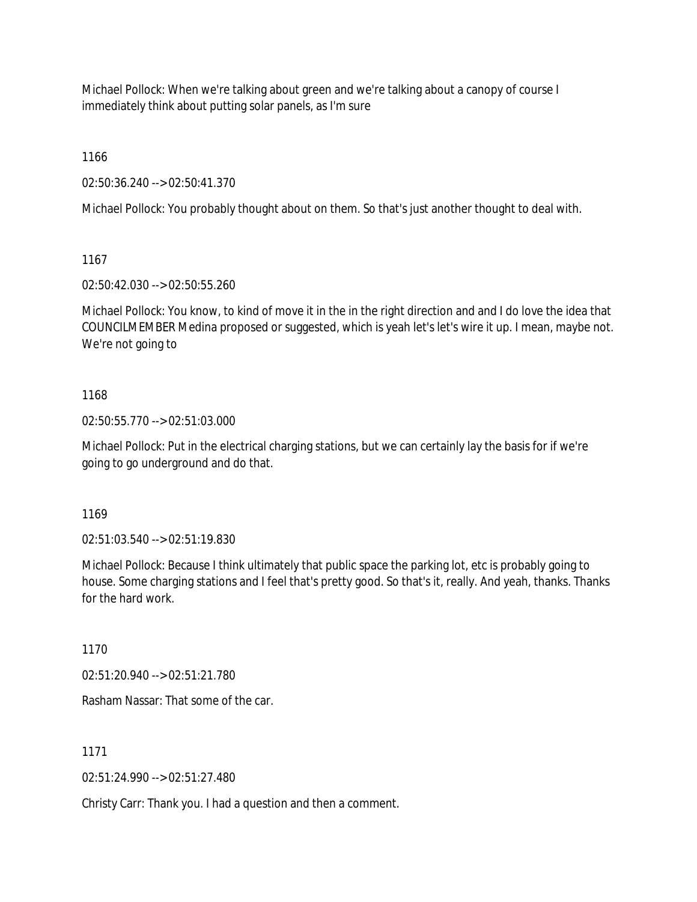Michael Pollock: When we're talking about green and we're talking about a canopy of course I immediately think about putting solar panels, as I'm sure

1166

02:50:36.240 --> 02:50:41.370

Michael Pollock: You probably thought about on them. So that's just another thought to deal with.

1167

02:50:42.030 --> 02:50:55.260

Michael Pollock: You know, to kind of move it in the in the right direction and and I do love the idea that COUNCILMEMBER Medina proposed or suggested, which is yeah let's let's wire it up. I mean, maybe not. We're not going to

# 1168

02:50:55.770 --> 02:51:03.000

Michael Pollock: Put in the electrical charging stations, but we can certainly lay the basis for if we're going to go underground and do that.

1169

02:51:03.540 --> 02:51:19.830

Michael Pollock: Because I think ultimately that public space the parking lot, etc is probably going to house. Some charging stations and I feel that's pretty good. So that's it, really. And yeah, thanks. Thanks for the hard work.

1170

02:51:20.940 --> 02:51:21.780

Rasham Nassar: That some of the car.

1171

02:51:24.990 --> 02:51:27.480

Christy Carr: Thank you. I had a question and then a comment.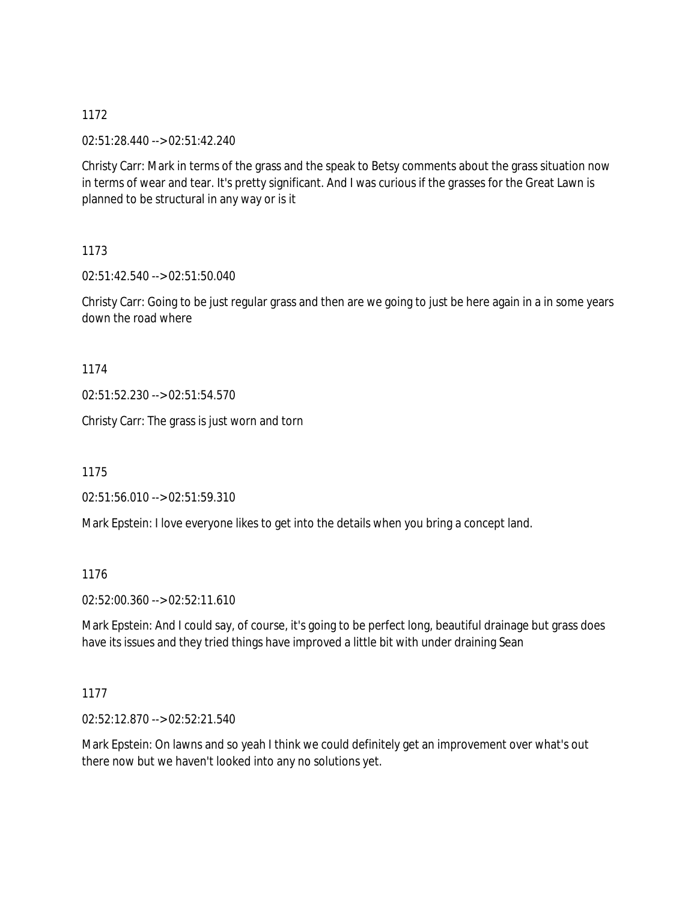02:51:28.440 --> 02:51:42.240

Christy Carr: Mark in terms of the grass and the speak to Betsy comments about the grass situation now in terms of wear and tear. It's pretty significant. And I was curious if the grasses for the Great Lawn is planned to be structural in any way or is it

1173

02:51:42.540 --> 02:51:50.040

Christy Carr: Going to be just regular grass and then are we going to just be here again in a in some years down the road where

1174

02:51:52.230 --> 02:51:54.570

Christy Carr: The grass is just worn and torn

1175

02:51:56.010 --> 02:51:59.310

Mark Epstein: I love everyone likes to get into the details when you bring a concept land.

1176

02:52:00.360 --> 02:52:11.610

Mark Epstein: And I could say, of course, it's going to be perfect long, beautiful drainage but grass does have its issues and they tried things have improved a little bit with under draining Sean

1177

02:52:12.870 --> 02:52:21.540

Mark Epstein: On lawns and so yeah I think we could definitely get an improvement over what's out there now but we haven't looked into any no solutions yet.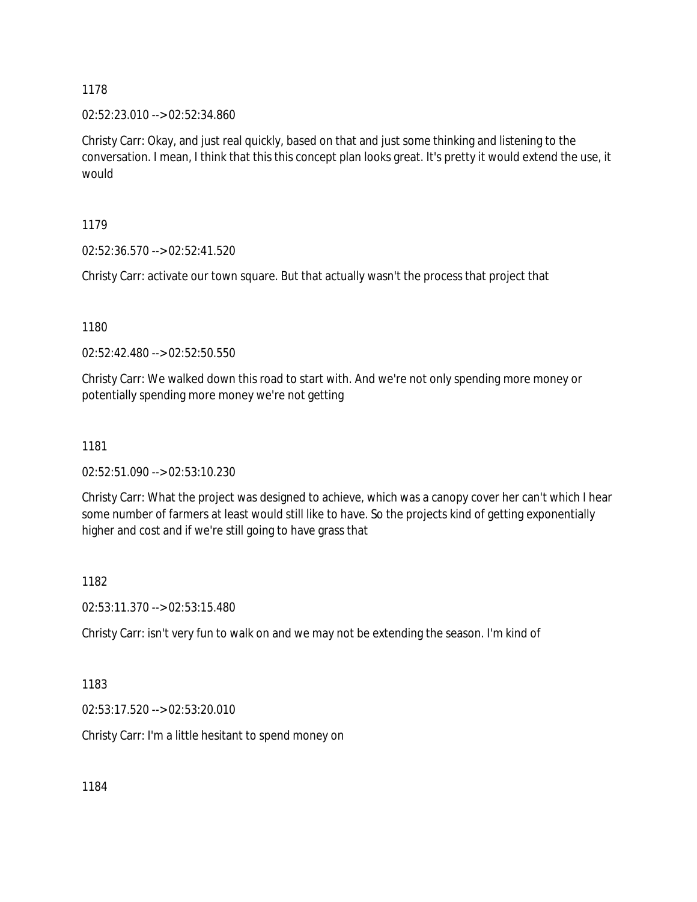02:52:23.010 --> 02:52:34.860

Christy Carr: Okay, and just real quickly, based on that and just some thinking and listening to the conversation. I mean, I think that this this concept plan looks great. It's pretty it would extend the use, it would

1179

02:52:36.570 --> 02:52:41.520

Christy Carr: activate our town square. But that actually wasn't the process that project that

1180

02:52:42.480 --> 02:52:50.550

Christy Carr: We walked down this road to start with. And we're not only spending more money or potentially spending more money we're not getting

1181

02:52:51.090 --> 02:53:10.230

Christy Carr: What the project was designed to achieve, which was a canopy cover her can't which I hear some number of farmers at least would still like to have. So the projects kind of getting exponentially higher and cost and if we're still going to have grass that

1182

02:53:11.370 --> 02:53:15.480

Christy Carr: isn't very fun to walk on and we may not be extending the season. I'm kind of

1183

02:53:17.520 --> 02:53:20.010

Christy Carr: I'm a little hesitant to spend money on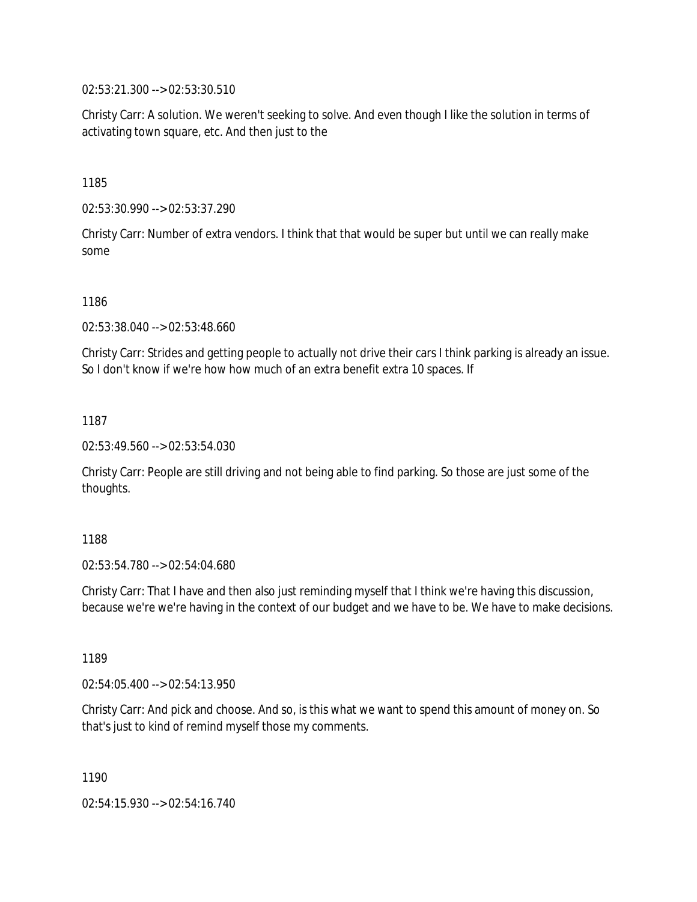02:53:21.300 --> 02:53:30.510

Christy Carr: A solution. We weren't seeking to solve. And even though I like the solution in terms of activating town square, etc. And then just to the

1185

02:53:30.990 --> 02:53:37.290

Christy Carr: Number of extra vendors. I think that that would be super but until we can really make some

1186

02:53:38.040 --> 02:53:48.660

Christy Carr: Strides and getting people to actually not drive their cars I think parking is already an issue. So I don't know if we're how how much of an extra benefit extra 10 spaces. If

1187

02:53:49.560 --> 02:53:54.030

Christy Carr: People are still driving and not being able to find parking. So those are just some of the thoughts.

1188

02:53:54.780 --> 02:54:04.680

Christy Carr: That I have and then also just reminding myself that I think we're having this discussion, because we're we're having in the context of our budget and we have to be. We have to make decisions.

1189

02:54:05.400 --> 02:54:13.950

Christy Carr: And pick and choose. And so, is this what we want to spend this amount of money on. So that's just to kind of remind myself those my comments.

1190

02:54:15.930 --> 02:54:16.740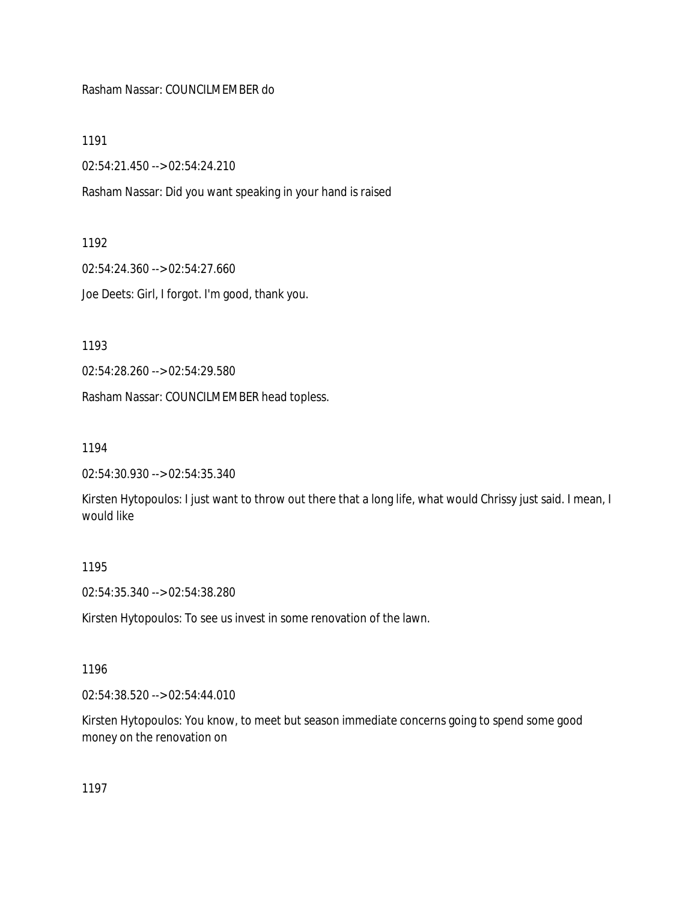### Rasham Nassar: COUNCILMEMBER do

1191

02:54:21.450 --> 02:54:24.210

Rasham Nassar: Did you want speaking in your hand is raised

#### 1192

02:54:24.360 --> 02:54:27.660

Joe Deets: Girl, I forgot. I'm good, thank you.

1193

02:54:28.260 --> 02:54:29.580

Rasham Nassar: COUNCILMEMBER head topless.

1194

02:54:30.930 --> 02:54:35.340

Kirsten Hytopoulos: I just want to throw out there that a long life, what would Chrissy just said. I mean, I would like

### 1195

02:54:35.340 --> 02:54:38.280

Kirsten Hytopoulos: To see us invest in some renovation of the lawn.

### 1196

02:54:38.520 --> 02:54:44.010

Kirsten Hytopoulos: You know, to meet but season immediate concerns going to spend some good money on the renovation on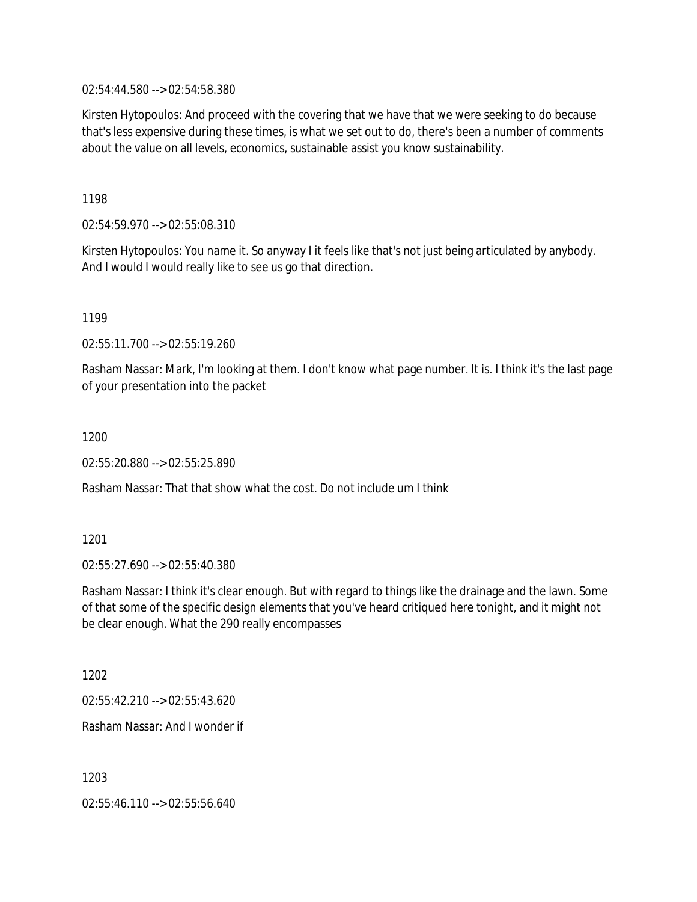02:54:44.580 --> 02:54:58.380

Kirsten Hytopoulos: And proceed with the covering that we have that we were seeking to do because that's less expensive during these times, is what we set out to do, there's been a number of comments about the value on all levels, economics, sustainable assist you know sustainability.

1198

02:54:59.970 --> 02:55:08.310

Kirsten Hytopoulos: You name it. So anyway I it feels like that's not just being articulated by anybody. And I would I would really like to see us go that direction.

1199

02:55:11.700 --> 02:55:19.260

Rasham Nassar: Mark, I'm looking at them. I don't know what page number. It is. I think it's the last page of your presentation into the packet

1200

02:55:20.880 --> 02:55:25.890

Rasham Nassar: That that show what the cost. Do not include um I think

1201

02:55:27.690 --> 02:55:40.380

Rasham Nassar: I think it's clear enough. But with regard to things like the drainage and the lawn. Some of that some of the specific design elements that you've heard critiqued here tonight, and it might not be clear enough. What the 290 really encompasses

1202

02:55:42.210 --> 02:55:43.620

Rasham Nassar: And I wonder if

1203

02:55:46.110 --> 02:55:56.640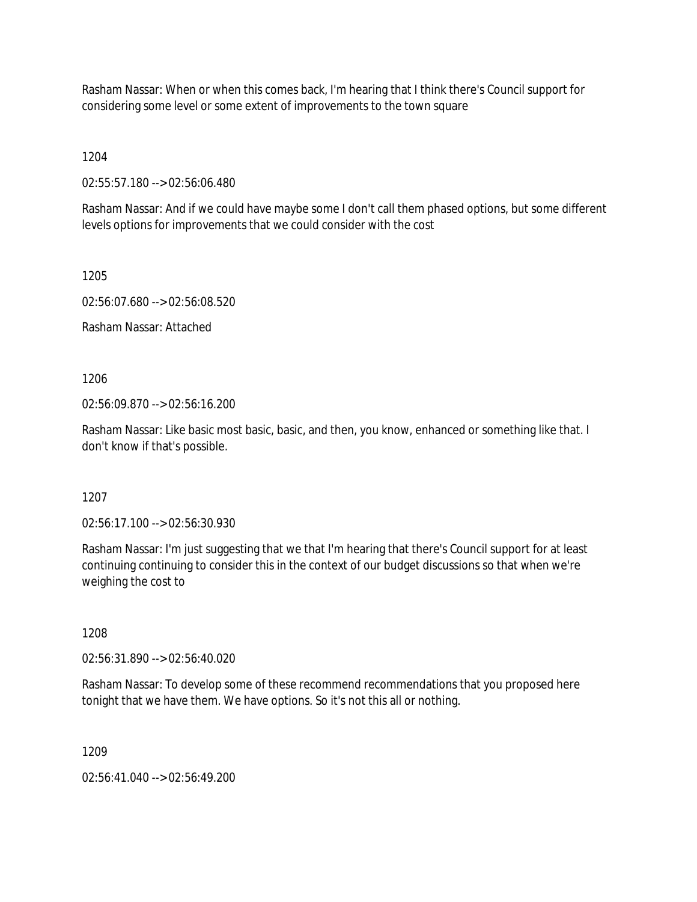Rasham Nassar: When or when this comes back, I'm hearing that I think there's Council support for considering some level or some extent of improvements to the town square

1204

02:55:57.180 --> 02:56:06.480

Rasham Nassar: And if we could have maybe some I don't call them phased options, but some different levels options for improvements that we could consider with the cost

1205

02:56:07.680 --> 02:56:08.520

Rasham Nassar: Attached

1206

02:56:09.870 --> 02:56:16.200

Rasham Nassar: Like basic most basic, basic, and then, you know, enhanced or something like that. I don't know if that's possible.

1207

02:56:17.100 --> 02:56:30.930

Rasham Nassar: I'm just suggesting that we that I'm hearing that there's Council support for at least continuing continuing to consider this in the context of our budget discussions so that when we're weighing the cost to

1208

02:56:31.890 --> 02:56:40.020

Rasham Nassar: To develop some of these recommend recommendations that you proposed here tonight that we have them. We have options. So it's not this all or nothing.

1209

02:56:41.040 --> 02:56:49.200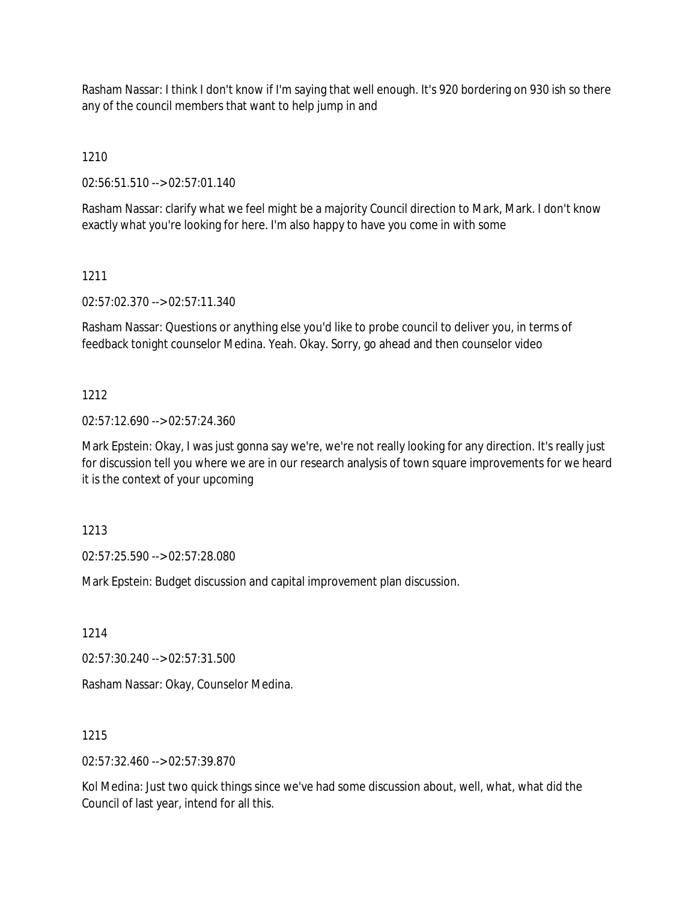Rasham Nassar: I think I don't know if I'm saying that well enough. It's 920 bordering on 930 ish so there any of the council members that want to help jump in and

1210

02:56:51.510 --> 02:57:01.140

Rasham Nassar: clarify what we feel might be a majority Council direction to Mark, Mark. I don't know exactly what you're looking for here. I'm also happy to have you come in with some

# 1211

02:57:02.370 --> 02:57:11.340

Rasham Nassar: Questions or anything else you'd like to probe council to deliver you, in terms of feedback tonight counselor Medina. Yeah. Okay. Sorry, go ahead and then counselor video

# 1212

02:57:12.690 --> 02:57:24.360

Mark Epstein: Okay, I was just gonna say we're, we're not really looking for any direction. It's really just for discussion tell you where we are in our research analysis of town square improvements for we heard it is the context of your upcoming

1213

02:57:25.590 --> 02:57:28.080

Mark Epstein: Budget discussion and capital improvement plan discussion.

1214

02:57:30.240 --> 02:57:31.500

Rasham Nassar: Okay, Counselor Medina.

1215

02:57:32.460 --> 02:57:39.870

Kol Medina: Just two quick things since we've had some discussion about, well, what, what did the Council of last year, intend for all this.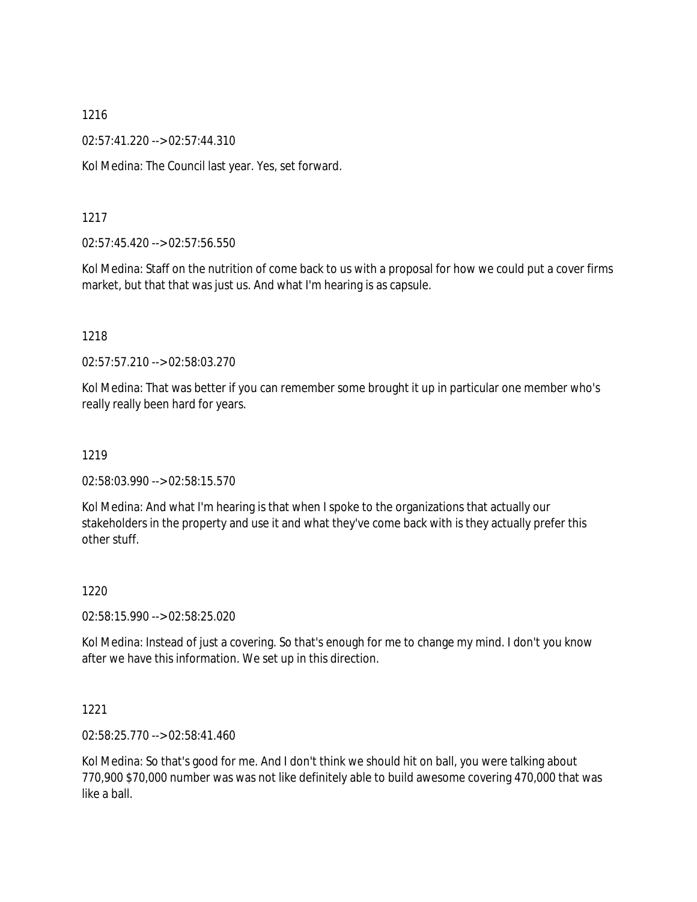02:57:41.220 --> 02:57:44.310

Kol Medina: The Council last year. Yes, set forward.

### 1217

02:57:45.420 --> 02:57:56.550

Kol Medina: Staff on the nutrition of come back to us with a proposal for how we could put a cover firms market, but that that was just us. And what I'm hearing is as capsule.

### 1218

02:57:57.210 --> 02:58:03.270

Kol Medina: That was better if you can remember some brought it up in particular one member who's really really been hard for years.

### 1219

02:58:03.990 --> 02:58:15.570

Kol Medina: And what I'm hearing is that when I spoke to the organizations that actually our stakeholders in the property and use it and what they've come back with is they actually prefer this other stuff.

### 1220

02:58:15.990 --> 02:58:25.020

Kol Medina: Instead of just a covering. So that's enough for me to change my mind. I don't you know after we have this information. We set up in this direction.

### 1221

02:58:25.770 --> 02:58:41.460

Kol Medina: So that's good for me. And I don't think we should hit on ball, you were talking about 770,900 \$70,000 number was was not like definitely able to build awesome covering 470,000 that was like a ball.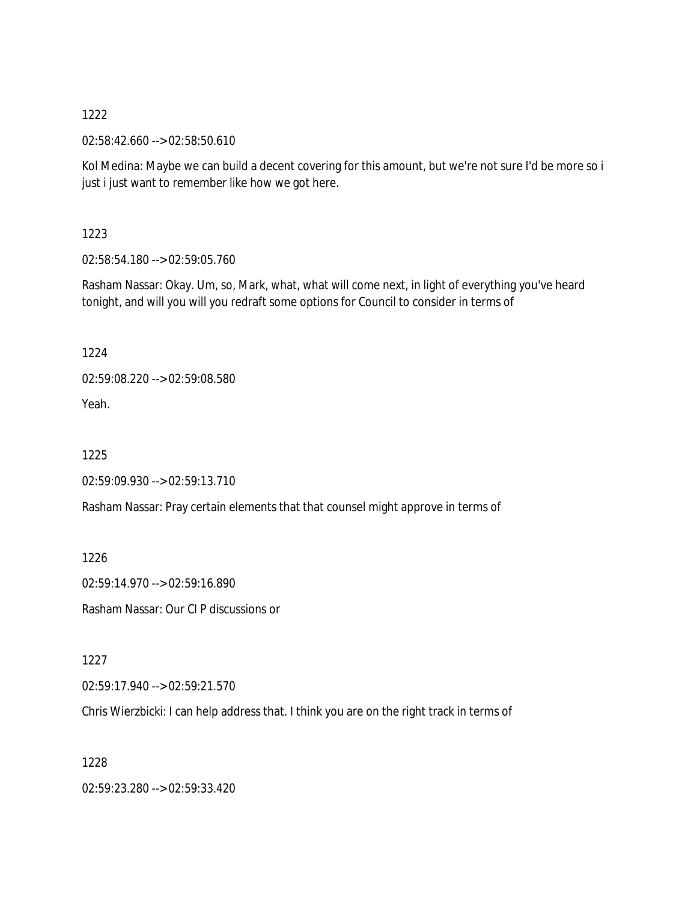02:58:42.660 --> 02:58:50.610

Kol Medina: Maybe we can build a decent covering for this amount, but we're not sure I'd be more so i just i just want to remember like how we got here.

1223

02:58:54.180 --> 02:59:05.760

Rasham Nassar: Okay. Um, so, Mark, what, what will come next, in light of everything you've heard tonight, and will you will you redraft some options for Council to consider in terms of

1224

02:59:08.220 --> 02:59:08.580

Yeah.

1225

02:59:09.930 --> 02:59:13.710

Rasham Nassar: Pray certain elements that that counsel might approve in terms of

1226

02:59:14.970 --> 02:59:16.890

Rasham Nassar: Our CI P discussions or

1227

02:59:17.940 --> 02:59:21.570

Chris Wierzbicki: I can help address that. I think you are on the right track in terms of

1228

02:59:23.280 --> 02:59:33.420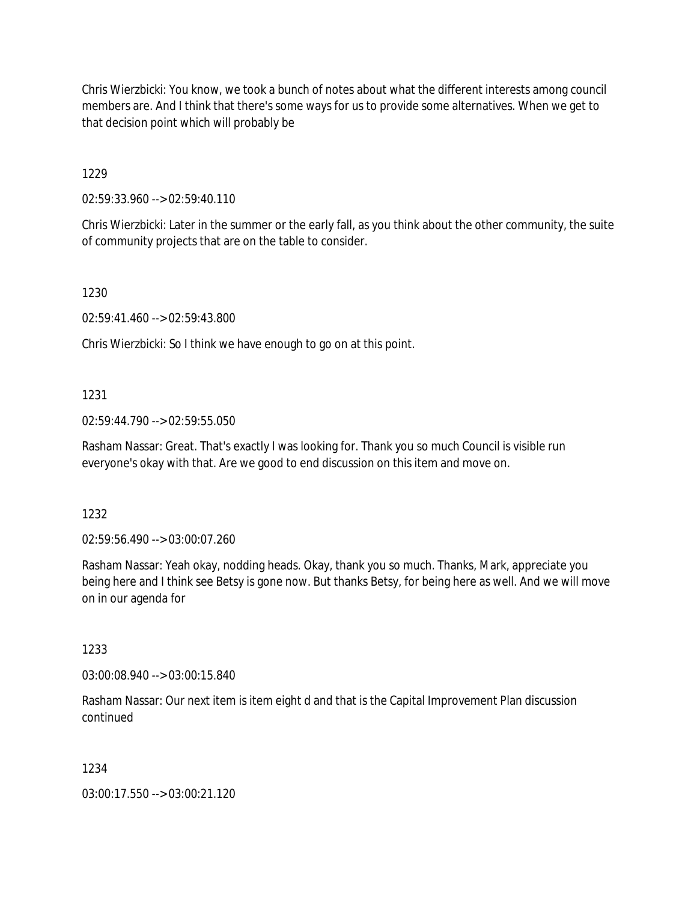Chris Wierzbicki: You know, we took a bunch of notes about what the different interests among council members are. And I think that there's some ways for us to provide some alternatives. When we get to that decision point which will probably be

1229

02:59:33.960 --> 02:59:40.110

Chris Wierzbicki: Later in the summer or the early fall, as you think about the other community, the suite of community projects that are on the table to consider.

1230

02:59:41.460 --> 02:59:43.800

Chris Wierzbicki: So I think we have enough to go on at this point.

### 1231

02:59:44.790 --> 02:59:55.050

Rasham Nassar: Great. That's exactly I was looking for. Thank you so much Council is visible run everyone's okay with that. Are we good to end discussion on this item and move on.

### 1232

02:59:56.490 --> 03:00:07.260

Rasham Nassar: Yeah okay, nodding heads. Okay, thank you so much. Thanks, Mark, appreciate you being here and I think see Betsy is gone now. But thanks Betsy, for being here as well. And we will move on in our agenda for

### 1233

03:00:08.940 --> 03:00:15.840

Rasham Nassar: Our next item is item eight d and that is the Capital Improvement Plan discussion continued

### 1234

03:00:17.550 --> 03:00:21.120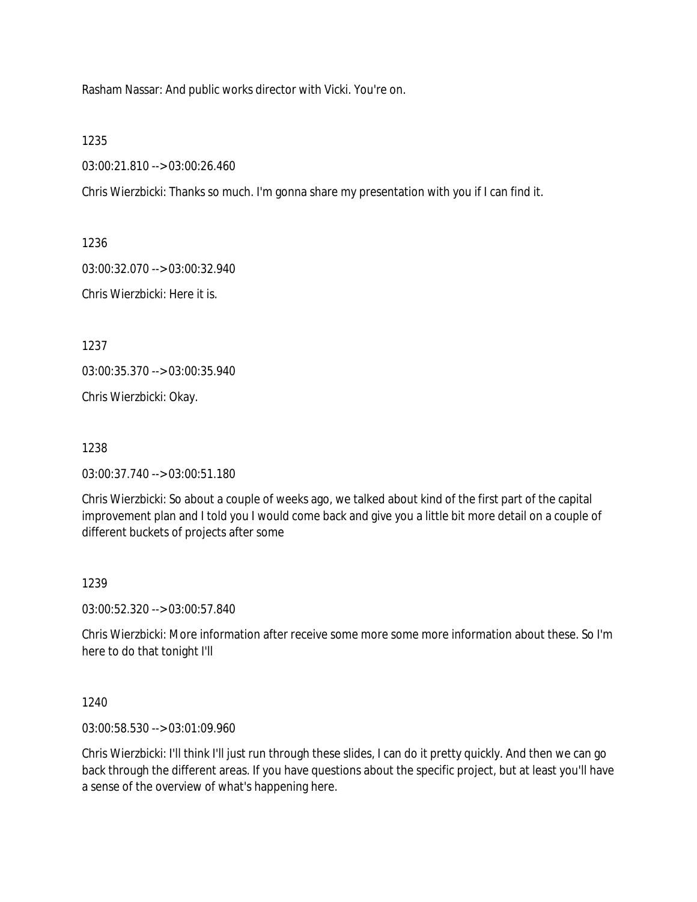Rasham Nassar: And public works director with Vicki. You're on.

1235

03:00:21.810 --> 03:00:26.460

Chris Wierzbicki: Thanks so much. I'm gonna share my presentation with you if I can find it.

1236

03:00:32.070 --> 03:00:32.940

Chris Wierzbicki: Here it is.

1237

03:00:35.370 --> 03:00:35.940

Chris Wierzbicki: Okay.

1238

03:00:37.740 --> 03:00:51.180

Chris Wierzbicki: So about a couple of weeks ago, we talked about kind of the first part of the capital improvement plan and I told you I would come back and give you a little bit more detail on a couple of different buckets of projects after some

### 1239

03:00:52.320 --> 03:00:57.840

Chris Wierzbicki: More information after receive some more some more information about these. So I'm here to do that tonight I'll

1240

03:00:58.530 --> 03:01:09.960

Chris Wierzbicki: I'll think I'll just run through these slides, I can do it pretty quickly. And then we can go back through the different areas. If you have questions about the specific project, but at least you'll have a sense of the overview of what's happening here.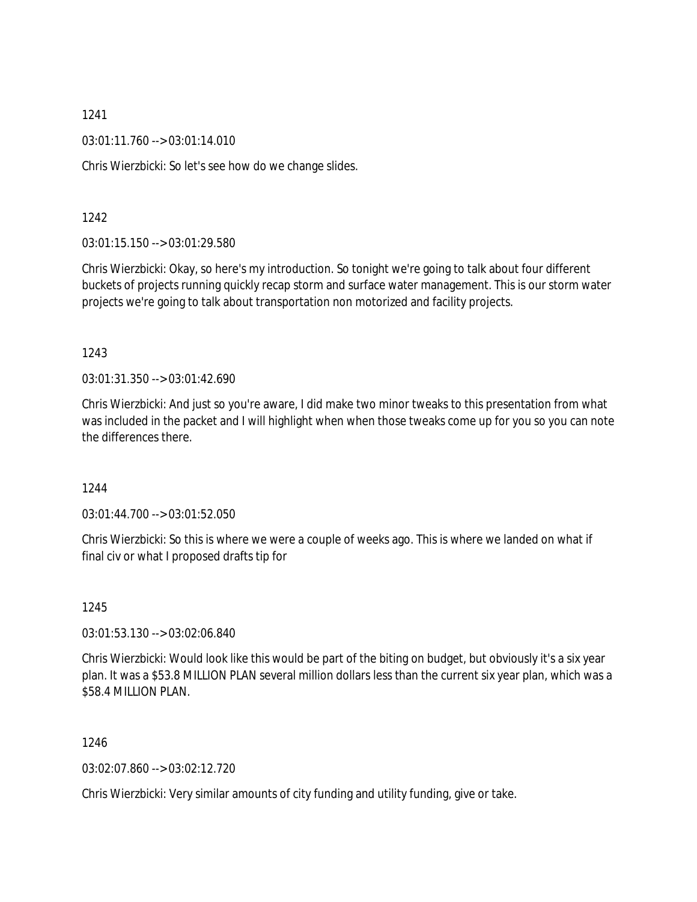03:01:11.760 --> 03:01:14.010

Chris Wierzbicki: So let's see how do we change slides.

1242

03:01:15.150 --> 03:01:29.580

Chris Wierzbicki: Okay, so here's my introduction. So tonight we're going to talk about four different buckets of projects running quickly recap storm and surface water management. This is our storm water projects we're going to talk about transportation non motorized and facility projects.

1243

03:01:31.350 --> 03:01:42.690

Chris Wierzbicki: And just so you're aware, I did make two minor tweaks to this presentation from what was included in the packet and I will highlight when when those tweaks come up for you so you can note the differences there.

1244

03:01:44.700 --> 03:01:52.050

Chris Wierzbicki: So this is where we were a couple of weeks ago. This is where we landed on what if final civ or what I proposed drafts tip for

1245

03:01:53.130 --> 03:02:06.840

Chris Wierzbicki: Would look like this would be part of the biting on budget, but obviously it's a six year plan. It was a \$53.8 MILLION PLAN several million dollars less than the current six year plan, which was a \$58.4 MILLION PLAN.

1246

03:02:07.860 --> 03:02:12.720

Chris Wierzbicki: Very similar amounts of city funding and utility funding, give or take.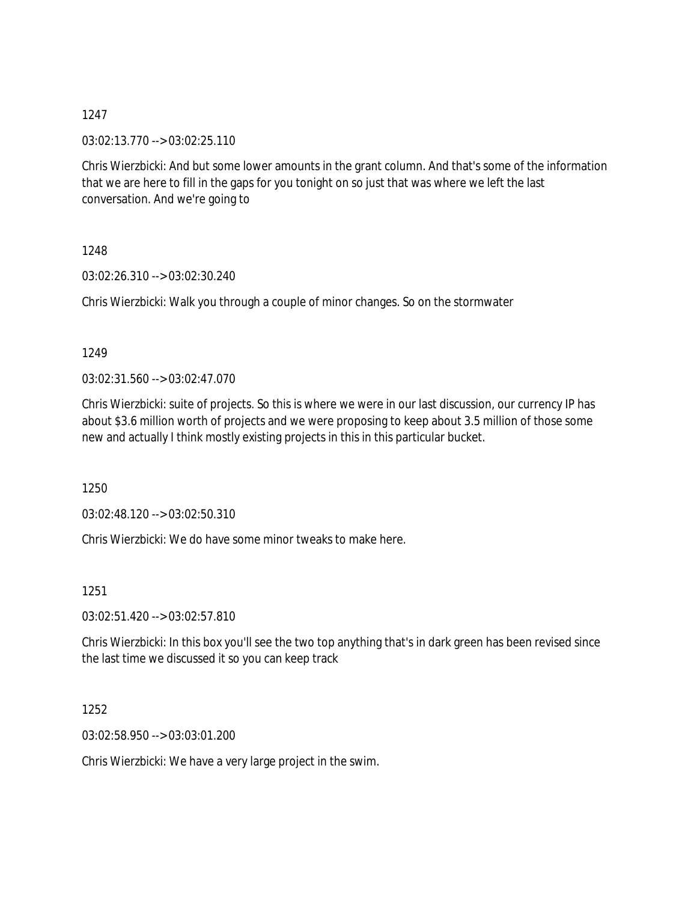03:02:13.770 --> 03:02:25.110

Chris Wierzbicki: And but some lower amounts in the grant column. And that's some of the information that we are here to fill in the gaps for you tonight on so just that was where we left the last conversation. And we're going to

1248

03:02:26.310 --> 03:02:30.240

Chris Wierzbicki: Walk you through a couple of minor changes. So on the stormwater

1249

 $03:02:31.560 \rightarrow 03:02:47.070$ 

Chris Wierzbicki: suite of projects. So this is where we were in our last discussion, our currency IP has about \$3.6 million worth of projects and we were proposing to keep about 3.5 million of those some new and actually I think mostly existing projects in this in this particular bucket.

1250

03:02:48.120 --> 03:02:50.310

Chris Wierzbicki: We do have some minor tweaks to make here.

1251

03:02:51.420 --> 03:02:57.810

Chris Wierzbicki: In this box you'll see the two top anything that's in dark green has been revised since the last time we discussed it so you can keep track

1252

03:02:58.950 --> 03:03:01.200

Chris Wierzbicki: We have a very large project in the swim.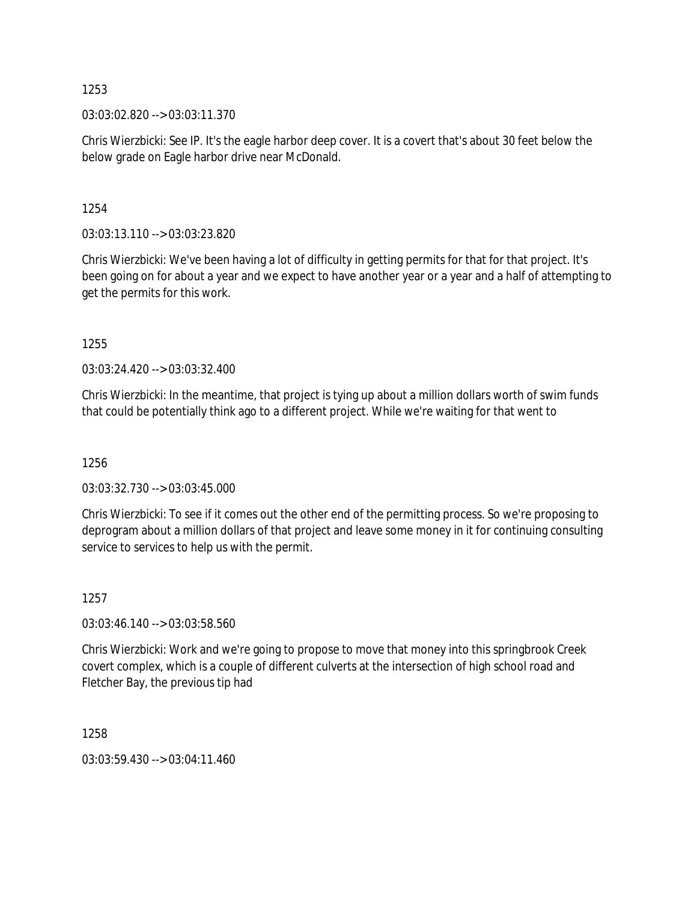03:03:02.820 --> 03:03:11.370

Chris Wierzbicki: See IP. It's the eagle harbor deep cover. It is a covert that's about 30 feet below the below grade on Eagle harbor drive near McDonald.

1254

03:03:13.110 --> 03:03:23.820

Chris Wierzbicki: We've been having a lot of difficulty in getting permits for that for that project. It's been going on for about a year and we expect to have another year or a year and a half of attempting to get the permits for this work.

1255

03:03:24.420 --> 03:03:32.400

Chris Wierzbicki: In the meantime, that project is tying up about a million dollars worth of swim funds that could be potentially think ago to a different project. While we're waiting for that went to

1256

03:03:32.730 --> 03:03:45.000

Chris Wierzbicki: To see if it comes out the other end of the permitting process. So we're proposing to deprogram about a million dollars of that project and leave some money in it for continuing consulting service to services to help us with the permit.

1257

03:03:46.140 --> 03:03:58.560

Chris Wierzbicki: Work and we're going to propose to move that money into this springbrook Creek covert complex, which is a couple of different culverts at the intersection of high school road and Fletcher Bay, the previous tip had

1258

03:03:59.430 --> 03:04:11.460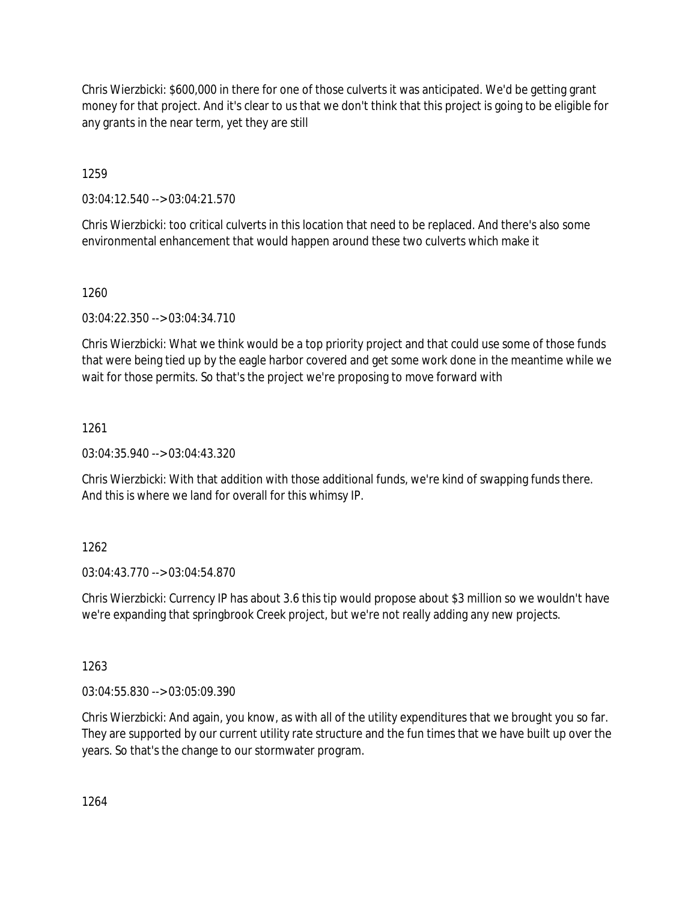Chris Wierzbicki: \$600,000 in there for one of those culverts it was anticipated. We'd be getting grant money for that project. And it's clear to us that we don't think that this project is going to be eligible for any grants in the near term, yet they are still

1259

03:04:12.540 --> 03:04:21.570

Chris Wierzbicki: too critical culverts in this location that need to be replaced. And there's also some environmental enhancement that would happen around these two culverts which make it

1260

03:04:22.350 --> 03:04:34.710

Chris Wierzbicki: What we think would be a top priority project and that could use some of those funds that were being tied up by the eagle harbor covered and get some work done in the meantime while we wait for those permits. So that's the project we're proposing to move forward with

1261

03:04:35.940 --> 03:04:43.320

Chris Wierzbicki: With that addition with those additional funds, we're kind of swapping funds there. And this is where we land for overall for this whimsy IP.

# 1262

03:04:43.770 --> 03:04:54.870

Chris Wierzbicki: Currency IP has about 3.6 this tip would propose about \$3 million so we wouldn't have we're expanding that springbrook Creek project, but we're not really adding any new projects.

1263

03:04:55.830 --> 03:05:09.390

Chris Wierzbicki: And again, you know, as with all of the utility expenditures that we brought you so far. They are supported by our current utility rate structure and the fun times that we have built up over the years. So that's the change to our stormwater program.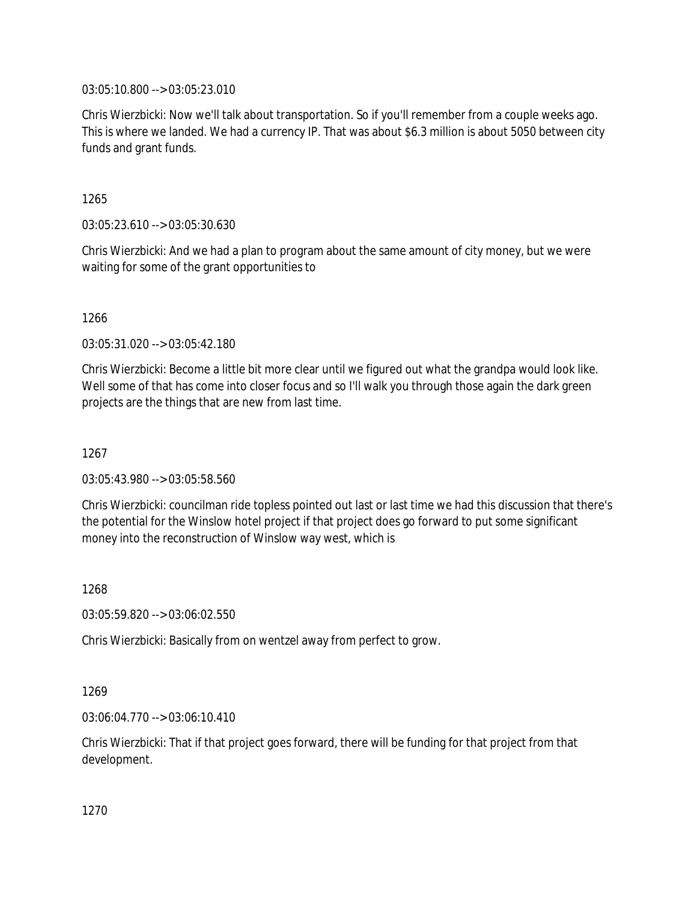03:05:10.800 --> 03:05:23.010

Chris Wierzbicki: Now we'll talk about transportation. So if you'll remember from a couple weeks ago. This is where we landed. We had a currency IP. That was about \$6.3 million is about 5050 between city funds and grant funds.

1265

03:05:23.610 --> 03:05:30.630

Chris Wierzbicki: And we had a plan to program about the same amount of city money, but we were waiting for some of the grant opportunities to

1266

03:05:31.020 --> 03:05:42.180

Chris Wierzbicki: Become a little bit more clear until we figured out what the grandpa would look like. Well some of that has come into closer focus and so I'll walk you through those again the dark green projects are the things that are new from last time.

1267

03:05:43.980 --> 03:05:58.560

Chris Wierzbicki: councilman ride topless pointed out last or last time we had this discussion that there's the potential for the Winslow hotel project if that project does go forward to put some significant money into the reconstruction of Winslow way west, which is

1268

03:05:59.820 --> 03:06:02.550

Chris Wierzbicki: Basically from on wentzel away from perfect to grow.

1269

03:06:04.770 --> 03:06:10.410

Chris Wierzbicki: That if that project goes forward, there will be funding for that project from that development.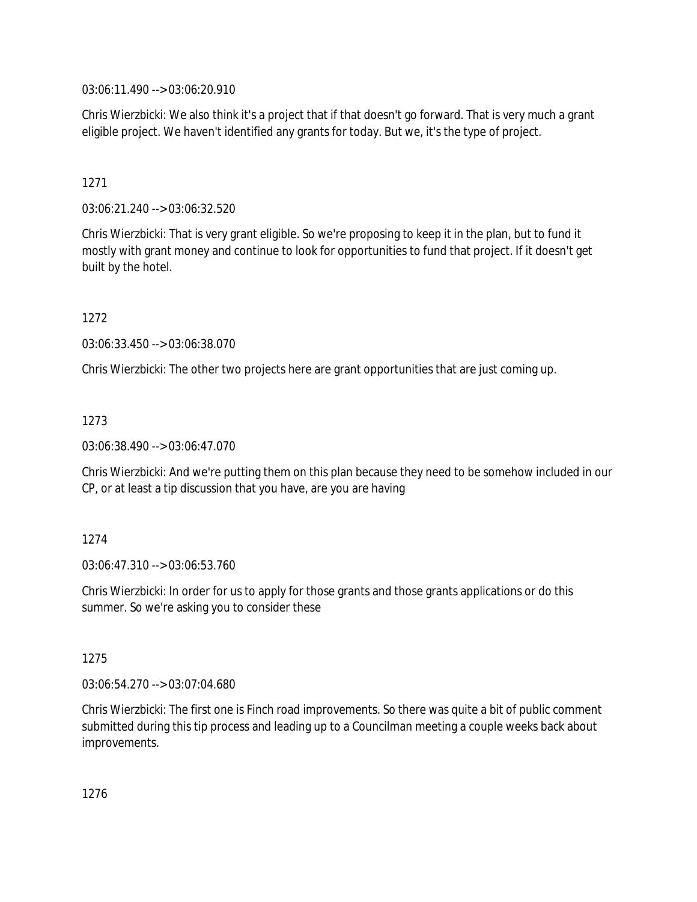03:06:11.490 --> 03:06:20.910

Chris Wierzbicki: We also think it's a project that if that doesn't go forward. That is very much a grant eligible project. We haven't identified any grants for today. But we, it's the type of project.

### 1271

03:06:21.240 --> 03:06:32.520

Chris Wierzbicki: That is very grant eligible. So we're proposing to keep it in the plan, but to fund it mostly with grant money and continue to look for opportunities to fund that project. If it doesn't get built by the hotel.

1272

03:06:33.450 --> 03:06:38.070

Chris Wierzbicki: The other two projects here are grant opportunities that are just coming up.

### 1273

03:06:38.490 --> 03:06:47.070

Chris Wierzbicki: And we're putting them on this plan because they need to be somehow included in our CP, or at least a tip discussion that you have, are you are having

### 1274

03:06:47.310 --> 03:06:53.760

Chris Wierzbicki: In order for us to apply for those grants and those grants applications or do this summer. So we're asking you to consider these

### 1275

03:06:54.270 --> 03:07:04.680

Chris Wierzbicki: The first one is Finch road improvements. So there was quite a bit of public comment submitted during this tip process and leading up to a Councilman meeting a couple weeks back about improvements.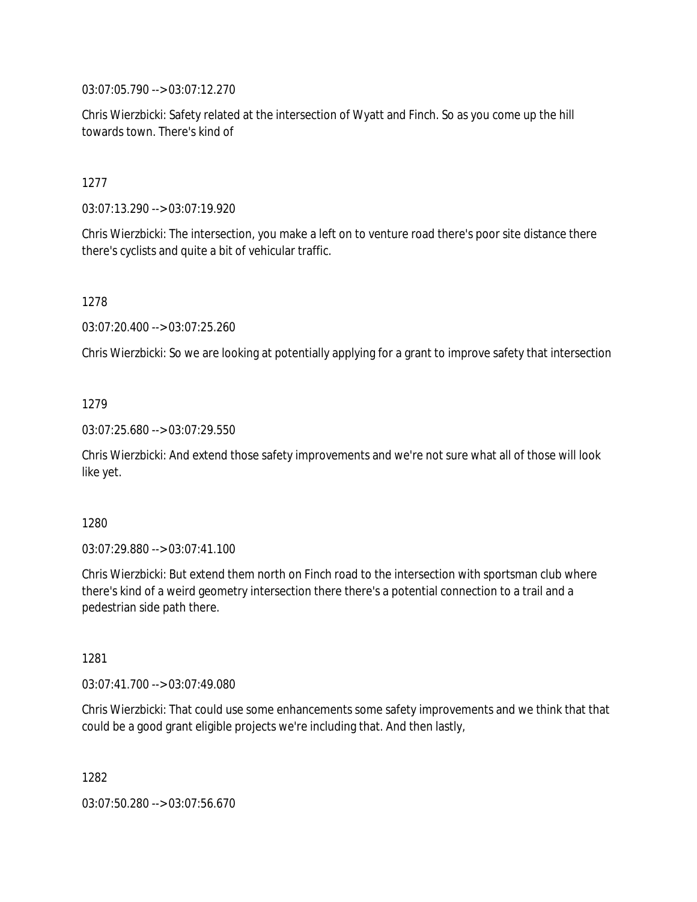03:07:05.790 --> 03:07:12.270

Chris Wierzbicki: Safety related at the intersection of Wyatt and Finch. So as you come up the hill towards town. There's kind of

### 1277

03:07:13.290 --> 03:07:19.920

Chris Wierzbicki: The intersection, you make a left on to venture road there's poor site distance there there's cyclists and quite a bit of vehicular traffic.

### 1278

03:07:20.400 --> 03:07:25.260

Chris Wierzbicki: So we are looking at potentially applying for a grant to improve safety that intersection

### 1279

03:07:25.680 --> 03:07:29.550

Chris Wierzbicki: And extend those safety improvements and we're not sure what all of those will look like yet.

### 1280

03:07:29.880 --> 03:07:41.100

Chris Wierzbicki: But extend them north on Finch road to the intersection with sportsman club where there's kind of a weird geometry intersection there there's a potential connection to a trail and a pedestrian side path there.

### 1281

03:07:41.700 --> 03:07:49.080

Chris Wierzbicki: That could use some enhancements some safety improvements and we think that that could be a good grant eligible projects we're including that. And then lastly,

1282

03:07:50.280 --> 03:07:56.670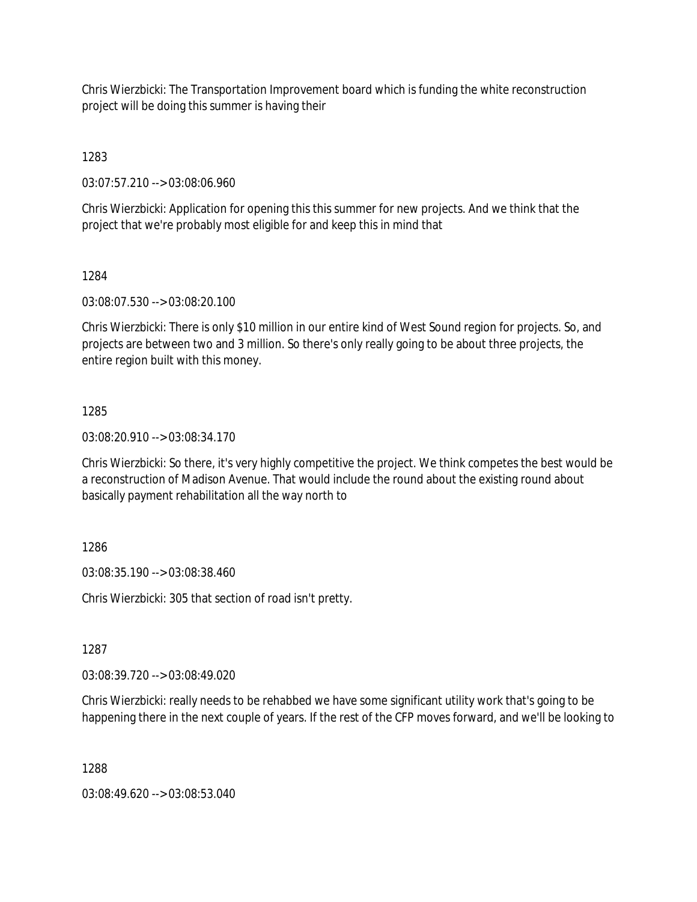Chris Wierzbicki: The Transportation Improvement board which is funding the white reconstruction project will be doing this summer is having their

1283

03:07:57.210 --> 03:08:06.960

Chris Wierzbicki: Application for opening this this summer for new projects. And we think that the project that we're probably most eligible for and keep this in mind that

1284

03:08:07.530 --> 03:08:20.100

Chris Wierzbicki: There is only \$10 million in our entire kind of West Sound region for projects. So, and projects are between two and 3 million. So there's only really going to be about three projects, the entire region built with this money.

### 1285

03:08:20.910 --> 03:08:34.170

Chris Wierzbicki: So there, it's very highly competitive the project. We think competes the best would be a reconstruction of Madison Avenue. That would include the round about the existing round about basically payment rehabilitation all the way north to

1286

03:08:35.190 --> 03:08:38.460

Chris Wierzbicki: 305 that section of road isn't pretty.

1287

03:08:39.720 --> 03:08:49.020

Chris Wierzbicki: really needs to be rehabbed we have some significant utility work that's going to be happening there in the next couple of years. If the rest of the CFP moves forward, and we'll be looking to

1288

03:08:49.620 --> 03:08:53.040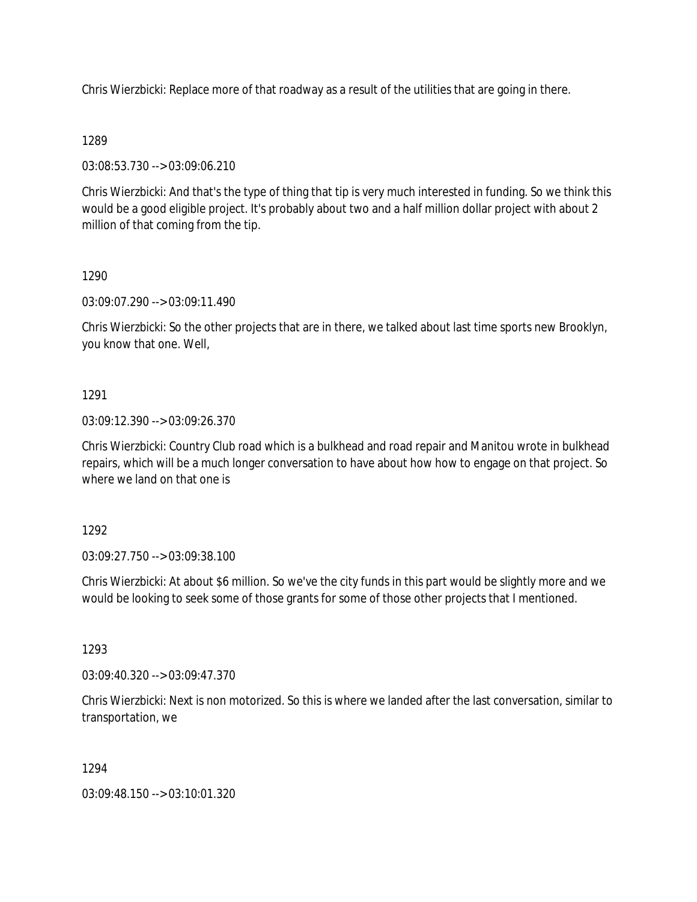Chris Wierzbicki: Replace more of that roadway as a result of the utilities that are going in there.

### 1289

03:08:53.730 --> 03:09:06.210

Chris Wierzbicki: And that's the type of thing that tip is very much interested in funding. So we think this would be a good eligible project. It's probably about two and a half million dollar project with about 2 million of that coming from the tip.

### 1290

03:09:07.290 --> 03:09:11.490

Chris Wierzbicki: So the other projects that are in there, we talked about last time sports new Brooklyn, you know that one. Well,

### 1291

03:09:12.390 --> 03:09:26.370

Chris Wierzbicki: Country Club road which is a bulkhead and road repair and Manitou wrote in bulkhead repairs, which will be a much longer conversation to have about how how to engage on that project. So where we land on that one is

### 1292

03:09:27.750 --> 03:09:38.100

Chris Wierzbicki: At about \$6 million. So we've the city funds in this part would be slightly more and we would be looking to seek some of those grants for some of those other projects that I mentioned.

### 1293

03:09:40.320 --> 03:09:47.370

Chris Wierzbicki: Next is non motorized. So this is where we landed after the last conversation, similar to transportation, we

### 1294

03:09:48.150 --> 03:10:01.320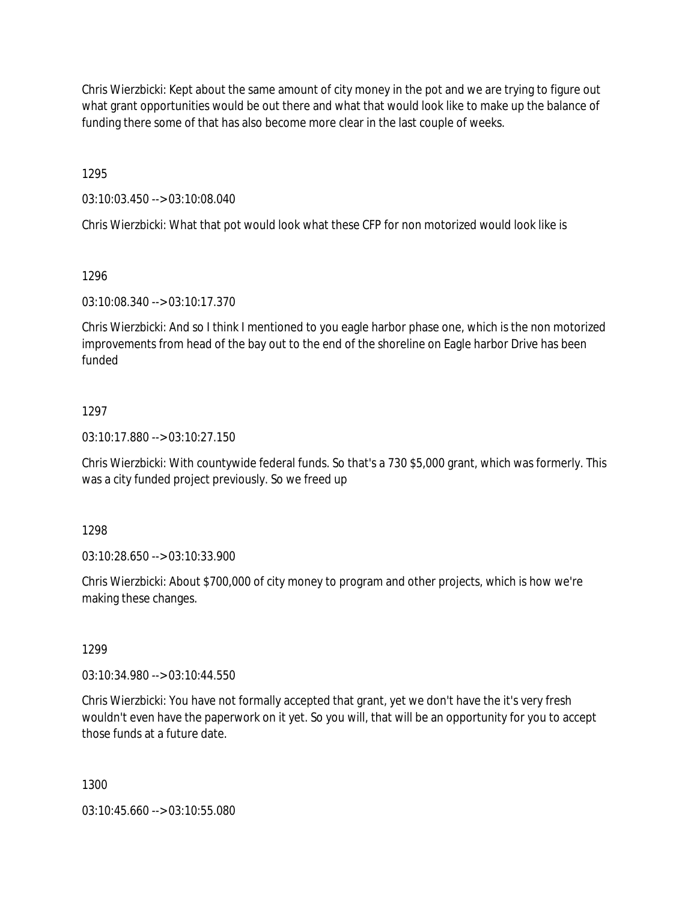Chris Wierzbicki: Kept about the same amount of city money in the pot and we are trying to figure out what grant opportunities would be out there and what that would look like to make up the balance of funding there some of that has also become more clear in the last couple of weeks.

1295

03:10:03.450 --> 03:10:08.040

Chris Wierzbicki: What that pot would look what these CFP for non motorized would look like is

### 1296

03:10:08.340 --> 03:10:17.370

Chris Wierzbicki: And so I think I mentioned to you eagle harbor phase one, which is the non motorized improvements from head of the bay out to the end of the shoreline on Eagle harbor Drive has been funded

# 1297

03:10:17.880 --> 03:10:27.150

Chris Wierzbicki: With countywide federal funds. So that's a 730 \$5,000 grant, which was formerly. This was a city funded project previously. So we freed up

1298

03:10:28.650 --> 03:10:33.900

Chris Wierzbicki: About \$700,000 of city money to program and other projects, which is how we're making these changes.

1299

03:10:34.980 --> 03:10:44.550

Chris Wierzbicki: You have not formally accepted that grant, yet we don't have the it's very fresh wouldn't even have the paperwork on it yet. So you will, that will be an opportunity for you to accept those funds at a future date.

1300

03:10:45.660 --> 03:10:55.080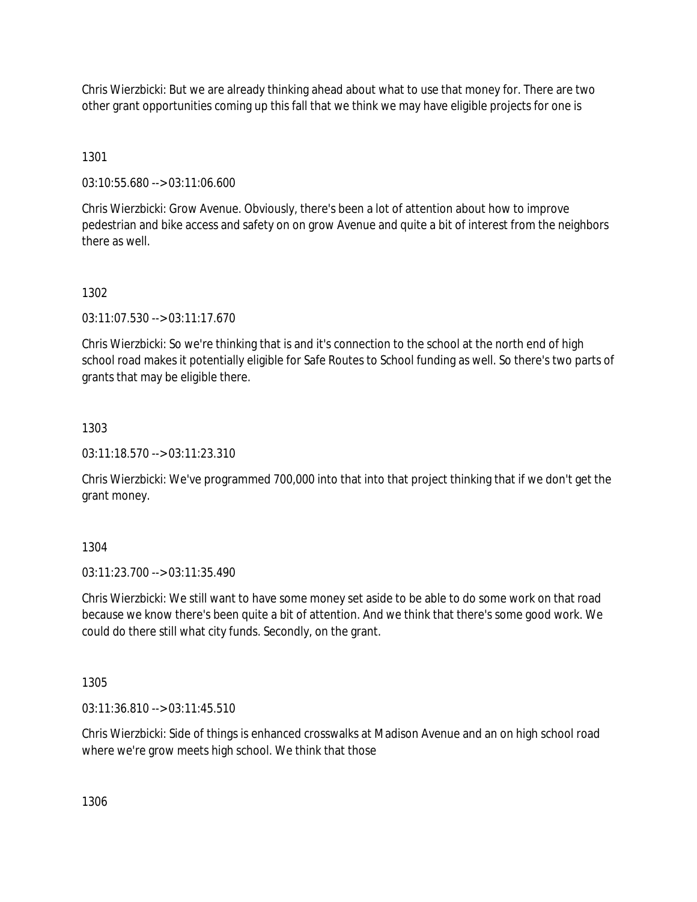Chris Wierzbicki: But we are already thinking ahead about what to use that money for. There are two other grant opportunities coming up this fall that we think we may have eligible projects for one is

1301

03:10:55.680 --> 03:11:06.600

Chris Wierzbicki: Grow Avenue. Obviously, there's been a lot of attention about how to improve pedestrian and bike access and safety on on grow Avenue and quite a bit of interest from the neighbors there as well.

1302

03:11:07.530 --> 03:11:17.670

Chris Wierzbicki: So we're thinking that is and it's connection to the school at the north end of high school road makes it potentially eligible for Safe Routes to School funding as well. So there's two parts of grants that may be eligible there.

1303

03:11:18.570 --> 03:11:23.310

Chris Wierzbicki: We've programmed 700,000 into that into that project thinking that if we don't get the grant money.

1304

03:11:23.700 --> 03:11:35.490

Chris Wierzbicki: We still want to have some money set aside to be able to do some work on that road because we know there's been quite a bit of attention. And we think that there's some good work. We could do there still what city funds. Secondly, on the grant.

1305

03:11:36.810 --> 03:11:45.510

Chris Wierzbicki: Side of things is enhanced crosswalks at Madison Avenue and an on high school road where we're grow meets high school. We think that those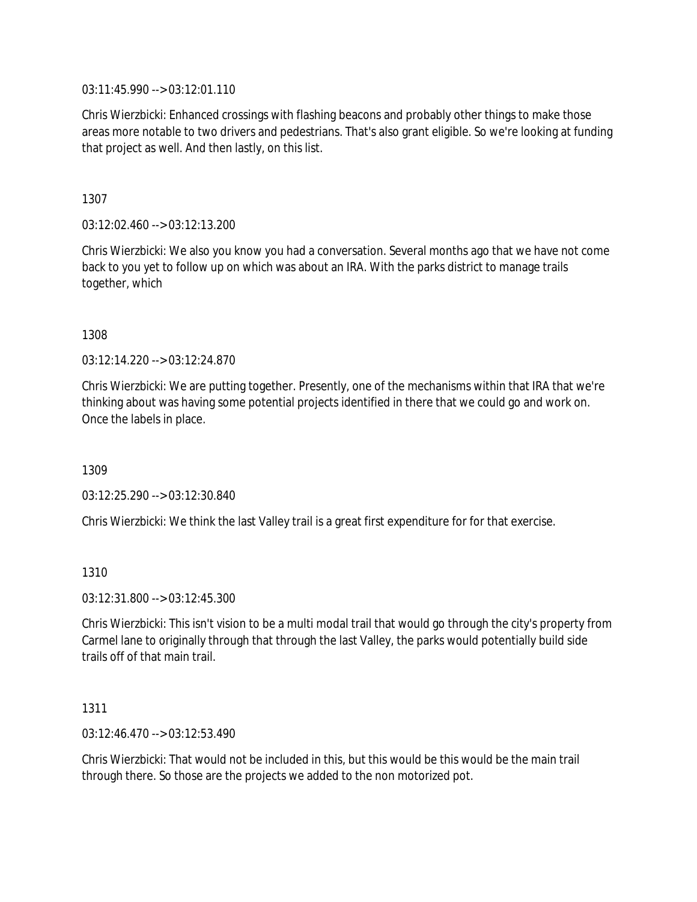03:11:45.990 --> 03:12:01.110

Chris Wierzbicki: Enhanced crossings with flashing beacons and probably other things to make those areas more notable to two drivers and pedestrians. That's also grant eligible. So we're looking at funding that project as well. And then lastly, on this list.

1307

03:12:02.460 --> 03:12:13.200

Chris Wierzbicki: We also you know you had a conversation. Several months ago that we have not come back to you yet to follow up on which was about an IRA. With the parks district to manage trails together, which

1308

03:12:14.220 --> 03:12:24.870

Chris Wierzbicki: We are putting together. Presently, one of the mechanisms within that IRA that we're thinking about was having some potential projects identified in there that we could go and work on. Once the labels in place.

1309

03:12:25.290 --> 03:12:30.840

Chris Wierzbicki: We think the last Valley trail is a great first expenditure for for that exercise.

1310

03:12:31.800 --> 03:12:45.300

Chris Wierzbicki: This isn't vision to be a multi modal trail that would go through the city's property from Carmel lane to originally through that through the last Valley, the parks would potentially build side trails off of that main trail.

1311

03:12:46.470 --> 03:12:53.490

Chris Wierzbicki: That would not be included in this, but this would be this would be the main trail through there. So those are the projects we added to the non motorized pot.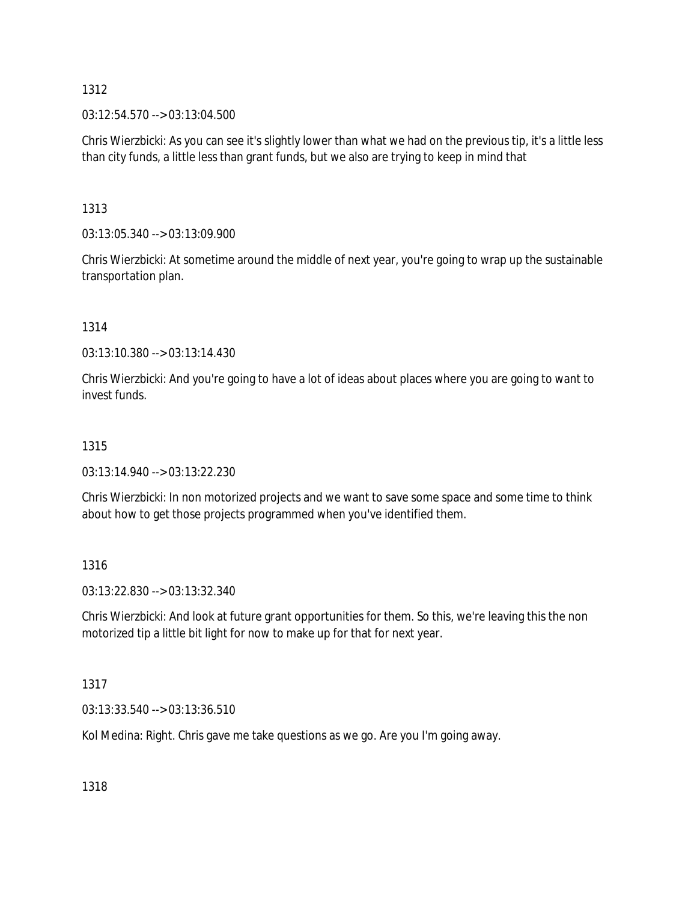03:12:54.570 --> 03:13:04.500

Chris Wierzbicki: As you can see it's slightly lower than what we had on the previous tip, it's a little less than city funds, a little less than grant funds, but we also are trying to keep in mind that

1313

03:13:05.340 --> 03:13:09.900

Chris Wierzbicki: At sometime around the middle of next year, you're going to wrap up the sustainable transportation plan.

1314

03:13:10.380 --> 03:13:14.430

Chris Wierzbicki: And you're going to have a lot of ideas about places where you are going to want to invest funds.

### 1315

03:13:14.940 --> 03:13:22.230

Chris Wierzbicki: In non motorized projects and we want to save some space and some time to think about how to get those projects programmed when you've identified them.

1316

03:13:22.830 --> 03:13:32.340

Chris Wierzbicki: And look at future grant opportunities for them. So this, we're leaving this the non motorized tip a little bit light for now to make up for that for next year.

1317

03:13:33.540 --> 03:13:36.510

Kol Medina: Right. Chris gave me take questions as we go. Are you I'm going away.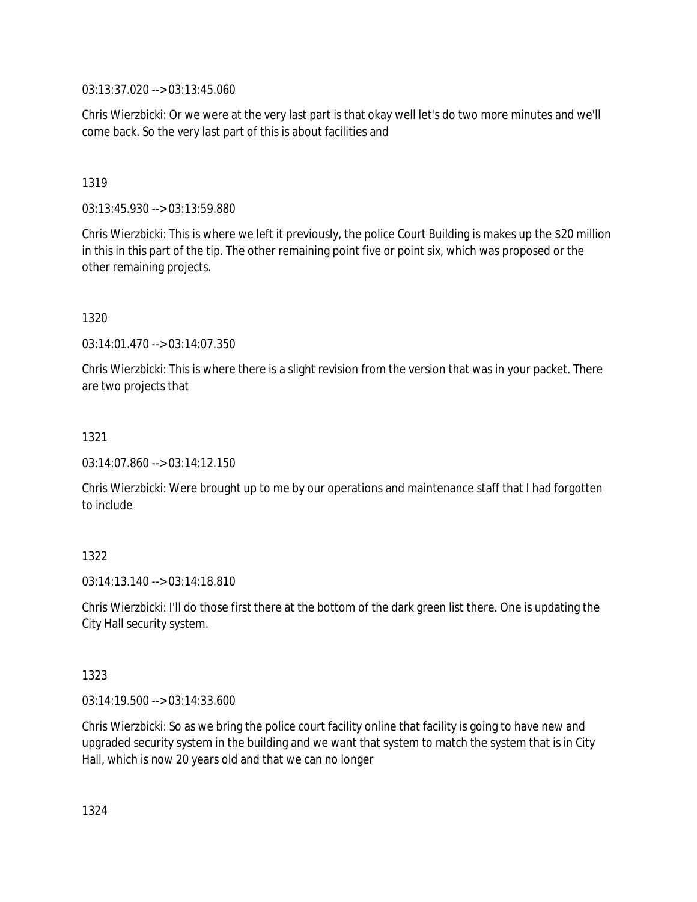03:13:37.020 --> 03:13:45.060

Chris Wierzbicki: Or we were at the very last part is that okay well let's do two more minutes and we'll come back. So the very last part of this is about facilities and

### 1319

03:13:45.930 --> 03:13:59.880

Chris Wierzbicki: This is where we left it previously, the police Court Building is makes up the \$20 million in this in this part of the tip. The other remaining point five or point six, which was proposed or the other remaining projects.

### 1320

03:14:01.470 --> 03:14:07.350

Chris Wierzbicki: This is where there is a slight revision from the version that was in your packet. There are two projects that

### 1321

03:14:07.860 --> 03:14:12.150

Chris Wierzbicki: Were brought up to me by our operations and maintenance staff that I had forgotten to include

# 1322

03:14:13.140 --> 03:14:18.810

Chris Wierzbicki: I'll do those first there at the bottom of the dark green list there. One is updating the City Hall security system.

### 1323

03:14:19.500 --> 03:14:33.600

Chris Wierzbicki: So as we bring the police court facility online that facility is going to have new and upgraded security system in the building and we want that system to match the system that is in City Hall, which is now 20 years old and that we can no longer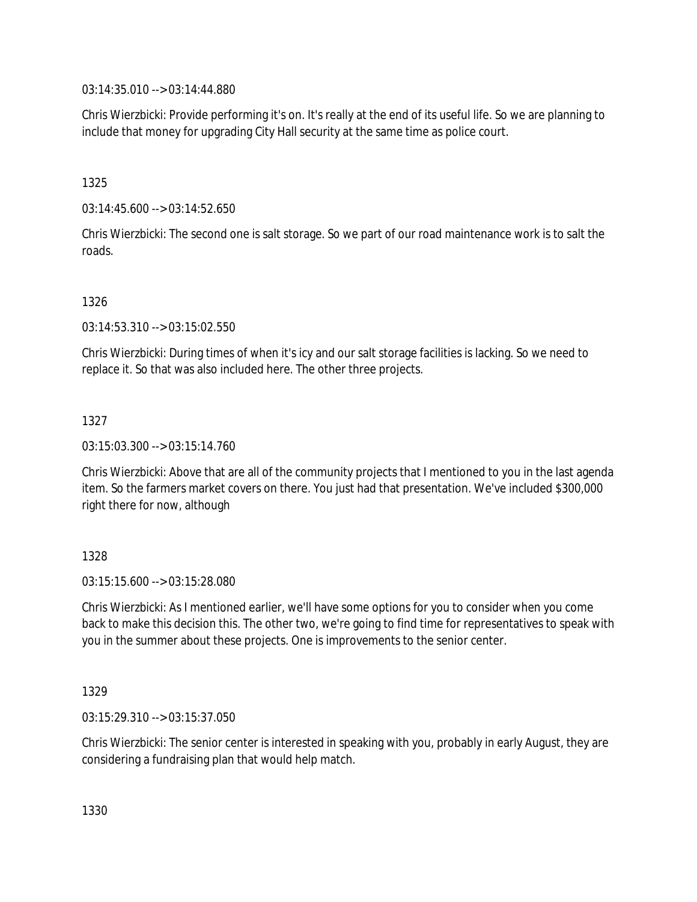03:14:35.010 --> 03:14:44.880

Chris Wierzbicki: Provide performing it's on. It's really at the end of its useful life. So we are planning to include that money for upgrading City Hall security at the same time as police court.

1325

03:14:45.600 --> 03:14:52.650

Chris Wierzbicki: The second one is salt storage. So we part of our road maintenance work is to salt the roads.

### 1326

03:14:53.310 --> 03:15:02.550

Chris Wierzbicki: During times of when it's icy and our salt storage facilities is lacking. So we need to replace it. So that was also included here. The other three projects.

### 1327

03:15:03.300 --> 03:15:14.760

Chris Wierzbicki: Above that are all of the community projects that I mentioned to you in the last agenda item. So the farmers market covers on there. You just had that presentation. We've included \$300,000 right there for now, although

### 1328

03:15:15.600 --> 03:15:28.080

Chris Wierzbicki: As I mentioned earlier, we'll have some options for you to consider when you come back to make this decision this. The other two, we're going to find time for representatives to speak with you in the summer about these projects. One is improvements to the senior center.

### 1329

03:15:29.310 --> 03:15:37.050

Chris Wierzbicki: The senior center is interested in speaking with you, probably in early August, they are considering a fundraising plan that would help match.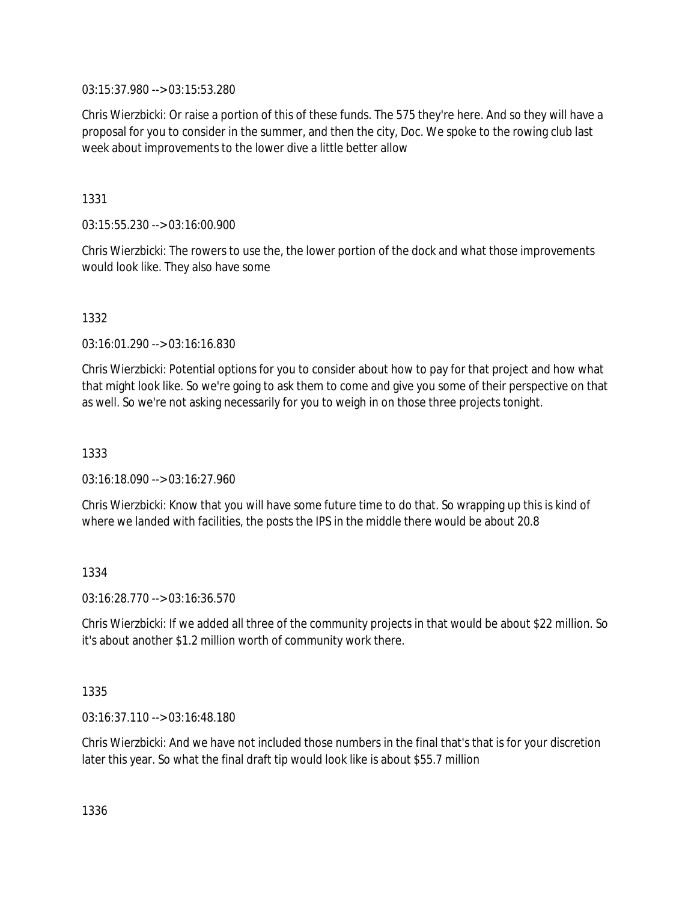03:15:37.980 --> 03:15:53.280

Chris Wierzbicki: Or raise a portion of this of these funds. The 575 they're here. And so they will have a proposal for you to consider in the summer, and then the city, Doc. We spoke to the rowing club last week about improvements to the lower dive a little better allow

1331

03:15:55.230 --> 03:16:00.900

Chris Wierzbicki: The rowers to use the, the lower portion of the dock and what those improvements would look like. They also have some

1332

03:16:01.290 --> 03:16:16.830

Chris Wierzbicki: Potential options for you to consider about how to pay for that project and how what that might look like. So we're going to ask them to come and give you some of their perspective on that as well. So we're not asking necessarily for you to weigh in on those three projects tonight.

1333

03:16:18.090 --> 03:16:27.960

Chris Wierzbicki: Know that you will have some future time to do that. So wrapping up this is kind of where we landed with facilities, the posts the IPS in the middle there would be about 20.8

1334

03:16:28.770 --> 03:16:36.570

Chris Wierzbicki: If we added all three of the community projects in that would be about \$22 million. So it's about another \$1.2 million worth of community work there.

1335

03:16:37.110 --> 03:16:48.180

Chris Wierzbicki: And we have not included those numbers in the final that's that is for your discretion later this year. So what the final draft tip would look like is about \$55.7 million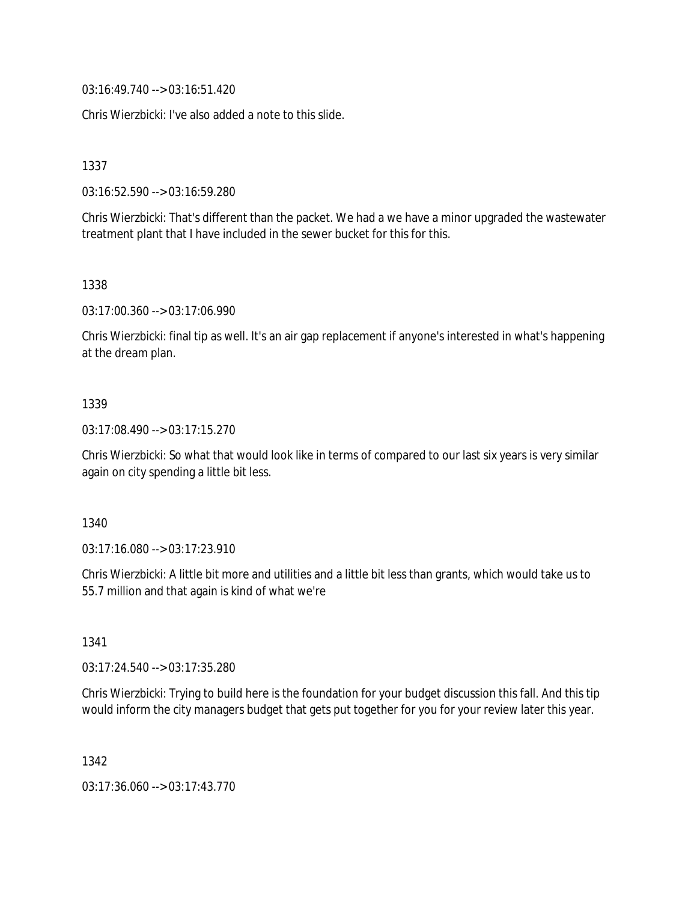03:16:49.740 --> 03:16:51.420

Chris Wierzbicki: I've also added a note to this slide.

1337

03:16:52.590 --> 03:16:59.280

Chris Wierzbicki: That's different than the packet. We had a we have a minor upgraded the wastewater treatment plant that I have included in the sewer bucket for this for this.

#### 1338

03:17:00.360 --> 03:17:06.990

Chris Wierzbicki: final tip as well. It's an air gap replacement if anyone's interested in what's happening at the dream plan.

### 1339

03:17:08.490 --> 03:17:15.270

Chris Wierzbicki: So what that would look like in terms of compared to our last six years is very similar again on city spending a little bit less.

### 1340

03:17:16.080 --> 03:17:23.910

Chris Wierzbicki: A little bit more and utilities and a little bit less than grants, which would take us to 55.7 million and that again is kind of what we're

1341

03:17:24.540 --> 03:17:35.280

Chris Wierzbicki: Trying to build here is the foundation for your budget discussion this fall. And this tip would inform the city managers budget that gets put together for you for your review later this year.

1342

03:17:36.060 --> 03:17:43.770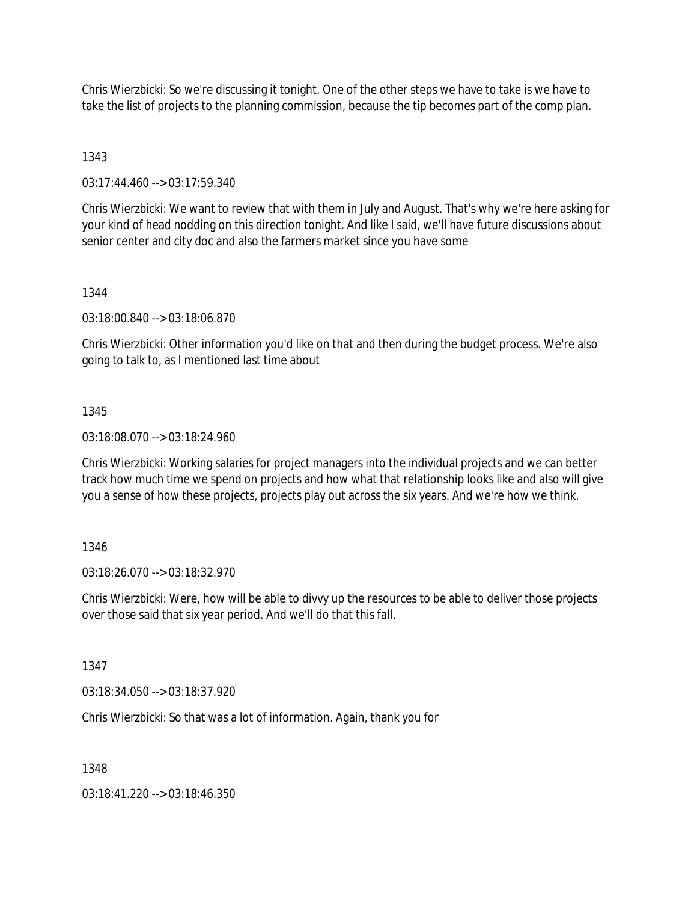Chris Wierzbicki: So we're discussing it tonight. One of the other steps we have to take is we have to take the list of projects to the planning commission, because the tip becomes part of the comp plan.

1343

03:17:44.460 --> 03:17:59.340

Chris Wierzbicki: We want to review that with them in July and August. That's why we're here asking for your kind of head nodding on this direction tonight. And like I said, we'll have future discussions about senior center and city doc and also the farmers market since you have some

1344

03:18:00.840 --> 03:18:06.870

Chris Wierzbicki: Other information you'd like on that and then during the budget process. We're also going to talk to, as I mentioned last time about

#### 1345

03:18:08.070 --> 03:18:24.960

Chris Wierzbicki: Working salaries for project managers into the individual projects and we can better track how much time we spend on projects and how what that relationship looks like and also will give you a sense of how these projects, projects play out across the six years. And we're how we think.

### 1346

03:18:26.070 --> 03:18:32.970

Chris Wierzbicki: Were, how will be able to divvy up the resources to be able to deliver those projects over those said that six year period. And we'll do that this fall.

1347

03:18:34.050 --> 03:18:37.920

Chris Wierzbicki: So that was a lot of information. Again, thank you for

1348

03:18:41.220 --> 03:18:46.350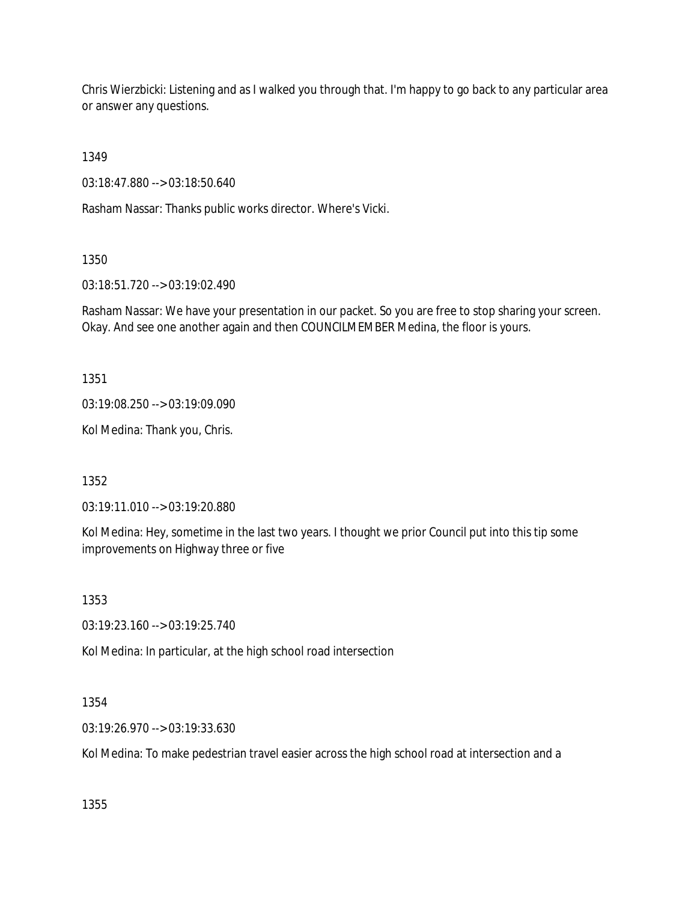Chris Wierzbicki: Listening and as I walked you through that. I'm happy to go back to any particular area or answer any questions.

1349

03:18:47.880 --> 03:18:50.640

Rasham Nassar: Thanks public works director. Where's Vicki.

1350

03:18:51.720 --> 03:19:02.490

Rasham Nassar: We have your presentation in our packet. So you are free to stop sharing your screen. Okay. And see one another again and then COUNCILMEMBER Medina, the floor is yours.

1351

03:19:08.250 --> 03:19:09.090

Kol Medina: Thank you, Chris.

1352

03:19:11.010 --> 03:19:20.880

Kol Medina: Hey, sometime in the last two years. I thought we prior Council put into this tip some improvements on Highway three or five

1353

03:19:23.160 --> 03:19:25.740

Kol Medina: In particular, at the high school road intersection

1354

03:19:26.970 --> 03:19:33.630

Kol Medina: To make pedestrian travel easier across the high school road at intersection and a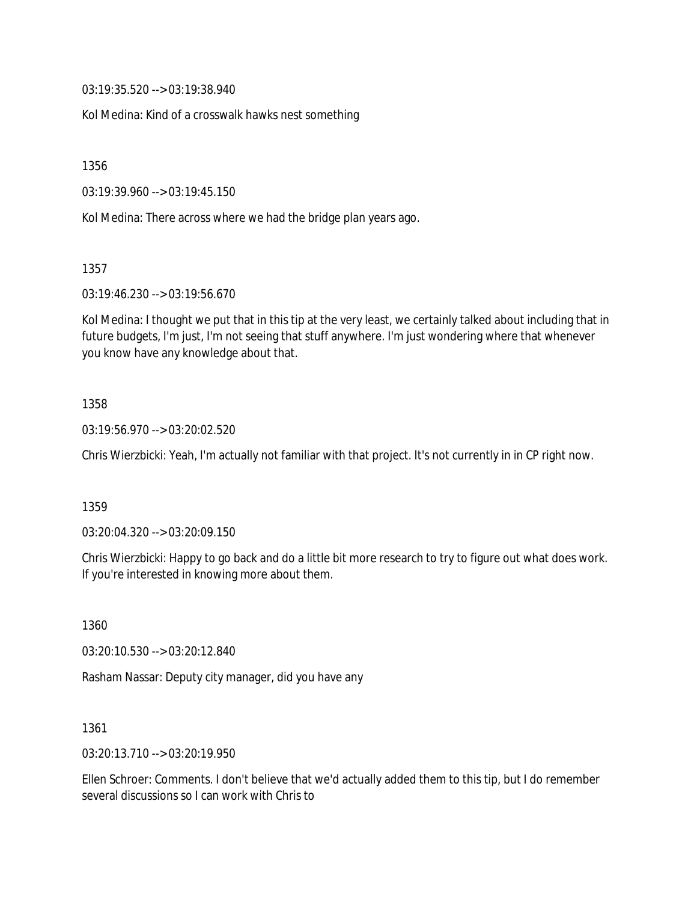03:19:35.520 --> 03:19:38.940

Kol Medina: Kind of a crosswalk hawks nest something

1356

03:19:39.960 --> 03:19:45.150

Kol Medina: There across where we had the bridge plan years ago.

1357

03:19:46.230 --> 03:19:56.670

Kol Medina: I thought we put that in this tip at the very least, we certainly talked about including that in future budgets, I'm just, I'm not seeing that stuff anywhere. I'm just wondering where that whenever you know have any knowledge about that.

### 1358

03:19:56.970 --> 03:20:02.520

Chris Wierzbicki: Yeah, I'm actually not familiar with that project. It's not currently in in CP right now.

### 1359

03:20:04.320 --> 03:20:09.150

Chris Wierzbicki: Happy to go back and do a little bit more research to try to figure out what does work. If you're interested in knowing more about them.

1360

03:20:10.530 --> 03:20:12.840

Rasham Nassar: Deputy city manager, did you have any

1361

03:20:13.710 --> 03:20:19.950

Ellen Schroer: Comments. I don't believe that we'd actually added them to this tip, but I do remember several discussions so I can work with Chris to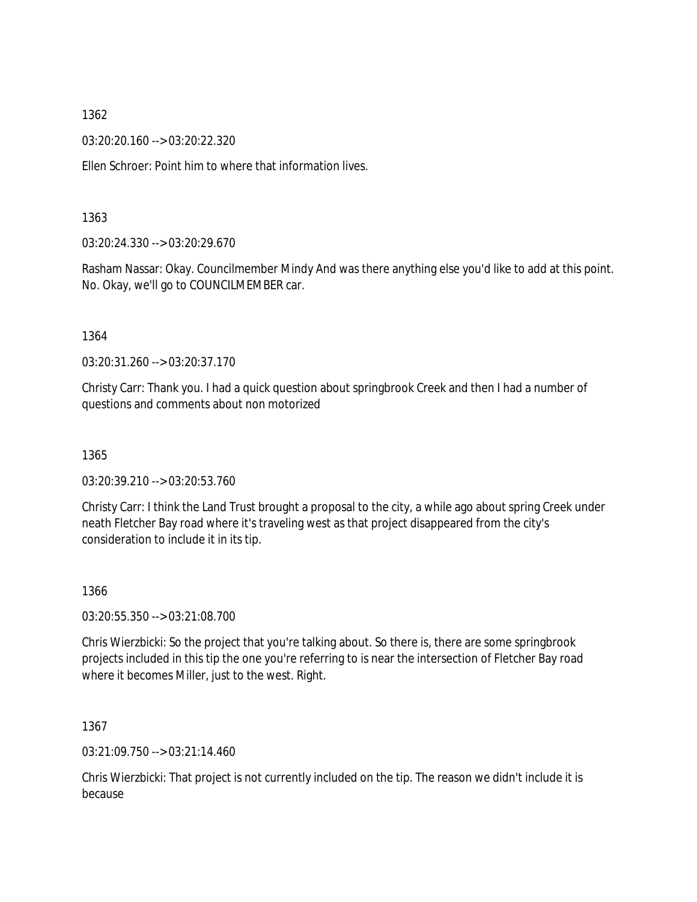03:20:20.160 --> 03:20:22.320

Ellen Schroer: Point him to where that information lives.

#### 1363

03:20:24.330 --> 03:20:29.670

Rasham Nassar: Okay. Councilmember Mindy And was there anything else you'd like to add at this point. No. Okay, we'll go to COUNCILMEMBER car.

#### 1364

03:20:31.260 --> 03:20:37.170

Christy Carr: Thank you. I had a quick question about springbrook Creek and then I had a number of questions and comments about non motorized

1365

03:20:39.210 --> 03:20:53.760

Christy Carr: I think the Land Trust brought a proposal to the city, a while ago about spring Creek under neath Fletcher Bay road where it's traveling west as that project disappeared from the city's consideration to include it in its tip.

1366

03:20:55.350 --> 03:21:08.700

Chris Wierzbicki: So the project that you're talking about. So there is, there are some springbrook projects included in this tip the one you're referring to is near the intersection of Fletcher Bay road where it becomes Miller, just to the west. Right.

1367

03:21:09.750 --> 03:21:14.460

Chris Wierzbicki: That project is not currently included on the tip. The reason we didn't include it is because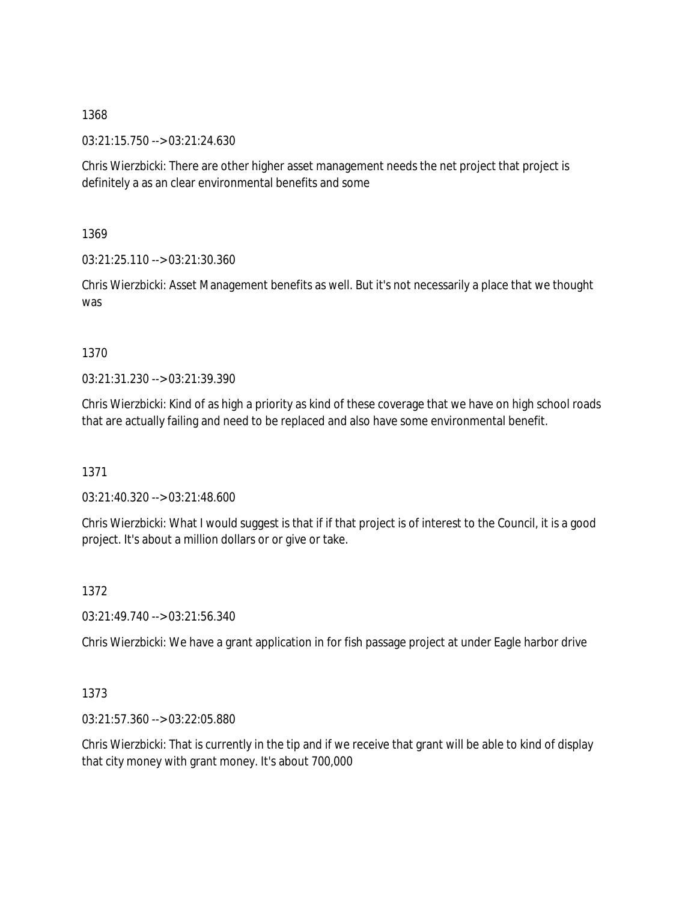03:21:15.750 --> 03:21:24.630

Chris Wierzbicki: There are other higher asset management needs the net project that project is definitely a as an clear environmental benefits and some

1369

03:21:25.110 --> 03:21:30.360

Chris Wierzbicki: Asset Management benefits as well. But it's not necessarily a place that we thought was

1370

03:21:31.230 --> 03:21:39.390

Chris Wierzbicki: Kind of as high a priority as kind of these coverage that we have on high school roads that are actually failing and need to be replaced and also have some environmental benefit.

1371

03:21:40.320 --> 03:21:48.600

Chris Wierzbicki: What I would suggest is that if if that project is of interest to the Council, it is a good project. It's about a million dollars or or give or take.

1372

03:21:49.740 --> 03:21:56.340

Chris Wierzbicki: We have a grant application in for fish passage project at under Eagle harbor drive

1373

03:21:57.360 --> 03:22:05.880

Chris Wierzbicki: That is currently in the tip and if we receive that grant will be able to kind of display that city money with grant money. It's about 700,000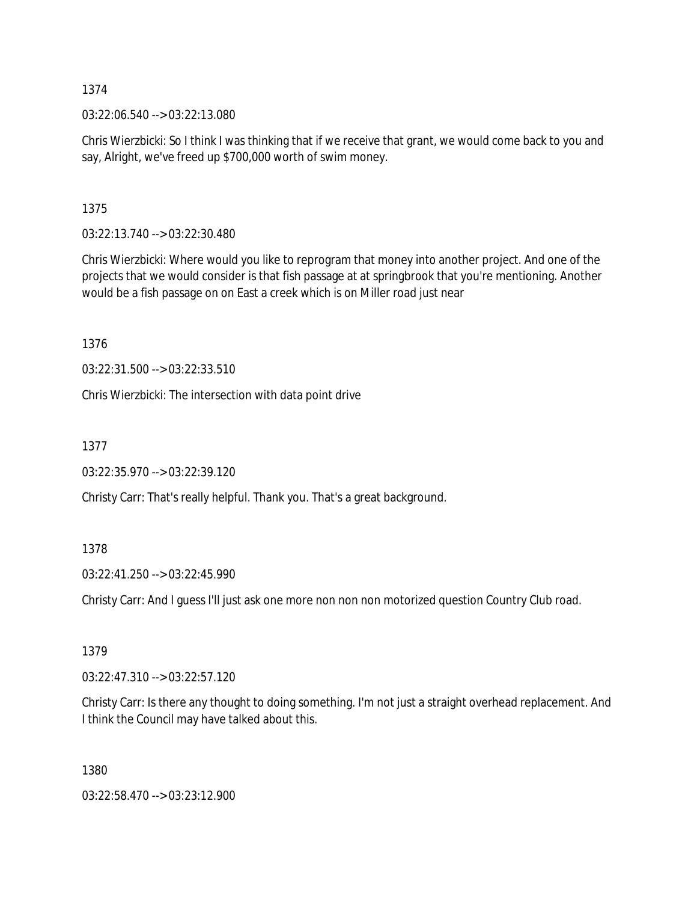03:22:06.540 --> 03:22:13.080

Chris Wierzbicki: So I think I was thinking that if we receive that grant, we would come back to you and say, Alright, we've freed up \$700,000 worth of swim money.

1375

03:22:13.740 --> 03:22:30.480

Chris Wierzbicki: Where would you like to reprogram that money into another project. And one of the projects that we would consider is that fish passage at at springbrook that you're mentioning. Another would be a fish passage on on East a creek which is on Miller road just near

1376

03:22:31.500 --> 03:22:33.510

Chris Wierzbicki: The intersection with data point drive

1377

03:22:35.970 --> 03:22:39.120

Christy Carr: That's really helpful. Thank you. That's a great background.

1378

03:22:41.250 --> 03:22:45.990

Christy Carr: And I guess I'll just ask one more non non non motorized question Country Club road.

1379

03:22:47.310 --> 03:22:57.120

Christy Carr: Is there any thought to doing something. I'm not just a straight overhead replacement. And I think the Council may have talked about this.

1380

03:22:58.470 --> 03:23:12.900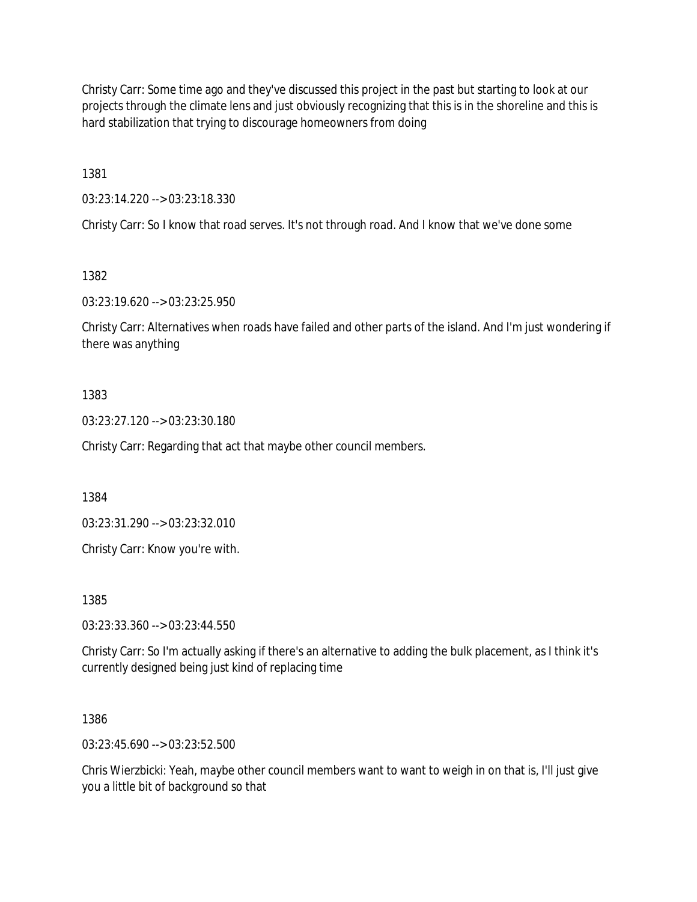Christy Carr: Some time ago and they've discussed this project in the past but starting to look at our projects through the climate lens and just obviously recognizing that this is in the shoreline and this is hard stabilization that trying to discourage homeowners from doing

1381

03:23:14.220 --> 03:23:18.330

Christy Carr: So I know that road serves. It's not through road. And I know that we've done some

1382

03:23:19.620 --> 03:23:25.950

Christy Carr: Alternatives when roads have failed and other parts of the island. And I'm just wondering if there was anything

## 1383

03:23:27.120 --> 03:23:30.180

Christy Carr: Regarding that act that maybe other council members.

1384

03:23:31.290 --> 03:23:32.010

Christy Carr: Know you're with.

1385

03:23:33.360 --> 03:23:44.550

Christy Carr: So I'm actually asking if there's an alternative to adding the bulk placement, as I think it's currently designed being just kind of replacing time

1386

03:23:45.690 --> 03:23:52.500

Chris Wierzbicki: Yeah, maybe other council members want to want to weigh in on that is, I'll just give you a little bit of background so that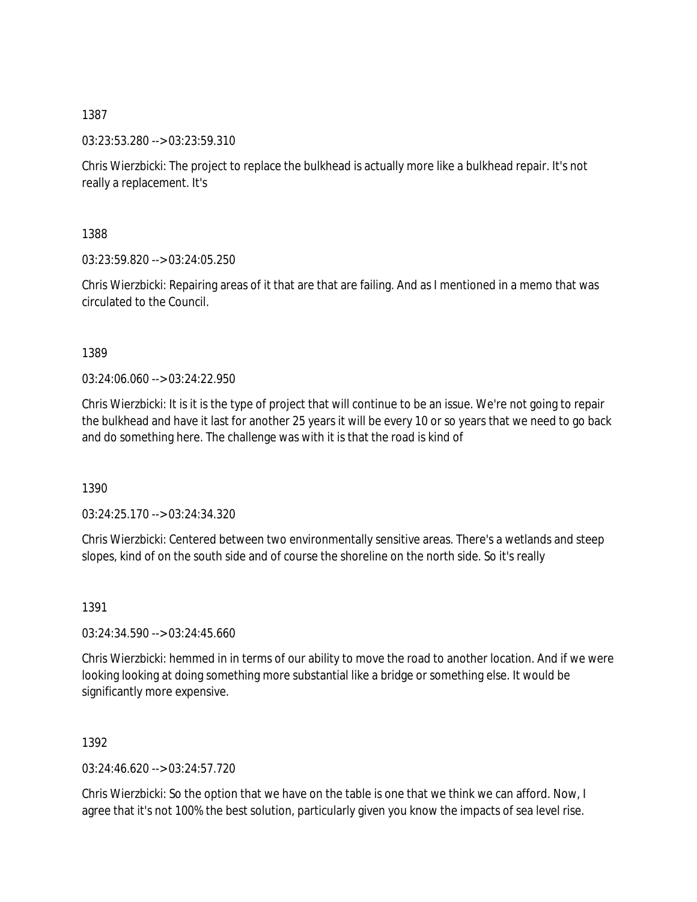03:23:53.280 --> 03:23:59.310

Chris Wierzbicki: The project to replace the bulkhead is actually more like a bulkhead repair. It's not really a replacement. It's

1388

03:23:59.820 --> 03:24:05.250

Chris Wierzbicki: Repairing areas of it that are that are failing. And as I mentioned in a memo that was circulated to the Council.

1389

 $03:24:06.060 \rightarrow 03:24:22.950$ 

Chris Wierzbicki: It is it is the type of project that will continue to be an issue. We're not going to repair the bulkhead and have it last for another 25 years it will be every 10 or so years that we need to go back and do something here. The challenge was with it is that the road is kind of

1390

03:24:25.170 --> 03:24:34.320

Chris Wierzbicki: Centered between two environmentally sensitive areas. There's a wetlands and steep slopes, kind of on the south side and of course the shoreline on the north side. So it's really

1391

03:24:34.590 --> 03:24:45.660

Chris Wierzbicki: hemmed in in terms of our ability to move the road to another location. And if we were looking looking at doing something more substantial like a bridge or something else. It would be significantly more expensive.

1392

03:24:46.620 --> 03:24:57.720

Chris Wierzbicki: So the option that we have on the table is one that we think we can afford. Now, I agree that it's not 100% the best solution, particularly given you know the impacts of sea level rise.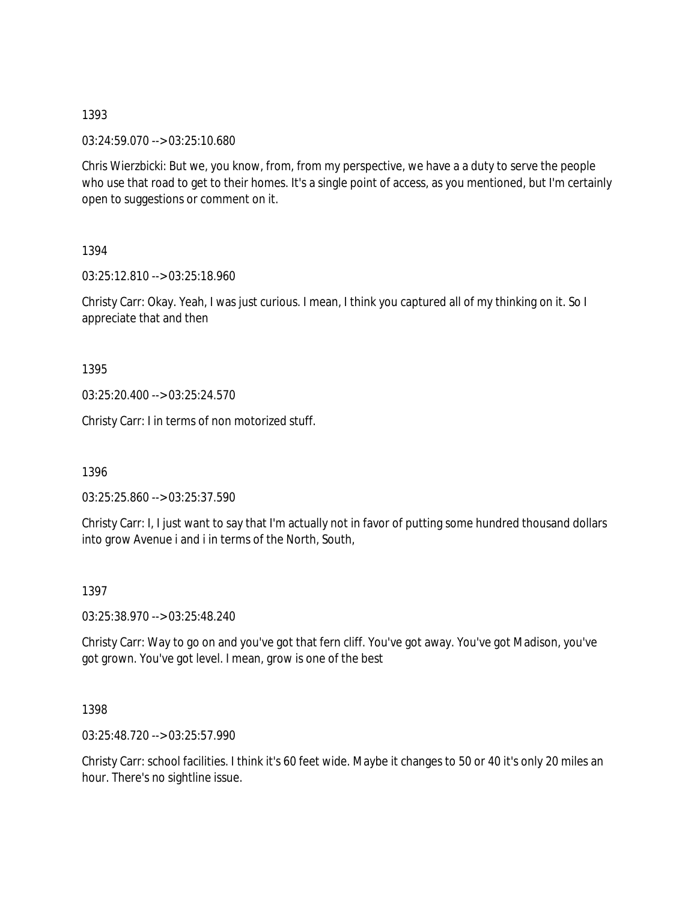03:24:59.070 --> 03:25:10.680

Chris Wierzbicki: But we, you know, from, from my perspective, we have a a duty to serve the people who use that road to get to their homes. It's a single point of access, as you mentioned, but I'm certainly open to suggestions or comment on it.

1394

03:25:12.810 --> 03:25:18.960

Christy Carr: Okay. Yeah, I was just curious. I mean, I think you captured all of my thinking on it. So I appreciate that and then

1395

03:25:20.400 --> 03:25:24.570

Christy Carr: I in terms of non motorized stuff.

1396

03:25:25.860 --> 03:25:37.590

Christy Carr: I, I just want to say that I'm actually not in favor of putting some hundred thousand dollars into grow Avenue i and i in terms of the North, South,

1397

03:25:38.970 --> 03:25:48.240

Christy Carr: Way to go on and you've got that fern cliff. You've got away. You've got Madison, you've got grown. You've got level. I mean, grow is one of the best

1398

03:25:48.720 --> 03:25:57.990

Christy Carr: school facilities. I think it's 60 feet wide. Maybe it changes to 50 or 40 it's only 20 miles an hour. There's no sightline issue.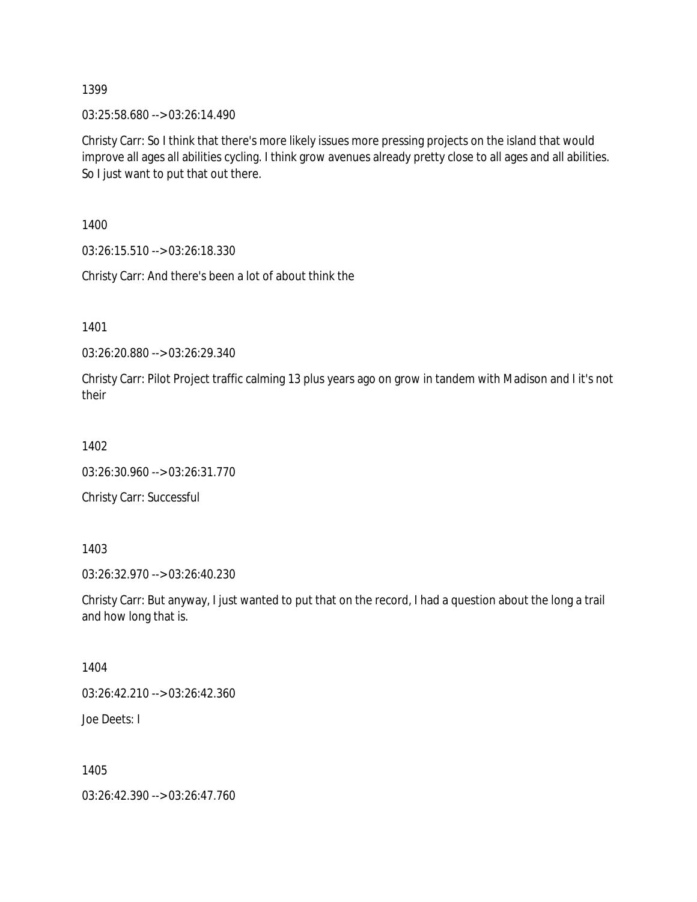03:25:58.680 --> 03:26:14.490

Christy Carr: So I think that there's more likely issues more pressing projects on the island that would improve all ages all abilities cycling. I think grow avenues already pretty close to all ages and all abilities. So I just want to put that out there.

1400

03:26:15.510 --> 03:26:18.330

Christy Carr: And there's been a lot of about think the

1401

03:26:20.880 --> 03:26:29.340

Christy Carr: Pilot Project traffic calming 13 plus years ago on grow in tandem with Madison and I it's not their

1402

```
03:26:30.960 --> 03:26:31.770
```
Christy Carr: Successful

1403

03:26:32.970 --> 03:26:40.230

Christy Carr: But anyway, I just wanted to put that on the record, I had a question about the long a trail and how long that is.

1404

03:26:42.210 --> 03:26:42.360

Joe Deets: I

1405

03:26:42.390 --> 03:26:47.760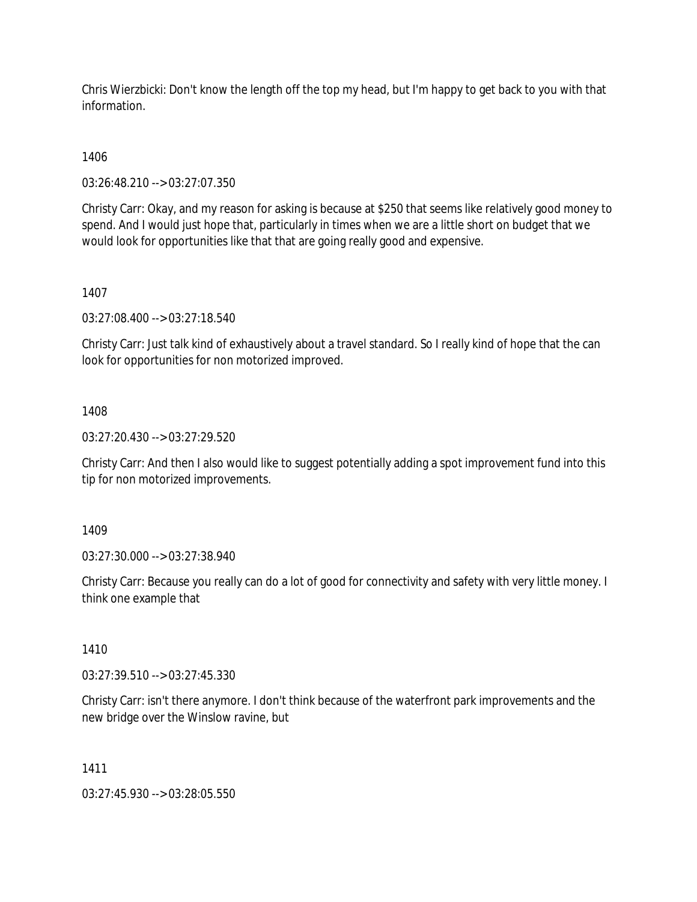Chris Wierzbicki: Don't know the length off the top my head, but I'm happy to get back to you with that information.

1406

03:26:48.210 --> 03:27:07.350

Christy Carr: Okay, and my reason for asking is because at \$250 that seems like relatively good money to spend. And I would just hope that, particularly in times when we are a little short on budget that we would look for opportunities like that that are going really good and expensive.

1407

03:27:08.400 --> 03:27:18.540

Christy Carr: Just talk kind of exhaustively about a travel standard. So I really kind of hope that the can look for opportunities for non motorized improved.

## 1408

03:27:20.430 --> 03:27:29.520

Christy Carr: And then I also would like to suggest potentially adding a spot improvement fund into this tip for non motorized improvements.

1409

03:27:30.000 --> 03:27:38.940

Christy Carr: Because you really can do a lot of good for connectivity and safety with very little money. I think one example that

1410

03:27:39.510 --> 03:27:45.330

Christy Carr: isn't there anymore. I don't think because of the waterfront park improvements and the new bridge over the Winslow ravine, but

1411

03:27:45.930 --> 03:28:05.550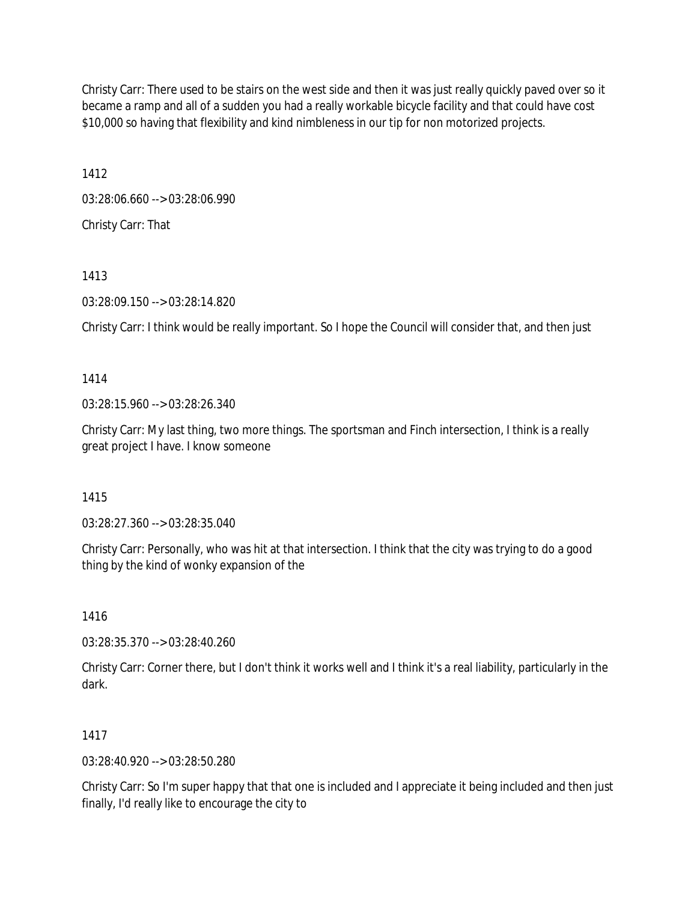Christy Carr: There used to be stairs on the west side and then it was just really quickly paved over so it became a ramp and all of a sudden you had a really workable bicycle facility and that could have cost \$10,000 so having that flexibility and kind nimbleness in our tip for non motorized projects.

1412

03:28:06.660 --> 03:28:06.990 Christy Carr: That

1413

03:28:09.150 --> 03:28:14.820

Christy Carr: I think would be really important. So I hope the Council will consider that, and then just

1414

03:28:15.960 --> 03:28:26.340

Christy Carr: My last thing, two more things. The sportsman and Finch intersection, I think is a really great project I have. I know someone

1415

03:28:27.360 --> 03:28:35.040

Christy Carr: Personally, who was hit at that intersection. I think that the city was trying to do a good thing by the kind of wonky expansion of the

1416

03:28:35.370 --> 03:28:40.260

Christy Carr: Corner there, but I don't think it works well and I think it's a real liability, particularly in the dark.

# 1417

03:28:40.920 --> 03:28:50.280

Christy Carr: So I'm super happy that that one is included and I appreciate it being included and then just finally, I'd really like to encourage the city to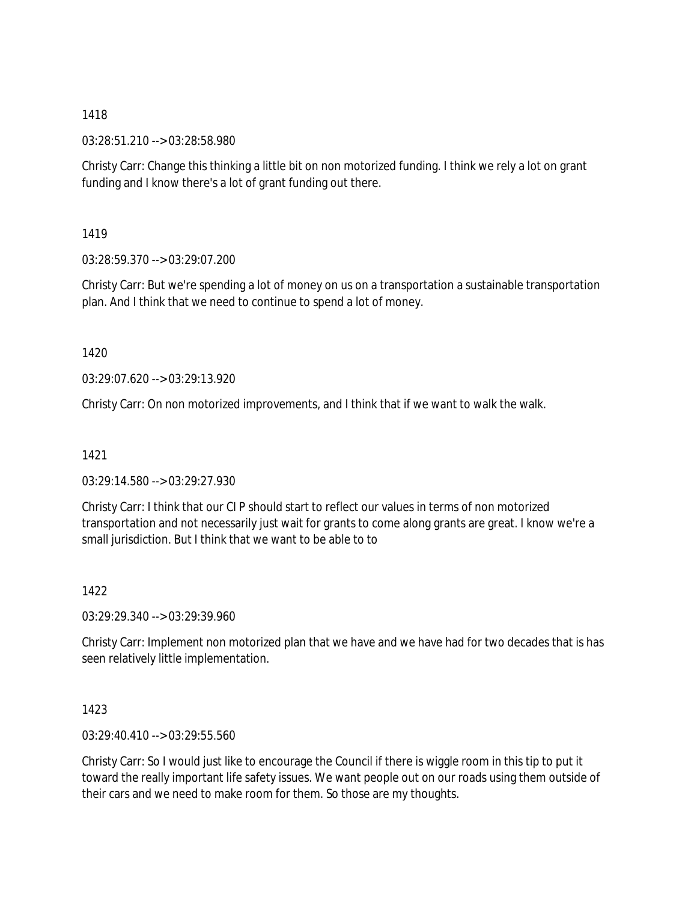03:28:51.210 --> 03:28:58.980

Christy Carr: Change this thinking a little bit on non motorized funding. I think we rely a lot on grant funding and I know there's a lot of grant funding out there.

1419

03:28:59.370 --> 03:29:07.200

Christy Carr: But we're spending a lot of money on us on a transportation a sustainable transportation plan. And I think that we need to continue to spend a lot of money.

1420

03:29:07.620 --> 03:29:13.920

Christy Carr: On non motorized improvements, and I think that if we want to walk the walk.

1421

03:29:14.580 --> 03:29:27.930

Christy Carr: I think that our CI P should start to reflect our values in terms of non motorized transportation and not necessarily just wait for grants to come along grants are great. I know we're a small jurisdiction. But I think that we want to be able to to

1422

03:29:29.340 --> 03:29:39.960

Christy Carr: Implement non motorized plan that we have and we have had for two decades that is has seen relatively little implementation.

1423

03:29:40.410 --> 03:29:55.560

Christy Carr: So I would just like to encourage the Council if there is wiggle room in this tip to put it toward the really important life safety issues. We want people out on our roads using them outside of their cars and we need to make room for them. So those are my thoughts.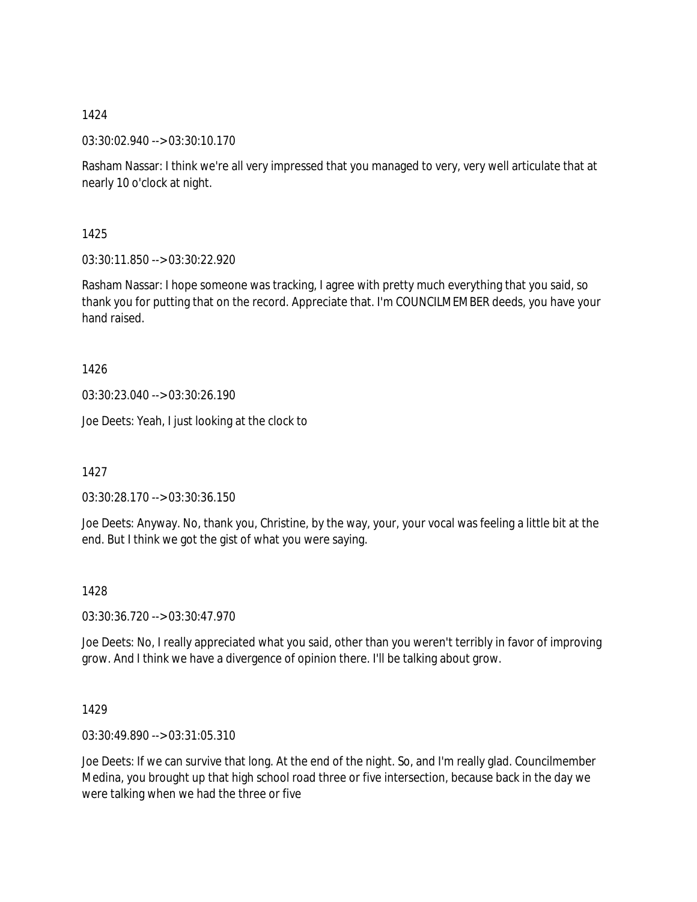03:30:02.940 --> 03:30:10.170

Rasham Nassar: I think we're all very impressed that you managed to very, very well articulate that at nearly 10 o'clock at night.

1425

03:30:11.850 --> 03:30:22.920

Rasham Nassar: I hope someone was tracking, I agree with pretty much everything that you said, so thank you for putting that on the record. Appreciate that. I'm COUNCILMEMBER deeds, you have your hand raised.

1426

03:30:23.040 --> 03:30:26.190

Joe Deets: Yeah, I just looking at the clock to

1427

03:30:28.170 --> 03:30:36.150

Joe Deets: Anyway. No, thank you, Christine, by the way, your, your vocal was feeling a little bit at the end. But I think we got the gist of what you were saying.

1428

03:30:36.720 --> 03:30:47.970

Joe Deets: No, I really appreciated what you said, other than you weren't terribly in favor of improving grow. And I think we have a divergence of opinion there. I'll be talking about grow.

1429

03:30:49.890 --> 03:31:05.310

Joe Deets: If we can survive that long. At the end of the night. So, and I'm really glad. Councilmember Medina, you brought up that high school road three or five intersection, because back in the day we were talking when we had the three or five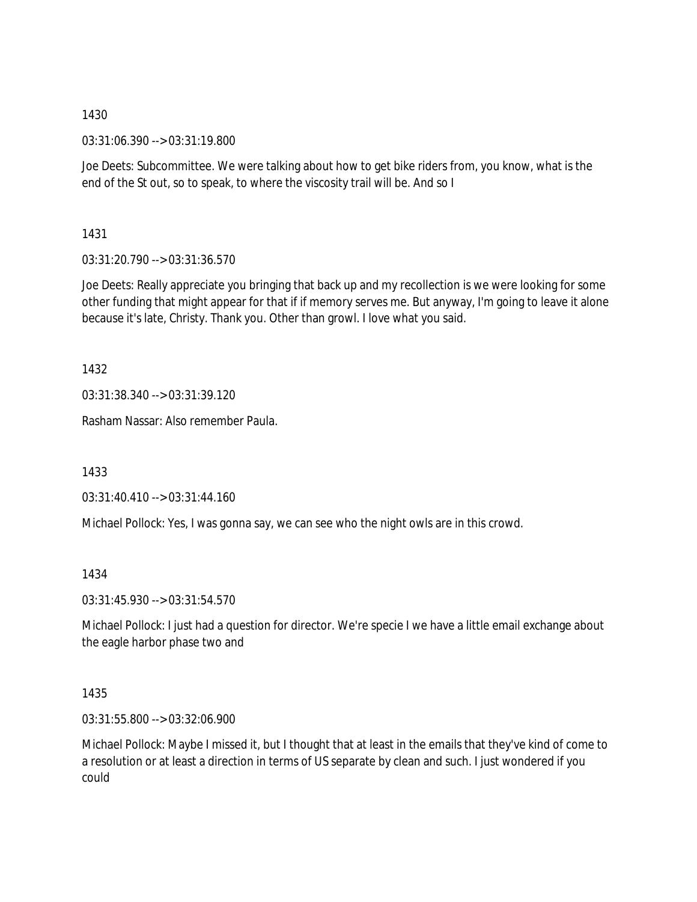03:31:06.390 --> 03:31:19.800

Joe Deets: Subcommittee. We were talking about how to get bike riders from, you know, what is the end of the St out, so to speak, to where the viscosity trail will be. And so I

1431

03:31:20.790 --> 03:31:36.570

Joe Deets: Really appreciate you bringing that back up and my recollection is we were looking for some other funding that might appear for that if if memory serves me. But anyway, I'm going to leave it alone because it's late, Christy. Thank you. Other than growl. I love what you said.

1432

03:31:38.340 --> 03:31:39.120

Rasham Nassar: Also remember Paula.

1433

03:31:40.410 --> 03:31:44.160

Michael Pollock: Yes, I was gonna say, we can see who the night owls are in this crowd.

1434

03:31:45.930 --> 03:31:54.570

Michael Pollock: I just had a question for director. We're specie I we have a little email exchange about the eagle harbor phase two and

1435

03:31:55.800 --> 03:32:06.900

Michael Pollock: Maybe I missed it, but I thought that at least in the emails that they've kind of come to a resolution or at least a direction in terms of US separate by clean and such. I just wondered if you could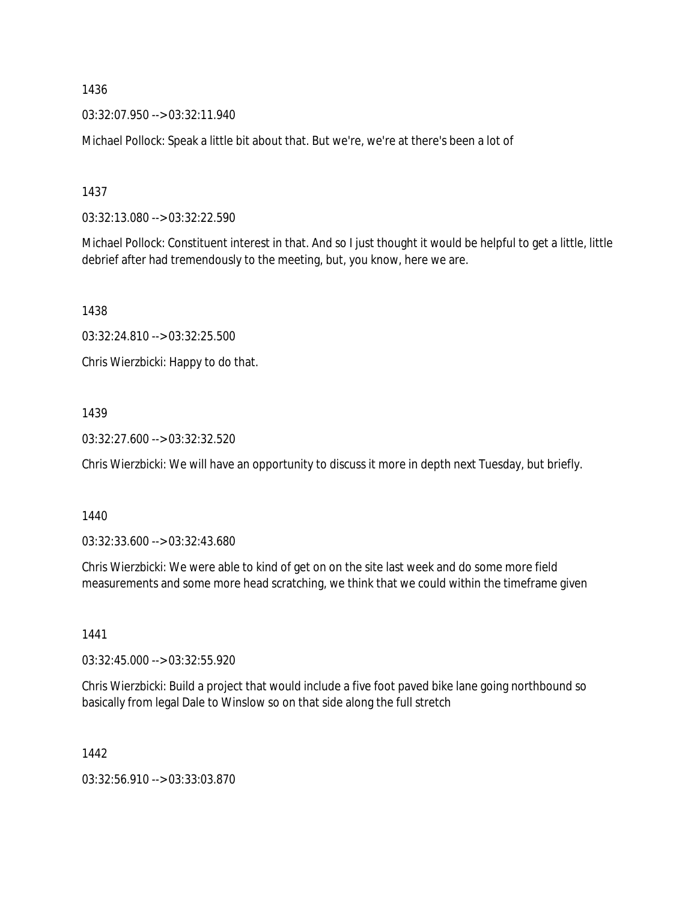03:32:07.950 --> 03:32:11.940

Michael Pollock: Speak a little bit about that. But we're, we're at there's been a lot of

1437

03:32:13.080 --> 03:32:22.590

Michael Pollock: Constituent interest in that. And so I just thought it would be helpful to get a little, little debrief after had tremendously to the meeting, but, you know, here we are.

1438

03:32:24.810 --> 03:32:25.500

Chris Wierzbicki: Happy to do that.

## 1439

03:32:27.600 --> 03:32:32.520

Chris Wierzbicki: We will have an opportunity to discuss it more in depth next Tuesday, but briefly.

1440

03:32:33.600 --> 03:32:43.680

Chris Wierzbicki: We were able to kind of get on on the site last week and do some more field measurements and some more head scratching, we think that we could within the timeframe given

1441

03:32:45.000 --> 03:32:55.920

Chris Wierzbicki: Build a project that would include a five foot paved bike lane going northbound so basically from legal Dale to Winslow so on that side along the full stretch

1442

03:32:56.910 --> 03:33:03.870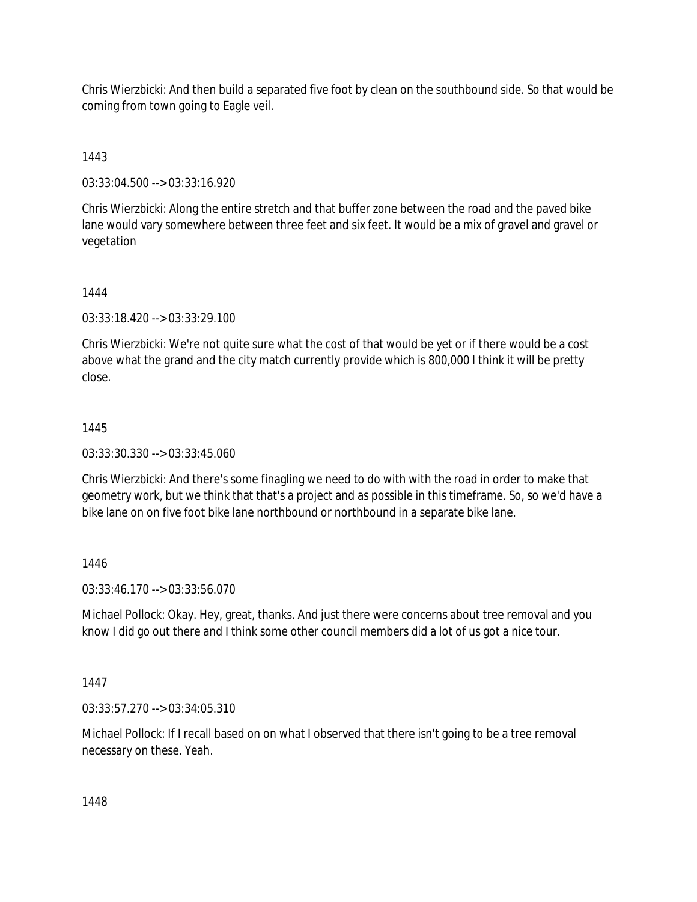Chris Wierzbicki: And then build a separated five foot by clean on the southbound side. So that would be coming from town going to Eagle veil.

1443

03:33:04.500 --> 03:33:16.920

Chris Wierzbicki: Along the entire stretch and that buffer zone between the road and the paved bike lane would vary somewhere between three feet and six feet. It would be a mix of gravel and gravel or vegetation

1444

03:33:18.420 --> 03:33:29.100

Chris Wierzbicki: We're not quite sure what the cost of that would be yet or if there would be a cost above what the grand and the city match currently provide which is 800,000 I think it will be pretty close.

## 1445

03:33:30.330 --> 03:33:45.060

Chris Wierzbicki: And there's some finagling we need to do with with the road in order to make that geometry work, but we think that that's a project and as possible in this timeframe. So, so we'd have a bike lane on on five foot bike lane northbound or northbound in a separate bike lane.

## 1446

03:33:46.170 --> 03:33:56.070

Michael Pollock: Okay. Hey, great, thanks. And just there were concerns about tree removal and you know I did go out there and I think some other council members did a lot of us got a nice tour.

1447

03:33:57.270 --> 03:34:05.310

Michael Pollock: If I recall based on on what I observed that there isn't going to be a tree removal necessary on these. Yeah.

1448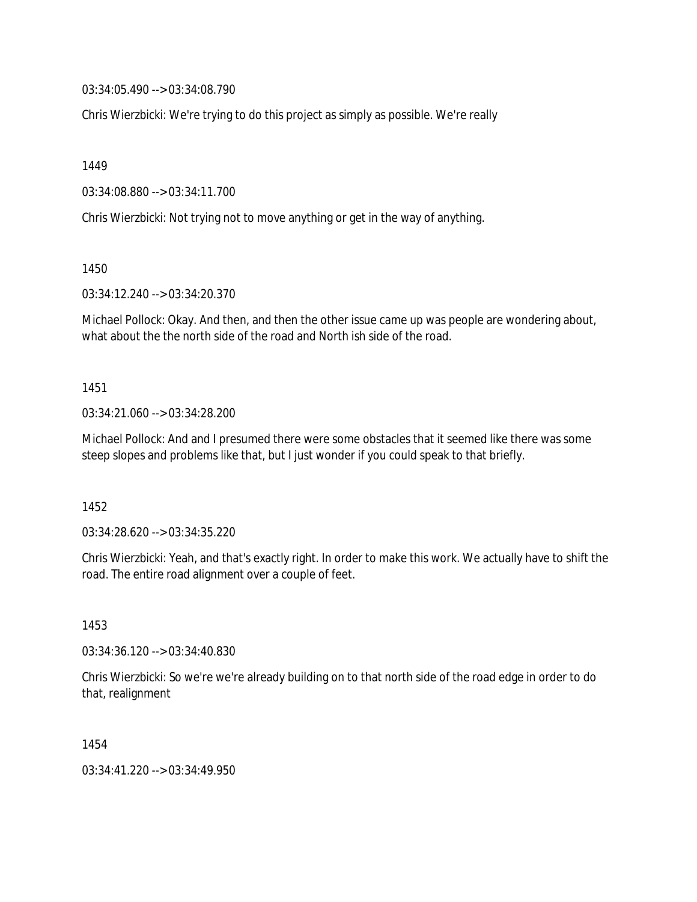03:34:05.490 --> 03:34:08.790

Chris Wierzbicki: We're trying to do this project as simply as possible. We're really

1449

03:34:08.880 --> 03:34:11.700

Chris Wierzbicki: Not trying not to move anything or get in the way of anything.

1450

03:34:12.240 --> 03:34:20.370

Michael Pollock: Okay. And then, and then the other issue came up was people are wondering about, what about the the north side of the road and North ish side of the road.

1451

03:34:21.060 --> 03:34:28.200

Michael Pollock: And and I presumed there were some obstacles that it seemed like there was some steep slopes and problems like that, but I just wonder if you could speak to that briefly.

1452

03:34:28.620 --> 03:34:35.220

Chris Wierzbicki: Yeah, and that's exactly right. In order to make this work. We actually have to shift the road. The entire road alignment over a couple of feet.

1453

03:34:36.120 --> 03:34:40.830

Chris Wierzbicki: So we're we're already building on to that north side of the road edge in order to do that, realignment

1454

03:34:41.220 --> 03:34:49.950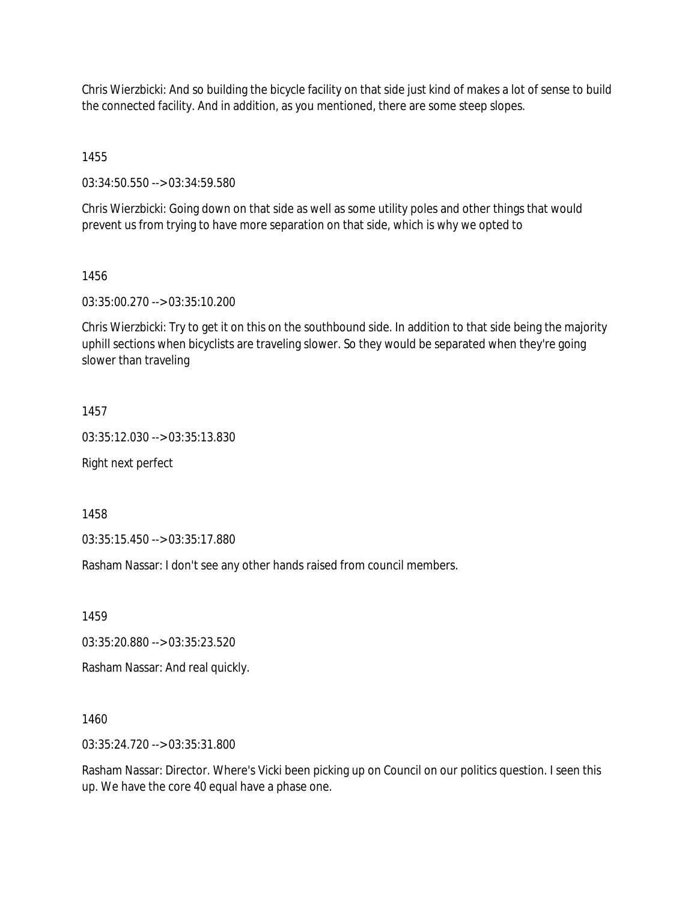Chris Wierzbicki: And so building the bicycle facility on that side just kind of makes a lot of sense to build the connected facility. And in addition, as you mentioned, there are some steep slopes.

1455

03:34:50.550 --> 03:34:59.580

Chris Wierzbicki: Going down on that side as well as some utility poles and other things that would prevent us from trying to have more separation on that side, which is why we opted to

## 1456

03:35:00.270 --> 03:35:10.200

Chris Wierzbicki: Try to get it on this on the southbound side. In addition to that side being the majority uphill sections when bicyclists are traveling slower. So they would be separated when they're going slower than traveling

## 1457

03:35:12.030 --> 03:35:13.830

Right next perfect

1458

03:35:15.450 --> 03:35:17.880

Rasham Nassar: I don't see any other hands raised from council members.

1459

03:35:20.880 --> 03:35:23.520

Rasham Nassar: And real quickly.

1460

03:35:24.720 --> 03:35:31.800

Rasham Nassar: Director. Where's Vicki been picking up on Council on our politics question. I seen this up. We have the core 40 equal have a phase one.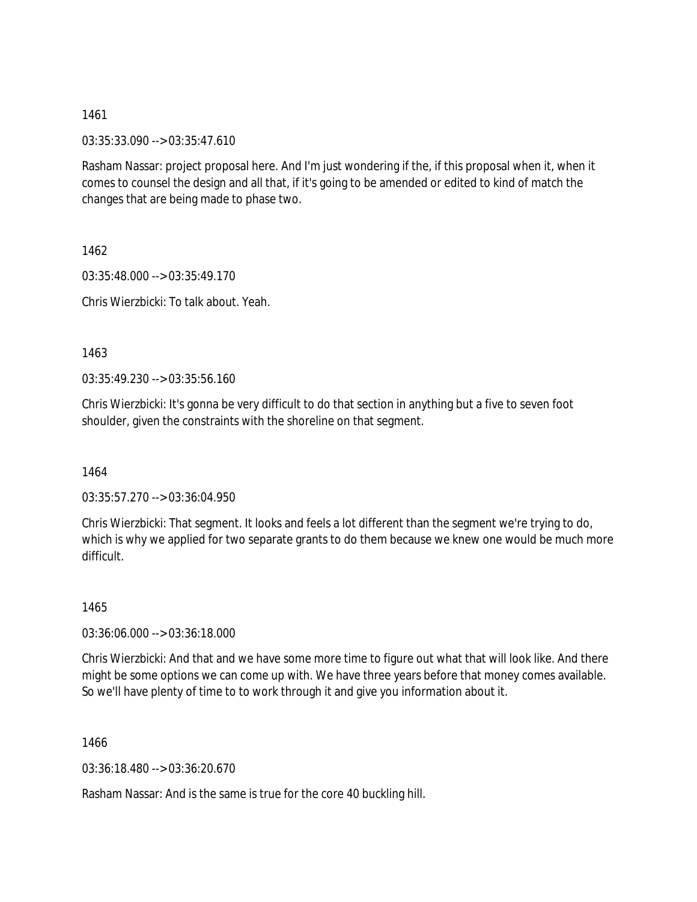03:35:33.090 --> 03:35:47.610

Rasham Nassar: project proposal here. And I'm just wondering if the, if this proposal when it, when it comes to counsel the design and all that, if it's going to be amended or edited to kind of match the changes that are being made to phase two.

1462

03:35:48.000 --> 03:35:49.170 Chris Wierzbicki: To talk about. Yeah.

1463

03:35:49.230 --> 03:35:56.160

Chris Wierzbicki: It's gonna be very difficult to do that section in anything but a five to seven foot shoulder, given the constraints with the shoreline on that segment.

1464

03:35:57.270 --> 03:36:04.950

Chris Wierzbicki: That segment. It looks and feels a lot different than the segment we're trying to do, which is why we applied for two separate grants to do them because we knew one would be much more difficult.

1465

03:36:06.000 --> 03:36:18.000

Chris Wierzbicki: And that and we have some more time to figure out what that will look like. And there might be some options we can come up with. We have three years before that money comes available. So we'll have plenty of time to to work through it and give you information about it.

1466

03:36:18.480 --> 03:36:20.670

Rasham Nassar: And is the same is true for the core 40 buckling hill.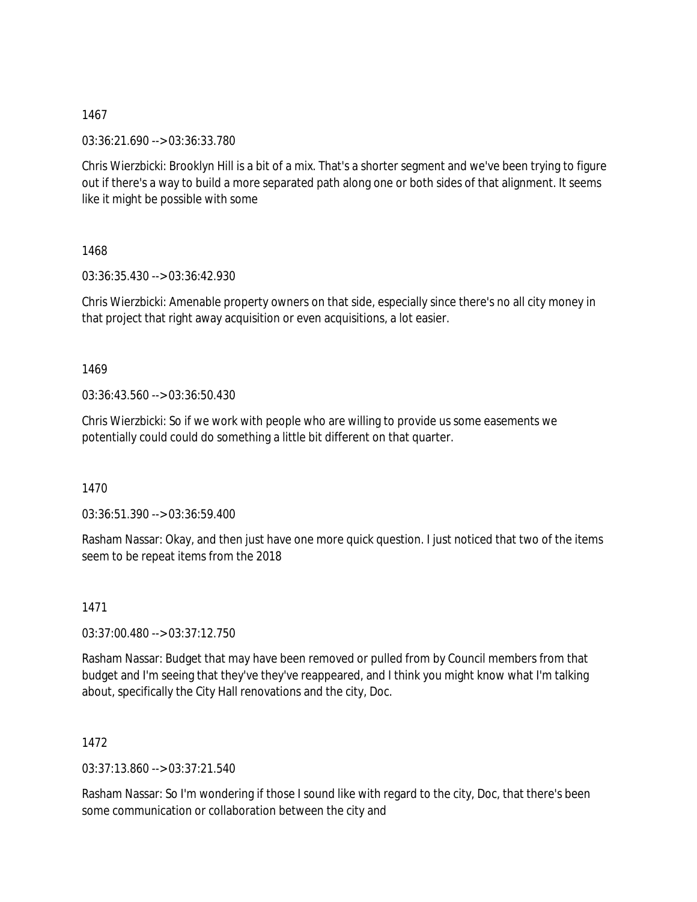03:36:21.690 --> 03:36:33.780

Chris Wierzbicki: Brooklyn Hill is a bit of a mix. That's a shorter segment and we've been trying to figure out if there's a way to build a more separated path along one or both sides of that alignment. It seems like it might be possible with some

1468

03:36:35.430 --> 03:36:42.930

Chris Wierzbicki: Amenable property owners on that side, especially since there's no all city money in that project that right away acquisition or even acquisitions, a lot easier.

1469

03:36:43.560 --> 03:36:50.430

Chris Wierzbicki: So if we work with people who are willing to provide us some easements we potentially could could do something a little bit different on that quarter.

1470

03:36:51.390 --> 03:36:59.400

Rasham Nassar: Okay, and then just have one more quick question. I just noticed that two of the items seem to be repeat items from the 2018

1471

03:37:00.480 --> 03:37:12.750

Rasham Nassar: Budget that may have been removed or pulled from by Council members from that budget and I'm seeing that they've they've reappeared, and I think you might know what I'm talking about, specifically the City Hall renovations and the city, Doc.

1472

03:37:13.860 --> 03:37:21.540

Rasham Nassar: So I'm wondering if those I sound like with regard to the city, Doc, that there's been some communication or collaboration between the city and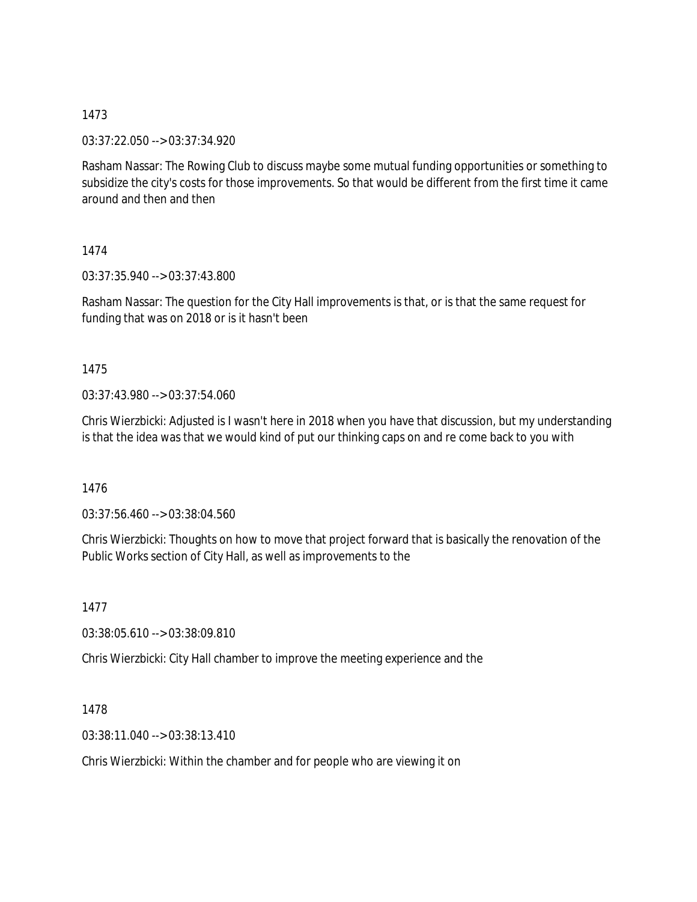03:37:22.050 --> 03:37:34.920

Rasham Nassar: The Rowing Club to discuss maybe some mutual funding opportunities or something to subsidize the city's costs for those improvements. So that would be different from the first time it came around and then and then

1474

03:37:35.940 --> 03:37:43.800

Rasham Nassar: The question for the City Hall improvements is that, or is that the same request for funding that was on 2018 or is it hasn't been

1475

03:37:43.980 --> 03:37:54.060

Chris Wierzbicki: Adjusted is I wasn't here in 2018 when you have that discussion, but my understanding is that the idea was that we would kind of put our thinking caps on and re come back to you with

1476

03:37:56.460 --> 03:38:04.560

Chris Wierzbicki: Thoughts on how to move that project forward that is basically the renovation of the Public Works section of City Hall, as well as improvements to the

1477

03:38:05.610 --> 03:38:09.810

Chris Wierzbicki: City Hall chamber to improve the meeting experience and the

1478

03:38:11.040 --> 03:38:13.410

Chris Wierzbicki: Within the chamber and for people who are viewing it on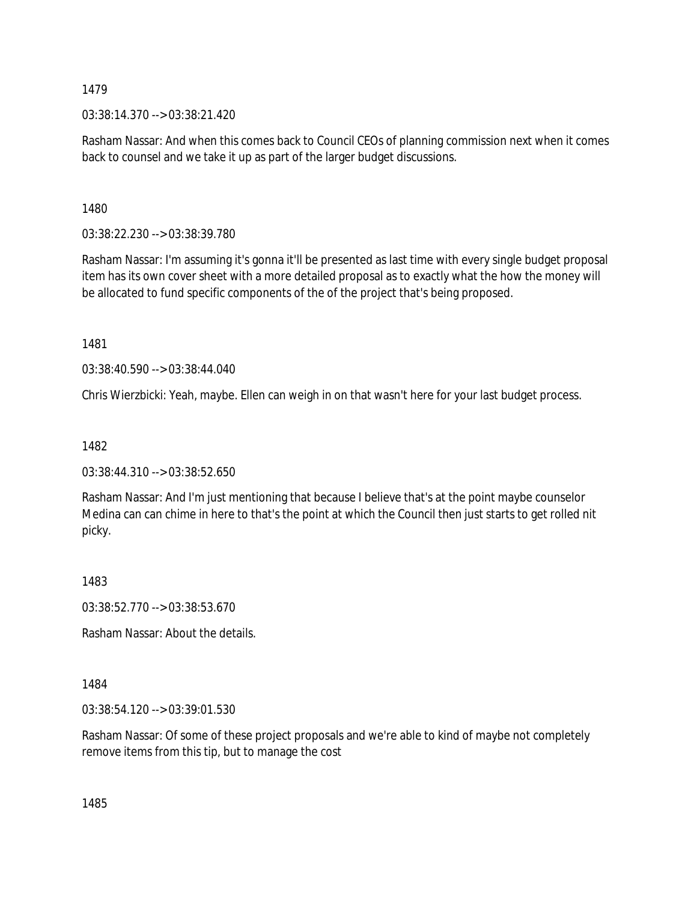03:38:14.370 --> 03:38:21.420

Rasham Nassar: And when this comes back to Council CEOs of planning commission next when it comes back to counsel and we take it up as part of the larger budget discussions.

1480

03:38:22.230 --> 03:38:39.780

Rasham Nassar: I'm assuming it's gonna it'll be presented as last time with every single budget proposal item has its own cover sheet with a more detailed proposal as to exactly what the how the money will be allocated to fund specific components of the of the project that's being proposed.

1481

03:38:40.590 --> 03:38:44.040

Chris Wierzbicki: Yeah, maybe. Ellen can weigh in on that wasn't here for your last budget process.

1482

03:38:44.310 --> 03:38:52.650

Rasham Nassar: And I'm just mentioning that because I believe that's at the point maybe counselor Medina can can chime in here to that's the point at which the Council then just starts to get rolled nit picky.

1483

03:38:52.770 --> 03:38:53.670

Rasham Nassar: About the details.

1484

03:38:54.120 --> 03:39:01.530

Rasham Nassar: Of some of these project proposals and we're able to kind of maybe not completely remove items from this tip, but to manage the cost

1485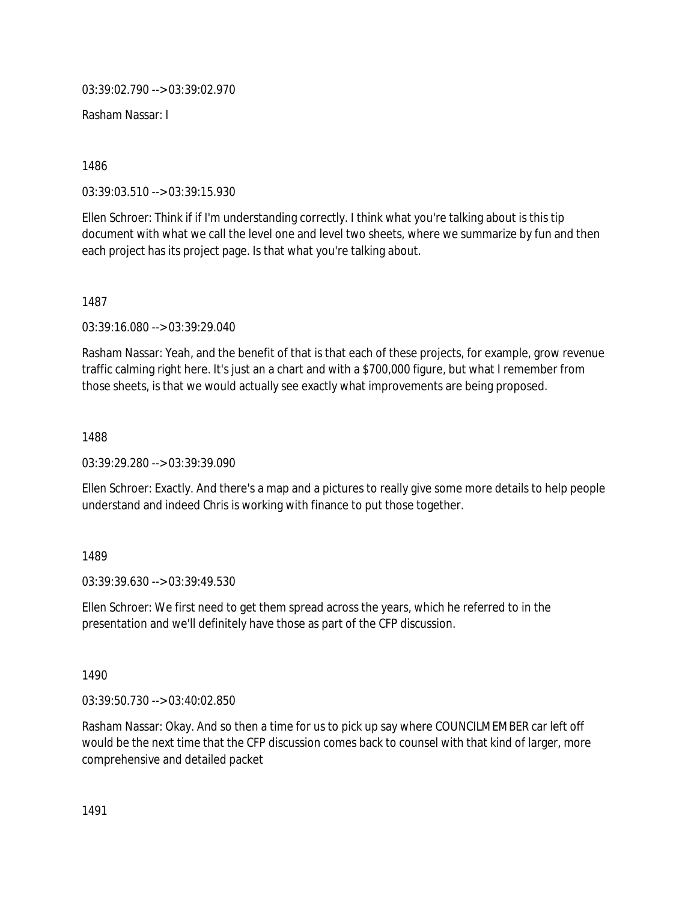03:39:02.790 --> 03:39:02.970

Rasham Nassar: I

1486

03:39:03.510 --> 03:39:15.930

Ellen Schroer: Think if if I'm understanding correctly. I think what you're talking about is this tip document with what we call the level one and level two sheets, where we summarize by fun and then each project has its project page. Is that what you're talking about.

1487

03:39:16.080 --> 03:39:29.040

Rasham Nassar: Yeah, and the benefit of that is that each of these projects, for example, grow revenue traffic calming right here. It's just an a chart and with a \$700,000 figure, but what I remember from those sheets, is that we would actually see exactly what improvements are being proposed.

1488

03:39:29.280 --> 03:39:39.090

Ellen Schroer: Exactly. And there's a map and a pictures to really give some more details to help people understand and indeed Chris is working with finance to put those together.

1489

03:39:39.630 --> 03:39:49.530

Ellen Schroer: We first need to get them spread across the years, which he referred to in the presentation and we'll definitely have those as part of the CFP discussion.

1490

03:39:50.730 --> 03:40:02.850

Rasham Nassar: Okay. And so then a time for us to pick up say where COUNCILMEMBER car left off would be the next time that the CFP discussion comes back to counsel with that kind of larger, more comprehensive and detailed packet

1491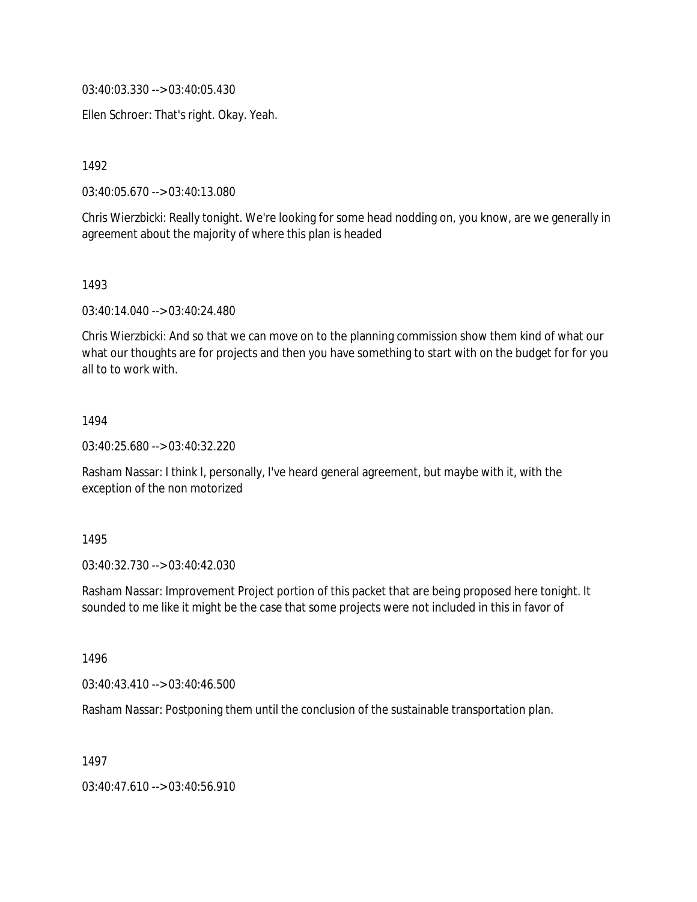03:40:03.330 --> 03:40:05.430

Ellen Schroer: That's right. Okay. Yeah.

1492

03:40:05.670 --> 03:40:13.080

Chris Wierzbicki: Really tonight. We're looking for some head nodding on, you know, are we generally in agreement about the majority of where this plan is headed

1493

03:40:14.040 --> 03:40:24.480

Chris Wierzbicki: And so that we can move on to the planning commission show them kind of what our what our thoughts are for projects and then you have something to start with on the budget for for you all to to work with.

#### 1494

03:40:25.680 --> 03:40:32.220

Rasham Nassar: I think I, personally, I've heard general agreement, but maybe with it, with the exception of the non motorized

#### 1495

03:40:32.730 --> 03:40:42.030

Rasham Nassar: Improvement Project portion of this packet that are being proposed here tonight. It sounded to me like it might be the case that some projects were not included in this in favor of

1496

03:40:43.410 --> 03:40:46.500

Rasham Nassar: Postponing them until the conclusion of the sustainable transportation plan.

1497

03:40:47.610 --> 03:40:56.910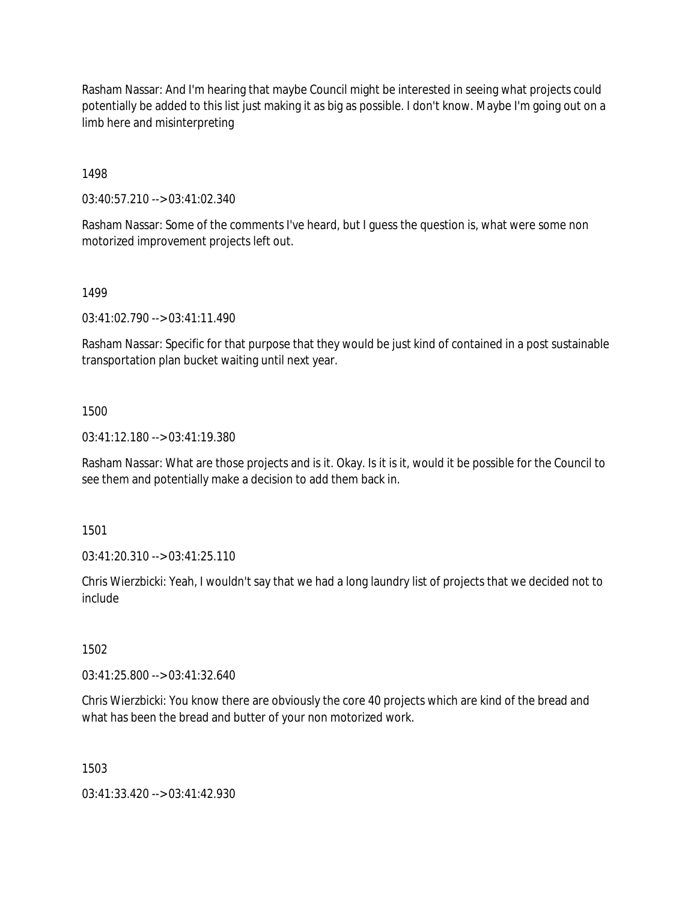Rasham Nassar: And I'm hearing that maybe Council might be interested in seeing what projects could potentially be added to this list just making it as big as possible. I don't know. Maybe I'm going out on a limb here and misinterpreting

1498

03:40:57.210 --> 03:41:02.340

Rasham Nassar: Some of the comments I've heard, but I guess the question is, what were some non motorized improvement projects left out.

1499

03:41:02.790 --> 03:41:11.490

Rasham Nassar: Specific for that purpose that they would be just kind of contained in a post sustainable transportation plan bucket waiting until next year.

1500

03:41:12.180 --> 03:41:19.380

Rasham Nassar: What are those projects and is it. Okay. Is it is it, would it be possible for the Council to see them and potentially make a decision to add them back in.

1501

03:41:20.310 --> 03:41:25.110

Chris Wierzbicki: Yeah, I wouldn't say that we had a long laundry list of projects that we decided not to include

1502

03:41:25.800 --> 03:41:32.640

Chris Wierzbicki: You know there are obviously the core 40 projects which are kind of the bread and what has been the bread and butter of your non motorized work.

1503

03:41:33.420 --> 03:41:42.930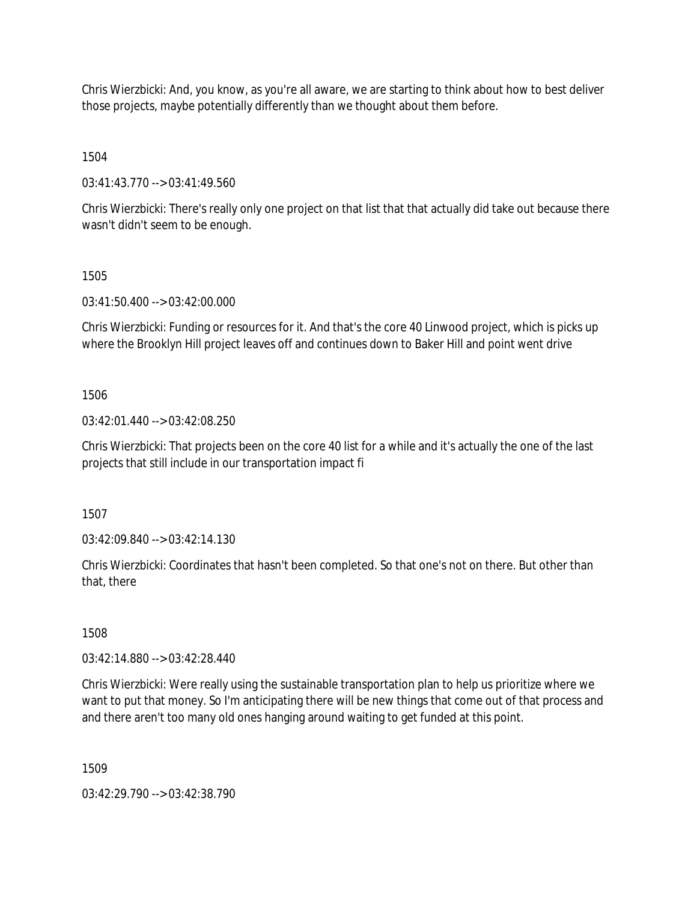Chris Wierzbicki: And, you know, as you're all aware, we are starting to think about how to best deliver those projects, maybe potentially differently than we thought about them before.

1504

03:41:43.770 --> 03:41:49.560

Chris Wierzbicki: There's really only one project on that list that that actually did take out because there wasn't didn't seem to be enough.

1505

03:41:50.400 --> 03:42:00.000

Chris Wierzbicki: Funding or resources for it. And that's the core 40 Linwood project, which is picks up where the Brooklyn Hill project leaves off and continues down to Baker Hill and point went drive

1506

03:42:01.440 --> 03:42:08.250

Chris Wierzbicki: That projects been on the core 40 list for a while and it's actually the one of the last projects that still include in our transportation impact fi

1507

03:42:09.840 --> 03:42:14.130

Chris Wierzbicki: Coordinates that hasn't been completed. So that one's not on there. But other than that, there

1508

03:42:14.880 --> 03:42:28.440

Chris Wierzbicki: Were really using the sustainable transportation plan to help us prioritize where we want to put that money. So I'm anticipating there will be new things that come out of that process and and there aren't too many old ones hanging around waiting to get funded at this point.

1509

03:42:29.790 --> 03:42:38.790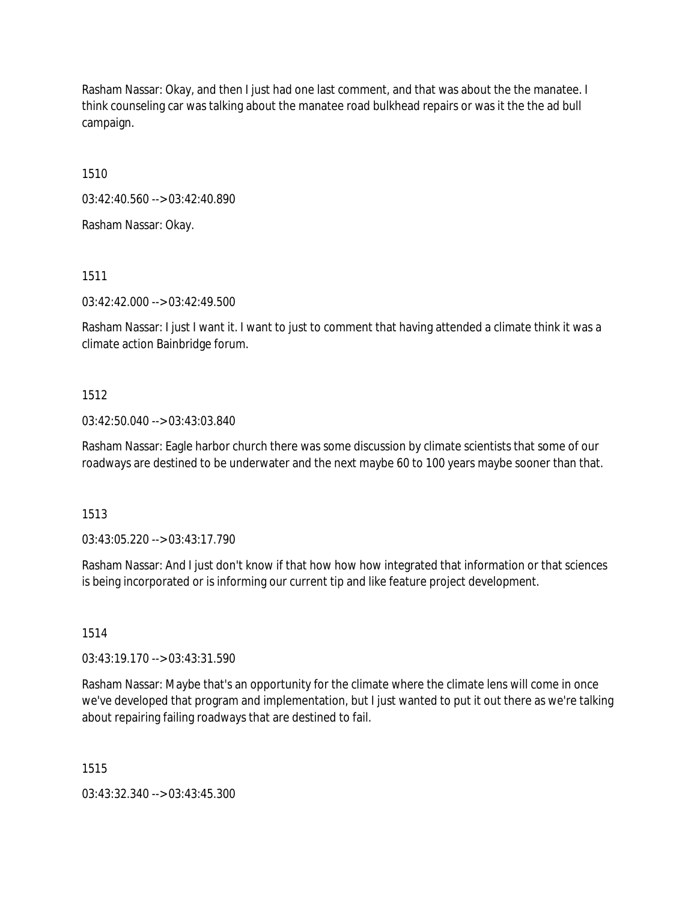Rasham Nassar: Okay, and then I just had one last comment, and that was about the the manatee. I think counseling car was talking about the manatee road bulkhead repairs or was it the the ad bull campaign.

1510

03:42:40.560 --> 03:42:40.890

Rasham Nassar: Okay.

1511

03:42:42.000 --> 03:42:49.500

Rasham Nassar: I just I want it. I want to just to comment that having attended a climate think it was a climate action Bainbridge forum.

#### 1512

#### 03:42:50.040 --> 03:43:03.840

Rasham Nassar: Eagle harbor church there was some discussion by climate scientists that some of our roadways are destined to be underwater and the next maybe 60 to 100 years maybe sooner than that.

1513

03:43:05.220 --> 03:43:17.790

Rasham Nassar: And I just don't know if that how how how integrated that information or that sciences is being incorporated or is informing our current tip and like feature project development.

1514

03:43:19.170 --> 03:43:31.590

Rasham Nassar: Maybe that's an opportunity for the climate where the climate lens will come in once we've developed that program and implementation, but I just wanted to put it out there as we're talking about repairing failing roadways that are destined to fail.

1515

03:43:32.340 --> 03:43:45.300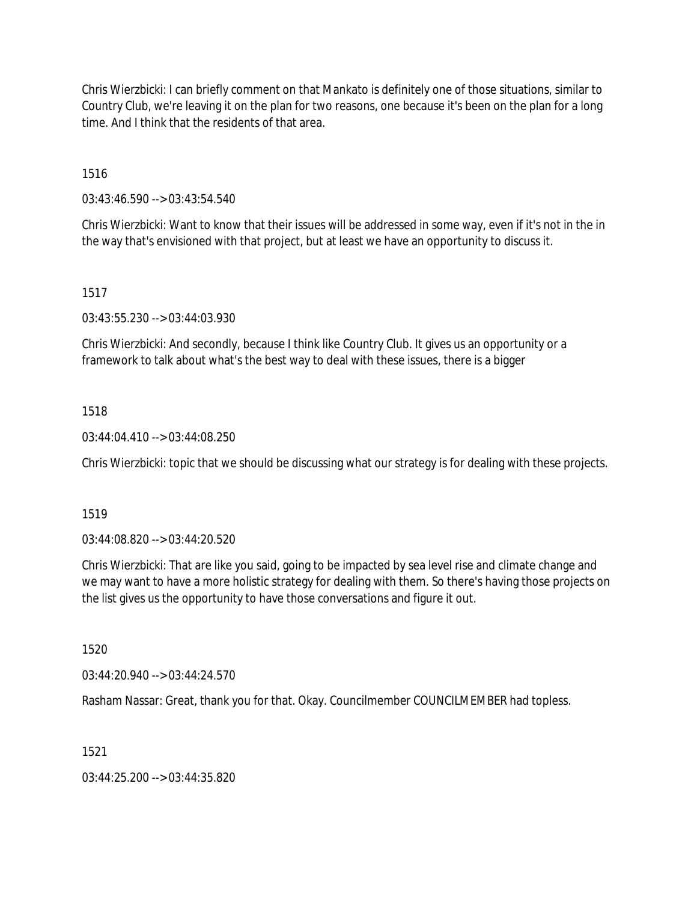Chris Wierzbicki: I can briefly comment on that Mankato is definitely one of those situations, similar to Country Club, we're leaving it on the plan for two reasons, one because it's been on the plan for a long time. And I think that the residents of that area.

1516

03:43:46.590 --> 03:43:54.540

Chris Wierzbicki: Want to know that their issues will be addressed in some way, even if it's not in the in the way that's envisioned with that project, but at least we have an opportunity to discuss it.

## 1517

03:43:55.230 --> 03:44:03.930

Chris Wierzbicki: And secondly, because I think like Country Club. It gives us an opportunity or a framework to talk about what's the best way to deal with these issues, there is a bigger

## 1518

03:44:04.410 --> 03:44:08.250

Chris Wierzbicki: topic that we should be discussing what our strategy is for dealing with these projects.

## 1519

03:44:08.820 --> 03:44:20.520

Chris Wierzbicki: That are like you said, going to be impacted by sea level rise and climate change and we may want to have a more holistic strategy for dealing with them. So there's having those projects on the list gives us the opportunity to have those conversations and figure it out.

1520

03:44:20.940 --> 03:44:24.570

Rasham Nassar: Great, thank you for that. Okay. Councilmember COUNCILMEMBER had topless.

## 1521

03:44:25.200 --> 03:44:35.820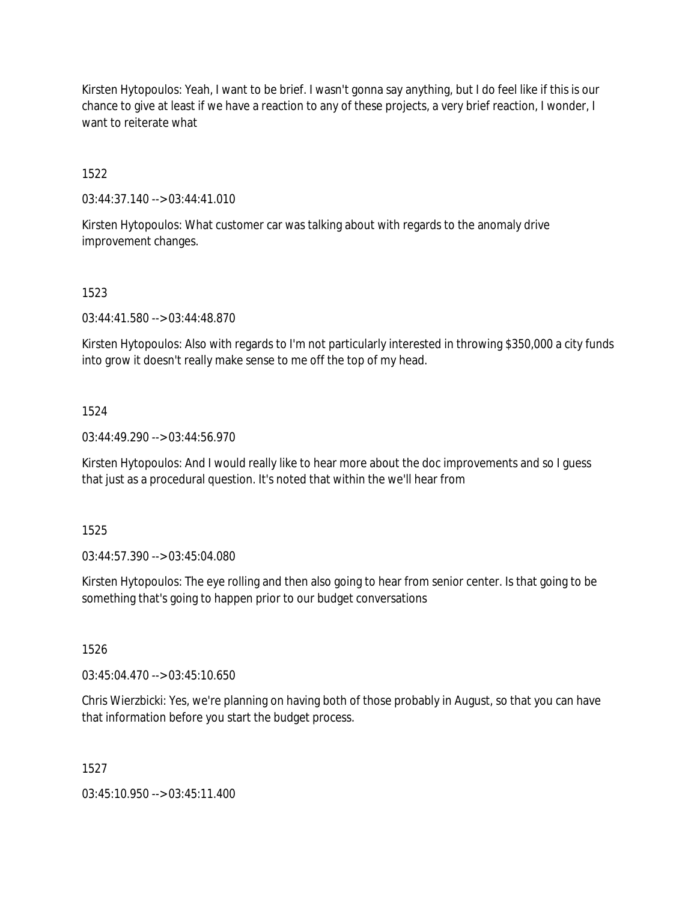Kirsten Hytopoulos: Yeah, I want to be brief. I wasn't gonna say anything, but I do feel like if this is our chance to give at least if we have a reaction to any of these projects, a very brief reaction, I wonder, I want to reiterate what

1522

03:44:37.140 --> 03:44:41.010

Kirsten Hytopoulos: What customer car was talking about with regards to the anomaly drive improvement changes.

#### 1523

03:44:41.580 --> 03:44:48.870

Kirsten Hytopoulos: Also with regards to I'm not particularly interested in throwing \$350,000 a city funds into grow it doesn't really make sense to me off the top of my head.

#### 1524

03:44:49.290 --> 03:44:56.970

Kirsten Hytopoulos: And I would really like to hear more about the doc improvements and so I guess that just as a procedural question. It's noted that within the we'll hear from

1525

03:44:57.390 --> 03:45:04.080

Kirsten Hytopoulos: The eye rolling and then also going to hear from senior center. Is that going to be something that's going to happen prior to our budget conversations

1526

03:45:04.470 --> 03:45:10.650

Chris Wierzbicki: Yes, we're planning on having both of those probably in August, so that you can have that information before you start the budget process.

1527

03:45:10.950 --> 03:45:11.400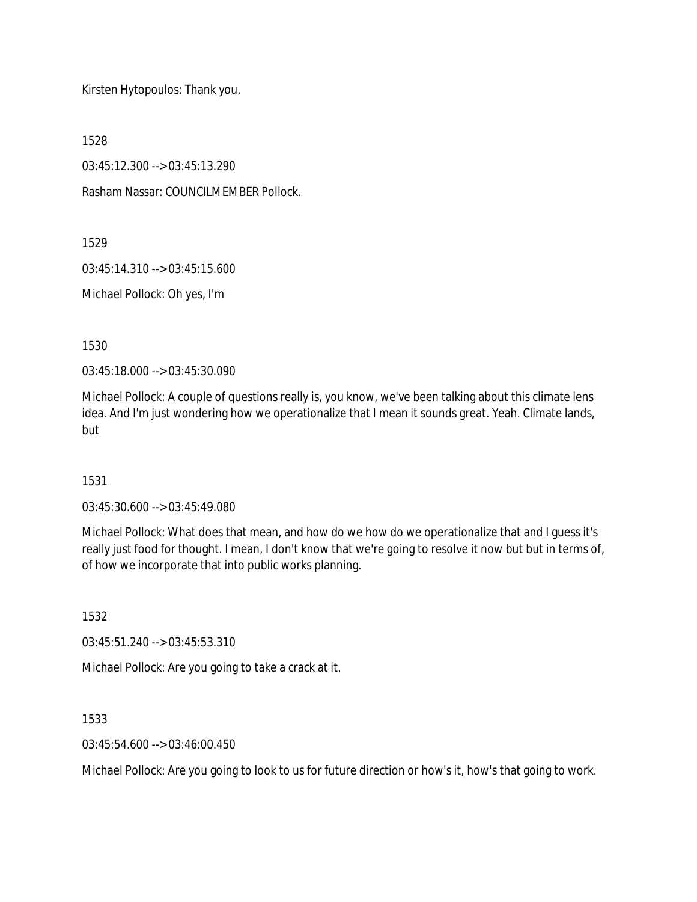Kirsten Hytopoulos: Thank you.

1528

03:45:12.300 --> 03:45:13.290

Rasham Nassar: COUNCILMEMBER Pollock.

1529

03:45:14.310 --> 03:45:15.600

Michael Pollock: Oh yes, I'm

1530

03:45:18.000 --> 03:45:30.090

Michael Pollock: A couple of questions really is, you know, we've been talking about this climate lens idea. And I'm just wondering how we operationalize that I mean it sounds great. Yeah. Climate lands, but

## 1531

03:45:30.600 --> 03:45:49.080

Michael Pollock: What does that mean, and how do we how do we operationalize that and I guess it's really just food for thought. I mean, I don't know that we're going to resolve it now but but in terms of, of how we incorporate that into public works planning.

1532

03:45:51.240 --> 03:45:53.310

Michael Pollock: Are you going to take a crack at it.

1533

03:45:54.600 --> 03:46:00.450

Michael Pollock: Are you going to look to us for future direction or how's it, how's that going to work.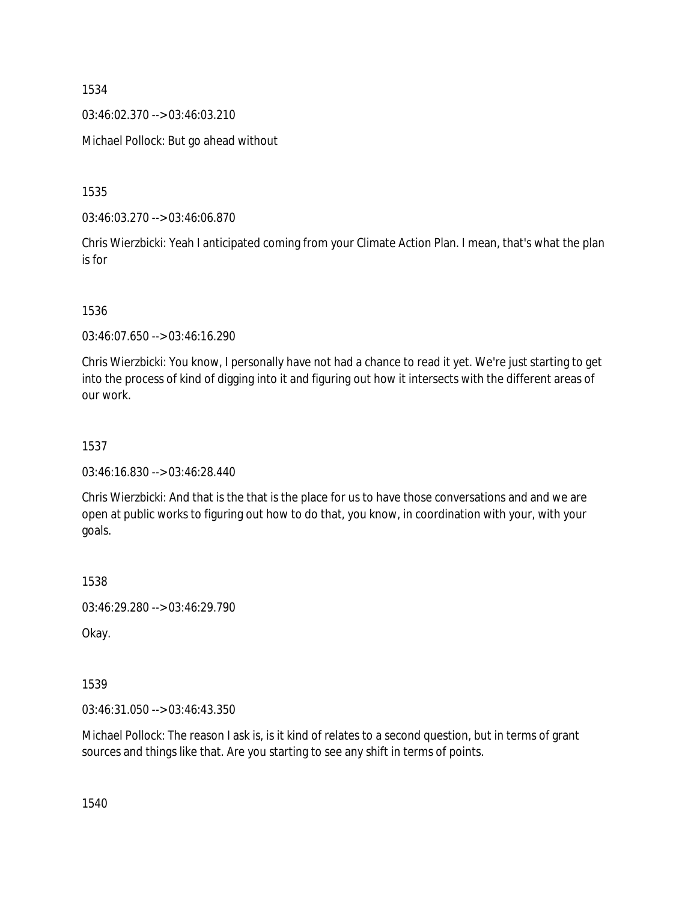03:46:02.370 --> 03:46:03.210

Michael Pollock: But go ahead without

1535

03:46:03.270 --> 03:46:06.870

Chris Wierzbicki: Yeah I anticipated coming from your Climate Action Plan. I mean, that's what the plan is for

1536

03:46:07.650 --> 03:46:16.290

Chris Wierzbicki: You know, I personally have not had a chance to read it yet. We're just starting to get into the process of kind of digging into it and figuring out how it intersects with the different areas of our work.

#### 1537

03:46:16.830 --> 03:46:28.440

Chris Wierzbicki: And that is the that is the place for us to have those conversations and and we are open at public works to figuring out how to do that, you know, in coordination with your, with your goals.

1538

03:46:29.280 --> 03:46:29.790

Okay.

1539

03:46:31.050 --> 03:46:43.350

Michael Pollock: The reason I ask is, is it kind of relates to a second question, but in terms of grant sources and things like that. Are you starting to see any shift in terms of points.

1540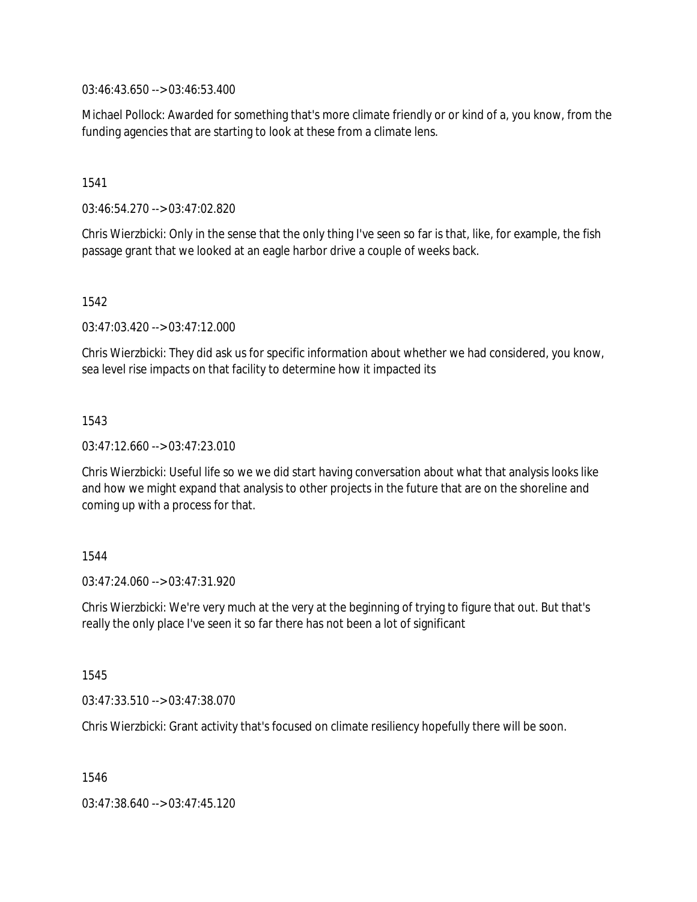03:46:43.650 --> 03:46:53.400

Michael Pollock: Awarded for something that's more climate friendly or or kind of a, you know, from the funding agencies that are starting to look at these from a climate lens.

## 1541

03:46:54.270 --> 03:47:02.820

Chris Wierzbicki: Only in the sense that the only thing I've seen so far is that, like, for example, the fish passage grant that we looked at an eagle harbor drive a couple of weeks back.

#### 1542

03:47:03.420 --> 03:47:12.000

Chris Wierzbicki: They did ask us for specific information about whether we had considered, you know, sea level rise impacts on that facility to determine how it impacted its

## 1543

03:47:12.660 --> 03:47:23.010

Chris Wierzbicki: Useful life so we we did start having conversation about what that analysis looks like and how we might expand that analysis to other projects in the future that are on the shoreline and coming up with a process for that.

## 1544

 $03:47:24.060 \rightarrow 03:47:31.920$ 

Chris Wierzbicki: We're very much at the very at the beginning of trying to figure that out. But that's really the only place I've seen it so far there has not been a lot of significant

## 1545

03:47:33.510 --> 03:47:38.070

Chris Wierzbicki: Grant activity that's focused on climate resiliency hopefully there will be soon.

1546

03:47:38.640 --> 03:47:45.120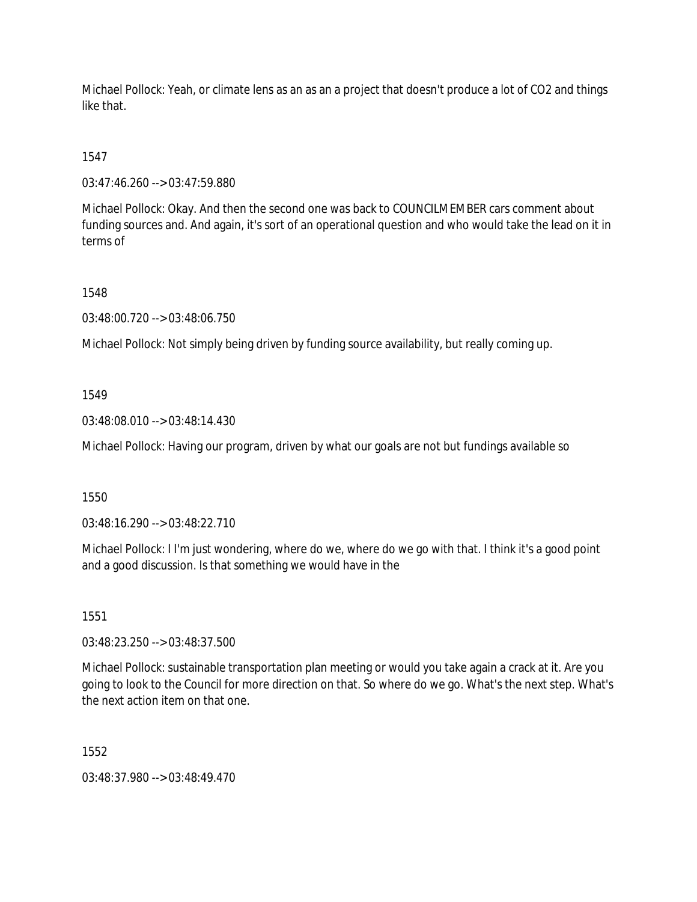Michael Pollock: Yeah, or climate lens as an as an a project that doesn't produce a lot of CO2 and things like that.

1547

03:47:46.260 --> 03:47:59.880

Michael Pollock: Okay. And then the second one was back to COUNCILMEMBER cars comment about funding sources and. And again, it's sort of an operational question and who would take the lead on it in terms of

1548

03:48:00.720 --> 03:48:06.750

Michael Pollock: Not simply being driven by funding source availability, but really coming up.

1549

03:48:08.010 --> 03:48:14.430

Michael Pollock: Having our program, driven by what our goals are not but fundings available so

1550

03:48:16.290 --> 03:48:22.710

Michael Pollock: I I'm just wondering, where do we, where do we go with that. I think it's a good point and a good discussion. Is that something we would have in the

1551

03:48:23.250 --> 03:48:37.500

Michael Pollock: sustainable transportation plan meeting or would you take again a crack at it. Are you going to look to the Council for more direction on that. So where do we go. What's the next step. What's the next action item on that one.

1552

03:48:37.980 --> 03:48:49.470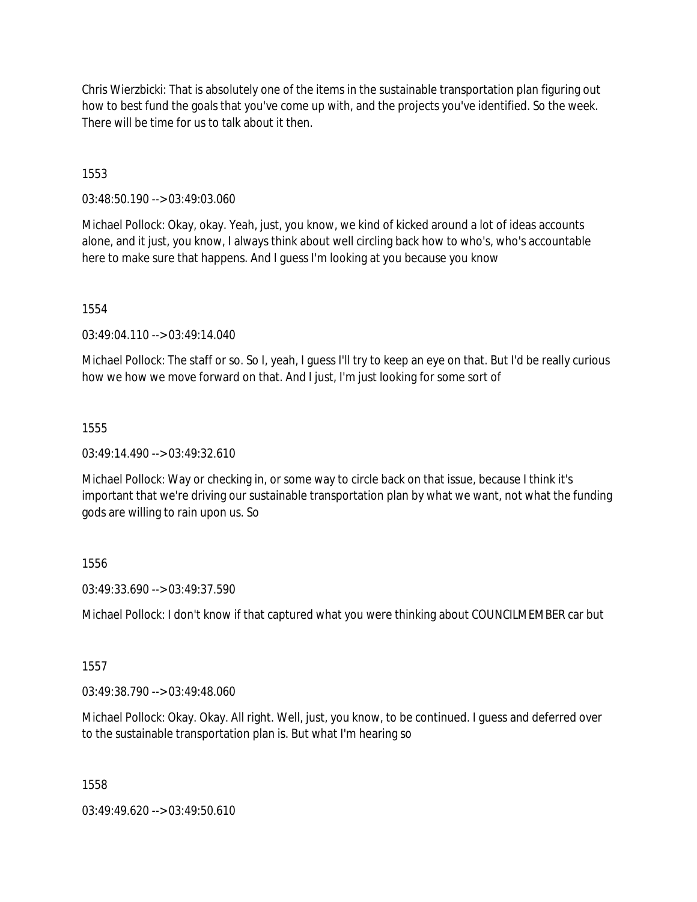Chris Wierzbicki: That is absolutely one of the items in the sustainable transportation plan figuring out how to best fund the goals that you've come up with, and the projects you've identified. So the week. There will be time for us to talk about it then.

# 1553

03:48:50.190 --> 03:49:03.060

Michael Pollock: Okay, okay. Yeah, just, you know, we kind of kicked around a lot of ideas accounts alone, and it just, you know, I always think about well circling back how to who's, who's accountable here to make sure that happens. And I guess I'm looking at you because you know

1554

 $03:49:04.110 \rightarrow 03:49:14.040$ 

Michael Pollock: The staff or so. So I, yeah, I guess I'll try to keep an eye on that. But I'd be really curious how we how we move forward on that. And I just, I'm just looking for some sort of

## 1555

 $03:49:14.490 \rightarrow 03:49:32.610$ 

Michael Pollock: Way or checking in, or some way to circle back on that issue, because I think it's important that we're driving our sustainable transportation plan by what we want, not what the funding gods are willing to rain upon us. So

# 1556

03:49:33.690 --> 03:49:37.590

Michael Pollock: I don't know if that captured what you were thinking about COUNCILMEMBER car but

## 1557

03:49:38.790 --> 03:49:48.060

Michael Pollock: Okay. Okay. All right. Well, just, you know, to be continued. I guess and deferred over to the sustainable transportation plan is. But what I'm hearing so

1558

03:49:49.620 --> 03:49:50.610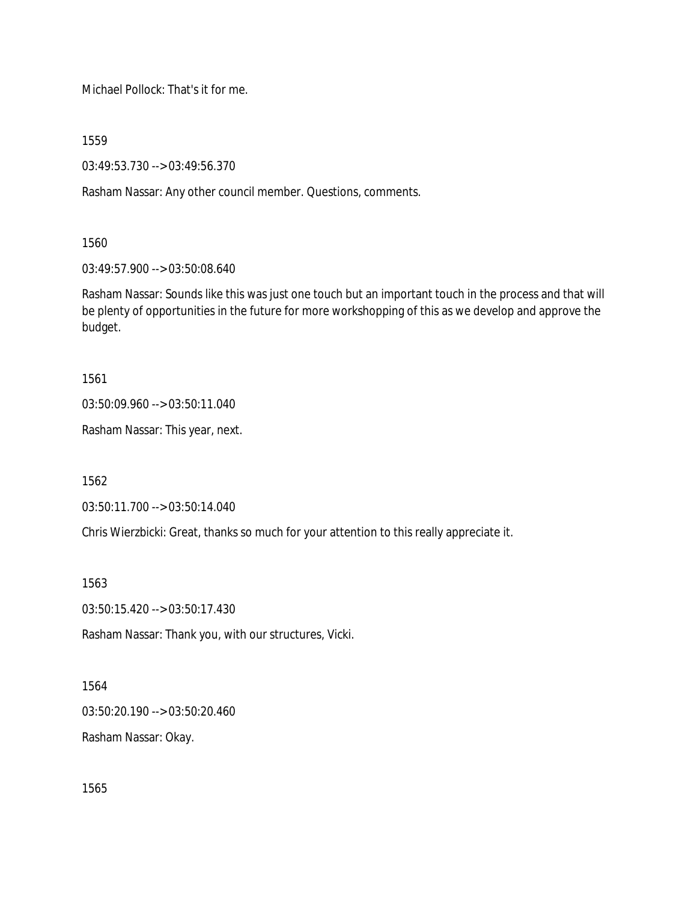Michael Pollock: That's it for me.

1559

03:49:53.730 --> 03:49:56.370

Rasham Nassar: Any other council member. Questions, comments.

1560

03:49:57.900 --> 03:50:08.640

Rasham Nassar: Sounds like this was just one touch but an important touch in the process and that will be plenty of opportunities in the future for more workshopping of this as we develop and approve the budget.

1561

03:50:09.960 --> 03:50:11.040

Rasham Nassar: This year, next.

1562

03:50:11.700 --> 03:50:14.040

Chris Wierzbicki: Great, thanks so much for your attention to this really appreciate it.

1563

03:50:15.420 --> 03:50:17.430

Rasham Nassar: Thank you, with our structures, Vicki.

1564

03:50:20.190 --> 03:50:20.460

Rasham Nassar: Okay.

1565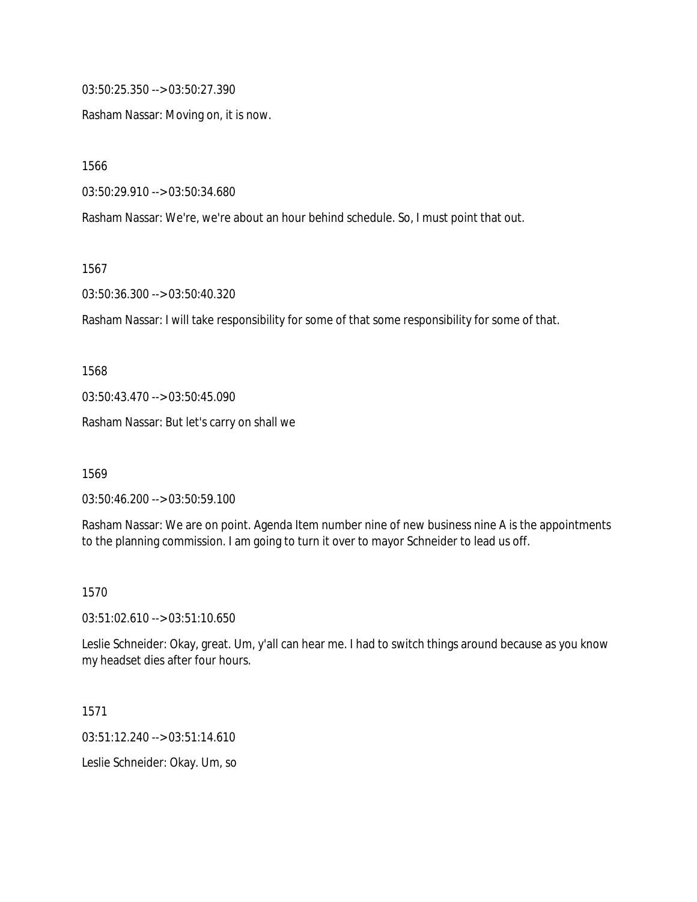03:50:25.350 --> 03:50:27.390

Rasham Nassar: Moving on, it is now.

1566

03:50:29.910 --> 03:50:34.680

Rasham Nassar: We're, we're about an hour behind schedule. So, I must point that out.

1567

03:50:36.300 --> 03:50:40.320

Rasham Nassar: I will take responsibility for some of that some responsibility for some of that.

1568

03:50:43.470 --> 03:50:45.090

Rasham Nassar: But let's carry on shall we

1569

03:50:46.200 --> 03:50:59.100

Rasham Nassar: We are on point. Agenda Item number nine of new business nine A is the appointments to the planning commission. I am going to turn it over to mayor Schneider to lead us off.

1570

03:51:02.610 --> 03:51:10.650

Leslie Schneider: Okay, great. Um, y'all can hear me. I had to switch things around because as you know my headset dies after four hours.

1571

03:51:12.240 --> 03:51:14.610

Leslie Schneider: Okay. Um, so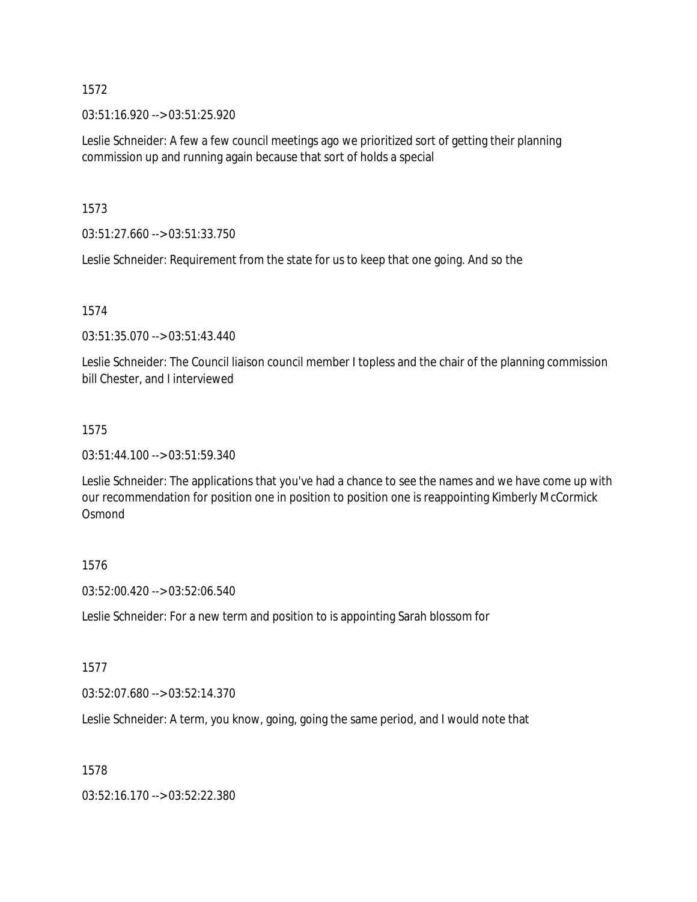03:51:16.920 --> 03:51:25.920

Leslie Schneider: A few a few council meetings ago we prioritized sort of getting their planning commission up and running again because that sort of holds a special

1573

03:51:27.660 --> 03:51:33.750

Leslie Schneider: Requirement from the state for us to keep that one going. And so the

1574

03:51:35.070 --> 03:51:43.440

Leslie Schneider: The Council liaison council member I topless and the chair of the planning commission bill Chester, and I interviewed

#### 1575

03:51:44.100 --> 03:51:59.340

Leslie Schneider: The applications that you've had a chance to see the names and we have come up with our recommendation for position one in position to position one is reappointing Kimberly McCormick **Osmond** 

## 1576

03:52:00.420 --> 03:52:06.540

Leslie Schneider: For a new term and position to is appointing Sarah blossom for

#### 1577

03:52:07.680 --> 03:52:14.370

Leslie Schneider: A term, you know, going, going the same period, and I would note that

## 1578

03:52:16.170 --> 03:52:22.380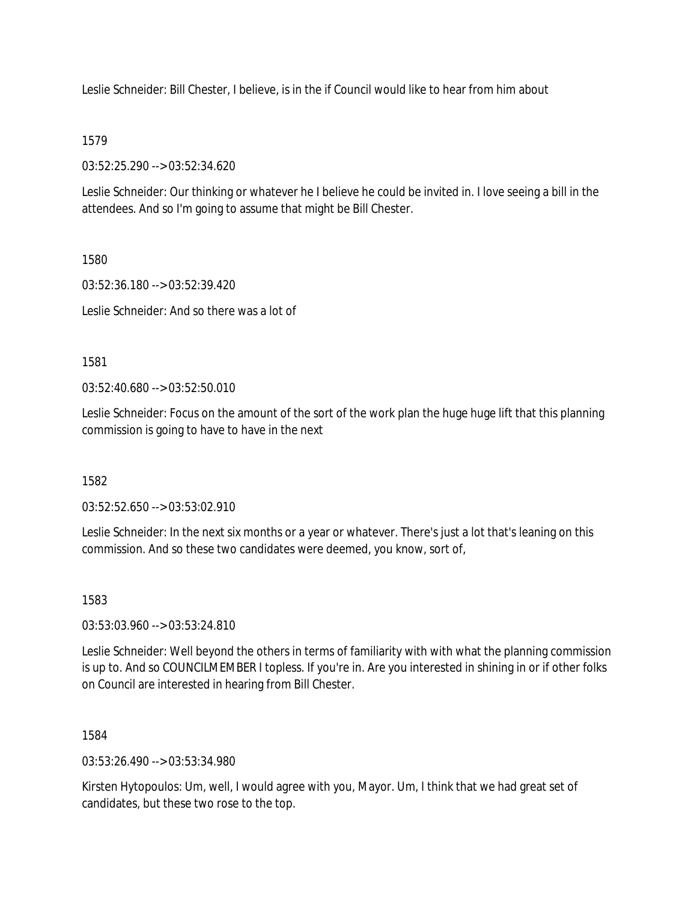Leslie Schneider: Bill Chester, I believe, is in the if Council would like to hear from him about

## 1579

03:52:25.290 --> 03:52:34.620

Leslie Schneider: Our thinking or whatever he I believe he could be invited in. I love seeing a bill in the attendees. And so I'm going to assume that might be Bill Chester.

1580

03:52:36.180 --> 03:52:39.420

Leslie Schneider: And so there was a lot of

1581

03:52:40.680 --> 03:52:50.010

Leslie Schneider: Focus on the amount of the sort of the work plan the huge huge lift that this planning commission is going to have to have in the next

1582

03:52:52.650 --> 03:53:02.910

Leslie Schneider: In the next six months or a year or whatever. There's just a lot that's leaning on this commission. And so these two candidates were deemed, you know, sort of,

1583

03:53:03.960 --> 03:53:24.810

Leslie Schneider: Well beyond the others in terms of familiarity with with what the planning commission is up to. And so COUNCILMEMBER I topless. If you're in. Are you interested in shining in or if other folks on Council are interested in hearing from Bill Chester.

1584

03:53:26.490 --> 03:53:34.980

Kirsten Hytopoulos: Um, well, I would agree with you, Mayor. Um, I think that we had great set of candidates, but these two rose to the top.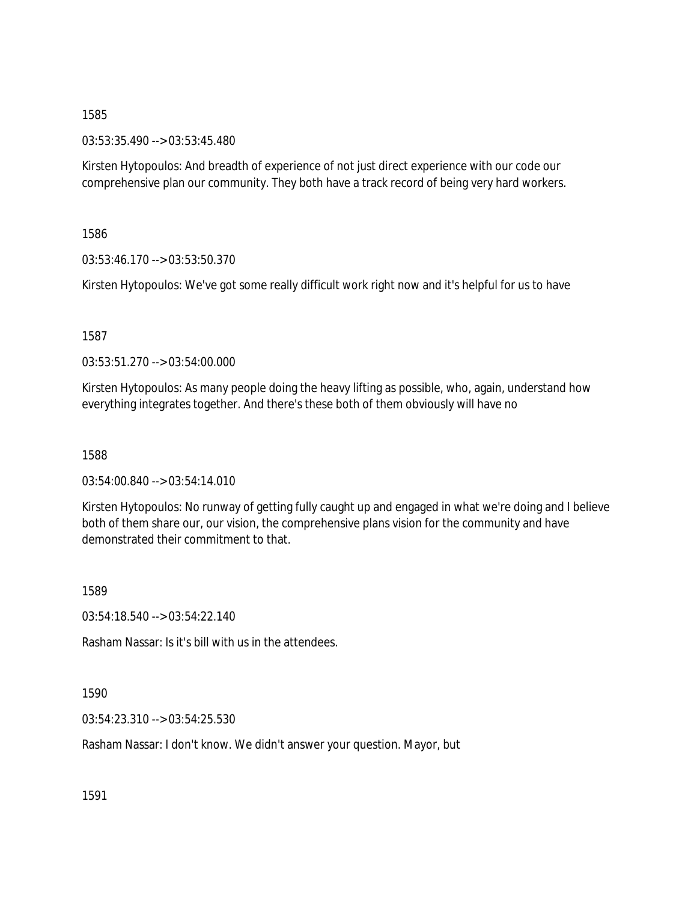03:53:35.490 --> 03:53:45.480

Kirsten Hytopoulos: And breadth of experience of not just direct experience with our code our comprehensive plan our community. They both have a track record of being very hard workers.

1586

03:53:46.170 --> 03:53:50.370

Kirsten Hytopoulos: We've got some really difficult work right now and it's helpful for us to have

1587

03:53:51.270 --> 03:54:00.000

Kirsten Hytopoulos: As many people doing the heavy lifting as possible, who, again, understand how everything integrates together. And there's these both of them obviously will have no

1588

03:54:00.840 --> 03:54:14.010

Kirsten Hytopoulos: No runway of getting fully caught up and engaged in what we're doing and I believe both of them share our, our vision, the comprehensive plans vision for the community and have demonstrated their commitment to that.

1589

03:54:18.540 --> 03:54:22.140

Rasham Nassar: Is it's bill with us in the attendees.

1590

03:54:23.310 --> 03:54:25.530

Rasham Nassar: I don't know. We didn't answer your question. Mayor, but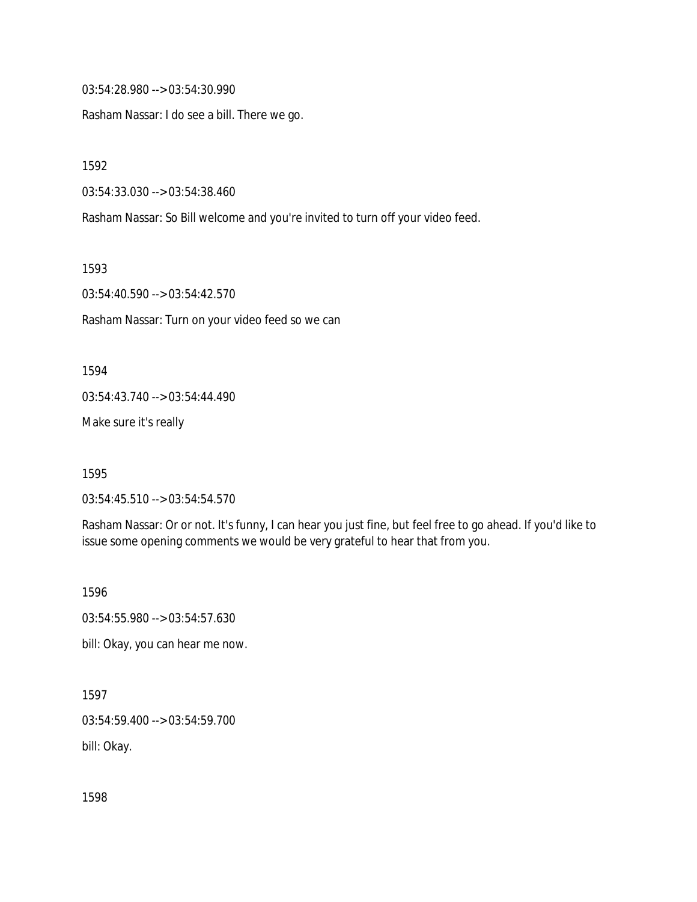03:54:28.980 --> 03:54:30.990

Rasham Nassar: I do see a bill. There we go.

1592

03:54:33.030 --> 03:54:38.460

Rasham Nassar: So Bill welcome and you're invited to turn off your video feed.

1593

03:54:40.590 --> 03:54:42.570

Rasham Nassar: Turn on your video feed so we can

1594

03:54:43.740 --> 03:54:44.490

Make sure it's really

1595

03:54:45.510 --> 03:54:54.570

Rasham Nassar: Or or not. It's funny, I can hear you just fine, but feel free to go ahead. If you'd like to issue some opening comments we would be very grateful to hear that from you.

1596

03:54:55.980 --> 03:54:57.630

bill: Okay, you can hear me now.

1597

03:54:59.400 --> 03:54:59.700

bill: Okay.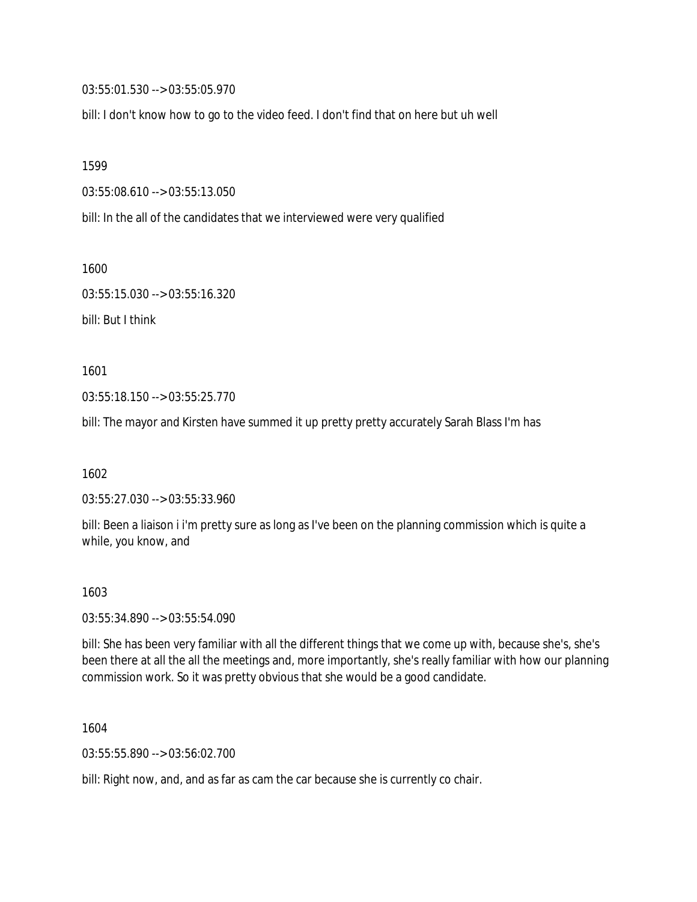03:55:01.530 --> 03:55:05.970

bill: I don't know how to go to the video feed. I don't find that on here but uh well

1599

03:55:08.610 --> 03:55:13.050

bill: In the all of the candidates that we interviewed were very qualified

1600

03:55:15.030 --> 03:55:16.320 bill: But I think

1601

03:55:18.150 --> 03:55:25.770

bill: The mayor and Kirsten have summed it up pretty pretty accurately Sarah Blass I'm has

1602

03:55:27.030 --> 03:55:33.960

bill: Been a liaison i i'm pretty sure as long as I've been on the planning commission which is quite a while, you know, and

1603

03:55:34.890 --> 03:55:54.090

bill: She has been very familiar with all the different things that we come up with, because she's, she's been there at all the all the meetings and, more importantly, she's really familiar with how our planning commission work. So it was pretty obvious that she would be a good candidate.

1604

03:55:55.890 --> 03:56:02.700

bill: Right now, and, and as far as cam the car because she is currently co chair.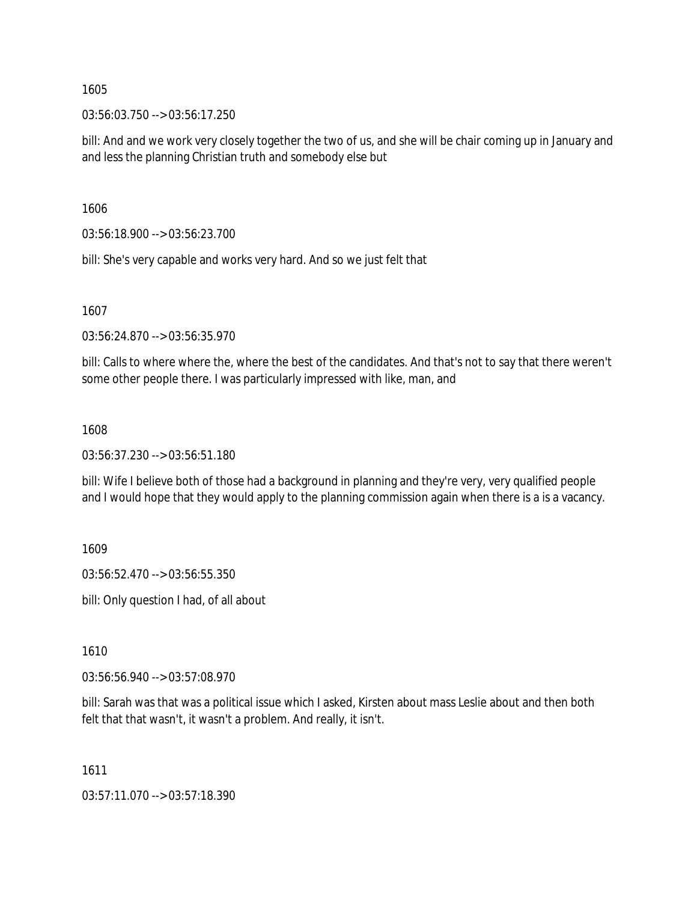03:56:03.750 --> 03:56:17.250

bill: And and we work very closely together the two of us, and she will be chair coming up in January and and less the planning Christian truth and somebody else but

1606

03:56:18.900 --> 03:56:23.700

bill: She's very capable and works very hard. And so we just felt that

1607

03:56:24.870 --> 03:56:35.970

bill: Calls to where where the, where the best of the candidates. And that's not to say that there weren't some other people there. I was particularly impressed with like, man, and

#### 1608

03:56:37.230 --> 03:56:51.180

bill: Wife I believe both of those had a background in planning and they're very, very qualified people and I would hope that they would apply to the planning commission again when there is a is a vacancy.

1609

03:56:52.470 --> 03:56:55.350

bill: Only question I had, of all about

1610

03:56:56.940 --> 03:57:08.970

bill: Sarah was that was a political issue which I asked, Kirsten about mass Leslie about and then both felt that that wasn't, it wasn't a problem. And really, it isn't.

1611

03:57:11.070 --> 03:57:18.390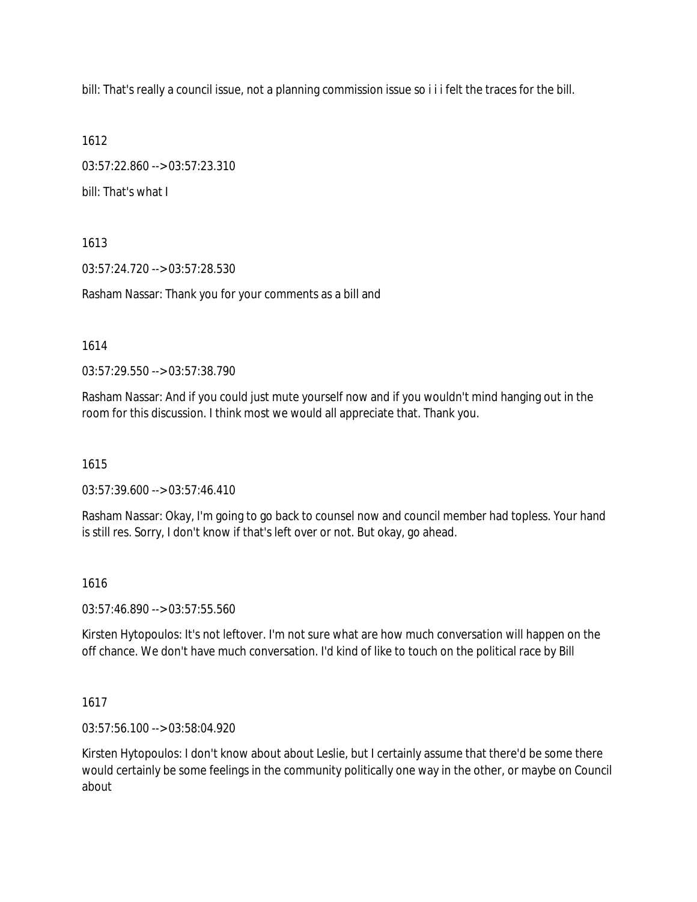bill: That's really a council issue, not a planning commission issue so i i i felt the traces for the bill.

1612

03:57:22.860 --> 03:57:23.310 bill: That's what I

1613

03:57:24.720 --> 03:57:28.530

Rasham Nassar: Thank you for your comments as a bill and

1614

03:57:29.550 --> 03:57:38.790

Rasham Nassar: And if you could just mute yourself now and if you wouldn't mind hanging out in the room for this discussion. I think most we would all appreciate that. Thank you.

1615

03:57:39.600 --> 03:57:46.410

Rasham Nassar: Okay, I'm going to go back to counsel now and council member had topless. Your hand is still res. Sorry, I don't know if that's left over or not. But okay, go ahead.

#### 1616

03:57:46.890 --> 03:57:55.560

Kirsten Hytopoulos: It's not leftover. I'm not sure what are how much conversation will happen on the off chance. We don't have much conversation. I'd kind of like to touch on the political race by Bill

### 1617

03:57:56.100 --> 03:58:04.920

Kirsten Hytopoulos: I don't know about about Leslie, but I certainly assume that there'd be some there would certainly be some feelings in the community politically one way in the other, or maybe on Council about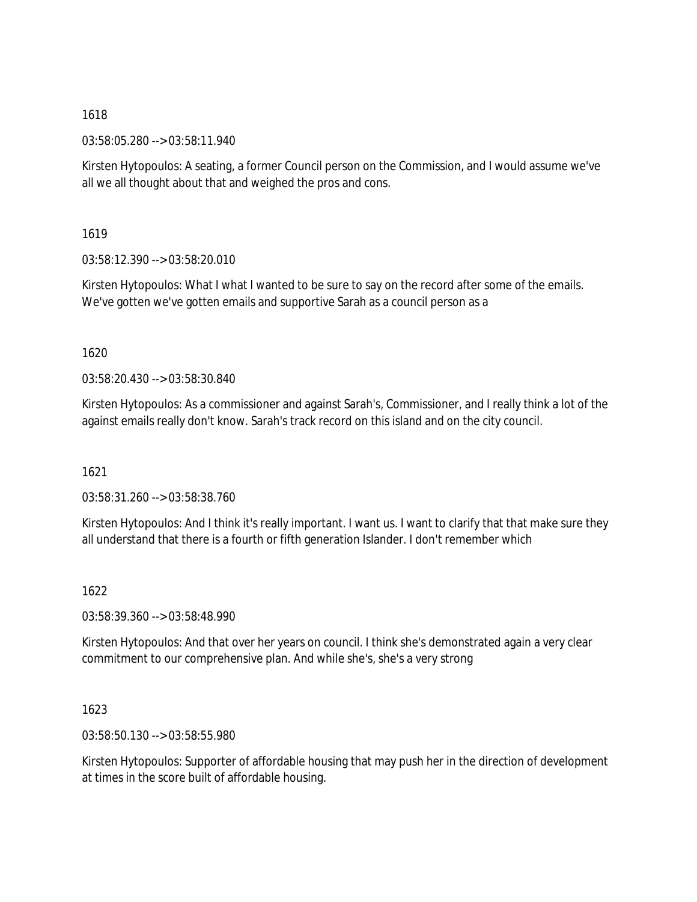03:58:05.280 --> 03:58:11.940

Kirsten Hytopoulos: A seating, a former Council person on the Commission, and I would assume we've all we all thought about that and weighed the pros and cons.

1619

03:58:12.390 --> 03:58:20.010

Kirsten Hytopoulos: What I what I wanted to be sure to say on the record after some of the emails. We've gotten we've gotten emails and supportive Sarah as a council person as a

1620

03:58:20.430 --> 03:58:30.840

Kirsten Hytopoulos: As a commissioner and against Sarah's, Commissioner, and I really think a lot of the against emails really don't know. Sarah's track record on this island and on the city council.

1621

03:58:31.260 --> 03:58:38.760

Kirsten Hytopoulos: And I think it's really important. I want us. I want to clarify that that make sure they all understand that there is a fourth or fifth generation Islander. I don't remember which

1622

03:58:39.360 --> 03:58:48.990

Kirsten Hytopoulos: And that over her years on council. I think she's demonstrated again a very clear commitment to our comprehensive plan. And while she's, she's a very strong

1623

03:58:50.130 --> 03:58:55.980

Kirsten Hytopoulos: Supporter of affordable housing that may push her in the direction of development at times in the score built of affordable housing.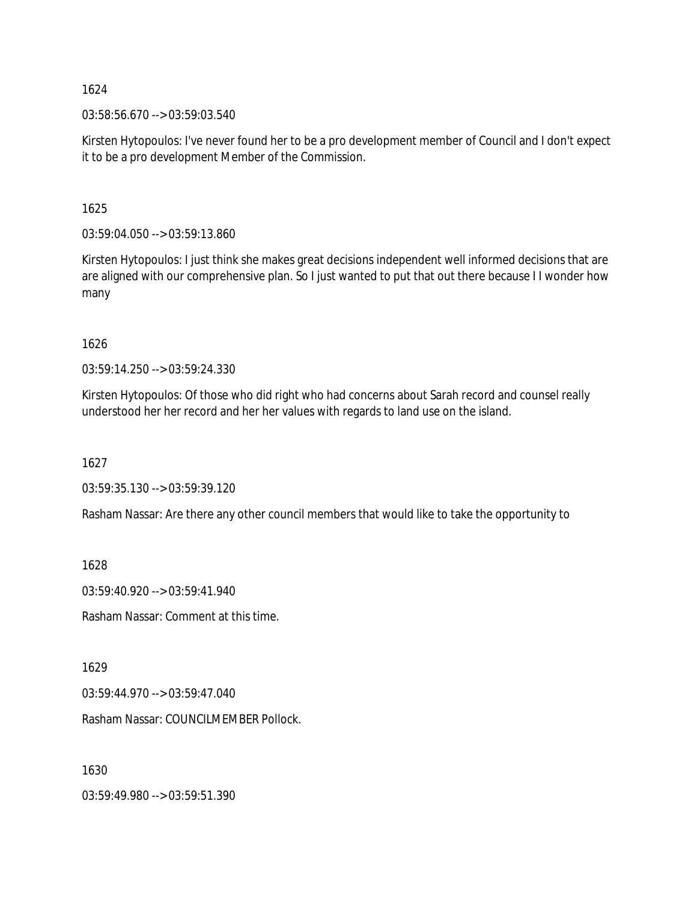03:58:56.670 --> 03:59:03.540

Kirsten Hytopoulos: I've never found her to be a pro development member of Council and I don't expect it to be a pro development Member of the Commission.

1625

03:59:04.050 --> 03:59:13.860

Kirsten Hytopoulos: I just think she makes great decisions independent well informed decisions that are are aligned with our comprehensive plan. So I just wanted to put that out there because I I wonder how many

1626

03:59:14.250 --> 03:59:24.330

Kirsten Hytopoulos: Of those who did right who had concerns about Sarah record and counsel really understood her her record and her her values with regards to land use on the island.

1627

03:59:35.130 --> 03:59:39.120

Rasham Nassar: Are there any other council members that would like to take the opportunity to

1628

03:59:40.920 --> 03:59:41.940

Rasham Nassar: Comment at this time.

1629

03:59:44.970 --> 03:59:47.040

Rasham Nassar: COUNCILMEMBER Pollock.

1630

03:59:49.980 --> 03:59:51.390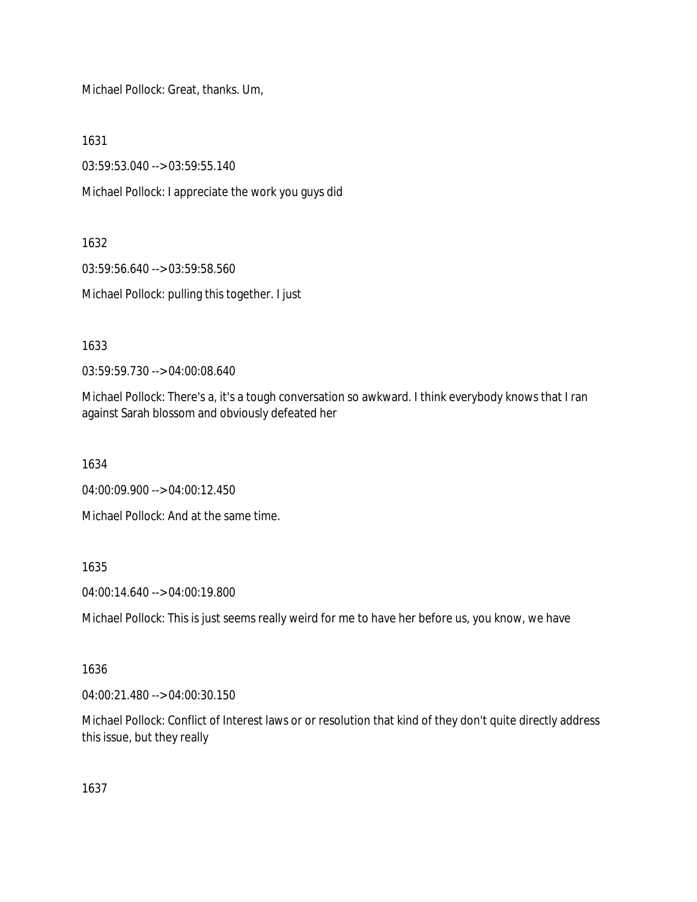Michael Pollock: Great, thanks. Um,

1631

03:59:53.040 --> 03:59:55.140

Michael Pollock: I appreciate the work you guys did

1632

03:59:56.640 --> 03:59:58.560 Michael Pollock: pulling this together. I just

1633

03:59:59.730 --> 04:00:08.640

Michael Pollock: There's a, it's a tough conversation so awkward. I think everybody knows that I ran against Sarah blossom and obviously defeated her

1634

04:00:09.900 --> 04:00:12.450

Michael Pollock: And at the same time.

1635

04:00:14.640 --> 04:00:19.800

Michael Pollock: This is just seems really weird for me to have her before us, you know, we have

### 1636

04:00:21.480 --> 04:00:30.150

Michael Pollock: Conflict of Interest laws or or resolution that kind of they don't quite directly address this issue, but they really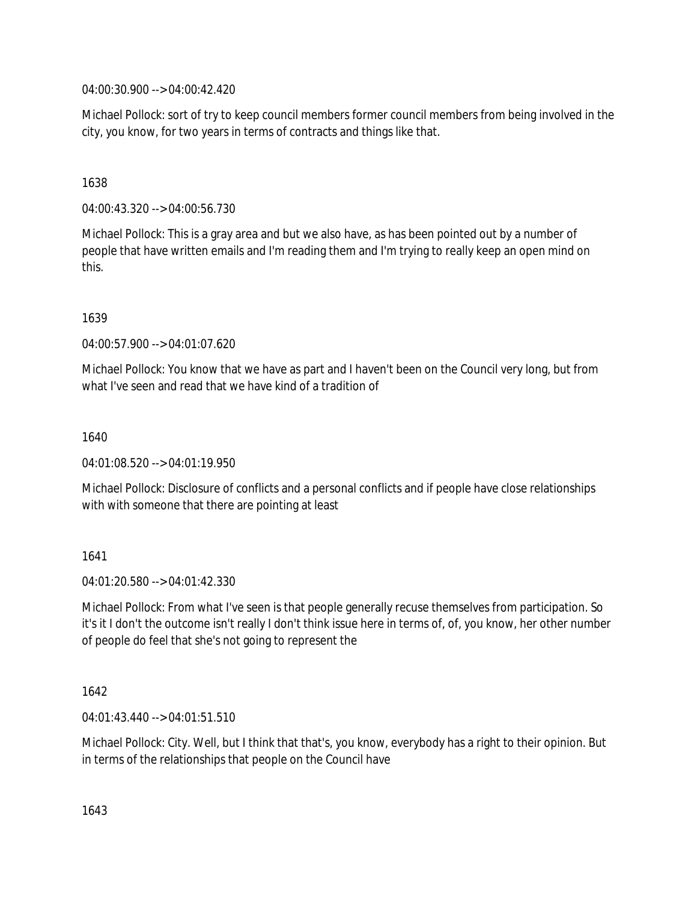04:00:30.900 --> 04:00:42.420

Michael Pollock: sort of try to keep council members former council members from being involved in the city, you know, for two years in terms of contracts and things like that.

### 1638

04:00:43.320 --> 04:00:56.730

Michael Pollock: This is a gray area and but we also have, as has been pointed out by a number of people that have written emails and I'm reading them and I'm trying to really keep an open mind on this.

1639

04:00:57.900 --> 04:01:07.620

Michael Pollock: You know that we have as part and I haven't been on the Council very long, but from what I've seen and read that we have kind of a tradition of

### 1640

04:01:08.520 --> 04:01:19.950

Michael Pollock: Disclosure of conflicts and a personal conflicts and if people have close relationships with with someone that there are pointing at least

### 1641

04:01:20.580 --> 04:01:42.330

Michael Pollock: From what I've seen is that people generally recuse themselves from participation. So it's it I don't the outcome isn't really I don't think issue here in terms of, of, you know, her other number of people do feel that she's not going to represent the

### 1642

04:01:43.440 --> 04:01:51.510

Michael Pollock: City. Well, but I think that that's, you know, everybody has a right to their opinion. But in terms of the relationships that people on the Council have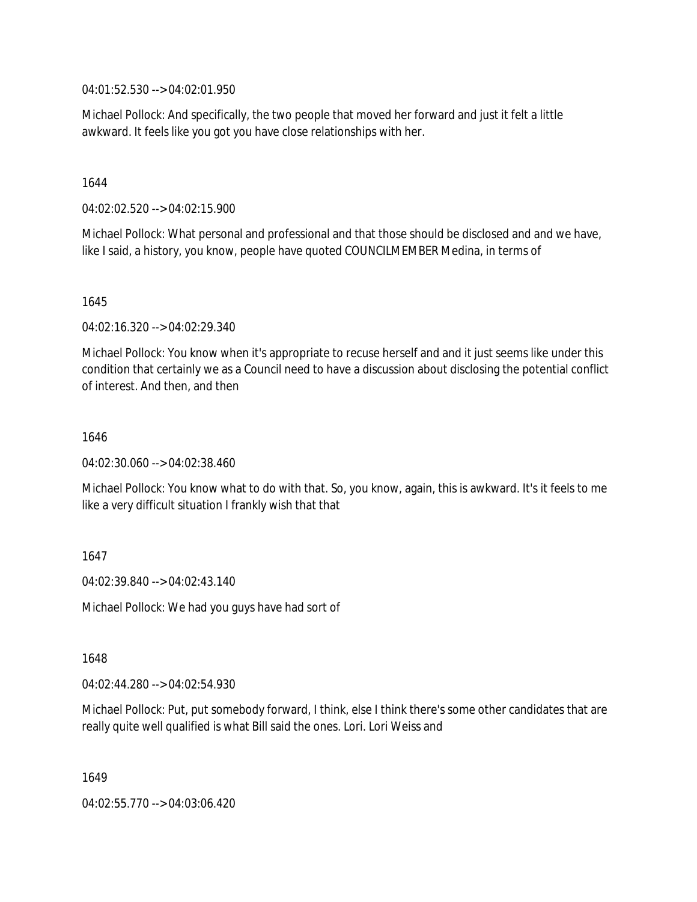04:01:52.530 --> 04:02:01.950

Michael Pollock: And specifically, the two people that moved her forward and just it felt a little awkward. It feels like you got you have close relationships with her.

1644

04:02:02.520 --> 04:02:15.900

Michael Pollock: What personal and professional and that those should be disclosed and and we have, like I said, a history, you know, people have quoted COUNCILMEMBER Medina, in terms of

1645

04:02:16.320 --> 04:02:29.340

Michael Pollock: You know when it's appropriate to recuse herself and and it just seems like under this condition that certainly we as a Council need to have a discussion about disclosing the potential conflict of interest. And then, and then

1646

04:02:30.060 --> 04:02:38.460

Michael Pollock: You know what to do with that. So, you know, again, this is awkward. It's it feels to me like a very difficult situation I frankly wish that that

1647

04:02:39.840 --> 04:02:43.140

Michael Pollock: We had you guys have had sort of

1648

04:02:44.280 --> 04:02:54.930

Michael Pollock: Put, put somebody forward, I think, else I think there's some other candidates that are really quite well qualified is what Bill said the ones. Lori. Lori Weiss and

1649

04:02:55.770 --> 04:03:06.420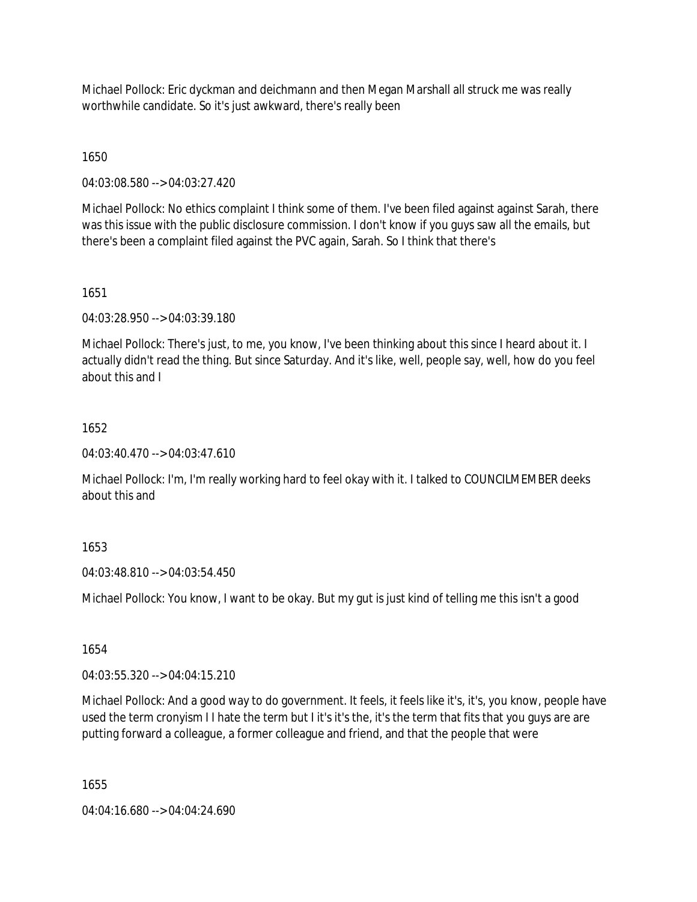Michael Pollock: Eric dyckman and deichmann and then Megan Marshall all struck me was really worthwhile candidate. So it's just awkward, there's really been

1650

04:03:08.580 --> 04:03:27.420

Michael Pollock: No ethics complaint I think some of them. I've been filed against against Sarah, there was this issue with the public disclosure commission. I don't know if you guys saw all the emails, but there's been a complaint filed against the PVC again, Sarah. So I think that there's

1651

04:03:28.950 --> 04:03:39.180

Michael Pollock: There's just, to me, you know, I've been thinking about this since I heard about it. I actually didn't read the thing. But since Saturday. And it's like, well, people say, well, how do you feel about this and I

### 1652

04:03:40.470 --> 04:03:47.610

Michael Pollock: I'm, I'm really working hard to feel okay with it. I talked to COUNCILMEMBER deeks about this and

# 1653

04:03:48.810 --> 04:03:54.450

Michael Pollock: You know, I want to be okay. But my gut is just kind of telling me this isn't a good

1654

04:03:55.320 --> 04:04:15.210

Michael Pollock: And a good way to do government. It feels, it feels like it's, it's, you know, people have used the term cronyism I I hate the term but I it's it's the, it's the term that fits that you guys are are putting forward a colleague, a former colleague and friend, and that the people that were

1655

04:04:16.680 --> 04:04:24.690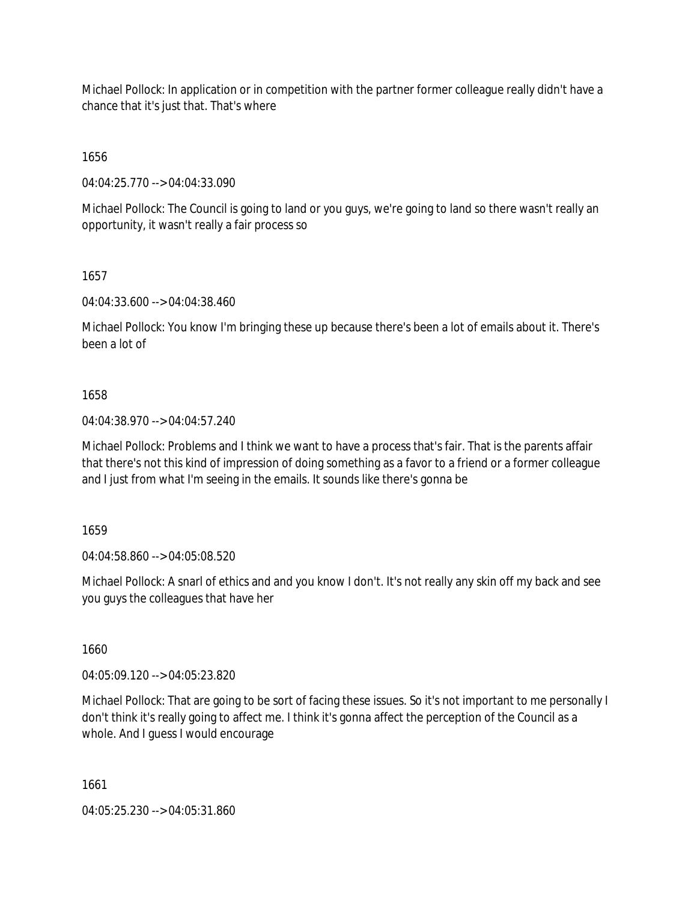Michael Pollock: In application or in competition with the partner former colleague really didn't have a chance that it's just that. That's where

1656

04:04:25.770 --> 04:04:33.090

Michael Pollock: The Council is going to land or you guys, we're going to land so there wasn't really an opportunity, it wasn't really a fair process so

1657

04:04:33.600 --> 04:04:38.460

Michael Pollock: You know I'm bringing these up because there's been a lot of emails about it. There's been a lot of

## 1658

04:04:38.970 --> 04:04:57.240

Michael Pollock: Problems and I think we want to have a process that's fair. That is the parents affair that there's not this kind of impression of doing something as a favor to a friend or a former colleague and I just from what I'm seeing in the emails. It sounds like there's gonna be

1659

04:04:58.860 --> 04:05:08.520

Michael Pollock: A snarl of ethics and and you know I don't. It's not really any skin off my back and see you guys the colleagues that have her

1660

04:05:09.120 --> 04:05:23.820

Michael Pollock: That are going to be sort of facing these issues. So it's not important to me personally I don't think it's really going to affect me. I think it's gonna affect the perception of the Council as a whole. And I guess I would encourage

1661

04:05:25.230 --> 04:05:31.860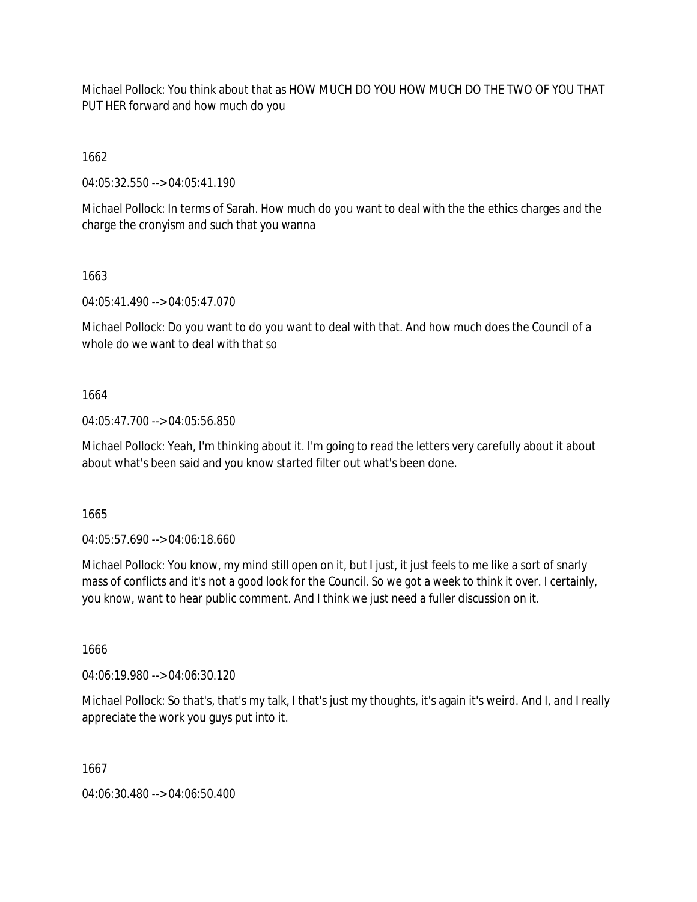Michael Pollock: You think about that as HOW MUCH DO YOU HOW MUCH DO THE TWO OF YOU THAT PUT HER forward and how much do you

1662

04:05:32.550 --> 04:05:41.190

Michael Pollock: In terms of Sarah. How much do you want to deal with the the ethics charges and the charge the cronyism and such that you wanna

1663

04:05:41.490 --> 04:05:47.070

Michael Pollock: Do you want to do you want to deal with that. And how much does the Council of a whole do we want to deal with that so

1664

04:05:47.700 --> 04:05:56.850

Michael Pollock: Yeah, I'm thinking about it. I'm going to read the letters very carefully about it about about what's been said and you know started filter out what's been done.

1665

04:05:57.690 --> 04:06:18.660

Michael Pollock: You know, my mind still open on it, but I just, it just feels to me like a sort of snarly mass of conflicts and it's not a good look for the Council. So we got a week to think it over. I certainly, you know, want to hear public comment. And I think we just need a fuller discussion on it.

1666

04:06:19.980 --> 04:06:30.120

Michael Pollock: So that's, that's my talk, I that's just my thoughts, it's again it's weird. And I, and I really appreciate the work you guys put into it.

1667

04:06:30.480 --> 04:06:50.400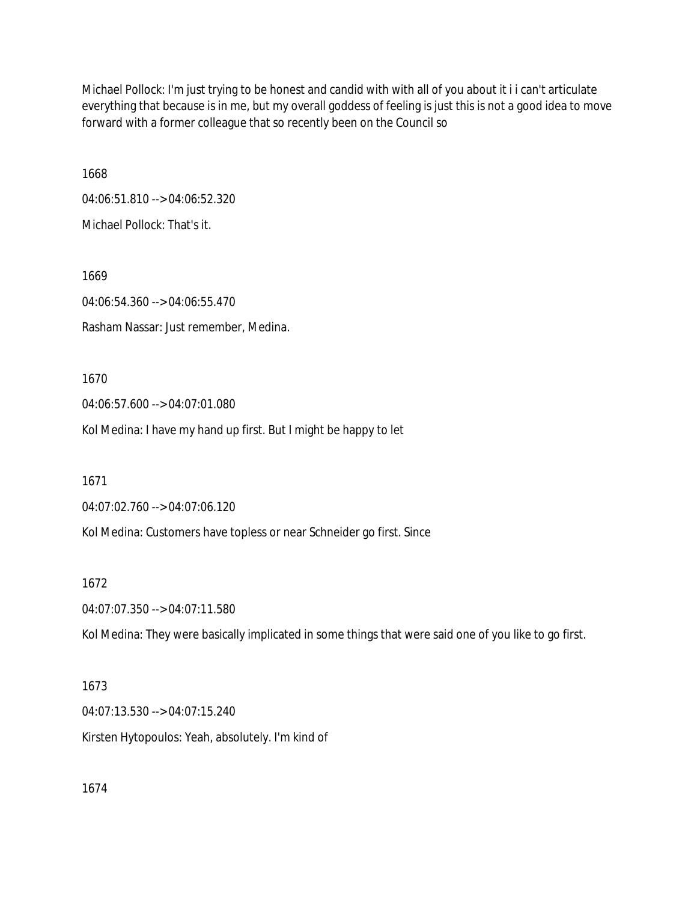Michael Pollock: I'm just trying to be honest and candid with with all of you about it i i can't articulate everything that because is in me, but my overall goddess of feeling is just this is not a good idea to move forward with a former colleague that so recently been on the Council so

1668 04:06:51.810 --> 04:06:52.320 Michael Pollock: That's it.

1669 04:06:54.360 --> 04:06:55.470 Rasham Nassar: Just remember, Medina.

1670

04:06:57.600 --> 04:07:01.080

Kol Medina: I have my hand up first. But I might be happy to let

1671

04:07:02.760 --> 04:07:06.120

Kol Medina: Customers have topless or near Schneider go first. Since

1672

04:07:07.350 --> 04:07:11.580

Kol Medina: They were basically implicated in some things that were said one of you like to go first.

1673

04:07:13.530 --> 04:07:15.240 Kirsten Hytopoulos: Yeah, absolutely. I'm kind of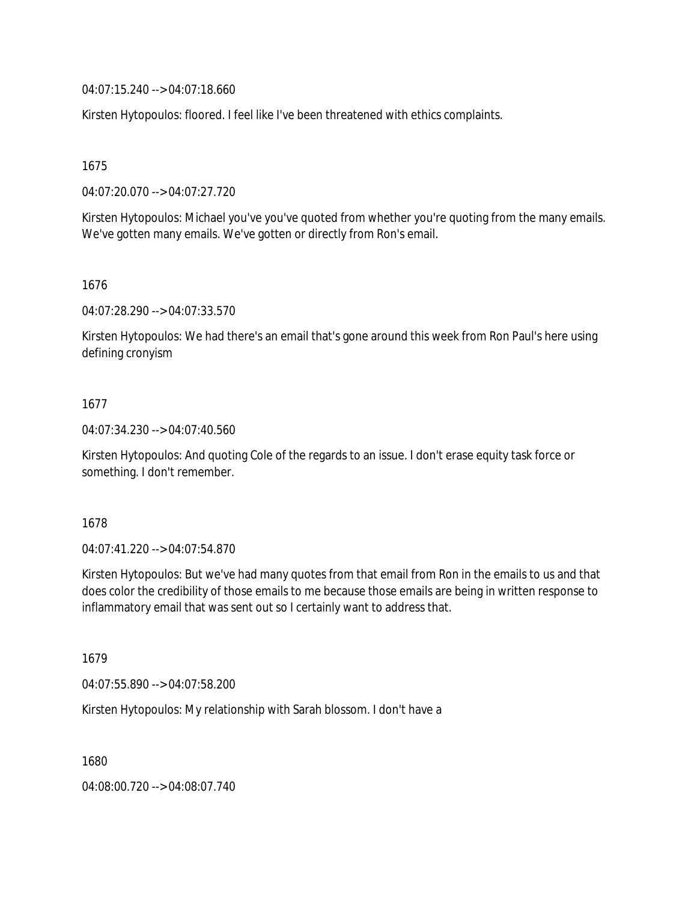04:07:15.240 --> 04:07:18.660

Kirsten Hytopoulos: floored. I feel like I've been threatened with ethics complaints.

1675

04:07:20.070 --> 04:07:27.720

Kirsten Hytopoulos: Michael you've you've quoted from whether you're quoting from the many emails. We've gotten many emails. We've gotten or directly from Ron's email.

1676

04:07:28.290 --> 04:07:33.570

Kirsten Hytopoulos: We had there's an email that's gone around this week from Ron Paul's here using defining cronyism

### 1677

04:07:34.230 --> 04:07:40.560

Kirsten Hytopoulos: And quoting Cole of the regards to an issue. I don't erase equity task force or something. I don't remember.

1678

04:07:41.220 --> 04:07:54.870

Kirsten Hytopoulos: But we've had many quotes from that email from Ron in the emails to us and that does color the credibility of those emails to me because those emails are being in written response to inflammatory email that was sent out so I certainly want to address that.

1679

04:07:55.890 --> 04:07:58.200

Kirsten Hytopoulos: My relationship with Sarah blossom. I don't have a

1680

04:08:00.720 --> 04:08:07.740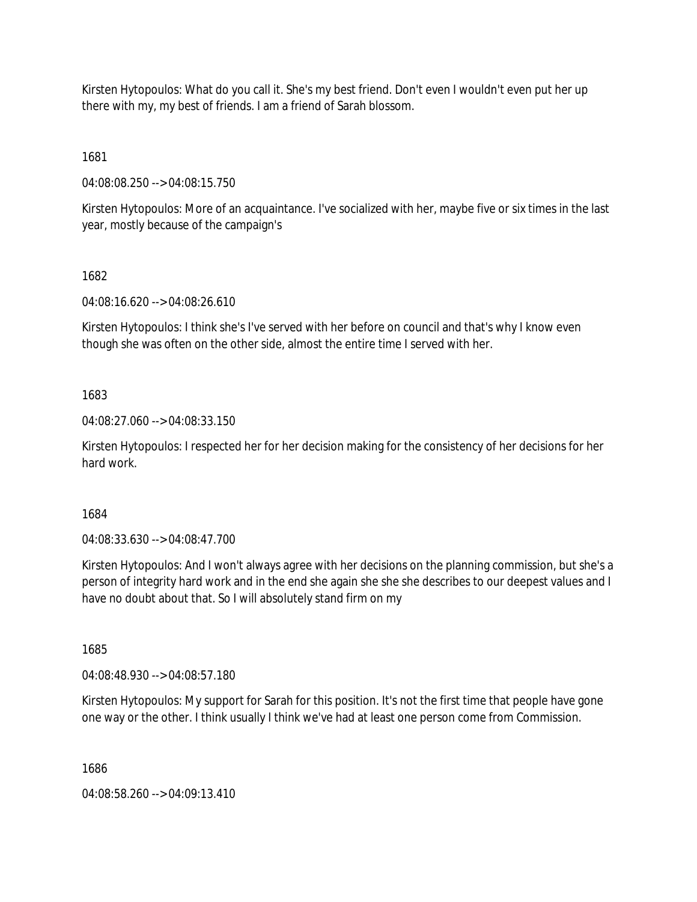Kirsten Hytopoulos: What do you call it. She's my best friend. Don't even I wouldn't even put her up there with my, my best of friends. I am a friend of Sarah blossom.

1681

04:08:08.250 --> 04:08:15.750

Kirsten Hytopoulos: More of an acquaintance. I've socialized with her, maybe five or six times in the last year, mostly because of the campaign's

1682

04:08:16.620 --> 04:08:26.610

Kirsten Hytopoulos: I think she's I've served with her before on council and that's why I know even though she was often on the other side, almost the entire time I served with her.

1683

04:08:27.060 --> 04:08:33.150

Kirsten Hytopoulos: I respected her for her decision making for the consistency of her decisions for her hard work.

1684

04:08:33.630 --> 04:08:47.700

Kirsten Hytopoulos: And I won't always agree with her decisions on the planning commission, but she's a person of integrity hard work and in the end she again she she she describes to our deepest values and I have no doubt about that. So I will absolutely stand firm on my

1685

04:08:48.930 --> 04:08:57.180

Kirsten Hytopoulos: My support for Sarah for this position. It's not the first time that people have gone one way or the other. I think usually I think we've had at least one person come from Commission.

1686

04:08:58.260 --> 04:09:13.410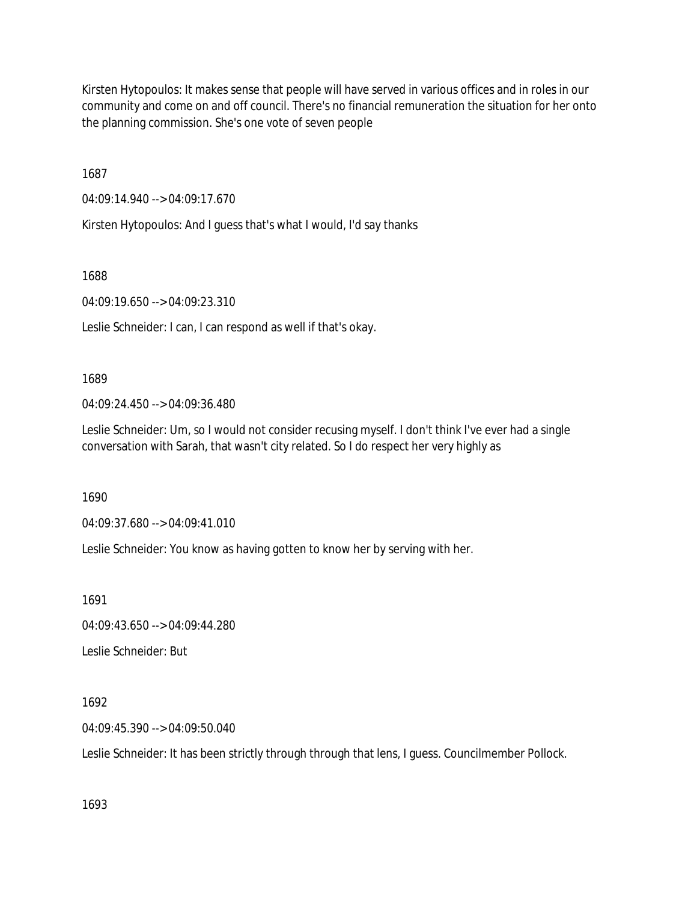Kirsten Hytopoulos: It makes sense that people will have served in various offices and in roles in our community and come on and off council. There's no financial remuneration the situation for her onto the planning commission. She's one vote of seven people

1687

04:09:14.940 --> 04:09:17.670

Kirsten Hytopoulos: And I guess that's what I would, I'd say thanks

1688

04:09:19.650 --> 04:09:23.310

Leslie Schneider: I can, I can respond as well if that's okay.

1689

04:09:24.450 --> 04:09:36.480

Leslie Schneider: Um, so I would not consider recusing myself. I don't think I've ever had a single conversation with Sarah, that wasn't city related. So I do respect her very highly as

1690

04:09:37.680 --> 04:09:41.010

Leslie Schneider: You know as having gotten to know her by serving with her.

1691

04:09:43.650 --> 04:09:44.280

Leslie Schneider: But

1692

04:09:45.390 --> 04:09:50.040

Leslie Schneider: It has been strictly through through that lens, I guess. Councilmember Pollock.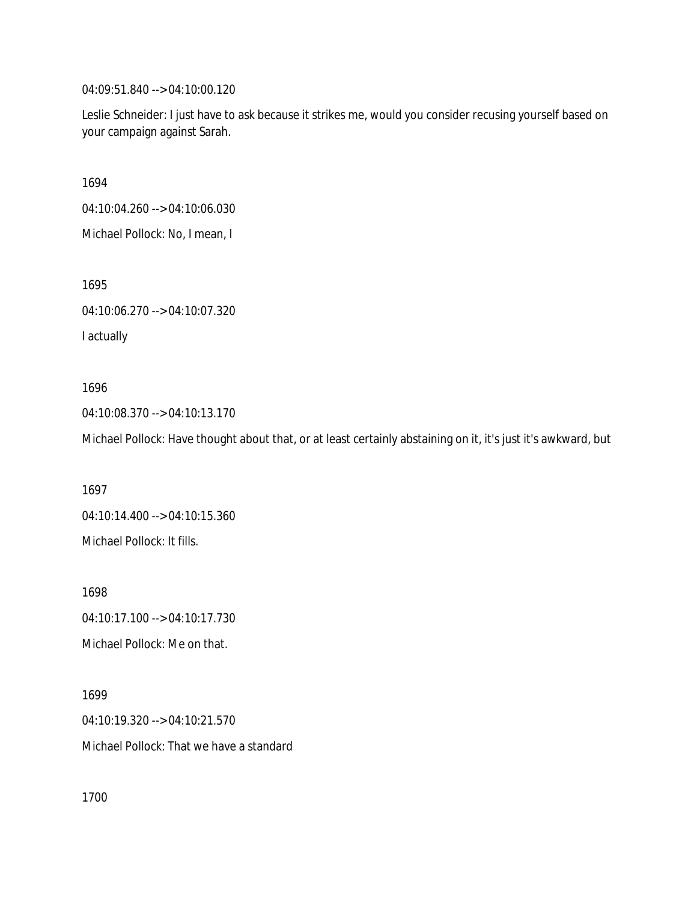04:09:51.840 --> 04:10:00.120

Leslie Schneider: I just have to ask because it strikes me, would you consider recusing yourself based on your campaign against Sarah.

1694

04:10:04.260 --> 04:10:06.030

Michael Pollock: No, I mean, I

1695

04:10:06.270 --> 04:10:07.320

I actually

1696 04:10:08.370 --> 04:10:13.170

Michael Pollock: Have thought about that, or at least certainly abstaining on it, it's just it's awkward, but

1697 04:10:14.400 --> 04:10:15.360 Michael Pollock: It fills.

1698 04:10:17.100 --> 04:10:17.730 Michael Pollock: Me on that.

1699 04:10:19.320 --> 04:10:21.570 Michael Pollock: That we have a standard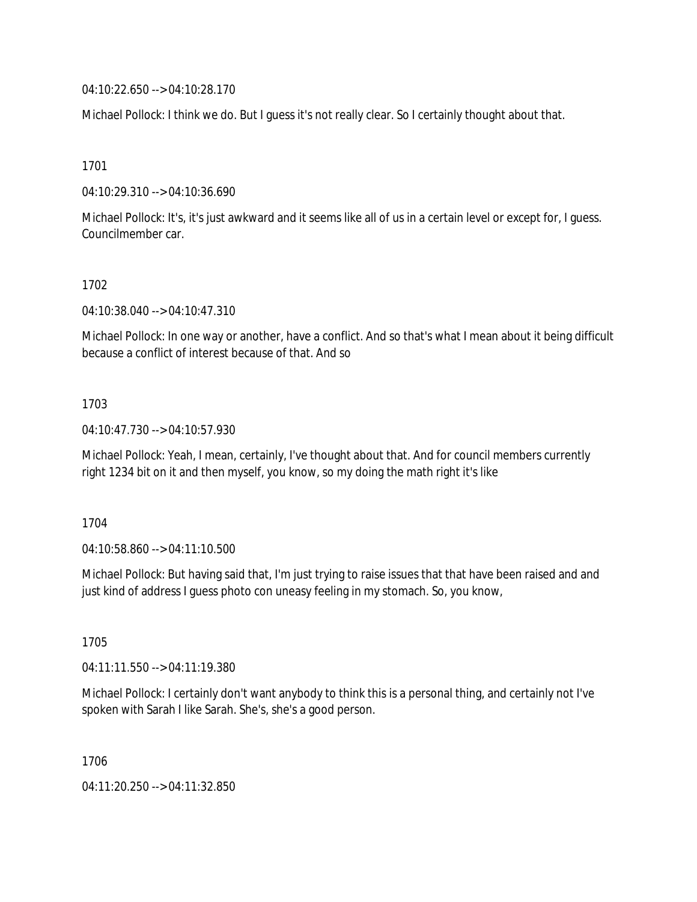04:10:22.650 --> 04:10:28.170

Michael Pollock: I think we do. But I guess it's not really clear. So I certainly thought about that.

1701

04:10:29.310 --> 04:10:36.690

Michael Pollock: It's, it's just awkward and it seems like all of us in a certain level or except for, I guess. Councilmember car.

### 1702

04:10:38.040 --> 04:10:47.310

Michael Pollock: In one way or another, have a conflict. And so that's what I mean about it being difficult because a conflict of interest because of that. And so

## 1703

04:10:47.730 --> 04:10:57.930

Michael Pollock: Yeah, I mean, certainly, I've thought about that. And for council members currently right 1234 bit on it and then myself, you know, so my doing the math right it's like

1704

04:10:58.860 --> 04:11:10.500

Michael Pollock: But having said that, I'm just trying to raise issues that that have been raised and and just kind of address I guess photo con uneasy feeling in my stomach. So, you know,

1705

04:11:11.550 --> 04:11:19.380

Michael Pollock: I certainly don't want anybody to think this is a personal thing, and certainly not I've spoken with Sarah I like Sarah. She's, she's a good person.

1706

04:11:20.250 --> 04:11:32.850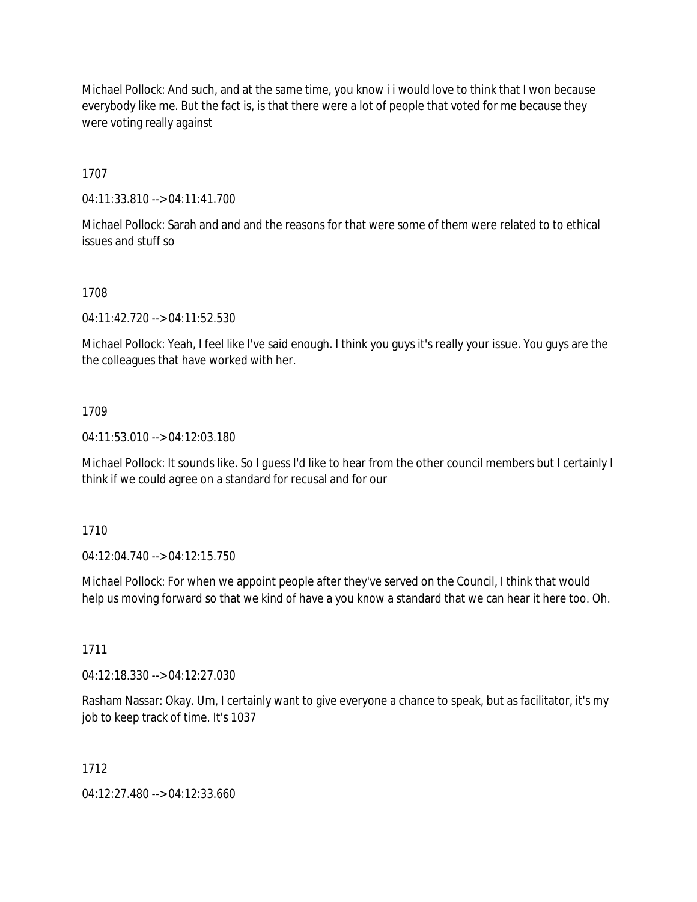Michael Pollock: And such, and at the same time, you know i i would love to think that I won because everybody like me. But the fact is, is that there were a lot of people that voted for me because they were voting really against

1707

04:11:33.810 --> 04:11:41.700

Michael Pollock: Sarah and and and the reasons for that were some of them were related to to ethical issues and stuff so

### 1708

04:11:42.720 --> 04:11:52.530

Michael Pollock: Yeah, I feel like I've said enough. I think you guys it's really your issue. You guys are the the colleagues that have worked with her.

### 1709

04:11:53.010 --> 04:12:03.180

Michael Pollock: It sounds like. So I guess I'd like to hear from the other council members but I certainly I think if we could agree on a standard for recusal and for our

1710

04:12:04.740 --> 04:12:15.750

Michael Pollock: For when we appoint people after they've served on the Council, I think that would help us moving forward so that we kind of have a you know a standard that we can hear it here too. Oh.

1711

04:12:18.330 --> 04:12:27.030

Rasham Nassar: Okay. Um, I certainly want to give everyone a chance to speak, but as facilitator, it's my job to keep track of time. It's 1037

### 1712

04:12:27.480 --> 04:12:33.660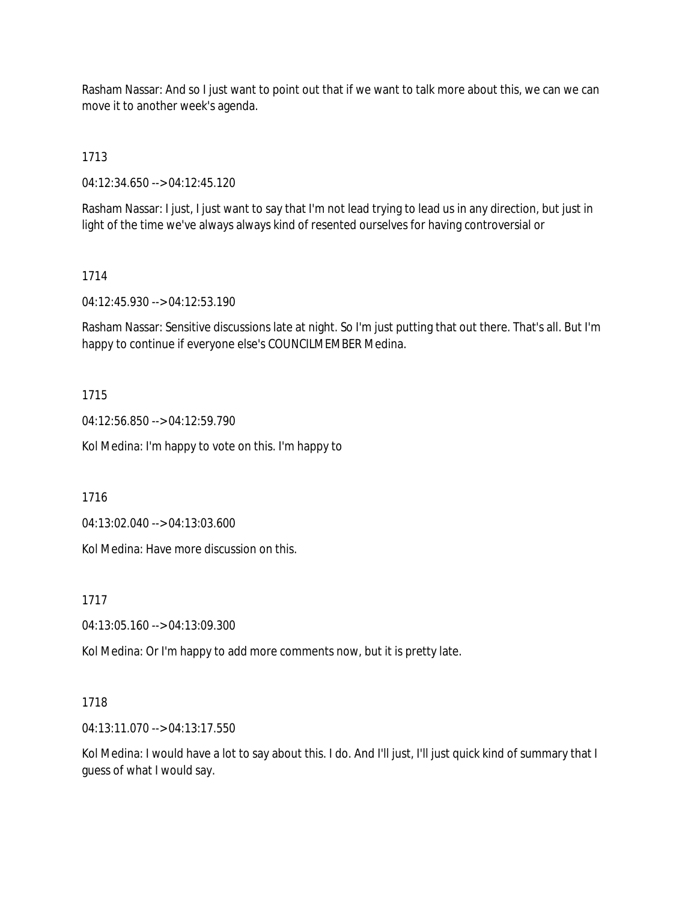Rasham Nassar: And so I just want to point out that if we want to talk more about this, we can we can move it to another week's agenda.

1713

04:12:34.650 --> 04:12:45.120

Rasham Nassar: I just, I just want to say that I'm not lead trying to lead us in any direction, but just in light of the time we've always always kind of resented ourselves for having controversial or

## 1714

04:12:45.930 --> 04:12:53.190

Rasham Nassar: Sensitive discussions late at night. So I'm just putting that out there. That's all. But I'm happy to continue if everyone else's COUNCILMEMBER Medina.

## 1715

04:12:56.850 --> 04:12:59.790

Kol Medina: I'm happy to vote on this. I'm happy to

1716

04:13:02.040 --> 04:13:03.600

Kol Medina: Have more discussion on this.

1717

04:13:05.160 --> 04:13:09.300

Kol Medina: Or I'm happy to add more comments now, but it is pretty late.

# 1718

04:13:11.070 --> 04:13:17.550

Kol Medina: I would have a lot to say about this. I do. And I'll just, I'll just quick kind of summary that I guess of what I would say.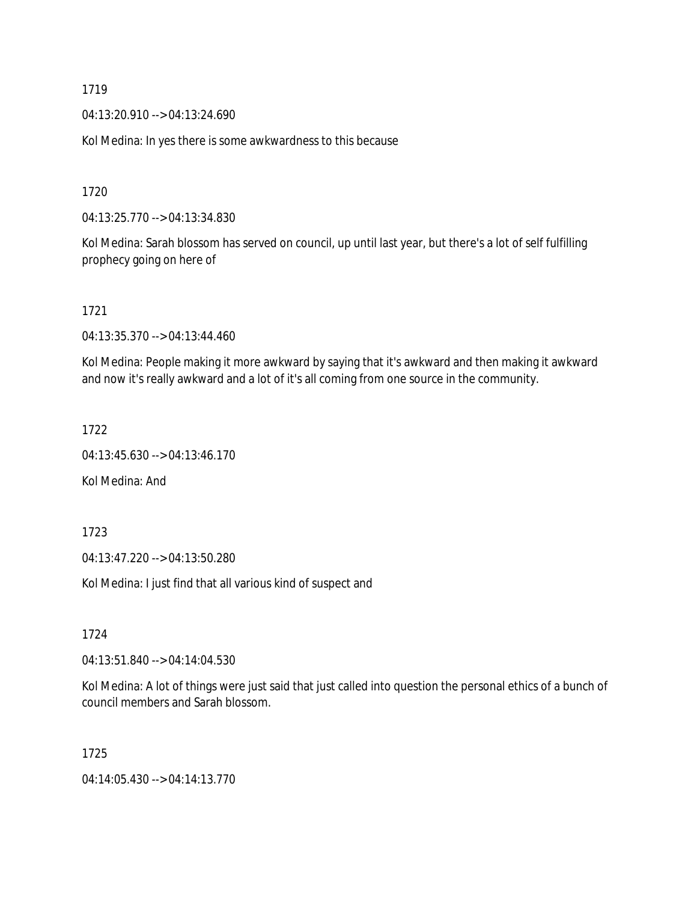04:13:20.910 --> 04:13:24.690

Kol Medina: In yes there is some awkwardness to this because

1720

04:13:25.770 --> 04:13:34.830

Kol Medina: Sarah blossom has served on council, up until last year, but there's a lot of self fulfilling prophecy going on here of

1721

04:13:35.370 --> 04:13:44.460

Kol Medina: People making it more awkward by saying that it's awkward and then making it awkward and now it's really awkward and a lot of it's all coming from one source in the community.

1722

04:13:45.630 --> 04:13:46.170

Kol Medina: And

1723

04:13:47.220 --> 04:13:50.280

Kol Medina: I just find that all various kind of suspect and

1724

04:13:51.840 --> 04:14:04.530

Kol Medina: A lot of things were just said that just called into question the personal ethics of a bunch of council members and Sarah blossom.

1725

04:14:05.430 --> 04:14:13.770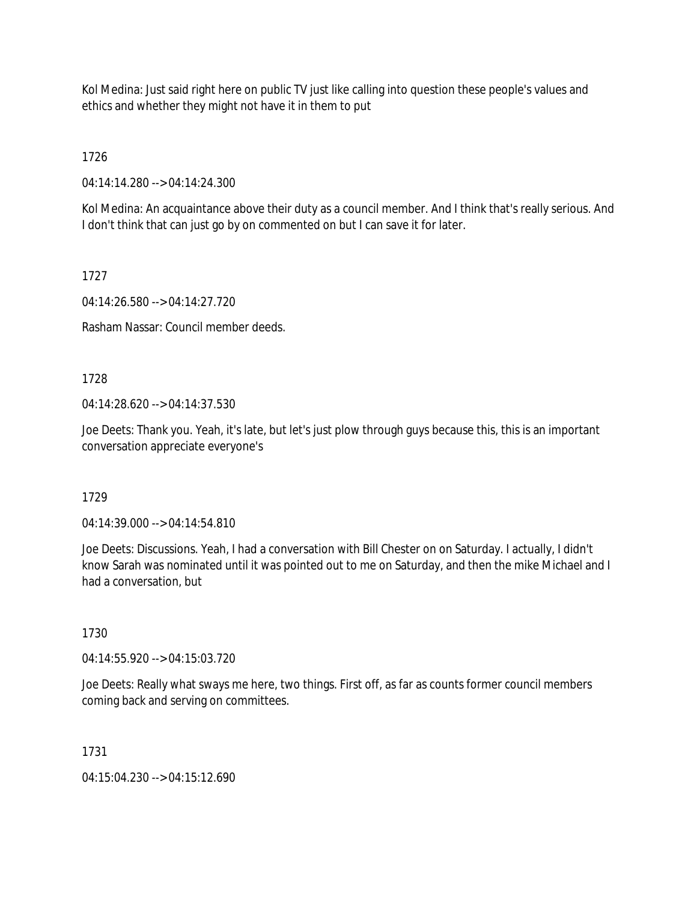Kol Medina: Just said right here on public TV just like calling into question these people's values and ethics and whether they might not have it in them to put

1726

04:14:14.280 --> 04:14:24.300

Kol Medina: An acquaintance above their duty as a council member. And I think that's really serious. And I don't think that can just go by on commented on but I can save it for later.

1727

04:14:26.580 --> 04:14:27.720

Rasham Nassar: Council member deeds.

1728

04:14:28.620 --> 04:14:37.530

Joe Deets: Thank you. Yeah, it's late, but let's just plow through guys because this, this is an important conversation appreciate everyone's

1729

04:14:39.000 --> 04:14:54.810

Joe Deets: Discussions. Yeah, I had a conversation with Bill Chester on on Saturday. I actually, I didn't know Sarah was nominated until it was pointed out to me on Saturday, and then the mike Michael and I had a conversation, but

1730

04:14:55.920 --> 04:15:03.720

Joe Deets: Really what sways me here, two things. First off, as far as counts former council members coming back and serving on committees.

1731

04:15:04.230 --> 04:15:12.690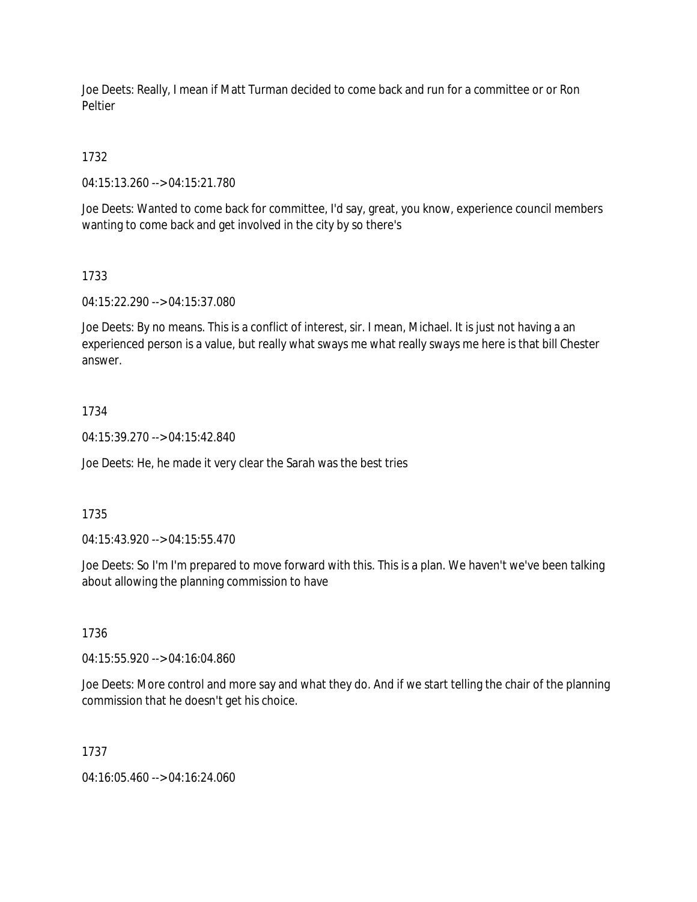Joe Deets: Really, I mean if Matt Turman decided to come back and run for a committee or or Ron Peltier

1732

04:15:13.260 --> 04:15:21.780

Joe Deets: Wanted to come back for committee, I'd say, great, you know, experience council members wanting to come back and get involved in the city by so there's

1733

04:15:22.290 --> 04:15:37.080

Joe Deets: By no means. This is a conflict of interest, sir. I mean, Michael. It is just not having a an experienced person is a value, but really what sways me what really sways me here is that bill Chester answer.

## 1734

04:15:39.270 --> 04:15:42.840

Joe Deets: He, he made it very clear the Sarah was the best tries

### 1735

04:15:43.920 --> 04:15:55.470

Joe Deets: So I'm I'm prepared to move forward with this. This is a plan. We haven't we've been talking about allowing the planning commission to have

### 1736

04:15:55.920 --> 04:16:04.860

Joe Deets: More control and more say and what they do. And if we start telling the chair of the planning commission that he doesn't get his choice.

### 1737

04:16:05.460 --> 04:16:24.060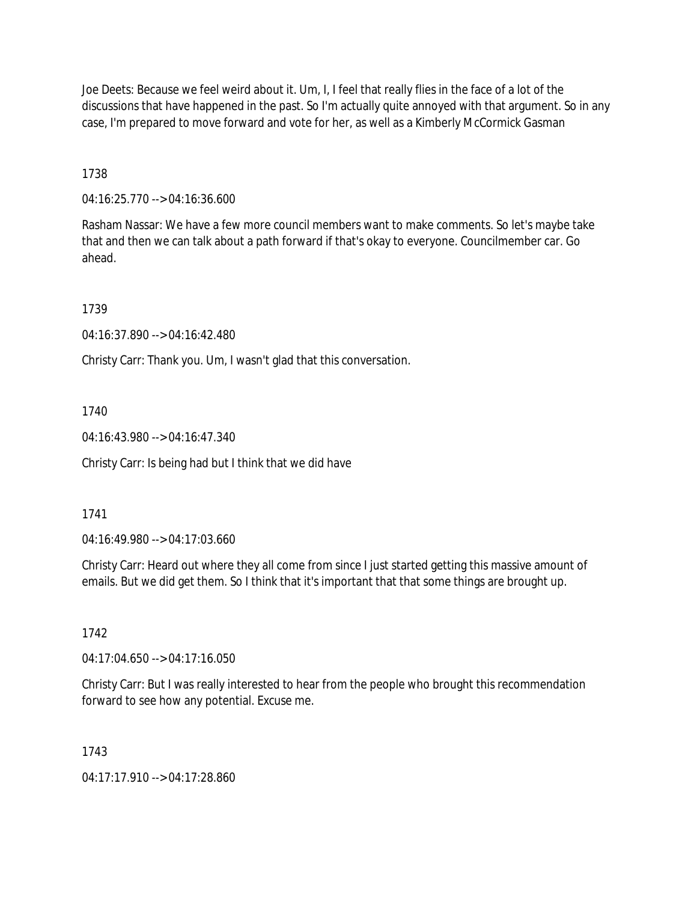Joe Deets: Because we feel weird about it. Um, I, I feel that really flies in the face of a lot of the discussions that have happened in the past. So I'm actually quite annoyed with that argument. So in any case, I'm prepared to move forward and vote for her, as well as a Kimberly McCormick Gasman

1738

04:16:25.770 --> 04:16:36.600

Rasham Nassar: We have a few more council members want to make comments. So let's maybe take that and then we can talk about a path forward if that's okay to everyone. Councilmember car. Go ahead.

1739

04:16:37.890 --> 04:16:42.480

Christy Carr: Thank you. Um, I wasn't glad that this conversation.

1740

04:16:43.980 --> 04:16:47.340

Christy Carr: Is being had but I think that we did have

1741

04:16:49.980 --> 04:17:03.660

Christy Carr: Heard out where they all come from since I just started getting this massive amount of emails. But we did get them. So I think that it's important that that some things are brought up.

1742

04:17:04.650 --> 04:17:16.050

Christy Carr: But I was really interested to hear from the people who brought this recommendation forward to see how any potential. Excuse me.

1743

04:17:17.910 --> 04:17:28.860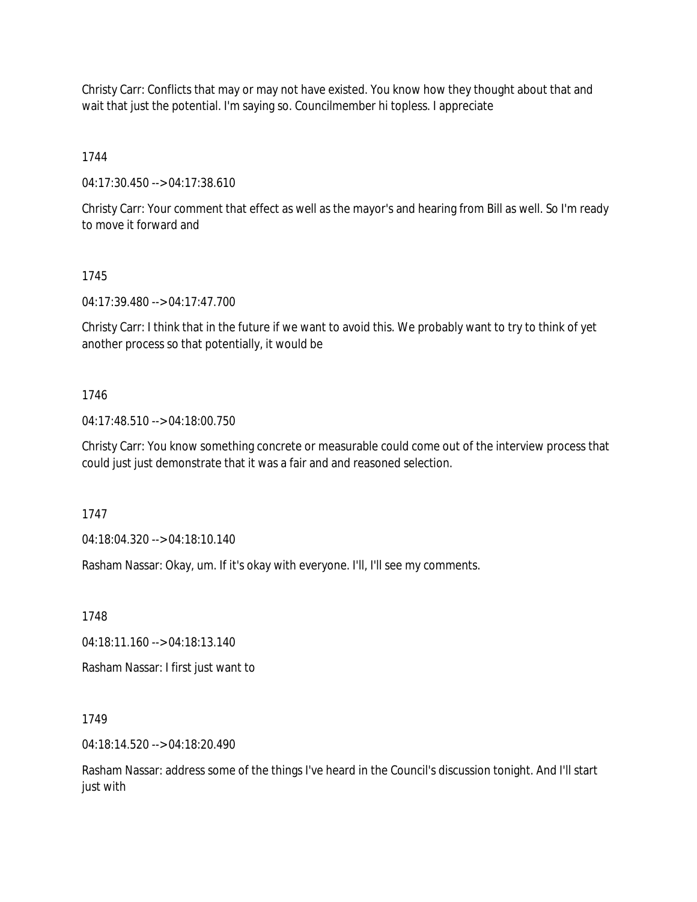Christy Carr: Conflicts that may or may not have existed. You know how they thought about that and wait that just the potential. I'm saying so. Councilmember hi topless. I appreciate

1744

04:17:30.450 --> 04:17:38.610

Christy Carr: Your comment that effect as well as the mayor's and hearing from Bill as well. So I'm ready to move it forward and

## 1745

04:17:39.480 --> 04:17:47.700

Christy Carr: I think that in the future if we want to avoid this. We probably want to try to think of yet another process so that potentially, it would be

## 1746

04:17:48.510 --> 04:18:00.750

Christy Carr: You know something concrete or measurable could come out of the interview process that could just just demonstrate that it was a fair and and reasoned selection.

1747

04:18:04.320 --> 04:18:10.140

Rasham Nassar: Okay, um. If it's okay with everyone. I'll, I'll see my comments.

1748

04:18:11.160 --> 04:18:13.140

Rasham Nassar: I first just want to

1749

04:18:14.520 --> 04:18:20.490

Rasham Nassar: address some of the things I've heard in the Council's discussion tonight. And I'll start just with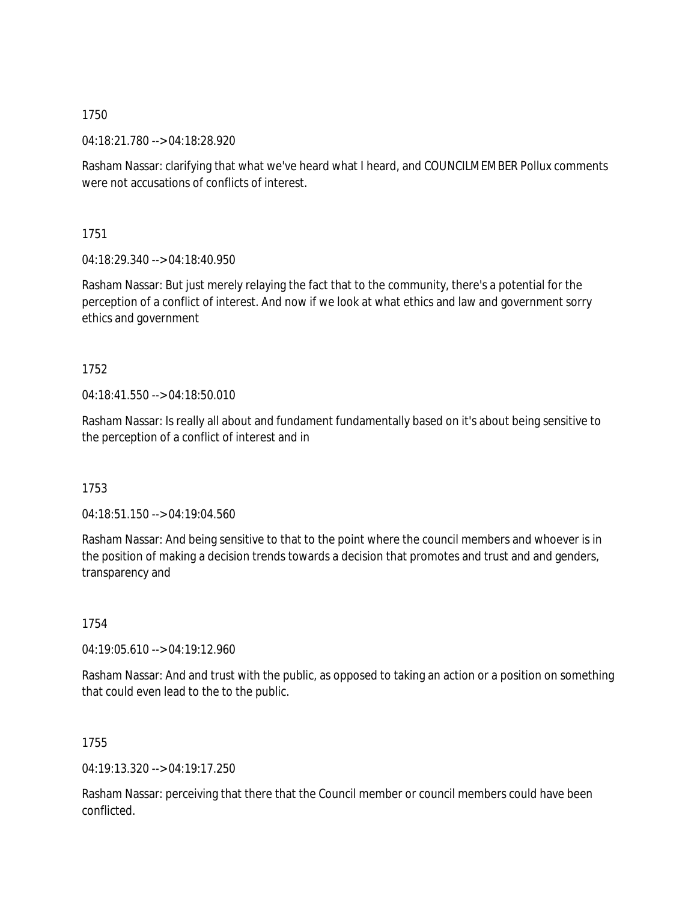04:18:21.780 --> 04:18:28.920

Rasham Nassar: clarifying that what we've heard what I heard, and COUNCILMEMBER Pollux comments were not accusations of conflicts of interest.

1751

04:18:29.340 --> 04:18:40.950

Rasham Nassar: But just merely relaying the fact that to the community, there's a potential for the perception of a conflict of interest. And now if we look at what ethics and law and government sorry ethics and government

1752

04:18:41.550 --> 04:18:50.010

Rasham Nassar: Is really all about and fundament fundamentally based on it's about being sensitive to the perception of a conflict of interest and in

1753

04:18:51.150 --> 04:19:04.560

Rasham Nassar: And being sensitive to that to the point where the council members and whoever is in the position of making a decision trends towards a decision that promotes and trust and and genders, transparency and

1754

04:19:05.610 --> 04:19:12.960

Rasham Nassar: And and trust with the public, as opposed to taking an action or a position on something that could even lead to the to the public.

1755

04:19:13.320 --> 04:19:17.250

Rasham Nassar: perceiving that there that the Council member or council members could have been conflicted.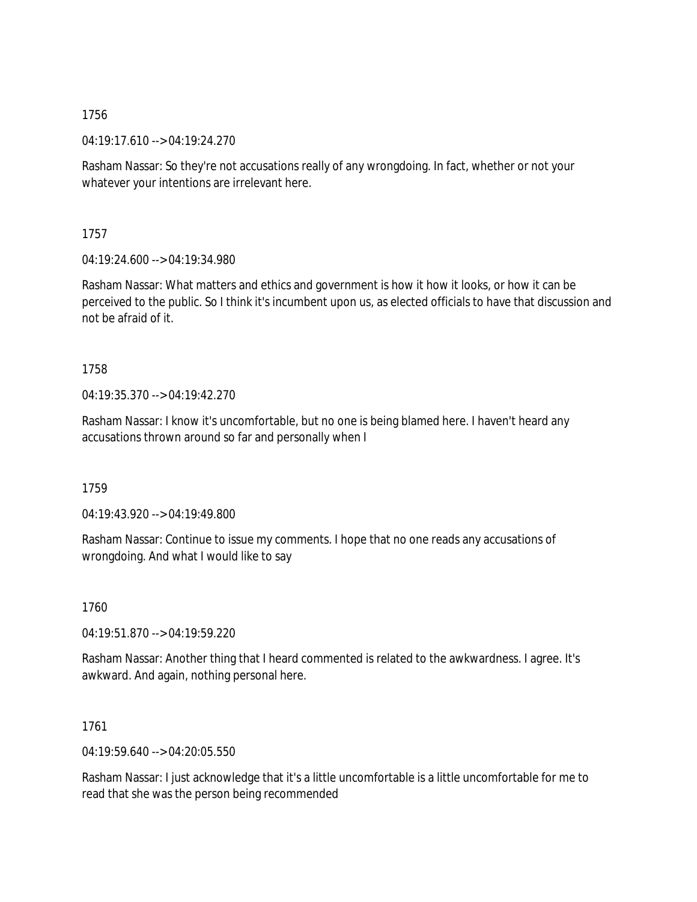04:19:17.610 --> 04:19:24.270

Rasham Nassar: So they're not accusations really of any wrongdoing. In fact, whether or not your whatever your intentions are irrelevant here.

1757

04:19:24.600 --> 04:19:34.980

Rasham Nassar: What matters and ethics and government is how it how it looks, or how it can be perceived to the public. So I think it's incumbent upon us, as elected officials to have that discussion and not be afraid of it.

1758

04:19:35.370 --> 04:19:42.270

Rasham Nassar: I know it's uncomfortable, but no one is being blamed here. I haven't heard any accusations thrown around so far and personally when I

1759

04:19:43.920 --> 04:19:49.800

Rasham Nassar: Continue to issue my comments. I hope that no one reads any accusations of wrongdoing. And what I would like to say

1760

04:19:51.870 --> 04:19:59.220

Rasham Nassar: Another thing that I heard commented is related to the awkwardness. I agree. It's awkward. And again, nothing personal here.

1761

04:19:59.640 --> 04:20:05.550

Rasham Nassar: I just acknowledge that it's a little uncomfortable is a little uncomfortable for me to read that she was the person being recommended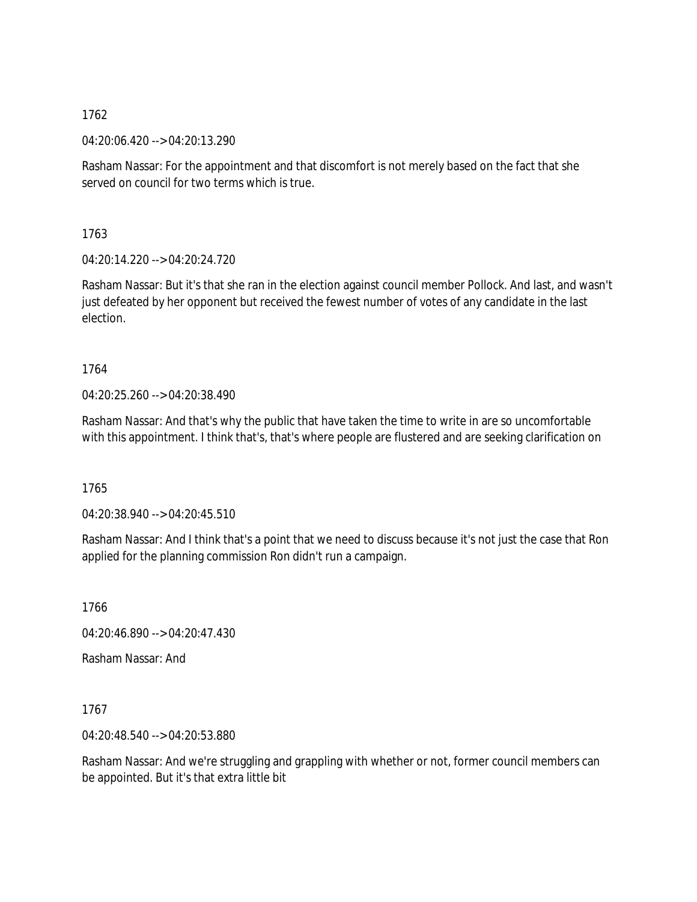04:20:06.420 --> 04:20:13.290

Rasham Nassar: For the appointment and that discomfort is not merely based on the fact that she served on council for two terms which is true.

1763

04:20:14.220 --> 04:20:24.720

Rasham Nassar: But it's that she ran in the election against council member Pollock. And last, and wasn't just defeated by her opponent but received the fewest number of votes of any candidate in the last election.

1764

04:20:25.260 --> 04:20:38.490

Rasham Nassar: And that's why the public that have taken the time to write in are so uncomfortable with this appointment. I think that's, that's where people are flustered and are seeking clarification on

1765

04:20:38.940 --> 04:20:45.510

Rasham Nassar: And I think that's a point that we need to discuss because it's not just the case that Ron applied for the planning commission Ron didn't run a campaign.

1766

04:20:46.890 --> 04:20:47.430

Rasham Nassar: And

1767

04:20:48.540 --> 04:20:53.880

Rasham Nassar: And we're struggling and grappling with whether or not, former council members can be appointed. But it's that extra little bit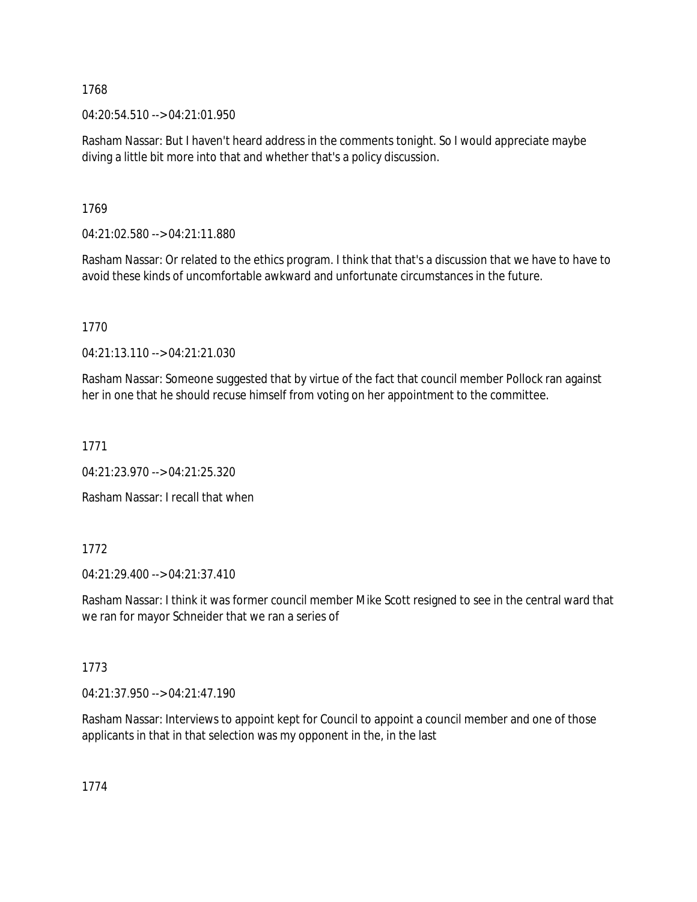04:20:54.510 --> 04:21:01.950

Rasham Nassar: But I haven't heard address in the comments tonight. So I would appreciate maybe diving a little bit more into that and whether that's a policy discussion.

1769

04:21:02.580 --> 04:21:11.880

Rasham Nassar: Or related to the ethics program. I think that that's a discussion that we have to have to avoid these kinds of uncomfortable awkward and unfortunate circumstances in the future.

1770

04:21:13.110 --> 04:21:21.030

Rasham Nassar: Someone suggested that by virtue of the fact that council member Pollock ran against her in one that he should recuse himself from voting on her appointment to the committee.

1771

04:21:23.970 --> 04:21:25.320

Rasham Nassar: I recall that when

# 1772

04:21:29.400 --> 04:21:37.410

Rasham Nassar: I think it was former council member Mike Scott resigned to see in the central ward that we ran for mayor Schneider that we ran a series of

# 1773

04:21:37.950 --> 04:21:47.190

Rasham Nassar: Interviews to appoint kept for Council to appoint a council member and one of those applicants in that in that selection was my opponent in the, in the last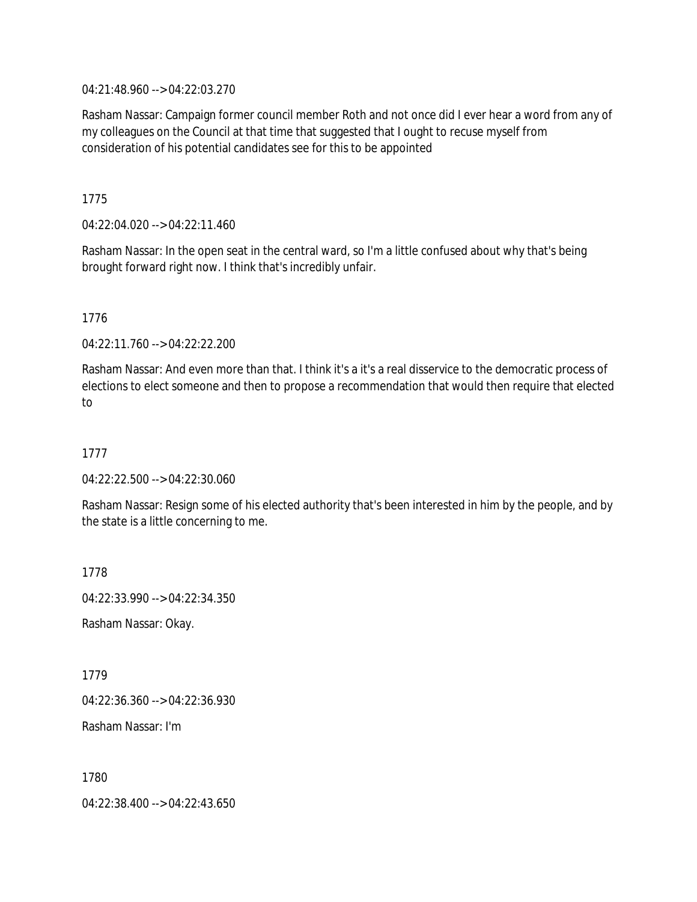04:21:48.960 --> 04:22:03.270

Rasham Nassar: Campaign former council member Roth and not once did I ever hear a word from any of my colleagues on the Council at that time that suggested that I ought to recuse myself from consideration of his potential candidates see for this to be appointed

1775

04:22:04.020 --> 04:22:11.460

Rasham Nassar: In the open seat in the central ward, so I'm a little confused about why that's being brought forward right now. I think that's incredibly unfair.

1776

04:22:11.760 --> 04:22:22.200

Rasham Nassar: And even more than that. I think it's a it's a real disservice to the democratic process of elections to elect someone and then to propose a recommendation that would then require that elected to

1777

04:22:22.500 --> 04:22:30.060

Rasham Nassar: Resign some of his elected authority that's been interested in him by the people, and by the state is a little concerning to me.

1778

04:22:33.990 --> 04:22:34.350

Rasham Nassar: Okay.

1779

04:22:36.360 --> 04:22:36.930

Rasham Nassar: I'm

1780

04:22:38.400 --> 04:22:43.650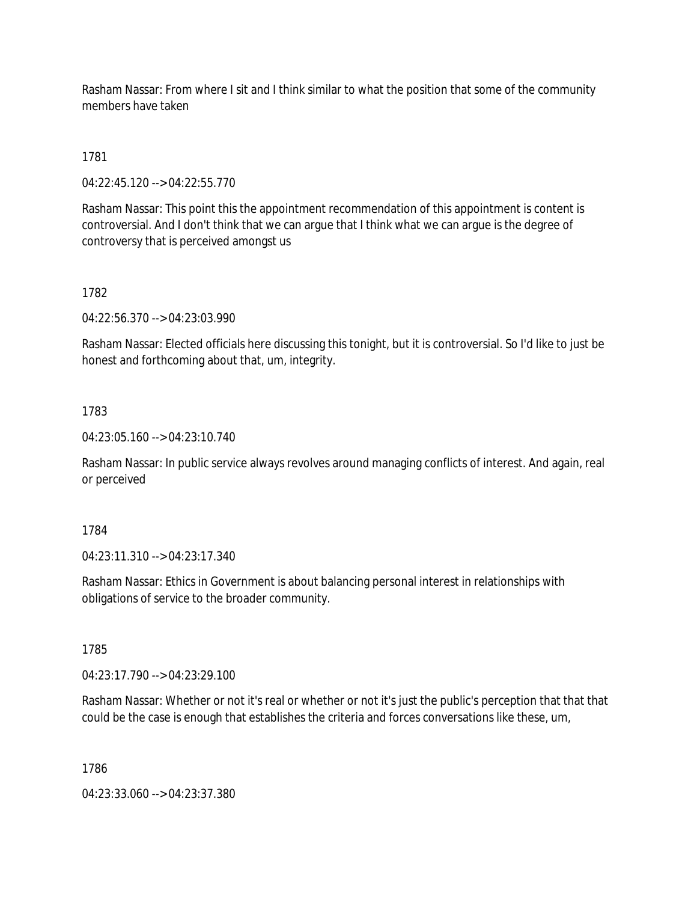Rasham Nassar: From where I sit and I think similar to what the position that some of the community members have taken

## 1781

04:22:45.120 --> 04:22:55.770

Rasham Nassar: This point this the appointment recommendation of this appointment is content is controversial. And I don't think that we can argue that I think what we can argue is the degree of controversy that is perceived amongst us

## 1782

04:22:56.370 --> 04:23:03.990

Rasham Nassar: Elected officials here discussing this tonight, but it is controversial. So I'd like to just be honest and forthcoming about that, um, integrity.

### 1783

04:23:05.160 --> 04:23:10.740

Rasham Nassar: In public service always revolves around managing conflicts of interest. And again, real or perceived

### 1784

04:23:11.310 --> 04:23:17.340

Rasham Nassar: Ethics in Government is about balancing personal interest in relationships with obligations of service to the broader community.

1785

04:23:17.790 --> 04:23:29.100

Rasham Nassar: Whether or not it's real or whether or not it's just the public's perception that that that could be the case is enough that establishes the criteria and forces conversations like these, um,

1786

04:23:33.060 --> 04:23:37.380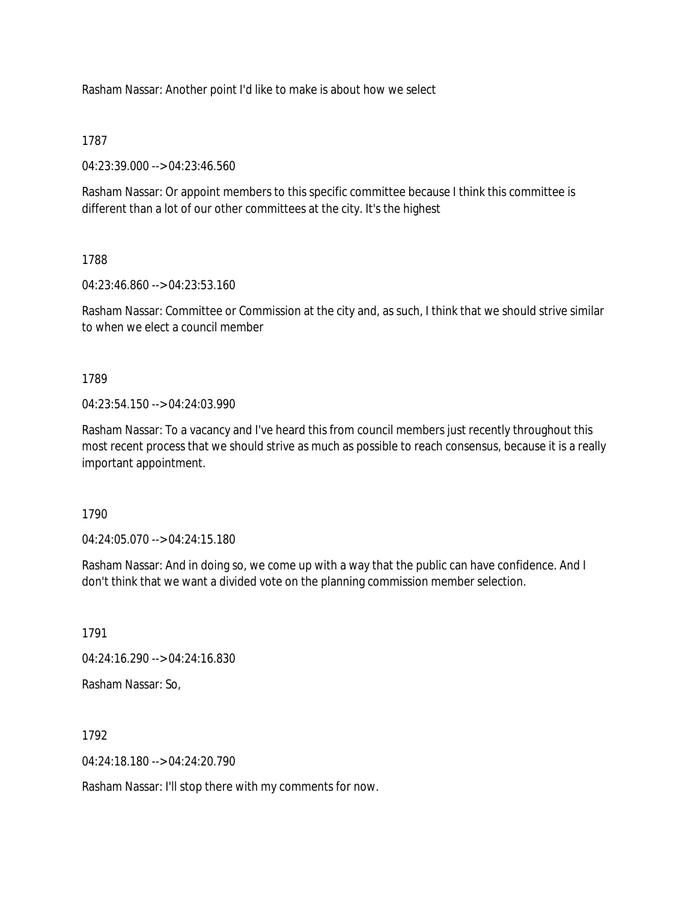Rasham Nassar: Another point I'd like to make is about how we select

1787

04:23:39.000 --> 04:23:46.560

Rasham Nassar: Or appoint members to this specific committee because I think this committee is different than a lot of our other committees at the city. It's the highest

1788

04:23:46.860 --> 04:23:53.160

Rasham Nassar: Committee or Commission at the city and, as such, I think that we should strive similar to when we elect a council member

1789

 $04.23.54.150 -> 04.24.03.990$ 

Rasham Nassar: To a vacancy and I've heard this from council members just recently throughout this most recent process that we should strive as much as possible to reach consensus, because it is a really important appointment.

1790

04:24:05.070 --> 04:24:15.180

Rasham Nassar: And in doing so, we come up with a way that the public can have confidence. And I don't think that we want a divided vote on the planning commission member selection.

1791

04:24:16.290 --> 04:24:16.830

Rasham Nassar: So,

1792

 $04.24.18$  180 -->  $04.24.20$  790

Rasham Nassar: I'll stop there with my comments for now.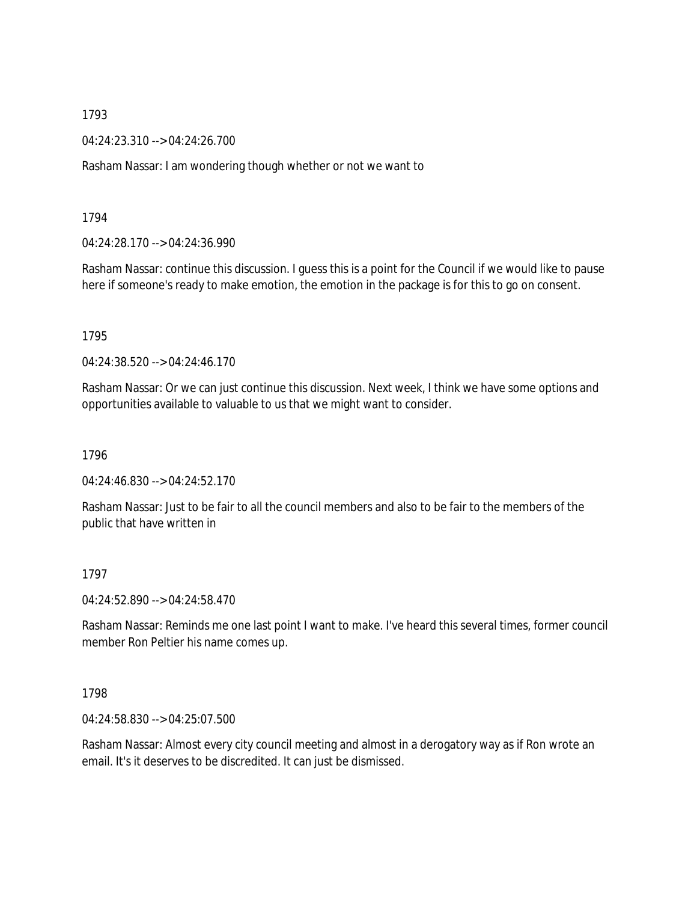04:24:23.310 --> 04:24:26.700

Rasham Nassar: I am wondering though whether or not we want to

1794

04:24:28.170 --> 04:24:36.990

Rasham Nassar: continue this discussion. I guess this is a point for the Council if we would like to pause here if someone's ready to make emotion, the emotion in the package is for this to go on consent.

1795

04:24:38.520 --> 04:24:46.170

Rasham Nassar: Or we can just continue this discussion. Next week, I think we have some options and opportunities available to valuable to us that we might want to consider.

1796

04:24:46.830 --> 04:24:52.170

Rasham Nassar: Just to be fair to all the council members and also to be fair to the members of the public that have written in

1797

04:24:52.890 --> 04:24:58.470

Rasham Nassar: Reminds me one last point I want to make. I've heard this several times, former council member Ron Peltier his name comes up.

1798

04:24:58.830 --> 04:25:07.500

Rasham Nassar: Almost every city council meeting and almost in a derogatory way as if Ron wrote an email. It's it deserves to be discredited. It can just be dismissed.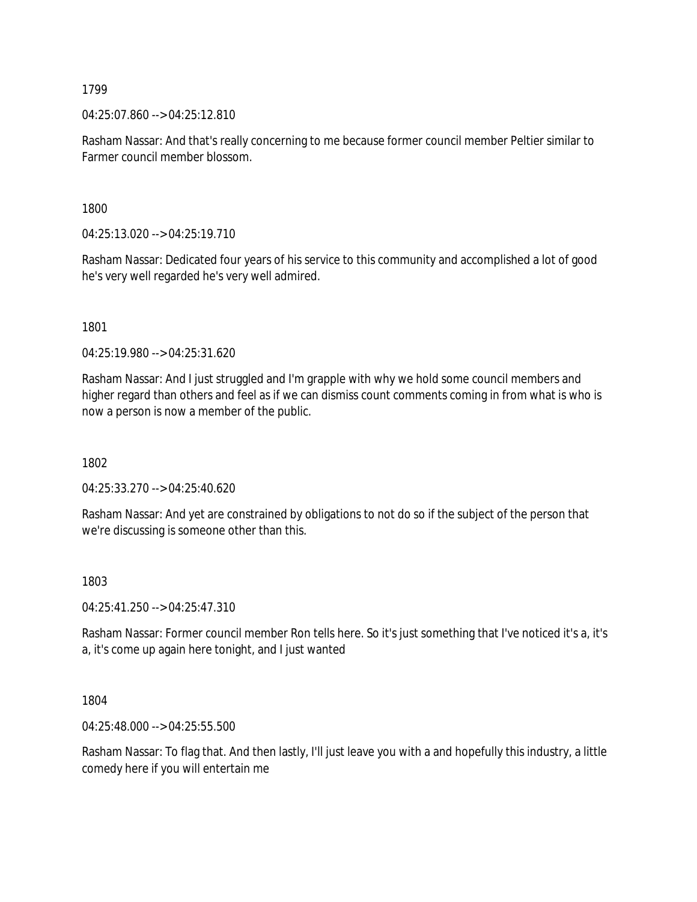04:25:07.860 --> 04:25:12.810

Rasham Nassar: And that's really concerning to me because former council member Peltier similar to Farmer council member blossom.

1800

04:25:13.020 --> 04:25:19.710

Rasham Nassar: Dedicated four years of his service to this community and accomplished a lot of good he's very well regarded he's very well admired.

1801

04:25:19.980 --> 04:25:31.620

Rasham Nassar: And I just struggled and I'm grapple with why we hold some council members and higher regard than others and feel as if we can dismiss count comments coming in from what is who is now a person is now a member of the public.

1802

04:25:33.270 --> 04:25:40.620

Rasham Nassar: And yet are constrained by obligations to not do so if the subject of the person that we're discussing is someone other than this.

1803

04:25:41.250 --> 04:25:47.310

Rasham Nassar: Former council member Ron tells here. So it's just something that I've noticed it's a, it's a, it's come up again here tonight, and I just wanted

1804

04:25:48.000 --> 04:25:55.500

Rasham Nassar: To flag that. And then lastly, I'll just leave you with a and hopefully this industry, a little comedy here if you will entertain me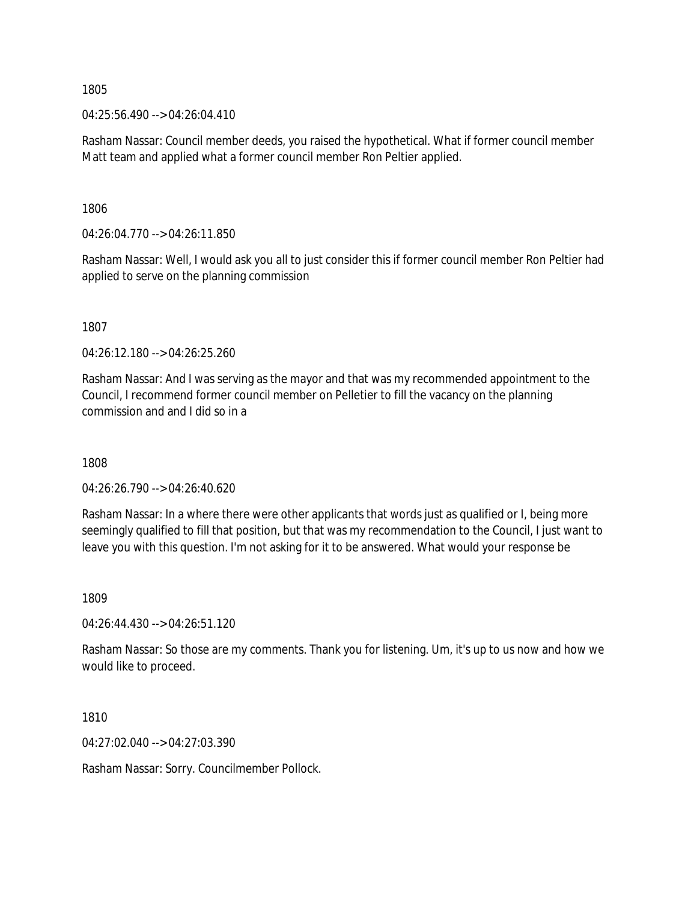04:25:56.490 --> 04:26:04.410

Rasham Nassar: Council member deeds, you raised the hypothetical. What if former council member Matt team and applied what a former council member Ron Peltier applied.

1806

04:26:04.770 --> 04:26:11.850

Rasham Nassar: Well, I would ask you all to just consider this if former council member Ron Peltier had applied to serve on the planning commission

1807

04:26:12.180 --> 04:26:25.260

Rasham Nassar: And I was serving as the mayor and that was my recommended appointment to the Council, I recommend former council member on Pelletier to fill the vacancy on the planning commission and and I did so in a

1808

04:26:26.790 --> 04:26:40.620

Rasham Nassar: In a where there were other applicants that words just as qualified or I, being more seemingly qualified to fill that position, but that was my recommendation to the Council, I just want to leave you with this question. I'm not asking for it to be answered. What would your response be

1809

04:26:44.430 --> 04:26:51.120

Rasham Nassar: So those are my comments. Thank you for listening. Um, it's up to us now and how we would like to proceed.

1810

04:27:02.040 --> 04:27:03.390

Rasham Nassar: Sorry. Councilmember Pollock.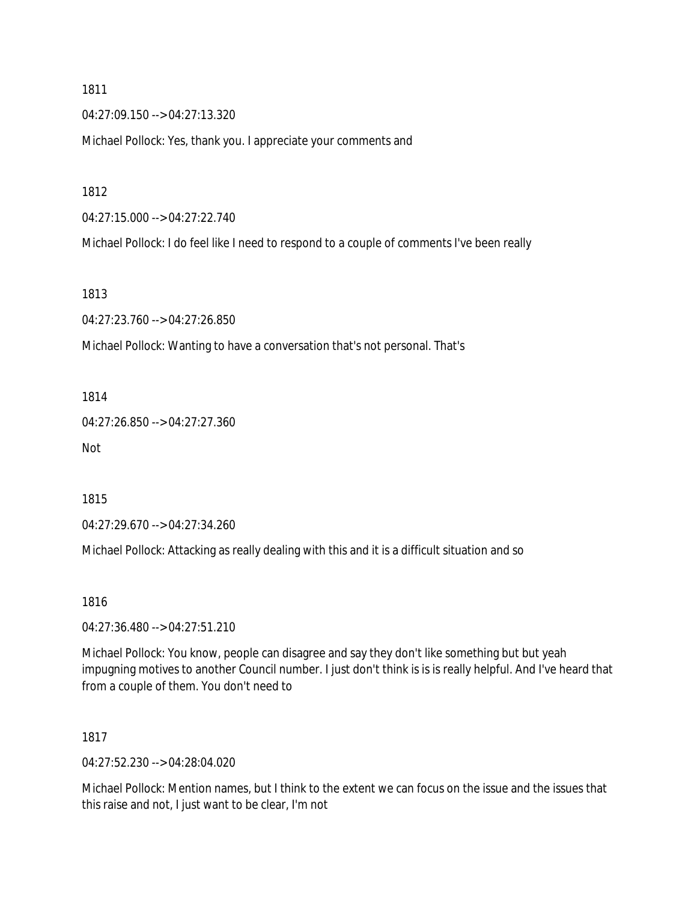04:27:09.150 --> 04:27:13.320

Michael Pollock: Yes, thank you. I appreciate your comments and

1812

04:27:15.000 --> 04:27:22.740

Michael Pollock: I do feel like I need to respond to a couple of comments I've been really

1813

04:27:23.760 --> 04:27:26.850

Michael Pollock: Wanting to have a conversation that's not personal. That's

1814

04:27:26.850 --> 04:27:27.360

Not

1815

04:27:29.670 --> 04:27:34.260

Michael Pollock: Attacking as really dealing with this and it is a difficult situation and so

1816

04:27:36.480 --> 04:27:51.210

Michael Pollock: You know, people can disagree and say they don't like something but but yeah impugning motives to another Council number. I just don't think is is is really helpful. And I've heard that from a couple of them. You don't need to

1817

04:27:52.230 --> 04:28:04.020

Michael Pollock: Mention names, but I think to the extent we can focus on the issue and the issues that this raise and not, I just want to be clear, I'm not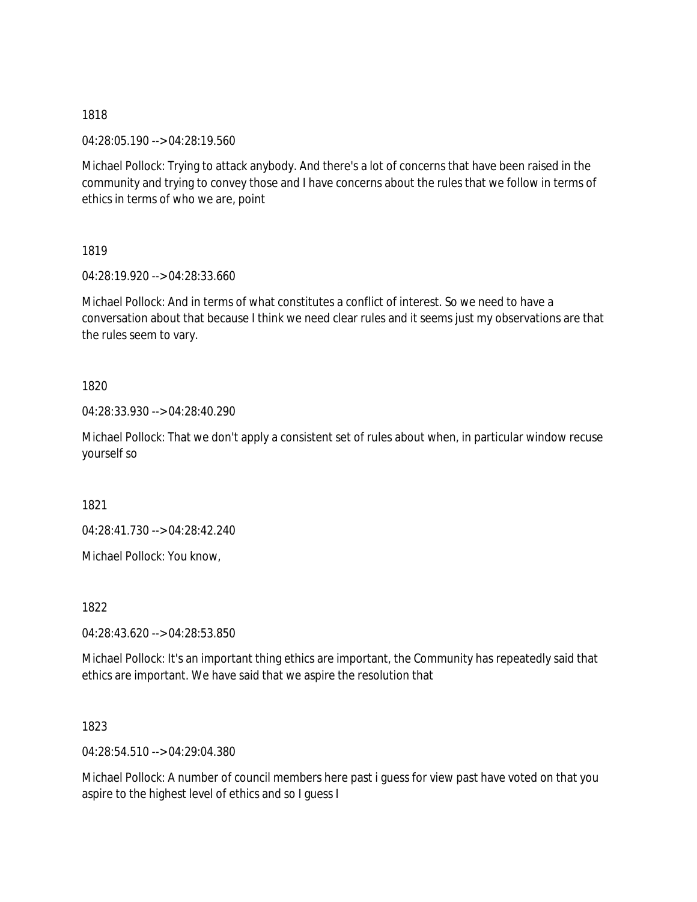04:28:05.190 --> 04:28:19.560

Michael Pollock: Trying to attack anybody. And there's a lot of concerns that have been raised in the community and trying to convey those and I have concerns about the rules that we follow in terms of ethics in terms of who we are, point

1819

04:28:19.920 --> 04:28:33.660

Michael Pollock: And in terms of what constitutes a conflict of interest. So we need to have a conversation about that because I think we need clear rules and it seems just my observations are that the rules seem to vary.

1820

04:28:33.930 --> 04:28:40.290

Michael Pollock: That we don't apply a consistent set of rules about when, in particular window recuse yourself so

1821

04:28:41.730 --> 04:28:42.240

Michael Pollock: You know,

1822

04:28:43.620 --> 04:28:53.850

Michael Pollock: It's an important thing ethics are important, the Community has repeatedly said that ethics are important. We have said that we aspire the resolution that

1823

04:28:54.510 --> 04:29:04.380

Michael Pollock: A number of council members here past i guess for view past have voted on that you aspire to the highest level of ethics and so I guess I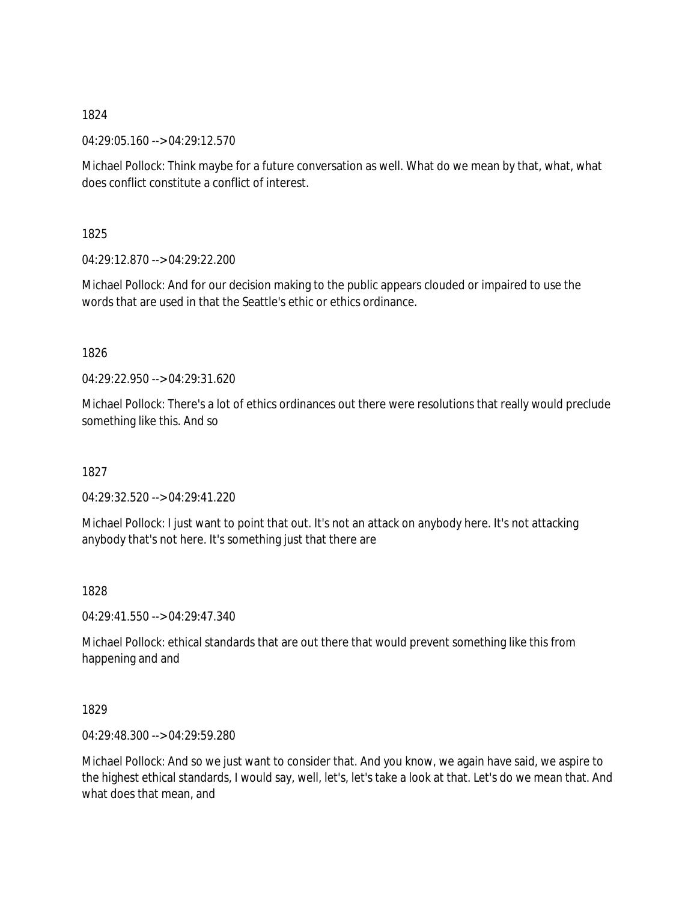04:29:05.160 --> 04:29:12.570

Michael Pollock: Think maybe for a future conversation as well. What do we mean by that, what, what does conflict constitute a conflict of interest.

1825

04:29:12.870 --> 04:29:22.200

Michael Pollock: And for our decision making to the public appears clouded or impaired to use the words that are used in that the Seattle's ethic or ethics ordinance.

1826

04:29:22.950 --> 04:29:31.620

Michael Pollock: There's a lot of ethics ordinances out there were resolutions that really would preclude something like this. And so

1827

04:29:32.520 --> 04:29:41.220

Michael Pollock: I just want to point that out. It's not an attack on anybody here. It's not attacking anybody that's not here. It's something just that there are

1828

04:29:41.550 --> 04:29:47.340

Michael Pollock: ethical standards that are out there that would prevent something like this from happening and and

1829

04:29:48.300 --> 04:29:59.280

Michael Pollock: And so we just want to consider that. And you know, we again have said, we aspire to the highest ethical standards, I would say, well, let's, let's take a look at that. Let's do we mean that. And what does that mean, and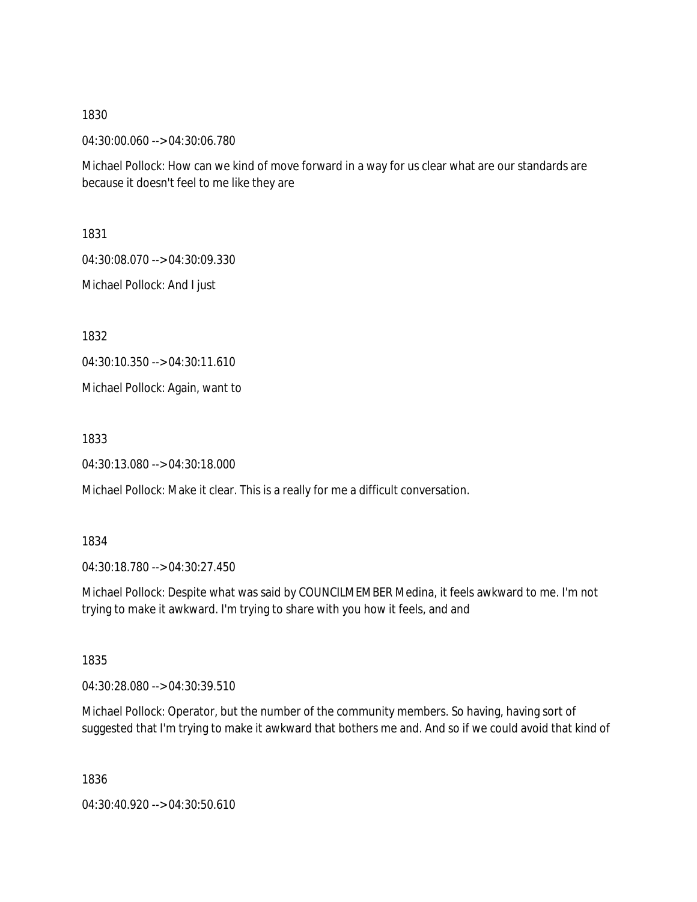04:30:00.060 --> 04:30:06.780

Michael Pollock: How can we kind of move forward in a way for us clear what are our standards are because it doesn't feel to me like they are

1831

04:30:08.070 --> 04:30:09.330

Michael Pollock: And I just

1832

04:30:10.350 --> 04:30:11.610

Michael Pollock: Again, want to

1833

04:30:13.080 --> 04:30:18.000

Michael Pollock: Make it clear. This is a really for me a difficult conversation.

#### 1834

04:30:18.780 --> 04:30:27.450

Michael Pollock: Despite what was said by COUNCILMEMBER Medina, it feels awkward to me. I'm not trying to make it awkward. I'm trying to share with you how it feels, and and

1835

04:30:28.080 --> 04:30:39.510

Michael Pollock: Operator, but the number of the community members. So having, having sort of suggested that I'm trying to make it awkward that bothers me and. And so if we could avoid that kind of

1836

04:30:40.920 --> 04:30:50.610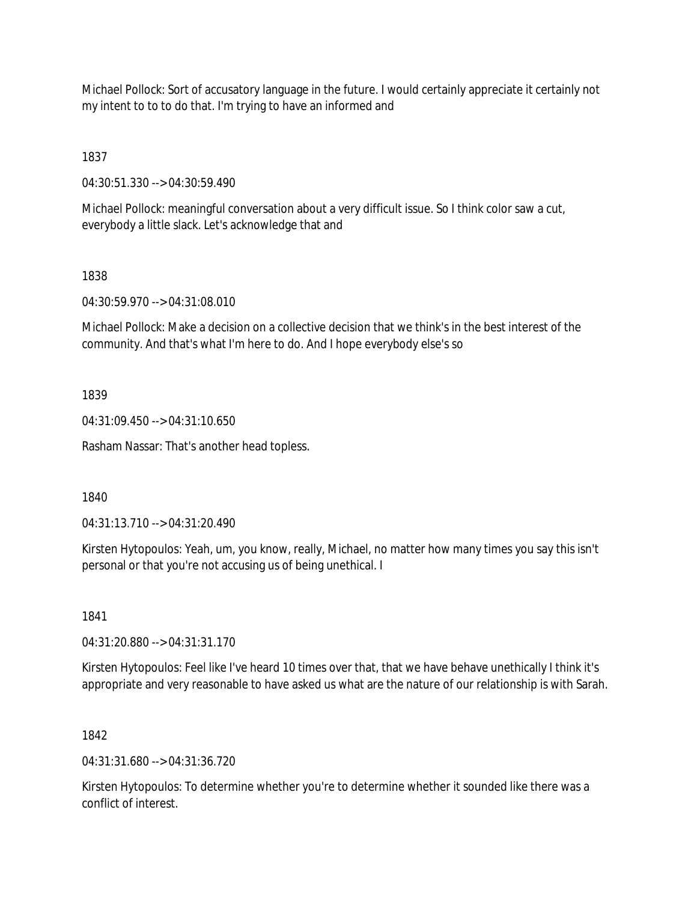Michael Pollock: Sort of accusatory language in the future. I would certainly appreciate it certainly not my intent to to to do that. I'm trying to have an informed and

1837

04:30:51.330 --> 04:30:59.490

Michael Pollock: meaningful conversation about a very difficult issue. So I think color saw a cut, everybody a little slack. Let's acknowledge that and

# 1838

04:30:59.970 --> 04:31:08.010

Michael Pollock: Make a decision on a collective decision that we think's in the best interest of the community. And that's what I'm here to do. And I hope everybody else's so

# 1839

04:31:09.450 --> 04:31:10.650

Rasham Nassar: That's another head topless.

1840

04:31:13.710 --> 04:31:20.490

Kirsten Hytopoulos: Yeah, um, you know, really, Michael, no matter how many times you say this isn't personal or that you're not accusing us of being unethical. I

1841

04:31:20.880 --> 04:31:31.170

Kirsten Hytopoulos: Feel like I've heard 10 times over that, that we have behave unethically I think it's appropriate and very reasonable to have asked us what are the nature of our relationship is with Sarah.

# 1842

04:31:31.680 --> 04:31:36.720

Kirsten Hytopoulos: To determine whether you're to determine whether it sounded like there was a conflict of interest.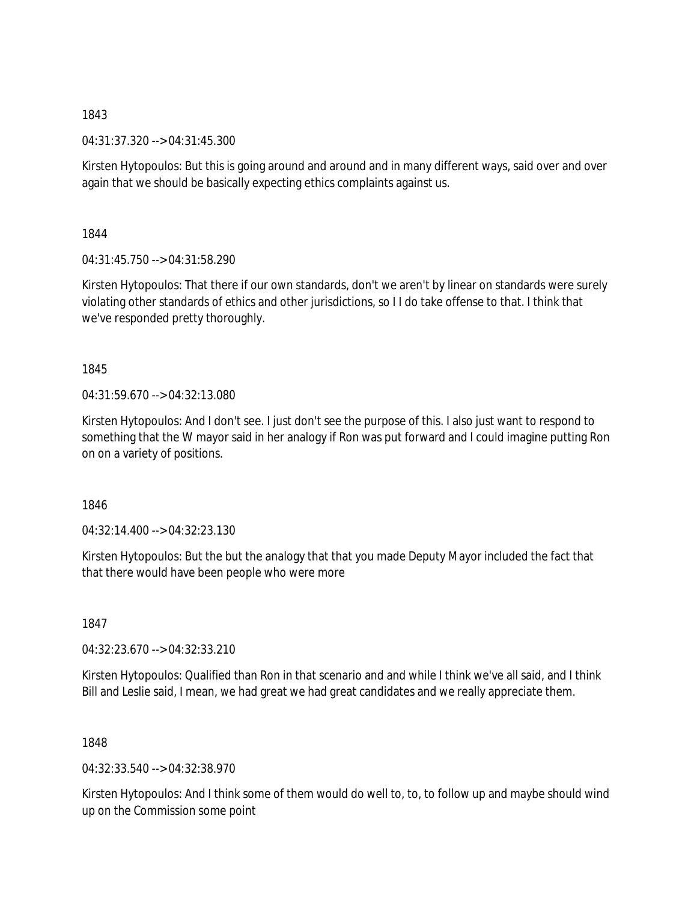04:31:37.320 --> 04:31:45.300

Kirsten Hytopoulos: But this is going around and around and in many different ways, said over and over again that we should be basically expecting ethics complaints against us.

1844

04:31:45.750 --> 04:31:58.290

Kirsten Hytopoulos: That there if our own standards, don't we aren't by linear on standards were surely violating other standards of ethics and other jurisdictions, so I I do take offense to that. I think that we've responded pretty thoroughly.

1845

04:31:59.670 --> 04:32:13.080

Kirsten Hytopoulos: And I don't see. I just don't see the purpose of this. I also just want to respond to something that the W mayor said in her analogy if Ron was put forward and I could imagine putting Ron on on a variety of positions.

1846

 $04:32:14.400 \rightarrow 04:32:23.130$ 

Kirsten Hytopoulos: But the but the analogy that that you made Deputy Mayor included the fact that that there would have been people who were more

1847

04:32:23.670 --> 04:32:33.210

Kirsten Hytopoulos: Qualified than Ron in that scenario and and while I think we've all said, and I think Bill and Leslie said, I mean, we had great we had great candidates and we really appreciate them.

1848

04:32:33.540 --> 04:32:38.970

Kirsten Hytopoulos: And I think some of them would do well to, to, to follow up and maybe should wind up on the Commission some point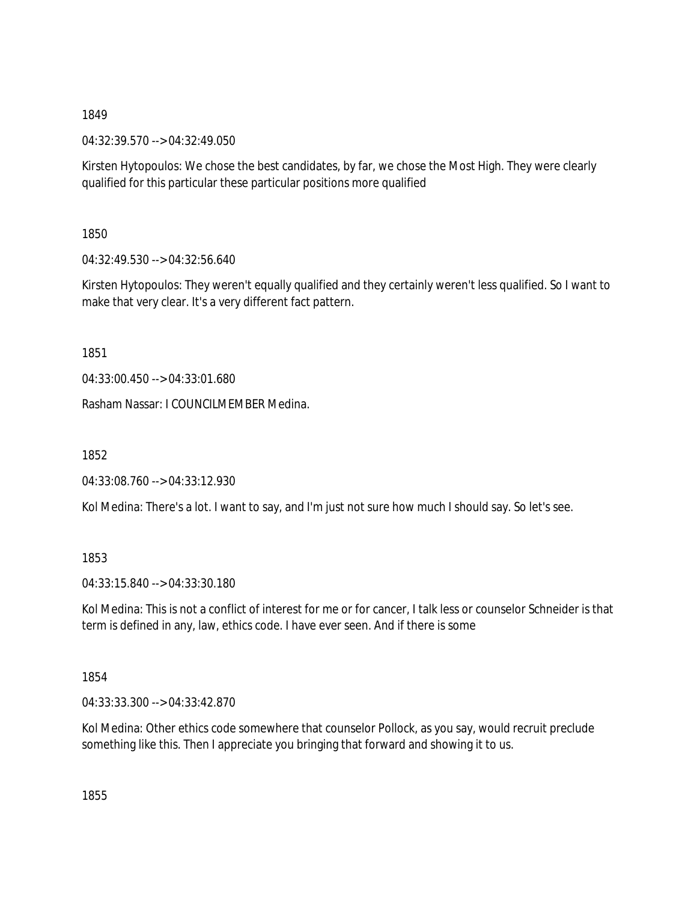04:32:39.570 --> 04:32:49.050

Kirsten Hytopoulos: We chose the best candidates, by far, we chose the Most High. They were clearly qualified for this particular these particular positions more qualified

1850

04:32:49.530 --> 04:32:56.640

Kirsten Hytopoulos: They weren't equally qualified and they certainly weren't less qualified. So I want to make that very clear. It's a very different fact pattern.

1851

04:33:00.450 --> 04:33:01.680

Rasham Nassar: I COUNCILMEMBER Medina.

1852

04:33:08.760 --> 04:33:12.930

Kol Medina: There's a lot. I want to say, and I'm just not sure how much I should say. So let's see.

1853

04:33:15.840 --> 04:33:30.180

Kol Medina: This is not a conflict of interest for me or for cancer, I talk less or counselor Schneider is that term is defined in any, law, ethics code. I have ever seen. And if there is some

1854

04:33:33.300 --> 04:33:42.870

Kol Medina: Other ethics code somewhere that counselor Pollock, as you say, would recruit preclude something like this. Then I appreciate you bringing that forward and showing it to us.

1855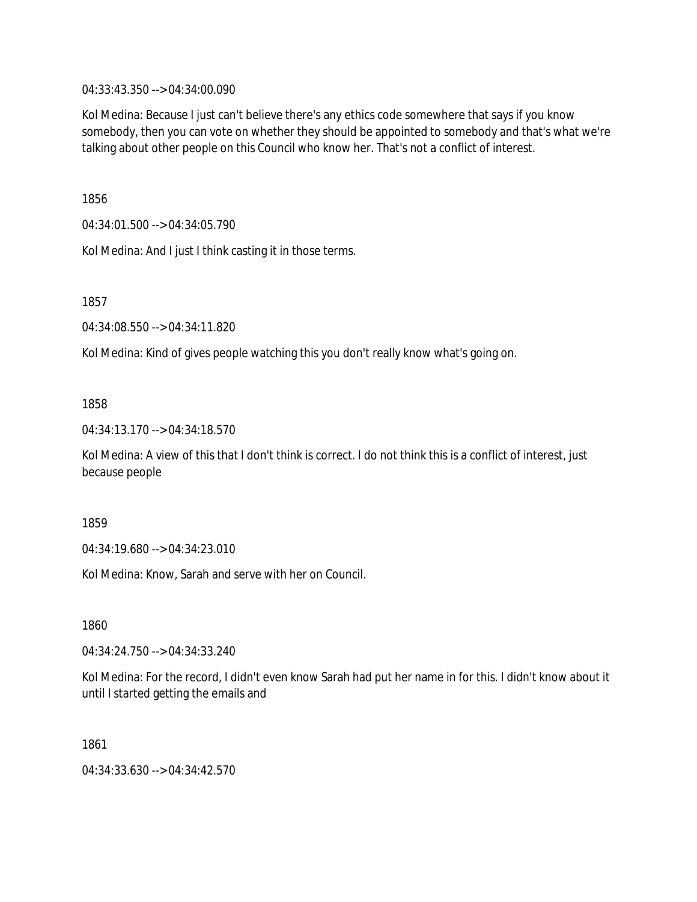04:33:43.350 --> 04:34:00.090

Kol Medina: Because I just can't believe there's any ethics code somewhere that says if you know somebody, then you can vote on whether they should be appointed to somebody and that's what we're talking about other people on this Council who know her. That's not a conflict of interest.

1856

04:34:01.500 --> 04:34:05.790

Kol Medina: And I just I think casting it in those terms.

1857

04:34:08.550 --> 04:34:11.820

Kol Medina: Kind of gives people watching this you don't really know what's going on.

# 1858

04:34:13.170 --> 04:34:18.570

Kol Medina: A view of this that I don't think is correct. I do not think this is a conflict of interest, just because people

1859

04:34:19.680 --> 04:34:23.010

Kol Medina: Know, Sarah and serve with her on Council.

1860

04:34:24.750 --> 04:34:33.240

Kol Medina: For the record, I didn't even know Sarah had put her name in for this. I didn't know about it until I started getting the emails and

1861

04:34:33.630 --> 04:34:42.570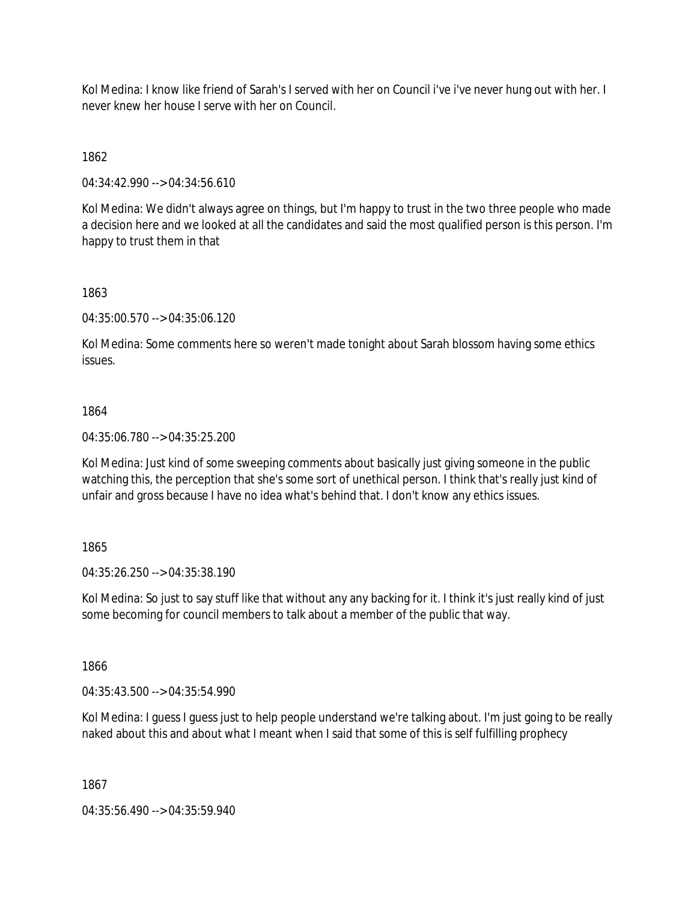Kol Medina: I know like friend of Sarah's I served with her on Council i've i've never hung out with her. I never knew her house I serve with her on Council.

1862

04:34:42.990 --> 04:34:56.610

Kol Medina: We didn't always agree on things, but I'm happy to trust in the two three people who made a decision here and we looked at all the candidates and said the most qualified person is this person. I'm happy to trust them in that

1863

04:35:00.570 --> 04:35:06.120

Kol Medina: Some comments here so weren't made tonight about Sarah blossom having some ethics issues.

# 1864

04:35:06.780 --> 04:35:25.200

Kol Medina: Just kind of some sweeping comments about basically just giving someone in the public watching this, the perception that she's some sort of unethical person. I think that's really just kind of unfair and gross because I have no idea what's behind that. I don't know any ethics issues.

# 1865

04:35:26.250 --> 04:35:38.190

Kol Medina: So just to say stuff like that without any any backing for it. I think it's just really kind of just some becoming for council members to talk about a member of the public that way.

1866

04:35:43.500 --> 04:35:54.990

Kol Medina: I guess I guess just to help people understand we're talking about. I'm just going to be really naked about this and about what I meant when I said that some of this is self fulfilling prophecy

1867

04:35:56.490 --> 04:35:59.940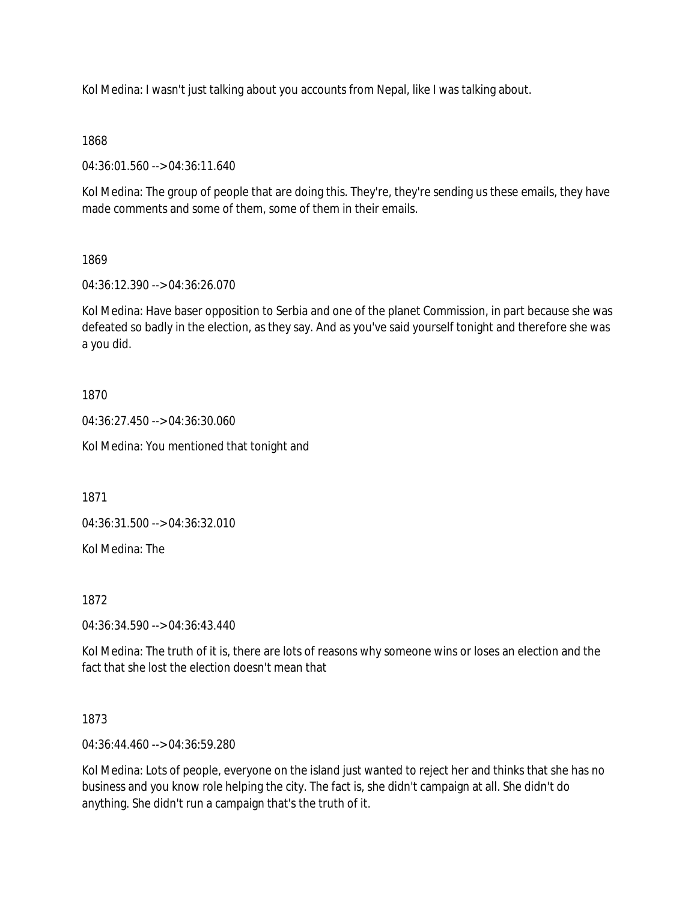Kol Medina: I wasn't just talking about you accounts from Nepal, like I was talking about.

# 1868

04:36:01.560 --> 04:36:11.640

Kol Medina: The group of people that are doing this. They're, they're sending us these emails, they have made comments and some of them, some of them in their emails.

# 1869

04:36:12.390 --> 04:36:26.070

Kol Medina: Have baser opposition to Serbia and one of the planet Commission, in part because she was defeated so badly in the election, as they say. And as you've said yourself tonight and therefore she was a you did.

# 1870

04:36:27.450 --> 04:36:30.060

Kol Medina: You mentioned that tonight and

1871

04:36:31.500 --> 04:36:32.010

Kol Medina: The

1872

04:36:34.590 --> 04:36:43.440

Kol Medina: The truth of it is, there are lots of reasons why someone wins or loses an election and the fact that she lost the election doesn't mean that

1873

04:36:44.460 --> 04:36:59.280

Kol Medina: Lots of people, everyone on the island just wanted to reject her and thinks that she has no business and you know role helping the city. The fact is, she didn't campaign at all. She didn't do anything. She didn't run a campaign that's the truth of it.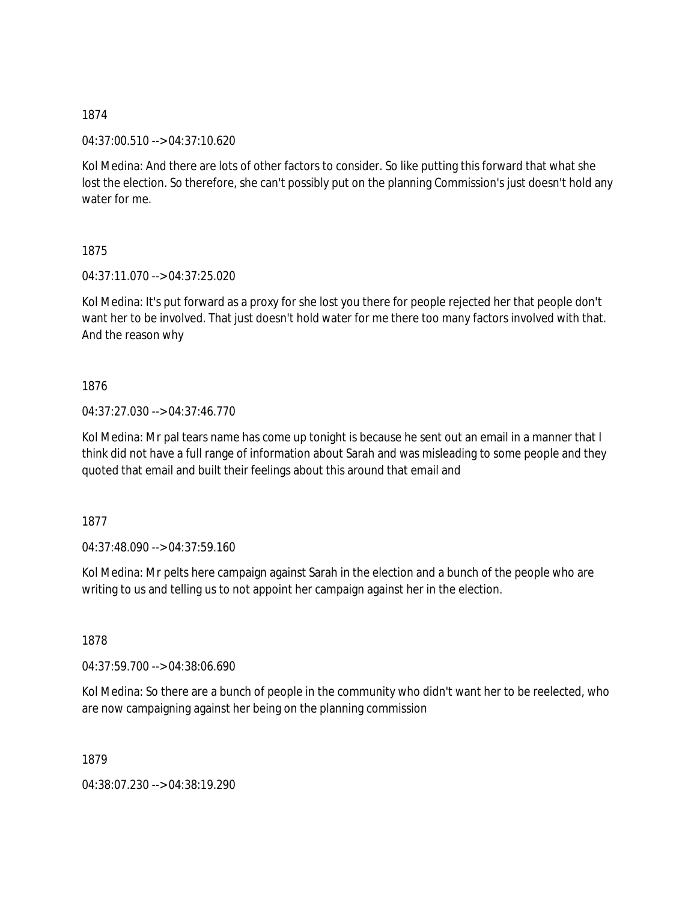04:37:00.510 --> 04:37:10.620

Kol Medina: And there are lots of other factors to consider. So like putting this forward that what she lost the election. So therefore, she can't possibly put on the planning Commission's just doesn't hold any water for me.

1875

04:37:11.070 --> 04:37:25.020

Kol Medina: It's put forward as a proxy for she lost you there for people rejected her that people don't want her to be involved. That just doesn't hold water for me there too many factors involved with that. And the reason why

1876

04:37:27.030 --> 04:37:46.770

Kol Medina: Mr pal tears name has come up tonight is because he sent out an email in a manner that I think did not have a full range of information about Sarah and was misleading to some people and they quoted that email and built their feelings about this around that email and

1877

04:37:48.090 --> 04:37:59.160

Kol Medina: Mr pelts here campaign against Sarah in the election and a bunch of the people who are writing to us and telling us to not appoint her campaign against her in the election.

1878

04:37:59.700 --> 04:38:06.690

Kol Medina: So there are a bunch of people in the community who didn't want her to be reelected, who are now campaigning against her being on the planning commission

1879

04:38:07.230 --> 04:38:19.290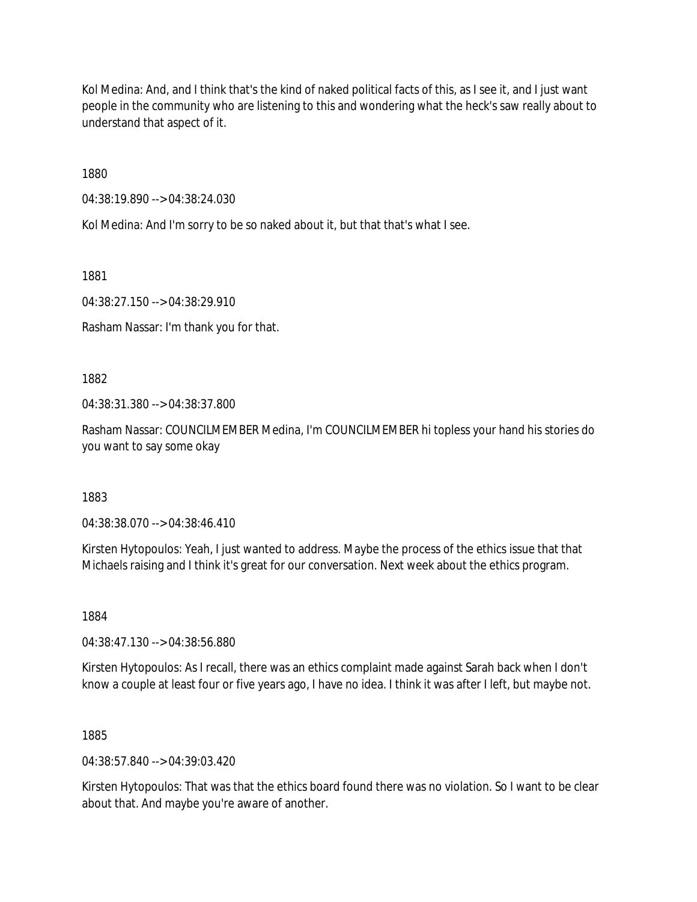Kol Medina: And, and I think that's the kind of naked political facts of this, as I see it, and I just want people in the community who are listening to this and wondering what the heck's saw really about to understand that aspect of it.

1880

04:38:19.890 --> 04:38:24.030

Kol Medina: And I'm sorry to be so naked about it, but that that's what I see.

1881

04:38:27.150 --> 04:38:29.910

Rasham Nassar: I'm thank you for that.

1882

04:38:31.380 --> 04:38:37.800

Rasham Nassar: COUNCILMEMBER Medina, I'm COUNCILMEMBER hi topless your hand his stories do you want to say some okay

1883

04:38:38.070 --> 04:38:46.410

Kirsten Hytopoulos: Yeah, I just wanted to address. Maybe the process of the ethics issue that that Michaels raising and I think it's great for our conversation. Next week about the ethics program.

1884

04:38:47.130 --> 04:38:56.880

Kirsten Hytopoulos: As I recall, there was an ethics complaint made against Sarah back when I don't know a couple at least four or five years ago, I have no idea. I think it was after I left, but maybe not.

1885

04:38:57.840 --> 04:39:03.420

Kirsten Hytopoulos: That was that the ethics board found there was no violation. So I want to be clear about that. And maybe you're aware of another.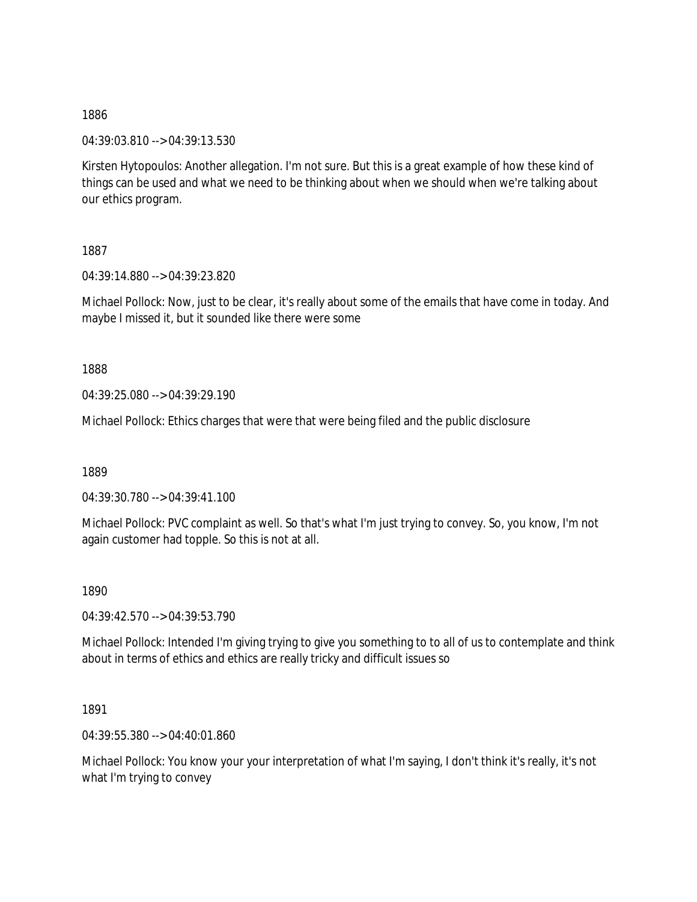04:39:03.810 --> 04:39:13.530

Kirsten Hytopoulos: Another allegation. I'm not sure. But this is a great example of how these kind of things can be used and what we need to be thinking about when we should when we're talking about our ethics program.

1887

04:39:14.880 --> 04:39:23.820

Michael Pollock: Now, just to be clear, it's really about some of the emails that have come in today. And maybe I missed it, but it sounded like there were some

1888

04:39:25.080 --> 04:39:29.190

Michael Pollock: Ethics charges that were that were being filed and the public disclosure

1889

04:39:30.780 --> 04:39:41.100

Michael Pollock: PVC complaint as well. So that's what I'm just trying to convey. So, you know, I'm not again customer had topple. So this is not at all.

1890

04:39:42.570 --> 04:39:53.790

Michael Pollock: Intended I'm giving trying to give you something to to all of us to contemplate and think about in terms of ethics and ethics are really tricky and difficult issues so

1891

04:39:55.380 --> 04:40:01.860

Michael Pollock: You know your your interpretation of what I'm saying, I don't think it's really, it's not what I'm trying to convey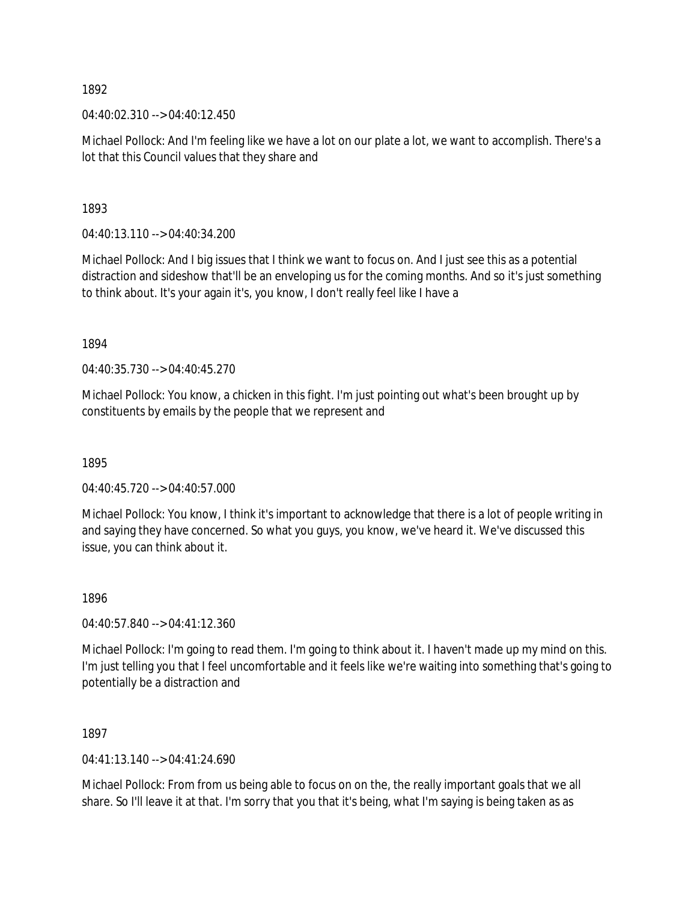$04:40:02.310 \rightarrow 04:40:12.450$ 

Michael Pollock: And I'm feeling like we have a lot on our plate a lot, we want to accomplish. There's a lot that this Council values that they share and

1893

04:40:13.110 --> 04:40:34.200

Michael Pollock: And I big issues that I think we want to focus on. And I just see this as a potential distraction and sideshow that'll be an enveloping us for the coming months. And so it's just something to think about. It's your again it's, you know, I don't really feel like I have a

1894

04:40:35.730 --> 04:40:45.270

Michael Pollock: You know, a chicken in this fight. I'm just pointing out what's been brought up by constituents by emails by the people that we represent and

1895

04:40:45.720 --> 04:40:57.000

Michael Pollock: You know, I think it's important to acknowledge that there is a lot of people writing in and saying they have concerned. So what you guys, you know, we've heard it. We've discussed this issue, you can think about it.

1896

04:40:57.840 --> 04:41:12.360

Michael Pollock: I'm going to read them. I'm going to think about it. I haven't made up my mind on this. I'm just telling you that I feel uncomfortable and it feels like we're waiting into something that's going to potentially be a distraction and

1897

04:41:13.140 --> 04:41:24.690

Michael Pollock: From from us being able to focus on on the, the really important goals that we all share. So I'll leave it at that. I'm sorry that you that it's being, what I'm saying is being taken as as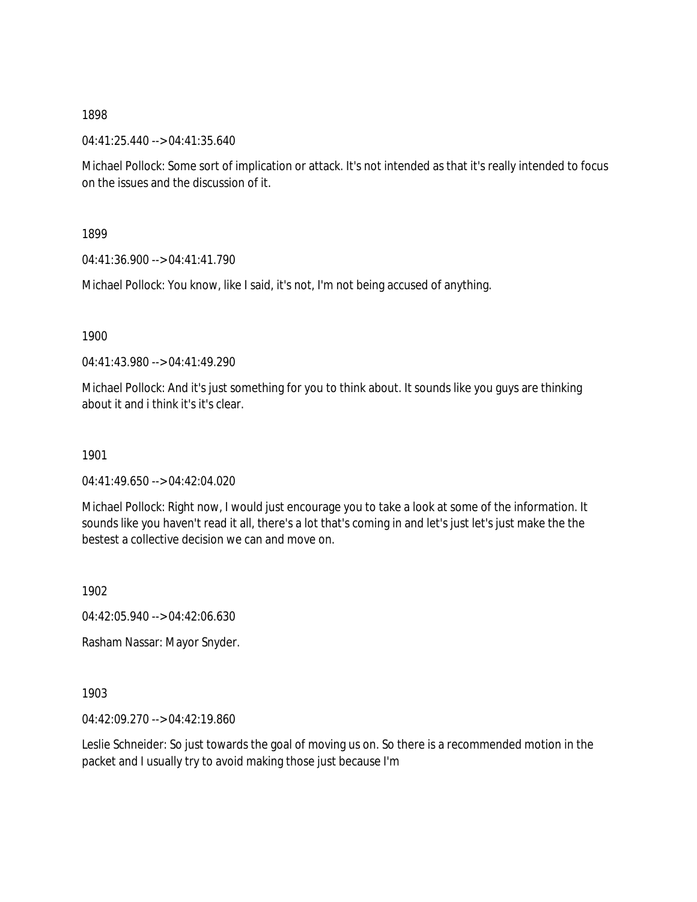04:41:25.440 --> 04:41:35.640

Michael Pollock: Some sort of implication or attack. It's not intended as that it's really intended to focus on the issues and the discussion of it.

1899

04:41:36.900 --> 04:41:41.790

Michael Pollock: You know, like I said, it's not, I'm not being accused of anything.

1900

04:41:43.980 --> 04:41:49.290

Michael Pollock: And it's just something for you to think about. It sounds like you guys are thinking about it and i think it's it's clear.

1901

04:41:49.650 --> 04:42:04.020

Michael Pollock: Right now, I would just encourage you to take a look at some of the information. It sounds like you haven't read it all, there's a lot that's coming in and let's just let's just make the the bestest a collective decision we can and move on.

1902

04:42:05.940 --> 04:42:06.630

Rasham Nassar: Mayor Snyder.

1903

04:42:09.270 --> 04:42:19.860

Leslie Schneider: So just towards the goal of moving us on. So there is a recommended motion in the packet and I usually try to avoid making those just because I'm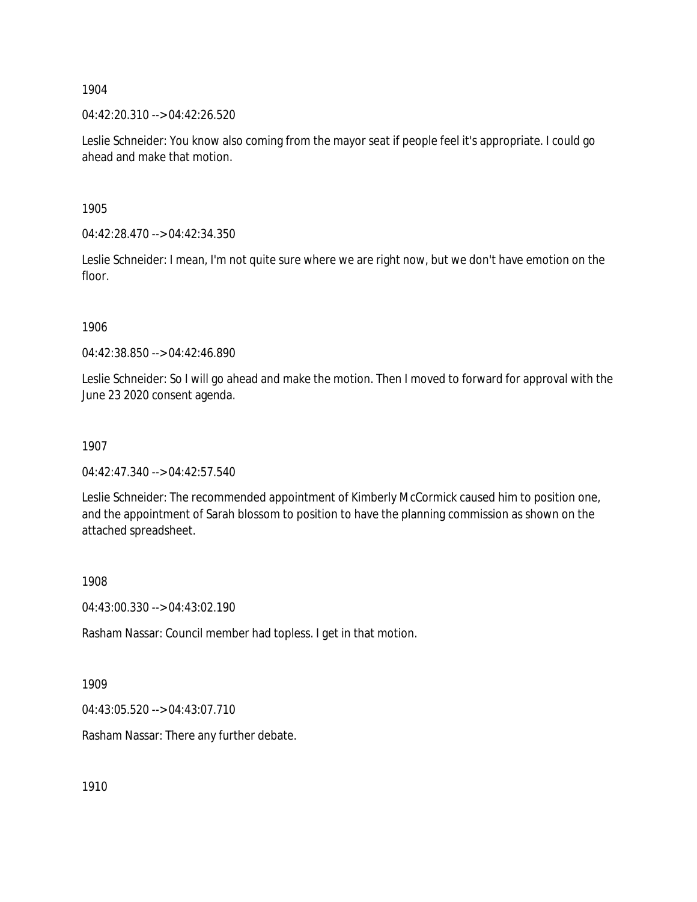04:42:20.310 --> 04:42:26.520

Leslie Schneider: You know also coming from the mayor seat if people feel it's appropriate. I could go ahead and make that motion.

1905

04:42:28.470 --> 04:42:34.350

Leslie Schneider: I mean, I'm not quite sure where we are right now, but we don't have emotion on the floor.

1906

04:42:38.850 --> 04:42:46.890

Leslie Schneider: So I will go ahead and make the motion. Then I moved to forward for approval with the June 23 2020 consent agenda.

1907

04:42:47.340 --> 04:42:57.540

Leslie Schneider: The recommended appointment of Kimberly McCormick caused him to position one, and the appointment of Sarah blossom to position to have the planning commission as shown on the attached spreadsheet.

1908

04:43:00.330 --> 04:43:02.190

Rasham Nassar: Council member had topless. I get in that motion.

1909

04:43:05.520 --> 04:43:07.710

Rasham Nassar: There any further debate.

1910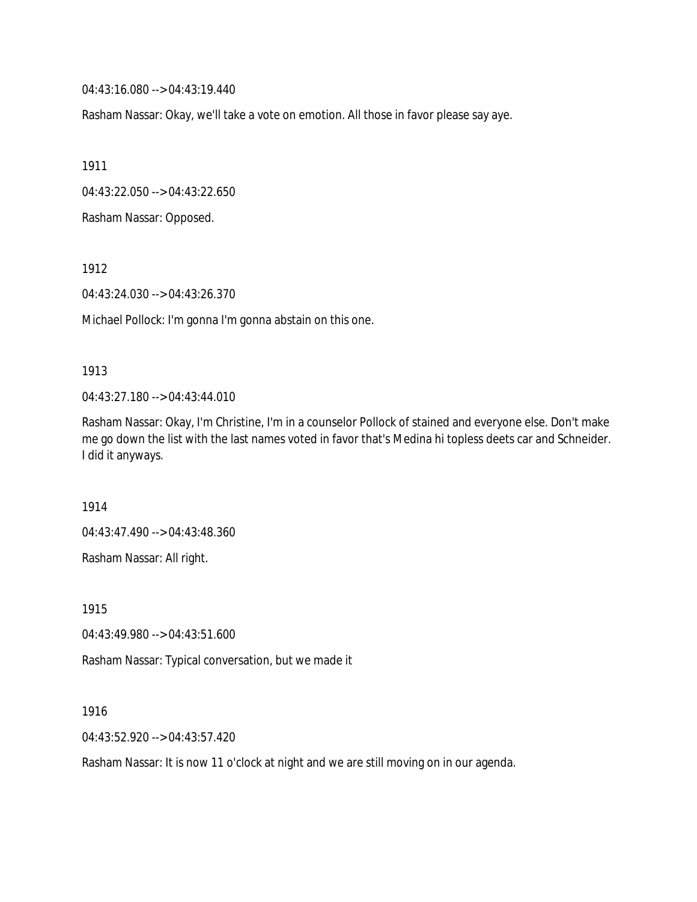04:43:16.080 --> 04:43:19.440

Rasham Nassar: Okay, we'll take a vote on emotion. All those in favor please say aye.

1911

04:43:22.050 --> 04:43:22.650

Rasham Nassar: Opposed.

1912

04:43:24.030 --> 04:43:26.370

Michael Pollock: I'm gonna I'm gonna abstain on this one.

#### 1913

04:43:27.180 --> 04:43:44.010

Rasham Nassar: Okay, I'm Christine, I'm in a counselor Pollock of stained and everyone else. Don't make me go down the list with the last names voted in favor that's Medina hi topless deets car and Schneider. I did it anyways.

1914

04:43:47.490 --> 04:43:48.360

Rasham Nassar: All right.

1915

04:43:49.980 --> 04:43:51.600

Rasham Nassar: Typical conversation, but we made it

1916

04:43:52.920 --> 04:43:57.420

Rasham Nassar: It is now 11 o'clock at night and we are still moving on in our agenda.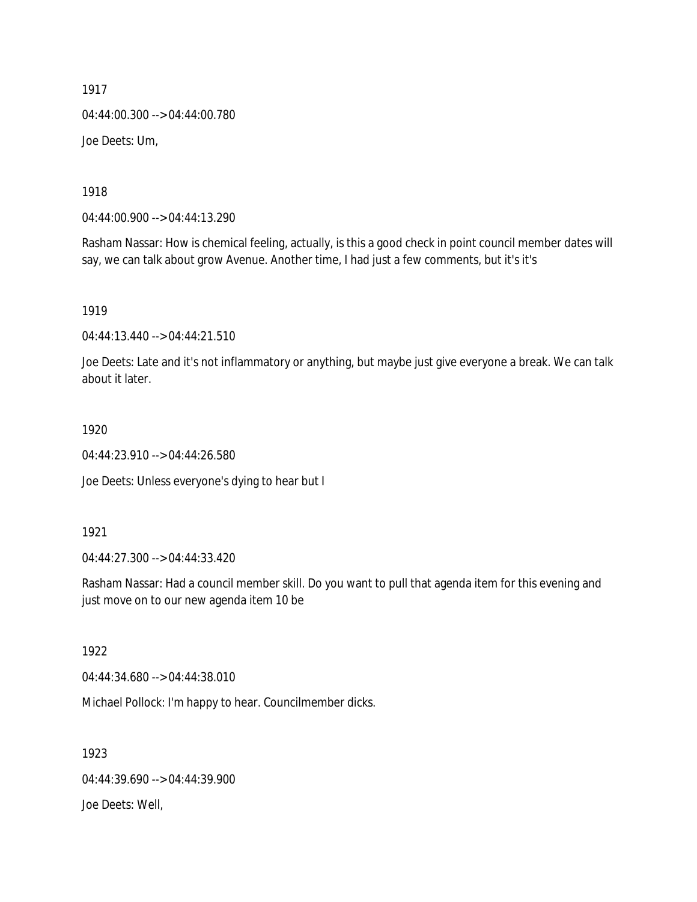1917 04:44:00.300 --> 04:44:00.780 Joe Deets: Um,

1918

04:44:00.900 --> 04:44:13.290

Rasham Nassar: How is chemical feeling, actually, is this a good check in point council member dates will say, we can talk about grow Avenue. Another time, I had just a few comments, but it's it's

1919

04:44:13.440 --> 04:44:21.510

Joe Deets: Late and it's not inflammatory or anything, but maybe just give everyone a break. We can talk about it later.

1920

04:44:23.910 --> 04:44:26.580

Joe Deets: Unless everyone's dying to hear but I

1921

04:44:27.300 --> 04:44:33.420

Rasham Nassar: Had a council member skill. Do you want to pull that agenda item for this evening and just move on to our new agenda item 10 be

1922

04:44:34.680 --> 04:44:38.010

Michael Pollock: I'm happy to hear. Councilmember dicks.

1923 04:44:39.690 --> 04:44:39.900 Joe Deets: Well,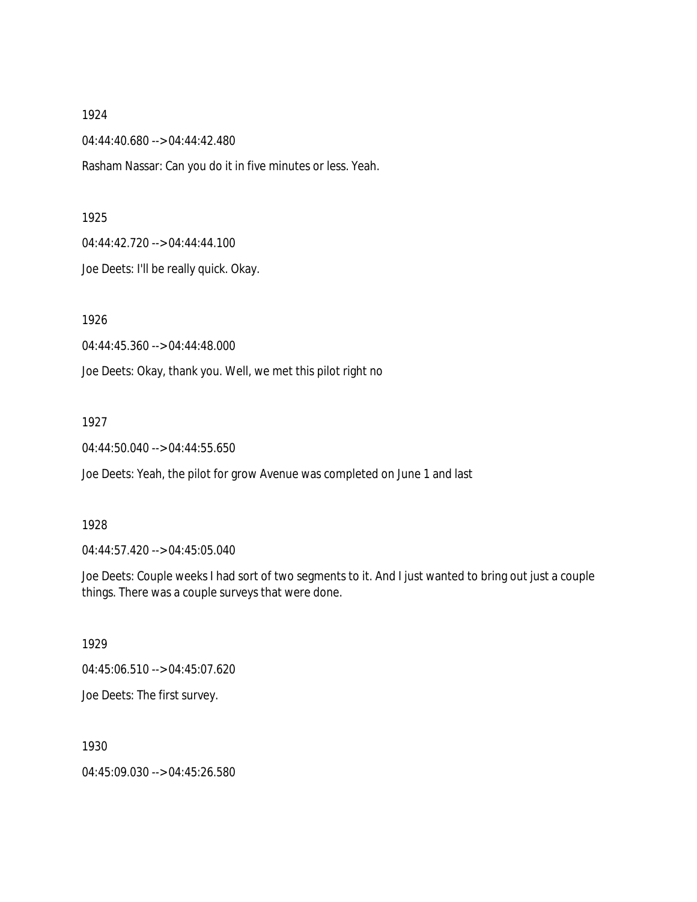04:44:40.680 --> 04:44:42.480

Rasham Nassar: Can you do it in five minutes or less. Yeah.

### 1925

04:44:42.720 --> 04:44:44.100

Joe Deets: I'll be really quick. Okay.

1926

04:44:45.360 --> 04:44:48.000

Joe Deets: Okay, thank you. Well, we met this pilot right no

# 1927

04:44:50.040 --> 04:44:55.650

Joe Deets: Yeah, the pilot for grow Avenue was completed on June 1 and last

# 1928

04:44:57.420 --> 04:45:05.040

Joe Deets: Couple weeks I had sort of two segments to it. And I just wanted to bring out just a couple things. There was a couple surveys that were done.

# 1929

04:45:06.510 --> 04:45:07.620

Joe Deets: The first survey.

1930

04:45:09.030 --> 04:45:26.580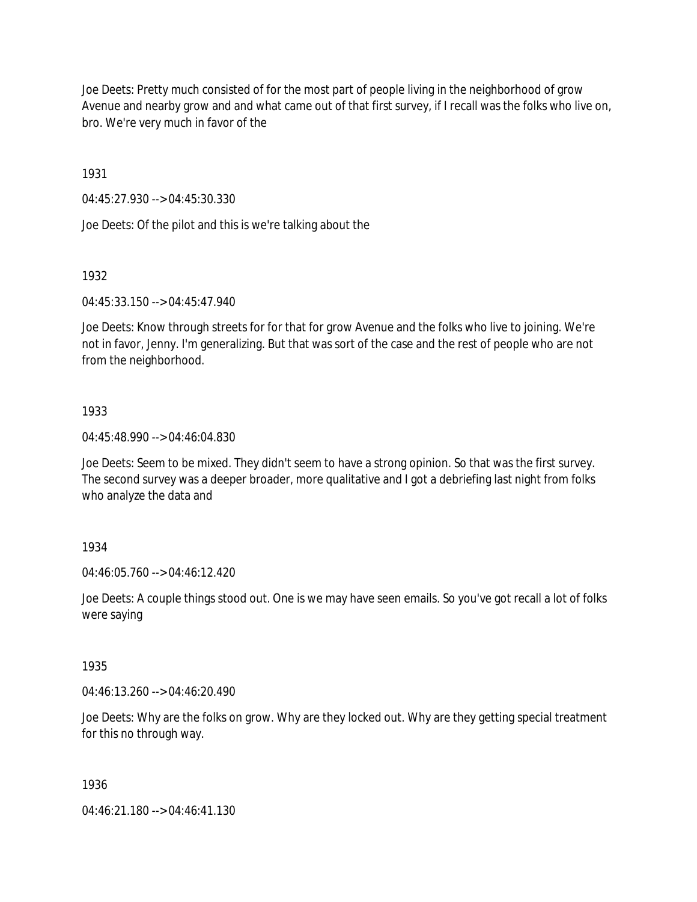Joe Deets: Pretty much consisted of for the most part of people living in the neighborhood of grow Avenue and nearby grow and and what came out of that first survey, if I recall was the folks who live on, bro. We're very much in favor of the

1931

04:45:27.930 --> 04:45:30.330

Joe Deets: Of the pilot and this is we're talking about the

1932

04:45:33.150 --> 04:45:47.940

Joe Deets: Know through streets for for that for grow Avenue and the folks who live to joining. We're not in favor, Jenny. I'm generalizing. But that was sort of the case and the rest of people who are not from the neighborhood.

# 1933

04:45:48.990 --> 04:46:04.830

Joe Deets: Seem to be mixed. They didn't seem to have a strong opinion. So that was the first survey. The second survey was a deeper broader, more qualitative and I got a debriefing last night from folks who analyze the data and

# 1934

04:46:05.760 --> 04:46:12.420

Joe Deets: A couple things stood out. One is we may have seen emails. So you've got recall a lot of folks were saying

# 1935

04:46:13.260 --> 04:46:20.490

Joe Deets: Why are the folks on grow. Why are they locked out. Why are they getting special treatment for this no through way.

# 1936

04:46:21.180 --> 04:46:41.130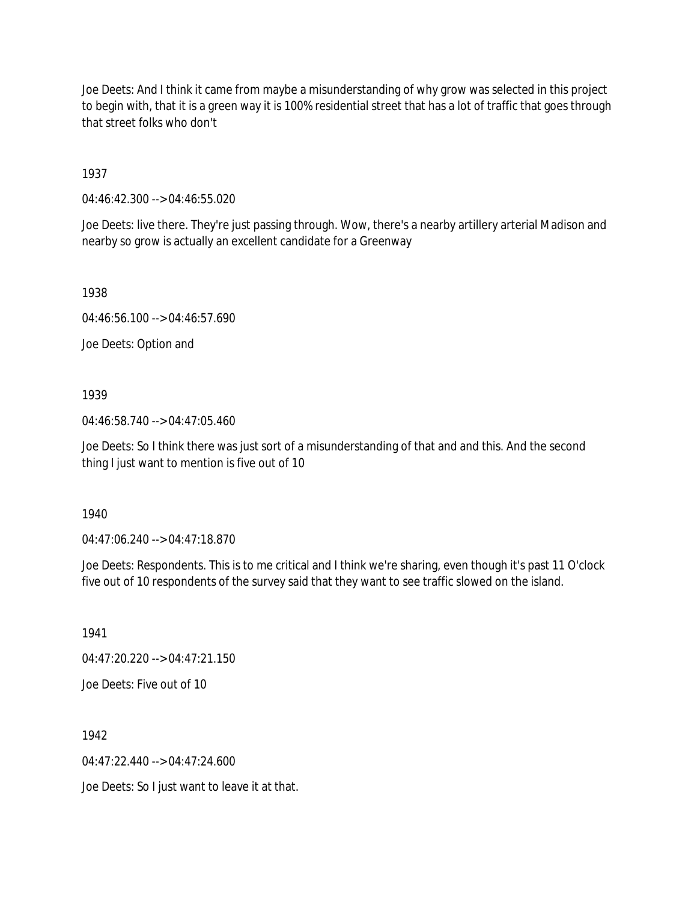Joe Deets: And I think it came from maybe a misunderstanding of why grow was selected in this project to begin with, that it is a green way it is 100% residential street that has a lot of traffic that goes through that street folks who don't

1937

04:46:42.300 --> 04:46:55.020

Joe Deets: live there. They're just passing through. Wow, there's a nearby artillery arterial Madison and nearby so grow is actually an excellent candidate for a Greenway

1938

04:46:56.100 --> 04:46:57.690

Joe Deets: Option and

1939

04:46:58.740 --> 04:47:05.460

Joe Deets: So I think there was just sort of a misunderstanding of that and and this. And the second thing I just want to mention is five out of 10

1940

04:47:06.240 --> 04:47:18.870

Joe Deets: Respondents. This is to me critical and I think we're sharing, even though it's past 11 O'clock five out of 10 respondents of the survey said that they want to see traffic slowed on the island.

1941 04:47:20.220 --> 04:47:21.150 Joe Deets: Five out of 10

1942

 $04.47.22.440 -> 04.47.24.600$ 

Joe Deets: So I just want to leave it at that.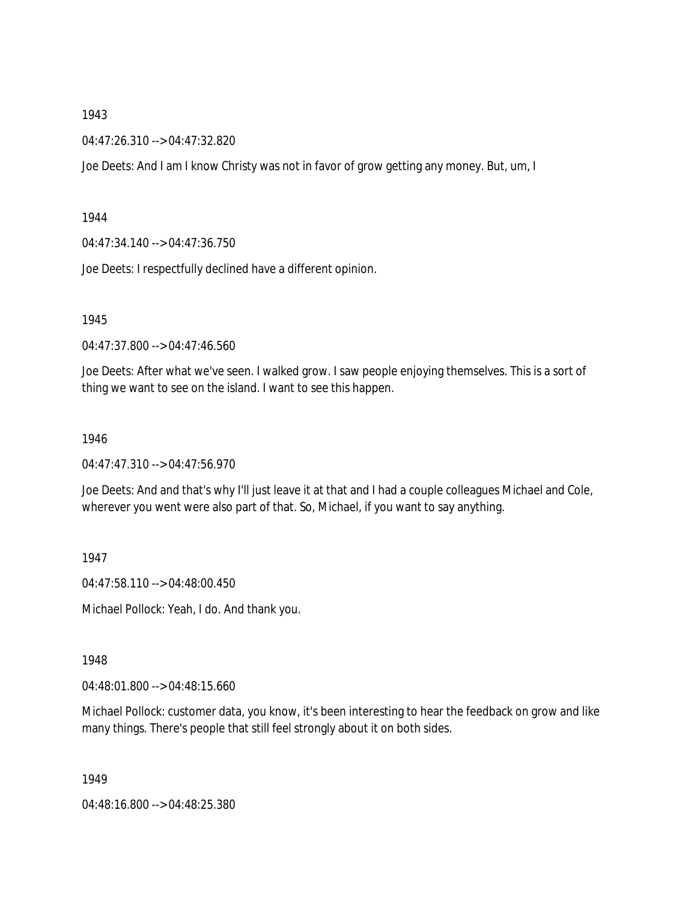04:47:26.310 --> 04:47:32.820

Joe Deets: And I am I know Christy was not in favor of grow getting any money. But, um, I

#### 1944

04:47:34.140 --> 04:47:36.750

Joe Deets: I respectfully declined have a different opinion.

# 1945

04:47:37.800 --> 04:47:46.560

Joe Deets: After what we've seen. I walked grow. I saw people enjoying themselves. This is a sort of thing we want to see on the island. I want to see this happen.

#### 1946

04:47:47.310 --> 04:47:56.970

Joe Deets: And and that's why I'll just leave it at that and I had a couple colleagues Michael and Cole, wherever you went were also part of that. So, Michael, if you want to say anything.

# 1947

04:47:58.110 --> 04:48:00.450

Michael Pollock: Yeah, I do. And thank you.

# 1948

04:48:01.800 --> 04:48:15.660

Michael Pollock: customer data, you know, it's been interesting to hear the feedback on grow and like many things. There's people that still feel strongly about it on both sides.

1949

04:48:16.800 --> 04:48:25.380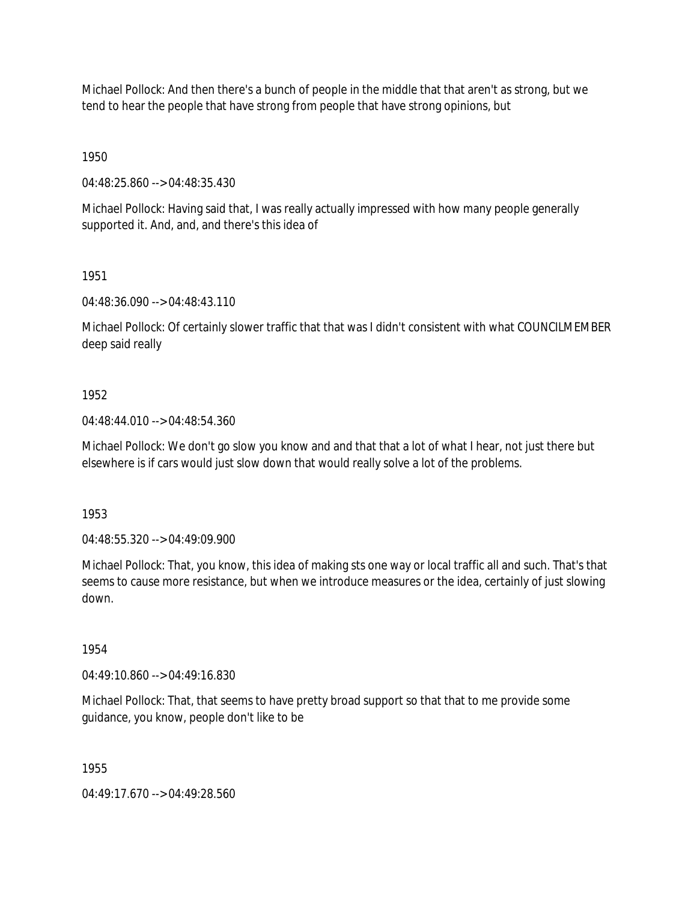Michael Pollock: And then there's a bunch of people in the middle that that aren't as strong, but we tend to hear the people that have strong from people that have strong opinions, but

1950

04:48:25.860 --> 04:48:35.430

Michael Pollock: Having said that, I was really actually impressed with how many people generally supported it. And, and, and there's this idea of

1951

04:48:36.090 --> 04:48:43.110

Michael Pollock: Of certainly slower traffic that that was I didn't consistent with what COUNCILMEMBER deep said really

# 1952

04:48:44.010 --> 04:48:54.360

Michael Pollock: We don't go slow you know and and that that a lot of what I hear, not just there but elsewhere is if cars would just slow down that would really solve a lot of the problems.

1953

04:48:55.320 --> 04:49:09.900

Michael Pollock: That, you know, this idea of making sts one way or local traffic all and such. That's that seems to cause more resistance, but when we introduce measures or the idea, certainly of just slowing down.

1954

04:49:10.860 --> 04:49:16.830

Michael Pollock: That, that seems to have pretty broad support so that that to me provide some guidance, you know, people don't like to be

1955

04:49:17.670 --> 04:49:28.560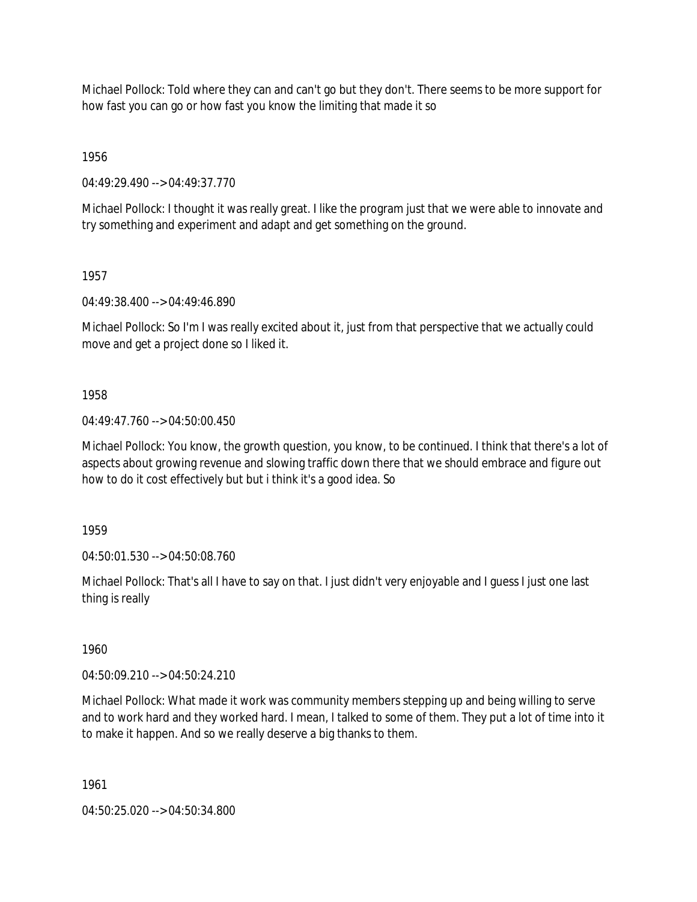Michael Pollock: Told where they can and can't go but they don't. There seems to be more support for how fast you can go or how fast you know the limiting that made it so

1956

04:49:29.490 --> 04:49:37.770

Michael Pollock: I thought it was really great. I like the program just that we were able to innovate and try something and experiment and adapt and get something on the ground.

1957

04:49:38.400 --> 04:49:46.890

Michael Pollock: So I'm I was really excited about it, just from that perspective that we actually could move and get a project done so I liked it.

1958

04:49:47.760 --> 04:50:00.450

Michael Pollock: You know, the growth question, you know, to be continued. I think that there's a lot of aspects about growing revenue and slowing traffic down there that we should embrace and figure out how to do it cost effectively but but i think it's a good idea. So

1959

04:50:01.530 --> 04:50:08.760

Michael Pollock: That's all I have to say on that. I just didn't very enjoyable and I guess I just one last thing is really

1960

04:50:09.210 --> 04:50:24.210

Michael Pollock: What made it work was community members stepping up and being willing to serve and to work hard and they worked hard. I mean, I talked to some of them. They put a lot of time into it to make it happen. And so we really deserve a big thanks to them.

1961

04:50:25.020 --> 04:50:34.800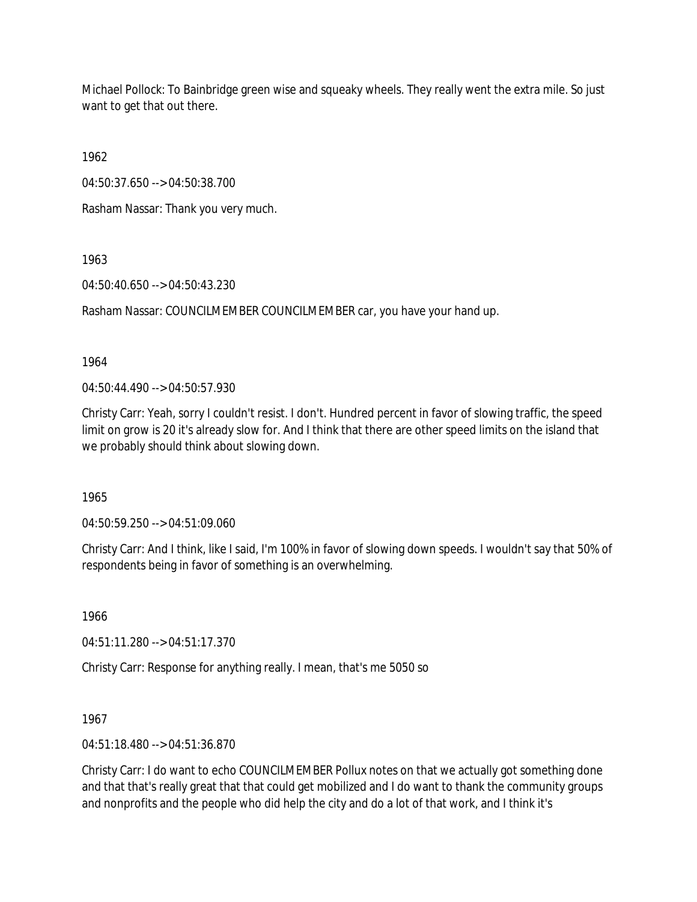Michael Pollock: To Bainbridge green wise and squeaky wheels. They really went the extra mile. So just want to get that out there.

1962

04:50:37.650 --> 04:50:38.700

Rasham Nassar: Thank you very much.

1963

04:50:40.650 --> 04:50:43.230

Rasham Nassar: COUNCILMEMBER COUNCILMEMBER car, you have your hand up.

1964

04:50:44.490 --> 04:50:57.930

Christy Carr: Yeah, sorry I couldn't resist. I don't. Hundred percent in favor of slowing traffic, the speed limit on grow is 20 it's already slow for. And I think that there are other speed limits on the island that we probably should think about slowing down.

1965

04:50:59.250 --> 04:51:09.060

Christy Carr: And I think, like I said, I'm 100% in favor of slowing down speeds. I wouldn't say that 50% of respondents being in favor of something is an overwhelming.

1966

04:51:11.280 --> 04:51:17.370

Christy Carr: Response for anything really. I mean, that's me 5050 so

1967

04:51:18.480 --> 04:51:36.870

Christy Carr: I do want to echo COUNCILMEMBER Pollux notes on that we actually got something done and that that's really great that that could get mobilized and I do want to thank the community groups and nonprofits and the people who did help the city and do a lot of that work, and I think it's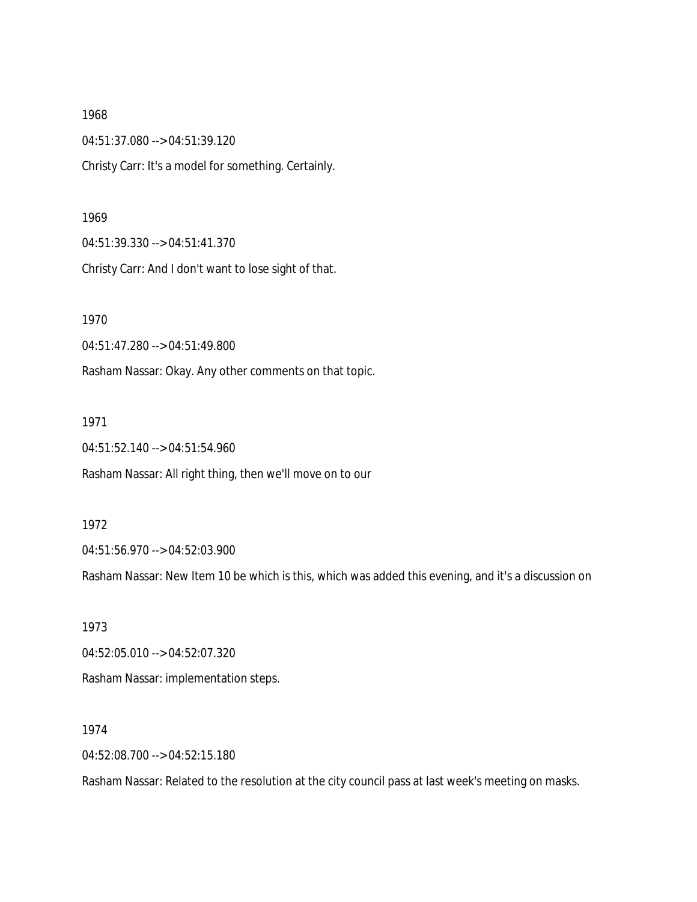1968 04:51:37.080 --> 04:51:39.120 Christy Carr: It's a model for something. Certainly.

1969

04:51:39.330 --> 04:51:41.370

Christy Carr: And I don't want to lose sight of that.

1970

04:51:47.280 --> 04:51:49.800

Rasham Nassar: Okay. Any other comments on that topic.

1971

04:51:52.140 --> 04:51:54.960

Rasham Nassar: All right thing, then we'll move on to our

1972

04:51:56.970 --> 04:52:03.900

Rasham Nassar: New Item 10 be which is this, which was added this evening, and it's a discussion on

1973 04:52:05.010 --> 04:52:07.320 Rasham Nassar: implementation steps.

1974

04:52:08.700 --> 04:52:15.180

Rasham Nassar: Related to the resolution at the city council pass at last week's meeting on masks.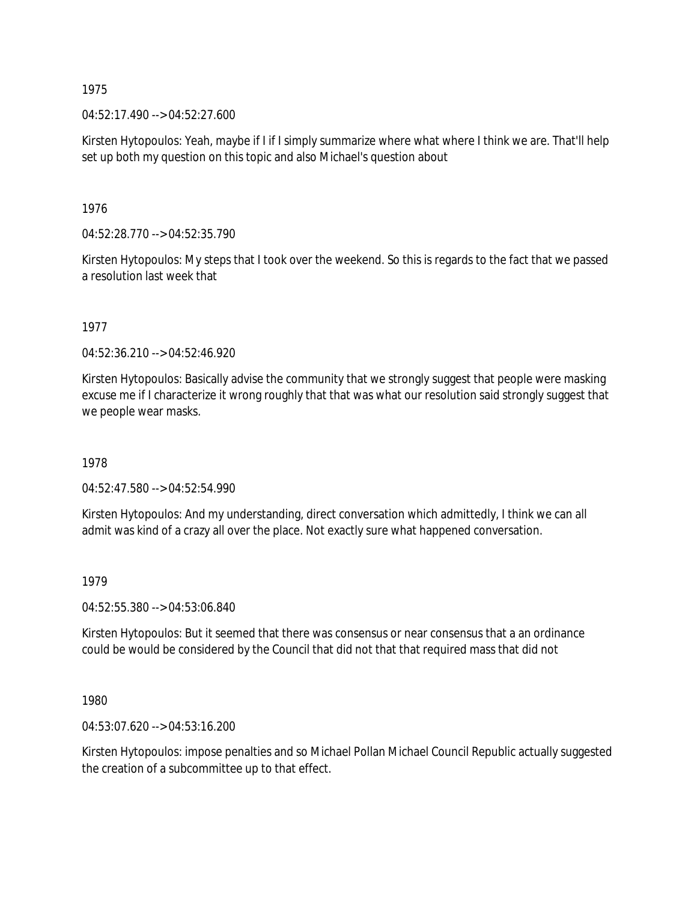04:52:17.490 --> 04:52:27.600

Kirsten Hytopoulos: Yeah, maybe if I if I simply summarize where what where I think we are. That'll help set up both my question on this topic and also Michael's question about

1976

04:52:28.770 --> 04:52:35.790

Kirsten Hytopoulos: My steps that I took over the weekend. So this is regards to the fact that we passed a resolution last week that

1977

04:52:36.210 --> 04:52:46.920

Kirsten Hytopoulos: Basically advise the community that we strongly suggest that people were masking excuse me if I characterize it wrong roughly that that was what our resolution said strongly suggest that we people wear masks.

1978

04:52:47.580 --> 04:52:54.990

Kirsten Hytopoulos: And my understanding, direct conversation which admittedly, I think we can all admit was kind of a crazy all over the place. Not exactly sure what happened conversation.

1979

04:52:55.380 --> 04:53:06.840

Kirsten Hytopoulos: But it seemed that there was consensus or near consensus that a an ordinance could be would be considered by the Council that did not that that required mass that did not

1980

04:53:07.620 --> 04:53:16.200

Kirsten Hytopoulos: impose penalties and so Michael Pollan Michael Council Republic actually suggested the creation of a subcommittee up to that effect.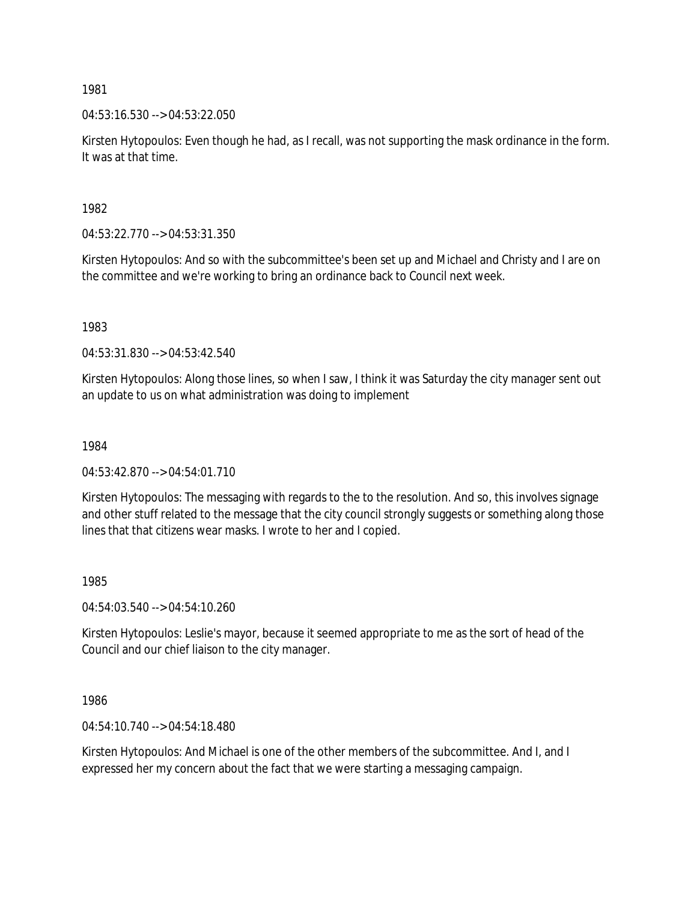04:53:16.530 --> 04:53:22.050

Kirsten Hytopoulos: Even though he had, as I recall, was not supporting the mask ordinance in the form. It was at that time.

1982

04:53:22.770 --> 04:53:31.350

Kirsten Hytopoulos: And so with the subcommittee's been set up and Michael and Christy and I are on the committee and we're working to bring an ordinance back to Council next week.

1983

04:53:31.830 --> 04:53:42.540

Kirsten Hytopoulos: Along those lines, so when I saw, I think it was Saturday the city manager sent out an update to us on what administration was doing to implement

1984

04:53:42.870 --> 04:54:01.710

Kirsten Hytopoulos: The messaging with regards to the to the resolution. And so, this involves signage and other stuff related to the message that the city council strongly suggests or something along those lines that that citizens wear masks. I wrote to her and I copied.

1985

04:54:03.540 --> 04:54:10.260

Kirsten Hytopoulos: Leslie's mayor, because it seemed appropriate to me as the sort of head of the Council and our chief liaison to the city manager.

1986

04:54:10.740 --> 04:54:18.480

Kirsten Hytopoulos: And Michael is one of the other members of the subcommittee. And I, and I expressed her my concern about the fact that we were starting a messaging campaign.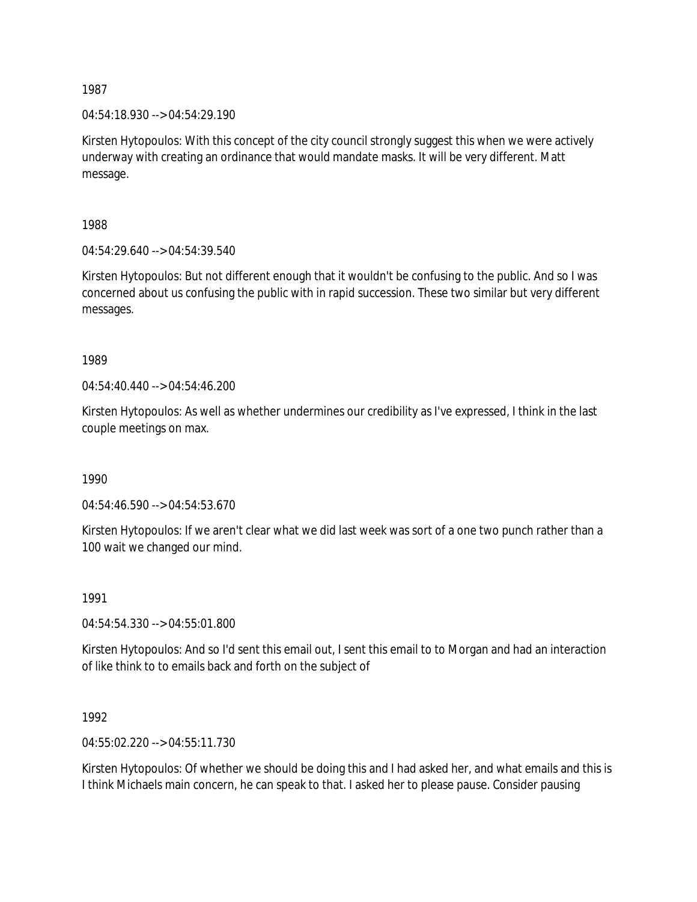04:54:18.930 --> 04:54:29.190

Kirsten Hytopoulos: With this concept of the city council strongly suggest this when we were actively underway with creating an ordinance that would mandate masks. It will be very different. Matt message.

1988

04:54:29.640 --> 04:54:39.540

Kirsten Hytopoulos: But not different enough that it wouldn't be confusing to the public. And so I was concerned about us confusing the public with in rapid succession. These two similar but very different messages.

1989

 $04:54:40.440 \rightarrow 04:54:46.200$ 

Kirsten Hytopoulos: As well as whether undermines our credibility as I've expressed, I think in the last couple meetings on max.

1990

04:54:46.590 --> 04:54:53.670

Kirsten Hytopoulos: If we aren't clear what we did last week was sort of a one two punch rather than a 100 wait we changed our mind.

1991

04:54:54.330 --> 04:55:01.800

Kirsten Hytopoulos: And so I'd sent this email out, I sent this email to to Morgan and had an interaction of like think to to emails back and forth on the subject of

1992

04:55:02.220 --> 04:55:11.730

Kirsten Hytopoulos: Of whether we should be doing this and I had asked her, and what emails and this is I think Michaels main concern, he can speak to that. I asked her to please pause. Consider pausing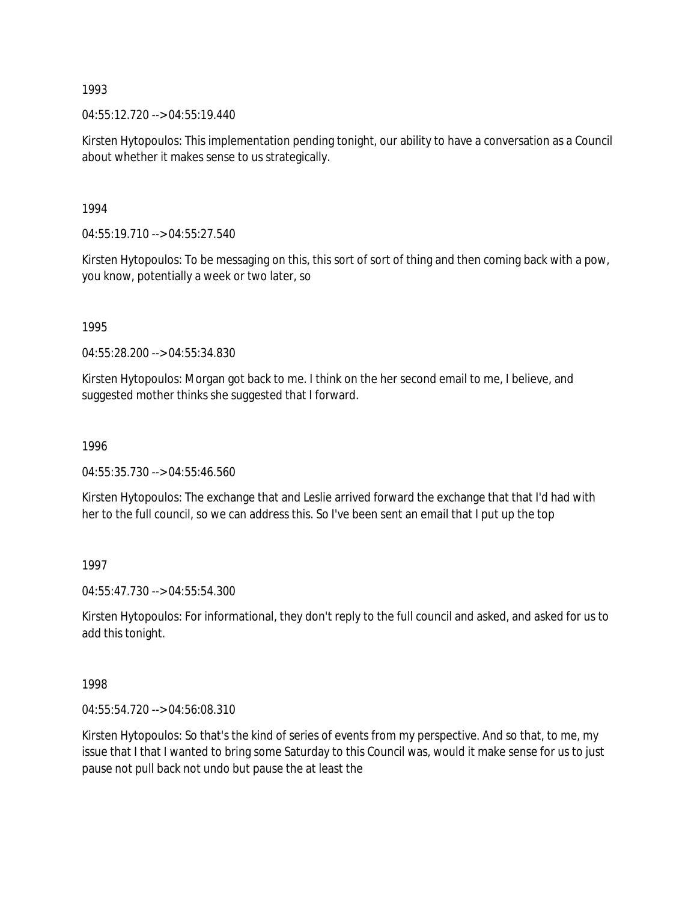04:55:12.720 --> 04:55:19.440

Kirsten Hytopoulos: This implementation pending tonight, our ability to have a conversation as a Council about whether it makes sense to us strategically.

1994

04:55:19.710 --> 04:55:27.540

Kirsten Hytopoulos: To be messaging on this, this sort of sort of thing and then coming back with a pow, you know, potentially a week or two later, so

1995

04:55:28.200 --> 04:55:34.830

Kirsten Hytopoulos: Morgan got back to me. I think on the her second email to me, I believe, and suggested mother thinks she suggested that I forward.

1996

04:55:35.730 --> 04:55:46.560

Kirsten Hytopoulos: The exchange that and Leslie arrived forward the exchange that that I'd had with her to the full council, so we can address this. So I've been sent an email that I put up the top

1997

04:55:47.730 --> 04:55:54.300

Kirsten Hytopoulos: For informational, they don't reply to the full council and asked, and asked for us to add this tonight.

1998

04:55:54.720 --> 04:56:08.310

Kirsten Hytopoulos: So that's the kind of series of events from my perspective. And so that, to me, my issue that I that I wanted to bring some Saturday to this Council was, would it make sense for us to just pause not pull back not undo but pause the at least the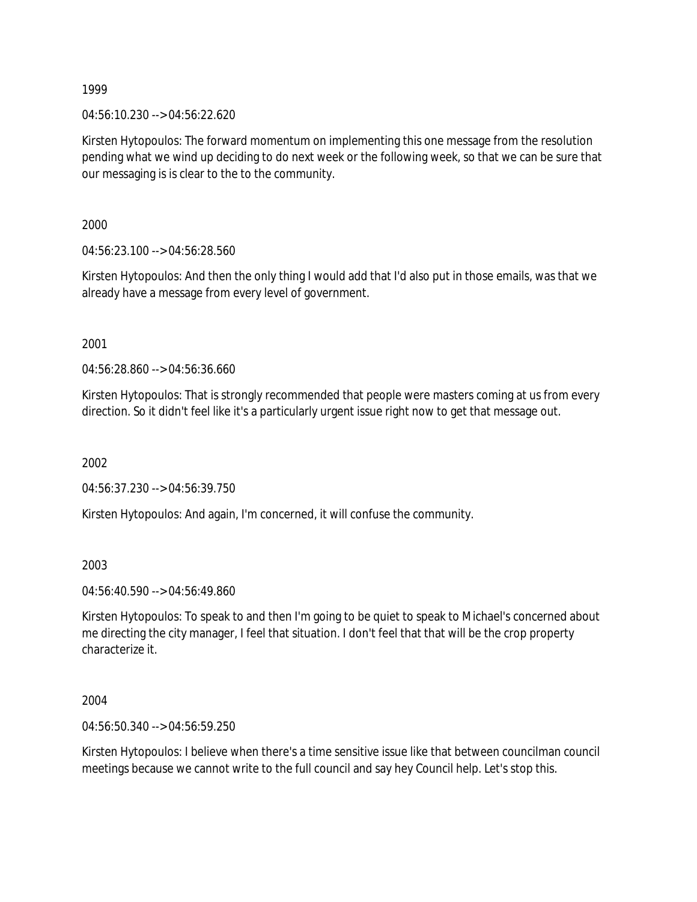04:56:10.230 --> 04:56:22.620

Kirsten Hytopoulos: The forward momentum on implementing this one message from the resolution pending what we wind up deciding to do next week or the following week, so that we can be sure that our messaging is is clear to the to the community.

2000

04:56:23.100 --> 04:56:28.560

Kirsten Hytopoulos: And then the only thing I would add that I'd also put in those emails, was that we already have a message from every level of government.

2001

04:56:28.860 --> 04:56:36.660

Kirsten Hytopoulos: That is strongly recommended that people were masters coming at us from every direction. So it didn't feel like it's a particularly urgent issue right now to get that message out.

2002

04:56:37.230 --> 04:56:39.750

Kirsten Hytopoulos: And again, I'm concerned, it will confuse the community.

2003

04:56:40.590 --> 04:56:49.860

Kirsten Hytopoulos: To speak to and then I'm going to be quiet to speak to Michael's concerned about me directing the city manager, I feel that situation. I don't feel that that will be the crop property characterize it.

2004

04:56:50.340 --> 04:56:59.250

Kirsten Hytopoulos: I believe when there's a time sensitive issue like that between councilman council meetings because we cannot write to the full council and say hey Council help. Let's stop this.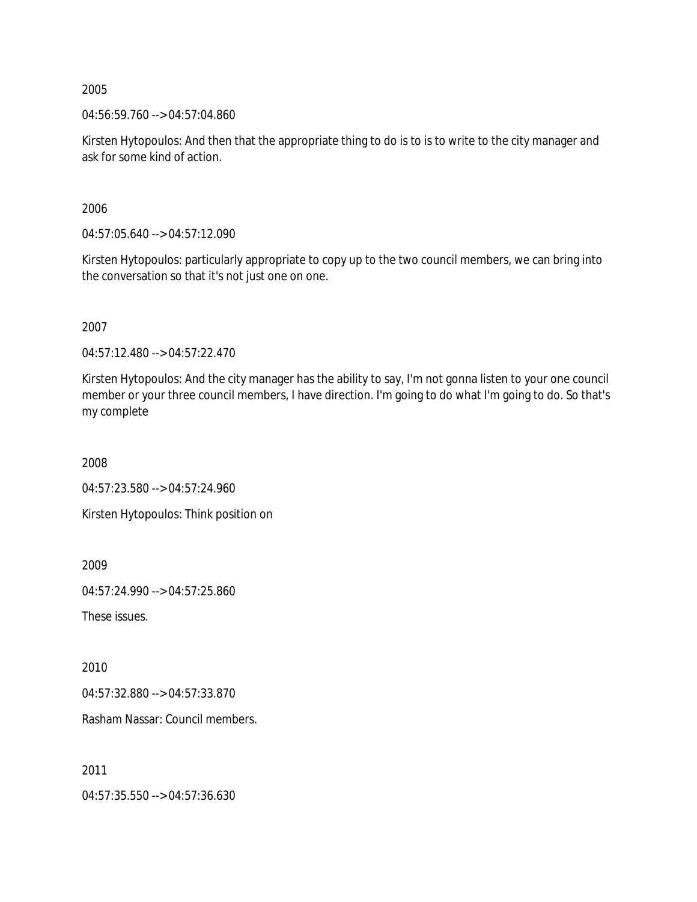04:56:59.760 --> 04:57:04.860

Kirsten Hytopoulos: And then that the appropriate thing to do is to is to write to the city manager and ask for some kind of action.

2006

04:57:05.640 --> 04:57:12.090

Kirsten Hytopoulos: particularly appropriate to copy up to the two council members, we can bring into the conversation so that it's not just one on one.

2007

04:57:12.480 --> 04:57:22.470

Kirsten Hytopoulos: And the city manager has the ability to say, I'm not gonna listen to your one council member or your three council members, I have direction. I'm going to do what I'm going to do. So that's my complete

2008

04:57:23.580 --> 04:57:24.960

Kirsten Hytopoulos: Think position on

2009

04:57:24.990 --> 04:57:25.860

These issues.

2010

04:57:32.880 --> 04:57:33.870

Rasham Nassar: Council members.

2011

04:57:35.550 --> 04:57:36.630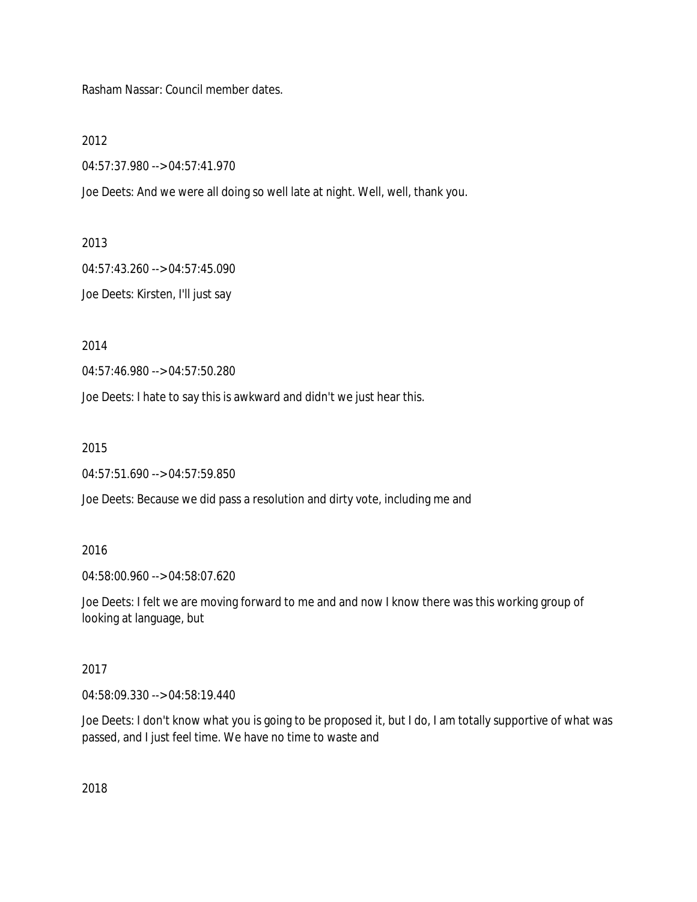Rasham Nassar: Council member dates.

2012

04:57:37.980 --> 04:57:41.970

Joe Deets: And we were all doing so well late at night. Well, well, thank you.

2013

04:57:43.260 --> 04:57:45.090

Joe Deets: Kirsten, I'll just say

2014

04:57:46.980 --> 04:57:50.280

Joe Deets: I hate to say this is awkward and didn't we just hear this.

2015

04:57:51.690 --> 04:57:59.850

Joe Deets: Because we did pass a resolution and dirty vote, including me and

#### 2016

04:58:00.960 --> 04:58:07.620

Joe Deets: I felt we are moving forward to me and and now I know there was this working group of looking at language, but

# 2017

04:58:09.330 --> 04:58:19.440

Joe Deets: I don't know what you is going to be proposed it, but I do, I am totally supportive of what was passed, and I just feel time. We have no time to waste and

2018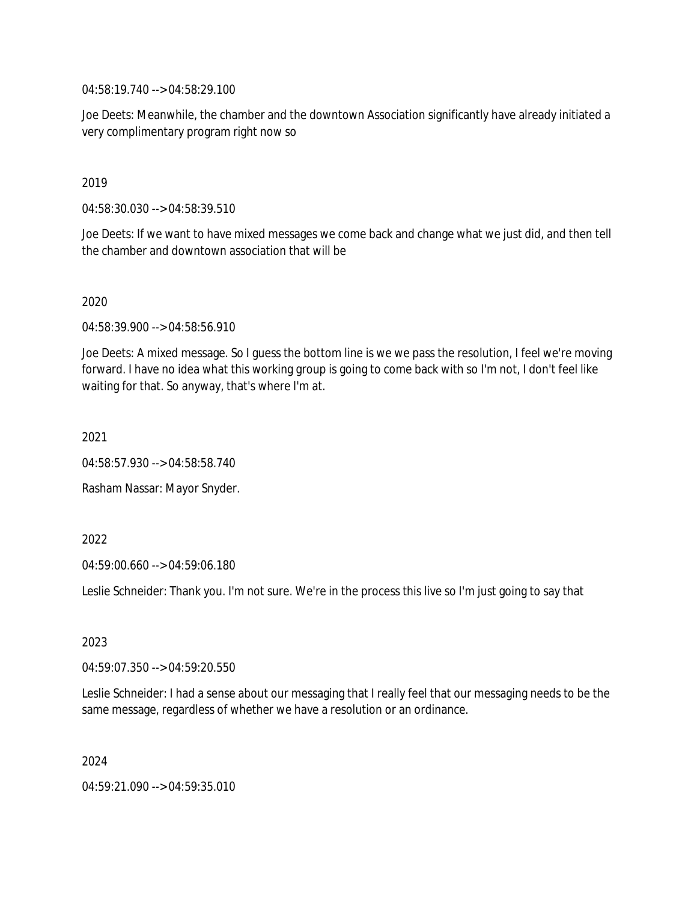04:58:19.740 --> 04:58:29.100

Joe Deets: Meanwhile, the chamber and the downtown Association significantly have already initiated a very complimentary program right now so

# 2019

04:58:30.030 --> 04:58:39.510

Joe Deets: If we want to have mixed messages we come back and change what we just did, and then tell the chamber and downtown association that will be

# 2020

04:58:39.900 --> 04:58:56.910

Joe Deets: A mixed message. So I guess the bottom line is we we pass the resolution, I feel we're moving forward. I have no idea what this working group is going to come back with so I'm not, I don't feel like waiting for that. So anyway, that's where I'm at.

2021

04:58:57.930 --> 04:58:58.740

Rasham Nassar: Mayor Snyder.

# 2022

04:59:00.660 --> 04:59:06.180

Leslie Schneider: Thank you. I'm not sure. We're in the process this live so I'm just going to say that

# 2023

04:59:07.350 --> 04:59:20.550

Leslie Schneider: I had a sense about our messaging that I really feel that our messaging needs to be the same message, regardless of whether we have a resolution or an ordinance.

2024

04:59:21.090 --> 04:59:35.010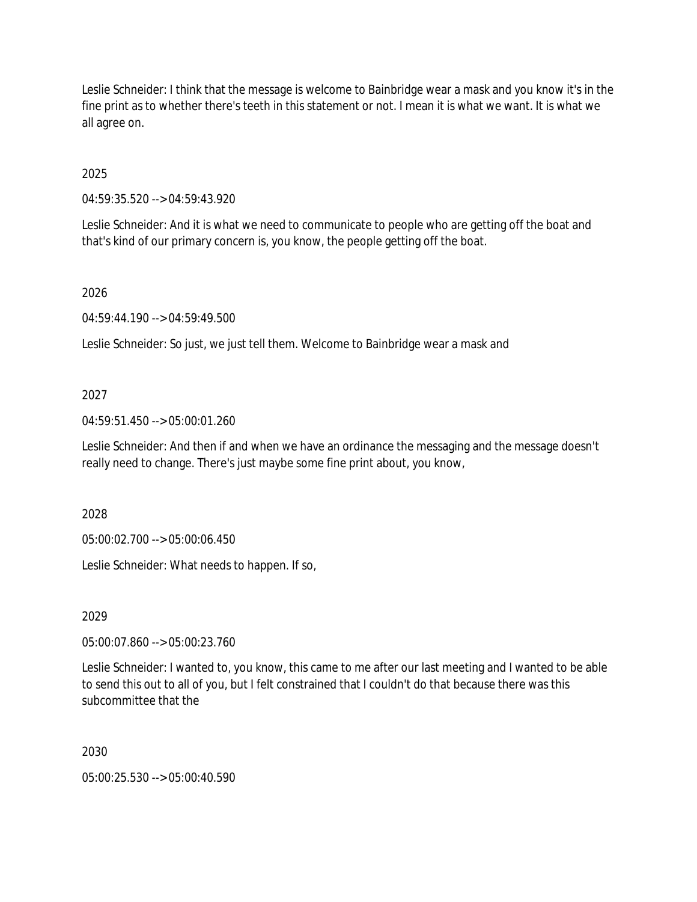Leslie Schneider: I think that the message is welcome to Bainbridge wear a mask and you know it's in the fine print as to whether there's teeth in this statement or not. I mean it is what we want. It is what we all agree on.

2025

04:59:35.520 --> 04:59:43.920

Leslie Schneider: And it is what we need to communicate to people who are getting off the boat and that's kind of our primary concern is, you know, the people getting off the boat.

2026

04:59:44.190 --> 04:59:49.500

Leslie Schneider: So just, we just tell them. Welcome to Bainbridge wear a mask and

# 2027

04:59:51.450 --> 05:00:01.260

Leslie Schneider: And then if and when we have an ordinance the messaging and the message doesn't really need to change. There's just maybe some fine print about, you know,

2028

05:00:02.700 --> 05:00:06.450

Leslie Schneider: What needs to happen. If so,

2029

05:00:07.860 --> 05:00:23.760

Leslie Schneider: I wanted to, you know, this came to me after our last meeting and I wanted to be able to send this out to all of you, but I felt constrained that I couldn't do that because there was this subcommittee that the

2030

05:00:25.530 --> 05:00:40.590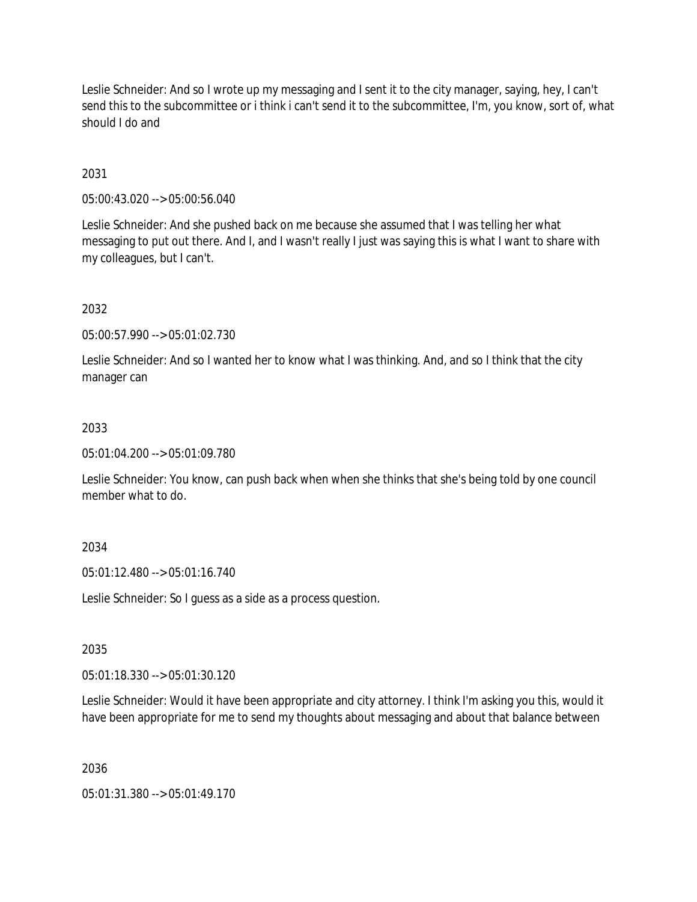Leslie Schneider: And so I wrote up my messaging and I sent it to the city manager, saying, hey, I can't send this to the subcommittee or i think i can't send it to the subcommittee, I'm, you know, sort of, what should I do and

# 2031

05:00:43.020 --> 05:00:56.040

Leslie Schneider: And she pushed back on me because she assumed that I was telling her what messaging to put out there. And I, and I wasn't really I just was saying this is what I want to share with my colleagues, but I can't.

# 2032

05:00:57.990 --> 05:01:02.730

Leslie Schneider: And so I wanted her to know what I was thinking. And, and so I think that the city manager can

# 2033

05:01:04.200 --> 05:01:09.780

Leslie Schneider: You know, can push back when when she thinks that she's being told by one council member what to do.

# 2034

05:01:12.480 --> 05:01:16.740

Leslie Schneider: So I guess as a side as a process question.

# 2035

05:01:18.330 --> 05:01:30.120

Leslie Schneider: Would it have been appropriate and city attorney. I think I'm asking you this, would it have been appropriate for me to send my thoughts about messaging and about that balance between

2036

05:01:31.380 --> 05:01:49.170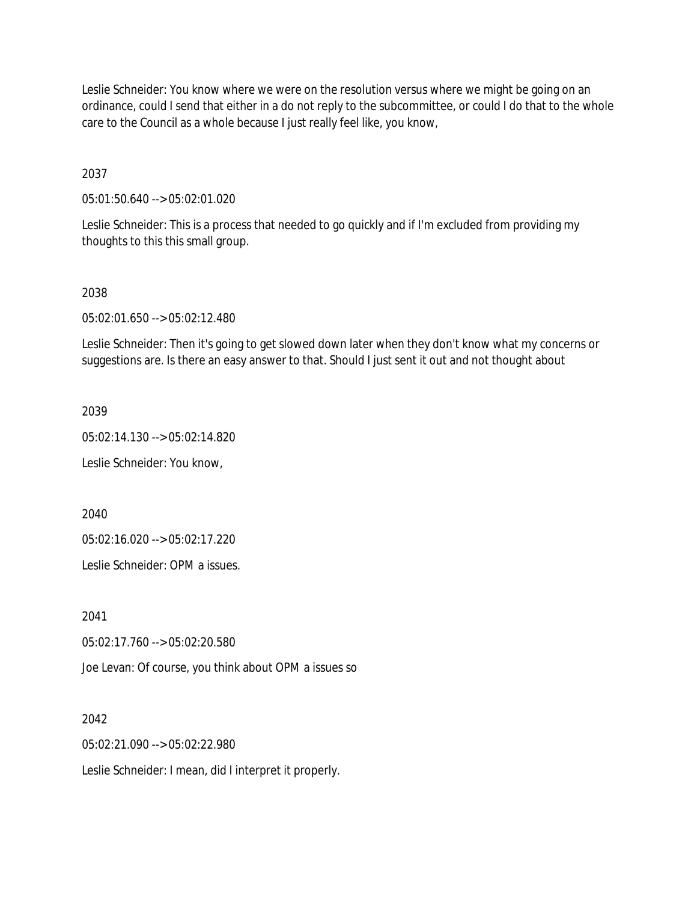Leslie Schneider: You know where we were on the resolution versus where we might be going on an ordinance, could I send that either in a do not reply to the subcommittee, or could I do that to the whole care to the Council as a whole because I just really feel like, you know,

2037

05:01:50.640 --> 05:02:01.020

Leslie Schneider: This is a process that needed to go quickly and if I'm excluded from providing my thoughts to this this small group.

### 2038

05:02:01.650 --> 05:02:12.480

Leslie Schneider: Then it's going to get slowed down later when they don't know what my concerns or suggestions are. Is there an easy answer to that. Should I just sent it out and not thought about

2039

05:02:14.130 --> 05:02:14.820

Leslie Schneider: You know,

2040

05:02:16.020 --> 05:02:17.220

Leslie Schneider: OPM a issues.

2041

05:02:17.760 --> 05:02:20.580

Joe Levan: Of course, you think about OPM a issues so

2042

05:02:21.090 --> 05:02:22.980

Leslie Schneider: I mean, did I interpret it properly.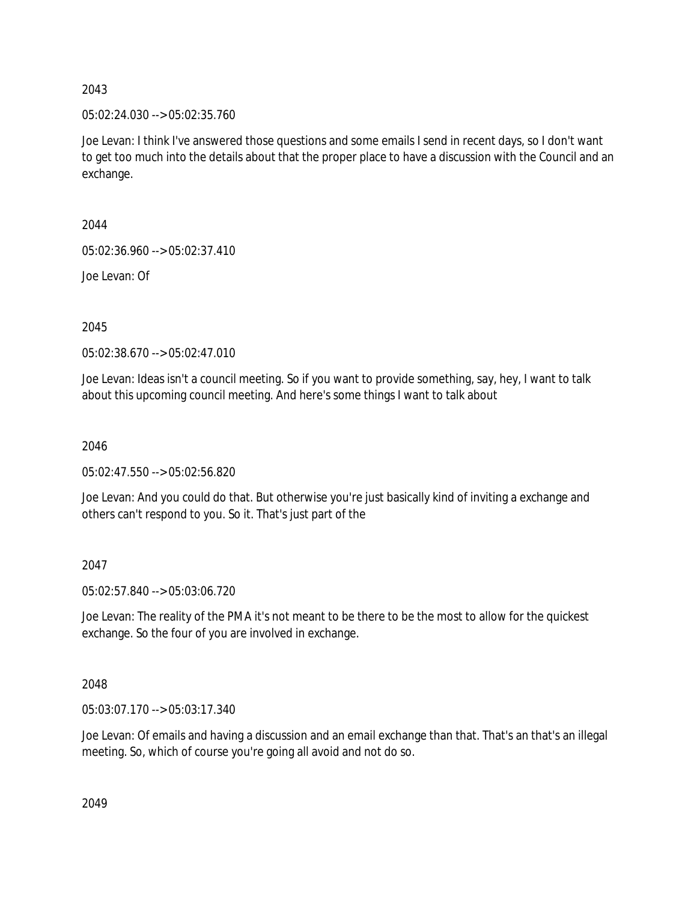05:02:24.030 --> 05:02:35.760

Joe Levan: I think I've answered those questions and some emails I send in recent days, so I don't want to get too much into the details about that the proper place to have a discussion with the Council and an exchange.

2044

05:02:36.960 --> 05:02:37.410

Joe Levan: Of

2045

05:02:38.670 --> 05:02:47.010

Joe Levan: Ideas isn't a council meeting. So if you want to provide something, say, hey, I want to talk about this upcoming council meeting. And here's some things I want to talk about

2046

05:02:47.550 --> 05:02:56.820

Joe Levan: And you could do that. But otherwise you're just basically kind of inviting a exchange and others can't respond to you. So it. That's just part of the

2047

05:02:57.840 --> 05:03:06.720

Joe Levan: The reality of the PMA it's not meant to be there to be the most to allow for the quickest exchange. So the four of you are involved in exchange.

2048

05:03:07.170 --> 05:03:17.340

Joe Levan: Of emails and having a discussion and an email exchange than that. That's an that's an illegal meeting. So, which of course you're going all avoid and not do so.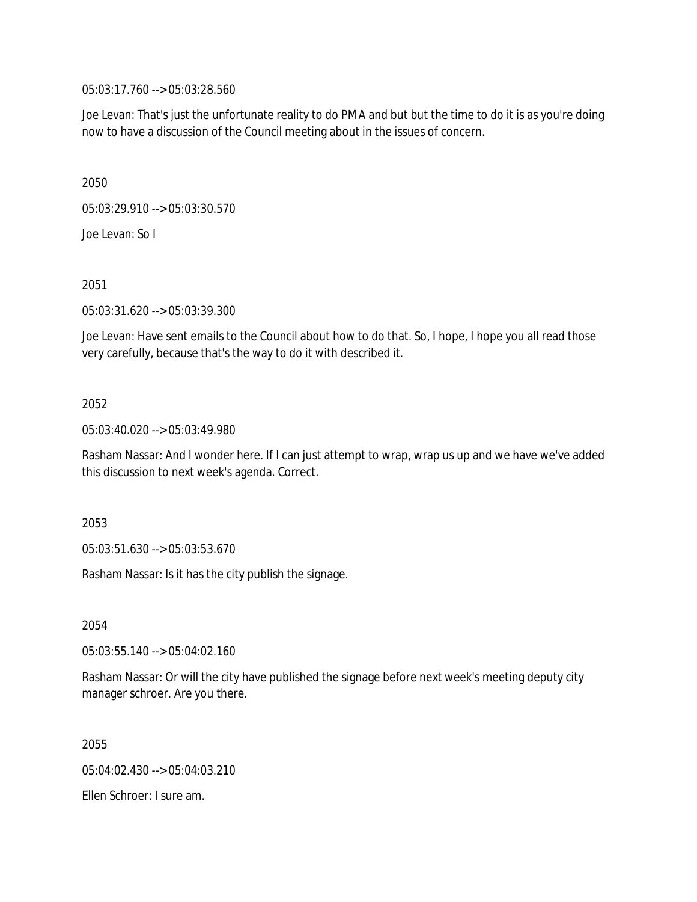05:03:17.760 --> 05:03:28.560

Joe Levan: That's just the unfortunate reality to do PMA and but but the time to do it is as you're doing now to have a discussion of the Council meeting about in the issues of concern.

2050

05:03:29.910 --> 05:03:30.570

Joe Levan: So I

2051

05:03:31.620 --> 05:03:39.300

Joe Levan: Have sent emails to the Council about how to do that. So, I hope, I hope you all read those very carefully, because that's the way to do it with described it.

### 2052

05:03:40.020 --> 05:03:49.980

Rasham Nassar: And I wonder here. If I can just attempt to wrap, wrap us up and we have we've added this discussion to next week's agenda. Correct.

2053

05:03:51.630 --> 05:03:53.670

Rasham Nassar: Is it has the city publish the signage.

2054

05:03:55.140 --> 05:04:02.160

Rasham Nassar: Or will the city have published the signage before next week's meeting deputy city manager schroer. Are you there.

2055

05:04:02.430 --> 05:04:03.210

Ellen Schroer: I sure am.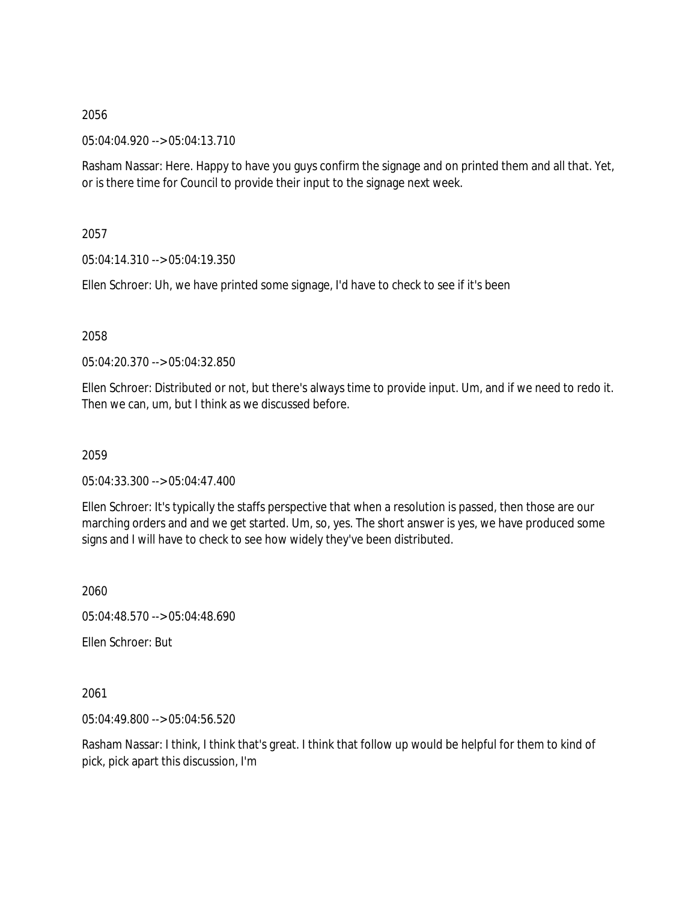05:04:04.920 --> 05:04:13.710

Rasham Nassar: Here. Happy to have you guys confirm the signage and on printed them and all that. Yet, or is there time for Council to provide their input to the signage next week.

2057

05:04:14.310 --> 05:04:19.350

Ellen Schroer: Uh, we have printed some signage, I'd have to check to see if it's been

2058

05:04:20.370 --> 05:04:32.850

Ellen Schroer: Distributed or not, but there's always time to provide input. Um, and if we need to redo it. Then we can, um, but I think as we discussed before.

2059

05:04:33.300 --> 05:04:47.400

Ellen Schroer: It's typically the staffs perspective that when a resolution is passed, then those are our marching orders and and we get started. Um, so, yes. The short answer is yes, we have produced some signs and I will have to check to see how widely they've been distributed.

2060

05:04:48.570 --> 05:04:48.690

Ellen Schroer: But

2061

05:04:49.800 --> 05:04:56.520

Rasham Nassar: I think, I think that's great. I think that follow up would be helpful for them to kind of pick, pick apart this discussion, I'm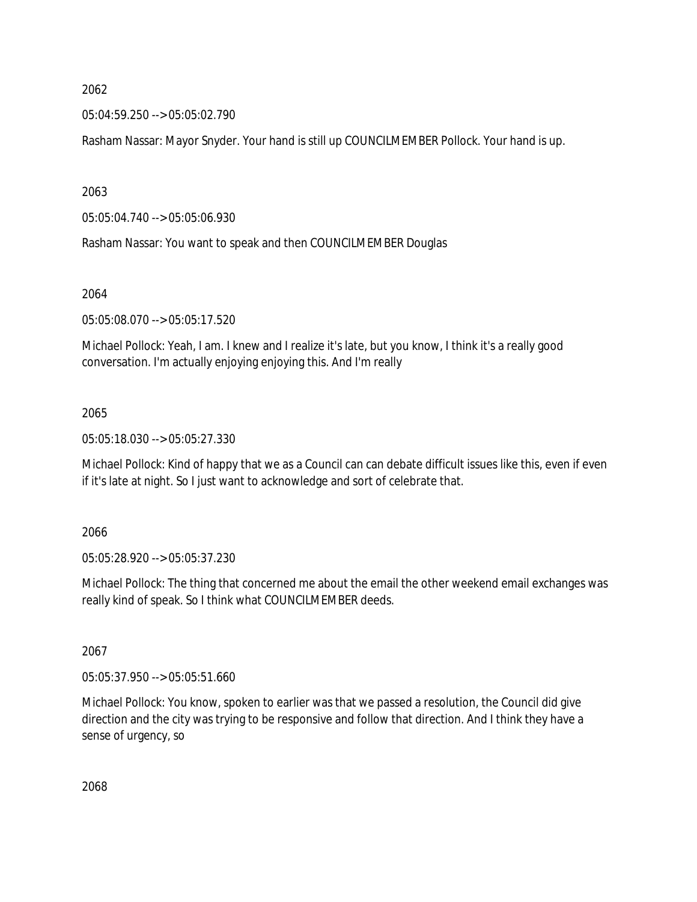05:04:59.250 --> 05:05:02.790

Rasham Nassar: Mayor Snyder. Your hand is still up COUNCILMEMBER Pollock. Your hand is up.

2063

05:05:04.740 --> 05:05:06.930

Rasham Nassar: You want to speak and then COUNCILMEMBER Douglas

#### 2064

05:05:08.070 --> 05:05:17.520

Michael Pollock: Yeah, I am. I knew and I realize it's late, but you know, I think it's a really good conversation. I'm actually enjoying enjoying this. And I'm really

### 2065

05:05:18.030 --> 05:05:27.330

Michael Pollock: Kind of happy that we as a Council can can debate difficult issues like this, even if even if it's late at night. So I just want to acknowledge and sort of celebrate that.

2066

05:05:28.920 --> 05:05:37.230

Michael Pollock: The thing that concerned me about the email the other weekend email exchanges was really kind of speak. So I think what COUNCILMEMBER deeds.

2067

05:05:37.950 --> 05:05:51.660

Michael Pollock: You know, spoken to earlier was that we passed a resolution, the Council did give direction and the city was trying to be responsive and follow that direction. And I think they have a sense of urgency, so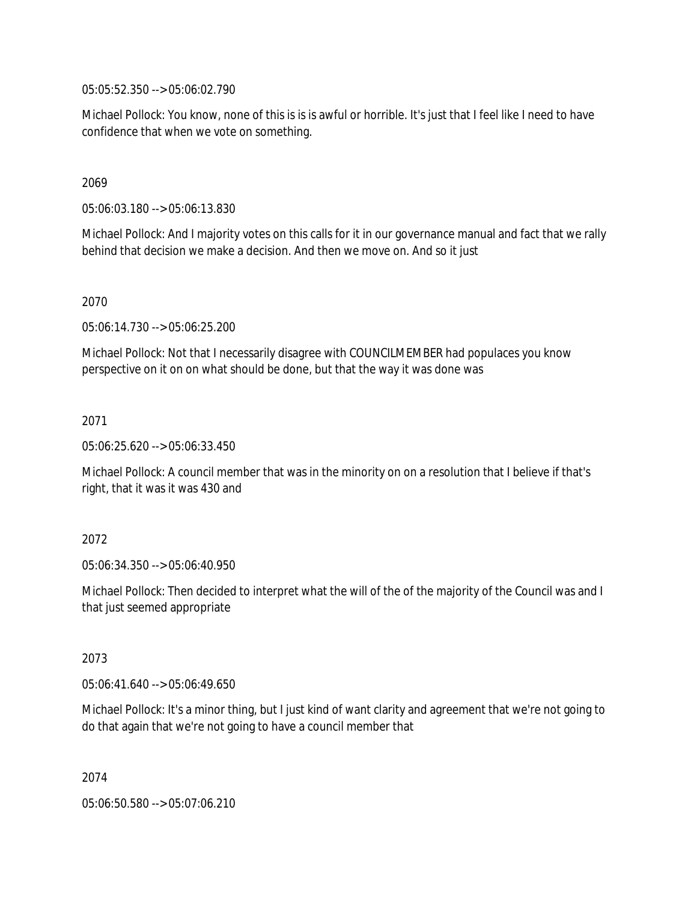05:05:52.350 --> 05:06:02.790

Michael Pollock: You know, none of this is is is awful or horrible. It's just that I feel like I need to have confidence that when we vote on something.

### 2069

05:06:03.180 --> 05:06:13.830

Michael Pollock: And I majority votes on this calls for it in our governance manual and fact that we rally behind that decision we make a decision. And then we move on. And so it just

### 2070

05:06:14.730 --> 05:06:25.200

Michael Pollock: Not that I necessarily disagree with COUNCILMEMBER had populaces you know perspective on it on on what should be done, but that the way it was done was

### 2071

05:06:25.620 --> 05:06:33.450

Michael Pollock: A council member that was in the minority on on a resolution that I believe if that's right, that it was it was 430 and

### 2072

05:06:34.350 --> 05:06:40.950

Michael Pollock: Then decided to interpret what the will of the of the majority of the Council was and I that just seemed appropriate

### 2073

05:06:41.640 --> 05:06:49.650

Michael Pollock: It's a minor thing, but I just kind of want clarity and agreement that we're not going to do that again that we're not going to have a council member that

2074

05:06:50.580 --> 05:07:06.210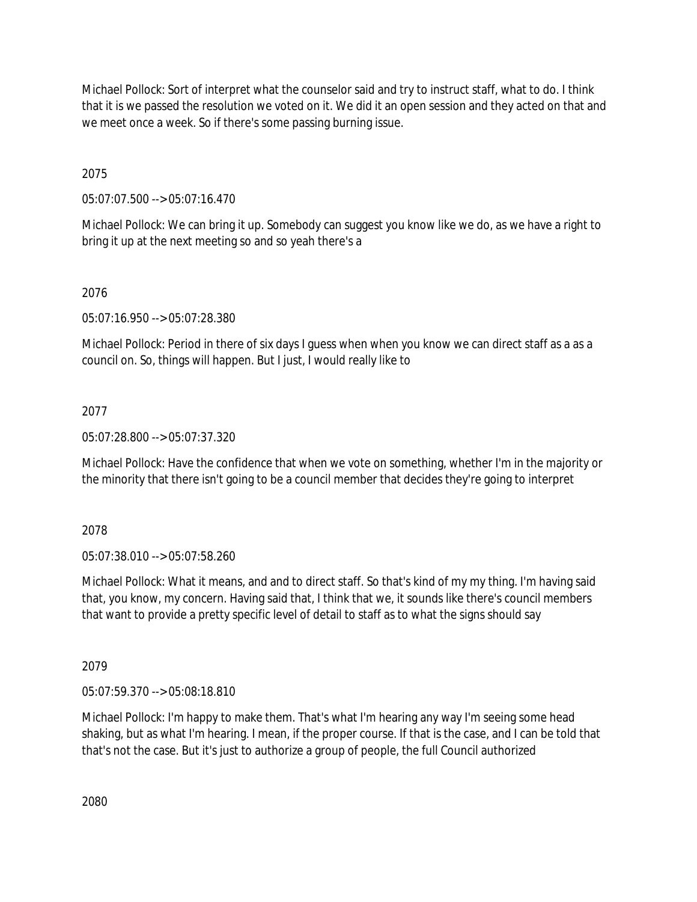Michael Pollock: Sort of interpret what the counselor said and try to instruct staff, what to do. I think that it is we passed the resolution we voted on it. We did it an open session and they acted on that and we meet once a week. So if there's some passing burning issue.

2075

05:07:07.500 --> 05:07:16.470

Michael Pollock: We can bring it up. Somebody can suggest you know like we do, as we have a right to bring it up at the next meeting so and so yeah there's a

# 2076

05:07:16.950 --> 05:07:28.380

Michael Pollock: Period in there of six days I guess when when you know we can direct staff as a as a council on. So, things will happen. But I just, I would really like to

## 2077

05:07:28.800 --> 05:07:37.320

Michael Pollock: Have the confidence that when we vote on something, whether I'm in the majority or the minority that there isn't going to be a council member that decides they're going to interpret

2078

05:07:38.010 --> 05:07:58.260

Michael Pollock: What it means, and and to direct staff. So that's kind of my my thing. I'm having said that, you know, my concern. Having said that, I think that we, it sounds like there's council members that want to provide a pretty specific level of detail to staff as to what the signs should say

2079

05:07:59.370 --> 05:08:18.810

Michael Pollock: I'm happy to make them. That's what I'm hearing any way I'm seeing some head shaking, but as what I'm hearing. I mean, if the proper course. If that is the case, and I can be told that that's not the case. But it's just to authorize a group of people, the full Council authorized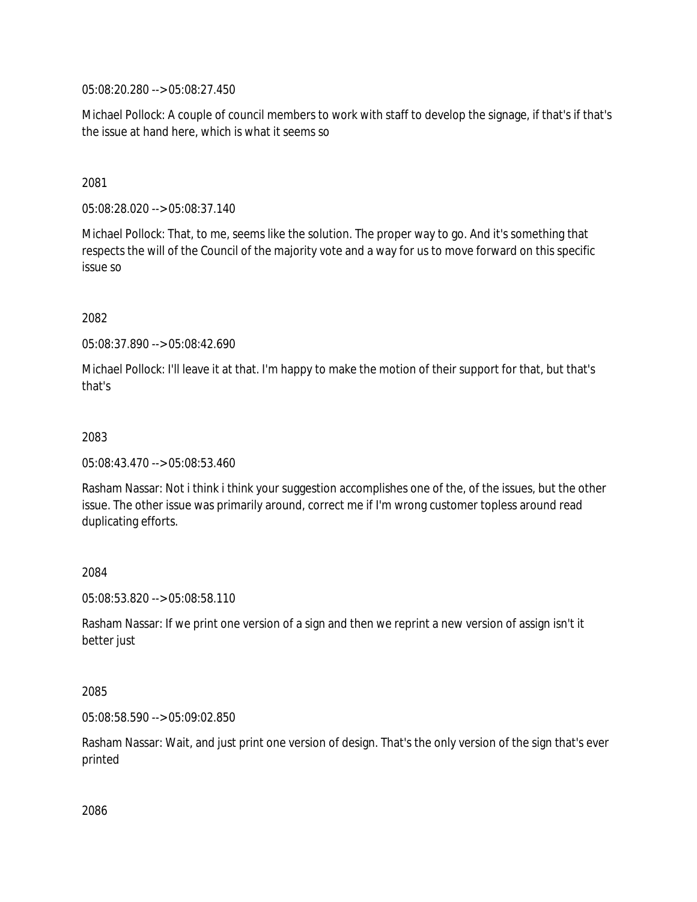05:08:20.280 --> 05:08:27.450

Michael Pollock: A couple of council members to work with staff to develop the signage, if that's if that's the issue at hand here, which is what it seems so

## 2081

05:08:28.020 --> 05:08:37.140

Michael Pollock: That, to me, seems like the solution. The proper way to go. And it's something that respects the will of the Council of the majority vote and a way for us to move forward on this specific issue so

## 2082

05:08:37.890 --> 05:08:42.690

Michael Pollock: I'll leave it at that. I'm happy to make the motion of their support for that, but that's that's

## 2083

05:08:43.470 --> 05:08:53.460

Rasham Nassar: Not i think i think your suggestion accomplishes one of the, of the issues, but the other issue. The other issue was primarily around, correct me if I'm wrong customer topless around read duplicating efforts.

### 2084

05:08:53.820 --> 05:08:58.110

Rasham Nassar: If we print one version of a sign and then we reprint a new version of assign isn't it better just

### 2085

05:08:58.590 --> 05:09:02.850

Rasham Nassar: Wait, and just print one version of design. That's the only version of the sign that's ever printed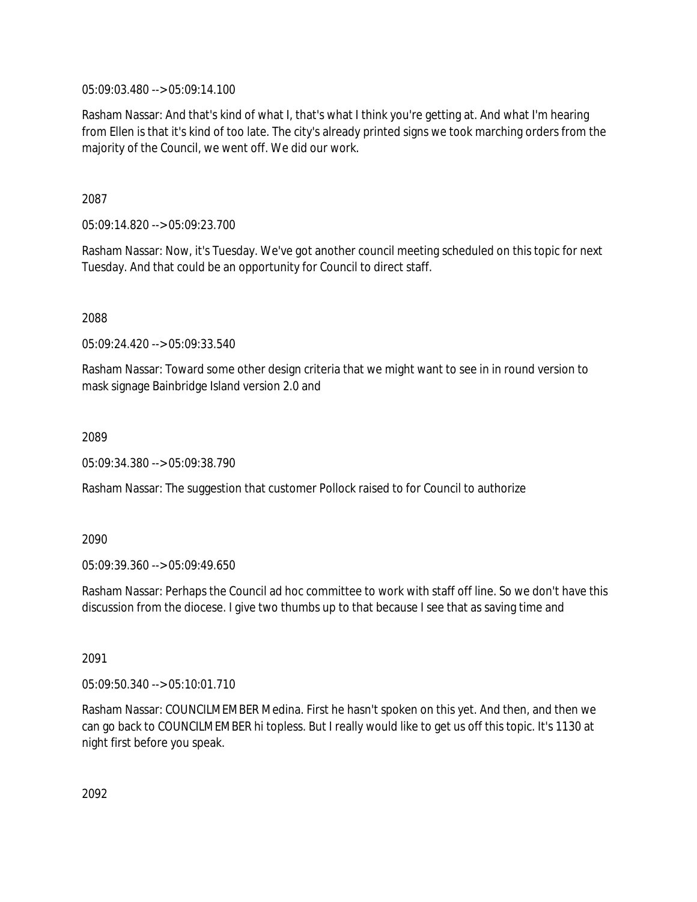05:09:03.480 --> 05:09:14.100

Rasham Nassar: And that's kind of what I, that's what I think you're getting at. And what I'm hearing from Ellen is that it's kind of too late. The city's already printed signs we took marching orders from the majority of the Council, we went off. We did our work.

2087

05:09:14.820 --> 05:09:23.700

Rasham Nassar: Now, it's Tuesday. We've got another council meeting scheduled on this topic for next Tuesday. And that could be an opportunity for Council to direct staff.

2088

05:09:24.420 --> 05:09:33.540

Rasham Nassar: Toward some other design criteria that we might want to see in in round version to mask signage Bainbridge Island version 2.0 and

2089

05:09:34.380 --> 05:09:38.790

Rasham Nassar: The suggestion that customer Pollock raised to for Council to authorize

2090

05:09:39.360 --> 05:09:49.650

Rasham Nassar: Perhaps the Council ad hoc committee to work with staff off line. So we don't have this discussion from the diocese. I give two thumbs up to that because I see that as saving time and

2091

05:09:50.340 --> 05:10:01.710

Rasham Nassar: COUNCILMEMBER Medina. First he hasn't spoken on this yet. And then, and then we can go back to COUNCILMEMBER hi topless. But I really would like to get us off this topic. It's 1130 at night first before you speak.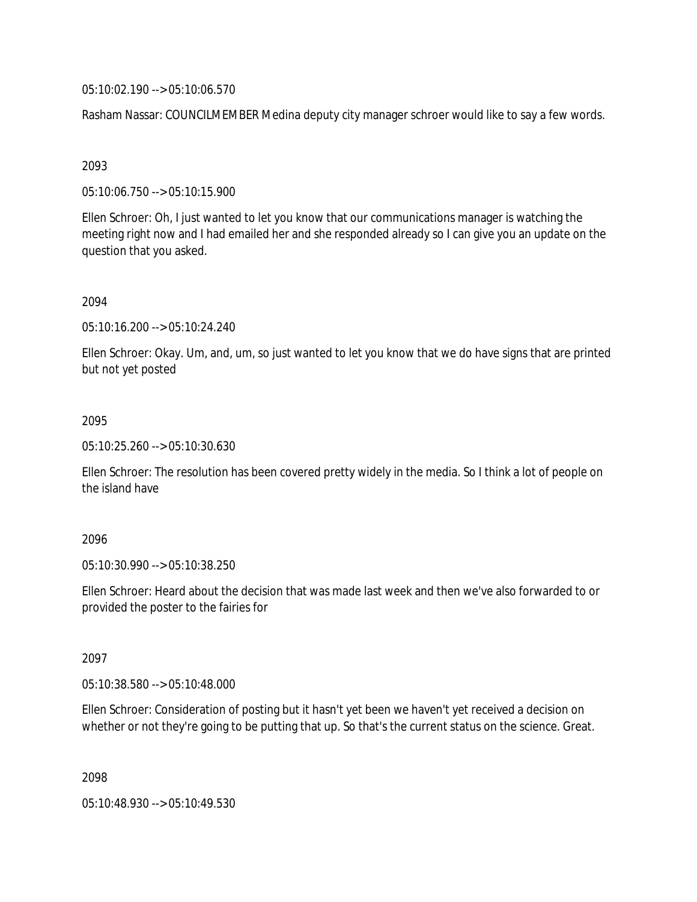05:10:02.190 --> 05:10:06.570

Rasham Nassar: COUNCILMEMBER Medina deputy city manager schroer would like to say a few words.

### 2093

05:10:06.750 --> 05:10:15.900

Ellen Schroer: Oh, I just wanted to let you know that our communications manager is watching the meeting right now and I had emailed her and she responded already so I can give you an update on the question that you asked.

## 2094

05:10:16.200 --> 05:10:24.240

Ellen Schroer: Okay. Um, and, um, so just wanted to let you know that we do have signs that are printed but not yet posted

## 2095

05:10:25.260 --> 05:10:30.630

Ellen Schroer: The resolution has been covered pretty widely in the media. So I think a lot of people on the island have

### 2096

05:10:30.990 --> 05:10:38.250

Ellen Schroer: Heard about the decision that was made last week and then we've also forwarded to or provided the poster to the fairies for

### 2097

05:10:38.580 --> 05:10:48.000

Ellen Schroer: Consideration of posting but it hasn't yet been we haven't yet received a decision on whether or not they're going to be putting that up. So that's the current status on the science. Great.

2098

05:10:48.930 --> 05:10:49.530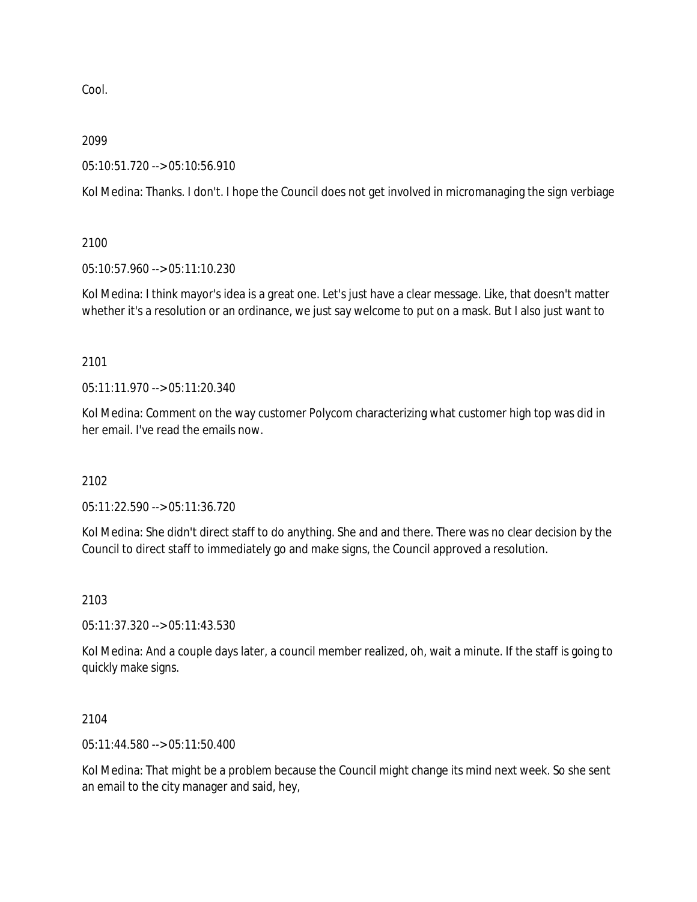Cool.

### 2099

05:10:51.720 --> 05:10:56.910

Kol Medina: Thanks. I don't. I hope the Council does not get involved in micromanaging the sign verbiage

2100

05:10:57.960 --> 05:11:10.230

Kol Medina: I think mayor's idea is a great one. Let's just have a clear message. Like, that doesn't matter whether it's a resolution or an ordinance, we just say welcome to put on a mask. But I also just want to

2101

05:11:11.970 --> 05:11:20.340

Kol Medina: Comment on the way customer Polycom characterizing what customer high top was did in her email. I've read the emails now.

2102

05:11:22.590 --> 05:11:36.720

Kol Medina: She didn't direct staff to do anything. She and and there. There was no clear decision by the Council to direct staff to immediately go and make signs, the Council approved a resolution.

2103

05:11:37.320 --> 05:11:43.530

Kol Medina: And a couple days later, a council member realized, oh, wait a minute. If the staff is going to quickly make signs.

2104

05:11:44.580 --> 05:11:50.400

Kol Medina: That might be a problem because the Council might change its mind next week. So she sent an email to the city manager and said, hey,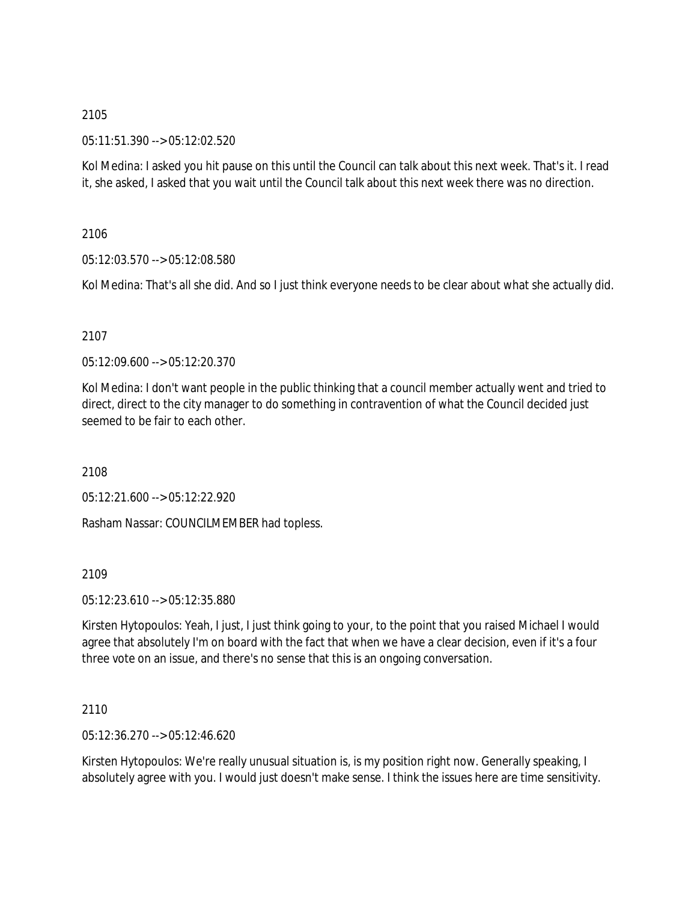05:11:51.390 --> 05:12:02.520

Kol Medina: I asked you hit pause on this until the Council can talk about this next week. That's it. I read it, she asked, I asked that you wait until the Council talk about this next week there was no direction.

2106

05:12:03.570 --> 05:12:08.580

Kol Medina: That's all she did. And so I just think everyone needs to be clear about what she actually did.

## 2107

05:12:09.600 --> 05:12:20.370

Kol Medina: I don't want people in the public thinking that a council member actually went and tried to direct, direct to the city manager to do something in contravention of what the Council decided just seemed to be fair to each other.

2108

05:12:21.600 --> 05:12:22.920

Rasham Nassar: COUNCILMEMBER had topless.

### 2109

05:12:23.610 --> 05:12:35.880

Kirsten Hytopoulos: Yeah, I just, I just think going to your, to the point that you raised Michael I would agree that absolutely I'm on board with the fact that when we have a clear decision, even if it's a four three vote on an issue, and there's no sense that this is an ongoing conversation.

# 2110

05:12:36.270 --> 05:12:46.620

Kirsten Hytopoulos: We're really unusual situation is, is my position right now. Generally speaking, I absolutely agree with you. I would just doesn't make sense. I think the issues here are time sensitivity.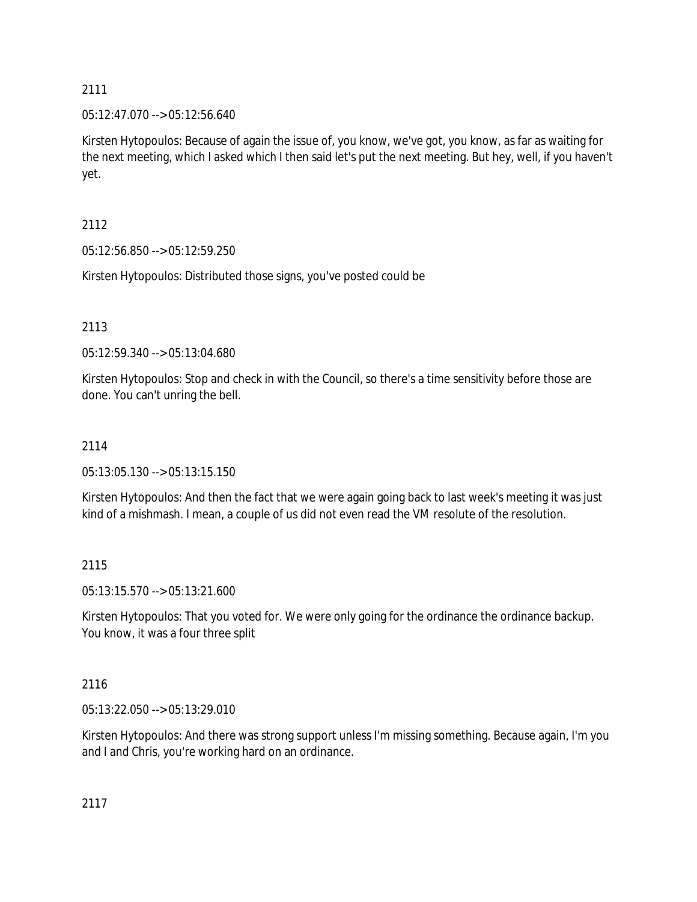## 05:12:47.070 --> 05:12:56.640

Kirsten Hytopoulos: Because of again the issue of, you know, we've got, you know, as far as waiting for the next meeting, which I asked which I then said let's put the next meeting. But hey, well, if you haven't yet.

2112

05:12:56.850 --> 05:12:59.250

Kirsten Hytopoulos: Distributed those signs, you've posted could be

# 2113

05:12:59.340 --> 05:13:04.680

Kirsten Hytopoulos: Stop and check in with the Council, so there's a time sensitivity before those are done. You can't unring the bell.

# 2114

05:13:05.130 --> 05:13:15.150

Kirsten Hytopoulos: And then the fact that we were again going back to last week's meeting it was just kind of a mishmash. I mean, a couple of us did not even read the VM resolute of the resolution.

# 2115

05:13:15.570 --> 05:13:21.600

Kirsten Hytopoulos: That you voted for. We were only going for the ordinance the ordinance backup. You know, it was a four three split

# 2116

05:13:22.050 --> 05:13:29.010

Kirsten Hytopoulos: And there was strong support unless I'm missing something. Because again, I'm you and I and Chris, you're working hard on an ordinance.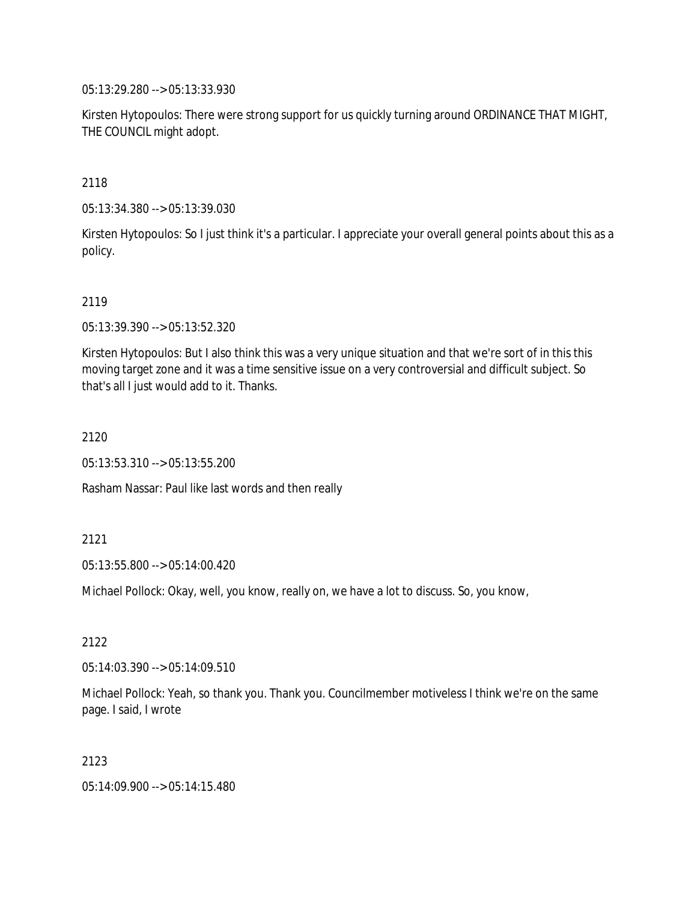05:13:29.280 --> 05:13:33.930

Kirsten Hytopoulos: There were strong support for us quickly turning around ORDINANCE THAT MIGHT, THE COUNCIL might adopt.

2118

05:13:34.380 --> 05:13:39.030

Kirsten Hytopoulos: So I just think it's a particular. I appreciate your overall general points about this as a policy.

#### 2119

05:13:39.390 --> 05:13:52.320

Kirsten Hytopoulos: But I also think this was a very unique situation and that we're sort of in this this moving target zone and it was a time sensitive issue on a very controversial and difficult subject. So that's all I just would add to it. Thanks.

2120

05:13:53.310 --> 05:13:55.200

Rasham Nassar: Paul like last words and then really

2121

05:13:55.800 --> 05:14:00.420

Michael Pollock: Okay, well, you know, really on, we have a lot to discuss. So, you know,

2122

05:14:03.390 --> 05:14:09.510

Michael Pollock: Yeah, so thank you. Thank you. Councilmember motiveless I think we're on the same page. I said, I wrote

2123

05:14:09.900 --> 05:14:15.480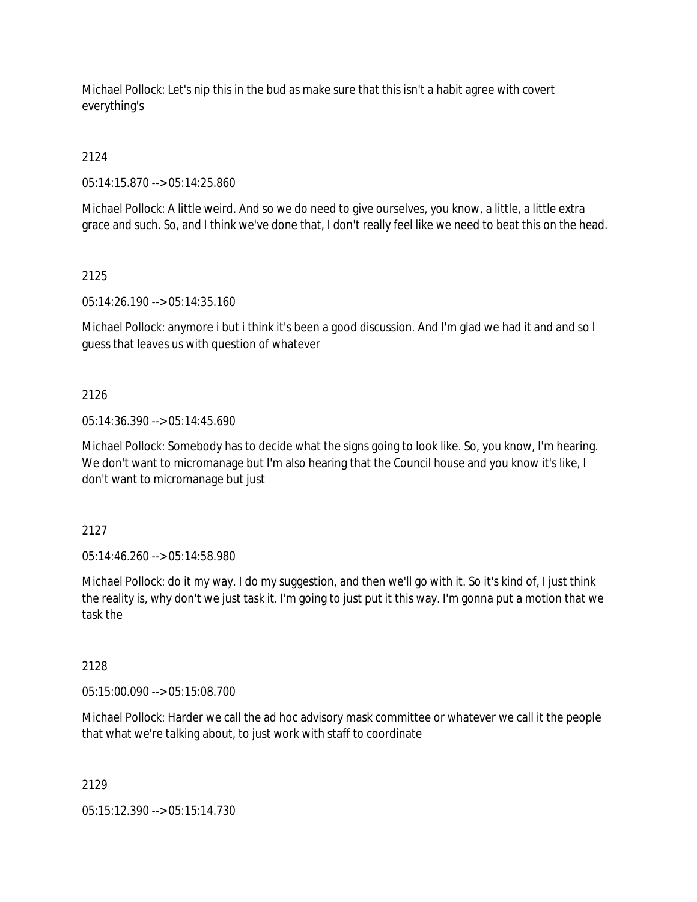Michael Pollock: Let's nip this in the bud as make sure that this isn't a habit agree with covert everything's

2124

05:14:15.870 --> 05:14:25.860

Michael Pollock: A little weird. And so we do need to give ourselves, you know, a little, a little extra grace and such. So, and I think we've done that, I don't really feel like we need to beat this on the head.

## 2125

05:14:26.190 --> 05:14:35.160

Michael Pollock: anymore i but i think it's been a good discussion. And I'm glad we had it and and so I guess that leaves us with question of whatever

## 2126

05:14:36.390 --> 05:14:45.690

Michael Pollock: Somebody has to decide what the signs going to look like. So, you know, I'm hearing. We don't want to micromanage but I'm also hearing that the Council house and you know it's like, I don't want to micromanage but just

# 2127

05:14:46.260 --> 05:14:58.980

Michael Pollock: do it my way. I do my suggestion, and then we'll go with it. So it's kind of, I just think the reality is, why don't we just task it. I'm going to just put it this way. I'm gonna put a motion that we task the

# 2128

05:15:00.090 --> 05:15:08.700

Michael Pollock: Harder we call the ad hoc advisory mask committee or whatever we call it the people that what we're talking about, to just work with staff to coordinate

# 2129

05:15:12.390 --> 05:15:14.730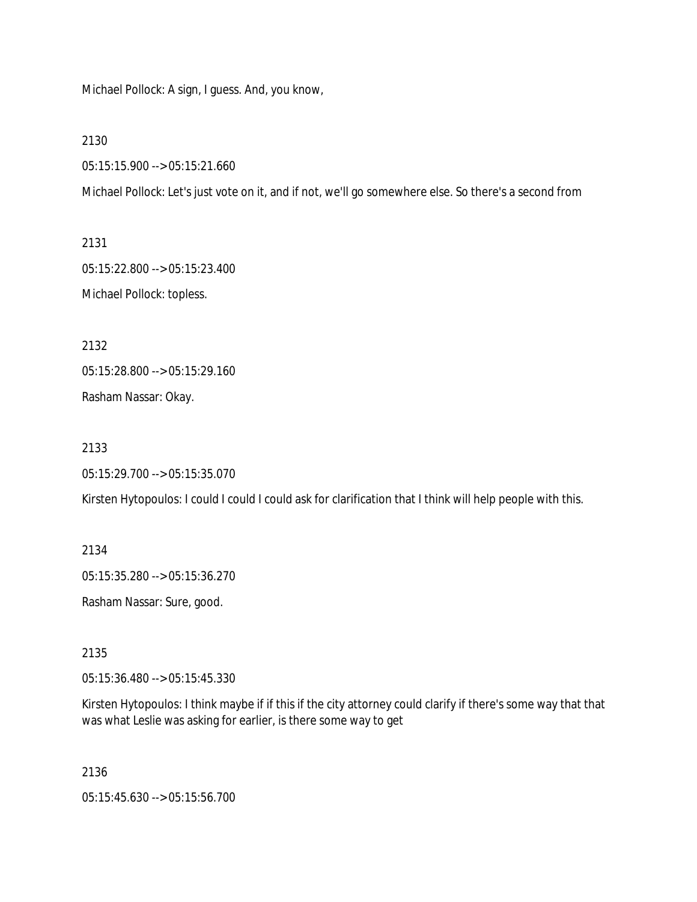Michael Pollock: A sign, I guess. And, you know,

2130

05:15:15.900 --> 05:15:21.660

Michael Pollock: Let's just vote on it, and if not, we'll go somewhere else. So there's a second from

2131 05:15:22.800 --> 05:15:23.400 Michael Pollock: topless.

2132 05:15:28.800 --> 05:15:29.160

Rasham Nassar: Okay.

2133

05:15:29.700 --> 05:15:35.070

Kirsten Hytopoulos: I could I could I could ask for clarification that I think will help people with this.

2134 05:15:35.280 --> 05:15:36.270 Rasham Nassar: Sure, good.

2135

05:15:36.480 --> 05:15:45.330

Kirsten Hytopoulos: I think maybe if if this if the city attorney could clarify if there's some way that that was what Leslie was asking for earlier, is there some way to get

2136

05:15:45.630 --> 05:15:56.700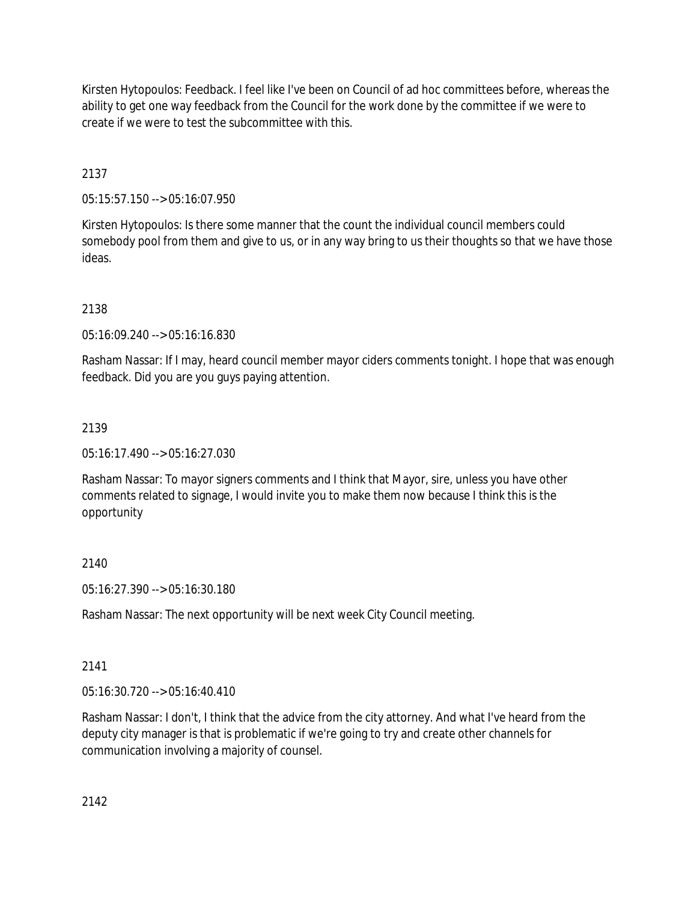Kirsten Hytopoulos: Feedback. I feel like I've been on Council of ad hoc committees before, whereas the ability to get one way feedback from the Council for the work done by the committee if we were to create if we were to test the subcommittee with this.

2137

05:15:57.150 --> 05:16:07.950

Kirsten Hytopoulos: Is there some manner that the count the individual council members could somebody pool from them and give to us, or in any way bring to us their thoughts so that we have those ideas.

2138

05:16:09.240 --> 05:16:16.830

Rasham Nassar: If I may, heard council member mayor ciders comments tonight. I hope that was enough feedback. Did you are you guys paying attention.

# 2139

05:16:17.490 --> 05:16:27.030

Rasham Nassar: To mayor signers comments and I think that Mayor, sire, unless you have other comments related to signage, I would invite you to make them now because I think this is the opportunity

# 2140

05:16:27.390 --> 05:16:30.180

Rasham Nassar: The next opportunity will be next week City Council meeting.

# 2141

05:16:30.720 --> 05:16:40.410

Rasham Nassar: I don't, I think that the advice from the city attorney. And what I've heard from the deputy city manager is that is problematic if we're going to try and create other channels for communication involving a majority of counsel.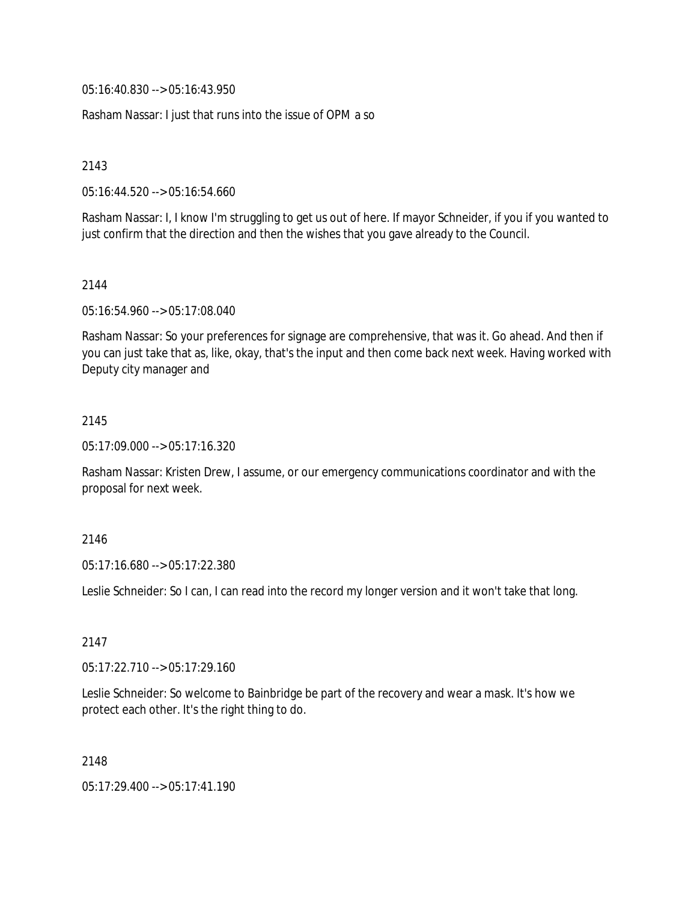05:16:40.830 --> 05:16:43.950

Rasham Nassar: I just that runs into the issue of OPM a so

2143

05:16:44.520 --> 05:16:54.660

Rasham Nassar: I, I know I'm struggling to get us out of here. If mayor Schneider, if you if you wanted to just confirm that the direction and then the wishes that you gave already to the Council.

### 2144

05:16:54.960 --> 05:17:08.040

Rasham Nassar: So your preferences for signage are comprehensive, that was it. Go ahead. And then if you can just take that as, like, okay, that's the input and then come back next week. Having worked with Deputy city manager and

### 2145

05:17:09.000 --> 05:17:16.320

Rasham Nassar: Kristen Drew, I assume, or our emergency communications coordinator and with the proposal for next week.

### 2146

05:17:16.680 --> 05:17:22.380

Leslie Schneider: So I can, I can read into the record my longer version and it won't take that long.

# 2147

05:17:22.710 --> 05:17:29.160

Leslie Schneider: So welcome to Bainbridge be part of the recovery and wear a mask. It's how we protect each other. It's the right thing to do.

2148

05:17:29.400 --> 05:17:41.190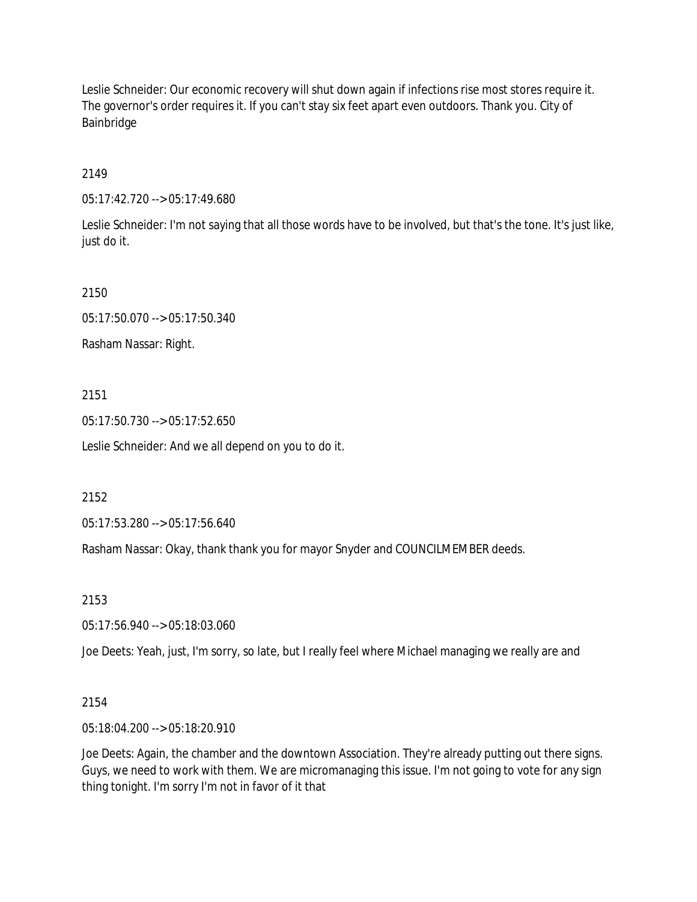Leslie Schneider: Our economic recovery will shut down again if infections rise most stores require it. The governor's order requires it. If you can't stay six feet apart even outdoors. Thank you. City of Bainbridge

## 2149

05:17:42.720 --> 05:17:49.680

Leslie Schneider: I'm not saying that all those words have to be involved, but that's the tone. It's just like, just do it.

### 2150

05:17:50.070 --> 05:17:50.340

Rasham Nassar: Right.

### 2151

05:17:50.730 --> 05:17:52.650

Leslie Schneider: And we all depend on you to do it.

### 2152

05:17:53.280 --> 05:17:56.640

Rasham Nassar: Okay, thank thank you for mayor Snyder and COUNCILMEMBER deeds.

### 2153

05:17:56.940 --> 05:18:03.060

Joe Deets: Yeah, just, I'm sorry, so late, but I really feel where Michael managing we really are and

### 2154

05:18:04.200 --> 05:18:20.910

Joe Deets: Again, the chamber and the downtown Association. They're already putting out there signs. Guys, we need to work with them. We are micromanaging this issue. I'm not going to vote for any sign thing tonight. I'm sorry I'm not in favor of it that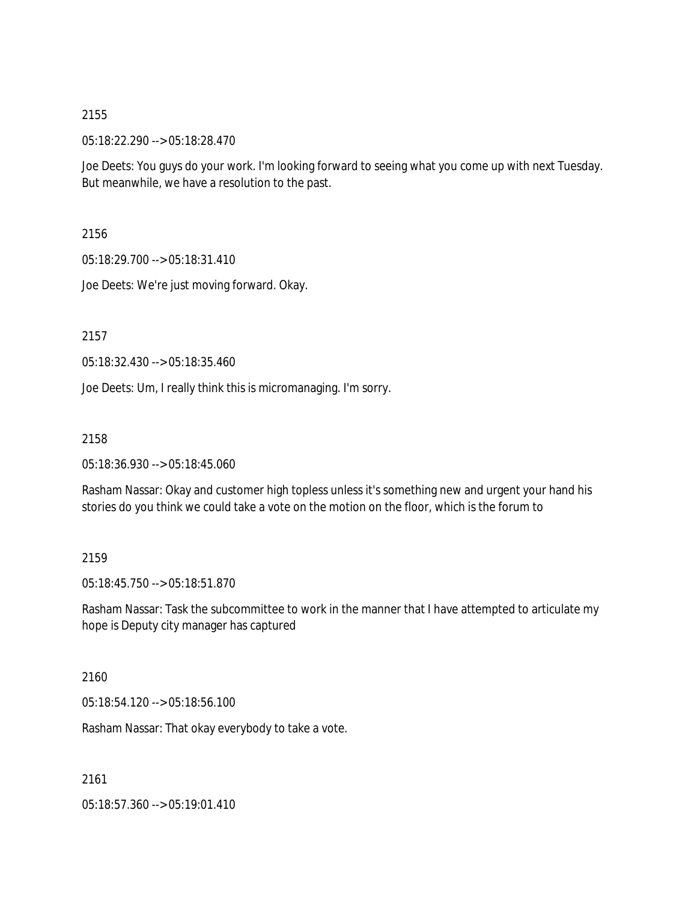05:18:22.290 --> 05:18:28.470

Joe Deets: You guys do your work. I'm looking forward to seeing what you come up with next Tuesday. But meanwhile, we have a resolution to the past.

2156

05:18:29.700 --> 05:18:31.410

Joe Deets: We're just moving forward. Okay.

2157

05:18:32.430 --> 05:18:35.460

Joe Deets: Um, I really think this is micromanaging. I'm sorry.

2158

05:18:36.930 --> 05:18:45.060

Rasham Nassar: Okay and customer high topless unless it's something new and urgent your hand his stories do you think we could take a vote on the motion on the floor, which is the forum to

2159

05:18:45.750 --> 05:18:51.870

Rasham Nassar: Task the subcommittee to work in the manner that I have attempted to articulate my hope is Deputy city manager has captured

2160

05:18:54.120 --> 05:18:56.100

Rasham Nassar: That okay everybody to take a vote.

2161

05:18:57.360 --> 05:19:01.410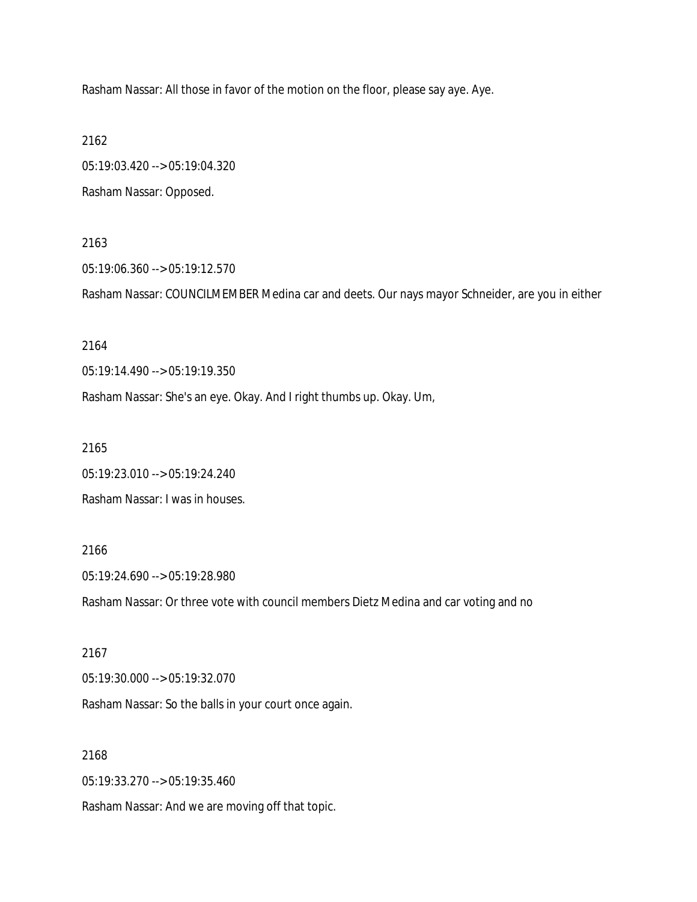Rasham Nassar: All those in favor of the motion on the floor, please say aye. Aye.

2162

05:19:03.420 --> 05:19:04.320 Rasham Nassar: Opposed.

2163

05:19:06.360 --> 05:19:12.570

Rasham Nassar: COUNCILMEMBER Medina car and deets. Our nays mayor Schneider, are you in either

2164

05:19:14.490 --> 05:19:19.350

Rasham Nassar: She's an eye. Okay. And I right thumbs up. Okay. Um,

2165

05:19:23.010 --> 05:19:24.240 Rasham Nassar: I was in houses.

2166

05:19:24.690 --> 05:19:28.980

Rasham Nassar: Or three vote with council members Dietz Medina and car voting and no

2167 05:19:30.000 --> 05:19:32.070 Rasham Nassar: So the balls in your court once again.

2168

05:19:33.270 --> 05:19:35.460

Rasham Nassar: And we are moving off that topic.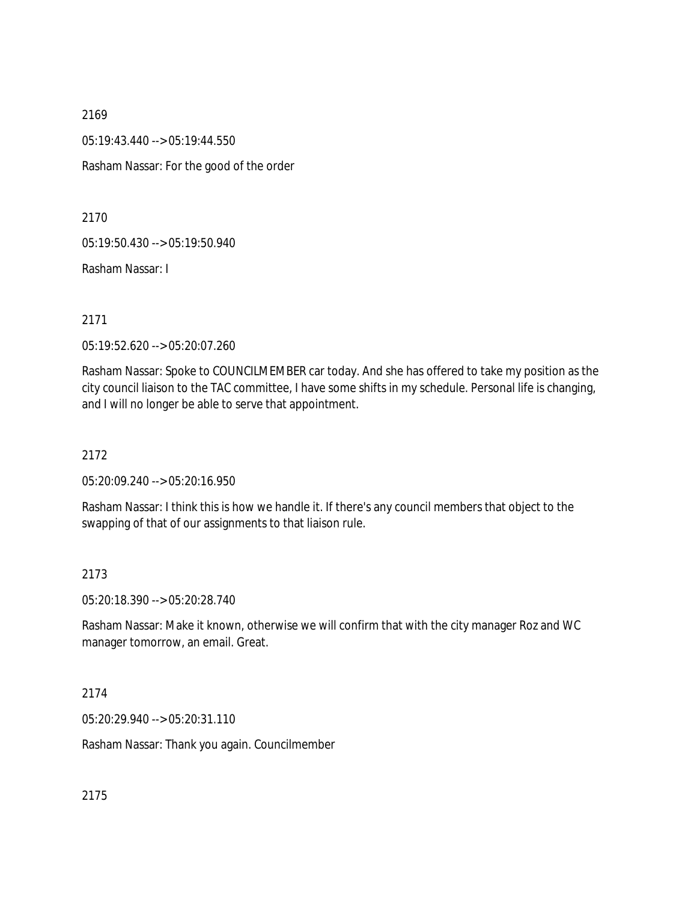2169 05:19:43.440 --> 05:19:44.550 Rasham Nassar: For the good of the order

2170

05:19:50.430 --> 05:19:50.940

Rasham Nassar: I

2171

05:19:52.620 --> 05:20:07.260

Rasham Nassar: Spoke to COUNCILMEMBER car today. And she has offered to take my position as the city council liaison to the TAC committee, I have some shifts in my schedule. Personal life is changing, and I will no longer be able to serve that appointment.

2172

05:20:09.240 --> 05:20:16.950

Rasham Nassar: I think this is how we handle it. If there's any council members that object to the swapping of that of our assignments to that liaison rule.

### 2173

05:20:18.390 --> 05:20:28.740

Rasham Nassar: Make it known, otherwise we will confirm that with the city manager Roz and WC manager tomorrow, an email. Great.

2174

05:20:29.940 --> 05:20:31.110

Rasham Nassar: Thank you again. Councilmember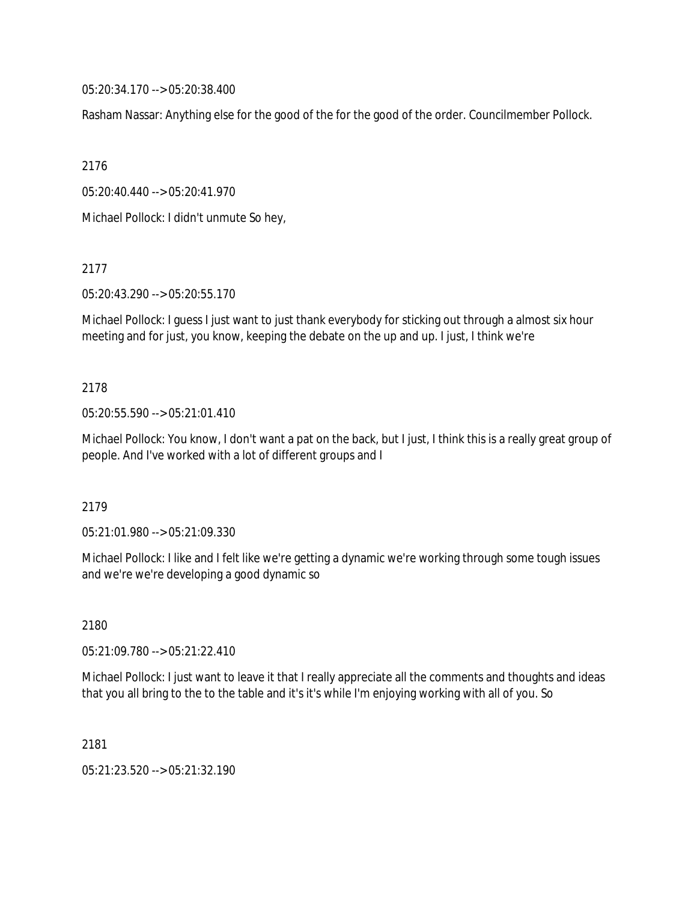05:20:34.170 --> 05:20:38.400

Rasham Nassar: Anything else for the good of the for the good of the order. Councilmember Pollock.

2176

05:20:40.440 --> 05:20:41.970

Michael Pollock: I didn't unmute So hey,

2177

05:20:43.290 --> 05:20:55.170

Michael Pollock: I guess I just want to just thank everybody for sticking out through a almost six hour meeting and for just, you know, keeping the debate on the up and up. I just, I think we're

#### 2178

05:20:55.590 --> 05:21:01.410

Michael Pollock: You know, I don't want a pat on the back, but I just, I think this is a really great group of people. And I've worked with a lot of different groups and I

2179

05:21:01.980 --> 05:21:09.330

Michael Pollock: I like and I felt like we're getting a dynamic we're working through some tough issues and we're we're developing a good dynamic so

2180

05:21:09.780 --> 05:21:22.410

Michael Pollock: I just want to leave it that I really appreciate all the comments and thoughts and ideas that you all bring to the to the table and it's it's while I'm enjoying working with all of you. So

2181

05:21:23.520 --> 05:21:32.190